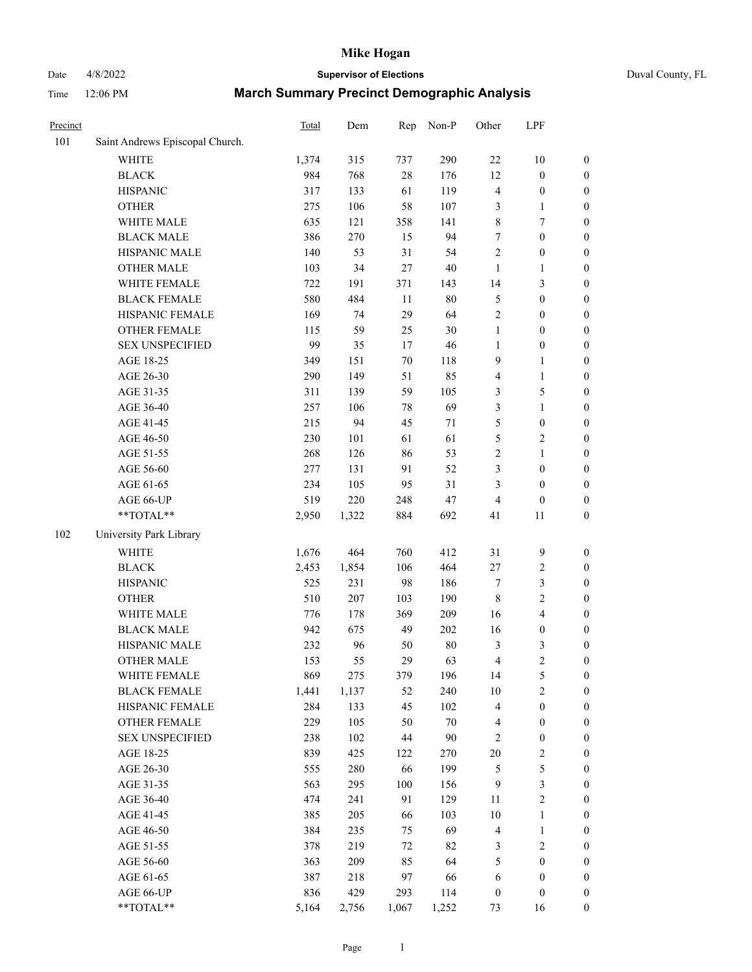# Date 4/8/2022 **Supervisor of Elections** Duval County, FL

| Precinct |                                 | <b>Total</b> | Dem   | Rep    | Non-P  | Other            | LPF              |                  |
|----------|---------------------------------|--------------|-------|--------|--------|------------------|------------------|------------------|
| 101      | Saint Andrews Episcopal Church. |              |       |        |        |                  |                  |                  |
|          | <b>WHITE</b>                    | 1,374        | 315   | 737    | 290    | $22\,$           | $10\,$           | 0                |
|          | <b>BLACK</b>                    | 984          | 768   | $28\,$ | 176    | 12               | $\boldsymbol{0}$ | 0                |
|          | <b>HISPANIC</b>                 | 317          | 133   | 61     | 119    | 4                | $\boldsymbol{0}$ | $\boldsymbol{0}$ |
|          | <b>OTHER</b>                    | 275          | 106   | 58     | 107    | 3                | 1                | $\boldsymbol{0}$ |
|          | WHITE MALE                      | 635          | 121   | 358    | 141    | 8                | $\tau$           | $\boldsymbol{0}$ |
|          | <b>BLACK MALE</b>               | 386          | 270   | 15     | 94     | 7                | $\boldsymbol{0}$ | $\boldsymbol{0}$ |
|          | HISPANIC MALE                   | 140          | 53    | 31     | 54     | $\overline{c}$   | $\boldsymbol{0}$ | $\boldsymbol{0}$ |
|          | <b>OTHER MALE</b>               | 103          | 34    | 27     | $40\,$ | $\mathbf{1}$     | $\mathbf{1}$     | $\boldsymbol{0}$ |
|          | WHITE FEMALE                    | 722          | 191   | 371    | 143    | 14               | $\mathfrak{Z}$   | $\boldsymbol{0}$ |
|          | <b>BLACK FEMALE</b>             | 580          | 484   | 11     | $80\,$ | 5                | $\boldsymbol{0}$ | $\boldsymbol{0}$ |
|          | HISPANIC FEMALE                 | 169          | 74    | 29     | 64     | $\overline{2}$   | $\boldsymbol{0}$ | $\boldsymbol{0}$ |
|          | <b>OTHER FEMALE</b>             | 115          | 59    | 25     | $30\,$ | $\mathbf{1}$     | $\boldsymbol{0}$ | $\boldsymbol{0}$ |
|          | <b>SEX UNSPECIFIED</b>          | 99           | 35    | 17     | $46\,$ | $\mathbf{1}$     | $\boldsymbol{0}$ | $\boldsymbol{0}$ |
|          | AGE 18-25                       | 349          | 151   | $70\,$ | 118    | 9                | $\mathbf{1}$     | $\boldsymbol{0}$ |
|          | AGE 26-30                       | 290          | 149   | 51     | 85     | 4                | $\mathbf{1}$     | $\boldsymbol{0}$ |
|          | AGE 31-35                       | 311          | 139   | 59     | 105    | 3                | $\mathfrak{S}$   | $\boldsymbol{0}$ |
|          | AGE 36-40                       | 257          | 106   | 78     | 69     | 3                | $\mathbf{1}$     | $\boldsymbol{0}$ |
|          | AGE 41-45                       | 215          | 94    | 45     | 71     | 5                | $\boldsymbol{0}$ | $\boldsymbol{0}$ |
|          | AGE 46-50                       | 230          | 101   | 61     | 61     | 5                | $\sqrt{2}$       | $\boldsymbol{0}$ |
|          | AGE 51-55                       | 268          | 126   | 86     | 53     | 2                | $\mathbf{1}$     | $\boldsymbol{0}$ |
|          | AGE 56-60                       | 277          | 131   | 91     | 52     | 3                | $\boldsymbol{0}$ | 0                |
|          | AGE 61-65                       | 234          | 105   | 95     | 31     | 3                | $\boldsymbol{0}$ | 0                |
|          | AGE 66-UP                       | 519          | 220   | 248    | $47\,$ | 4                | $\boldsymbol{0}$ | $\boldsymbol{0}$ |
|          | **TOTAL**                       | 2,950        | 1,322 | 884    | 692    | 41               | 11               | $\boldsymbol{0}$ |
| 102      | University Park Library         |              |       |        |        |                  |                  |                  |
|          | <b>WHITE</b>                    | 1,676        | 464   | 760    | 412    | 31               | 9                | $\boldsymbol{0}$ |
|          | <b>BLACK</b>                    | 2,453        | 1,854 | 106    | 464    | $27\,$           | $\sqrt{2}$       | $\boldsymbol{0}$ |
|          | <b>HISPANIC</b>                 | 525          | 231   | 98     | 186    | 7                | $\mathfrak{Z}$   | $\boldsymbol{0}$ |
|          | <b>OTHER</b>                    | 510          | 207   | 103    | 190    | $\,$ 8 $\,$      | $\sqrt{2}$       | $\boldsymbol{0}$ |
|          | WHITE MALE                      | 776          | 178   | 369    | 209    | 16               | $\overline{4}$   | $\boldsymbol{0}$ |
|          | <b>BLACK MALE</b>               | 942          | 675   | 49     | 202    | 16               | $\boldsymbol{0}$ | $\boldsymbol{0}$ |
|          | HISPANIC MALE                   | 232          | 96    | 50     | $80\,$ | 3                | $\mathfrak{Z}$   | $\boldsymbol{0}$ |
|          | OTHER MALE                      | 153          | 55    | 29     | 63     | 4                | $\overline{c}$   | $\boldsymbol{0}$ |
|          | WHITE FEMALE                    | 869          | 275   | 379    | 196    | 14               | 5                | 0                |
|          | <b>BLACK FEMALE</b>             | 1,441        | 1,137 | 52     | 240    | 10               | $\sqrt{2}$       | $\overline{0}$   |
|          | HISPANIC FEMALE                 | 284          | 133   | 45     | 102    | 4                | $\boldsymbol{0}$ | $\overline{0}$   |
|          | <b>OTHER FEMALE</b>             | 229          | 105   | 50     | $70\,$ | 4                | $\boldsymbol{0}$ | $\overline{0}$   |
|          | <b>SEX UNSPECIFIED</b>          | 238          | 102   | 44     | $90\,$ | 2                | $\boldsymbol{0}$ | 0                |
|          | AGE 18-25                       | 839          | 425   | 122    | 270    | $20\,$           | $\sqrt{2}$       | 0                |
|          | AGE 26-30                       | 555          | 280   | 66     | 199    | 5                | $\mathfrak{S}$   | 0                |
|          | AGE 31-35                       | 563          | 295   | 100    | 156    | 9                | $\mathfrak{Z}$   | 0                |
|          | AGE 36-40                       | 474          | 241   | 91     | 129    | 11               | $\sqrt{2}$       | 0                |
|          | AGE 41-45                       | 385          | 205   | 66     | 103    | 10               | $\mathbf{1}$     | 0                |
|          | AGE 46-50                       | 384          | 235   | 75     | 69     | 4                | $\mathbf{1}$     | 0                |
|          | AGE 51-55                       | 378          | 219   | 72     | 82     | 3                | $\sqrt{2}$       | 0                |
|          | AGE 56-60                       | 363          | 209   | 85     | 64     | 5                | $\boldsymbol{0}$ | 0                |
|          | AGE 61-65                       | 387          | 218   | 97     | 66     | 6                | $\boldsymbol{0}$ | 0                |
|          | AGE 66-UP                       | 836          | 429   | 293    | 114    | $\boldsymbol{0}$ | $\boldsymbol{0}$ | 0                |
|          | $**TOTAL**$                     | 5,164        | 2,756 | 1,067  | 1,252  | 73               | 16               | $\boldsymbol{0}$ |
|          |                                 |              |       |        |        |                  |                  |                  |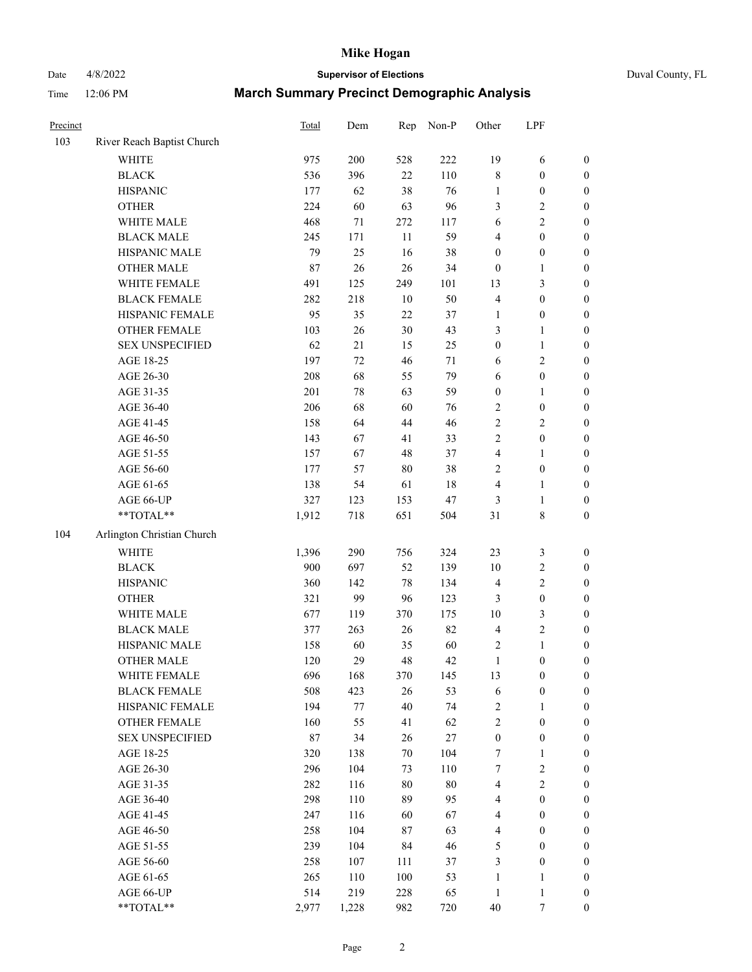Date 4/8/2022 **Supervisor of Elections** Duval County, FL

| Precinct |                            | Total | Dem   | Rep    | Non-P  | Other            | LPF              |                  |
|----------|----------------------------|-------|-------|--------|--------|------------------|------------------|------------------|
| 103      | River Reach Baptist Church |       |       |        |        |                  |                  |                  |
|          | <b>WHITE</b>               | 975   | 200   | 528    | 222    | 19               | 6                | 0                |
|          | <b>BLACK</b>               | 536   | 396   | 22     | 110    | 8                | $\boldsymbol{0}$ | 0                |
|          | <b>HISPANIC</b>            | 177   | 62    | 38     | 76     | $\mathbf{1}$     | $\boldsymbol{0}$ | $\boldsymbol{0}$ |
|          | <b>OTHER</b>               | 224   | 60    | 63     | 96     | 3                | $\sqrt{2}$       | $\boldsymbol{0}$ |
|          | WHITE MALE                 | 468   | 71    | 272    | 117    | 6                | $\sqrt{2}$       | $\boldsymbol{0}$ |
|          | <b>BLACK MALE</b>          | 245   | 171   | 11     | 59     | 4                | $\boldsymbol{0}$ | $\boldsymbol{0}$ |
|          | HISPANIC MALE              | 79    | 25    | 16     | 38     | $\boldsymbol{0}$ | $\boldsymbol{0}$ | $\boldsymbol{0}$ |
|          | <b>OTHER MALE</b>          | 87    | 26    | 26     | 34     | $\boldsymbol{0}$ | $\mathbf{1}$     | $\boldsymbol{0}$ |
|          | WHITE FEMALE               | 491   | 125   | 249    | 101    | 13               | $\mathfrak{Z}$   | $\boldsymbol{0}$ |
|          | <b>BLACK FEMALE</b>        | 282   | 218   | $10\,$ | 50     | 4                | $\boldsymbol{0}$ | $\boldsymbol{0}$ |
|          | HISPANIC FEMALE            | 95    | 35    | 22     | 37     | $\mathbf{1}$     | $\boldsymbol{0}$ | 0                |
|          | OTHER FEMALE               | 103   | 26    | 30     | 43     | 3                | $\mathbf{1}$     | $\boldsymbol{0}$ |
|          | <b>SEX UNSPECIFIED</b>     | 62    | 21    | 15     | 25     | $\boldsymbol{0}$ | $\mathbf{1}$     | $\boldsymbol{0}$ |
|          | AGE 18-25                  | 197   | 72    | 46     | 71     | 6                | $\sqrt{2}$       | $\boldsymbol{0}$ |
|          | AGE 26-30                  | 208   | 68    | 55     | 79     | 6                | $\boldsymbol{0}$ | $\boldsymbol{0}$ |
|          | AGE 31-35                  | 201   | 78    | 63     | 59     | $\boldsymbol{0}$ | $\mathbf{1}$     | $\boldsymbol{0}$ |
|          | AGE 36-40                  | 206   | 68    | 60     | 76     | 2                | $\boldsymbol{0}$ | $\boldsymbol{0}$ |
|          | AGE 41-45                  | 158   | 64    | 44     | 46     | $\overline{c}$   | $\overline{2}$   | $\boldsymbol{0}$ |
|          | AGE 46-50                  | 143   | 67    | 41     | 33     | $\overline{2}$   | $\boldsymbol{0}$ | $\boldsymbol{0}$ |
|          | AGE 51-55                  | 157   | 67    | 48     | 37     | 4                | 1                | 0                |
|          | AGE 56-60                  | 177   | 57    | $80\,$ | 38     | 2                | $\boldsymbol{0}$ | 0                |
|          | AGE 61-65                  | 138   | 54    | 61     | 18     | 4                | $\mathbf{1}$     | 0                |
|          | AGE 66-UP                  | 327   | 123   | 153    | $47\,$ | 3                | $\mathbf{1}$     | $\boldsymbol{0}$ |
|          | **TOTAL**                  | 1,912 | 718   | 651    | 504    | 31               | $8\,$            | $\boldsymbol{0}$ |
| 104      | Arlington Christian Church |       |       |        |        |                  |                  |                  |
|          | <b>WHITE</b>               | 1,396 | 290   | 756    | 324    | 23               | $\mathfrak{Z}$   | $\boldsymbol{0}$ |
|          | <b>BLACK</b>               | 900   | 697   | 52     | 139    | 10               | $\sqrt{2}$       | $\boldsymbol{0}$ |
|          | <b>HISPANIC</b>            | 360   | 142   | 78     | 134    | 4                | $\mathbf{2}$     | $\boldsymbol{0}$ |
|          | <b>OTHER</b>               | 321   | 99    | 96     | 123    | 3                | $\boldsymbol{0}$ | $\boldsymbol{0}$ |
|          | WHITE MALE                 | 677   | 119   | 370    | 175    | $10\,$           | 3                | $\boldsymbol{0}$ |
|          | <b>BLACK MALE</b>          | 377   | 263   | 26     | 82     | $\overline{4}$   | $\sqrt{2}$       | $\boldsymbol{0}$ |
|          | HISPANIC MALE              | 158   | 60    | 35     | 60     | 2                | $\mathbf{1}$     | $\boldsymbol{0}$ |
|          | <b>OTHER MALE</b>          | 120   | 29    | 48     | 42     | $\mathbf{1}$     | $\boldsymbol{0}$ | $\boldsymbol{0}$ |
|          | WHITE FEMALE               | 696   | 168   | 370    | 145    | 13               | $\boldsymbol{0}$ | 0                |
|          | <b>BLACK FEMALE</b>        | 508   | 423   | 26     | 53     | 6                | $\boldsymbol{0}$ | $\boldsymbol{0}$ |
|          | HISPANIC FEMALE            | 194   | 77    | 40     | 74     | 2                | $\mathbf{1}$     | $\overline{0}$   |
|          | <b>OTHER FEMALE</b>        | 160   | 55    | 41     | 62     | 2                | $\boldsymbol{0}$ | $\overline{0}$   |
|          | <b>SEX UNSPECIFIED</b>     | 87    | 34    | 26     | $27\,$ | $\boldsymbol{0}$ | $\boldsymbol{0}$ | 0                |
|          | AGE 18-25                  | 320   | 138   | 70     | 104    | $\boldsymbol{7}$ | $\mathbf{1}$     | 0                |
|          | AGE 26-30                  | 296   | 104   | 73     | 110    | 7                | $\sqrt{2}$       | 0                |
|          | AGE 31-35                  | 282   | 116   | $80\,$ | $80\,$ | 4                | $\overline{2}$   | 0                |
|          | AGE 36-40                  | 298   | 110   | 89     | 95     | 4                | $\boldsymbol{0}$ | 0                |
|          | AGE 41-45                  | 247   | 116   | 60     | 67     | $\overline{4}$   | $\boldsymbol{0}$ | 0                |
|          | AGE 46-50                  | 258   | 104   | 87     | 63     | 4                | $\boldsymbol{0}$ | 0                |
|          | AGE 51-55                  | 239   | 104   | 84     | 46     | 5                | $\boldsymbol{0}$ | 0                |
|          | AGE 56-60                  | 258   | 107   | 111    | 37     | 3                | $\boldsymbol{0}$ | $\overline{0}$   |
|          | AGE 61-65                  | 265   | 110   | 100    | 53     | $\mathbf{1}$     | $\mathbf{1}$     | $\overline{0}$   |
|          | AGE 66-UP                  | 514   | 219   | 228    | 65     | $\mathbf{1}$     | $\mathbf{1}$     | 0                |
|          | **TOTAL**                  | 2,977 | 1,228 | 982    | 720    | $40\,$           | 7                | $\boldsymbol{0}$ |
|          |                            |       |       |        |        |                  |                  |                  |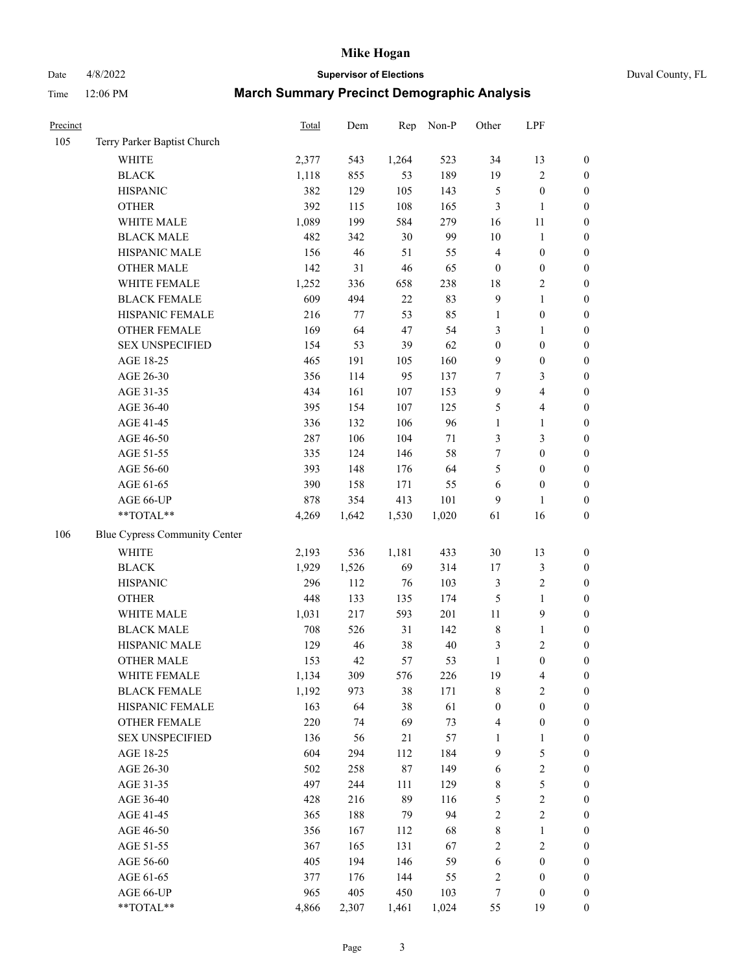Date 4/8/2022 **Supervisor of Elections** Duval County, FL

| Precinct |                               | Total | Dem   | Rep    | Non-P  | Other            | LPF              |                  |
|----------|-------------------------------|-------|-------|--------|--------|------------------|------------------|------------------|
| 105      | Terry Parker Baptist Church   |       |       |        |        |                  |                  |                  |
|          | <b>WHITE</b>                  | 2,377 | 543   | 1,264  | 523    | 34               | 13               | 0                |
|          | <b>BLACK</b>                  | 1,118 | 855   | 53     | 189    | 19               | $\sqrt{2}$       | 0                |
|          | <b>HISPANIC</b>               | 382   | 129   | 105    | 143    | 5                | $\boldsymbol{0}$ | $\boldsymbol{0}$ |
|          | <b>OTHER</b>                  | 392   | 115   | 108    | 165    | 3                | $\mathbf{1}$     | $\boldsymbol{0}$ |
|          | WHITE MALE                    | 1,089 | 199   | 584    | 279    | 16               | 11               | $\boldsymbol{0}$ |
|          | <b>BLACK MALE</b>             | 482   | 342   | 30     | 99     | $10\,$           | $\mathbf{1}$     | $\boldsymbol{0}$ |
|          | HISPANIC MALE                 | 156   | 46    | 51     | 55     | 4                | $\boldsymbol{0}$ | $\boldsymbol{0}$ |
|          | <b>OTHER MALE</b>             | 142   | 31    | 46     | 65     | $\boldsymbol{0}$ | $\boldsymbol{0}$ | $\boldsymbol{0}$ |
|          | WHITE FEMALE                  | 1,252 | 336   | 658    | 238    | 18               | $\sqrt{2}$       | $\boldsymbol{0}$ |
|          | <b>BLACK FEMALE</b>           | 609   | 494   | $22\,$ | 83     | $\overline{9}$   | $\mathbf{1}$     | $\boldsymbol{0}$ |
|          | HISPANIC FEMALE               | 216   | 77    | 53     | 85     | 1                | $\boldsymbol{0}$ | $\boldsymbol{0}$ |
|          | OTHER FEMALE                  | 169   | 64    | 47     | 54     | 3                | 1                | $\boldsymbol{0}$ |
|          | <b>SEX UNSPECIFIED</b>        | 154   | 53    | 39     | 62     | $\boldsymbol{0}$ | $\boldsymbol{0}$ | $\boldsymbol{0}$ |
|          | AGE 18-25                     | 465   | 191   | 105    | 160    | 9                | $\boldsymbol{0}$ | $\boldsymbol{0}$ |
|          | AGE 26-30                     | 356   | 114   | 95     | 137    | 7                | $\mathfrak{Z}$   | $\boldsymbol{0}$ |
|          | AGE 31-35                     | 434   | 161   | 107    | 153    | 9                | $\overline{4}$   | $\boldsymbol{0}$ |
|          | AGE 36-40                     | 395   | 154   | 107    | 125    | 5                | $\overline{4}$   | $\boldsymbol{0}$ |
|          | AGE 41-45                     | 336   | 132   | 106    | 96     | $\mathbf{1}$     | $\mathbf{1}$     | $\boldsymbol{0}$ |
|          | AGE 46-50                     | 287   | 106   | 104    | $71\,$ | 3                | $\mathfrak{Z}$   | $\boldsymbol{0}$ |
|          | AGE 51-55                     | 335   | 124   | 146    | 58     | 7                | $\boldsymbol{0}$ | $\boldsymbol{0}$ |
|          | AGE 56-60                     | 393   | 148   | 176    | 64     | 5                | $\boldsymbol{0}$ | $\boldsymbol{0}$ |
|          | AGE 61-65                     | 390   | 158   | 171    | 55     | 6                | $\boldsymbol{0}$ | $\boldsymbol{0}$ |
|          | AGE 66-UP                     | 878   | 354   | 413    | 101    | 9                | $\mathbf{1}$     | $\boldsymbol{0}$ |
|          | $**TOTAL**$                   | 4,269 | 1,642 | 1,530  | 1,020  | 61               | 16               | $\boldsymbol{0}$ |
| 106      | Blue Cypress Community Center |       |       |        |        |                  |                  |                  |
|          | <b>WHITE</b>                  | 2,193 | 536   | 1,181  | 433    | $30\,$           | 13               | $\boldsymbol{0}$ |
|          | <b>BLACK</b>                  | 1,929 | 1,526 | 69     | 314    | 17               | $\sqrt{3}$       | $\boldsymbol{0}$ |
|          | <b>HISPANIC</b>               | 296   | 112   | 76     | 103    | 3                | $\sqrt{2}$       | $\boldsymbol{0}$ |
|          | <b>OTHER</b>                  | 448   | 133   | 135    | 174    | 5                | $\mathbf{1}$     | $\boldsymbol{0}$ |
|          | WHITE MALE                    | 1,031 | 217   | 593    | 201    | $11\,$           | $\boldsymbol{9}$ | $\boldsymbol{0}$ |
|          | <b>BLACK MALE</b>             | 708   | 526   | 31     | 142    | 8                | $\mathbf{1}$     | $\boldsymbol{0}$ |
|          | HISPANIC MALE                 | 129   | 46    | 38     | 40     | 3                | $\sqrt{2}$       | $\boldsymbol{0}$ |
|          | <b>OTHER MALE</b>             | 153   | 42    | 57     | 53     | $\mathbf{1}$     | $\boldsymbol{0}$ | $\boldsymbol{0}$ |
|          | WHITE FEMALE                  | 1,134 | 309   | 576    | 226    | 19               | 4                | 0                |
|          | <b>BLACK FEMALE</b>           | 1,192 | 973   | 38     | 171    | 8                | $\sqrt{2}$       | $\overline{0}$   |
|          | HISPANIC FEMALE               | 163   | 64    | 38     | 61     | $\boldsymbol{0}$ | $\boldsymbol{0}$ | $\overline{0}$   |
|          | OTHER FEMALE                  | 220   | 74    | 69     | 73     | 4                | $\boldsymbol{0}$ | 0                |
|          | <b>SEX UNSPECIFIED</b>        | 136   | 56    | 21     | 57     | 1                | $\mathbf{1}$     | 0                |
|          | AGE 18-25                     | 604   | 294   | 112    | 184    | 9                | 5                | 0                |
|          | AGE 26-30                     | 502   | 258   | 87     | 149    | 6                | $\sqrt{2}$       | 0                |
|          | AGE 31-35                     | 497   | 244   | 111    | 129    | 8                | 5                | 0                |
|          | AGE 36-40                     | 428   | 216   | 89     | 116    | 5                | $\sqrt{2}$       | 0                |
|          | AGE 41-45                     | 365   | 188   | 79     | 94     | $\mathbf{2}$     | $\sqrt{2}$       | 0                |
|          | AGE 46-50                     | 356   | 167   | 112    | 68     | 8                | $\mathbf{1}$     | 0                |
|          | AGE 51-55                     | 367   | 165   | 131    | 67     | 2                | $\sqrt{2}$       | 0                |
|          | AGE 56-60                     | 405   | 194   | 146    | 59     | 6                | $\boldsymbol{0}$ | 0                |
|          | AGE 61-65                     | 377   | 176   | 144    | 55     | 2                | $\boldsymbol{0}$ | $\overline{0}$   |
|          | AGE 66-UP                     | 965   | 405   | 450    | 103    | 7                | $\boldsymbol{0}$ | 0                |
|          | **TOTAL**                     | 4,866 | 2,307 | 1,461  | 1,024  | 55               | 19               | $\boldsymbol{0}$ |
|          |                               |       |       |        |        |                  |                  |                  |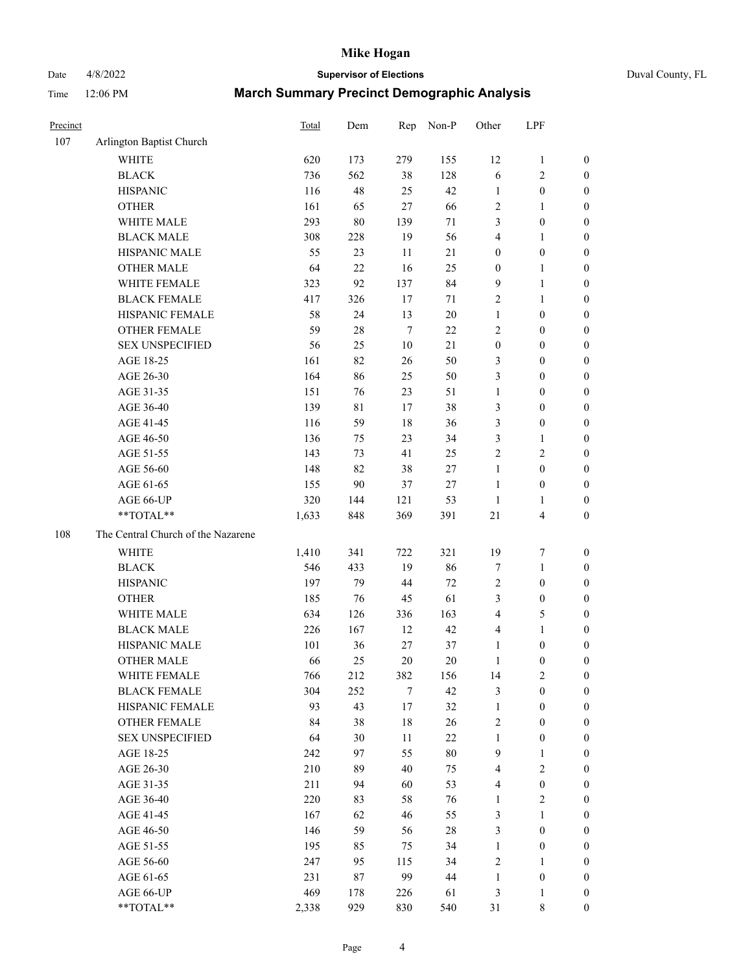Date 4/8/2022 **Supervisor of Elections** Duval County, FL

| Precinct |                                    | Total | Dem | Rep    | Non-P  | Other            | LPF                     |                  |
|----------|------------------------------------|-------|-----|--------|--------|------------------|-------------------------|------------------|
| 107      | Arlington Baptist Church           |       |     |        |        |                  |                         |                  |
|          | <b>WHITE</b>                       | 620   | 173 | 279    | 155    | 12               | $\mathbf{1}$            | 0                |
|          | <b>BLACK</b>                       | 736   | 562 | 38     | 128    | 6                | $\sqrt{2}$              | $\boldsymbol{0}$ |
|          | <b>HISPANIC</b>                    | 116   | 48  | 25     | 42     | 1                | $\boldsymbol{0}$        | $\boldsymbol{0}$ |
|          | <b>OTHER</b>                       | 161   | 65  | $27\,$ | 66     | $\overline{c}$   | $\mathbf{1}$            | $\boldsymbol{0}$ |
|          | WHITE MALE                         | 293   | 80  | 139    | 71     | 3                | $\boldsymbol{0}$        | $\boldsymbol{0}$ |
|          | <b>BLACK MALE</b>                  | 308   | 228 | 19     | 56     | 4                | $\mathbf{1}$            | $\boldsymbol{0}$ |
|          | HISPANIC MALE                      | 55    | 23  | 11     | 21     | $\boldsymbol{0}$ | $\boldsymbol{0}$        | $\boldsymbol{0}$ |
|          | <b>OTHER MALE</b>                  | 64    | 22  | 16     | 25     | $\boldsymbol{0}$ | $\mathbf{1}$            | $\boldsymbol{0}$ |
|          | WHITE FEMALE                       | 323   | 92  | 137    | 84     | 9                | $\mathbf{1}$            | $\boldsymbol{0}$ |
|          | <b>BLACK FEMALE</b>                | 417   | 326 | 17     | 71     | $\mathbf{2}$     | $\mathbf{1}$            | 0                |
|          | HISPANIC FEMALE                    | 58    | 24  | 13     | $20\,$ | $\mathbf{1}$     | $\boldsymbol{0}$        | $\boldsymbol{0}$ |
|          | OTHER FEMALE                       | 59    | 28  | $\tau$ | 22     | 2                | $\boldsymbol{0}$        | $\boldsymbol{0}$ |
|          | <b>SEX UNSPECIFIED</b>             | 56    | 25  | $10\,$ | 21     | $\boldsymbol{0}$ | $\boldsymbol{0}$        | $\boldsymbol{0}$ |
|          | AGE 18-25                          | 161   | 82  | 26     | 50     | 3                | $\boldsymbol{0}$        | $\boldsymbol{0}$ |
|          | AGE 26-30                          | 164   | 86  | 25     | 50     | 3                | $\boldsymbol{0}$        | $\boldsymbol{0}$ |
|          | AGE 31-35                          | 151   | 76  | 23     | 51     | $\mathbf{1}$     | $\boldsymbol{0}$        | $\boldsymbol{0}$ |
|          | AGE 36-40                          | 139   | 81  | 17     | 38     | 3                | $\boldsymbol{0}$        | $\boldsymbol{0}$ |
|          | AGE 41-45                          | 116   | 59  | 18     | 36     | 3                | $\boldsymbol{0}$        | $\boldsymbol{0}$ |
|          | AGE 46-50                          | 136   | 75  | 23     | 34     | $\mathfrak{Z}$   | $\mathbf{1}$            | $\boldsymbol{0}$ |
|          | AGE 51-55                          | 143   | 73  | 41     | 25     | $\mathbf{2}$     | $\mathbf{2}$            | 0                |
|          | AGE 56-60                          | 148   | 82  | 38     | 27     | $\mathbf{1}$     | $\boldsymbol{0}$        | 0                |
|          | AGE 61-65                          | 155   | 90  | 37     | $27\,$ | $\mathbf{1}$     | $\boldsymbol{0}$        | $\boldsymbol{0}$ |
|          | AGE 66-UP                          | 320   | 144 | 121    | 53     | $\mathbf{1}$     | $\mathbf{1}$            | $\boldsymbol{0}$ |
|          | **TOTAL**                          | 1,633 | 848 | 369    | 391    | $21\,$           | $\overline{\mathbf{4}}$ | $\boldsymbol{0}$ |
| 108      | The Central Church of the Nazarene |       |     |        |        |                  |                         |                  |
|          | <b>WHITE</b>                       | 1,410 | 341 | 722    | 321    | 19               | 7                       | $\boldsymbol{0}$ |
|          | <b>BLACK</b>                       | 546   | 433 | 19     | 86     | $\tau$           | $\mathbf{1}$            | $\boldsymbol{0}$ |
|          | <b>HISPANIC</b>                    | 197   | 79  | 44     | 72     | $\sqrt{2}$       | $\boldsymbol{0}$        | $\boldsymbol{0}$ |
|          | <b>OTHER</b>                       | 185   | 76  | 45     | 61     | 3                | $\boldsymbol{0}$        | $\boldsymbol{0}$ |
|          | WHITE MALE                         | 634   | 126 | 336    | 163    | 4                | $\mathfrak{S}$          | $\boldsymbol{0}$ |
|          | <b>BLACK MALE</b>                  | 226   | 167 | 12     | 42     | 4                | $\mathbf{1}$            | $\boldsymbol{0}$ |
|          | HISPANIC MALE                      | 101   | 36  | 27     | 37     | $\mathbf{1}$     | $\boldsymbol{0}$        | 0                |
|          | <b>OTHER MALE</b>                  | 66    | 25  | 20     | 20     | $\mathbf{1}$     | $\boldsymbol{0}$        | $\boldsymbol{0}$ |
|          | WHITE FEMALE                       | 766   | 212 | 382    | 156    | 14               | $\overline{c}$          | $\boldsymbol{0}$ |
|          | <b>BLACK FEMALE</b>                | 304   | 252 | $\tau$ | 42     | 3                | $\boldsymbol{0}$        | $\overline{0}$   |
|          | HISPANIC FEMALE                    | 93    | 43  | $17\,$ | 32     | $\mathbf{1}$     | $\boldsymbol{0}$        | $\overline{0}$   |
|          | <b>OTHER FEMALE</b>                | 84    | 38  | $18\,$ | 26     | 2                | $\boldsymbol{0}$        | 0                |
|          | <b>SEX UNSPECIFIED</b>             | 64    | 30  | 11     | 22     | $\mathbf{1}$     | $\boldsymbol{0}$        | 0                |
|          | AGE 18-25                          | 242   | 97  | 55     | $80\,$ | $\overline{9}$   | $\mathbf{1}$            | 0                |
|          | AGE 26-30                          | 210   | 89  | 40     | 75     | 4                | $\sqrt{2}$              | 0                |
|          | AGE 31-35                          | 211   | 94  | 60     | 53     | 4                | $\boldsymbol{0}$        | 0                |
|          | AGE 36-40                          | 220   | 83  | 58     | 76     | $\mathbf{1}$     | $\sqrt{2}$              | 0                |
|          | AGE 41-45                          | 167   | 62  | 46     | 55     | 3                | $\mathbf{1}$            | 0                |
|          | AGE 46-50                          | 146   | 59  | 56     | $28\,$ | 3                | $\boldsymbol{0}$        | 0                |
|          | AGE 51-55                          | 195   | 85  | 75     | 34     | $\mathbf{1}$     | $\boldsymbol{0}$        | $\boldsymbol{0}$ |
|          | AGE 56-60                          | 247   | 95  | 115    | 34     | 2                | $\mathbf{1}$            | $\boldsymbol{0}$ |
|          | AGE 61-65                          | 231   | 87  | 99     | 44     | $\mathbf{1}$     | $\boldsymbol{0}$        | 0                |
|          | AGE 66-UP                          | 469   | 178 | 226    | 61     | 3                | $\mathbf{1}$            | 0                |
|          | **TOTAL**                          | 2,338 | 929 | 830    | 540    | 31               | $8\,$                   | $\boldsymbol{0}$ |
|          |                                    |       |     |        |        |                  |                         |                  |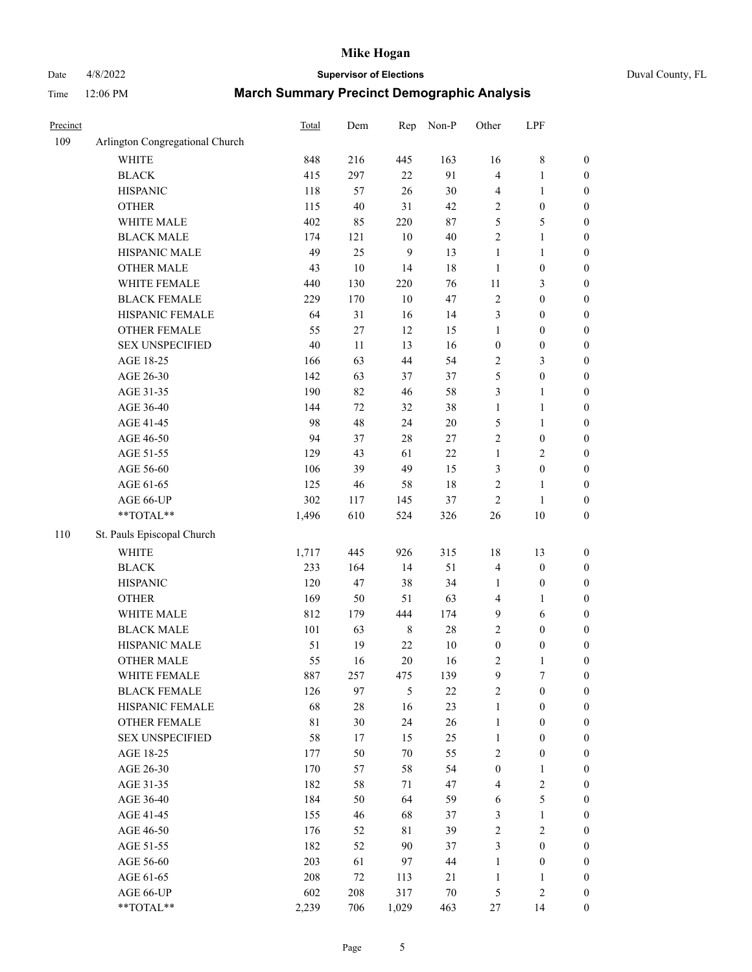# Date 4/8/2022 **Supervisor of Elections** Duval County, FL

| Precinct |                                 | Total       | Dem    | Rep     | Non-P  | Other            | LPF              |                  |
|----------|---------------------------------|-------------|--------|---------|--------|------------------|------------------|------------------|
| 109      | Arlington Congregational Church |             |        |         |        |                  |                  |                  |
|          | <b>WHITE</b>                    | 848         | 216    | 445     | 163    | 16               | $8\,$            | 0                |
|          | <b>BLACK</b>                    | 415         | 297    | 22      | 91     | 4                | $\mathbf{1}$     | 0                |
|          | <b>HISPANIC</b>                 | 118         | 57     | 26      | $30\,$ | 4                | $\mathbf{1}$     | $\boldsymbol{0}$ |
|          | <b>OTHER</b>                    | 115         | 40     | 31      | 42     | 2                | $\boldsymbol{0}$ | $\boldsymbol{0}$ |
|          | WHITE MALE                      | 402         | 85     | 220     | $87\,$ | 5                | 5                | $\boldsymbol{0}$ |
|          | <b>BLACK MALE</b>               | 174         | 121    | $10\,$  | $40\,$ | $\overline{c}$   | $\mathbf{1}$     | $\boldsymbol{0}$ |
|          | HISPANIC MALE                   | 49          | 25     | 9       | 13     | $\mathbf{1}$     | $\mathbf{1}$     | $\boldsymbol{0}$ |
|          | <b>OTHER MALE</b>               | 43          | $10\,$ | 14      | 18     | $\mathbf{1}$     | $\boldsymbol{0}$ | $\boldsymbol{0}$ |
|          | WHITE FEMALE                    | 440         | 130    | 220     | 76     | $11\,$           | $\mathfrak{Z}$   | $\boldsymbol{0}$ |
|          | <b>BLACK FEMALE</b>             | 229         | 170    | $10\,$  | 47     | $\sqrt{2}$       | $\boldsymbol{0}$ | $\boldsymbol{0}$ |
|          | HISPANIC FEMALE                 | 64          | 31     | 16      | 14     | 3                | $\boldsymbol{0}$ | $\boldsymbol{0}$ |
|          | OTHER FEMALE                    | 55          | 27     | 12      | 15     | $\mathbf{1}$     | $\boldsymbol{0}$ | $\boldsymbol{0}$ |
|          | <b>SEX UNSPECIFIED</b>          | 40          | 11     | 13      | 16     | $\boldsymbol{0}$ | $\boldsymbol{0}$ | $\boldsymbol{0}$ |
|          | AGE 18-25                       | 166         | 63     | 44      | 54     | 2                | $\mathfrak{Z}$   | $\boldsymbol{0}$ |
|          | AGE 26-30                       | 142         | 63     | 37      | 37     | 5                | $\boldsymbol{0}$ | $\boldsymbol{0}$ |
|          | AGE 31-35                       | 190         | 82     | 46      | 58     | 3                | $\mathbf{1}$     | $\boldsymbol{0}$ |
|          | AGE 36-40                       | 144         | $72\,$ | 32      | 38     | $\mathbf{1}$     | $\mathbf{1}$     | $\boldsymbol{0}$ |
|          | AGE 41-45                       | 98          | 48     | 24      | $20\,$ | 5                | $\mathbf{1}$     | $\boldsymbol{0}$ |
|          | AGE 46-50                       | 94          | 37     | 28      | $27\,$ | $\overline{2}$   | $\boldsymbol{0}$ | $\boldsymbol{0}$ |
|          | AGE 51-55                       | 129         | 43     | 61      | $22\,$ | $\mathbf{1}$     | $\sqrt{2}$       | 0                |
|          | AGE 56-60                       | 106         | 39     | 49      | 15     | 3                | $\boldsymbol{0}$ | 0                |
|          | AGE 61-65                       | 125         | 46     | 58      | 18     | 2                | $\mathbf{1}$     | $\boldsymbol{0}$ |
|          | AGE 66-UP                       | 302         | 117    | 145     | 37     | $\sqrt{2}$       | $\mathbf{1}$     | $\boldsymbol{0}$ |
|          | **TOTAL**                       | 1,496       | 610    | 524     | 326    | $26\,$           | $10\,$           | $\boldsymbol{0}$ |
| 110      | St. Pauls Episcopal Church      |             |        |         |        |                  |                  |                  |
|          | <b>WHITE</b>                    | 1,717       | 445    | 926     | 315    | 18               | 13               | $\boldsymbol{0}$ |
|          | <b>BLACK</b>                    | 233         | 164    | 14      | 51     | 4                | $\boldsymbol{0}$ | $\boldsymbol{0}$ |
|          | <b>HISPANIC</b>                 | 120         | 47     | 38      | 34     | $\mathbf{1}$     | $\boldsymbol{0}$ | $\boldsymbol{0}$ |
|          | <b>OTHER</b>                    | 169         | 50     | 51      | 63     | 4                | $\mathbf{1}$     | $\boldsymbol{0}$ |
|          | WHITE MALE                      | 812         | 179    | 444     | 174    | 9                | 6                | $\boldsymbol{0}$ |
|          | <b>BLACK MALE</b>               | 101         | 63     | $\,8\,$ | $28\,$ | $\overline{c}$   | $\boldsymbol{0}$ | $\boldsymbol{0}$ |
|          | HISPANIC MALE                   | 51          | 19     | $22\,$  | $10\,$ | $\boldsymbol{0}$ | $\boldsymbol{0}$ | $\boldsymbol{0}$ |
|          | OTHER MALE                      | 55          | 16     | 20      | 16     | 2                | $\mathbf{1}$     | $\boldsymbol{0}$ |
|          | WHITE FEMALE                    | 887         | 257    | 475     | 139    | 9                | 7                | 0                |
|          | <b>BLACK FEMALE</b>             | 126         | 97     | 5       | $22\,$ | 2                | $\boldsymbol{0}$ | $\boldsymbol{0}$ |
|          | HISPANIC FEMALE                 | 68          | $28\,$ | 16      | 23     | $\mathbf{1}$     | $\boldsymbol{0}$ | $\overline{0}$   |
|          | <b>OTHER FEMALE</b>             | $8\sqrt{1}$ | 30     | 24      | 26     | $\mathbf{1}$     | $\boldsymbol{0}$ | 0                |
|          | <b>SEX UNSPECIFIED</b>          | 58          | 17     | 15      | 25     | $\mathbf{1}$     | $\boldsymbol{0}$ | 0                |
|          | AGE 18-25                       | 177         | 50     | 70      | 55     | 2                | $\boldsymbol{0}$ | 0                |
|          | AGE 26-30                       | 170         | 57     | 58      | 54     | $\boldsymbol{0}$ | $\mathbf{1}$     | 0                |
|          | AGE 31-35                       | 182         | 58     | 71      | 47     | 4                | $\sqrt{2}$       | 0                |
|          | AGE 36-40                       | 184         | 50     | 64      | 59     | 6                | $\mathfrak s$    | 0                |
|          | AGE 41-45                       | 155         | 46     | 68      | 37     | 3                | $\mathbf{1}$     | 0                |
|          | AGE 46-50                       | 176         | 52     | 81      | 39     | 2                | $\sqrt{2}$       | 0                |
|          | AGE 51-55                       | 182         | 52     | 90      | 37     | 3                | $\boldsymbol{0}$ | 0                |
|          | AGE 56-60                       | 203         | 61     | 97      | 44     | $\mathbf{1}$     | $\boldsymbol{0}$ | 0                |
|          | AGE 61-65                       | 208         | 72     | 113     | 21     | $\mathbf{1}$     | $\mathbf{1}$     | 0                |
|          | AGE 66-UP                       | 602         | 208    | 317     | $70\,$ | 5                | $\sqrt{2}$       | 0                |
|          | **TOTAL**                       | 2,239       | 706    | 1,029   | 463    | 27               | 14               | $\boldsymbol{0}$ |
|          |                                 |             |        |         |        |                  |                  |                  |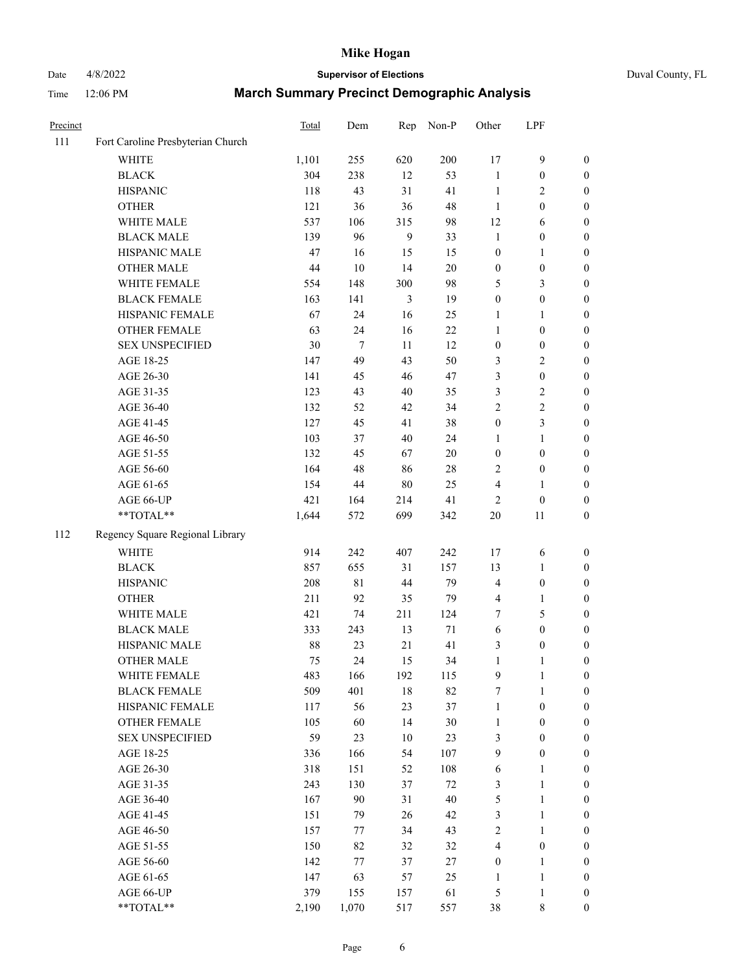# Date 4/8/2022 **Supervisor of Elections** Duval County, FL

| Precinct |                                   | <b>Total</b> | Dem    | Rep            | Non-P  | Other            | LPF              |                  |
|----------|-----------------------------------|--------------|--------|----------------|--------|------------------|------------------|------------------|
| 111      | Fort Caroline Presbyterian Church |              |        |                |        |                  |                  |                  |
|          | <b>WHITE</b>                      | 1,101        | 255    | 620            | 200    | 17               | $\mathbf{9}$     | 0                |
|          | <b>BLACK</b>                      | 304          | 238    | 12             | 53     | $\mathbf{1}$     | $\boldsymbol{0}$ | $\boldsymbol{0}$ |
|          | <b>HISPANIC</b>                   | 118          | 43     | 31             | 41     | $\mathbf{1}$     | 2                | $\boldsymbol{0}$ |
|          | <b>OTHER</b>                      | 121          | 36     | 36             | 48     | $\mathbf{1}$     | $\boldsymbol{0}$ | $\boldsymbol{0}$ |
|          | WHITE MALE                        | 537          | 106    | 315            | 98     | 12               | 6                | $\boldsymbol{0}$ |
|          | <b>BLACK MALE</b>                 | 139          | 96     | 9              | 33     | $\mathbf{1}$     | $\boldsymbol{0}$ | $\boldsymbol{0}$ |
|          | HISPANIC MALE                     | 47           | 16     | 15             | 15     | $\boldsymbol{0}$ | $\mathbf{1}$     | $\boldsymbol{0}$ |
|          | <b>OTHER MALE</b>                 | 44           | $10\,$ | 14             | $20\,$ | $\boldsymbol{0}$ | $\boldsymbol{0}$ | $\boldsymbol{0}$ |
|          | WHITE FEMALE                      | 554          | 148    | 300            | 98     | 5                | $\mathfrak{Z}$   | $\boldsymbol{0}$ |
|          | <b>BLACK FEMALE</b>               | 163          | 141    | $\mathfrak{Z}$ | 19     | $\boldsymbol{0}$ | $\boldsymbol{0}$ | 0                |
|          | HISPANIC FEMALE                   | 67           | 24     | 16             | 25     | 1                | 1                | 0                |
|          | OTHER FEMALE                      | 63           | 24     | 16             | 22     | $\mathbf{1}$     | $\boldsymbol{0}$ | $\boldsymbol{0}$ |
|          | <b>SEX UNSPECIFIED</b>            | 30           | $\tau$ | 11             | 12     | $\boldsymbol{0}$ | $\boldsymbol{0}$ | $\boldsymbol{0}$ |
|          | AGE 18-25                         | 147          | 49     | 43             | 50     | 3                | $\sqrt{2}$       | $\boldsymbol{0}$ |
|          | AGE 26-30                         | 141          | 45     | 46             | 47     | 3                | $\boldsymbol{0}$ | $\boldsymbol{0}$ |
|          | AGE 31-35                         | 123          | 43     | 40             | 35     | 3                | $\sqrt{2}$       | $\boldsymbol{0}$ |
|          | AGE 36-40                         | 132          | 52     | 42             | 34     | $\overline{c}$   | $\sqrt{2}$       | $\boldsymbol{0}$ |
|          | AGE 41-45                         | 127          | 45     | 41             | 38     | $\boldsymbol{0}$ | 3                | $\boldsymbol{0}$ |
|          | AGE 46-50                         | 103          | 37     | 40             | 24     | 1                | $\mathbf{1}$     | $\boldsymbol{0}$ |
|          | AGE 51-55                         | 132          | 45     | 67             | $20\,$ | $\boldsymbol{0}$ | $\boldsymbol{0}$ | 0                |
|          | AGE 56-60                         | 164          | 48     | 86             | 28     | 2                | $\boldsymbol{0}$ | 0                |
|          | AGE 61-65                         | 154          | 44     | $80\,$         | 25     | 4                | $\mathbf{1}$     | 0                |
|          | AGE 66-UP                         | 421          | 164    | 214            | 41     | $\overline{2}$   | $\boldsymbol{0}$ | $\boldsymbol{0}$ |
|          | **TOTAL**                         | 1,644        | 572    | 699            | 342    | $20\,$           | 11               | $\boldsymbol{0}$ |
| 112      | Regency Square Regional Library   |              |        |                |        |                  |                  |                  |
|          | <b>WHITE</b>                      | 914          | 242    | 407            | 242    | 17               | 6                | $\boldsymbol{0}$ |
|          | <b>BLACK</b>                      | 857          | 655    | 31             | 157    | 13               | $\mathbf{1}$     | $\boldsymbol{0}$ |
|          | <b>HISPANIC</b>                   | 208          | 81     | 44             | 79     | 4                | $\boldsymbol{0}$ | $\boldsymbol{0}$ |
|          | <b>OTHER</b>                      | 211          | 92     | 35             | 79     | 4                | $\mathbf{1}$     | $\boldsymbol{0}$ |
|          | WHITE MALE                        | 421          | 74     | 211            | 124    | $\tau$           | $\mathfrak{S}$   | $\boldsymbol{0}$ |
|          | <b>BLACK MALE</b>                 | 333          | 243    | 13             | $71\,$ | $\sqrt{6}$       | $\boldsymbol{0}$ | $\boldsymbol{0}$ |
|          | HISPANIC MALE                     | 88           | 23     | 21             | 41     | 3                | $\boldsymbol{0}$ | 0                |
|          | OTHER MALE                        | 75           | 24     | 15             | 34     | $\mathbf{1}$     | $\mathbf{1}$     | $\boldsymbol{0}$ |
|          | WHITE FEMALE                      | 483          | 166    | 192            | 115    | 9                | 1                | 0                |
|          | <b>BLACK FEMALE</b>               | 509          | 401    | 18             | 82     | 7                | $\mathbf{1}$     | $\boldsymbol{0}$ |
|          | HISPANIC FEMALE                   | 117          | 56     | 23             | 37     | $\mathbf{1}$     | $\boldsymbol{0}$ | $\overline{0}$   |
|          | OTHER FEMALE                      | 105          | 60     | 14             | $30\,$ | $\mathbf{1}$     | $\boldsymbol{0}$ | $\overline{0}$   |
|          | <b>SEX UNSPECIFIED</b>            | 59           | 23     | 10             | 23     | 3                | $\boldsymbol{0}$ | 0                |
|          | AGE 18-25                         | 336          | 166    | 54             | 107    | 9                | $\boldsymbol{0}$ | 0                |
|          | AGE 26-30                         | 318          | 151    | 52             | 108    | 6                | $\mathbf{1}$     | 0                |
|          | AGE 31-35                         | 243          | 130    | 37             | $72\,$ | 3                | $\mathbf{1}$     | 0                |
|          | AGE 36-40                         | 167          | 90     | 31             | $40\,$ | 5                | $\mathbf{1}$     | 0                |
|          | AGE 41-45                         | 151          | 79     | 26             | 42     | 3                | $\mathbf{1}$     | 0                |
|          | AGE 46-50                         | 157          | 77     | 34             | 43     | 2                | $\mathbf{1}$     | 0                |
|          | AGE 51-55                         | 150          | 82     | 32             | 32     | $\overline{4}$   | $\boldsymbol{0}$ | 0                |
|          | AGE 56-60                         | 142          | 77     | 37             | 27     | $\boldsymbol{0}$ | $\mathbf{1}$     | 0                |
|          | AGE 61-65                         | 147          | 63     | 57             | 25     | 1                | $\mathbf{1}$     | $\overline{0}$   |
|          | AGE 66-UP                         | 379          | 155    | 157            | 61     | 5                | $\mathbf{1}$     | 0                |
|          | **TOTAL**                         | 2,190        | 1,070  | 517            | 557    | 38               | 8                | $\boldsymbol{0}$ |
|          |                                   |              |        |                |        |                  |                  |                  |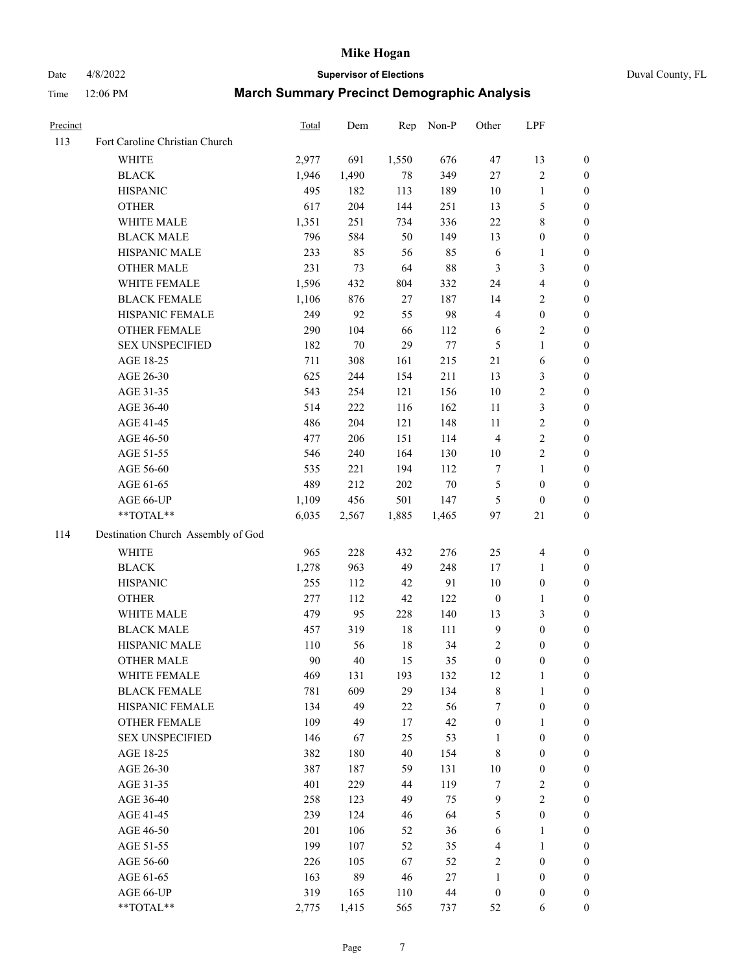# Date 4/8/2022 **Supervisor of Elections** Duval County, FL

| Precinct |                                    | Total | Dem   | Rep    | Non-P  | Other            | LPF                     |                  |
|----------|------------------------------------|-------|-------|--------|--------|------------------|-------------------------|------------------|
| 113      | Fort Caroline Christian Church     |       |       |        |        |                  |                         |                  |
|          | <b>WHITE</b>                       | 2,977 | 691   | 1,550  | 676    | 47               | 13                      | 0                |
|          | <b>BLACK</b>                       | 1,946 | 1,490 | 78     | 349    | $27\,$           | $\sqrt{2}$              | 0                |
|          | <b>HISPANIC</b>                    | 495   | 182   | 113    | 189    | 10               | $\mathbf{1}$            | $\boldsymbol{0}$ |
|          | <b>OTHER</b>                       | 617   | 204   | 144    | 251    | 13               | $\mathfrak{S}$          | $\boldsymbol{0}$ |
|          | WHITE MALE                         | 1,351 | 251   | 734    | 336    | $22\,$           | $8\,$                   | $\boldsymbol{0}$ |
|          | <b>BLACK MALE</b>                  | 796   | 584   | 50     | 149    | 13               | $\boldsymbol{0}$        | $\boldsymbol{0}$ |
|          | HISPANIC MALE                      | 233   | 85    | 56     | 85     | 6                | $\mathbf{1}$            | $\boldsymbol{0}$ |
|          | <b>OTHER MALE</b>                  | 231   | 73    | 64     | $88\,$ | 3                | $\mathfrak{Z}$          | $\boldsymbol{0}$ |
|          | WHITE FEMALE                       | 1,596 | 432   | 804    | 332    | 24               | $\overline{\mathbf{4}}$ | $\boldsymbol{0}$ |
|          | <b>BLACK FEMALE</b>                | 1,106 | 876   | 27     | 187    | 14               | $\sqrt{2}$              | 0                |
|          | HISPANIC FEMALE                    | 249   | 92    | 55     | 98     | 4                | $\boldsymbol{0}$        | 0                |
|          | OTHER FEMALE                       | 290   | 104   | 66     | 112    | 6                | $\sqrt{2}$              | 0                |
|          | <b>SEX UNSPECIFIED</b>             | 182   | 70    | 29     | $77\,$ | 5                | $\mathbf{1}$            | $\boldsymbol{0}$ |
|          | AGE 18-25                          | 711   | 308   | 161    | 215    | 21               | 6                       | $\boldsymbol{0}$ |
|          | AGE 26-30                          | 625   | 244   | 154    | 211    | 13               | $\mathfrak{Z}$          | $\boldsymbol{0}$ |
|          | AGE 31-35                          | 543   | 254   | 121    | 156    | $10\,$           | $\sqrt{2}$              | $\boldsymbol{0}$ |
|          | AGE 36-40                          | 514   | 222   | 116    | 162    | 11               | $\mathfrak{Z}$          | $\boldsymbol{0}$ |
|          | AGE 41-45                          | 486   | 204   | 121    | 148    | 11               | $\sqrt{2}$              | $\overline{0}$   |
|          | AGE 46-50                          | 477   | 206   | 151    | 114    | $\overline{4}$   | $\sqrt{2}$              | $\boldsymbol{0}$ |
|          | AGE 51-55                          | 546   | 240   | 164    | 130    | 10               | $\sqrt{2}$              | 0                |
|          | AGE 56-60                          | 535   | 221   | 194    | 112    | 7                | $\mathbf{1}$            | 0                |
|          | AGE 61-65                          | 489   | 212   | 202    | $70\,$ | 5                | $\boldsymbol{0}$        | 0                |
|          | AGE 66-UP                          | 1,109 | 456   | 501    | 147    | $\mathfrak{S}$   | $\boldsymbol{0}$        | $\boldsymbol{0}$ |
|          | **TOTAL**                          | 6,035 | 2,567 | 1,885  | 1,465  | 97               | 21                      | $\boldsymbol{0}$ |
| 114      | Destination Church Assembly of God |       |       |        |        |                  |                         |                  |
|          | <b>WHITE</b>                       | 965   | 228   | 432    | 276    | 25               | $\overline{\mathbf{4}}$ | $\boldsymbol{0}$ |
|          | <b>BLACK</b>                       | 1,278 | 963   | 49     | 248    | 17               | $\mathbf{1}$            | $\boldsymbol{0}$ |
|          | <b>HISPANIC</b>                    | 255   | 112   | 42     | 91     | 10               | $\boldsymbol{0}$        | $\boldsymbol{0}$ |
|          | <b>OTHER</b>                       | 277   | 112   | 42     | 122    | $\boldsymbol{0}$ | $\mathbf{1}$            | $\boldsymbol{0}$ |
|          | WHITE MALE                         | 479   | 95    | 228    | 140    | 13               | 3                       | $\boldsymbol{0}$ |
|          | <b>BLACK MALE</b>                  | 457   | 319   | $18\,$ | 111    | $\overline{9}$   | $\boldsymbol{0}$        | $\boldsymbol{0}$ |
|          | HISPANIC MALE                      | 110   | 56    | $18\,$ | 34     | $\sqrt{2}$       | $\boldsymbol{0}$        | 0                |
|          | <b>OTHER MALE</b>                  | 90    | 40    | 15     | 35     | $\boldsymbol{0}$ | $\boldsymbol{0}$        | $\boldsymbol{0}$ |
|          | WHITE FEMALE                       | 469   | 131   | 193    | 132    | 12               | 1                       | 0                |
|          | <b>BLACK FEMALE</b>                | 781   | 609   | 29     | 134    | 8                | $\mathbf{1}$            | $\overline{0}$   |
|          | HISPANIC FEMALE                    | 134   | 49    | 22     | 56     | 7                | $\boldsymbol{0}$        | $\overline{0}$   |
|          | OTHER FEMALE                       | 109   | 49    | 17     | 42     | $\boldsymbol{0}$ | $\mathbf{1}$            | $\overline{0}$   |
|          | <b>SEX UNSPECIFIED</b>             | 146   | 67    | 25     | 53     | $\mathbf{1}$     | $\boldsymbol{0}$        | 0                |
|          | AGE 18-25                          | 382   | 180   | 40     | 154    | 8                | $\boldsymbol{0}$        | $\theta$         |
|          | AGE 26-30                          | 387   | 187   | 59     | 131    | $10\,$           | $\boldsymbol{0}$        | 0                |
|          | AGE 31-35                          | 401   | 229   | 44     | 119    | 7                | $\sqrt{2}$              | 0                |
|          | AGE 36-40                          | 258   | 123   | 49     | 75     | 9                | $\sqrt{2}$              | 0                |
|          | AGE 41-45                          | 239   | 124   | 46     | 64     | 5                | $\boldsymbol{0}$        | 0                |
|          | AGE 46-50                          | 201   | 106   | 52     | 36     | 6                | $\mathbf{1}$            | 0                |
|          | AGE 51-55                          | 199   | 107   | 52     | 35     | $\overline{4}$   | $\mathbf{1}$            | 0                |
|          | AGE 56-60                          | 226   | 105   | 67     | 52     | 2                | $\boldsymbol{0}$        | 0                |
|          | AGE 61-65                          | 163   | 89    | 46     | 27     | 1                | $\boldsymbol{0}$        | $\overline{0}$   |
|          | AGE 66-UP                          | 319   | 165   | 110    | $44\,$ | $\boldsymbol{0}$ | $\boldsymbol{0}$        | 0                |
|          | **TOTAL**                          | 2,775 | 1,415 | 565    | 737    | 52               | 6                       | $\boldsymbol{0}$ |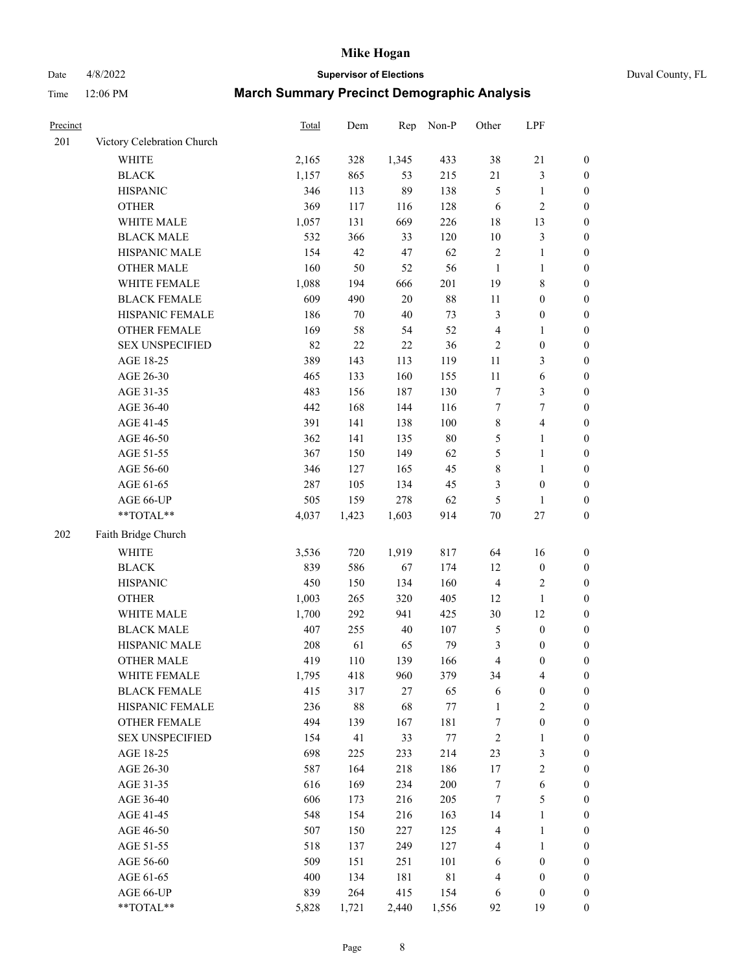Date 4/8/2022 **Supervisor of Elections** Duval County, FL

| Precinct |                            | Total | Dem    | Rep    | Non-P       | Other            | LPF                     |                  |
|----------|----------------------------|-------|--------|--------|-------------|------------------|-------------------------|------------------|
| 201      | Victory Celebration Church |       |        |        |             |                  |                         |                  |
|          | <b>WHITE</b>               | 2,165 | 328    | 1,345  | 433         | 38               | $21\,$                  | 0                |
|          | <b>BLACK</b>               | 1,157 | 865    | 53     | 215         | 21               | $\mathfrak{Z}$          | 0                |
|          | <b>HISPANIC</b>            | 346   | 113    | 89     | 138         | 5                | $\mathbf{1}$            | $\boldsymbol{0}$ |
|          | <b>OTHER</b>               | 369   | 117    | 116    | 128         | 6                | $\sqrt{2}$              | $\boldsymbol{0}$ |
|          | WHITE MALE                 | 1,057 | 131    | 669    | 226         | 18               | 13                      | $\boldsymbol{0}$ |
|          | <b>BLACK MALE</b>          | 532   | 366    | 33     | 120         | $10\,$           | $\mathfrak{Z}$          | $\boldsymbol{0}$ |
|          | HISPANIC MALE              | 154   | 42     | 47     | 62          | $\sqrt{2}$       | $\mathbf{1}$            | $\boldsymbol{0}$ |
|          | <b>OTHER MALE</b>          | 160   | 50     | 52     | 56          | $\mathbf{1}$     | $\mathbf{1}$            | $\boldsymbol{0}$ |
|          | WHITE FEMALE               | 1,088 | 194    | 666    | 201         | 19               | $\,$ 8 $\,$             | $\boldsymbol{0}$ |
|          | <b>BLACK FEMALE</b>        | 609   | 490    | $20\,$ | $88\,$      | 11               | $\boldsymbol{0}$        | $\boldsymbol{0}$ |
|          | HISPANIC FEMALE            | 186   | 70     | $40\,$ | 73          | 3                | $\boldsymbol{0}$        | 0                |
|          | OTHER FEMALE               | 169   | 58     | 54     | 52          | 4                | $\mathbf{1}$            | $\boldsymbol{0}$ |
|          | <b>SEX UNSPECIFIED</b>     | 82    | 22     | $22\,$ | 36          | $\sqrt{2}$       | $\boldsymbol{0}$        | $\boldsymbol{0}$ |
|          | AGE 18-25                  | 389   | 143    | 113    | 119         | $11\,$           | $\mathfrak{Z}$          | $\boldsymbol{0}$ |
|          | AGE 26-30                  | 465   | 133    | 160    | 155         | $11\,$           | 6                       | $\boldsymbol{0}$ |
|          | AGE 31-35                  | 483   | 156    | 187    | 130         | $\boldsymbol{7}$ | $\mathfrak{Z}$          | $\boldsymbol{0}$ |
|          | AGE 36-40                  | 442   | 168    | 144    | 116         | $\boldsymbol{7}$ | 7                       | $\boldsymbol{0}$ |
|          | AGE 41-45                  | 391   | 141    | 138    | 100         | $\,8\,$          | $\overline{\mathbf{4}}$ | $\boldsymbol{0}$ |
|          | AGE 46-50                  | 362   | 141    | 135    | $80\,$      | 5                | $\mathbf{1}$            | $\boldsymbol{0}$ |
|          | AGE 51-55                  | 367   | 150    | 149    | 62          | 5                | $\mathbf{1}$            | 0                |
|          | AGE 56-60                  | 346   | 127    | 165    | 45          | $\,$ 8 $\,$      | 1                       | 0                |
|          | AGE 61-65                  | 287   | 105    | 134    | 45          | 3                | $\boldsymbol{0}$        | 0                |
|          | AGE 66-UP                  | 505   | 159    | 278    | 62          | $\mathfrak{S}$   | $\mathbf{1}$            | $\boldsymbol{0}$ |
|          | **TOTAL**                  | 4,037 | 1,423  | 1,603  | 914         | $70\,$           | $27\,$                  | $\boldsymbol{0}$ |
| 202      | Faith Bridge Church        |       |        |        |             |                  |                         |                  |
|          | <b>WHITE</b>               | 3,536 | 720    | 1,919  | 817         | 64               | 16                      | $\boldsymbol{0}$ |
|          | <b>BLACK</b>               | 839   | 586    | 67     | 174         | 12               | $\boldsymbol{0}$        | $\boldsymbol{0}$ |
|          | <b>HISPANIC</b>            | 450   | 150    | 134    | 160         | 4                | $\sqrt{2}$              | $\boldsymbol{0}$ |
|          | <b>OTHER</b>               | 1,003 | 265    | 320    | 405         | 12               | $\mathbf{1}$            | $\boldsymbol{0}$ |
|          | WHITE MALE                 | 1,700 | 292    | 941    | 425         | 30               | 12                      | $\boldsymbol{0}$ |
|          | <b>BLACK MALE</b>          | 407   | 255    | $40\,$ | 107         | 5                | $\boldsymbol{0}$        | $\boldsymbol{0}$ |
|          | HISPANIC MALE              | 208   | 61     | 65     | 79          | 3                | $\boldsymbol{0}$        | 0                |
|          | <b>OTHER MALE</b>          | 419   | 110    | 139    | 166         | 4                | $\boldsymbol{0}$        | $\boldsymbol{0}$ |
|          | WHITE FEMALE               | 1,795 | 418    | 960    | 379         | 34               | 4                       | 0                |
|          | <b>BLACK FEMALE</b>        | 415   | 317    | 27     | 65          | 6                | $\boldsymbol{0}$        | $\overline{0}$   |
|          | HISPANIC FEMALE            | 236   | $88\,$ | 68     | $77\,$      | $\mathbf{1}$     | $\sqrt{2}$              | $\overline{0}$   |
|          | OTHER FEMALE               | 494   | 139    | 167    | 181         | 7                | $\boldsymbol{0}$        | $\overline{0}$   |
|          | <b>SEX UNSPECIFIED</b>     | 154   | 41     | 33     | 77          | $\overline{c}$   | $\mathbf{1}$            | 0                |
|          | AGE 18-25                  | 698   | 225    | 233    | 214         | 23               | $\mathfrak{Z}$          | 0                |
|          | AGE 26-30                  | 587   | 164    | 218    | 186         | 17               | $\sqrt{2}$              | 0                |
|          | AGE 31-35                  | 616   | 169    | 234    | 200         | 7                | $\sqrt{6}$              | 0                |
|          | AGE 36-40                  | 606   | 173    | 216    | 205         | 7                | $\mathfrak{S}$          | 0                |
|          | AGE 41-45                  | 548   | 154    | 216    | 163         | 14               | $\mathbf{1}$            | 0                |
|          | AGE 46-50                  | 507   | 150    | 227    | 125         | 4                | $\mathbf{1}$            | 0                |
|          | AGE 51-55                  | 518   | 137    | 249    | 127         | 4                | $\mathbf{1}$            | 0                |
|          | AGE 56-60                  | 509   | 151    | 251    | 101         | 6                | $\boldsymbol{0}$        | 0                |
|          | AGE 61-65                  | 400   | 134    | 181    | $8\sqrt{1}$ | 4                | $\boldsymbol{0}$        | $\overline{0}$   |
|          | AGE 66-UP                  | 839   | 264    | 415    | 154         | 6                | $\boldsymbol{0}$        | 0                |
|          | **TOTAL**                  | 5,828 | 1,721  | 2,440  | 1,556       | 92               | 19                      | $\boldsymbol{0}$ |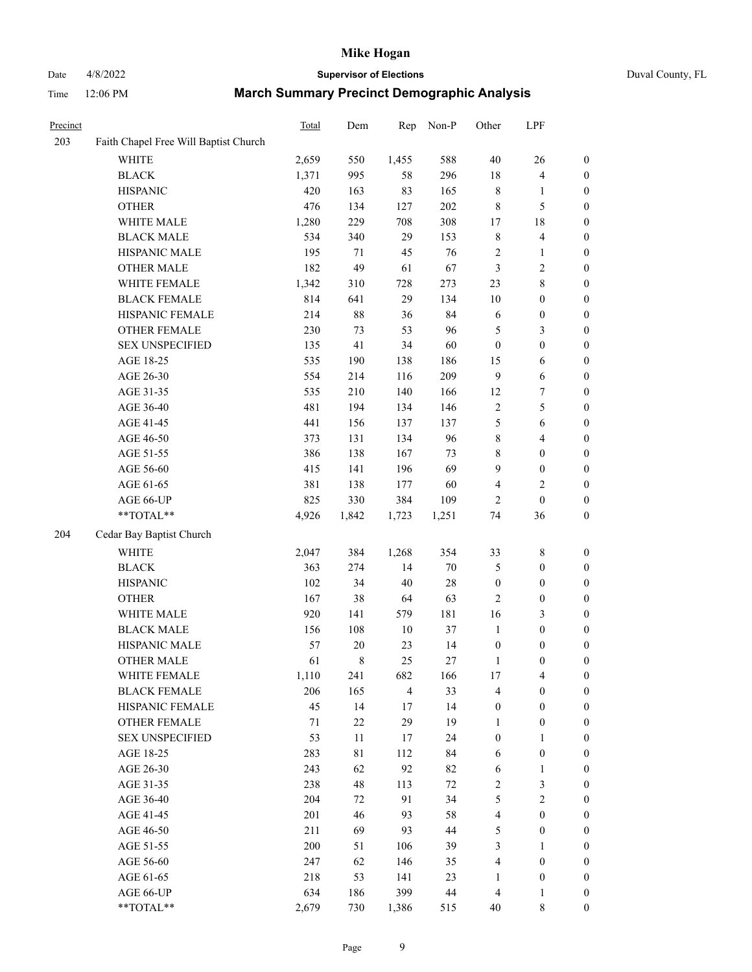## Date 4/8/2022 **Supervisor of Elections** Duval County, FL

| Other            | LPF                                                                                                                                                                                                                     |                                                                                                                                                                                                                                                                                                                                                                          |
|------------------|-------------------------------------------------------------------------------------------------------------------------------------------------------------------------------------------------------------------------|--------------------------------------------------------------------------------------------------------------------------------------------------------------------------------------------------------------------------------------------------------------------------------------------------------------------------------------------------------------------------|
|                  |                                                                                                                                                                                                                         |                                                                                                                                                                                                                                                                                                                                                                          |
| $40\,$           | 26                                                                                                                                                                                                                      | $\boldsymbol{0}$                                                                                                                                                                                                                                                                                                                                                         |
| 18               | $\overline{\mathbf{4}}$                                                                                                                                                                                                 | $\boldsymbol{0}$                                                                                                                                                                                                                                                                                                                                                         |
| 8                | $\mathbf{1}$                                                                                                                                                                                                            | $\boldsymbol{0}$                                                                                                                                                                                                                                                                                                                                                         |
| $\,8\,$          | $\mathfrak{S}$                                                                                                                                                                                                          | $\boldsymbol{0}$                                                                                                                                                                                                                                                                                                                                                         |
| 17               | $18\,$                                                                                                                                                                                                                  | $\boldsymbol{0}$                                                                                                                                                                                                                                                                                                                                                         |
| $\,$ 8 $\,$      | $\overline{\mathbf{4}}$                                                                                                                                                                                                 | $\boldsymbol{0}$                                                                                                                                                                                                                                                                                                                                                         |
| $\sqrt{2}$       | $\mathbf{1}$                                                                                                                                                                                                            | 0                                                                                                                                                                                                                                                                                                                                                                        |
| 3                | $\sqrt{2}$                                                                                                                                                                                                              | 0                                                                                                                                                                                                                                                                                                                                                                        |
| 23               | $8\,$                                                                                                                                                                                                                   | 0                                                                                                                                                                                                                                                                                                                                                                        |
| 10               | $\boldsymbol{0}$                                                                                                                                                                                                        | $\boldsymbol{0}$                                                                                                                                                                                                                                                                                                                                                         |
| 6                | $\boldsymbol{0}$                                                                                                                                                                                                        | $\boldsymbol{0}$                                                                                                                                                                                                                                                                                                                                                         |
| 5                | $\mathfrak{Z}$                                                                                                                                                                                                          | $\boldsymbol{0}$                                                                                                                                                                                                                                                                                                                                                         |
| $\boldsymbol{0}$ | $\boldsymbol{0}$                                                                                                                                                                                                        | $\boldsymbol{0}$                                                                                                                                                                                                                                                                                                                                                         |
| 15               | 6                                                                                                                                                                                                                       | $\boldsymbol{0}$                                                                                                                                                                                                                                                                                                                                                         |
| $\overline{9}$   | $\sqrt{6}$                                                                                                                                                                                                              | $\boldsymbol{0}$                                                                                                                                                                                                                                                                                                                                                         |
|                  |                                                                                                                                                                                                                         | $\boldsymbol{0}$                                                                                                                                                                                                                                                                                                                                                         |
| $\sqrt{2}$       | $\mathfrak s$                                                                                                                                                                                                           | $\boldsymbol{0}$                                                                                                                                                                                                                                                                                                                                                         |
| $\mathfrak{S}$   | 6                                                                                                                                                                                                                       | 0                                                                                                                                                                                                                                                                                                                                                                        |
| 8                | $\overline{4}$                                                                                                                                                                                                          | 0                                                                                                                                                                                                                                                                                                                                                                        |
|                  | $\boldsymbol{0}$                                                                                                                                                                                                        | $\boldsymbol{0}$                                                                                                                                                                                                                                                                                                                                                         |
| 9                |                                                                                                                                                                                                                         | $\boldsymbol{0}$                                                                                                                                                                                                                                                                                                                                                         |
| 4                |                                                                                                                                                                                                                         | $\boldsymbol{0}$                                                                                                                                                                                                                                                                                                                                                         |
| $\overline{c}$   | $\boldsymbol{0}$                                                                                                                                                                                                        | $\boldsymbol{0}$                                                                                                                                                                                                                                                                                                                                                         |
| 74               | 36                                                                                                                                                                                                                      | $\boldsymbol{0}$                                                                                                                                                                                                                                                                                                                                                         |
|                  |                                                                                                                                                                                                                         |                                                                                                                                                                                                                                                                                                                                                                          |
|                  |                                                                                                                                                                                                                         | $\boldsymbol{0}$                                                                                                                                                                                                                                                                                                                                                         |
|                  |                                                                                                                                                                                                                         | $\boldsymbol{0}$                                                                                                                                                                                                                                                                                                                                                         |
|                  |                                                                                                                                                                                                                         | $\boldsymbol{0}$                                                                                                                                                                                                                                                                                                                                                         |
|                  |                                                                                                                                                                                                                         | $\boldsymbol{0}$                                                                                                                                                                                                                                                                                                                                                         |
|                  |                                                                                                                                                                                                                         | 0                                                                                                                                                                                                                                                                                                                                                                        |
|                  |                                                                                                                                                                                                                         | 0                                                                                                                                                                                                                                                                                                                                                                        |
|                  |                                                                                                                                                                                                                         | $\boldsymbol{0}$                                                                                                                                                                                                                                                                                                                                                         |
|                  |                                                                                                                                                                                                                         | $\boldsymbol{0}$                                                                                                                                                                                                                                                                                                                                                         |
|                  |                                                                                                                                                                                                                         | $\boldsymbol{0}$                                                                                                                                                                                                                                                                                                                                                         |
|                  |                                                                                                                                                                                                                         | $\overline{0}$                                                                                                                                                                                                                                                                                                                                                           |
|                  |                                                                                                                                                                                                                         | $\overline{0}$                                                                                                                                                                                                                                                                                                                                                           |
|                  |                                                                                                                                                                                                                         | $\overline{0}$                                                                                                                                                                                                                                                                                                                                                           |
|                  | $\mathbf{1}$                                                                                                                                                                                                            | $\overline{0}$                                                                                                                                                                                                                                                                                                                                                           |
|                  |                                                                                                                                                                                                                         | 0                                                                                                                                                                                                                                                                                                                                                                        |
| 6                | $\mathbf{1}$                                                                                                                                                                                                            | 0                                                                                                                                                                                                                                                                                                                                                                        |
|                  |                                                                                                                                                                                                                         | 0                                                                                                                                                                                                                                                                                                                                                                        |
|                  |                                                                                                                                                                                                                         | $\boldsymbol{0}$                                                                                                                                                                                                                                                                                                                                                         |
|                  | $\boldsymbol{0}$                                                                                                                                                                                                        | $\overline{0}$                                                                                                                                                                                                                                                                                                                                                           |
|                  |                                                                                                                                                                                                                         | $\boldsymbol{0}$                                                                                                                                                                                                                                                                                                                                                         |
| 3                | $\mathbf{1}$                                                                                                                                                                                                            | $\boldsymbol{0}$                                                                                                                                                                                                                                                                                                                                                         |
| 4                | $\boldsymbol{0}$                                                                                                                                                                                                        | $\boldsymbol{0}$                                                                                                                                                                                                                                                                                                                                                         |
| $\mathbf{1}$     |                                                                                                                                                                                                                         | $\overline{0}$                                                                                                                                                                                                                                                                                                                                                           |
|                  |                                                                                                                                                                                                                         |                                                                                                                                                                                                                                                                                                                                                                          |
| $\overline{4}$   | $\mathbf{1}$                                                                                                                                                                                                            | $\overline{0}$                                                                                                                                                                                                                                                                                                                                                           |
|                  | 12<br>8<br>33<br>5<br>$\boldsymbol{0}$<br>$\mathfrak{2}$<br>16<br>$\mathbf{1}$<br>$\boldsymbol{0}$<br>$\mathbf{1}$<br>17<br>4<br>$\boldsymbol{0}$<br>$\mathbf{1}$<br>$\boldsymbol{0}$<br>6<br>$\sqrt{2}$<br>5<br>4<br>5 | $\boldsymbol{7}$<br>$\boldsymbol{0}$<br>$\sqrt{2}$<br>$\,$ 8 $\,$<br>$\boldsymbol{0}$<br>$\boldsymbol{0}$<br>$\boldsymbol{0}$<br>3<br>$\boldsymbol{0}$<br>$\boldsymbol{0}$<br>$\boldsymbol{0}$<br>$\overline{4}$<br>$\boldsymbol{0}$<br>$\boldsymbol{0}$<br>$\boldsymbol{0}$<br>$\boldsymbol{0}$<br>$\mathfrak{Z}$<br>$\sqrt{2}$<br>$\boldsymbol{0}$<br>$\boldsymbol{0}$ |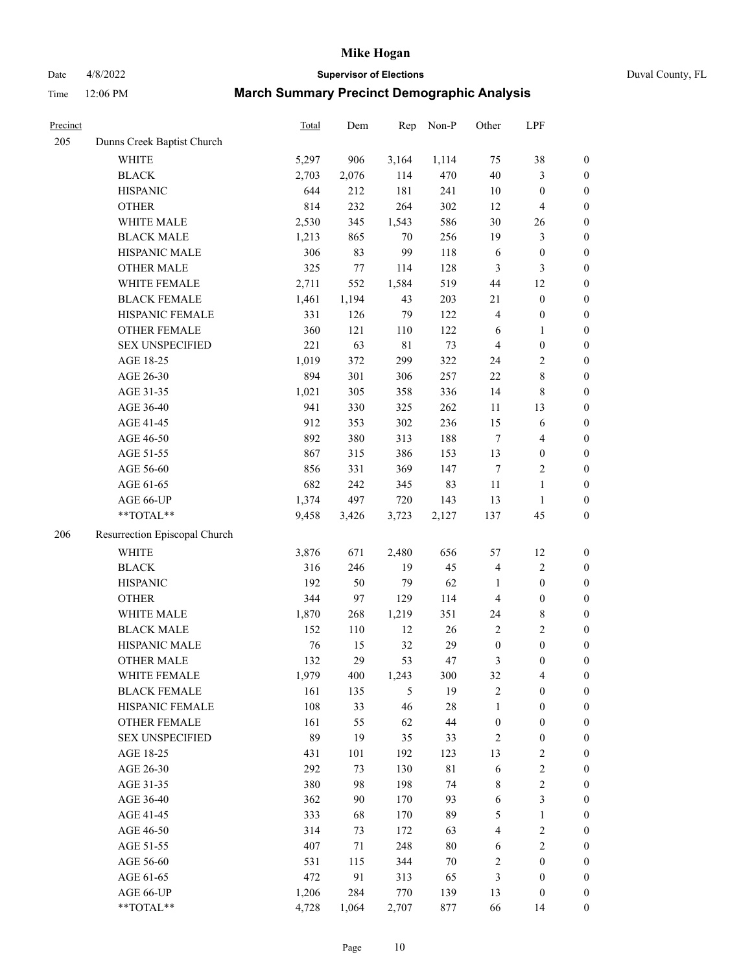# Date 4/8/2022 **Supervisor of Elections** Duval County, FL

| Precinct |                               | Total | Dem   | Rep         | Non-P       | Other            | LPF                     |                  |
|----------|-------------------------------|-------|-------|-------------|-------------|------------------|-------------------------|------------------|
| 205      | Dunns Creek Baptist Church    |       |       |             |             |                  |                         |                  |
|          | <b>WHITE</b>                  | 5,297 | 906   | 3,164       | 1,114       | 75               | $38\,$                  | $\boldsymbol{0}$ |
|          | <b>BLACK</b>                  | 2,703 | 2,076 | 114         | 470         | $40\,$           | $\mathfrak{Z}$          | $\boldsymbol{0}$ |
|          | <b>HISPANIC</b>               | 644   | 212   | 181         | 241         | 10               | $\boldsymbol{0}$        | $\boldsymbol{0}$ |
|          | <b>OTHER</b>                  | 814   | 232   | 264         | 302         | 12               | $\overline{\mathbf{4}}$ | $\boldsymbol{0}$ |
|          | WHITE MALE                    | 2,530 | 345   | 1,543       | 586         | 30               | 26                      | $\boldsymbol{0}$ |
|          | <b>BLACK MALE</b>             | 1,213 | 865   | 70          | 256         | 19               | $\mathfrak{Z}$          | $\boldsymbol{0}$ |
|          | HISPANIC MALE                 | 306   | 83    | 99          | 118         | 6                | $\boldsymbol{0}$        | $\boldsymbol{0}$ |
|          | <b>OTHER MALE</b>             | 325   | 77    | 114         | 128         | 3                | $\mathfrak{Z}$          | $\boldsymbol{0}$ |
|          | WHITE FEMALE                  | 2,711 | 552   | 1,584       | 519         | 44               | 12                      | $\boldsymbol{0}$ |
|          | <b>BLACK FEMALE</b>           | 1,461 | 1,194 | 43          | 203         | 21               | $\boldsymbol{0}$        | 0                |
|          | HISPANIC FEMALE               | 331   | 126   | 79          | 122         | 4                | $\boldsymbol{0}$        | $\boldsymbol{0}$ |
|          | OTHER FEMALE                  | 360   | 121   | 110         | 122         | 6                | $\mathbf{1}$            | $\boldsymbol{0}$ |
|          | <b>SEX UNSPECIFIED</b>        | 221   | 63    | $8\sqrt{1}$ | 73          | 4                | $\boldsymbol{0}$        | $\boldsymbol{0}$ |
|          | AGE 18-25                     | 1,019 | 372   | 299         | 322         | 24               | $\sqrt{2}$              | $\boldsymbol{0}$ |
|          | AGE 26-30                     | 894   | 301   | 306         | 257         | 22               | $\,8\,$                 | $\boldsymbol{0}$ |
|          | AGE 31-35                     | 1,021 | 305   | 358         | 336         | 14               | $\,$ 8 $\,$             | $\boldsymbol{0}$ |
|          | AGE 36-40                     | 941   | 330   | 325         | 262         | 11               | 13                      | $\boldsymbol{0}$ |
|          | AGE 41-45                     | 912   | 353   | 302         | 236         | 15               | 6                       | $\boldsymbol{0}$ |
|          | AGE 46-50                     | 892   | 380   | 313         | 188         | $\tau$           | $\overline{4}$          | $\boldsymbol{0}$ |
|          | AGE 51-55                     | 867   | 315   | 386         | 153         | 13               | $\boldsymbol{0}$        | 0                |
|          | AGE 56-60                     | 856   | 331   | 369         | 147         | $\tau$           | $\sqrt{2}$              | $\boldsymbol{0}$ |
|          | AGE 61-65                     | 682   | 242   | 345         | 83          | $11\,$           | $\mathbf{1}$            | $\boldsymbol{0}$ |
|          | AGE 66-UP                     | 1,374 | 497   | 720         | 143         | 13               | $\mathbf{1}$            | $\boldsymbol{0}$ |
|          | **TOTAL**                     | 9,458 | 3,426 | 3,723       | 2,127       | 137              | 45                      | $\boldsymbol{0}$ |
| 206      | Resurrection Episcopal Church |       |       |             |             |                  |                         |                  |
|          | WHITE                         | 3,876 | 671   | 2,480       | 656         | 57               | 12                      | $\boldsymbol{0}$ |
|          | <b>BLACK</b>                  | 316   | 246   | 19          | 45          | 4                | $\sqrt{2}$              | $\boldsymbol{0}$ |
|          | <b>HISPANIC</b>               | 192   | 50    | 79          | 62          | $\mathbf{1}$     | $\boldsymbol{0}$        | $\boldsymbol{0}$ |
|          | <b>OTHER</b>                  | 344   | 97    | 129         | 114         | $\overline{4}$   | $\boldsymbol{0}$        | $\boldsymbol{0}$ |
|          | WHITE MALE                    | 1,870 | 268   | 1,219       | 351         | 24               | $\,$ 8 $\,$             | $\boldsymbol{0}$ |
|          | <b>BLACK MALE</b>             | 152   | 110   | 12          | $26\,$      | $\overline{2}$   | $\overline{2}$          | $\boldsymbol{0}$ |
|          | HISPANIC MALE                 | 76    | 15    | 32          | 29          | $\boldsymbol{0}$ | $\boldsymbol{0}$        | 0                |
|          | <b>OTHER MALE</b>             | 132   | 29    | 53          | 47          | 3                | $\boldsymbol{0}$        | $\boldsymbol{0}$ |
|          | WHITE FEMALE                  | 1,979 | 400   | 1,243       | 300         | 32               | $\overline{\mathbf{4}}$ | $\boldsymbol{0}$ |
|          | <b>BLACK FEMALE</b>           | 161   | 135   | 5           | 19          | 2                | $\boldsymbol{0}$        | $\boldsymbol{0}$ |
|          | HISPANIC FEMALE               | 108   | 33    | 46          | $28\,$      | $\mathbf{1}$     | $\boldsymbol{0}$        | $\overline{0}$   |
|          | OTHER FEMALE                  | 161   | 55    | 62          | $44\,$      | $\boldsymbol{0}$ | $\boldsymbol{0}$        | 0                |
|          | <b>SEX UNSPECIFIED</b>        | 89    | 19    | 35          | 33          | $\sqrt{2}$       | $\boldsymbol{0}$        | 0                |
|          | AGE 18-25                     | 431   | 101   | 192         | 123         | 13               | $\sqrt{2}$              | 0                |
|          | AGE 26-30                     | 292   | 73    | 130         | $8\sqrt{1}$ | 6                | $\boldsymbol{2}$        | 0                |
|          | AGE 31-35                     | 380   | 98    | 198         | 74          | 8                | $\sqrt{2}$              | 0                |
|          | AGE 36-40                     | 362   | 90    | 170         | 93          | 6                | $\mathfrak{Z}$          | 0                |
|          | AGE 41-45                     | 333   | 68    | 170         | 89          | 5                | $\mathbf{1}$            | 0                |
|          | AGE 46-50                     | 314   | 73    | 172         | 63          | 4                | $\sqrt{2}$              | 0                |
|          | AGE 51-55                     | 407   | 71    | 248         | $80\,$      | 6                | $\sqrt{2}$              | 0                |
|          | AGE 56-60                     | 531   | 115   | 344         | $70\,$      | 2                | $\boldsymbol{0}$        | $\boldsymbol{0}$ |
|          | AGE 61-65                     | 472   | 91    | 313         | 65          | 3                | $\boldsymbol{0}$        | 0                |
|          | AGE 66-UP                     | 1,206 | 284   | 770         | 139         | 13               | $\boldsymbol{0}$        | 0                |
|          | **TOTAL**                     | 4,728 | 1,064 | 2,707       | 877         | 66               | 14                      | $\boldsymbol{0}$ |
|          |                               |       |       |             |             |                  |                         |                  |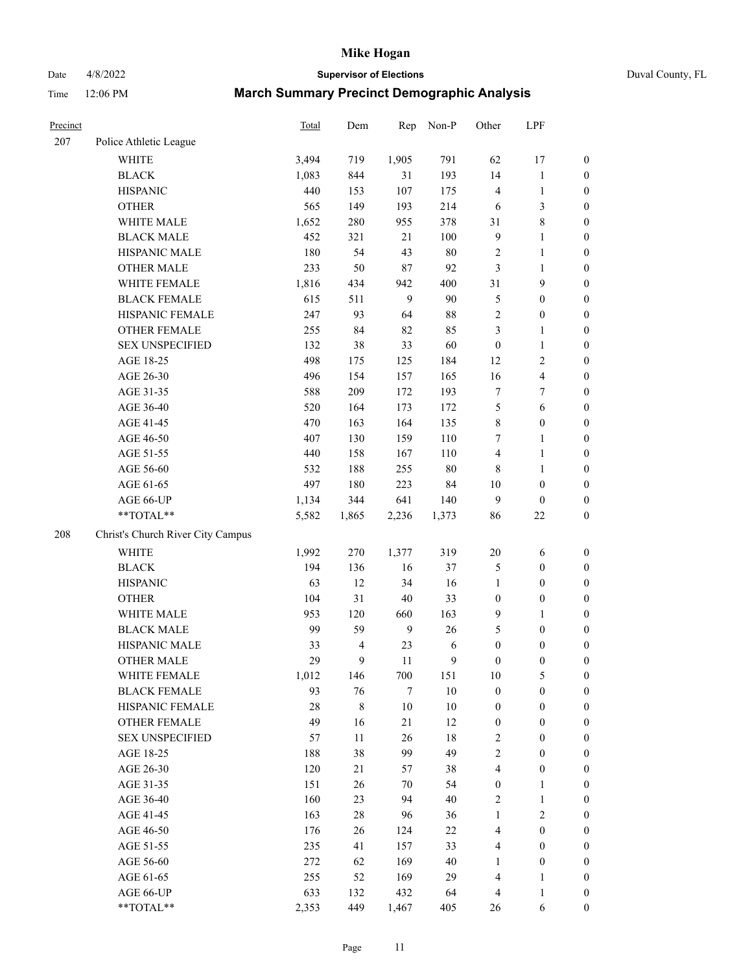Date 4/8/2022 **Supervisor of Elections** Duval County, FL

| Precinct |                                   | Total | Dem            | Rep    | Non-P  | Other            | LPF              |                  |
|----------|-----------------------------------|-------|----------------|--------|--------|------------------|------------------|------------------|
| 207      | Police Athletic League            |       |                |        |        |                  |                  |                  |
|          | <b>WHITE</b>                      | 3,494 | 719            | 1,905  | 791    | 62               | 17               | 0                |
|          | <b>BLACK</b>                      | 1,083 | 844            | 31     | 193    | 14               | $\mathbf{1}$     | $\boldsymbol{0}$ |
|          | <b>HISPANIC</b>                   | 440   | 153            | 107    | 175    | 4                | $\mathbf{1}$     | $\boldsymbol{0}$ |
|          | <b>OTHER</b>                      | 565   | 149            | 193    | 214    | 6                | $\mathfrak{Z}$   | $\boldsymbol{0}$ |
|          | WHITE MALE                        | 1,652 | 280            | 955    | 378    | 31               | $\,$ 8 $\,$      | $\boldsymbol{0}$ |
|          | <b>BLACK MALE</b>                 | 452   | 321            | 21     | 100    | 9                | $\mathbf{1}$     | $\boldsymbol{0}$ |
|          | HISPANIC MALE                     | 180   | 54             | 43     | $80\,$ | 2                | $\mathbf{1}$     | $\boldsymbol{0}$ |
|          | <b>OTHER MALE</b>                 | 233   | 50             | $87\,$ | 92     | 3                | $\mathbf{1}$     | $\boldsymbol{0}$ |
|          | WHITE FEMALE                      | 1,816 | 434            | 942    | 400    | 31               | $\boldsymbol{9}$ | $\boldsymbol{0}$ |
|          | <b>BLACK FEMALE</b>               | 615   | 511            | 9      | 90     | 5                | $\boldsymbol{0}$ | $\boldsymbol{0}$ |
|          | HISPANIC FEMALE                   | 247   | 93             | 64     | $88\,$ | $\overline{2}$   | $\boldsymbol{0}$ | $\boldsymbol{0}$ |
|          | <b>OTHER FEMALE</b>               | 255   | 84             | 82     | 85     | 3                | $\mathbf{1}$     | $\boldsymbol{0}$ |
|          | <b>SEX UNSPECIFIED</b>            | 132   | 38             | 33     | 60     | $\boldsymbol{0}$ | $\mathbf{1}$     | $\boldsymbol{0}$ |
|          | AGE 18-25                         | 498   | 175            | 125    | 184    | 12               | $\sqrt{2}$       | $\boldsymbol{0}$ |
|          | AGE 26-30                         | 496   | 154            | 157    | 165    | 16               | $\overline{4}$   | $\boldsymbol{0}$ |
|          | AGE 31-35                         | 588   | 209            | 172    | 193    | $\boldsymbol{7}$ | 7                | $\boldsymbol{0}$ |
|          | AGE 36-40                         | 520   | 164            | 173    | 172    | 5                | 6                | $\boldsymbol{0}$ |
|          | AGE 41-45                         | 470   | 163            | 164    | 135    | 8                | $\boldsymbol{0}$ | $\boldsymbol{0}$ |
|          | AGE 46-50                         | 407   | 130            | 159    | 110    | 7                | $\mathbf{1}$     | $\boldsymbol{0}$ |
|          | AGE 51-55                         | 440   | 158            | 167    | 110    | 4                | $\mathbf{1}$     | $\boldsymbol{0}$ |
|          | AGE 56-60                         | 532   | 188            | 255    | 80     | 8                | 1                | 0                |
|          | AGE 61-65                         | 497   | 180            | 223    | 84     | 10               | $\boldsymbol{0}$ | $\boldsymbol{0}$ |
|          | AGE 66-UP                         | 1,134 | 344            | 641    | 140    | 9                | $\boldsymbol{0}$ | $\boldsymbol{0}$ |
|          | **TOTAL**                         | 5,582 | 1,865          | 2,236  | 1,373  | 86               | $22\,$           | $\boldsymbol{0}$ |
| 208      | Christ's Church River City Campus |       |                |        |        |                  |                  |                  |
|          | <b>WHITE</b>                      | 1,992 | 270            | 1,377  | 319    | $20\,$           | 6                | $\boldsymbol{0}$ |
|          | <b>BLACK</b>                      | 194   | 136            | 16     | 37     | 5                | $\boldsymbol{0}$ | $\boldsymbol{0}$ |
|          | <b>HISPANIC</b>                   | 63    | 12             | 34     | 16     | $\mathbf{1}$     | $\boldsymbol{0}$ | $\boldsymbol{0}$ |
|          | <b>OTHER</b>                      | 104   | 31             | $40\,$ | 33     | $\boldsymbol{0}$ | $\boldsymbol{0}$ | $\boldsymbol{0}$ |
|          | WHITE MALE                        | 953   | 120            | 660    | 163    | 9                | $\mathbf{1}$     | $\boldsymbol{0}$ |
|          | <b>BLACK MALE</b>                 | 99    | 59             | 9      | 26     | 5                | $\boldsymbol{0}$ | $\boldsymbol{0}$ |
|          | HISPANIC MALE                     | 33    | $\overline{4}$ | 23     | 6      | $\boldsymbol{0}$ | $\boldsymbol{0}$ | $\boldsymbol{0}$ |
|          | <b>OTHER MALE</b>                 | 29    | 9              | 11     | 9      | $\boldsymbol{0}$ | $\boldsymbol{0}$ | $\boldsymbol{0}$ |
|          | WHITE FEMALE                      | 1,012 | 146            | 700    | 151    | 10               | 5                | 0                |
|          | <b>BLACK FEMALE</b>               | 93    | 76             | $\tau$ | $10\,$ | $\boldsymbol{0}$ | $\boldsymbol{0}$ | $\overline{0}$   |
|          | HISPANIC FEMALE                   | 28    | $\,$ 8 $\,$    | $10\,$ | $10\,$ | $\boldsymbol{0}$ | $\boldsymbol{0}$ | $\overline{0}$   |
|          | <b>OTHER FEMALE</b>               | 49    | 16             | 21     | 12     | $\boldsymbol{0}$ | $\boldsymbol{0}$ | $\overline{0}$   |
|          | <b>SEX UNSPECIFIED</b>            | 57    | 11             | 26     | 18     | 2                | $\boldsymbol{0}$ | 0                |
|          | AGE 18-25                         | 188   | 38             | 99     | 49     | $\overline{c}$   | $\boldsymbol{0}$ | 0                |
|          | AGE 26-30                         | 120   | 21             | 57     | 38     | 4                | $\boldsymbol{0}$ | 0                |
|          | AGE 31-35                         | 151   | 26             | 70     | 54     | $\boldsymbol{0}$ | 1                | 0                |
|          | AGE 36-40                         | 160   | 23             | 94     | 40     | 2                | $\mathbf{1}$     | 0                |
|          | AGE 41-45                         | 163   | $28\,$         | 96     | 36     | $\mathbf{1}$     | $\mathfrak{2}$   | 0                |
|          | AGE 46-50                         | 176   | 26             | 124    | 22     | 4                | $\boldsymbol{0}$ | 0                |
|          | AGE 51-55                         | 235   | 41             | 157    | 33     | 4                | $\boldsymbol{0}$ | 0                |
|          | AGE 56-60                         | 272   | 62             | 169    | $40\,$ | 1                | $\boldsymbol{0}$ | $\overline{0}$   |
|          | AGE 61-65                         | 255   | 52             | 169    | 29     | 4                | 1                | $\overline{0}$   |
|          | AGE 66-UP                         | 633   | 132            | 432    | 64     | 4                | $\mathbf{1}$     | 0                |
|          | **TOTAL**                         | 2,353 | 449            | 1,467  | 405    | 26               | 6                | $\boldsymbol{0}$ |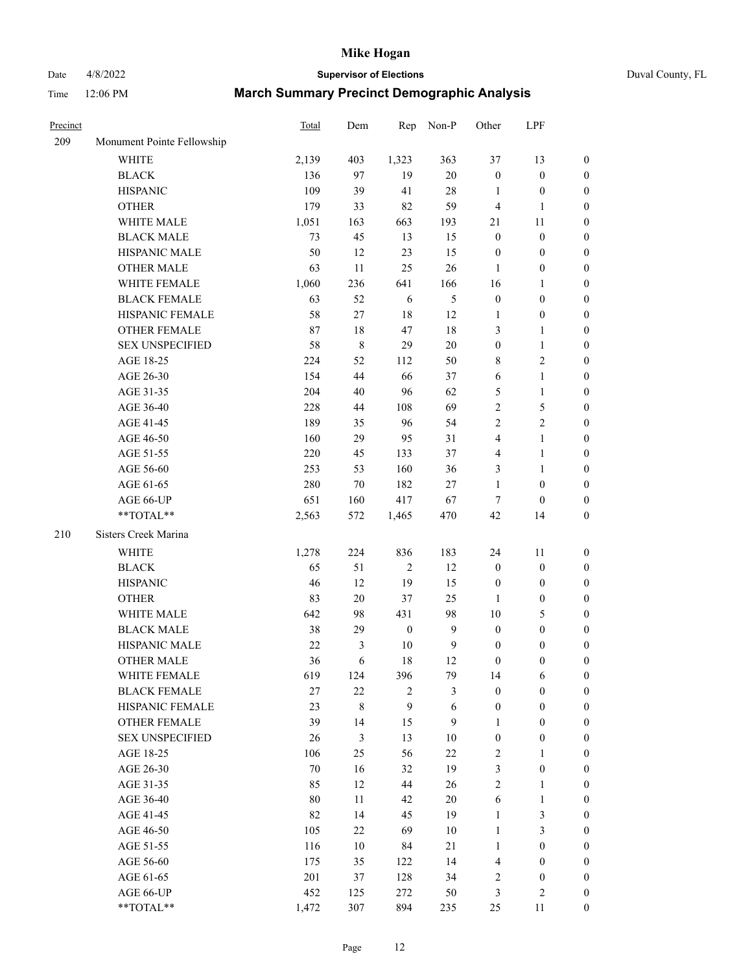# Date 4/8/2022 **Supervisor of Elections** Duval County, FL

| Precinct |                            | Total  | Dem            | Rep              | Non-P            | Other            | LPF              |                  |
|----------|----------------------------|--------|----------------|------------------|------------------|------------------|------------------|------------------|
| 209      | Monument Pointe Fellowship |        |                |                  |                  |                  |                  |                  |
|          | <b>WHITE</b>               | 2,139  | 403            | 1,323            | 363              | 37               | 13               | $\boldsymbol{0}$ |
|          | <b>BLACK</b>               | 136    | 97             | 19               | $20\,$           | $\boldsymbol{0}$ | $\boldsymbol{0}$ | $\boldsymbol{0}$ |
|          | <b>HISPANIC</b>            | 109    | 39             | 41               | 28               | 1                | $\boldsymbol{0}$ | $\boldsymbol{0}$ |
|          | <b>OTHER</b>               | 179    | 33             | 82               | 59               | 4                | $\mathbf{1}$     | $\boldsymbol{0}$ |
|          | WHITE MALE                 | 1,051  | 163            | 663              | 193              | 21               | 11               | $\boldsymbol{0}$ |
|          | <b>BLACK MALE</b>          | 73     | 45             | 13               | 15               | $\boldsymbol{0}$ | $\boldsymbol{0}$ | $\boldsymbol{0}$ |
|          | HISPANIC MALE              | 50     | 12             | 23               | 15               | $\boldsymbol{0}$ | $\boldsymbol{0}$ | $\boldsymbol{0}$ |
|          | <b>OTHER MALE</b>          | 63     | $11\,$         | 25               | 26               | $\mathbf{1}$     | $\boldsymbol{0}$ | $\boldsymbol{0}$ |
|          | WHITE FEMALE               | 1,060  | 236            | 641              | 166              | 16               | 1                | $\boldsymbol{0}$ |
|          | <b>BLACK FEMALE</b>        | 63     | 52             | 6                | $\mathfrak{S}$   | $\boldsymbol{0}$ | $\boldsymbol{0}$ | 0                |
|          | HISPANIC FEMALE            | 58     | $27\,$         | 18               | 12               | 1                | $\boldsymbol{0}$ | $\boldsymbol{0}$ |
|          | OTHER FEMALE               | 87     | 18             | 47               | 18               | 3                | $\mathbf{1}$     | $\boldsymbol{0}$ |
|          | <b>SEX UNSPECIFIED</b>     | 58     | $\,$ $\,$      | 29               | 20               | $\boldsymbol{0}$ | $\mathbf{1}$     | $\boldsymbol{0}$ |
|          | AGE 18-25                  | 224    | 52             | 112              | 50               | 8                | $\sqrt{2}$       | $\boldsymbol{0}$ |
|          | AGE 26-30                  | 154    | 44             | 66               | 37               | 6                | $\mathbf{1}$     | $\boldsymbol{0}$ |
|          | AGE 31-35                  | 204    | 40             | 96               | 62               | 5                | $\mathbf{1}$     | $\boldsymbol{0}$ |
|          | AGE 36-40                  | 228    | $44\,$         | 108              | 69               | $\overline{c}$   | 5                | $\boldsymbol{0}$ |
|          | AGE 41-45                  | 189    | 35             | 96               | 54               | $\overline{c}$   | $\sqrt{2}$       | $\boldsymbol{0}$ |
|          | AGE 46-50                  | 160    | 29             | 95               | 31               | 4                | $\mathbf{1}$     | $\boldsymbol{0}$ |
|          | AGE 51-55                  | 220    | 45             | 133              | 37               | 4                | $\mathbf{1}$     | 0                |
|          | AGE 56-60                  | 253    | 53             | 160              | 36               | 3                | $\mathbf{1}$     | 0                |
|          | AGE 61-65                  | 280    | 70             | 182              | $27\,$           | $\mathbf{1}$     | $\boldsymbol{0}$ | $\boldsymbol{0}$ |
|          | AGE 66-UP                  | 651    | 160            | 417              | 67               | 7                | $\boldsymbol{0}$ | $\boldsymbol{0}$ |
|          | $**TOTAL**$                | 2,563  | 572            | 1,465            | 470              | 42               | 14               | $\boldsymbol{0}$ |
|          |                            |        |                |                  |                  |                  |                  |                  |
| 210      | Sisters Creek Marina       |        |                |                  |                  |                  |                  |                  |
|          | <b>WHITE</b>               | 1,278  | 224            | 836              | 183              | 24               | 11               | $\boldsymbol{0}$ |
|          | <b>BLACK</b>               | 65     | 51             | $\sqrt{2}$       | 12               | $\boldsymbol{0}$ | $\boldsymbol{0}$ | $\boldsymbol{0}$ |
|          | <b>HISPANIC</b>            | 46     | 12             | 19               | 15               | $\boldsymbol{0}$ | $\boldsymbol{0}$ | $\boldsymbol{0}$ |
|          | <b>OTHER</b>               | 83     | 20             | 37               | 25               | $\mathbf{1}$     | $\boldsymbol{0}$ | $\boldsymbol{0}$ |
|          | WHITE MALE                 | 642    | 98             | 431              | 98               | $10\,$           | $\mathfrak s$    | $\boldsymbol{0}$ |
|          | <b>BLACK MALE</b>          | 38     | 29             | $\boldsymbol{0}$ | $\boldsymbol{9}$ | $\boldsymbol{0}$ | $\boldsymbol{0}$ | $\boldsymbol{0}$ |
|          | HISPANIC MALE              | 22     | 3              | 10               | $\boldsymbol{9}$ | $\boldsymbol{0}$ | $\boldsymbol{0}$ | 0                |
|          | <b>OTHER MALE</b>          | 36     | 6              | 18               | 12               | 0                | $\boldsymbol{0}$ | $\boldsymbol{0}$ |
|          | WHITE FEMALE               | 619    | 124            | 396              | 79               | 14               | 6                | $\overline{0}$   |
|          | <b>BLACK FEMALE</b>        | 27     | $22\,$         | $\mathbf{2}$     | 3                | $\boldsymbol{0}$ | $\boldsymbol{0}$ | $\overline{0}$   |
|          | HISPANIC FEMALE            | 23     | $\,8\,$        | 9                | 6                | $\boldsymbol{0}$ | $\boldsymbol{0}$ | $\overline{0}$   |
|          | <b>OTHER FEMALE</b>        | 39     | 14             | 15               | 9                | 1                | $\boldsymbol{0}$ | $\overline{0}$   |
|          | <b>SEX UNSPECIFIED</b>     | 26     | $\mathfrak{Z}$ | 13               | 10               | $\boldsymbol{0}$ | $\boldsymbol{0}$ | 0                |
|          | AGE 18-25                  | 106    | 25             | 56               | $22\,$           | 2                | $\mathbf{1}$     | $\theta$         |
|          | AGE 26-30                  | $70\,$ | 16             | 32               | 19               | 3                | $\boldsymbol{0}$ | 0                |
|          | AGE 31-35                  | 85     | 12             | 44               | 26               | $\overline{c}$   | $\mathbf{1}$     | 0                |
|          | AGE 36-40                  | 80     | 11             | 42               | 20               | 6                | $\mathbf{1}$     | 0                |
|          | AGE 41-45                  | 82     | 14             | 45               | 19               | $\mathbf{1}$     | $\mathfrak z$    | 0                |
|          | AGE 46-50                  | 105    | 22             | 69               | 10               | $\mathbf{1}$     | 3                | $\overline{0}$   |
|          | AGE 51-55                  | 116    | 10             | 84               | 21               | $\mathbf{1}$     | $\boldsymbol{0}$ | $\boldsymbol{0}$ |
|          | AGE 56-60                  | 175    | 35             | 122              | 14               | 4                | $\boldsymbol{0}$ | $\boldsymbol{0}$ |
|          | AGE 61-65                  | 201    | 37             | 128              | 34               | 2                | $\boldsymbol{0}$ | 0                |
|          | AGE 66-UP                  | 452    | 125            | 272              | 50               | 3                | $\sqrt{2}$       | 0                |
|          | **TOTAL**                  | 1,472  | 307            | 894              | 235              | 25               | 11               | $\boldsymbol{0}$ |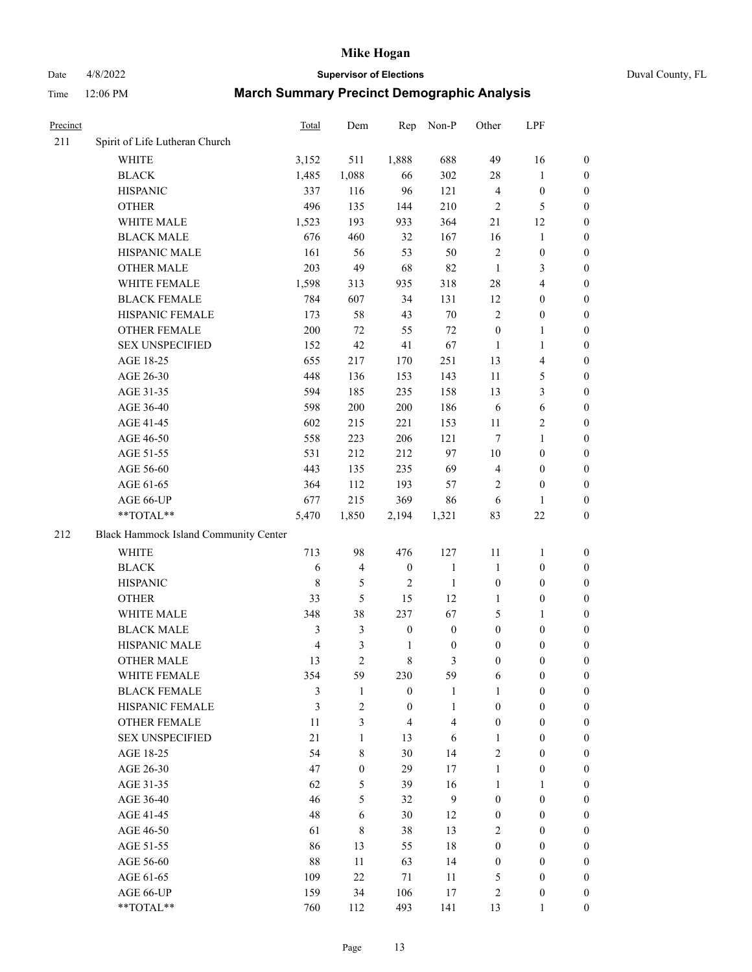# Date 4/8/2022 **Supervisor of Elections** Duval County, FL

| Precinct |                                       | Total          | Dem                     | Rep              | Non-P                   | Other            | LPF                     |                  |
|----------|---------------------------------------|----------------|-------------------------|------------------|-------------------------|------------------|-------------------------|------------------|
| 211      | Spirit of Life Lutheran Church        |                |                         |                  |                         |                  |                         |                  |
|          | <b>WHITE</b>                          | 3,152          | 511                     | 1,888            | 688                     | 49               | 16                      | 0                |
|          | <b>BLACK</b>                          | 1,485          | 1,088                   | 66               | 302                     | 28               | $\mathbf{1}$            | $\boldsymbol{0}$ |
|          | <b>HISPANIC</b>                       | 337            | 116                     | 96               | 121                     | 4                | $\boldsymbol{0}$        | $\boldsymbol{0}$ |
|          | <b>OTHER</b>                          | 496            | 135                     | 144              | 210                     | $\mathfrak{2}$   | $\mathfrak{S}$          | $\boldsymbol{0}$ |
|          | WHITE MALE                            | 1,523          | 193                     | 933              | 364                     | 21               | 12                      | $\boldsymbol{0}$ |
|          | <b>BLACK MALE</b>                     | 676            | 460                     | 32               | 167                     | 16               | $\mathbf{1}$            | $\boldsymbol{0}$ |
|          | HISPANIC MALE                         | 161            | 56                      | 53               | 50                      | $\sqrt{2}$       | $\boldsymbol{0}$        | $\boldsymbol{0}$ |
|          | <b>OTHER MALE</b>                     | 203            | 49                      | 68               | 82                      | $\mathbf{1}$     | $\mathfrak{Z}$          | $\boldsymbol{0}$ |
|          | WHITE FEMALE                          | 1,598          | 313                     | 935              | 318                     | 28               | $\overline{4}$          | $\boldsymbol{0}$ |
|          | <b>BLACK FEMALE</b>                   | 784            | 607                     | 34               | 131                     | 12               | $\boldsymbol{0}$        | 0                |
|          | HISPANIC FEMALE                       | 173            | 58                      | 43               | $70\,$                  | $\mathfrak{2}$   | $\boldsymbol{0}$        | $\boldsymbol{0}$ |
|          | OTHER FEMALE                          | 200            | 72                      | 55               | 72                      | $\boldsymbol{0}$ | $\mathbf{1}$            | $\boldsymbol{0}$ |
|          | <b>SEX UNSPECIFIED</b>                | 152            | 42                      | 41               | 67                      | $\mathbf{1}$     | $\mathbf{1}$            | $\boldsymbol{0}$ |
|          | AGE 18-25                             | 655            | 217                     | 170              | 251                     | 13               | $\overline{\mathbf{4}}$ | $\boldsymbol{0}$ |
|          | AGE 26-30                             | 448            | 136                     | 153              | 143                     | 11               | $\mathfrak{S}$          | $\boldsymbol{0}$ |
|          | AGE 31-35                             | 594            | 185                     | 235              | 158                     | 13               | $\mathfrak{Z}$          | $\boldsymbol{0}$ |
|          | AGE 36-40                             | 598            | 200                     | 200              | 186                     | 6                | $\sqrt{6}$              | $\boldsymbol{0}$ |
|          | AGE 41-45                             | 602            | 215                     | 221              | 153                     | $11\,$           | $\sqrt{2}$              | $\boldsymbol{0}$ |
|          | AGE 46-50                             | 558            | 223                     | 206              | 121                     | $\tau$           | $\mathbf{1}$            | $\boldsymbol{0}$ |
|          | AGE 51-55                             | 531            | 212                     | 212              | 97                      | $10\,$           | $\boldsymbol{0}$        | 0                |
|          | AGE 56-60                             | 443            | 135                     | 235              | 69                      | 4                | $\boldsymbol{0}$        | 0                |
|          | AGE 61-65                             | 364            | 112                     | 193              | 57                      | 2                | $\boldsymbol{0}$        | $\boldsymbol{0}$ |
|          | AGE 66-UP                             | 677            | 215                     | 369              | 86                      | 6                | $\mathbf{1}$            | $\boldsymbol{0}$ |
|          | **TOTAL**                             | 5,470          | 1,850                   | 2,194            | 1,321                   | 83               | $22\,$                  | $\boldsymbol{0}$ |
| 212      | Black Hammock Island Community Center |                |                         |                  |                         |                  |                         |                  |
|          | <b>WHITE</b>                          | 713            | 98                      | 476              | 127                     | $11\,$           | $\mathbf{1}$            | $\boldsymbol{0}$ |
|          | <b>BLACK</b>                          | 6              | $\overline{\mathbf{4}}$ | $\boldsymbol{0}$ | $\mathbf{1}$            | $\mathbf{1}$     | $\boldsymbol{0}$        | $\boldsymbol{0}$ |
|          | <b>HISPANIC</b>                       | $\,$ 8 $\,$    | 5                       | $\sqrt{2}$       | $\mathbf{1}$            | $\boldsymbol{0}$ | $\boldsymbol{0}$        | $\boldsymbol{0}$ |
|          | <b>OTHER</b>                          | 33             | 5                       | 15               | 12                      | $\mathbf{1}$     | $\boldsymbol{0}$        | $\boldsymbol{0}$ |
|          | WHITE MALE                            | 348            | 38                      | 237              | 67                      | 5                | 1                       | $\boldsymbol{0}$ |
|          | <b>BLACK MALE</b>                     | 3              | 3                       | $\boldsymbol{0}$ | $\boldsymbol{0}$        | $\boldsymbol{0}$ | $\boldsymbol{0}$        | $\boldsymbol{0}$ |
|          | HISPANIC MALE                         | $\overline{4}$ | 3                       | $\mathbf{1}$     | $\boldsymbol{0}$        | $\boldsymbol{0}$ | $\boldsymbol{0}$        | 0                |
|          | <b>OTHER MALE</b>                     | 13             | $\overline{c}$          | $\,$ 8 $\,$      | 3                       | $\boldsymbol{0}$ | $\boldsymbol{0}$        | $\boldsymbol{0}$ |
|          | WHITE FEMALE                          | 354            | 59                      | 230              | 59                      | 6                | $\boldsymbol{0}$        | $\overline{0}$   |
|          | <b>BLACK FEMALE</b>                   | 3              | $\mathbf{1}$            | $\boldsymbol{0}$ | $\mathbf{1}$            | $\mathbf{1}$     | $\boldsymbol{0}$        | $\overline{0}$   |
|          | HISPANIC FEMALE                       | 3              | 2                       | $\boldsymbol{0}$ | $\mathbf{1}$            | $\boldsymbol{0}$ | $\boldsymbol{0}$        | $\overline{0}$   |
|          | <b>OTHER FEMALE</b>                   | 11             | 3                       | $\overline{4}$   | $\overline{\mathbf{4}}$ | $\boldsymbol{0}$ | $\boldsymbol{0}$        | $\overline{0}$   |
|          | <b>SEX UNSPECIFIED</b>                | 21             | $\mathbf{1}$            | 13               | 6                       | $\mathbf{1}$     | $\boldsymbol{0}$        | 0                |
|          | AGE 18-25                             | 54             | 8                       | 30               | 14                      | 2                | $\boldsymbol{0}$        | 0                |
|          | AGE 26-30                             | 47             | $\boldsymbol{0}$        | 29               | 17                      | $\mathbf{1}$     | $\boldsymbol{0}$        | 0                |
|          | AGE 31-35                             | 62             | 5                       | 39               | 16                      | $\mathbf{1}$     | $\mathbf{1}$            | 0                |
|          | AGE 36-40                             | 46             | 5                       | 32               | 9                       | $\boldsymbol{0}$ | $\boldsymbol{0}$        | 0                |
|          | AGE 41-45                             | 48             | 6                       | 30               | 12                      | $\boldsymbol{0}$ | $\boldsymbol{0}$        | 0                |
|          | AGE 46-50                             | 61             | $\,8\,$                 | 38               | 13                      | 2                | $\boldsymbol{0}$        | 0                |
|          | AGE 51-55                             | 86             | 13                      | 55               | 18                      | $\boldsymbol{0}$ | $\boldsymbol{0}$        | $\overline{0}$   |
|          | AGE 56-60                             | 88             | 11                      | 63               | 14                      | $\boldsymbol{0}$ | $\boldsymbol{0}$        | $\overline{0}$   |
|          | AGE 61-65                             | 109            | 22                      | 71               | 11                      | 5                | $\boldsymbol{0}$        | 0                |
|          | AGE 66-UP                             | 159            | 34                      | 106              | 17                      | $\sqrt{2}$       | $\boldsymbol{0}$        | 0                |
|          | **TOTAL**                             | 760            | 112                     | 493              | 141                     | 13               | $\mathbf{1}$            | $\overline{0}$   |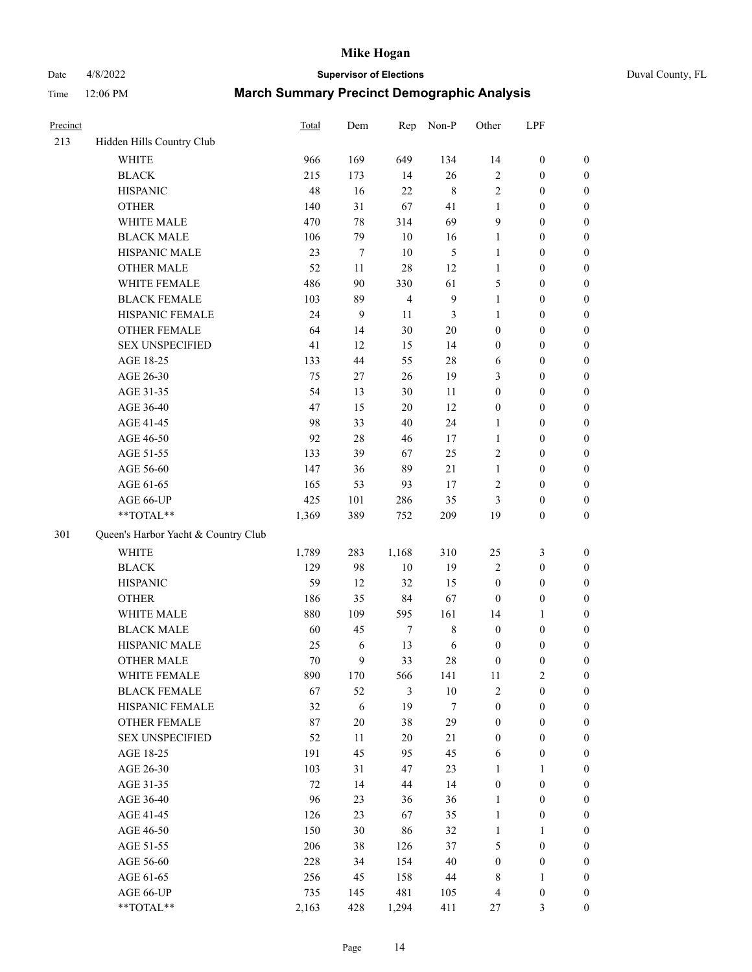# Date 4/8/2022 **Supervisor of Elections** Duval County, FL

| Precinct |                                     | <b>Total</b> | Dem        | Rep            | Non-P            | Other            | LPF              |                  |
|----------|-------------------------------------|--------------|------------|----------------|------------------|------------------|------------------|------------------|
| 213      | Hidden Hills Country Club           |              |            |                |                  |                  |                  |                  |
|          | <b>WHITE</b>                        | 966          | 169        | 649            | 134              | 14               | $\boldsymbol{0}$ | 0                |
|          | <b>BLACK</b>                        | 215          | 173        | 14             | 26               | 2                | $\boldsymbol{0}$ | $\boldsymbol{0}$ |
|          | <b>HISPANIC</b>                     | 48           | 16         | 22             | $\,$ 8 $\,$      | 2                | $\boldsymbol{0}$ | $\boldsymbol{0}$ |
|          | <b>OTHER</b>                        | 140          | 31         | 67             | 41               | $\mathbf{1}$     | $\boldsymbol{0}$ | $\boldsymbol{0}$ |
|          | WHITE MALE                          | 470          | 78         | 314            | 69               | 9                | $\boldsymbol{0}$ | $\boldsymbol{0}$ |
|          | <b>BLACK MALE</b>                   | 106          | 79         | 10             | 16               | $\mathbf{1}$     | $\boldsymbol{0}$ | $\boldsymbol{0}$ |
|          | HISPANIC MALE                       | 23           | 7          | 10             | $\mathfrak s$    | $\mathbf{1}$     | $\boldsymbol{0}$ | $\boldsymbol{0}$ |
|          | <b>OTHER MALE</b>                   | 52           | 11         | 28             | 12               | $\mathbf{1}$     | $\boldsymbol{0}$ | $\boldsymbol{0}$ |
|          | WHITE FEMALE                        | 486          | 90         | 330            | 61               | 5                | $\boldsymbol{0}$ | $\boldsymbol{0}$ |
|          | <b>BLACK FEMALE</b>                 | 103          | 89         | $\overline{4}$ | $\boldsymbol{9}$ | $\mathbf{1}$     | $\boldsymbol{0}$ | $\boldsymbol{0}$ |
|          | HISPANIC FEMALE                     | 24           | 9          | 11             | 3                | $\mathbf{1}$     | $\boldsymbol{0}$ | $\boldsymbol{0}$ |
|          | <b>OTHER FEMALE</b>                 | 64           | 14         | 30             | $20\,$           | $\boldsymbol{0}$ | $\boldsymbol{0}$ | $\boldsymbol{0}$ |
|          | <b>SEX UNSPECIFIED</b>              | 41           | 12         | 15             | 14               | $\boldsymbol{0}$ | $\boldsymbol{0}$ | $\boldsymbol{0}$ |
|          | AGE 18-25                           | 133          | 44         | 55             | $28\,$           | 6                | $\boldsymbol{0}$ | $\boldsymbol{0}$ |
|          | AGE 26-30                           | 75           | $27\,$     | 26             | 19               | 3                | $\boldsymbol{0}$ | $\boldsymbol{0}$ |
|          | AGE 31-35                           | 54           | 13         | 30             | 11               | $\boldsymbol{0}$ | $\boldsymbol{0}$ | $\boldsymbol{0}$ |
|          | AGE 36-40                           | 47           | 15         | $20\,$         | 12               | $\boldsymbol{0}$ | $\boldsymbol{0}$ | $\boldsymbol{0}$ |
|          | AGE 41-45                           | 98           | 33         | 40             | 24               | $\mathbf{1}$     | $\boldsymbol{0}$ | $\boldsymbol{0}$ |
|          | AGE 46-50                           | 92           | $28\,$     | 46             | 17               | $\mathbf{1}$     | $\boldsymbol{0}$ | $\boldsymbol{0}$ |
|          | AGE 51-55                           | 133          | 39         | 67             | 25               | 2                | $\boldsymbol{0}$ | $\boldsymbol{0}$ |
|          | AGE 56-60                           | 147          | 36         | 89             | 21               | $\mathbf{1}$     | $\boldsymbol{0}$ | 0                |
|          | AGE 61-65                           | 165          | 53         | 93             | 17               | 2                | $\boldsymbol{0}$ | $\boldsymbol{0}$ |
|          | AGE 66-UP                           | 425          | 101        | 286            | 35               | 3                | $\boldsymbol{0}$ | $\boldsymbol{0}$ |
|          | **TOTAL**                           | 1,369        | 389        | 752            | 209              | 19               | $\boldsymbol{0}$ | $\boldsymbol{0}$ |
| 301      | Queen's Harbor Yacht & Country Club |              |            |                |                  |                  |                  |                  |
|          | <b>WHITE</b>                        | 1,789        | 283        | 1,168          | 310              | 25               | $\mathfrak{Z}$   | $\boldsymbol{0}$ |
|          | <b>BLACK</b>                        | 129          | 98         | $10\,$         | 19               | 2                | $\boldsymbol{0}$ | $\boldsymbol{0}$ |
|          | <b>HISPANIC</b>                     | 59           | 12         | 32             | 15               | $\boldsymbol{0}$ | $\boldsymbol{0}$ | $\boldsymbol{0}$ |
|          | <b>OTHER</b>                        | 186          | 35         | 84             | 67               | $\boldsymbol{0}$ | $\boldsymbol{0}$ | $\boldsymbol{0}$ |
|          | WHITE MALE                          | 880          | 109        | 595            | 161              | 14               | $\mathbf{1}$     | $\boldsymbol{0}$ |
|          | <b>BLACK MALE</b>                   | 60           | 45         | $\tau$         | $8\,$            | $\boldsymbol{0}$ | $\boldsymbol{0}$ | $\boldsymbol{0}$ |
|          | HISPANIC MALE                       | 25           | 6          | 13             | 6                | $\boldsymbol{0}$ | $\boldsymbol{0}$ | $\boldsymbol{0}$ |
|          | <b>OTHER MALE</b>                   | 70           | 9          | 33             | $28\,$           | $\boldsymbol{0}$ | $\boldsymbol{0}$ | $\boldsymbol{0}$ |
|          | WHITE FEMALE                        | 890          | 170        | 566            | 141              | 11               | $\overline{c}$   | 0                |
|          | <b>BLACK FEMALE</b>                 | 67           | 52         | 3              | $10\,$           | 2                | $\boldsymbol{0}$ | $\overline{0}$   |
|          | HISPANIC FEMALE                     | 32           | $\sqrt{6}$ | 19             | 7                | $\boldsymbol{0}$ | $\boldsymbol{0}$ | $\overline{0}$   |
|          | <b>OTHER FEMALE</b>                 | 87           | $20\,$     | 38             | 29               | $\boldsymbol{0}$ | $\boldsymbol{0}$ | $\overline{0}$   |
|          | <b>SEX UNSPECIFIED</b>              | 52           | 11         | $20\,$         | 21               | $\boldsymbol{0}$ | $\boldsymbol{0}$ | 0                |
|          | AGE 18-25                           | 191          | 45         | 95             | 45               | 6                | $\boldsymbol{0}$ | $\theta$         |
|          | AGE 26-30                           | 103          | 31         | 47             | 23               | $\mathbf{1}$     | $\mathbf{1}$     | 0                |
|          | AGE 31-35                           | 72           | 14         | 44             | 14               | $\boldsymbol{0}$ | $\boldsymbol{0}$ | 0                |
|          | AGE 36-40                           | 96           | 23         | 36             | 36               | $\mathbf{1}$     | $\boldsymbol{0}$ | 0                |
|          | AGE 41-45                           | 126          | 23         | 67             | 35               | $\mathbf{1}$     | $\boldsymbol{0}$ | 0                |
|          | AGE 46-50                           | 150          | 30         | 86             | 32               | $\mathbf{1}$     | 1                | 0                |
|          | AGE 51-55                           | 206          | 38         | 126            | 37               | 5                | $\boldsymbol{0}$ | 0                |
|          | AGE 56-60                           | 228          | 34         | 154            | $40\,$           | $\boldsymbol{0}$ | $\boldsymbol{0}$ | $\overline{0}$   |
|          | AGE 61-65                           | 256          | 45         | 158            | 44               | 8                | 1                | $\overline{0}$   |
|          | AGE 66-UP                           | 735          | 145        | 481            | 105              | 4                | $\boldsymbol{0}$ | 0                |
|          | **TOTAL**                           | 2,163        | 428        | 1,294          | 411              | 27               | 3                | $\boldsymbol{0}$ |
|          |                                     |              |            |                |                  |                  |                  |                  |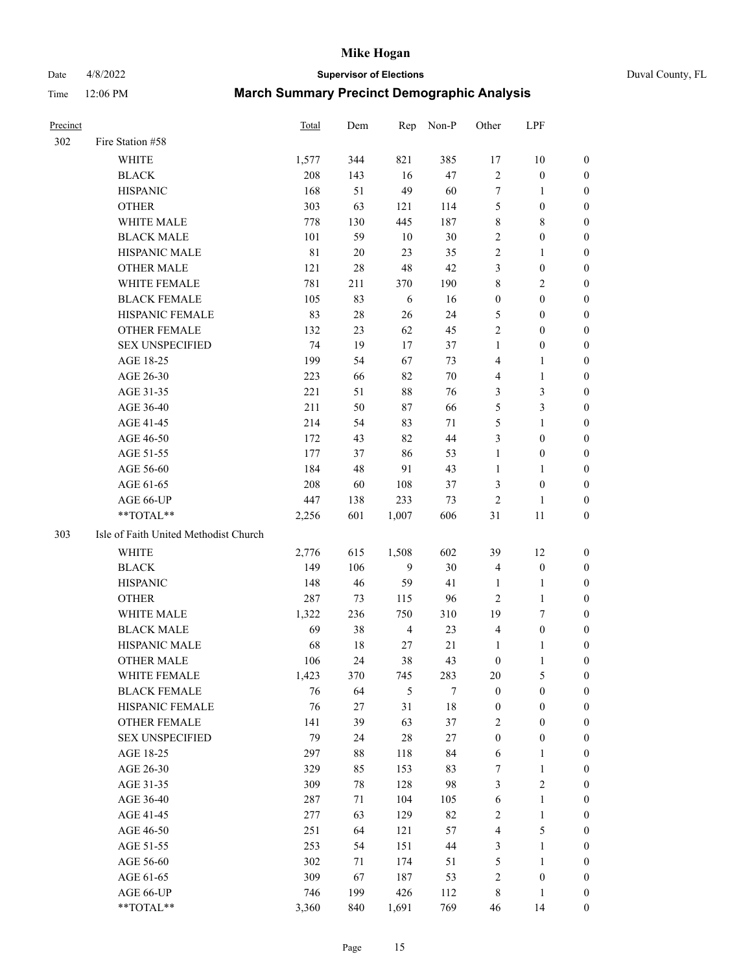Date 4/8/2022 **Supervisor of Elections** Duval County, FL

| <b>Precinct</b> |                                       | Total       | Dem | Rep            | Non-P  | Other            | LPF              |                  |
|-----------------|---------------------------------------|-------------|-----|----------------|--------|------------------|------------------|------------------|
| 302             | Fire Station #58                      |             |     |                |        |                  |                  |                  |
|                 | <b>WHITE</b>                          | 1,577       | 344 | 821            | 385    | 17               | $10\,$           | 0                |
|                 | <b>BLACK</b>                          | 208         | 143 | 16             | 47     | $\sqrt{2}$       | $\boldsymbol{0}$ | 0                |
|                 | <b>HISPANIC</b>                       | 168         | 51  | 49             | 60     | $\tau$           | $\mathbf{1}$     | 0                |
|                 | <b>OTHER</b>                          | 303         | 63  | 121            | 114    | 5                | $\boldsymbol{0}$ | $\boldsymbol{0}$ |
|                 | WHITE MALE                            | 778         | 130 | 445            | 187    | 8                | $8\,$            | $\boldsymbol{0}$ |
|                 | <b>BLACK MALE</b>                     | 101         | 59  | 10             | $30\,$ | 2                | $\boldsymbol{0}$ | $\boldsymbol{0}$ |
|                 | HISPANIC MALE                         | $8\sqrt{1}$ | 20  | 23             | 35     | $\mathfrak{2}$   | $\mathbf{1}$     | $\boldsymbol{0}$ |
|                 | <b>OTHER MALE</b>                     | 121         | 28  | $48\,$         | 42     | 3                | $\boldsymbol{0}$ | 0                |
|                 | WHITE FEMALE                          | 781         | 211 | 370            | 190    | $\,$ $\,$        | $\overline{2}$   | 0                |
|                 | <b>BLACK FEMALE</b>                   | 105         | 83  | 6              | 16     | $\boldsymbol{0}$ | $\boldsymbol{0}$ | 0                |
|                 | HISPANIC FEMALE                       | 83          | 28  | 26             | 24     | 5                | $\boldsymbol{0}$ | 0                |
|                 | OTHER FEMALE                          | 132         | 23  | 62             | 45     | $\mathbf{2}$     | $\boldsymbol{0}$ | 0                |
|                 | <b>SEX UNSPECIFIED</b>                | 74          | 19  | 17             | 37     | $\mathbf{1}$     | $\boldsymbol{0}$ | $\boldsymbol{0}$ |
|                 | AGE 18-25                             | 199         | 54  | 67             | 73     | 4                | $\mathbf{1}$     | $\boldsymbol{0}$ |
|                 | AGE 26-30                             | 223         | 66  | 82             | 70     | 4                | $\mathbf{1}$     | $\boldsymbol{0}$ |
|                 | AGE 31-35                             | 221         | 51  | $88\,$         | 76     | 3                | $\mathfrak{Z}$   | $\boldsymbol{0}$ |
|                 | AGE 36-40                             | 211         | 50  | 87             | 66     | 5                | $\mathfrak{Z}$   | $\boldsymbol{0}$ |
|                 | AGE 41-45                             | 214         | 54  | 83             | 71     | 5                | $\mathbf{1}$     | $\boldsymbol{0}$ |
|                 | AGE 46-50                             | 172         | 43  | 82             | 44     | 3                | $\boldsymbol{0}$ | $\boldsymbol{0}$ |
|                 | AGE 51-55                             | 177         | 37  | 86             | 53     | $\mathbf{1}$     | $\boldsymbol{0}$ | 0                |
|                 | AGE 56-60                             | 184         | 48  | 91             | 43     | $\mathbf{1}$     | $\mathbf{1}$     | 0                |
|                 | AGE 61-65                             | 208         | 60  | 108            | 37     | 3                | $\boldsymbol{0}$ | 0                |
|                 | AGE 66-UP                             | 447         | 138 | 233            | 73     | $\sqrt{2}$       | 1                | 0                |
|                 | **TOTAL**                             | 2,256       | 601 | 1,007          | 606    | 31               | 11               | $\boldsymbol{0}$ |
| 303             | Isle of Faith United Methodist Church |             |     |                |        |                  |                  |                  |
|                 | <b>WHITE</b>                          | 2,776       | 615 | 1,508          | 602    | 39               | 12               | $\boldsymbol{0}$ |
|                 | <b>BLACK</b>                          | 149         | 106 | 9              | 30     | $\overline{4}$   | $\boldsymbol{0}$ | $\boldsymbol{0}$ |
|                 | <b>HISPANIC</b>                       | 148         | 46  | 59             | 41     | $\mathbf{1}$     | $\mathbf{1}$     | 0                |
|                 | <b>OTHER</b>                          | 287         | 73  | 115            | 96     | $\overline{2}$   | $\mathbf{1}$     | $\boldsymbol{0}$ |
|                 | WHITE MALE                            | 1,322       | 236 | 750            | 310    | 19               | $\tau$           | $\overline{0}$   |
|                 | <b>BLACK MALE</b>                     | 69          | 38  | $\overline{4}$ | 23     | $\overline{4}$   | $\boldsymbol{0}$ | 0                |
|                 | HISPANIC MALE                         | 68          | 18  | 27             | 21     | 1                | 1                | 0                |
|                 | <b>OTHER MALE</b>                     | 106         | 24  | 38             | 43     | $\boldsymbol{0}$ | $\mathbf{1}$     | 0                |
|                 | WHITE FEMALE                          | 1,423       | 370 | 745            | 283    | 20               | 5                | 0                |
|                 | <b>BLACK FEMALE</b>                   | 76          | 64  | 5              | 7      | $\boldsymbol{0}$ | $\boldsymbol{0}$ | $\boldsymbol{0}$ |
|                 | HISPANIC FEMALE                       | 76          | 27  | 31             | $18\,$ | $\boldsymbol{0}$ | $\boldsymbol{0}$ | $\overline{0}$   |
|                 | OTHER FEMALE                          | 141         | 39  | 63             | 37     | $\overline{c}$   | $\boldsymbol{0}$ | $\overline{0}$   |
|                 | <b>SEX UNSPECIFIED</b>                | 79          | 24  | 28             | 27     | $\boldsymbol{0}$ | $\boldsymbol{0}$ | 0                |
|                 | AGE 18-25                             | 297         | 88  | 118            | 84     | $\sqrt{6}$       | $\mathbf{1}$     | 0                |
|                 | AGE 26-30                             | 329         | 85  | 153            | 83     | 7                | $\mathbf{1}$     | 0                |
|                 | AGE 31-35                             | 309         | 78  | 128            | 98     | 3                | $\overline{c}$   | 0                |
|                 | AGE 36-40                             | 287         | 71  | 104            | 105    | 6                | $\mathbf{1}$     | 0                |
|                 | AGE 41-45                             | 277         | 63  | 129            | 82     | $\sqrt{2}$       | $\mathbf{1}$     | 0                |
|                 | AGE 46-50                             | 251         | 64  | 121            | 57     | 4                | $\mathfrak s$    | 0                |
|                 | AGE 51-55                             | 253         | 54  | 151            | 44     | 3                | $\mathbf{1}$     | 0                |
|                 | AGE 56-60                             | 302         | 71  | 174            | 51     | 5                | $\mathbf{1}$     | 0                |
|                 | AGE 61-65                             | 309         | 67  | 187            | 53     | 2                | $\boldsymbol{0}$ | $\boldsymbol{0}$ |
|                 | AGE 66-UP                             | 746         | 199 | 426            | 112    | 8                | $\mathbf{1}$     | $\boldsymbol{0}$ |
|                 | **TOTAL**                             | 3,360       | 840 | 1,691          | 769    | 46               | 14               | $\boldsymbol{0}$ |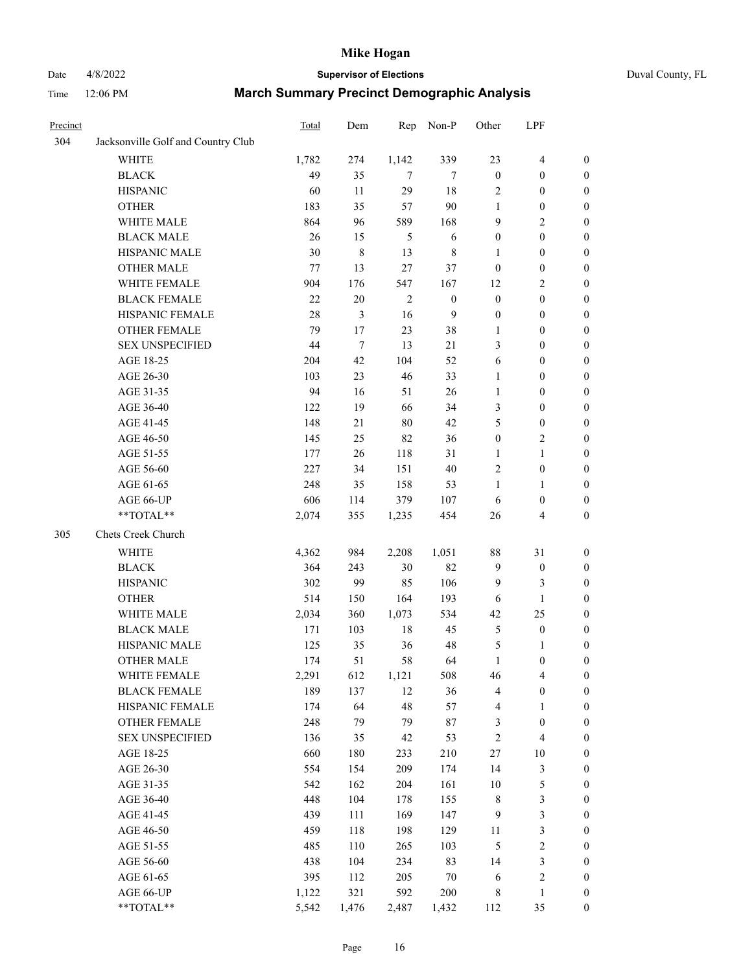## Date 4/8/2022 **Supervisor of Elections** Duval County, FL

| Precinct |                                    | Total | Dem         | Rep            | Non-P            | Other            | LPF                     |                  |
|----------|------------------------------------|-------|-------------|----------------|------------------|------------------|-------------------------|------------------|
| 304      | Jacksonville Golf and Country Club |       |             |                |                  |                  |                         |                  |
|          | <b>WHITE</b>                       | 1,782 | 274         | 1,142          | 339              | 23               | $\overline{\mathbf{4}}$ | $\boldsymbol{0}$ |
|          | <b>BLACK</b>                       | 49    | 35          | 7              | 7                | $\boldsymbol{0}$ | $\boldsymbol{0}$        | $\boldsymbol{0}$ |
|          | <b>HISPANIC</b>                    | 60    | 11          | 29             | 18               | 2                | $\boldsymbol{0}$        | $\boldsymbol{0}$ |
|          | <b>OTHER</b>                       | 183   | 35          | 57             | $90\,$           | 1                | $\boldsymbol{0}$        | $\boldsymbol{0}$ |
|          | WHITE MALE                         | 864   | 96          | 589            | 168              | 9                | $\mathbf{2}$            | $\boldsymbol{0}$ |
|          | <b>BLACK MALE</b>                  | 26    | 15          | 5              | 6                | $\boldsymbol{0}$ | $\boldsymbol{0}$        | $\boldsymbol{0}$ |
|          | HISPANIC MALE                      | 30    | $\,$ 8 $\,$ | 13             | $8\,$            | $\mathbf{1}$     | $\boldsymbol{0}$        | $\boldsymbol{0}$ |
|          | <b>OTHER MALE</b>                  | 77    | 13          | 27             | 37               | $\boldsymbol{0}$ | $\boldsymbol{0}$        | $\boldsymbol{0}$ |
|          | WHITE FEMALE                       | 904   | 176         | 547            | 167              | 12               | $\sqrt{2}$              | $\boldsymbol{0}$ |
|          | <b>BLACK FEMALE</b>                | 22    | $20\,$      | $\overline{2}$ | $\boldsymbol{0}$ | $\boldsymbol{0}$ | $\boldsymbol{0}$        | 0                |
|          | HISPANIC FEMALE                    | 28    | 3           | 16             | 9                | $\boldsymbol{0}$ | $\boldsymbol{0}$        | $\boldsymbol{0}$ |
|          | OTHER FEMALE                       | 79    | 17          | 23             | 38               | $\mathbf{1}$     | $\boldsymbol{0}$        | $\boldsymbol{0}$ |
|          | <b>SEX UNSPECIFIED</b>             | 44    | $\tau$      | 13             | 21               | 3                | $\boldsymbol{0}$        | $\boldsymbol{0}$ |
|          | AGE 18-25                          | 204   | 42          | 104            | 52               | 6                | $\boldsymbol{0}$        | $\boldsymbol{0}$ |
|          | AGE 26-30                          | 103   | 23          | 46             | 33               | $\mathbf{1}$     | $\boldsymbol{0}$        | $\boldsymbol{0}$ |
|          | AGE 31-35                          | 94    | 16          | 51             | 26               | $\mathbf{1}$     | $\boldsymbol{0}$        | $\boldsymbol{0}$ |
|          | AGE 36-40                          | 122   | 19          | 66             | 34               | 3                | $\boldsymbol{0}$        | $\boldsymbol{0}$ |
|          | AGE 41-45                          | 148   | 21          | 80             | 42               | 5                | $\boldsymbol{0}$        | $\boldsymbol{0}$ |
|          | AGE 46-50                          | 145   | 25          | 82             | 36               | $\boldsymbol{0}$ | $\sqrt{2}$              | $\boldsymbol{0}$ |
|          | AGE 51-55                          | 177   | 26          | 118            | 31               | 1                | $\mathbf{1}$            | 0                |
|          | AGE 56-60                          | 227   | 34          | 151            | 40               | $\mathbf{2}$     | $\boldsymbol{0}$        | 0                |
|          | AGE 61-65                          | 248   | 35          | 158            | 53               | $\mathbf{1}$     | $\mathbf{1}$            | 0                |
|          | AGE 66-UP                          | 606   | 114         | 379            | 107              | 6                | $\boldsymbol{0}$        | $\boldsymbol{0}$ |
|          | **TOTAL**                          | 2,074 | 355         | 1,235          | 454              | 26               | $\overline{4}$          | $\boldsymbol{0}$ |
| 305      | Chets Creek Church                 |       |             |                |                  |                  |                         |                  |
|          | <b>WHITE</b>                       | 4,362 | 984         | 2,208          | 1,051            | 88               | 31                      | $\boldsymbol{0}$ |
|          | <b>BLACK</b>                       | 364   | 243         | 30             | 82               | $\overline{9}$   | $\boldsymbol{0}$        | $\boldsymbol{0}$ |
|          | <b>HISPANIC</b>                    | 302   | 99          | 85             | 106              | $\overline{9}$   | 3                       | $\boldsymbol{0}$ |
|          | <b>OTHER</b>                       | 514   | 150         | 164            | 193              | 6                | $\mathbf{1}$            | $\boldsymbol{0}$ |
|          | WHITE MALE                         | 2,034 | 360         | 1,073          | 534              | 42               | 25                      | $\boldsymbol{0}$ |
|          | <b>BLACK MALE</b>                  | 171   | 103         | $18\,$         | 45               | $\mathfrak s$    | $\boldsymbol{0}$        | $\boldsymbol{0}$ |
|          | HISPANIC MALE                      | 125   | 35          | 36             | 48               | 5                | 1                       | 0                |
|          | <b>OTHER MALE</b>                  | 174   | 51          | 58             | 64               | $\mathbf{1}$     | $\boldsymbol{0}$        | $\boldsymbol{0}$ |
|          | WHITE FEMALE                       | 2,291 | 612         | 1,121          | 508              | 46               | $\overline{\mathbf{4}}$ | $\boldsymbol{0}$ |
|          | <b>BLACK FEMALE</b>                | 189   | 137         | 12             | 36               | 4                | $\boldsymbol{0}$        | $\boldsymbol{0}$ |
|          | HISPANIC FEMALE                    | 174   | 64          | 48             | 57               | 4                | $\mathbf{1}$            | $\boldsymbol{0}$ |
|          | <b>OTHER FEMALE</b>                | 248   | 79          | 79             | 87               | 3                | $\boldsymbol{0}$        | $\overline{0}$   |
|          | <b>SEX UNSPECIFIED</b>             | 136   | 35          | 42             | 53               | $\sqrt{2}$       | $\overline{\mathbf{4}}$ | 0                |
|          | AGE 18-25                          | 660   | 180         | 233            | 210              | $27\,$           | $10\,$                  | 0                |
|          | AGE 26-30                          | 554   | 154         | 209            | 174              | 14               | $\mathfrak{Z}$          | 0                |
|          | AGE 31-35                          | 542   | 162         | 204            | 161              | $10\,$           | $\mathfrak s$           | 0                |
|          | AGE 36-40                          | 448   | 104         | 178            | 155              | 8                | $\mathfrak{Z}$          | 0                |
|          | AGE 41-45                          | 439   | 111         | 169            | 147              | $\overline{9}$   | $\mathfrak{Z}$          | 0                |
|          | AGE 46-50                          | 459   | 118         | 198            | 129              | 11               | $\mathfrak{Z}$          | 0                |
|          | AGE 51-55                          | 485   | 110         | 265            | 103              | 5                | $\sqrt{2}$              | $\boldsymbol{0}$ |
|          | AGE 56-60                          | 438   | 104         | 234            | 83               | 14               | $\mathfrak{Z}$          | $\boldsymbol{0}$ |
|          | AGE 61-65                          | 395   | 112         | 205            | $70\,$           | 6                | $\sqrt{2}$              | $\boldsymbol{0}$ |
|          | AGE 66-UP                          | 1,122 | 321         | 592            | 200              | 8                | $\mathbf{1}$            | 0                |
|          | **TOTAL**                          | 5,542 | 1,476       | 2,487          | 1,432            | 112              | 35                      | $\boldsymbol{0}$ |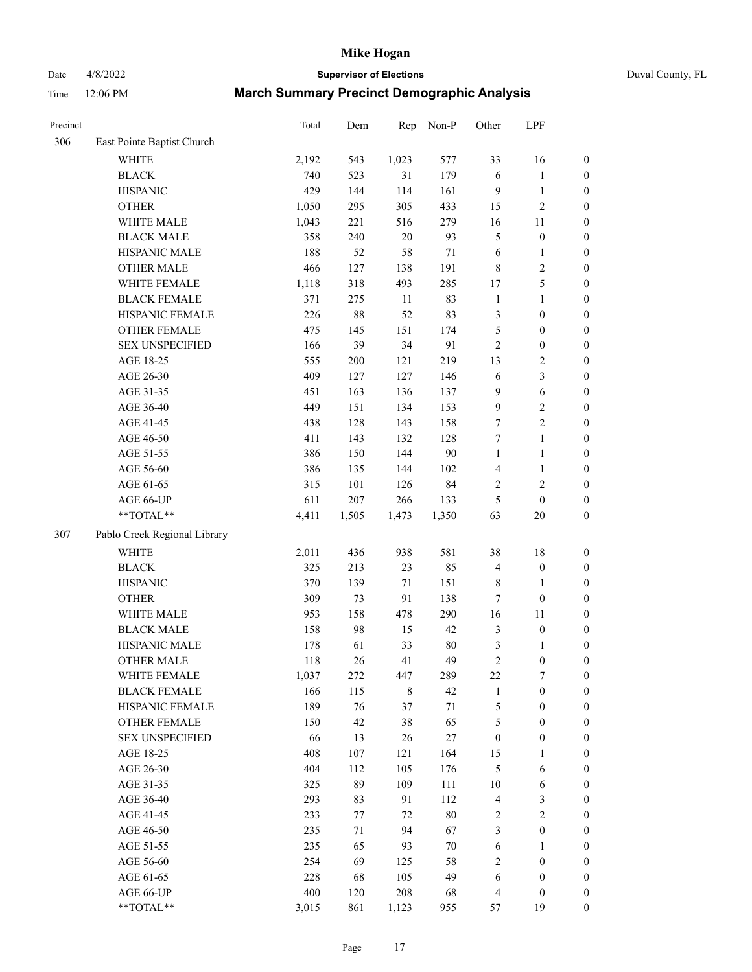Date 4/8/2022 **Supervisor of Elections** Duval County, FL

| Precinct |                              | Total | Dem    | Rep         | Non-P  | Other                   | LPF              |                  |
|----------|------------------------------|-------|--------|-------------|--------|-------------------------|------------------|------------------|
| 306      | East Pointe Baptist Church   |       |        |             |        |                         |                  |                  |
|          | <b>WHITE</b>                 | 2,192 | 543    | 1,023       | 577    | 33                      | 16               | 0                |
|          | <b>BLACK</b>                 | 740   | 523    | 31          | 179    | $\sqrt{6}$              | $\mathbf{1}$     | $\boldsymbol{0}$ |
|          | <b>HISPANIC</b>              | 429   | 144    | 114         | 161    | 9                       | $\mathbf{1}$     | $\boldsymbol{0}$ |
|          | <b>OTHER</b>                 | 1,050 | 295    | 305         | 433    | 15                      | $\sqrt{2}$       | $\boldsymbol{0}$ |
|          | WHITE MALE                   | 1,043 | 221    | 516         | 279    | 16                      | 11               | $\boldsymbol{0}$ |
|          | <b>BLACK MALE</b>            | 358   | 240    | $20\,$      | 93     | 5                       | $\boldsymbol{0}$ | $\boldsymbol{0}$ |
|          | HISPANIC MALE                | 188   | 52     | 58          | $71\,$ | $\sqrt{6}$              | $\mathbf{1}$     | $\boldsymbol{0}$ |
|          | <b>OTHER MALE</b>            | 466   | 127    | 138         | 191    | 8                       | $\sqrt{2}$       | $\boldsymbol{0}$ |
|          | WHITE FEMALE                 | 1,118 | 318    | 493         | 285    | 17                      | 5                | $\boldsymbol{0}$ |
|          | <b>BLACK FEMALE</b>          | 371   | 275    | 11          | 83     | $\mathbf{1}$            | $\mathbf{1}$     | 0                |
|          | HISPANIC FEMALE              | 226   | $88\,$ | 52          | 83     | 3                       | $\boldsymbol{0}$ | $\boldsymbol{0}$ |
|          | OTHER FEMALE                 | 475   | 145    | 151         | 174    | 5                       | $\boldsymbol{0}$ | $\boldsymbol{0}$ |
|          | <b>SEX UNSPECIFIED</b>       | 166   | 39     | 34          | 91     | $\sqrt{2}$              | $\boldsymbol{0}$ | $\boldsymbol{0}$ |
|          | AGE 18-25                    | 555   | 200    | 121         | 219    | 13                      | $\sqrt{2}$       | $\boldsymbol{0}$ |
|          | AGE 26-30                    | 409   | 127    | 127         | 146    | 6                       | $\mathfrak{Z}$   | $\boldsymbol{0}$ |
|          | AGE 31-35                    | 451   | 163    | 136         | 137    | 9                       | $\sqrt{6}$       | $\boldsymbol{0}$ |
|          | AGE 36-40                    | 449   | 151    | 134         | 153    | 9                       | $\sqrt{2}$       | $\boldsymbol{0}$ |
|          | AGE 41-45                    | 438   | 128    | 143         | 158    | 7                       | $\overline{2}$   | $\boldsymbol{0}$ |
|          | AGE 46-50                    | 411   | 143    | 132         | 128    | 7                       | $\mathbf{1}$     | $\boldsymbol{0}$ |
|          | AGE 51-55                    | 386   | 150    | 144         | 90     | $\mathbf{1}$            | $\mathbf{1}$     | 0                |
|          | AGE 56-60                    | 386   | 135    | 144         | 102    | 4                       | $\mathbf{1}$     | $\boldsymbol{0}$ |
|          | AGE 61-65                    | 315   | 101    | 126         | 84     | 2                       | $\sqrt{2}$       | $\boldsymbol{0}$ |
|          | AGE 66-UP                    | 611   | 207    | 266         | 133    | 5                       | $\boldsymbol{0}$ | $\boldsymbol{0}$ |
|          | **TOTAL**                    | 4,411 | 1,505  | 1,473       | 1,350  | 63                      | $20\,$           | $\boldsymbol{0}$ |
| 307      | Pablo Creek Regional Library |       |        |             |        |                         |                  |                  |
|          | WHITE                        | 2,011 | 436    | 938         | 581    | 38                      | $18\,$           | $\boldsymbol{0}$ |
|          | <b>BLACK</b>                 | 325   | 213    | 23          | 85     | 4                       | $\boldsymbol{0}$ | $\boldsymbol{0}$ |
|          | <b>HISPANIC</b>              | 370   | 139    | $71\,$      | 151    | 8                       | $\mathbf{1}$     | $\boldsymbol{0}$ |
|          | <b>OTHER</b>                 | 309   | 73     | 91          | 138    | 7                       | $\boldsymbol{0}$ | $\boldsymbol{0}$ |
|          | WHITE MALE                   | 953   | 158    | 478         | 290    | 16                      | $11\,$           | $\boldsymbol{0}$ |
|          | <b>BLACK MALE</b>            | 158   | 98     | 15          | 42     | 3                       | $\boldsymbol{0}$ | $\boldsymbol{0}$ |
|          | HISPANIC MALE                | 178   | 61     | 33          | $80\,$ | 3                       | 1                | 0                |
|          | <b>OTHER MALE</b>            | 118   | 26     | 41          | 49     | $\overline{c}$          | $\boldsymbol{0}$ | $\boldsymbol{0}$ |
|          | WHITE FEMALE                 | 1,037 | 272    | 447         | 289    | 22                      | 7                | $\overline{0}$   |
|          | <b>BLACK FEMALE</b>          | 166   | 115    | $\,$ 8 $\,$ | 42     | $\mathbf{1}$            | $\boldsymbol{0}$ | $\overline{0}$   |
|          | HISPANIC FEMALE              | 189   | 76     | 37          | $71\,$ | 5                       | $\boldsymbol{0}$ | $\overline{0}$   |
|          | OTHER FEMALE                 | 150   | 42     | 38          | 65     | 5                       | $\boldsymbol{0}$ | 0                |
|          | <b>SEX UNSPECIFIED</b>       | 66    | 13     | 26          | $27\,$ | $\boldsymbol{0}$        | $\boldsymbol{0}$ | 0                |
|          | AGE 18-25                    | 408   | 107    | 121         | 164    | 15                      | $\mathbf{1}$     | 0                |
|          | AGE 26-30                    | 404   | 112    | 105         | 176    | 5                       | 6                | 0                |
|          | AGE 31-35                    | 325   | 89     | 109         | 111    | $10\,$                  | 6                | 0                |
|          | AGE 36-40                    | 293   | 83     | 91          | 112    | $\overline{\mathbf{4}}$ | $\mathfrak{Z}$   | 0                |
|          | AGE 41-45                    | 233   | 77     | $72\,$      | $80\,$ | 2                       | $\sqrt{2}$       | 0                |
|          | AGE 46-50                    | 235   | 71     | 94          | 67     | 3                       | $\boldsymbol{0}$ | 0                |
|          | AGE 51-55                    | 235   | 65     | 93          | $70\,$ | 6                       | 1                | $\boldsymbol{0}$ |
|          | AGE 56-60                    | 254   | 69     | 125         | 58     | 2                       | $\boldsymbol{0}$ | $\boldsymbol{0}$ |
|          | AGE 61-65                    | 228   | 68     | 105         | 49     | 6                       | $\boldsymbol{0}$ | 0                |
|          | AGE 66-UP                    | 400   | 120    | 208         | 68     | 4                       | $\boldsymbol{0}$ | 0                |
|          | **TOTAL**                    | 3,015 | 861    | 1,123       | 955    | 57                      | 19               | $\overline{0}$   |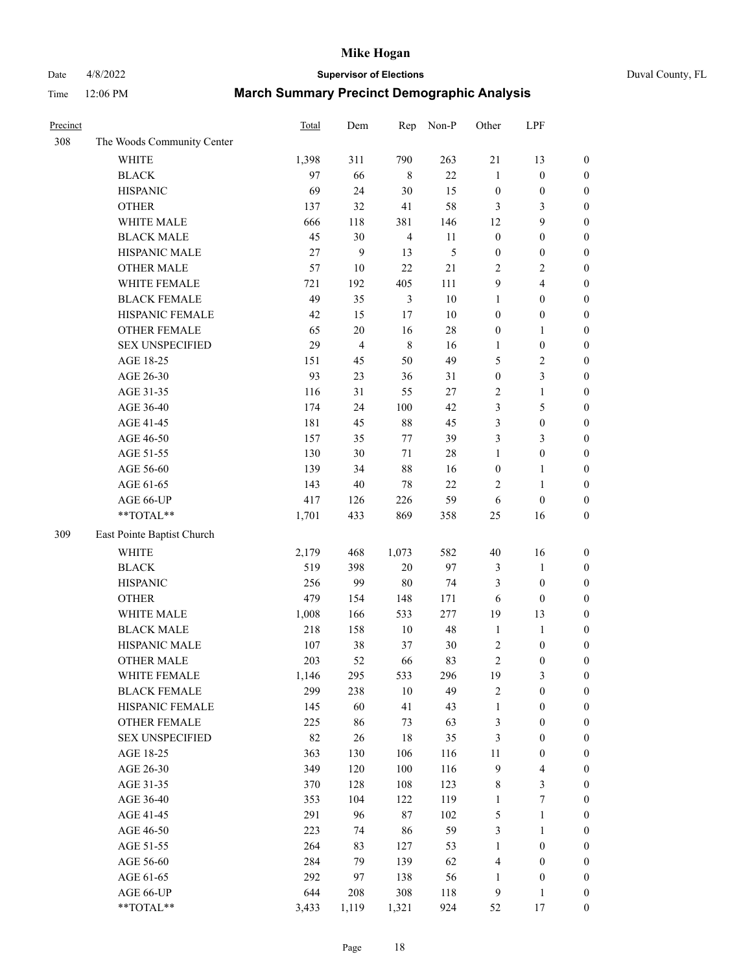# Date 4/8/2022 **Supervisor of Elections** Duval County, FL

| Precinct |                            | Total | Dem            | Rep            | Non-P  | Other            | LPF                     |                  |
|----------|----------------------------|-------|----------------|----------------|--------|------------------|-------------------------|------------------|
| 308      | The Woods Community Center |       |                |                |        |                  |                         |                  |
|          | <b>WHITE</b>               | 1,398 | 311            | 790            | 263    | 21               | 13                      | 0                |
|          | <b>BLACK</b>               | 97    | 66             | $\,8\,$        | 22     | $\mathbf{1}$     | $\boldsymbol{0}$        | $\boldsymbol{0}$ |
|          | <b>HISPANIC</b>            | 69    | 24             | 30             | 15     | $\boldsymbol{0}$ | $\boldsymbol{0}$        | $\boldsymbol{0}$ |
|          | <b>OTHER</b>               | 137   | 32             | 41             | 58     | 3                | 3                       | $\boldsymbol{0}$ |
|          | WHITE MALE                 | 666   | 118            | 381            | 146    | 12               | 9                       | $\boldsymbol{0}$ |
|          | <b>BLACK MALE</b>          | 45    | 30             | $\overline{4}$ | 11     | $\boldsymbol{0}$ | $\boldsymbol{0}$        | $\boldsymbol{0}$ |
|          | HISPANIC MALE              | 27    | 9              | 13             | 5      | $\boldsymbol{0}$ | $\boldsymbol{0}$        | $\boldsymbol{0}$ |
|          | <b>OTHER MALE</b>          | 57    | $10\,$         | 22             | 21     | $\mathbf{2}$     | $\overline{2}$          | $\boldsymbol{0}$ |
|          | WHITE FEMALE               | 721   | 192            | 405            | 111    | 9                | $\overline{4}$          | $\boldsymbol{0}$ |
|          | <b>BLACK FEMALE</b>        | 49    | 35             | $\mathfrak{Z}$ | $10\,$ | $\mathbf{1}$     | $\boldsymbol{0}$        | 0                |
|          | HISPANIC FEMALE            | 42    | 15             | 17             | 10     | $\boldsymbol{0}$ | $\boldsymbol{0}$        | 0                |
|          | OTHER FEMALE               | 65    | $20\,$         | 16             | $28\,$ | $\boldsymbol{0}$ | $\mathbf{1}$            | $\boldsymbol{0}$ |
|          | <b>SEX UNSPECIFIED</b>     | 29    | $\overline{4}$ | $\,$ 8 $\,$    | 16     | $\mathbf{1}$     | $\boldsymbol{0}$        | $\boldsymbol{0}$ |
|          | AGE 18-25                  | 151   | 45             | 50             | 49     | 5                | $\sqrt{2}$              | $\boldsymbol{0}$ |
|          | AGE 26-30                  | 93    | 23             | 36             | 31     | $\boldsymbol{0}$ | $\mathfrak{Z}$          | $\boldsymbol{0}$ |
|          | AGE 31-35                  | 116   | 31             | 55             | 27     | $\sqrt{2}$       | $\mathbf{1}$            | $\boldsymbol{0}$ |
|          | AGE 36-40                  | 174   | 24             | 100            | 42     | 3                | $\mathfrak{S}$          | $\boldsymbol{0}$ |
|          | AGE 41-45                  | 181   | 45             | 88             | 45     | 3                | $\boldsymbol{0}$        | $\boldsymbol{0}$ |
|          | AGE 46-50                  | 157   | 35             | 77             | 39     | 3                | $\mathfrak{Z}$          | $\boldsymbol{0}$ |
|          | AGE 51-55                  | 130   | 30             | 71             | $28\,$ | $\mathbf{1}$     | $\boldsymbol{0}$        | 0                |
|          | AGE 56-60                  | 139   | 34             | 88             | 16     | $\boldsymbol{0}$ | $\mathbf{1}$            | 0                |
|          | AGE 61-65                  | 143   | 40             | 78             | 22     | 2                | $\mathbf{1}$            | 0                |
|          | AGE 66-UP                  | 417   | 126            | 226            | 59     | 6                | $\boldsymbol{0}$        | $\boldsymbol{0}$ |
|          | **TOTAL**                  | 1,701 | 433            | 869            | 358    | $25\,$           | 16                      | $\boldsymbol{0}$ |
| 309      | East Pointe Baptist Church |       |                |                |        |                  |                         |                  |
|          | <b>WHITE</b>               | 2,179 | 468            | 1,073          | 582    | $40\,$           | 16                      | $\boldsymbol{0}$ |
|          | <b>BLACK</b>               | 519   | 398            | 20             | 97     | 3                | $\mathbf{1}$            | $\boldsymbol{0}$ |
|          | <b>HISPANIC</b>            | 256   | 99             | 80             | 74     | 3                | $\boldsymbol{0}$        | $\boldsymbol{0}$ |
|          | <b>OTHER</b>               | 479   | 154            | 148            | 171    | 6                | $\boldsymbol{0}$        | $\boldsymbol{0}$ |
|          | WHITE MALE                 | 1,008 | 166            | 533            | 277    | 19               | 13                      | $\boldsymbol{0}$ |
|          | <b>BLACK MALE</b>          | 218   | 158            | $10\,$         | 48     | $\mathbf{1}$     | $\mathbf{1}$            | $\boldsymbol{0}$ |
|          | HISPANIC MALE              | 107   | 38             | 37             | 30     | $\overline{c}$   | $\boldsymbol{0}$        | 0                |
|          | <b>OTHER MALE</b>          | 203   | 52             | 66             | 83     | $\overline{c}$   | $\boldsymbol{0}$        | $\boldsymbol{0}$ |
|          | WHITE FEMALE               | 1,146 | 295            | 533            | 296    | 19               | 3                       | 0                |
|          | <b>BLACK FEMALE</b>        | 299   | 238            | 10             | 49     | 2                | $\boldsymbol{0}$        | $\boldsymbol{0}$ |
|          | HISPANIC FEMALE            | 145   | 60             | 41             | 43     | $\mathbf{1}$     | $\boldsymbol{0}$        | $\overline{0}$   |
|          | OTHER FEMALE               | 225   | 86             | 73             | 63     | 3                | $\boldsymbol{0}$        | $\overline{0}$   |
|          | <b>SEX UNSPECIFIED</b>     | 82    | $26\,$         | 18             | 35     | 3                | $\boldsymbol{0}$        | $\overline{0}$   |
|          | AGE 18-25                  | 363   | 130            | 106            | 116    | 11               | $\boldsymbol{0}$        | $\overline{0}$   |
|          | AGE 26-30                  | 349   | 120            | 100            | 116    | 9                | $\overline{\mathbf{4}}$ | 0                |
|          | AGE 31-35                  | 370   | 128            | 108            | 123    | $\,$ 8 $\,$      | $\mathfrak{Z}$          | 0                |
|          | AGE 36-40                  | 353   | 104            | 122            | 119    | $\mathbf{1}$     | $\boldsymbol{7}$        | 0                |
|          | AGE 41-45                  | 291   | 96             | $87\,$         | 102    | 5                | $\mathbf{1}$            | 0                |
|          | AGE 46-50                  | 223   | 74             | 86             | 59     | 3                | $\mathbf{1}$            | 0                |
|          | AGE 51-55                  | 264   | 83             | 127            | 53     | $\mathbf{1}$     | $\boldsymbol{0}$        | 0                |
|          | AGE 56-60                  | 284   | 79             | 139            | 62     | 4                | $\boldsymbol{0}$        | $\boldsymbol{0}$ |
|          | AGE 61-65                  | 292   | 97             | 138            | 56     | 1                | $\boldsymbol{0}$        | $\boldsymbol{0}$ |
|          | AGE 66-UP                  | 644   | 208            | 308            | 118    | 9                | $\mathbf{1}$            | $\boldsymbol{0}$ |
|          | **TOTAL**                  | 3,433 | 1,119          | 1,321          | 924    | 52               | 17                      | $\boldsymbol{0}$ |
|          |                            |       |                |                |        |                  |                         |                  |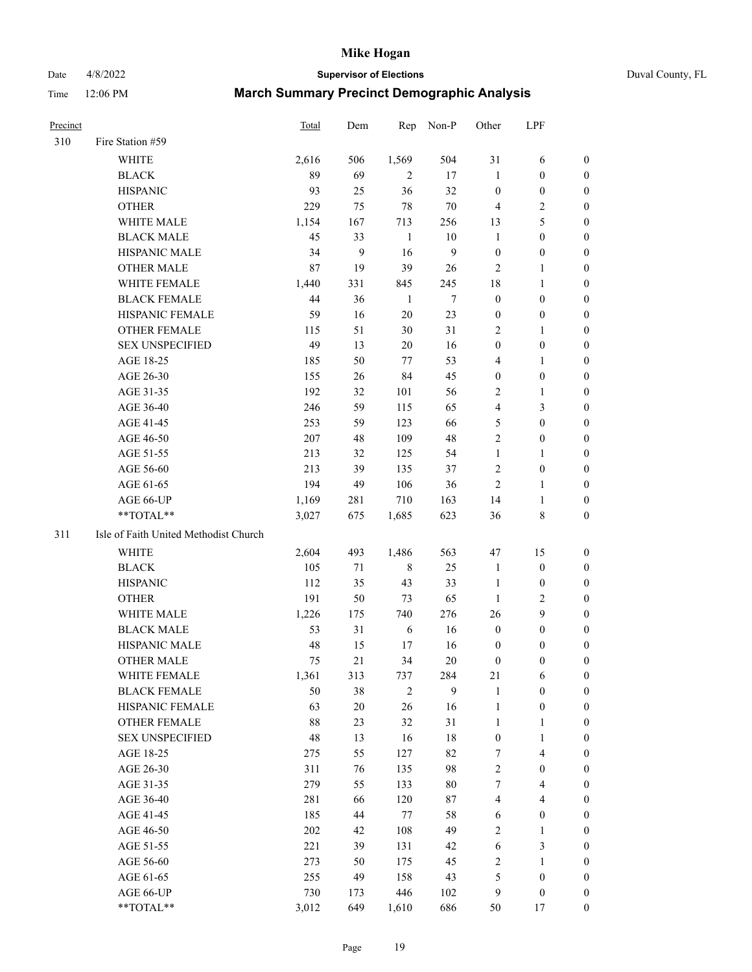#### Date 4/8/2022 **Supervisor of Elections** Duval County, FL

| <b>Precinct</b> |                                       | Total | Dem    | Rep          | Non-P        | Other            | LPF                     |                  |
|-----------------|---------------------------------------|-------|--------|--------------|--------------|------------------|-------------------------|------------------|
| 310             | Fire Station #59                      |       |        |              |              |                  |                         |                  |
|                 | <b>WHITE</b>                          | 2,616 | 506    | 1,569        | 504          | 31               | 6                       | 0                |
|                 | <b>BLACK</b>                          | 89    | 69     | 2            | 17           | $\mathbf{1}$     | $\boldsymbol{0}$        | 0                |
|                 | <b>HISPANIC</b>                       | 93    | 25     | 36           | 32           | $\boldsymbol{0}$ | $\boldsymbol{0}$        | 0                |
|                 | <b>OTHER</b>                          | 229   | 75     | $78\,$       | $70\,$       | $\overline{4}$   | $\sqrt{2}$              | $\boldsymbol{0}$ |
|                 | WHITE MALE                            | 1,154 | 167    | 713          | 256          | 13               | $\mathfrak{S}$          | $\boldsymbol{0}$ |
|                 | <b>BLACK MALE</b>                     | 45    | 33     | 1            | 10           | $\mathbf{1}$     | $\boldsymbol{0}$        | 0                |
|                 | HISPANIC MALE                         | 34    | 9      | 16           | $\mathbf{9}$ | $\boldsymbol{0}$ | $\boldsymbol{0}$        | 0                |
|                 | <b>OTHER MALE</b>                     | 87    | 19     | 39           | 26           | $\mathfrak{2}$   | $\mathbf{1}$            | 0                |
|                 | WHITE FEMALE                          | 1,440 | 331    | 845          | 245          | 18               | $\mathbf{1}$            | 0                |
|                 | <b>BLACK FEMALE</b>                   | 44    | 36     | $\mathbf{1}$ | $\tau$       | $\boldsymbol{0}$ | $\boldsymbol{0}$        | 0                |
|                 | HISPANIC FEMALE                       | 59    | 16     | $20\,$       | 23           | $\boldsymbol{0}$ | $\boldsymbol{0}$        | 0                |
|                 | OTHER FEMALE                          | 115   | 51     | 30           | 31           | $\overline{2}$   | $\mathbf{1}$            | 0                |
|                 | <b>SEX UNSPECIFIED</b>                | 49    | 13     | $20\,$       | 16           | $\boldsymbol{0}$ | $\boldsymbol{0}$        | $\boldsymbol{0}$ |
|                 | AGE 18-25                             | 185   | 50     | 77           | 53           | 4                | $\mathbf{1}$            | $\boldsymbol{0}$ |
|                 | AGE 26-30                             | 155   | 26     | 84           | 45           | $\boldsymbol{0}$ | $\boldsymbol{0}$        | $\boldsymbol{0}$ |
|                 | AGE 31-35                             | 192   | 32     | 101          | 56           | $\overline{c}$   | $\mathbf{1}$            | $\boldsymbol{0}$ |
|                 | AGE 36-40                             | 246   | 59     | 115          | 65           | 4                | $\mathfrak{Z}$          | $\boldsymbol{0}$ |
|                 | AGE 41-45                             | 253   | 59     | 123          | 66           | 5                | $\boldsymbol{0}$        | $\boldsymbol{0}$ |
|                 | AGE 46-50                             | 207   | 48     | 109          | 48           | $\mathfrak{2}$   | $\boldsymbol{0}$        | 0                |
|                 | AGE 51-55                             | 213   | 32     | 125          | 54           | $\mathbf{1}$     | $\mathbf{1}$            | 0                |
|                 | AGE 56-60                             | 213   | 39     | 135          | 37           | $\overline{c}$   | $\boldsymbol{0}$        | 0                |
|                 | AGE 61-65                             | 194   | 49     | 106          | 36           | $\overline{2}$   | $\mathbf{1}$            | 0                |
|                 | AGE 66-UP                             | 1,169 | 281    | 710          | 163          | 14               | $\mathbf{1}$            | 0                |
|                 | **TOTAL**                             | 3,027 | 675    | 1,685        | 623          | 36               | 8                       | $\boldsymbol{0}$ |
| 311             | Isle of Faith United Methodist Church |       |        |              |              |                  |                         |                  |
|                 | <b>WHITE</b>                          | 2,604 | 493    | 1,486        | 563          | 47               | 15                      | $\boldsymbol{0}$ |
|                 | <b>BLACK</b>                          | 105   | 71     | $\,$ 8 $\,$  | 25           | $\mathbf{1}$     | $\boldsymbol{0}$        | $\boldsymbol{0}$ |
|                 | <b>HISPANIC</b>                       | 112   | 35     | 43           | 33           | $\mathbf{1}$     | $\boldsymbol{0}$        | $\boldsymbol{0}$ |
|                 | <b>OTHER</b>                          | 191   | 50     | 73           | 65           | $\mathbf{1}$     | $\sqrt{2}$              | $\boldsymbol{0}$ |
|                 | WHITE MALE                            | 1,226 | 175    | 740          | 276          | 26               | 9                       | $\boldsymbol{0}$ |
|                 | <b>BLACK MALE</b>                     | 53    | 31     | 6            | 16           | $\boldsymbol{0}$ | $\boldsymbol{0}$        | 0                |
|                 | HISPANIC MALE                         | 48    | 15     | 17           | 16           | $\boldsymbol{0}$ | $\boldsymbol{0}$        | 0                |
|                 | <b>OTHER MALE</b>                     | 75    | 21     | 34           | 20           | $\boldsymbol{0}$ | $\boldsymbol{0}$        | 0                |
|                 | WHITE FEMALE                          | 1,361 | 313    | 737          | 284          | 21               | 6                       | 0                |
|                 | <b>BLACK FEMALE</b>                   | 50    | 38     | $\sqrt{2}$   | 9            | $\mathbf{1}$     | $\boldsymbol{0}$        | $\overline{0}$   |
|                 | HISPANIC FEMALE                       | 63    | $20\,$ | 26           | 16           | $\mathbf{1}$     | $\boldsymbol{0}$        | $\overline{0}$   |
|                 | OTHER FEMALE                          | 88    | 23     | 32           | 31           | $\mathbf{1}$     | $\mathbf{1}$            | $\overline{0}$   |
|                 | <b>SEX UNSPECIFIED</b>                | 48    | 13     | 16           | 18           | $\boldsymbol{0}$ | $\mathbf{1}$            | 0                |
|                 | AGE 18-25                             | 275   | 55     | 127          | 82           | 7                | $\overline{\mathbf{4}}$ | 0                |
|                 | AGE 26-30                             | 311   | 76     | 135          | 98           | $\sqrt{2}$       | $\boldsymbol{0}$        | 0                |
|                 | AGE 31-35                             | 279   | 55     | 133          | $80\,$       | 7                | $\overline{\mathbf{4}}$ | 0                |
|                 | AGE 36-40                             | 281   | 66     | 120          | 87           | $\overline{4}$   | $\overline{\mathbf{4}}$ | 0                |
|                 | AGE 41-45                             | 185   | 44     | $77\,$       | 58           | 6                | $\boldsymbol{0}$        | 0                |
|                 | AGE 46-50                             | 202   | 42     | 108          | 49           | $\overline{c}$   | $\mathbf{1}$            | 0                |
|                 | AGE 51-55                             | 221   | 39     | 131          | 42           | 6                | $\mathfrak{Z}$          | 0                |
|                 | AGE 56-60                             | 273   | 50     | 175          | 45           | $\sqrt{2}$       | 1                       | 0                |
|                 | AGE 61-65                             | 255   | 49     | 158          | 43           | 5                | $\boldsymbol{0}$        | $\boldsymbol{0}$ |
|                 | AGE 66-UP                             | 730   | 173    | 446          | 102          | 9                | $\boldsymbol{0}$        | 0                |
|                 | **TOTAL**                             | 3,012 | 649    | 1,610        | 686          | 50               | 17                      | $\boldsymbol{0}$ |
|                 |                                       |       |        |              |              |                  |                         |                  |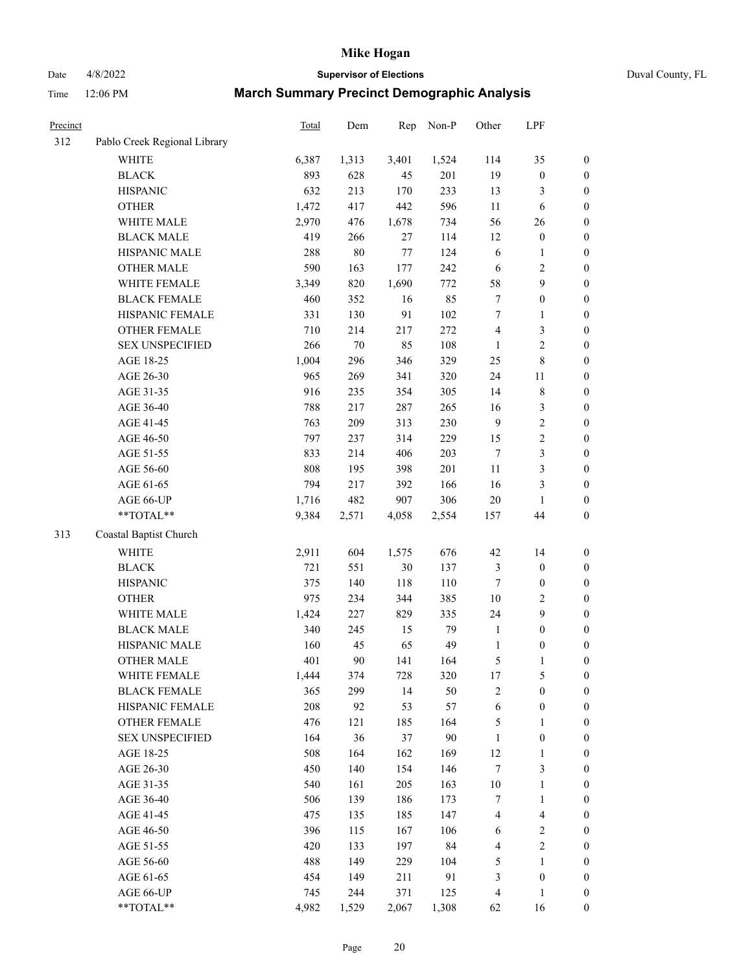# Date 4/8/2022 **Supervisor of Elections** Duval County, FL

| Precinct |                              | <b>Total</b> | Dem    | Rep    | Non-P  | Other            | LPF              |                  |
|----------|------------------------------|--------------|--------|--------|--------|------------------|------------------|------------------|
| 312      | Pablo Creek Regional Library |              |        |        |        |                  |                  |                  |
|          | <b>WHITE</b>                 | 6,387        | 1,313  | 3,401  | 1,524  | 114              | 35               | 0                |
|          | <b>BLACK</b>                 | 893          | 628    | 45     | 201    | 19               | $\boldsymbol{0}$ | 0                |
|          | <b>HISPANIC</b>              | 632          | 213    | 170    | 233    | 13               | 3                | $\boldsymbol{0}$ |
|          | <b>OTHER</b>                 | 1,472        | 417    | 442    | 596    | $11\,$           | 6                | $\boldsymbol{0}$ |
|          | WHITE MALE                   | 2,970        | 476    | 1,678  | 734    | 56               | 26               | $\boldsymbol{0}$ |
|          | <b>BLACK MALE</b>            | 419          | 266    | 27     | 114    | 12               | $\boldsymbol{0}$ | $\boldsymbol{0}$ |
|          | HISPANIC MALE                | 288          | $80\,$ | 77     | 124    | 6                | $\mathbf{1}$     | $\boldsymbol{0}$ |
|          | <b>OTHER MALE</b>            | 590          | 163    | 177    | 242    | 6                | $\sqrt{2}$       | $\boldsymbol{0}$ |
|          | WHITE FEMALE                 | 3,349        | 820    | 1,690  | 772    | 58               | $\boldsymbol{9}$ | $\boldsymbol{0}$ |
|          | <b>BLACK FEMALE</b>          | 460          | 352    | 16     | 85     | 7                | $\boldsymbol{0}$ | $\boldsymbol{0}$ |
|          | HISPANIC FEMALE              | 331          | 130    | 91     | 102    | 7                | $\mathbf{1}$     | 0                |
|          | <b>OTHER FEMALE</b>          | 710          | 214    | 217    | 272    | 4                | $\mathfrak{Z}$   | $\boldsymbol{0}$ |
|          | <b>SEX UNSPECIFIED</b>       | 266          | $70\,$ | 85     | 108    | $\mathbf{1}$     | $\sqrt{2}$       | $\boldsymbol{0}$ |
|          | AGE 18-25                    | 1,004        | 296    | 346    | 329    | $25\,$           | $\,$ $\,$        | $\boldsymbol{0}$ |
|          | AGE 26-30                    | 965          | 269    | 341    | 320    | 24               | $11\,$           | $\boldsymbol{0}$ |
|          | AGE 31-35                    | 916          | 235    | 354    | 305    | 14               | $\,$ $\,$        | $\boldsymbol{0}$ |
|          | AGE 36-40                    | 788          | 217    | 287    | 265    | 16               | $\sqrt{3}$       | $\boldsymbol{0}$ |
|          | AGE 41-45                    | 763          | 209    | 313    | 230    | $\mathbf{9}$     | $\sqrt{2}$       | $\boldsymbol{0}$ |
|          | AGE 46-50                    | 797          | 237    | 314    | 229    | 15               | $\sqrt{2}$       | $\boldsymbol{0}$ |
|          | AGE 51-55                    | 833          | 214    | 406    | 203    | $\tau$           | $\mathfrak{Z}$   | $\boldsymbol{0}$ |
|          | AGE 56-60                    | 808          | 195    | 398    | 201    | $11\,$           | $\mathfrak{Z}$   | 0                |
|          | AGE 61-65                    | 794          | 217    | 392    | 166    | 16               | $\mathfrak{Z}$   | $\boldsymbol{0}$ |
|          | AGE 66-UP                    | 1,716        | 482    | 907    | 306    | $20\,$           | $\mathbf{1}$     | $\boldsymbol{0}$ |
|          | $**TOTAL**$                  | 9,384        | 2,571  | 4,058  | 2,554  | 157              | 44               | $\boldsymbol{0}$ |
| 313      | Coastal Baptist Church       |              |        |        |        |                  |                  |                  |
|          | <b>WHITE</b>                 | 2,911        | 604    | 1,575  | 676    | 42               | 14               | $\boldsymbol{0}$ |
|          | <b>BLACK</b>                 | 721          | 551    | $30\,$ | 137    | 3                | $\boldsymbol{0}$ | $\boldsymbol{0}$ |
|          | <b>HISPANIC</b>              | 375          | 140    | 118    | 110    | $\tau$           | $\boldsymbol{0}$ | $\boldsymbol{0}$ |
|          | <b>OTHER</b>                 | 975          | 234    | 344    | 385    | $10\,$           | $\sqrt{2}$       | $\boldsymbol{0}$ |
|          | WHITE MALE                   | 1,424        | 227    | 829    | 335    | 24               | 9                | $\boldsymbol{0}$ |
|          | <b>BLACK MALE</b>            | 340          | 245    | 15     | 79     | $\mathbf{1}$     | $\boldsymbol{0}$ | $\boldsymbol{0}$ |
|          | HISPANIC MALE                | 160          | 45     | 65     | 49     | $\mathbf{1}$     | $\boldsymbol{0}$ | $\boldsymbol{0}$ |
|          | <b>OTHER MALE</b>            | 401          | 90     | 141    | 164    | 5                | $\mathbf{1}$     | $\boldsymbol{0}$ |
|          | WHITE FEMALE                 | 1,444        | 374    | 728    | 320    | 17               | 5                | 0                |
|          | <b>BLACK FEMALE</b>          | 365          | 299    | 14     | 50     | 2                | $\boldsymbol{0}$ | $\boldsymbol{0}$ |
|          | HISPANIC FEMALE              | 208          | 92     | 53     | 57     | 6                | $\boldsymbol{0}$ | $\overline{0}$   |
|          | <b>OTHER FEMALE</b>          | 476          | 121    | 185    | 164    | 5                | $\mathbf{1}$     | $\overline{0}$   |
|          | <b>SEX UNSPECIFIED</b>       | 164          | 36     | 37     | $90\,$ | $\mathbf{1}$     | $\boldsymbol{0}$ | 0                |
|          | AGE 18-25                    | 508          | 164    | 162    | 169    | 12               | $\mathbf{1}$     | 0                |
|          | AGE 26-30                    | 450          | 140    | 154    | 146    | $\boldsymbol{7}$ | 3                | 0                |
|          | AGE 31-35                    | 540          | 161    | 205    | 163    | $10\,$           | $\mathbf{1}$     | 0                |
|          | AGE 36-40                    | 506          | 139    | 186    | 173    | 7                | $\mathbf{1}$     | 0                |
|          | AGE 41-45                    | 475          | 135    | 185    | 147    | 4                | $\overline{4}$   | 0                |
|          | AGE 46-50                    | 396          | 115    | 167    | 106    | 6                | $\overline{c}$   | 0                |
|          | AGE 51-55                    | 420          | 133    | 197    | 84     | 4                | $\sqrt{2}$       | $\boldsymbol{0}$ |
|          | AGE 56-60                    | 488          | 149    | 229    | 104    | 5                | 1                | $\boldsymbol{0}$ |
|          | AGE 61-65                    | 454          | 149    | 211    | 91     | 3                | $\boldsymbol{0}$ | $\boldsymbol{0}$ |
|          | AGE 66-UP                    | 745          | 244    | 371    | 125    | 4                | $\mathbf{1}$     | 0                |
|          | **TOTAL**                    | 4,982        | 1,529  | 2,067  | 1,308  | 62               | 16               | $\boldsymbol{0}$ |
|          |                              |              |        |        |        |                  |                  |                  |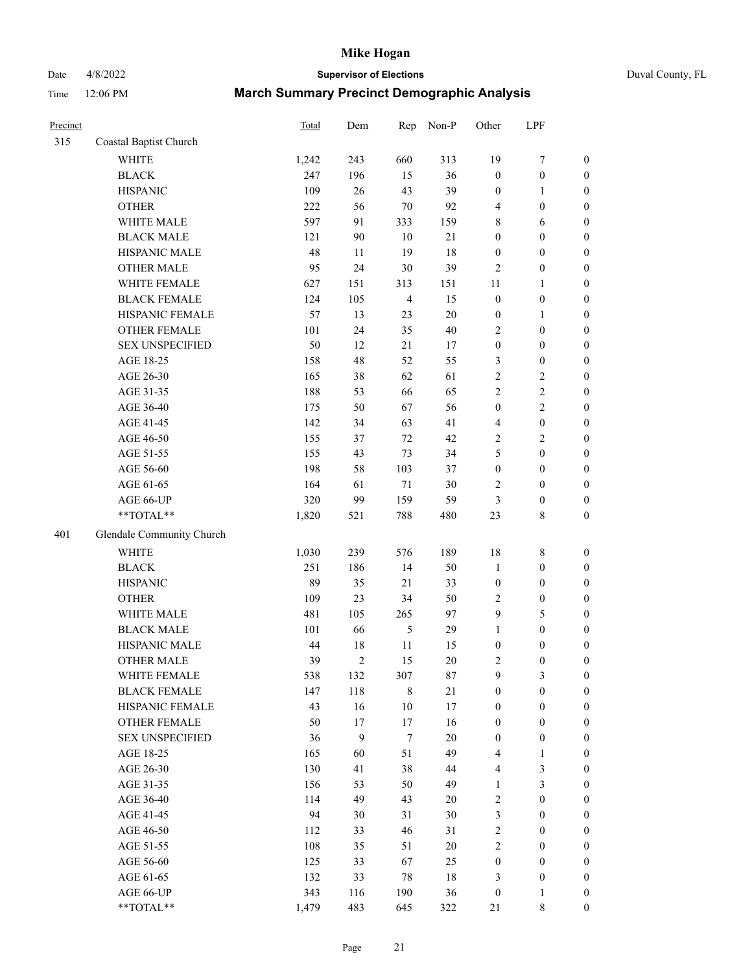Date 4/8/2022 **Supervisor of Elections** Duval County, FL

| Precinct |                                                            | Total | Dem            | Rep                     | Non-P  | Other            | LPF                             |                                      |
|----------|------------------------------------------------------------|-------|----------------|-------------------------|--------|------------------|---------------------------------|--------------------------------------|
| 315      | Coastal Baptist Church                                     |       |                |                         |        |                  |                                 |                                      |
|          | <b>WHITE</b>                                               | 1,242 | 243            | 660                     | 313    | 19               | $\boldsymbol{7}$                | 0                                    |
|          | <b>BLACK</b>                                               | 247   | 196            | 15                      | 36     | $\boldsymbol{0}$ | $\boldsymbol{0}$                | $\boldsymbol{0}$                     |
|          | <b>HISPANIC</b>                                            | 109   | 26             | 43                      | 39     | $\boldsymbol{0}$ | $\mathbf{1}$                    | $\boldsymbol{0}$                     |
|          | <b>OTHER</b>                                               | 222   | 56             | $70\,$                  | 92     | 4                | $\boldsymbol{0}$                | $\boldsymbol{0}$                     |
|          | WHITE MALE                                                 | 597   | 91             | 333                     | 159    | 8                | 6                               | $\boldsymbol{0}$                     |
|          | <b>BLACK MALE</b>                                          | 121   | 90             | 10                      | $21\,$ | $\boldsymbol{0}$ | $\boldsymbol{0}$                | $\boldsymbol{0}$                     |
|          | HISPANIC MALE                                              | 48    | 11             | 19                      | 18     | $\boldsymbol{0}$ | $\boldsymbol{0}$                | $\boldsymbol{0}$                     |
|          | <b>OTHER MALE</b>                                          | 95    | 24             | 30                      | 39     | 2                | $\boldsymbol{0}$                | $\boldsymbol{0}$                     |
|          | WHITE FEMALE                                               | 627   | 151            | 313                     | 151    | $11\,$           | 1                               | $\boldsymbol{0}$                     |
|          | <b>BLACK FEMALE</b>                                        | 124   | 105            | $\overline{\mathbf{4}}$ | 15     | $\boldsymbol{0}$ | $\boldsymbol{0}$                | $\boldsymbol{0}$                     |
|          | HISPANIC FEMALE                                            | 57    | 13             | 23                      | 20     | $\boldsymbol{0}$ | 1                               | $\boldsymbol{0}$                     |
|          | OTHER FEMALE                                               | 101   | 24             | 35                      | 40     | $\overline{c}$   | $\boldsymbol{0}$                | $\boldsymbol{0}$                     |
|          | <b>SEX UNSPECIFIED</b>                                     | 50    | 12             | 21                      | 17     | $\boldsymbol{0}$ | $\boldsymbol{0}$                | $\boldsymbol{0}$                     |
|          | AGE 18-25                                                  | 158   | 48             | 52                      | 55     | 3                | $\boldsymbol{0}$                | $\boldsymbol{0}$                     |
|          | AGE 26-30                                                  | 165   | 38             | 62                      | 61     | 2                | $\sqrt{2}$                      | $\boldsymbol{0}$                     |
|          | AGE 31-35                                                  | 188   | 53             | 66                      | 65     | $\overline{c}$   | $\sqrt{2}$                      | $\boldsymbol{0}$                     |
|          | AGE 36-40                                                  | 175   | 50             | 67                      | 56     | $\boldsymbol{0}$ | $\sqrt{2}$                      | $\boldsymbol{0}$                     |
|          | AGE 41-45                                                  | 142   | 34             | 63                      | 41     | 4                | $\boldsymbol{0}$                | $\boldsymbol{0}$                     |
|          | AGE 46-50                                                  | 155   | 37             | 72                      | 42     | $\mathbf{2}$     | $\sqrt{2}$                      | $\boldsymbol{0}$                     |
|          | AGE 51-55                                                  | 155   | 43             | 73                      | 34     | 5                | $\boldsymbol{0}$                | $\boldsymbol{0}$                     |
|          | AGE 56-60                                                  | 198   | 58             | 103                     | 37     | $\boldsymbol{0}$ | $\boldsymbol{0}$                |                                      |
|          | AGE 61-65                                                  | 164   | 61             | $71\,$                  | $30\,$ | 2                | $\boldsymbol{0}$                | $\boldsymbol{0}$<br>$\boldsymbol{0}$ |
|          |                                                            | 320   | 99             | 159                     | 59     |                  |                                 |                                      |
|          | AGE 66-UP<br>$**TOTAL**$                                   |       | 521            | 788                     | 480    | 3<br>23          | $\boldsymbol{0}$<br>$\,$ 8 $\,$ | $\boldsymbol{0}$<br>$\boldsymbol{0}$ |
|          |                                                            | 1,820 |                |                         |        |                  |                                 |                                      |
| 401      | Glendale Community Church                                  |       |                |                         |        |                  |                                 |                                      |
|          | WHITE                                                      | 1,030 | 239            | 576                     | 189    | 18               | $\,$ 8 $\,$                     | $\boldsymbol{0}$                     |
|          | <b>BLACK</b>                                               | 251   | 186            | 14                      | 50     | 1                | $\boldsymbol{0}$                | $\boldsymbol{0}$                     |
|          | <b>HISPANIC</b>                                            | 89    | 35             | 21                      | 33     | $\boldsymbol{0}$ | $\boldsymbol{0}$                | $\boldsymbol{0}$                     |
|          | <b>OTHER</b>                                               | 109   | 23             | 34                      | 50     | 2                | $\boldsymbol{0}$                | $\boldsymbol{0}$                     |
|          | WHITE MALE                                                 | 481   | 105            | 265                     | 97     | 9                | $\mathfrak s$                   | $\boldsymbol{0}$                     |
|          | <b>BLACK MALE</b>                                          | 101   | 66             | $\mathfrak{S}$          | 29     | $\mathbf{1}$     | $\boldsymbol{0}$                | $\boldsymbol{0}$                     |
|          | HISPANIC MALE                                              | 44    | 18             | $11\,$                  | 15     | $\boldsymbol{0}$ | $\boldsymbol{0}$                | $\boldsymbol{0}$                     |
|          | <b>OTHER MALE</b>                                          | 39    | $\overline{2}$ | 15                      | 20     | 2                | $\boldsymbol{0}$                | $\boldsymbol{0}$                     |
|          | WHITE FEMALE                                               | 538   | 132            | 307                     | 87     | 9                | 3                               | 0                                    |
|          | <b>BLACK FEMALE</b>                                        | 147   | 118            | 8                       | $21\,$ | $\boldsymbol{0}$ | $\boldsymbol{0}$                | $\overline{0}$                       |
|          | HISPANIC FEMALE                                            | 43    | 16             | 10                      | 17     | 0                | $\boldsymbol{0}$                | $\overline{0}$                       |
|          | OTHER FEMALE                                               | 50    | 17             | 17                      | 16     | 0                | $\boldsymbol{0}$                | $\overline{0}$                       |
|          | <b>SEX UNSPECIFIED</b>                                     | 36    | 9              | $\boldsymbol{7}$        | 20     | $\boldsymbol{0}$ | $\boldsymbol{0}$                | 0                                    |
|          | AGE 18-25                                                  | 165   | 60             | 51                      | 49     | 4                | $\mathbf{1}$                    | 0                                    |
|          | AGE 26-30                                                  | 130   | 41             | 38                      | 44     | 4                | 3                               | 0                                    |
|          | AGE 31-35                                                  | 156   | 53             | 50                      | 49     | 1                | $\mathfrak{Z}$                  | 0                                    |
|          | AGE 36-40                                                  | 114   | 49             | 43                      | 20     | 2                | $\boldsymbol{0}$                | 0                                    |
|          | AGE 41-45                                                  | 94    | 30             | 31                      | 30     | 3                | $\boldsymbol{0}$                | 0                                    |
|          | AGE 46-50                                                  | 112   | 33             | 46                      | 31     | 2                | $\boldsymbol{0}$                | 0                                    |
|          | AGE 51-55                                                  | 108   | 35             | 51                      | 20     | $\overline{c}$   | $\boldsymbol{0}$                | 0                                    |
|          | AGE 56-60                                                  | 125   | 33             | 67                      | 25     | $\boldsymbol{0}$ | $\boldsymbol{0}$                | $\overline{0}$                       |
|          | AGE 61-65                                                  | 132   | 33             | 78                      | 18     | 3                | $\boldsymbol{0}$                | $\overline{0}$                       |
|          | AGE 66-UP                                                  | 343   | 116            | 190                     | 36     | $\boldsymbol{0}$ | $\mathbf{1}$                    | 0                                    |
|          | $\mathrm{*}\mathrm{*} \mathrm{TOTAL} \mathrm{*}\mathrm{*}$ | 1,479 | 483            | 645                     | 322    | 21               | $\,$ 8 $\,$                     | $\boldsymbol{0}$                     |
|          |                                                            |       |                |                         |        |                  |                                 |                                      |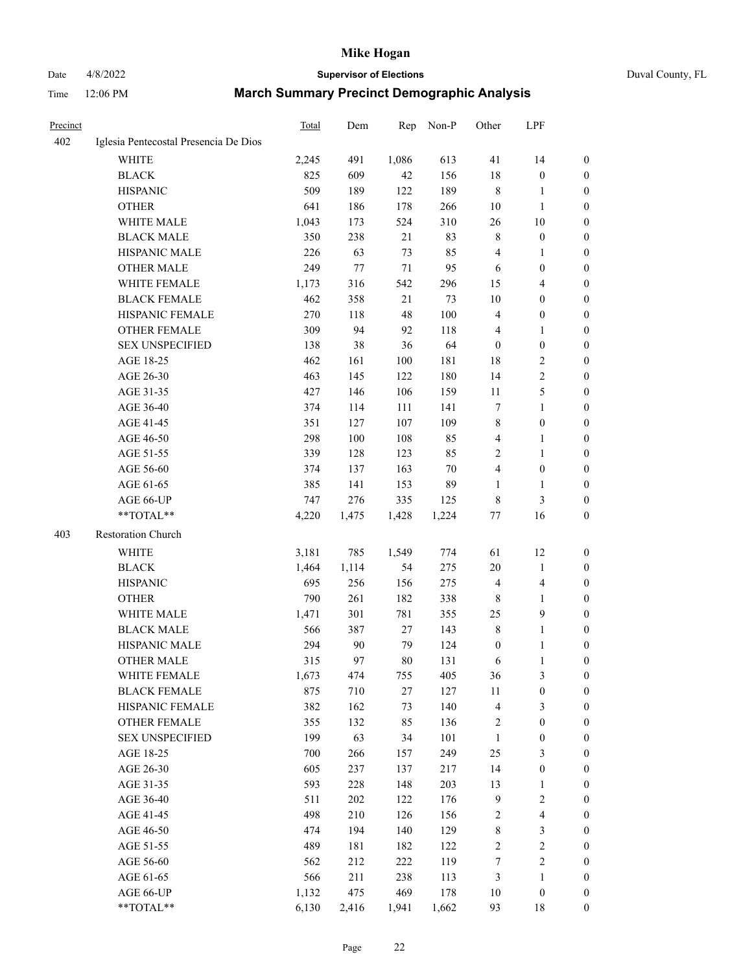# Date 4/8/2022 **Supervisor of Elections** Duval County, FL

| Precinct |                                       | Total | Dem   | Rep   | Non-P  | Other            | LPF                     |                  |
|----------|---------------------------------------|-------|-------|-------|--------|------------------|-------------------------|------------------|
| 402      | Iglesia Pentecostal Presencia De Dios |       |       |       |        |                  |                         |                  |
|          | <b>WHITE</b>                          | 2,245 | 491   | 1,086 | 613    | 41               | 14                      | 0                |
|          | <b>BLACK</b>                          | 825   | 609   | 42    | 156    | 18               | $\boldsymbol{0}$        | $\boldsymbol{0}$ |
|          | <b>HISPANIC</b>                       | 509   | 189   | 122   | 189    | 8                | 1                       | $\boldsymbol{0}$ |
|          | <b>OTHER</b>                          | 641   | 186   | 178   | 266    | 10               | $\mathbf{1}$            | $\boldsymbol{0}$ |
|          | WHITE MALE                            | 1,043 | 173   | 524   | 310    | 26               | $10\,$                  | $\boldsymbol{0}$ |
|          | <b>BLACK MALE</b>                     | 350   | 238   | 21    | 83     | 8                | $\boldsymbol{0}$        | $\boldsymbol{0}$ |
|          | HISPANIC MALE                         | 226   | 63    | 73    | 85     | 4                | $\mathbf{1}$            | $\boldsymbol{0}$ |
|          | <b>OTHER MALE</b>                     | 249   | 77    | 71    | 95     | 6                | $\boldsymbol{0}$        | $\boldsymbol{0}$ |
|          | <b>WHITE FEMALE</b>                   | 1,173 | 316   | 542   | 296    | 15               | $\overline{4}$          | 0                |
|          | <b>BLACK FEMALE</b>                   | 462   | 358   | 21    | 73     | 10               | $\boldsymbol{0}$        | 0                |
|          | HISPANIC FEMALE                       | 270   | 118   | 48    | 100    | 4                | $\boldsymbol{0}$        | 0                |
|          | OTHER FEMALE                          | 309   | 94    | 92    | 118    | 4                | $\mathbf{1}$            | $\boldsymbol{0}$ |
|          | <b>SEX UNSPECIFIED</b>                | 138   | 38    | 36    | 64     | $\boldsymbol{0}$ | $\boldsymbol{0}$        | $\boldsymbol{0}$ |
|          | AGE 18-25                             | 462   | 161   | 100   | 181    | 18               | $\sqrt{2}$              | $\boldsymbol{0}$ |
|          | AGE 26-30                             | 463   | 145   | 122   | 180    | 14               | $\sqrt{2}$              | $\boldsymbol{0}$ |
|          | AGE 31-35                             | 427   | 146   | 106   | 159    | 11               | $\mathfrak s$           | $\boldsymbol{0}$ |
|          | AGE 36-40                             | 374   | 114   | 111   | 141    | 7                | $\mathbf{1}$            | $\boldsymbol{0}$ |
|          | AGE 41-45                             | 351   | 127   | 107   | 109    | $\,$ $\,$        | $\boldsymbol{0}$        | $\boldsymbol{0}$ |
|          | AGE 46-50                             | 298   | 100   | 108   | 85     | 4                | $\mathbf{1}$            | 0                |
|          | AGE 51-55                             | 339   | 128   | 123   | 85     | 2                | $\mathbf{1}$            | 0                |
|          | AGE 56-60                             | 374   | 137   | 163   | $70\,$ | 4                | $\boldsymbol{0}$        | 0                |
|          | AGE 61-65                             | 385   | 141   | 153   | 89     | 1                | $\mathbf{1}$            | 0                |
|          | AGE 66-UP                             | 747   | 276   | 335   | 125    | 8                | $\mathfrak{Z}$          | $\boldsymbol{0}$ |
|          | **TOTAL**                             | 4,220 | 1,475 | 1,428 | 1,224  | 77               | 16                      | $\boldsymbol{0}$ |
| 403      | Restoration Church                    |       |       |       |        |                  |                         |                  |
|          | WHITE                                 | 3,181 | 785   | 1,549 | 774    | 61               | 12                      | $\boldsymbol{0}$ |
|          | <b>BLACK</b>                          | 1,464 | 1,114 | 54    | 275    | 20               | $\mathbf{1}$            | $\boldsymbol{0}$ |
|          | <b>HISPANIC</b>                       | 695   | 256   | 156   | 275    | 4                | $\overline{\mathbf{4}}$ | $\boldsymbol{0}$ |
|          | <b>OTHER</b>                          | 790   | 261   | 182   | 338    | $\,$ 8 $\,$      | $\mathbf{1}$            | $\boldsymbol{0}$ |
|          | WHITE MALE                            | 1,471 | 301   | 781   | 355    | 25               | $\mathbf{9}$            | $\overline{0}$   |
|          | <b>BLACK MALE</b>                     | 566   | 387   | 27    | 143    | 8                | $\mathbf{1}$            | 0                |
|          | HISPANIC MALE                         | 294   | 90    | 79    | 124    | $\boldsymbol{0}$ | $\mathbf{1}$            | 0                |
|          | <b>OTHER MALE</b>                     | 315   | 97    | 80    | 131    | 6                | $\mathbf{1}$            | $\boldsymbol{0}$ |
|          | WHITE FEMALE                          | 1,673 | 474   | 755   | 405    | 36               | 3                       | $\overline{0}$   |
|          | <b>BLACK FEMALE</b>                   | 875   | 710   | 27    | 127    | 11               | $\boldsymbol{0}$        | $\boldsymbol{0}$ |
|          | HISPANIC FEMALE                       | 382   | 162   | 73    | 140    | 4                | $\mathfrak{Z}$          | $\overline{0}$   |
|          | OTHER FEMALE                          | 355   | 132   | 85    | 136    | 2                | $\boldsymbol{0}$        | 0                |
|          | <b>SEX UNSPECIFIED</b>                | 199   | 63    | 34    | 101    | $\mathbf{1}$     | $\boldsymbol{0}$        | 0                |
|          | AGE 18-25                             | 700   | 266   | 157   | 249    | $25\,$           | $\mathfrak{Z}$          | 0                |
|          | AGE 26-30                             | 605   | 237   | 137   | 217    | 14               | $\boldsymbol{0}$        | 0                |
|          | AGE 31-35                             | 593   | 228   | 148   | 203    | 13               | $\mathbf{1}$            | 0                |
|          | AGE 36-40                             | 511   | 202   | 122   | 176    | $\overline{9}$   | $\sqrt{2}$              | 0                |
|          | AGE 41-45                             | 498   | 210   | 126   | 156    | 2                | $\overline{\mathbf{4}}$ | 0                |
|          | AGE 46-50                             | 474   | 194   | 140   | 129    | $\,$ 8 $\,$      | $\mathfrak{Z}$          | 0                |
|          | AGE 51-55                             | 489   | 181   | 182   | 122    | $\sqrt{2}$       | $\sqrt{2}$              | $\boldsymbol{0}$ |
|          | AGE 56-60                             | 562   | 212   | 222   | 119    | 7                | $\sqrt{2}$              | $\boldsymbol{0}$ |
|          | AGE 61-65                             | 566   | 211   | 238   | 113    | 3                | $\mathbf{1}$            | 0                |
|          | AGE 66-UP                             | 1,132 | 475   | 469   | 178    | $10\,$           | $\boldsymbol{0}$        | 0                |
|          | **TOTAL**                             | 6,130 | 2,416 | 1,941 | 1,662  | 93               | 18                      | $\boldsymbol{0}$ |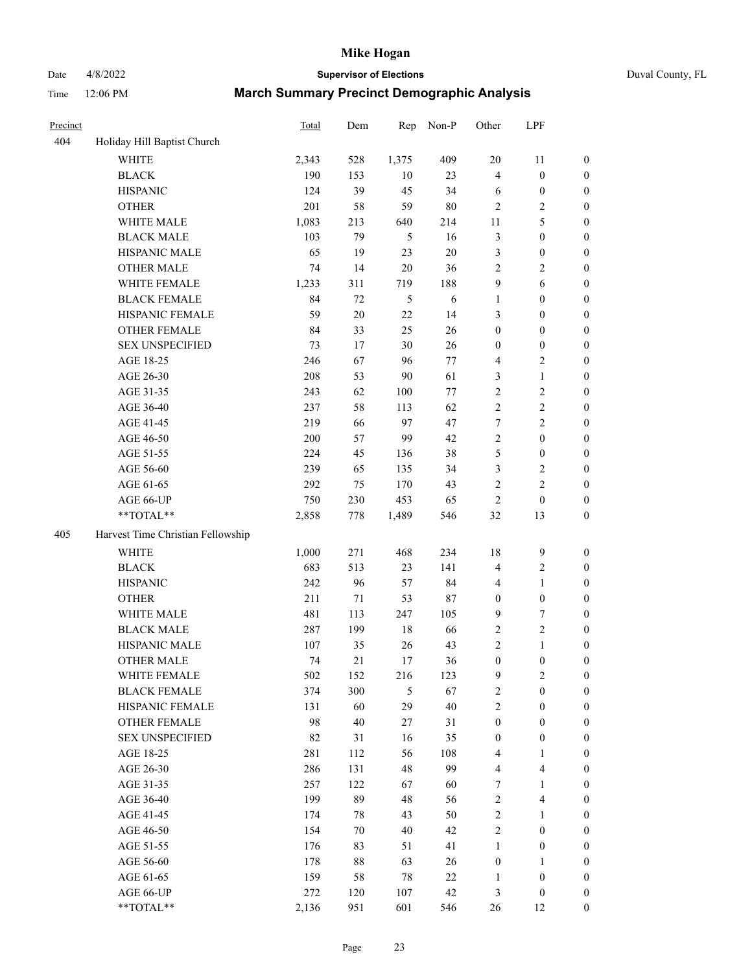## Date 4/8/2022 **Supervisor of Elections** Duval County, FL

| Precinct |                                   | <b>Total</b> | Dem    | Rep    | Non-P  | Other            | LPF                     |                  |
|----------|-----------------------------------|--------------|--------|--------|--------|------------------|-------------------------|------------------|
| 404      | Holiday Hill Baptist Church       |              |        |        |        |                  |                         |                  |
|          | <b>WHITE</b>                      | 2,343        | 528    | 1,375  | 409    | 20               | 11                      | 0                |
|          | <b>BLACK</b>                      | 190          | 153    | 10     | 23     | $\overline{4}$   | $\boldsymbol{0}$        | $\boldsymbol{0}$ |
|          | <b>HISPANIC</b>                   | 124          | 39     | 45     | 34     | 6                | $\boldsymbol{0}$        | $\boldsymbol{0}$ |
|          | <b>OTHER</b>                      | 201          | 58     | 59     | $80\,$ | $\overline{2}$   | $\sqrt{2}$              | $\boldsymbol{0}$ |
|          | WHITE MALE                        | 1,083        | 213    | 640    | 214    | 11               | $\mathfrak{S}$          | $\boldsymbol{0}$ |
|          | <b>BLACK MALE</b>                 | 103          | 79     | 5      | 16     | 3                | $\boldsymbol{0}$        | $\boldsymbol{0}$ |
|          | HISPANIC MALE                     | 65           | 19     | 23     | $20\,$ | 3                | $\boldsymbol{0}$        | $\boldsymbol{0}$ |
|          | <b>OTHER MALE</b>                 | 74           | 14     | $20\,$ | 36     | $\mathfrak{2}$   | $\overline{2}$          | $\boldsymbol{0}$ |
|          | WHITE FEMALE                      | 1,233        | 311    | 719    | 188    | 9                | $\sqrt{6}$              | $\boldsymbol{0}$ |
|          | <b>BLACK FEMALE</b>               | 84           | 72     | 5      | 6      | $\mathbf{1}$     | $\boldsymbol{0}$        | 0                |
|          | HISPANIC FEMALE                   | 59           | $20\,$ | 22     | 14     | 3                | $\boldsymbol{0}$        | 0                |
|          | OTHER FEMALE                      | 84           | 33     | 25     | 26     | $\boldsymbol{0}$ | $\boldsymbol{0}$        | $\boldsymbol{0}$ |
|          | <b>SEX UNSPECIFIED</b>            | 73           | 17     | 30     | 26     | $\boldsymbol{0}$ | $\boldsymbol{0}$        | $\boldsymbol{0}$ |
|          | AGE 18-25                         | 246          | 67     | 96     | 77     | 4                | $\sqrt{2}$              | $\boldsymbol{0}$ |
|          | AGE 26-30                         | 208          | 53     | $90\,$ | 61     | 3                | $\mathbf{1}$            | $\boldsymbol{0}$ |
|          | AGE 31-35                         | 243          | 62     | 100    | 77     | $\sqrt{2}$       | $\sqrt{2}$              | $\boldsymbol{0}$ |
|          | AGE 36-40                         | 237          | 58     | 113    | 62     | $\overline{c}$   | $\sqrt{2}$              | $\boldsymbol{0}$ |
|          | AGE 41-45                         | 219          | 66     | 97     | 47     | $\tau$           | $\overline{2}$          | $\boldsymbol{0}$ |
|          | AGE 46-50                         | 200          | 57     | 99     | 42     | $\overline{c}$   | $\boldsymbol{0}$        | $\boldsymbol{0}$ |
|          | AGE 51-55                         | 224          | 45     | 136    | 38     | 5                | $\boldsymbol{0}$        | $\boldsymbol{0}$ |
|          | AGE 56-60                         | 239          | 65     | 135    | 34     | 3                | $\sqrt{2}$              | 0                |
|          | AGE 61-65                         | 292          | 75     | 170    | 43     | $\mathfrak{2}$   | $\overline{c}$          | 0                |
|          | AGE 66-UP                         | 750          | 230    | 453    | 65     | $\sqrt{2}$       | $\boldsymbol{0}$        | $\boldsymbol{0}$ |
|          | $**TOTAL**$                       | 2,858        | 778    | 1,489  | 546    | 32               | 13                      | $\boldsymbol{0}$ |
| 405      | Harvest Time Christian Fellowship |              |        |        |        |                  |                         |                  |
|          | <b>WHITE</b>                      | 1,000        | 271    | 468    | 234    | 18               | $\mathbf{9}$            | $\boldsymbol{0}$ |
|          | <b>BLACK</b>                      | 683          | 513    | 23     | 141    | 4                | $\sqrt{2}$              | $\boldsymbol{0}$ |
|          | <b>HISPANIC</b>                   | 242          | 96     | 57     | 84     | 4                | $\mathbf{1}$            | $\boldsymbol{0}$ |
|          | <b>OTHER</b>                      | 211          | 71     | 53     | $87\,$ | $\boldsymbol{0}$ | $\boldsymbol{0}$        | $\boldsymbol{0}$ |
|          | WHITE MALE                        | 481          | 113    | 247    | 105    | 9                | $\tau$                  | $\boldsymbol{0}$ |
|          | <b>BLACK MALE</b>                 | 287          | 199    | 18     | 66     | $\sqrt{2}$       | $\overline{2}$          | $\boldsymbol{0}$ |
|          | HISPANIC MALE                     | 107          | 35     | 26     | 43     | $\overline{c}$   | $\mathbf{1}$            | $\boldsymbol{0}$ |
|          | <b>OTHER MALE</b>                 | 74           | 21     | 17     | 36     | $\boldsymbol{0}$ | $\boldsymbol{0}$        | $\boldsymbol{0}$ |
|          | WHITE FEMALE                      | 502          | 152    | 216    | 123    | 9                | 2                       | 0                |
|          | <b>BLACK FEMALE</b>               | 374          | 300    | 5      | 67     | $\sqrt{2}$       | $\boldsymbol{0}$        | $\boldsymbol{0}$ |
|          | HISPANIC FEMALE                   | 131          | 60     | 29     | 40     | $\overline{c}$   | $\boldsymbol{0}$        | $\overline{0}$   |
|          | OTHER FEMALE                      | 98           | 40     | $27\,$ | 31     | $\boldsymbol{0}$ | $\boldsymbol{0}$        | $\overline{0}$   |
|          | <b>SEX UNSPECIFIED</b>            | 82           | 31     | 16     | 35     | $\boldsymbol{0}$ | $\boldsymbol{0}$        | 0                |
|          | AGE 18-25                         | 281          | 112    | 56     | 108    | 4                | $\mathbf{1}$            | $\theta$         |
|          | AGE 26-30                         | 286          | 131    | 48     | 99     | 4                | $\overline{\mathbf{4}}$ | 0                |
|          | AGE 31-35                         | 257          | 122    | 67     | 60     | 7                | $\mathbf{1}$            | 0                |
|          | AGE 36-40                         | 199          | 89     | 48     | 56     | $\sqrt{2}$       | $\overline{\mathbf{4}}$ | 0                |
|          | AGE 41-45                         | 174          | 78     | 43     | 50     | $\sqrt{2}$       | $\mathbf{1}$            | 0                |
|          | AGE 46-50                         | 154          | 70     | 40     | 42     | $\sqrt{2}$       | $\boldsymbol{0}$        | 0                |
|          | AGE 51-55                         | 176          | 83     | 51     | 41     | $\mathbf{1}$     | $\boldsymbol{0}$        | 0                |
|          | AGE 56-60                         | 178          | 88     | 63     | 26     | $\boldsymbol{0}$ | $\mathbf{1}$            | $\overline{0}$   |
|          | AGE 61-65                         | 159          | 58     | 78     | $22\,$ | 1                | $\boldsymbol{0}$        | $\overline{0}$   |
|          | AGE 66-UP                         | 272          | 120    | 107    | 42     | 3                | $\boldsymbol{0}$        | $\boldsymbol{0}$ |
|          | **TOTAL**                         | 2,136        | 951    | 601    | 546    | 26               | 12                      | $\boldsymbol{0}$ |
|          |                                   |              |        |        |        |                  |                         |                  |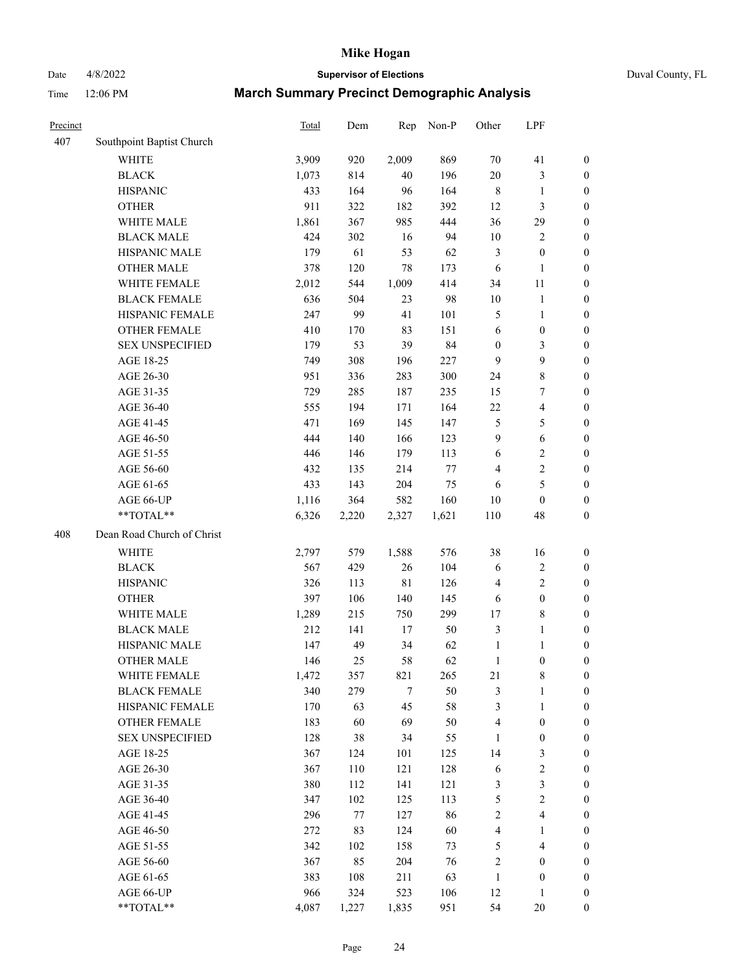Date 4/8/2022 **Supervisor of Elections** Duval County, FL

| Precinct |                                                           | <b>Total</b>   | Dem   | Rep   | Non-P        | Other            | LPF                     |                                      |
|----------|-----------------------------------------------------------|----------------|-------|-------|--------------|------------------|-------------------------|--------------------------------------|
| 407      | Southpoint Baptist Church                                 |                |       |       |              |                  |                         |                                      |
|          | <b>WHITE</b>                                              | 3,909          | 920   | 2,009 | 869          | 70               | 41                      | 0                                    |
|          | <b>BLACK</b>                                              | 1,073          | 814   | 40    | 196          | $20\,$           | $\mathfrak{Z}$          | 0                                    |
|          | <b>HISPANIC</b>                                           | 433            | 164   | 96    | 164          | $\,$ 8 $\,$      | $\mathbf{1}$            | $\boldsymbol{0}$                     |
|          | <b>OTHER</b>                                              | 911            | 322   | 182   | 392          | 12               | $\mathfrak{Z}$          | $\boldsymbol{0}$                     |
|          | WHITE MALE                                                | 1,861          | 367   | 985   | 444          | 36               | 29                      | $\boldsymbol{0}$                     |
|          | <b>BLACK MALE</b>                                         | 424            | 302   | 16    | 94           | $10\,$           | $\sqrt{2}$              | $\boldsymbol{0}$                     |
|          | HISPANIC MALE                                             | 179            | 61    | 53    | 62           | 3                | $\boldsymbol{0}$        | $\boldsymbol{0}$                     |
|          | <b>OTHER MALE</b>                                         | 378            | 120   | 78    | 173          | 6                | $\mathbf{1}$            | $\boldsymbol{0}$                     |
|          | WHITE FEMALE                                              | 2,012          | 544   | 1,009 | 414          | 34               | 11                      | $\boldsymbol{0}$                     |
|          | <b>BLACK FEMALE</b>                                       | 636            | 504   | 23    | 98           | $10\,$           | $\mathbf{1}$            | 0                                    |
|          | HISPANIC FEMALE                                           | 247            | 99    | 41    | 101          | 5                | $\mathbf{1}$            | 0                                    |
|          | <b>OTHER FEMALE</b>                                       | 410            | 170   | 83    | 151          | 6                | $\boldsymbol{0}$        | $\boldsymbol{0}$                     |
|          | <b>SEX UNSPECIFIED</b>                                    | 179            | 53    | 39    | 84           | $\boldsymbol{0}$ | 3                       | $\boldsymbol{0}$                     |
|          | AGE 18-25                                                 | 749            | 308   | 196   | 227          | 9                | 9                       | $\boldsymbol{0}$                     |
|          | AGE 26-30                                                 | 951            | 336   | 283   | 300          | 24               | $8\,$                   | $\boldsymbol{0}$                     |
|          | AGE 31-35                                                 | 729            | 285   | 187   | 235          | 15               | $\boldsymbol{7}$        | $\boldsymbol{0}$                     |
|          | AGE 36-40                                                 | 555            | 194   | 171   | 164          | $22\,$           | $\overline{\mathbf{4}}$ | $\boldsymbol{0}$                     |
|          | AGE 41-45                                                 | 471            | 169   | 145   | 147          | $\mathfrak{S}$   | 5                       | $\boldsymbol{0}$                     |
|          | AGE 46-50                                                 | 444            | 140   | 166   | 123          | $\mathbf{9}$     | $\sqrt{6}$              | $\boldsymbol{0}$                     |
|          | AGE 51-55                                                 | 446            | 146   | 179   | 113          | 6                | $\mathbf{2}$            | $\boldsymbol{0}$                     |
|          | AGE 56-60                                                 | 432            |       | 214   | 77           | 4                | $\sqrt{2}$              |                                      |
|          |                                                           | 433            | 135   | 204   | 75           |                  | $\mathfrak s$           | 0<br>$\boldsymbol{0}$                |
|          | AGE 61-65                                                 |                | 143   |       |              | 6                |                         |                                      |
|          | AGE 66-UP<br>**TOTAL**                                    | 1,116<br>6,326 | 364   | 582   | 160<br>1,621 | $10\,$<br>110    | $\boldsymbol{0}$<br>48  | $\boldsymbol{0}$<br>$\boldsymbol{0}$ |
|          |                                                           |                | 2,220 | 2,327 |              |                  |                         |                                      |
| 408      | Dean Road Church of Christ                                |                |       |       |              |                  |                         |                                      |
|          | <b>WHITE</b>                                              | 2,797          | 579   | 1,588 | 576          | 38               | 16                      | $\boldsymbol{0}$                     |
|          | <b>BLACK</b>                                              | 567            | 429   | 26    | 104          | 6                | $\sqrt{2}$              | $\boldsymbol{0}$                     |
|          | <b>HISPANIC</b>                                           | 326            | 113   | 81    | 126          | 4                | $\mathbf{2}$            | $\boldsymbol{0}$                     |
|          | <b>OTHER</b>                                              | 397            | 106   | 140   | 145          | 6                | $\boldsymbol{0}$        | $\boldsymbol{0}$                     |
|          | WHITE MALE                                                | 1,289          | 215   | 750   | 299          | 17               | $8\,$                   | $\boldsymbol{0}$                     |
|          | <b>BLACK MALE</b>                                         | 212            | 141   | 17    | 50           | 3                | $\mathbf{1}$            | $\boldsymbol{0}$                     |
|          | HISPANIC MALE                                             | 147            | 49    | 34    | 62           | $\mathbf{1}$     | 1                       | 0                                    |
|          | OTHER MALE                                                | 146            | 25    | 58    | 62           | $\mathbf{1}$     | $\boldsymbol{0}$        | $\boldsymbol{0}$                     |
|          | WHITE FEMALE                                              | 1,472          | 357   | 821   | 265          | 21               | 8                       | 0                                    |
|          | <b>BLACK FEMALE</b>                                       | 340            | 279   | 7     | 50           | 3                | $\mathbf{1}$            | $\boldsymbol{0}$                     |
|          | HISPANIC FEMALE                                           | 170            | 63    | 45    | 58           | 3                | $\mathbf{1}$            | $\overline{0}$                       |
|          | OTHER FEMALE                                              | 183            | 60    | 69    | 50           | 4                | $\boldsymbol{0}$        | $\overline{0}$                       |
|          | <b>SEX UNSPECIFIED</b>                                    | 128            | 38    | 34    | 55           | $\mathbf{1}$     | $\boldsymbol{0}$        | 0                                    |
|          | AGE 18-25                                                 | 367            | 124   | 101   | 125          | 14               | $\mathfrak{Z}$          | 0                                    |
|          | AGE 26-30                                                 | 367            | 110   | 121   | 128          | 6                | $\sqrt{2}$              | 0                                    |
|          | AGE 31-35                                                 | 380            | 112   | 141   | 121          | 3                | $\mathfrak{Z}$          | 0                                    |
|          | AGE 36-40                                                 | 347            | 102   | 125   | 113          | 5                | $\sqrt{2}$              | 0                                    |
|          | AGE 41-45                                                 | 296            | 77    | 127   | 86           | 2                | $\overline{4}$          | 0                                    |
|          | AGE 46-50                                                 | 272            | 83    | 124   | 60           | 4                | 1                       | 0                                    |
|          | AGE 51-55                                                 | 342            | 102   | 158   | 73           | 5                | $\overline{4}$          | 0                                    |
|          | AGE 56-60                                                 | 367            | 85    | 204   | 76           | 2                | $\boldsymbol{0}$        | 0                                    |
|          | AGE 61-65                                                 | 383            | 108   | 211   | 63           | $\mathbf{1}$     | $\boldsymbol{0}$        | 0                                    |
|          | AGE 66-UP                                                 | 966            | 324   | 523   | 106          | 12               | $\mathbf{1}$            | 0                                    |
|          | $\mathrm{*}\mathrm{*}\mathrm{TOTAL} \mathrm{*}\mathrm{*}$ | 4,087          | 1,227 | 1,835 | 951          | 54               | 20                      | $\boldsymbol{0}$                     |
|          |                                                           |                |       |       |              |                  |                         |                                      |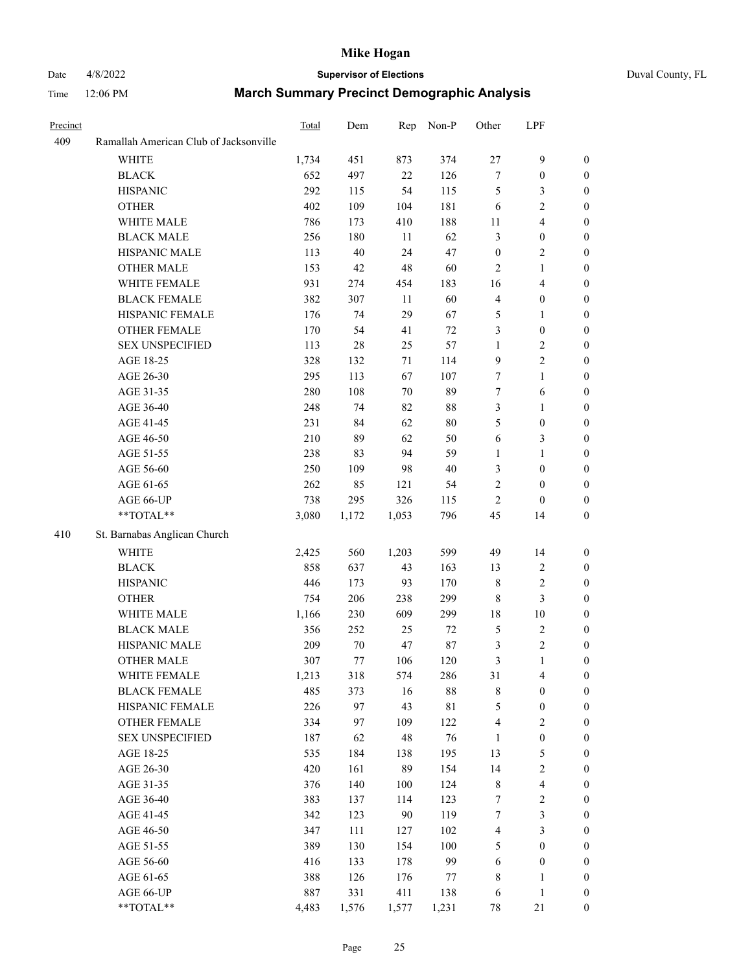# Date 4/8/2022 **Supervisor of Elections** Duval County, FL

| Precinct |                                        | Total        | Dem        | Rep        | Non-P         | Other             | LPF                          |                                      |
|----------|----------------------------------------|--------------|------------|------------|---------------|-------------------|------------------------------|--------------------------------------|
| 409      | Ramallah American Club of Jacksonville |              |            |            |               |                   |                              |                                      |
|          | <b>WHITE</b>                           | 1,734        | 451        | 873        | 374           | $27\,$            | $\mathbf{9}$                 | $\boldsymbol{0}$                     |
|          | <b>BLACK</b>                           | 652          | 497        | 22         | 126           | 7                 | $\boldsymbol{0}$             | $\boldsymbol{0}$                     |
|          | <b>HISPANIC</b>                        | 292          | 115        | 54         | 115           | 5                 | $\mathfrak{Z}$               | $\boldsymbol{0}$                     |
|          | <b>OTHER</b>                           | 402          | 109        | 104        | 181           | 6                 | $\sqrt{2}$                   | $\boldsymbol{0}$                     |
|          | WHITE MALE                             | 786          | 173        | 410        | 188           | 11                | $\overline{\mathbf{4}}$      | $\boldsymbol{0}$                     |
|          | <b>BLACK MALE</b>                      | 256          | 180        | 11         | 62            | 3                 | $\boldsymbol{0}$             | $\boldsymbol{0}$                     |
|          | HISPANIC MALE                          | 113          | 40         | 24         | 47            | $\boldsymbol{0}$  | $\mathfrak{2}$               | 0                                    |
|          | <b>OTHER MALE</b>                      | 153          | 42         | 48         | 60            | 2                 | $\mathbf{1}$                 | 0                                    |
|          | WHITE FEMALE                           | 931          | 274        | 454        | 183           | 16                | $\overline{\mathbf{4}}$      | 0                                    |
|          | <b>BLACK FEMALE</b>                    | 382          | 307        | $11\,$     | 60            | 4                 | $\boldsymbol{0}$             | $\boldsymbol{0}$                     |
|          | HISPANIC FEMALE                        | 176          | 74         | 29         | 67            | 5                 | 1                            | $\boldsymbol{0}$                     |
|          | OTHER FEMALE                           | 170          | 54         | 41         | $72\,$        | 3                 | $\boldsymbol{0}$             | $\boldsymbol{0}$                     |
|          | <b>SEX UNSPECIFIED</b>                 | 113          | $28\,$     | 25         | 57            | $\mathbf{1}$      | $\sqrt{2}$                   | $\boldsymbol{0}$                     |
|          | AGE 18-25                              | 328          | 132        | 71         | 114           | 9                 | $\sqrt{2}$                   | $\boldsymbol{0}$                     |
|          | AGE 26-30                              | 295          | 113        | 67         | 107           | $\boldsymbol{7}$  | $\mathbf{1}$                 | $\overline{0}$                       |
|          | AGE 31-35                              | 280          | 108        | $70\,$     | 89            | 7                 | $\sqrt{6}$                   | $\boldsymbol{0}$                     |
|          | AGE 36-40                              | 248          | 74         | 82         | $88\,$        | 3                 | $\mathbf{1}$                 | 0                                    |
|          | AGE 41-45                              | 231          | 84         | 62         | $80\,$        | 5                 | $\boldsymbol{0}$             | 0                                    |
|          | AGE 46-50                              | 210          | 89         | 62         | 50            | 6                 | 3                            | 0                                    |
|          | AGE 51-55                              | 238          | 83         | 94         | 59            | 1                 | $\mathbf{1}$                 | $\boldsymbol{0}$                     |
|          | AGE 56-60                              | 250          | 109        | 98         | 40            | 3                 | $\boldsymbol{0}$             | $\boldsymbol{0}$                     |
|          | AGE 61-65                              | 262          | 85         | 121        | 54            | 2                 | $\boldsymbol{0}$             | $\boldsymbol{0}$                     |
|          | AGE 66-UP                              | 738          | 295        | 326        | 115           | 2                 | $\boldsymbol{0}$             | 0                                    |
|          | **TOTAL**                              | 3,080        | 1,172      | 1,053      | 796           | 45                | 14                           | $\boldsymbol{0}$                     |
| 410      | St. Barnabas Anglican Church           |              |            |            |               |                   |                              |                                      |
|          | WHITE                                  |              |            | 1,203      | 599           | 49                | 14                           |                                      |
|          |                                        | 2,425<br>858 | 560<br>637 |            | 163           |                   | $\sqrt{2}$                   | $\boldsymbol{0}$<br>$\overline{0}$   |
|          | <b>BLACK</b><br><b>HISPANIC</b>        | 446          |            | 43         | 170           | 13                | $\sqrt{2}$                   | $\overline{0}$                       |
|          |                                        |              | 173        | 93         |               | 8                 | $\mathfrak{Z}$               |                                      |
|          | <b>OTHER</b>                           | 754          | 206        | 238        | 299           | $\,$ 8 $\,$       |                              | $\boldsymbol{0}$                     |
|          | WHITE MALE<br><b>BLACK MALE</b>        | 1,166        | 230<br>252 | 609        | 299<br>$72\,$ | 18                | $10\,$<br>$\sqrt{2}$         | 0                                    |
|          | HISPANIC MALE                          | 356<br>209   | $70\,$     | 25<br>47   | $87\,$        | 5                 | $\sqrt{2}$                   | 0                                    |
|          | OTHER MALE                             | 307          | 77         | 106        | 120           | 3<br>3            | $\mathbf{1}$                 | 0<br>$\boldsymbol{0}$                |
|          | WHITE FEMALE                           | 1,213        | 318        | 574        | 286           | 31                | $\overline{4}$               | $\boldsymbol{0}$                     |
|          | <b>BLACK FEMALE</b>                    | 485          |            | 16         | $88\,$        | 8                 | $\boldsymbol{0}$             | $\overline{0}$                       |
|          | HISPANIC FEMALE                        | 226          | 373<br>97  | 43         | $8\sqrt{1}$   | 5                 | $\boldsymbol{0}$             | $\overline{0}$                       |
|          | <b>OTHER FEMALE</b>                    | 334          |            | 109        | 122           |                   | $\sqrt{2}$                   | $\theta$                             |
|          | <b>SEX UNSPECIFIED</b>                 | 187          | 97<br>62   | 48         | 76            | 4<br>$\mathbf{1}$ | $\boldsymbol{0}$             | 0                                    |
|          | AGE 18-25                              | 535          | 184        |            | 195           | 13                | $\mathfrak s$                | 0                                    |
|          | AGE 26-30                              | 420          | 161        | 138<br>89  | 154           | 14                | $\sqrt{2}$                   |                                      |
|          |                                        | 376          |            |            | 124           |                   | $\overline{\mathbf{4}}$      | 0                                    |
|          | AGE 31-35<br>AGE 36-40                 | 383          | 140        | 100<br>114 | 123           | 8                 |                              | 0                                    |
|          |                                        | 342          | 137        | 90         | 119           | 7<br>7            | $\sqrt{2}$<br>$\mathfrak{Z}$ | $\boldsymbol{0}$<br>$\boldsymbol{0}$ |
|          | AGE 41-45                              |              | 123        |            |               |                   |                              |                                      |
|          | AGE 46-50                              | 347          | 111        | 127        | 102           | 4                 | $\mathfrak{Z}$               | $\boldsymbol{0}$                     |
|          | AGE 51-55                              | 389          | 130        | 154        | 100           | 5                 | $\boldsymbol{0}$             | $\boldsymbol{0}$                     |
|          | AGE 56-60                              | 416          | 133        | 178        | 99            | 6                 | $\boldsymbol{0}$             | $\overline{0}$                       |
|          | AGE 61-65                              | 388          | 126        | 176        | 77            | $\,$ 8 $\,$       | $\mathbf{1}$                 | $\overline{0}$                       |
|          | AGE 66-UP<br>**TOTAL**                 | 887          | 331        | 411        | 138           | 6                 | $\mathbf{1}$                 | $\overline{0}$                       |
|          |                                        | 4,483        | 1,576      | 1,577      | 1,231         | 78                | $21\,$                       | $\boldsymbol{0}$                     |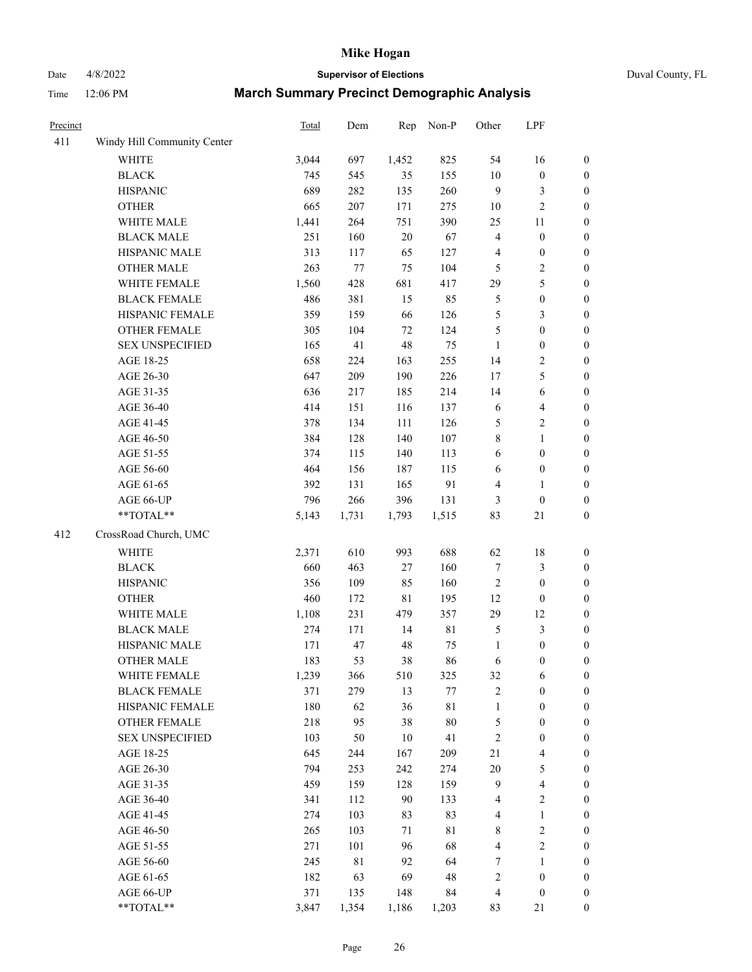# Date 4/8/2022 **Supervisor of Elections** Duval County, FL

| Precinct |                             | Total | Dem         | Rep         | Non-P       | Other            | LPF                     |                  |
|----------|-----------------------------|-------|-------------|-------------|-------------|------------------|-------------------------|------------------|
| 411      | Windy Hill Community Center |       |             |             |             |                  |                         |                  |
|          | <b>WHITE</b>                | 3,044 | 697         | 1,452       | 825         | 54               | 16                      | $\boldsymbol{0}$ |
|          | <b>BLACK</b>                | 745   | 545         | 35          | 155         | $10\,$           | $\boldsymbol{0}$        | $\boldsymbol{0}$ |
|          | <b>HISPANIC</b>             | 689   | 282         | 135         | 260         | 9                | $\mathfrak{Z}$          | $\boldsymbol{0}$ |
|          | <b>OTHER</b>                | 665   | 207         | 171         | 275         | 10               | $\overline{2}$          | $\boldsymbol{0}$ |
|          | WHITE MALE                  | 1,441 | 264         | 751         | 390         | 25               | 11                      | $\boldsymbol{0}$ |
|          | <b>BLACK MALE</b>           | 251   | 160         | $20\,$      | 67          | 4                | $\boldsymbol{0}$        | $\boldsymbol{0}$ |
|          | HISPANIC MALE               | 313   | 117         | 65          | 127         | 4                | $\boldsymbol{0}$        | $\boldsymbol{0}$ |
|          | <b>OTHER MALE</b>           | 263   | 77          | 75          | 104         | 5                | $\sqrt{2}$              | $\boldsymbol{0}$ |
|          | WHITE FEMALE                | 1,560 | 428         | 681         | 417         | 29               | 5                       | $\boldsymbol{0}$ |
|          | <b>BLACK FEMALE</b>         | 486   | 381         | 15          | 85          | 5                | $\boldsymbol{0}$        | 0                |
|          | HISPANIC FEMALE             | 359   | 159         | 66          | 126         | 5                | 3                       | $\boldsymbol{0}$ |
|          | <b>OTHER FEMALE</b>         | 305   | 104         | 72          | 124         | 5                | $\boldsymbol{0}$        | $\boldsymbol{0}$ |
|          | <b>SEX UNSPECIFIED</b>      | 165   | 41          | 48          | 75          | $\mathbf{1}$     | $\boldsymbol{0}$        | $\boldsymbol{0}$ |
|          | AGE 18-25                   | 658   | 224         | 163         | 255         | 14               | $\sqrt{2}$              | $\boldsymbol{0}$ |
|          | AGE 26-30                   | 647   | 209         | 190         | 226         | 17               | 5                       | $\boldsymbol{0}$ |
|          | AGE 31-35                   | 636   | 217         | 185         | 214         | 14               | 6                       | $\boldsymbol{0}$ |
|          | AGE 36-40                   | 414   | 151         | 116         | 137         | 6                | $\overline{4}$          | $\boldsymbol{0}$ |
|          | AGE 41-45                   | 378   | 134         | 111         | 126         | 5                | $\sqrt{2}$              | $\boldsymbol{0}$ |
|          | AGE 46-50                   | 384   | 128         | 140         | 107         | 8                | $\mathbf{1}$            | $\boldsymbol{0}$ |
|          | AGE 51-55                   | 374   | 115         | 140         | 113         | 6                | $\boldsymbol{0}$        | 0                |
|          | AGE 56-60                   | 464   | 156         | 187         | 115         | 6                | $\boldsymbol{0}$        | $\boldsymbol{0}$ |
|          | AGE 61-65                   | 392   | 131         | 165         | 91          | 4                | $\mathbf{1}$            | $\boldsymbol{0}$ |
|          | AGE 66-UP                   | 796   | 266         | 396         | 131         | 3                | $\boldsymbol{0}$        | $\boldsymbol{0}$ |
|          | **TOTAL**                   | 5,143 | 1,731       | 1,793       | 1,515       | 83               | $21\,$                  | $\boldsymbol{0}$ |
| 412      | CrossRoad Church, UMC       |       |             |             |             |                  |                         |                  |
|          | <b>WHITE</b>                | 2,371 | 610         | 993         | 688         | 62               | 18                      | $\boldsymbol{0}$ |
|          | <b>BLACK</b>                | 660   | 463         | 27          | 160         | $\boldsymbol{7}$ | $\mathfrak{Z}$          | $\boldsymbol{0}$ |
|          | <b>HISPANIC</b>             | 356   | 109         | 85          | 160         | $\sqrt{2}$       | $\boldsymbol{0}$        | $\boldsymbol{0}$ |
|          | <b>OTHER</b>                | 460   | 172         | $8\sqrt{1}$ | 195         | 12               | $\boldsymbol{0}$        | $\boldsymbol{0}$ |
|          | WHITE MALE                  | 1,108 | 231         | 479         | 357         | 29               | 12                      | $\boldsymbol{0}$ |
|          | <b>BLACK MALE</b>           | 274   | 171         | 14          | $8\sqrt{1}$ | 5                | $\mathfrak{Z}$          | $\boldsymbol{0}$ |
|          | HISPANIC MALE               | 171   | 47          | 48          | 75          | $\mathbf{1}$     | $\boldsymbol{0}$        | 0                |
|          | <b>OTHER MALE</b>           | 183   | 53          | 38          | 86          | 6                | $\boldsymbol{0}$        | $\boldsymbol{0}$ |
|          | WHITE FEMALE                | 1,239 | 366         | 510         | 325         | 32               | 6                       | $\boldsymbol{0}$ |
|          | <b>BLACK FEMALE</b>         | 371   | 279         | 13          | $77\,$      | 2                | $\boldsymbol{0}$        | $\boldsymbol{0}$ |
|          | HISPANIC FEMALE             | 180   | 62          | 36          | 81          | $\mathbf{1}$     | $\boldsymbol{0}$        | $\overline{0}$   |
|          | <b>OTHER FEMALE</b>         | 218   | 95          | 38          | $80\,$      | 5                | $\boldsymbol{0}$        | $\overline{0}$   |
|          | <b>SEX UNSPECIFIED</b>      | 103   | 50          | $10\,$      | 41          | $\sqrt{2}$       | $\boldsymbol{0}$        | 0                |
|          | AGE 18-25                   | 645   | 244         | 167         | 209         | 21               | $\overline{4}$          | 0                |
|          | AGE 26-30                   | 794   | 253         | 242         | 274         | $20\,$           | $\mathfrak s$           | 0                |
|          | AGE 31-35                   | 459   | 159         | 128         | 159         | 9                | $\overline{\mathbf{4}}$ | 0                |
|          | AGE 36-40                   | 341   | 112         | 90          | 133         | 4                | $\sqrt{2}$              | 0                |
|          | AGE 41-45                   | 274   | 103         | 83          | 83          | 4                | $\mathbf{1}$            | 0                |
|          | AGE 46-50                   | 265   | 103         | 71          | $8\sqrt{1}$ | 8                | $\sqrt{2}$              | 0                |
|          | AGE 51-55                   | 271   | 101         | 96          | 68          | 4                | $\sqrt{2}$              | $\boldsymbol{0}$ |
|          | AGE 56-60                   | 245   | $8\sqrt{1}$ | 92          | 64          | 7                | $\mathbf{1}$            | $\boldsymbol{0}$ |
|          | AGE 61-65                   | 182   | 63          | 69          | 48          | 2                | $\boldsymbol{0}$        | $\boldsymbol{0}$ |
|          | AGE 66-UP                   | 371   | 135         | 148         | 84          | 4                | $\boldsymbol{0}$        | 0                |
|          | **TOTAL**                   | 3,847 | 1,354       | 1,186       | 1,203       | 83               | 21                      | $\overline{0}$   |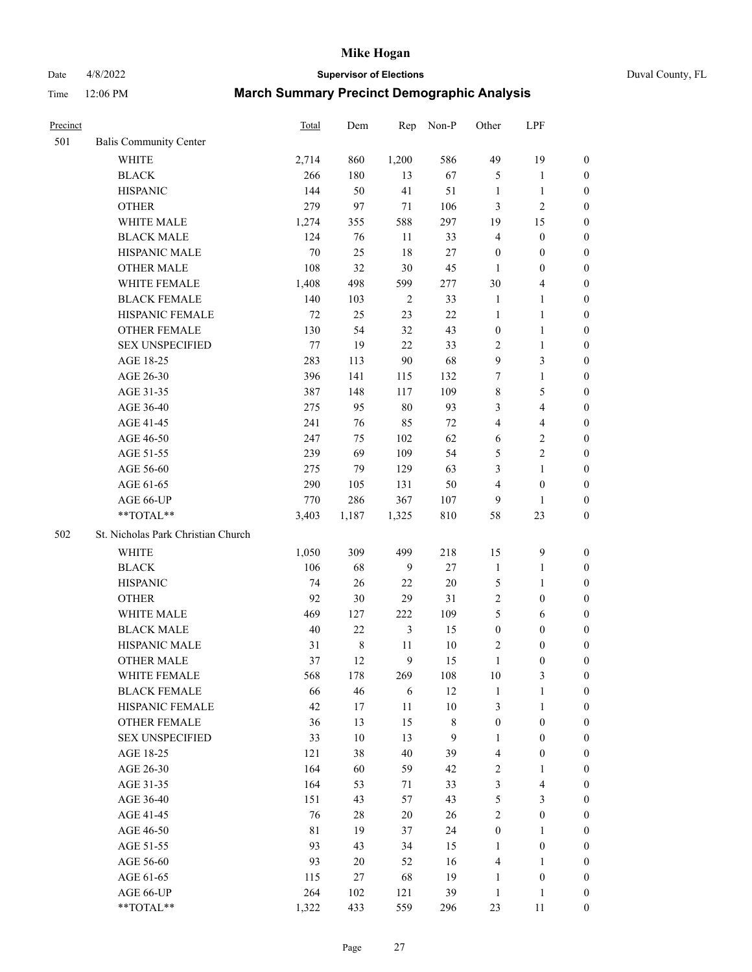Date 4/8/2022 **Supervisor of Elections** Duval County, FL

| Precinct |                                    | Total   | Dem         | Rep            | Non-P          | Other            | LPF                     |                  |
|----------|------------------------------------|---------|-------------|----------------|----------------|------------------|-------------------------|------------------|
| 501      | <b>Balis Community Center</b>      |         |             |                |                |                  |                         |                  |
|          | <b>WHITE</b>                       | 2,714   | 860         | 1,200          | 586            | 49               | 19                      | $\boldsymbol{0}$ |
|          | <b>BLACK</b>                       | 266     | 180         | 13             | 67             | 5                | $\mathbf{1}$            | $\boldsymbol{0}$ |
|          | <b>HISPANIC</b>                    | 144     | 50          | 41             | 51             | $\mathbf{1}$     | $\mathbf{1}$            | $\boldsymbol{0}$ |
|          | <b>OTHER</b>                       | 279     | 97          | $71\,$         | 106            | 3                | $\sqrt{2}$              | $\boldsymbol{0}$ |
|          | WHITE MALE                         | 1,274   | 355         | 588            | 297            | 19               | 15                      | $\boldsymbol{0}$ |
|          | <b>BLACK MALE</b>                  | 124     | 76          | 11             | 33             | 4                | $\boldsymbol{0}$        | $\boldsymbol{0}$ |
|          | HISPANIC MALE                      | $70\,$  | 25          | 18             | 27             | $\boldsymbol{0}$ | $\boldsymbol{0}$        | $\boldsymbol{0}$ |
|          | <b>OTHER MALE</b>                  | 108     | 32          | 30             | 45             | 1                | $\boldsymbol{0}$        | $\boldsymbol{0}$ |
|          | WHITE FEMALE                       | 1,408   | 498         | 599            | 277            | 30               | $\overline{\mathbf{4}}$ | 0                |
|          | <b>BLACK FEMALE</b>                | 140     | 103         | $\overline{2}$ | 33             | $\mathbf{1}$     | $\mathbf{1}$            | 0                |
|          | HISPANIC FEMALE                    | $72\,$  | 25          | 23             | $22\,$         | $\mathbf{1}$     | $\mathbf{1}$            | $\boldsymbol{0}$ |
|          | OTHER FEMALE                       | 130     | 54          | 32             | 43             | $\boldsymbol{0}$ | $\mathbf{1}$            | $\boldsymbol{0}$ |
|          | <b>SEX UNSPECIFIED</b>             | $77 \,$ | 19          | 22             | 33             | $\sqrt{2}$       | $\mathbf{1}$            | $\boldsymbol{0}$ |
|          | AGE 18-25                          | 283     | 113         | 90             | 68             | 9                | $\mathfrak{Z}$          | $\boldsymbol{0}$ |
|          | AGE 26-30                          | 396     | 141         | 115            | 132            | 7                | $\mathbf{1}$            | $\boldsymbol{0}$ |
|          | AGE 31-35                          | 387     | 148         | 117            | 109            | $\,$ $\,$        | $\mathfrak{S}$          | $\boldsymbol{0}$ |
|          | AGE 36-40                          | 275     | 95          | 80             | 93             | 3                | $\overline{4}$          | $\boldsymbol{0}$ |
|          | AGE 41-45                          | 241     | 76          | 85             | $72\,$         | 4                | $\overline{4}$          | $\boldsymbol{0}$ |
|          | AGE 46-50                          | 247     | 75          | 102            | 62             | 6                | $\sqrt{2}$              | $\boldsymbol{0}$ |
|          | AGE 51-55                          | 239     | 69          | 109            | 54             | 5                | $\sqrt{2}$              | 0                |
|          | AGE 56-60                          | 275     | 79          | 129            | 63             | 3                | $\mathbf{1}$            | $\boldsymbol{0}$ |
|          | AGE 61-65                          | 290     | 105         | 131            | 50             | 4                | $\boldsymbol{0}$        | $\boldsymbol{0}$ |
|          | AGE 66-UP                          | 770     | 286         | 367            | 107            | 9                | $\mathbf{1}$            | $\boldsymbol{0}$ |
|          | **TOTAL**                          | 3,403   | 1,187       | 1,325          | 810            | 58               | 23                      | $\boldsymbol{0}$ |
| 502      | St. Nicholas Park Christian Church |         |             |                |                |                  |                         |                  |
|          | WHITE                              | 1,050   | 309         | 499            | 218            | 15               | $\mathbf{9}$            | $\boldsymbol{0}$ |
|          | <b>BLACK</b>                       | 106     | 68          | 9              | $27\,$         | $\mathbf{1}$     | $\mathbf{1}$            | $\boldsymbol{0}$ |
|          | <b>HISPANIC</b>                    | 74      | 26          | 22             | $20\,$         | 5                | $\mathbf{1}$            | $\boldsymbol{0}$ |
|          | <b>OTHER</b>                       | 92      | 30          | 29             | 31             | $\overline{2}$   | $\boldsymbol{0}$        | $\boldsymbol{0}$ |
|          | WHITE MALE                         | 469     | 127         | 222            | 109            | 5                | 6                       | 0                |
|          | <b>BLACK MALE</b>                  | $40\,$  | $22\,$      | $\mathfrak{Z}$ | 15             | $\boldsymbol{0}$ | $\boldsymbol{0}$        | $\boldsymbol{0}$ |
|          | HISPANIC MALE                      | 31      | $\,$ 8 $\,$ | 11             | 10             | 2                | $\boldsymbol{0}$        | 0                |
|          | <b>OTHER MALE</b>                  | 37      | 12          | 9              | 15             | $\mathbf{1}$     | $\boldsymbol{0}$        | $\boldsymbol{0}$ |
|          | WHITE FEMALE                       | 568     | 178         | 269            | 108            | $10\,$           | 3                       | $\boldsymbol{0}$ |
|          | <b>BLACK FEMALE</b>                | 66      | 46          | 6              | 12             | $\mathbf{1}$     | $\mathbf{1}$            | $\overline{0}$   |
|          | HISPANIC FEMALE                    | 42      | 17          | $11\,$         | $10\,$         | 3                | $\mathbf{1}$            | $\overline{0}$   |
|          | <b>OTHER FEMALE</b>                | 36      | 13          | 15             | $8\,$          | $\boldsymbol{0}$ | $\boldsymbol{0}$        | 0                |
|          | <b>SEX UNSPECIFIED</b>             | 33      | $10\,$      | 13             | $\overline{9}$ | $\mathbf{1}$     | $\boldsymbol{0}$        | $\theta$         |
|          | AGE 18-25                          | 121     | 38          | 40             | 39             | $\overline{4}$   | $\boldsymbol{0}$        | 0                |
|          | AGE 26-30                          | 164     | 60          | 59             | 42             | 2                | $\mathbf{1}$            | 0                |
|          | AGE 31-35                          | 164     | 53          | 71             | 33             | 3                | $\overline{\mathbf{4}}$ | 0                |
|          | AGE 36-40                          | 151     | 43          | 57             | 43             | 5                | $\mathfrak{Z}$          | 0                |
|          | AGE 41-45                          | 76      | 28          | 20             | 26             | $\mathbf{2}$     | $\boldsymbol{0}$        | 0                |
|          | AGE 46-50                          | 81      | 19          | 37             | 24             | $\boldsymbol{0}$ | $\mathbf{1}$            | $\overline{0}$   |
|          | AGE 51-55                          | 93      | 43          | 34             | 15             | $\mathbf{1}$     | $\boldsymbol{0}$        | $\boldsymbol{0}$ |
|          | AGE 56-60                          | 93      | 20          | 52             | 16             | 4                | $\mathbf{1}$            | $\overline{0}$   |
|          | AGE 61-65                          | 115     | 27          | 68             | 19             | $\mathbf{1}$     | $\boldsymbol{0}$        | 0                |
|          | AGE 66-UP                          | 264     | 102         | 121            | 39             | $\mathbf{1}$     | $\mathbf{1}$            | 0                |
|          | **TOTAL**                          | 1,322   | 433         | 559            | 296            | 23               | 11                      | $\boldsymbol{0}$ |
|          |                                    |         |             |                |                |                  |                         |                  |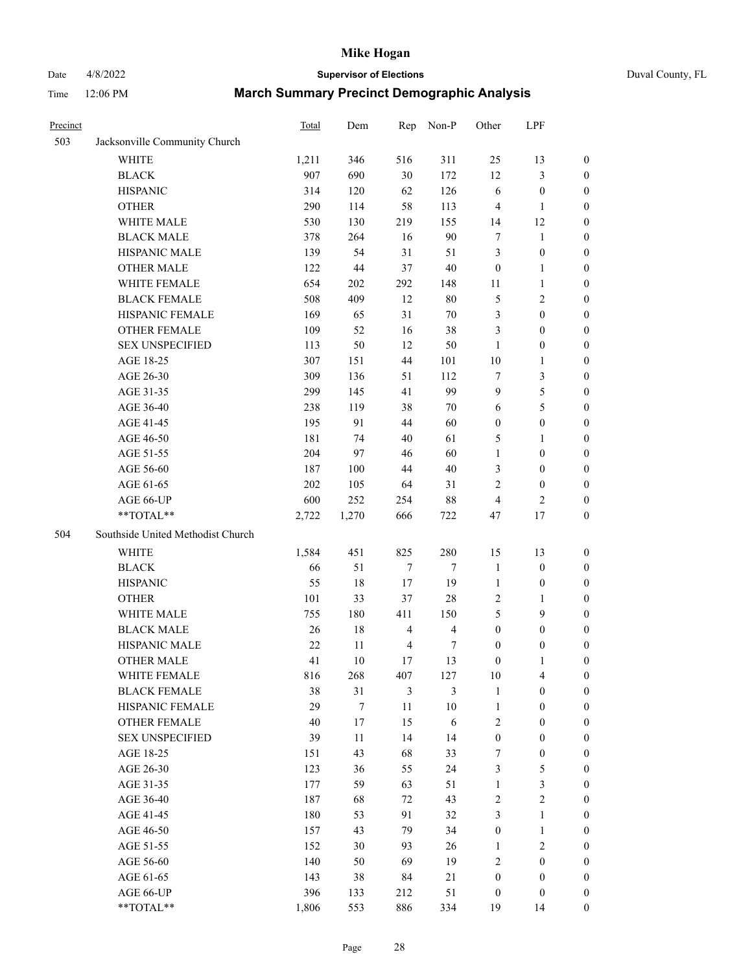# Date 4/8/2022 **Supervisor of Elections** Duval County, FL

| Precinct |                                   | Total  | Dem    | Rep            | Non-P                   | Other            | LPF              |                  |
|----------|-----------------------------------|--------|--------|----------------|-------------------------|------------------|------------------|------------------|
| 503      | Jacksonville Community Church     |        |        |                |                         |                  |                  |                  |
|          | <b>WHITE</b>                      | 1,211  | 346    | 516            | 311                     | 25               | 13               | 0                |
|          | <b>BLACK</b>                      | 907    | 690    | 30             | 172                     | 12               | $\mathfrak{Z}$   | 0                |
|          | <b>HISPANIC</b>                   | 314    | 120    | 62             | 126                     | 6                | $\boldsymbol{0}$ | $\boldsymbol{0}$ |
|          | <b>OTHER</b>                      | 290    | 114    | 58             | 113                     | 4                | $\mathbf{1}$     | $\boldsymbol{0}$ |
|          | WHITE MALE                        | 530    | 130    | 219            | 155                     | 14               | 12               | $\boldsymbol{0}$ |
|          | <b>BLACK MALE</b>                 | 378    | 264    | 16             | 90                      | 7                | 1                | $\boldsymbol{0}$ |
|          | HISPANIC MALE                     | 139    | 54     | 31             | 51                      | 3                | $\boldsymbol{0}$ | $\boldsymbol{0}$ |
|          | <b>OTHER MALE</b>                 | 122    | $44\,$ | 37             | $40\,$                  | $\boldsymbol{0}$ | $\mathbf{1}$     | $\boldsymbol{0}$ |
|          | WHITE FEMALE                      | 654    | 202    | 292            | 148                     | 11               | $\mathbf{1}$     | $\boldsymbol{0}$ |
|          | <b>BLACK FEMALE</b>               | 508    | 409    | 12             | $80\,$                  | 5                | $\sqrt{2}$       | 0                |
|          | HISPANIC FEMALE                   | 169    | 65     | 31             | $70\,$                  | 3                | $\boldsymbol{0}$ | 0                |
|          | OTHER FEMALE                      | 109    | 52     | 16             | 38                      | 3                | $\boldsymbol{0}$ | $\boldsymbol{0}$ |
|          | <b>SEX UNSPECIFIED</b>            | 113    | 50     | 12             | 50                      | $\mathbf{1}$     | $\boldsymbol{0}$ | $\boldsymbol{0}$ |
|          | AGE 18-25                         | 307    | 151    | 44             | 101                     | $10\,$           | $\mathbf{1}$     | $\boldsymbol{0}$ |
|          | AGE 26-30                         | 309    | 136    | 51             | 112                     | 7                | $\mathfrak{Z}$   | $\boldsymbol{0}$ |
|          | AGE 31-35                         | 299    | 145    | 41             | 99                      | 9                | $\mathfrak s$    | $\boldsymbol{0}$ |
|          | AGE 36-40                         | 238    | 119    | 38             | $70\,$                  | 6                | $\mathfrak s$    | $\boldsymbol{0}$ |
|          | AGE 41-45                         | 195    | 91     | 44             | 60                      | $\boldsymbol{0}$ | $\boldsymbol{0}$ | $\boldsymbol{0}$ |
|          | AGE 46-50                         | 181    | 74     | 40             | 61                      | 5                | 1                | $\boldsymbol{0}$ |
|          | AGE 51-55                         | 204    | 97     | 46             | 60                      | $\mathbf{1}$     | $\boldsymbol{0}$ | 0                |
|          | AGE 56-60                         | 187    | 100    | 44             | 40                      | 3                | $\boldsymbol{0}$ | 0                |
|          | AGE 61-65                         | 202    | 105    | 64             | 31                      | 2                | $\boldsymbol{0}$ | 0                |
|          | AGE 66-UP                         | 600    | 252    | 254            | $88\,$                  | 4                | $\overline{2}$   | $\boldsymbol{0}$ |
|          | **TOTAL**                         | 2,722  | 1,270  | 666            | 722                     | 47               | 17               | $\boldsymbol{0}$ |
| 504      | Southside United Methodist Church |        |        |                |                         |                  |                  |                  |
|          | <b>WHITE</b>                      | 1,584  | 451    | 825            | 280                     | 15               | 13               | $\boldsymbol{0}$ |
|          | <b>BLACK</b>                      | 66     | 51     | 7              | $\tau$                  | $\mathbf{1}$     | $\boldsymbol{0}$ | $\boldsymbol{0}$ |
|          | <b>HISPANIC</b>                   | 55     | 18     | 17             | 19                      | $\mathbf{1}$     | $\boldsymbol{0}$ | $\boldsymbol{0}$ |
|          | <b>OTHER</b>                      | 101    | 33     | 37             | $28\,$                  | 2                | $\mathbf{1}$     | $\boldsymbol{0}$ |
|          | WHITE MALE                        | 755    | 180    | 411            | 150                     | 5                | 9                | $\overline{0}$   |
|          | <b>BLACK MALE</b>                 | 26     | $18\,$ | $\overline{4}$ | $\overline{\mathbf{4}}$ | $\boldsymbol{0}$ | $\boldsymbol{0}$ | $\boldsymbol{0}$ |
|          | HISPANIC MALE                     | $22\,$ | 11     | $\overline{4}$ | 7                       | $\boldsymbol{0}$ | $\boldsymbol{0}$ | 0                |
|          | OTHER MALE                        | 41     | 10     | 17             | 13                      | $\boldsymbol{0}$ | $\mathbf{1}$     | $\boldsymbol{0}$ |
|          | WHITE FEMALE                      | 816    | 268    | 407            | 127                     | 10               | 4                | 0                |
|          | <b>BLACK FEMALE</b>               | 38     | 31     | $\mathfrak{Z}$ | 3                       | $\mathbf{1}$     | $\boldsymbol{0}$ | $\overline{0}$   |
|          | HISPANIC FEMALE                   | 29     | 7      | $11\,$         | $10\,$                  | $\mathbf{1}$     | $\boldsymbol{0}$ | $\overline{0}$   |
|          | OTHER FEMALE                      | 40     | 17     | 15             | $\sqrt{6}$              | 2                | $\boldsymbol{0}$ | $\overline{0}$   |
|          | <b>SEX UNSPECIFIED</b>            | 39     | 11     | 14             | 14                      | $\boldsymbol{0}$ | $\boldsymbol{0}$ | 0                |
|          | AGE 18-25                         | 151    | 43     | 68             | 33                      | 7                | $\boldsymbol{0}$ | 0                |
|          | AGE 26-30                         | 123    | 36     | 55             | 24                      | 3                | $\mathfrak{S}$   | 0                |
|          | AGE 31-35                         | 177    | 59     | 63             | 51                      | $\mathbf{1}$     | $\mathfrak{Z}$   | 0                |
|          | AGE 36-40                         | 187    | 68     | 72             | 43                      | 2                | $\sqrt{2}$       | 0                |
|          | AGE 41-45                         | 180    | 53     | 91             | 32                      | 3                | $\mathbf{1}$     | 0                |
|          | AGE 46-50                         | 157    | 43     | 79             | 34                      | $\boldsymbol{0}$ | $\mathbf{1}$     | 0                |
|          | AGE 51-55                         | 152    | 30     | 93             | 26                      | $\mathbf{1}$     | $\mathbf{2}$     | 0                |
|          | AGE 56-60                         | 140    | 50     | 69             | 19                      | 2                | $\boldsymbol{0}$ | $\overline{0}$   |
|          | AGE 61-65                         | 143    | 38     | 84             | 21                      | $\boldsymbol{0}$ | $\boldsymbol{0}$ | $\overline{0}$   |
|          | AGE 66-UP                         | 396    | 133    | 212            | 51                      | $\boldsymbol{0}$ | $\boldsymbol{0}$ | 0                |
|          | **TOTAL**                         | 1,806  | 553    | 886            | 334                     | 19               | 14               | $\boldsymbol{0}$ |
|          |                                   |        |        |                |                         |                  |                  |                  |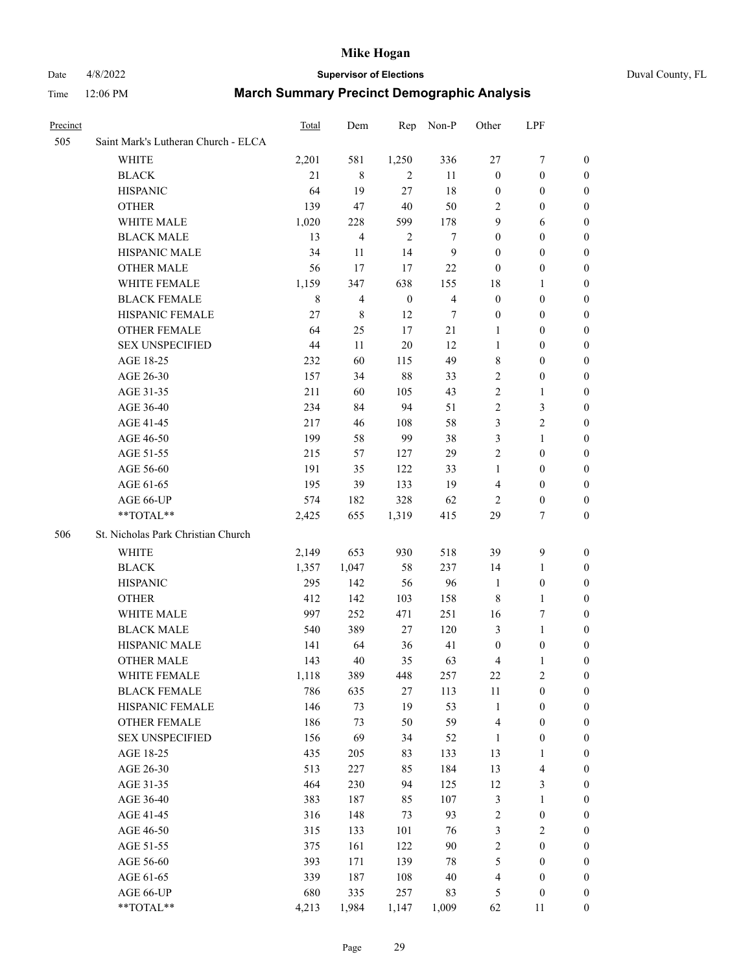#### Date 4/8/2022 **Supervisor of Elections** Duval County, FL

| Precinct |                                     | <b>Total</b> | Dem                     | Rep              | Non-P                   | Other            | LPF                     |                  |
|----------|-------------------------------------|--------------|-------------------------|------------------|-------------------------|------------------|-------------------------|------------------|
| 505      | Saint Mark's Lutheran Church - ELCA |              |                         |                  |                         |                  |                         |                  |
|          | <b>WHITE</b>                        | 2,201        | 581                     | 1,250            | 336                     | $27\,$           | 7                       | $\boldsymbol{0}$ |
|          | <b>BLACK</b>                        | 21           | 8                       | 2                | 11                      | $\boldsymbol{0}$ | $\boldsymbol{0}$        | $\boldsymbol{0}$ |
|          | <b>HISPANIC</b>                     | 64           | 19                      | 27               | 18                      | $\boldsymbol{0}$ | $\boldsymbol{0}$        | $\boldsymbol{0}$ |
|          | <b>OTHER</b>                        | 139          | 47                      | 40               | 50                      | $\overline{c}$   | $\boldsymbol{0}$        | $\boldsymbol{0}$ |
|          | WHITE MALE                          | 1,020        | 228                     | 599              | 178                     | 9                | 6                       | 0                |
|          | <b>BLACK MALE</b>                   | 13           | $\overline{\mathbf{4}}$ | $\overline{2}$   | 7                       | $\boldsymbol{0}$ | $\boldsymbol{0}$        | $\boldsymbol{0}$ |
|          | <b>HISPANIC MALE</b>                | 34           | 11                      | 14               | $\mathbf{9}$            | $\boldsymbol{0}$ | $\boldsymbol{0}$        | 0                |
|          | <b>OTHER MALE</b>                   | 56           | 17                      | 17               | 22                      | $\boldsymbol{0}$ | $\boldsymbol{0}$        | 0                |
|          | WHITE FEMALE                        | 1,159        | 347                     | 638              | 155                     | 18               | $\mathbf{1}$            | 0                |
|          | <b>BLACK FEMALE</b>                 | 8            | 4                       | $\boldsymbol{0}$ | $\overline{\mathbf{4}}$ | $\boldsymbol{0}$ | $\boldsymbol{0}$        | 0                |
|          | HISPANIC FEMALE                     | 27           | 8                       | 12               | 7                       | $\boldsymbol{0}$ | $\boldsymbol{0}$        | 0                |
|          | OTHER FEMALE                        | 64           | 25                      | 17               | $21\,$                  | $\mathbf{1}$     | $\boldsymbol{0}$        | 0                |
|          | <b>SEX UNSPECIFIED</b>              | 44           | 11                      | $20\,$           | 12                      | $\mathbf{1}$     | $\boldsymbol{0}$        | $\boldsymbol{0}$ |
|          | AGE 18-25                           | 232          | 60                      | 115              | 49                      | 8                | $\boldsymbol{0}$        | $\boldsymbol{0}$ |
|          | AGE 26-30                           | 157          | 34                      | $88\,$           | 33                      | $\sqrt{2}$       | $\boldsymbol{0}$        | 0                |
|          | AGE 31-35                           | 211          | 60                      | 105              | 43                      | $\sqrt{2}$       | $\mathbf{1}$            | $\boldsymbol{0}$ |
|          | AGE 36-40                           | 234          | 84                      | 94               | 51                      | $\mathfrak{2}$   | $\mathfrak{Z}$          | $\boldsymbol{0}$ |
|          | AGE 41-45                           | 217          | 46                      | 108              | 58                      | $\mathfrak{Z}$   | $\sqrt{2}$              | 0                |
|          | AGE 46-50                           | 199          | 58                      | 99               | 38                      | 3                | $\mathbf{1}$            | 0                |
|          | AGE 51-55                           | 215          | 57                      | 127              | 29                      | $\mathfrak{2}$   | $\boldsymbol{0}$        | 0                |
|          | AGE 56-60                           | 191          | 35                      | 122              | 33                      | $\mathbf{1}$     | $\boldsymbol{0}$        | 0                |
|          | AGE 61-65                           | 195          | 39                      | 133              | 19                      | $\overline{4}$   | $\boldsymbol{0}$        | 0                |
|          | AGE 66-UP                           | 574          | 182                     | 328              | 62                      | 2                | $\boldsymbol{0}$        | $\boldsymbol{0}$ |
|          | $**TOTAL**$                         | 2,425        | 655                     | 1,319            | 415                     | 29               | 7                       | $\boldsymbol{0}$ |
| 506      | St. Nicholas Park Christian Church  |              |                         |                  |                         |                  |                         |                  |
|          | WHITE                               | 2,149        | 653                     | 930              | 518                     | 39               | $\mathbf{9}$            | $\boldsymbol{0}$ |
|          | <b>BLACK</b>                        | 1,357        | 1,047                   | 58               | 237                     | 14               | $\mathbf{1}$            | 0                |
|          | <b>HISPANIC</b>                     | 295          | 142                     | 56               | 96                      | $\mathbf{1}$     | $\boldsymbol{0}$        | 0                |
|          | <b>OTHER</b>                        | 412          | 142                     | 103              | 158                     | $\,8\,$          | $\mathbf{1}$            | 0                |
|          | WHITE MALE                          | 997          | 252                     | 471              | 251                     | 16               | 7                       | 0                |
|          | <b>BLACK MALE</b>                   | 540          | 389                     | 27               | 120                     | 3                | $\mathbf{1}$            | 0                |
|          | HISPANIC MALE                       | 141          | 64                      | 36               | 41                      | $\boldsymbol{0}$ | $\boldsymbol{0}$        | 0                |
|          | <b>OTHER MALE</b>                   | 143          | 40                      | 35               | 63                      | 4                | 1                       | 0                |
|          | WHITE FEMALE                        | 1,118        | 389                     | 448              | 257                     | $22\,$           | $\sqrt{2}$              | 0                |
|          | <b>BLACK FEMALE</b>                 | 786          | 635                     | $27\,$           | 113                     | $11\,$           | $\boldsymbol{0}$        | $\overline{0}$   |
|          | HISPANIC FEMALE                     | 146          | 73                      | 19               | 53                      | $\mathbf{1}$     | $\boldsymbol{0}$        | $\overline{0}$   |
|          | <b>OTHER FEMALE</b>                 | 186          | 73                      | 50               | 59                      | $\overline{4}$   | $\boldsymbol{0}$        | $\overline{0}$   |
|          | <b>SEX UNSPECIFIED</b>              | 156          | 69                      | 34               | 52                      | $\mathbf{1}$     | $\boldsymbol{0}$        | $\overline{0}$   |
|          | AGE 18-25                           | 435          | 205                     | 83               | 133                     | 13               | $\mathbf{1}$            | 0                |
|          | AGE 26-30                           | 513          | 227                     | 85               | 184                     | 13               | $\overline{\mathbf{4}}$ | 0                |
|          | AGE 31-35                           | 464          | 230                     | 94               | 125                     | 12               | $\mathfrak{Z}$          | 0                |
|          | AGE 36-40                           | 383          | 187                     | 85               | 107                     | $\mathfrak{Z}$   | $\mathbf{1}$            | 0                |
|          | AGE 41-45                           | 316          | 148                     | 73               | 93                      | 2                | $\boldsymbol{0}$        | 0                |
|          | AGE 46-50                           | 315          | 133                     | 101              | 76                      | $\mathfrak{Z}$   | $\overline{2}$          | 0                |
|          | AGE 51-55                           | 375          | 161                     | 122              | $90\,$                  | $\sqrt{2}$       | $\boldsymbol{0}$        | $\boldsymbol{0}$ |
|          | AGE 56-60                           | 393          | 171                     | 139              | $78\,$                  | 5                | $\boldsymbol{0}$        | $\overline{0}$   |
|          | AGE 61-65                           | 339          | 187                     | 108              | 40                      | $\overline{4}$   | $\boldsymbol{0}$        | $\boldsymbol{0}$ |
|          | AGE 66-UP                           | 680          | 335                     | 257              | 83                      | 5                | $\boldsymbol{0}$        | $\boldsymbol{0}$ |
|          | **TOTAL**                           | 4,213        | 1,984                   | 1,147            | 1,009                   | 62               | 11                      | $\boldsymbol{0}$ |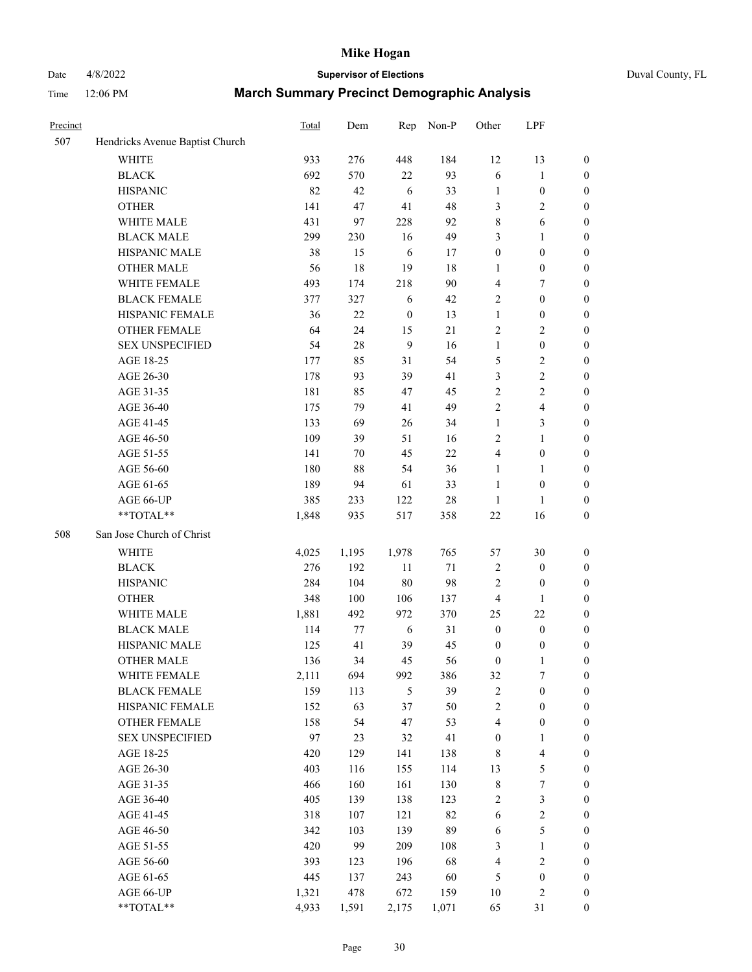# Date 4/8/2022 **Supervisor of Elections** Duval County, FL

| Precinct |                                 | <b>Total</b> | Dem   | Rep          | Non-P  | Other            | LPF                     |                  |
|----------|---------------------------------|--------------|-------|--------------|--------|------------------|-------------------------|------------------|
| 507      | Hendricks Avenue Baptist Church |              |       |              |        |                  |                         |                  |
|          | <b>WHITE</b>                    | 933          | 276   | 448          | 184    | 12               | 13                      | 0                |
|          | <b>BLACK</b>                    | 692          | 570   | 22           | 93     | 6                | $\mathbf{1}$            | 0                |
|          | <b>HISPANIC</b>                 | 82           | 42    | 6            | 33     | $\mathbf{1}$     | $\boldsymbol{0}$        | $\boldsymbol{0}$ |
|          | <b>OTHER</b>                    | 141          | 47    | 41           | 48     | 3                | $\sqrt{2}$              | $\boldsymbol{0}$ |
|          | WHITE MALE                      | 431          | 97    | 228          | 92     | 8                | 6                       | $\boldsymbol{0}$ |
|          | <b>BLACK MALE</b>               | 299          | 230   | 16           | 49     | 3                | 1                       | $\boldsymbol{0}$ |
|          | HISPANIC MALE                   | 38           | 15    | 6            | 17     | $\boldsymbol{0}$ | $\boldsymbol{0}$        | $\boldsymbol{0}$ |
|          | <b>OTHER MALE</b>               | 56           | 18    | 19           | 18     | $\mathbf{1}$     | $\boldsymbol{0}$        | $\boldsymbol{0}$ |
|          | WHITE FEMALE                    | 493          | 174   | 218          | 90     | 4                | $\boldsymbol{7}$        | $\boldsymbol{0}$ |
|          | <b>BLACK FEMALE</b>             | 377          | 327   | 6            | 42     | 2                | $\boldsymbol{0}$        | $\boldsymbol{0}$ |
|          | HISPANIC FEMALE                 | 36           | 22    | $\mathbf{0}$ | 13     | $\mathbf{1}$     | $\boldsymbol{0}$        | 0                |
|          | <b>OTHER FEMALE</b>             | 64           | 24    | 15           | 21     | 2                | $\sqrt{2}$              | $\boldsymbol{0}$ |
|          | <b>SEX UNSPECIFIED</b>          | 54           | 28    | 9            | 16     | $\mathbf{1}$     | $\boldsymbol{0}$        | $\boldsymbol{0}$ |
|          | AGE 18-25                       | 177          | 85    | 31           | 54     | 5                | $\sqrt{2}$              | $\boldsymbol{0}$ |
|          | AGE 26-30                       | 178          | 93    | 39           | 41     | 3                | $\sqrt{2}$              | $\boldsymbol{0}$ |
|          | AGE 31-35                       | 181          | 85    | 47           | 45     | $\sqrt{2}$       | $\sqrt{2}$              | $\boldsymbol{0}$ |
|          | AGE 36-40                       | 175          | 79    | 41           | 49     | $\overline{c}$   | $\overline{\mathbf{4}}$ | $\boldsymbol{0}$ |
|          | AGE 41-45                       | 133          | 69    | 26           | 34     | $\mathbf{1}$     | 3                       | $\boldsymbol{0}$ |
|          | AGE 46-50                       | 109          | 39    | 51           | 16     | 2                | $\mathbf{1}$            | $\boldsymbol{0}$ |
|          | AGE 51-55                       | 141          | 70    | 45           | $22\,$ | 4                | $\boldsymbol{0}$        | 0                |
|          | AGE 56-60                       | 180          | 88    | 54           | 36     | $\mathbf{1}$     | 1                       | 0                |
|          | AGE 61-65                       | 189          | 94    | 61           | 33     | $\mathbf{1}$     | $\boldsymbol{0}$        | 0                |
|          | AGE 66-UP                       | 385          | 233   | 122          | $28\,$ | $\mathbf{1}$     | $\mathbf{1}$            | $\boldsymbol{0}$ |
|          | **TOTAL**                       | 1,848        | 935   | 517          | 358    | $22\,$           | 16                      | $\boldsymbol{0}$ |
| 508      | San Jose Church of Christ       |              |       |              |        |                  |                         |                  |
|          | <b>WHITE</b>                    | 4,025        | 1,195 | 1,978        | 765    | 57               | 30                      | $\boldsymbol{0}$ |
|          | <b>BLACK</b>                    | 276          | 192   | 11           | $71\,$ | $\sqrt{2}$       | $\boldsymbol{0}$        | $\boldsymbol{0}$ |
|          | <b>HISPANIC</b>                 | 284          | 104   | 80           | 98     | 2                | $\boldsymbol{0}$        | $\boldsymbol{0}$ |
|          | <b>OTHER</b>                    | 348          | 100   | 106          | 137    | 4                | $\mathbf{1}$            | $\boldsymbol{0}$ |
|          | WHITE MALE                      | 1,881        | 492   | 972          | 370    | 25               | 22                      | $\boldsymbol{0}$ |
|          | <b>BLACK MALE</b>               | 114          | 77    | 6            | 31     | $\boldsymbol{0}$ | $\boldsymbol{0}$        | $\boldsymbol{0}$ |
|          | HISPANIC MALE                   | 125          | 41    | 39           | 45     | $\boldsymbol{0}$ | $\boldsymbol{0}$        | 0                |
|          | <b>OTHER MALE</b>               | 136          | 34    | 45           | 56     | $\boldsymbol{0}$ | $\mathbf{1}$            | $\boldsymbol{0}$ |
|          | WHITE FEMALE                    | 2,111        | 694   | 992          | 386    | 32               | 7                       | 0                |
|          | <b>BLACK FEMALE</b>             | 159          | 113   | 5            | 39     | 2                | $\boldsymbol{0}$        | $\boldsymbol{0}$ |
|          | HISPANIC FEMALE                 | 152          | 63    | 37           | 50     | $\overline{c}$   | $\boldsymbol{0}$        | $\overline{0}$   |
|          | OTHER FEMALE                    | 158          | 54    | 47           | 53     | 4                | $\boldsymbol{0}$        | $\overline{0}$   |
|          | <b>SEX UNSPECIFIED</b>          | 97           | 23    | 32           | 41     | $\boldsymbol{0}$ | $\mathbf{1}$            | 0                |
|          | AGE 18-25                       | 420          | 129   | 141          | 138    | 8                | $\overline{\mathbf{4}}$ | 0                |
|          | AGE 26-30                       | 403          | 116   | 155          | 114    | 13               | $\mathfrak s$           | 0                |
|          | AGE 31-35                       | 466          | 160   | 161          | 130    | $\,$ $\,$        | $\boldsymbol{7}$        | 0                |
|          | AGE 36-40                       | 405          | 139   | 138          | 123    | 2                | $\mathfrak{Z}$          | 0                |
|          | AGE 41-45                       | 318          | 107   | 121          | 82     | 6                | $\sqrt{2}$              | 0                |
|          | AGE 46-50                       | 342          | 103   | 139          | 89     | 6                | $\mathfrak s$           | 0                |
|          | AGE 51-55                       | 420          | 99    | 209          | 108    | 3                | $\mathbf{1}$            | $\boldsymbol{0}$ |
|          | AGE 56-60                       | 393          | 123   | 196          | 68     | 4                | $\sqrt{2}$              | $\boldsymbol{0}$ |
|          | AGE 61-65                       | 445          | 137   | 243          | 60     | 5                | $\boldsymbol{0}$        | $\boldsymbol{0}$ |
|          | AGE 66-UP                       | 1,321        | 478   | 672          | 159    | 10               | $\sqrt{2}$              | $\boldsymbol{0}$ |
|          | **TOTAL**                       | 4,933        | 1,591 | 2,175        | 1,071  | 65               | 31                      | $\boldsymbol{0}$ |
|          |                                 |              |       |              |        |                  |                         |                  |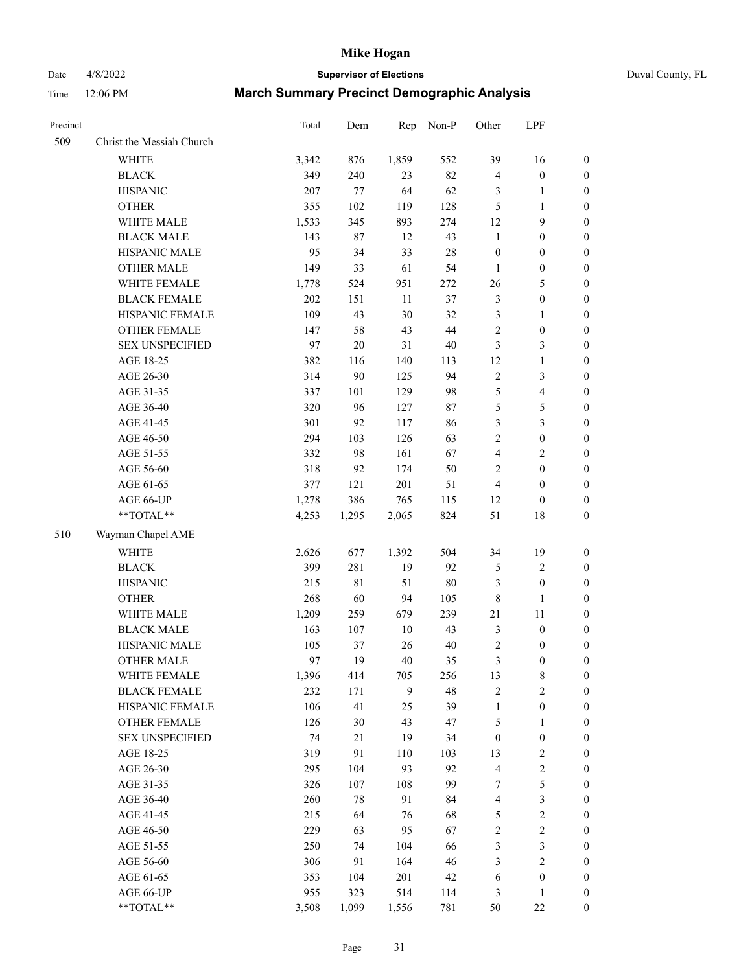# Date 4/8/2022 **Supervisor of Elections** Duval County, FL

| Precinct |                           | Total | Dem    | Rep    | Non-P  | Other            | LPF              |                  |
|----------|---------------------------|-------|--------|--------|--------|------------------|------------------|------------------|
| 509      | Christ the Messiah Church |       |        |        |        |                  |                  |                  |
|          | <b>WHITE</b>              | 3,342 | 876    | 1,859  | 552    | 39               | 16               | 0                |
|          | <b>BLACK</b>              | 349   | 240    | 23     | 82     | 4                | $\boldsymbol{0}$ | 0                |
|          | <b>HISPANIC</b>           | 207   | 77     | 64     | 62     | 3                | $\mathbf{1}$     | $\boldsymbol{0}$ |
|          | <b>OTHER</b>              | 355   | 102    | 119    | 128    | 5                | $\mathbf{1}$     | $\boldsymbol{0}$ |
|          | WHITE MALE                | 1,533 | 345    | 893    | 274    | 12               | 9                | $\boldsymbol{0}$ |
|          | <b>BLACK MALE</b>         | 143   | $87\,$ | 12     | 43     | $\mathbf{1}$     | $\boldsymbol{0}$ | $\boldsymbol{0}$ |
|          | HISPANIC MALE             | 95    | 34     | 33     | $28\,$ | $\boldsymbol{0}$ | $\boldsymbol{0}$ | $\boldsymbol{0}$ |
|          | <b>OTHER MALE</b>         | 149   | 33     | 61     | 54     | $\mathbf{1}$     | $\boldsymbol{0}$ | $\boldsymbol{0}$ |
|          | WHITE FEMALE              | 1,778 | 524    | 951    | 272    | 26               | $\mathfrak s$    | $\boldsymbol{0}$ |
|          | <b>BLACK FEMALE</b>       | 202   | 151    | $11\,$ | 37     | 3                | $\boldsymbol{0}$ | 0                |
|          | HISPANIC FEMALE           | 109   | 43     | 30     | 32     | 3                | $\mathbf{1}$     | 0                |
|          | OTHER FEMALE              | 147   | 58     | 43     | 44     | $\overline{2}$   | $\boldsymbol{0}$ | $\boldsymbol{0}$ |
|          | <b>SEX UNSPECIFIED</b>    | 97    | 20     | 31     | $40\,$ | 3                | $\mathfrak{Z}$   | $\boldsymbol{0}$ |
|          | AGE 18-25                 | 382   | 116    | 140    | 113    | 12               | $\mathbf{1}$     | $\boldsymbol{0}$ |
|          | AGE 26-30                 | 314   | 90     | 125    | 94     | 2                | $\mathfrak{Z}$   | $\boldsymbol{0}$ |
|          | AGE 31-35                 | 337   | 101    | 129    | 98     | 5                | $\overline{4}$   | $\boldsymbol{0}$ |
|          | AGE 36-40                 | 320   | 96     | 127    | 87     | 5                | $\mathfrak s$    | $\boldsymbol{0}$ |
|          | AGE 41-45                 | 301   | 92     | 117    | 86     | 3                | $\mathfrak{Z}$   | $\boldsymbol{0}$ |
|          | AGE 46-50                 | 294   | 103    | 126    | 63     | $\overline{c}$   | $\boldsymbol{0}$ | $\boldsymbol{0}$ |
|          | AGE 51-55                 | 332   | 98     | 161    | 67     | 4                | $\sqrt{2}$       | $\boldsymbol{0}$ |
|          | AGE 56-60                 | 318   | 92     | 174    | 50     | $\overline{c}$   | $\boldsymbol{0}$ | 0                |
|          | AGE 61-65                 | 377   | 121    | 201    | 51     | 4                | $\boldsymbol{0}$ | $\boldsymbol{0}$ |
|          | AGE 66-UP                 | 1,278 | 386    | 765    | 115    | 12               | $\boldsymbol{0}$ | $\boldsymbol{0}$ |
|          | $**TOTAL**$               | 4,253 | 1,295  | 2,065  | 824    | 51               | 18               | $\boldsymbol{0}$ |
| 510      | Wayman Chapel AME         |       |        |        |        |                  |                  |                  |
|          | <b>WHITE</b>              | 2,626 | 677    | 1,392  | 504    | 34               | 19               | $\boldsymbol{0}$ |
|          | <b>BLACK</b>              | 399   | 281    | 19     | 92     | 5                | $\sqrt{2}$       | $\boldsymbol{0}$ |
|          | <b>HISPANIC</b>           | 215   | 81     | 51     | $80\,$ | 3                | $\boldsymbol{0}$ | $\boldsymbol{0}$ |
|          | <b>OTHER</b>              | 268   | 60     | 94     | 105    | 8                | $\mathbf{1}$     | $\boldsymbol{0}$ |
|          | WHITE MALE                | 1,209 | 259    | 679    | 239    | 21               | $11\,$           | $\boldsymbol{0}$ |
|          | <b>BLACK MALE</b>         | 163   | 107    | $10\,$ | 43     | 3                | $\boldsymbol{0}$ | $\boldsymbol{0}$ |
|          | HISPANIC MALE             | 105   | 37     | 26     | $40\,$ | 2                | $\boldsymbol{0}$ | 0                |
|          | <b>OTHER MALE</b>         | 97    | 19     | 40     | 35     | 3                | $\boldsymbol{0}$ | $\boldsymbol{0}$ |
|          | WHITE FEMALE              | 1,396 | 414    | 705    | 256    | 13               | 8                | 0                |
|          | <b>BLACK FEMALE</b>       | 232   | 171    | 9      | 48     | 2                | $\sqrt{2}$       | 0                |
|          | HISPANIC FEMALE           | 106   | 41     | 25     | 39     | $\mathbf{1}$     | $\boldsymbol{0}$ | $\overline{0}$   |
|          | <b>OTHER FEMALE</b>       | 126   | 30     | 43     | 47     | 5                | $\mathbf{1}$     | $\overline{0}$   |
|          | <b>SEX UNSPECIFIED</b>    | 74    | 21     | 19     | 34     | $\boldsymbol{0}$ | $\boldsymbol{0}$ | 0                |
|          | AGE 18-25                 | 319   | 91     | 110    | 103    | 13               | $\sqrt{2}$       | 0                |
|          | AGE 26-30                 | 295   | 104    | 93     | 92     | 4                | $\sqrt{2}$       | 0                |
|          | AGE 31-35                 | 326   | 107    | 108    | 99     | 7                | 5                | 0                |
|          | AGE 36-40                 | 260   | $78\,$ | 91     | 84     | 4                | $\mathfrak{Z}$   | 0                |
|          | AGE 41-45                 | 215   | 64     | 76     | 68     | 5                | $\sqrt{2}$       | 0                |
|          | AGE 46-50                 | 229   | 63     | 95     | 67     | 2                | $\sqrt{2}$       | 0                |
|          | AGE 51-55                 | 250   | 74     | 104    | 66     | 3                | $\mathfrak{Z}$   | 0                |
|          | AGE 56-60                 | 306   | 91     | 164    | 46     | 3                | $\overline{2}$   | 0                |
|          | AGE 61-65                 | 353   | 104    | 201    | 42     | 6                | $\boldsymbol{0}$ | $\overline{0}$   |
|          | AGE 66-UP                 | 955   | 323    | 514    | 114    | 3                | $\mathbf{1}$     | 0                |
|          | **TOTAL**                 | 3,508 | 1,099  | 1,556  | 781    | 50               | $22\,$           | $\boldsymbol{0}$ |
|          |                           |       |        |        |        |                  |                  |                  |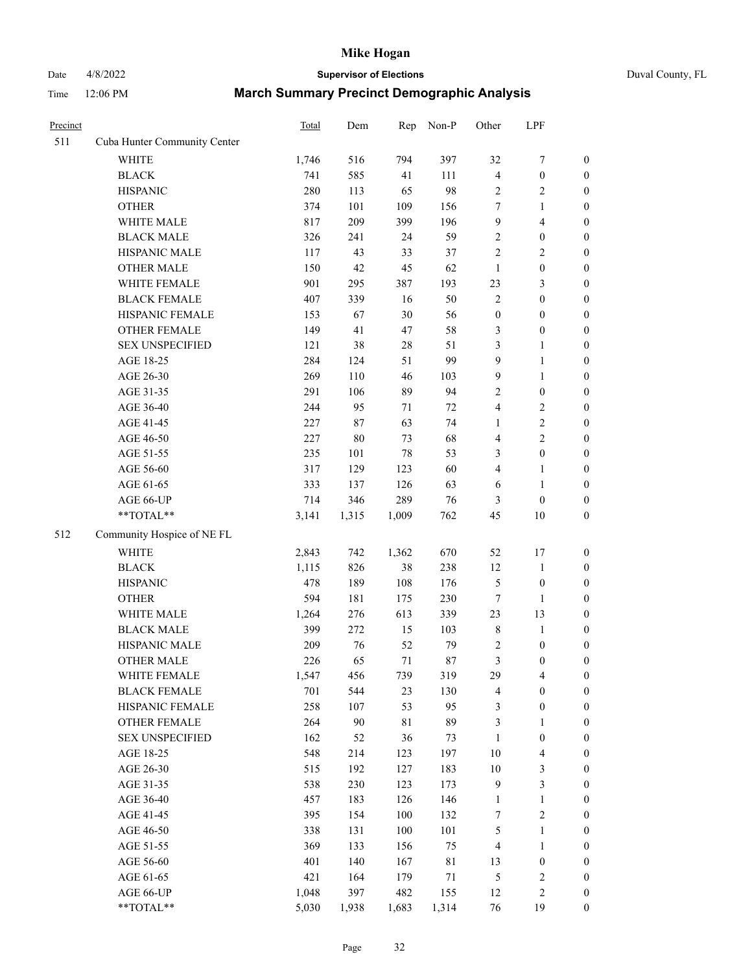# Date  $4/8/2022$  **Supervisor of Elections**

| Duval County, FL |  |
|------------------|--|
|------------------|--|

| Precinct |                              | <b>Total</b> | Dem    | Rep   | Non-P       | Other                   | LPF                     |                  |
|----------|------------------------------|--------------|--------|-------|-------------|-------------------------|-------------------------|------------------|
| 511      | Cuba Hunter Community Center |              |        |       |             |                         |                         |                  |
|          | <b>WHITE</b>                 | 1,746        | 516    | 794   | 397         | 32                      | $\boldsymbol{7}$        | 0                |
|          | <b>BLACK</b>                 | 741          | 585    | 41    | 111         | $\overline{\mathbf{4}}$ | $\boldsymbol{0}$        | $\boldsymbol{0}$ |
|          | <b>HISPANIC</b>              | 280          | 113    | 65    | 98          | 2                       | $\overline{c}$          | $\boldsymbol{0}$ |
|          | <b>OTHER</b>                 | 374          | 101    | 109   | 156         | 7                       | 1                       | $\boldsymbol{0}$ |
|          | WHITE MALE                   | 817          | 209    | 399   | 196         | 9                       | $\overline{4}$          | $\boldsymbol{0}$ |
|          | <b>BLACK MALE</b>            | 326          | 241    | 24    | 59          | 2                       | $\boldsymbol{0}$        | $\boldsymbol{0}$ |
|          | HISPANIC MALE                | 117          | 43     | 33    | 37          | $\overline{c}$          | $\sqrt{2}$              | $\boldsymbol{0}$ |
|          | <b>OTHER MALE</b>            | 150          | 42     | 45    | 62          | $\mathbf{1}$            | $\boldsymbol{0}$        | $\boldsymbol{0}$ |
|          | WHITE FEMALE                 | 901          | 295    | 387   | 193         | 23                      | $\mathfrak{Z}$          | $\boldsymbol{0}$ |
|          | <b>BLACK FEMALE</b>          | 407          | 339    | 16    | 50          | $\sqrt{2}$              | $\boldsymbol{0}$        | $\boldsymbol{0}$ |
|          | HISPANIC FEMALE              | 153          | 67     | 30    | 56          | $\boldsymbol{0}$        | $\boldsymbol{0}$        | $\boldsymbol{0}$ |
|          | OTHER FEMALE                 | 149          | 41     | 47    | 58          | 3                       | $\boldsymbol{0}$        | $\boldsymbol{0}$ |
|          | <b>SEX UNSPECIFIED</b>       | 121          | 38     | 28    | 51          | 3                       | $\mathbf{1}$            | $\boldsymbol{0}$ |
|          | AGE 18-25                    | 284          | 124    | 51    | 99          | 9                       | $\mathbf{1}$            | $\boldsymbol{0}$ |
|          | AGE 26-30                    | 269          | 110    | 46    | 103         | 9                       | $\mathbf{1}$            | $\boldsymbol{0}$ |
|          | AGE 31-35                    | 291          | 106    | 89    | 94          | $\overline{c}$          | $\boldsymbol{0}$        | $\boldsymbol{0}$ |
|          | AGE 36-40                    | 244          | 95     | 71    | 72          | 4                       | $\sqrt{2}$              | $\boldsymbol{0}$ |
|          | AGE 41-45                    | 227          | 87     | 63    | 74          | $\mathbf{1}$            | $\sqrt{2}$              | $\boldsymbol{0}$ |
|          | AGE 46-50                    | 227          | $80\,$ | 73    | 68          | 4                       | $\overline{2}$          | $\boldsymbol{0}$ |
|          | AGE 51-55                    | 235          | 101    | 78    | 53          | 3                       | $\boldsymbol{0}$        | $\boldsymbol{0}$ |
|          | AGE 56-60                    | 317          | 129    | 123   | 60          | $\overline{4}$          | $\mathbf{1}$            | 0                |
|          | AGE 61-65                    | 333          | 137    | 126   | 63          | 6                       | $\mathbf{1}$            | 0                |
|          | AGE 66-UP                    | 714          | 346    | 289   | 76          | 3                       | $\boldsymbol{0}$        | $\boldsymbol{0}$ |
|          | **TOTAL**                    | 3,141        | 1,315  | 1,009 | 762         | 45                      | $10\,$                  | $\boldsymbol{0}$ |
| 512      | Community Hospice of NE FL   |              |        |       |             |                         |                         |                  |
|          | WHITE                        | 2,843        | 742    | 1,362 | 670         | 52                      | 17                      | $\boldsymbol{0}$ |
|          | <b>BLACK</b>                 | 1,115        | 826    | 38    | 238         | 12                      | $\mathbf{1}$            | $\boldsymbol{0}$ |
|          | <b>HISPANIC</b>              | 478          | 189    | 108   | 176         | 5                       | $\boldsymbol{0}$        | $\boldsymbol{0}$ |
|          | <b>OTHER</b>                 | 594          | 181    | 175   | 230         | 7                       | $\mathbf{1}$            | $\boldsymbol{0}$ |
|          | WHITE MALE                   | 1,264        | 276    | 613   | 339         | 23                      | 13                      | $\boldsymbol{0}$ |
|          | <b>BLACK MALE</b>            | 399          | 272    | 15    | 103         | $\,$ 8 $\,$             | $\mathbf{1}$            | $\boldsymbol{0}$ |
|          | HISPANIC MALE                | 209          | 76     | 52    | 79          | $\sqrt{2}$              | $\boldsymbol{0}$        | 0                |
|          | OTHER MALE                   | 226          | 65     | 71    | $87\,$      | 3                       | $\boldsymbol{0}$        | $\boldsymbol{0}$ |
|          | WHITE FEMALE                 | 1,547        | 456    | 739   | 319         | 29                      | 4                       | 0                |
|          | <b>BLACK FEMALE</b>          | 701          | 544    | 23    | 130         | 4                       | $\boldsymbol{0}$        | $\boldsymbol{0}$ |
|          | HISPANIC FEMALE              | 258          | 107    | 53    | 95          | 3                       | $\boldsymbol{0}$        | $\overline{0}$   |
|          | <b>OTHER FEMALE</b>          | 264          | 90     | 81    | 89          | 3                       | $\mathbf{1}$            | $\overline{0}$   |
|          | <b>SEX UNSPECIFIED</b>       | 162          | 52     | 36    | 73          | $\mathbf{1}$            | $\boldsymbol{0}$        | 0                |
|          | AGE 18-25                    | 548          | 214    | 123   | 197         | 10                      | $\overline{\mathbf{4}}$ | 0                |
|          | AGE 26-30                    | 515          | 192    | 127   | 183         | $10\,$                  | 3                       | 0                |
|          | AGE 31-35                    | 538          | 230    | 123   | 173         | 9                       | $\mathfrak{Z}$          | 0                |
|          | AGE 36-40                    | 457          | 183    | 126   | 146         | $\mathbf{1}$            | $\mathbf{1}$            | 0                |
|          | AGE 41-45                    | 395          | 154    | 100   | 132         | $\boldsymbol{7}$        | $\sqrt{2}$              | 0                |
|          | AGE 46-50                    | 338          | 131    | 100   | 101         | 5                       | $\mathbf{1}$            | 0                |
|          | AGE 51-55                    | 369          | 133    | 156   | 75          | 4                       | $\mathbf{1}$            | 0                |
|          | AGE 56-60                    | 401          | 140    | 167   | $8\sqrt{1}$ | 13                      | $\boldsymbol{0}$        | 0                |
|          | AGE 61-65                    | 421          | 164    | 179   | $71\,$      | 5                       | $\sqrt{2}$              | 0                |
|          | AGE 66-UP                    | 1,048        | 397    | 482   | 155         | 12                      | $\sqrt{2}$              | 0                |
|          | **TOTAL**                    | 5,030        | 1,938  | 1,683 | 1,314       | 76                      | 19                      | $\boldsymbol{0}$ |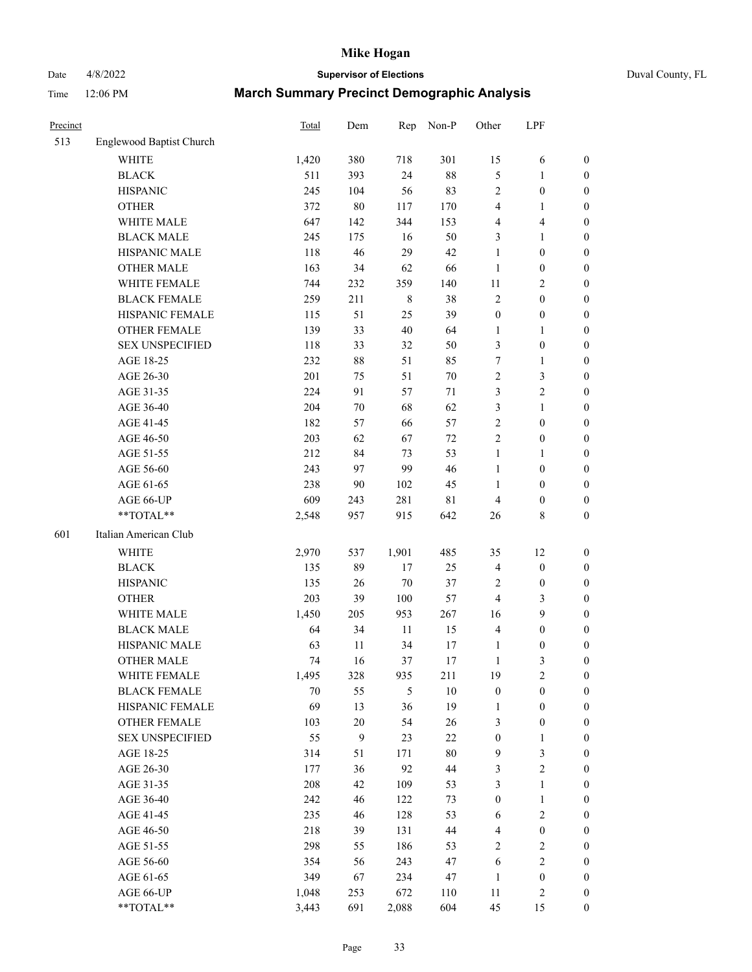# Date 4/8/2022 **Supervisor of Elections** Duval County, FL

| Precinct |                          | <b>Total</b> | Dem    | Rep         | Non-P       | Other            | LPF                     |                  |
|----------|--------------------------|--------------|--------|-------------|-------------|------------------|-------------------------|------------------|
| 513      | Englewood Baptist Church |              |        |             |             |                  |                         |                  |
|          | <b>WHITE</b>             | 1,420        | 380    | 718         | 301         | 15               | 6                       | 0                |
|          | <b>BLACK</b>             | 511          | 393    | 24          | $88\,$      | 5                | $\mathbf{1}$            | 0                |
|          | <b>HISPANIC</b>          | 245          | 104    | 56          | 83          | 2                | $\boldsymbol{0}$        | $\boldsymbol{0}$ |
|          | <b>OTHER</b>             | 372          | $80\,$ | 117         | 170         | 4                | 1                       | $\boldsymbol{0}$ |
|          | WHITE MALE               | 647          | 142    | 344         | 153         | 4                | $\overline{\mathbf{4}}$ | $\boldsymbol{0}$ |
|          | <b>BLACK MALE</b>        | 245          | 175    | 16          | 50          | 3                | $\mathbf{1}$            | $\boldsymbol{0}$ |
|          | HISPANIC MALE            | 118          | 46     | 29          | 42          | 1                | $\boldsymbol{0}$        | $\boldsymbol{0}$ |
|          | <b>OTHER MALE</b>        | 163          | 34     | 62          | 66          | $\mathbf{1}$     | $\boldsymbol{0}$        | $\boldsymbol{0}$ |
|          | WHITE FEMALE             | 744          | 232    | 359         | 140         | 11               | $\overline{2}$          | $\boldsymbol{0}$ |
|          | <b>BLACK FEMALE</b>      | 259          | 211    | $\,$ 8 $\,$ | 38          | 2                | $\boldsymbol{0}$        | $\boldsymbol{0}$ |
|          | HISPANIC FEMALE          | 115          | 51     | 25          | 39          | $\boldsymbol{0}$ | $\boldsymbol{0}$        | $\boldsymbol{0}$ |
|          | <b>OTHER FEMALE</b>      | 139          | 33     | 40          | 64          | $\mathbf{1}$     | $\mathbf{1}$            | $\boldsymbol{0}$ |
|          | <b>SEX UNSPECIFIED</b>   | 118          | 33     | 32          | 50          | 3                | $\boldsymbol{0}$        | $\boldsymbol{0}$ |
|          | AGE 18-25                | 232          | $88\,$ | 51          | 85          | 7                | $\mathbf{1}$            | $\boldsymbol{0}$ |
|          | AGE 26-30                | 201          | 75     | 51          | $70\,$      | 2                | $\mathfrak{Z}$          | $\boldsymbol{0}$ |
|          | AGE 31-35                | 224          | 91     | 57          | 71          | 3                | $\sqrt{2}$              | $\boldsymbol{0}$ |
|          | AGE 36-40                | 204          | $70\,$ | 68          | 62          | 3                | $\mathbf{1}$            | $\boldsymbol{0}$ |
|          | AGE 41-45                | 182          | 57     | 66          | 57          | $\overline{c}$   | $\boldsymbol{0}$        | $\boldsymbol{0}$ |
|          | AGE 46-50                | 203          | 62     | 67          | $72\,$      | $\overline{c}$   | $\boldsymbol{0}$        | $\boldsymbol{0}$ |
|          | AGE 51-55                | 212          | 84     | 73          | 53          | $\mathbf{1}$     | 1                       | $\boldsymbol{0}$ |
|          | AGE 56-60                | 243          | 97     | 99          | 46          | $\mathbf{1}$     | $\boldsymbol{0}$        | 0                |
|          | AGE 61-65                | 238          | 90     | 102         | 45          | 1                | $\boldsymbol{0}$        | 0                |
|          | AGE 66-UP                | 609          | 243    | 281         | $8\sqrt{1}$ | 4                | $\boldsymbol{0}$        | $\boldsymbol{0}$ |
|          | **TOTAL**                | 2,548        | 957    | 915         | 642         | 26               | $8\,$                   | $\boldsymbol{0}$ |
| 601      | Italian American Club    |              |        |             |             |                  |                         |                  |
|          |                          |              |        |             |             |                  |                         |                  |
|          | <b>WHITE</b>             | 2,970        | 537    | 1,901       | 485         | 35               | 12                      | $\boldsymbol{0}$ |
|          | <b>BLACK</b>             | 135          | 89     | 17          | 25          | 4                | $\boldsymbol{0}$        | $\boldsymbol{0}$ |
|          | <b>HISPANIC</b>          | 135          | 26     | $70\,$      | 37          | 2                | $\boldsymbol{0}$        | $\boldsymbol{0}$ |
|          | <b>OTHER</b>             | 203          | 39     | 100         | 57          | 4                | $\mathfrak{Z}$          | $\boldsymbol{0}$ |
|          | WHITE MALE               | 1,450        | 205    | 953         | 267         | 16               | 9                       | $\boldsymbol{0}$ |
|          | <b>BLACK MALE</b>        | 64           | 34     | $11\,$      | 15          | 4                | $\boldsymbol{0}$        | $\boldsymbol{0}$ |
|          | HISPANIC MALE            | 63           | 11     | 34          | 17          | $\mathbf{1}$     | $\boldsymbol{0}$        | $\boldsymbol{0}$ |
|          | <b>OTHER MALE</b>        | 74           | 16     | 37          | 17          | $\mathbf{1}$     | 3                       | $\boldsymbol{0}$ |
|          | WHITE FEMALE             | 1,495        | 328    | 935         | 211         | 19               | 2                       | 0                |
|          | <b>BLACK FEMALE</b>      | 70           | 55     | 5           | $10\,$      | $\boldsymbol{0}$ | $\boldsymbol{0}$        | $\boldsymbol{0}$ |
|          | HISPANIC FEMALE          | 69           | 13     | 36          | 19          | $\mathbf{1}$     | $\boldsymbol{0}$        | $\overline{0}$   |
|          | OTHER FEMALE             | 103          | $20\,$ | 54          | 26          | 3                | $\boldsymbol{0}$        | $\overline{0}$   |
|          | <b>SEX UNSPECIFIED</b>   | 55           | 9      | 23          | $22\,$      | $\boldsymbol{0}$ | $\mathbf{1}$            | 0                |
|          | AGE 18-25                | 314          | 51     | 171         | $80\,$      | 9                | $\mathfrak{Z}$          | 0                |
|          | AGE 26-30                | 177          | 36     | 92          | $44\,$      | 3                | $\overline{2}$          | 0                |
|          | AGE 31-35                | 208          | 42     | 109         | 53          | 3                | $\mathbf{1}$            | 0                |
|          | AGE 36-40                | 242          | 46     | 122         | 73          | $\boldsymbol{0}$ | $\mathbf{1}$            | 0                |
|          | AGE 41-45                | 235          | 46     | 128         | 53          | 6                | $\overline{2}$          | 0                |
|          | AGE 46-50                | 218          | 39     | 131         | 44          | 4                | $\boldsymbol{0}$        | 0                |
|          | AGE 51-55                | 298          | 55     | 186         | 53          | $\overline{c}$   | $\sqrt{2}$              | 0                |
|          | AGE 56-60                | 354          | 56     | 243         | 47          | 6                | $\sqrt{2}$              | $\overline{0}$   |
|          | AGE 61-65                | 349          | 67     | 234         | 47          | $\mathbf{1}$     | $\boldsymbol{0}$        | $\overline{0}$   |
|          | AGE 66-UP                | 1,048        | 253    | 672         | 110         | 11               | $\sqrt{2}$              | 0                |
|          | **TOTAL**                | 3,443        | 691    | 2,088       | 604         | 45               | 15                      | $\boldsymbol{0}$ |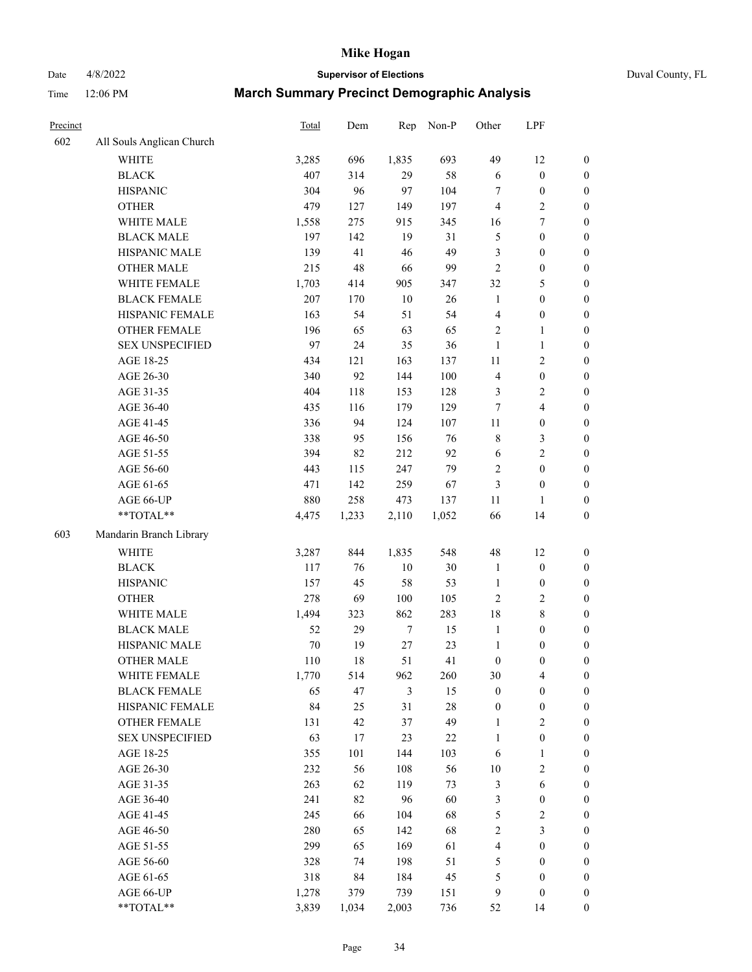Date 4/8/2022 **Supervisor of Elections** Duval County, FL

| Precinct |                                     | Total     | Dem      | Rep              | Non-P     | Other                            | LPF                                  |                                    |
|----------|-------------------------------------|-----------|----------|------------------|-----------|----------------------------------|--------------------------------------|------------------------------------|
| 602      | All Souls Anglican Church           |           |          |                  |           |                                  |                                      |                                    |
|          | <b>WHITE</b>                        | 3,285     | 696      | 1,835            | 693       | 49                               | 12                                   | 0                                  |
|          | <b>BLACK</b>                        | 407       | 314      | 29               | 58        | 6                                | $\boldsymbol{0}$                     | 0                                  |
|          | <b>HISPANIC</b>                     | 304       | 96       | 97               | 104       | 7                                | $\boldsymbol{0}$                     | $\boldsymbol{0}$                   |
|          | <b>OTHER</b>                        | 479       | 127      | 149              | 197       | 4                                | $\sqrt{2}$                           | $\boldsymbol{0}$                   |
|          | WHITE MALE                          | 1,558     | 275      | 915              | 345       | 16                               | $\tau$                               | $\boldsymbol{0}$                   |
|          | <b>BLACK MALE</b>                   | 197       | 142      | 19               | 31        | 5                                | $\boldsymbol{0}$                     | $\boldsymbol{0}$                   |
|          | HISPANIC MALE                       | 139       | 41       | 46               | 49        | 3                                | $\boldsymbol{0}$                     | $\boldsymbol{0}$                   |
|          | <b>OTHER MALE</b>                   | 215       | 48       | 66               | 99        | $\mathbf{2}$                     | $\boldsymbol{0}$                     | $\boldsymbol{0}$                   |
|          | WHITE FEMALE                        | 1,703     | 414      | 905              | 347       | 32                               | $\mathfrak{S}$                       | $\boldsymbol{0}$                   |
|          | <b>BLACK FEMALE</b>                 | 207       | 170      | $10\,$           | 26        | $\mathbf{1}$                     | $\boldsymbol{0}$                     | 0                                  |
|          | HISPANIC FEMALE                     | 163       | 54       | 51               | 54        | $\overline{4}$                   | $\boldsymbol{0}$                     | 0                                  |
|          | <b>OTHER FEMALE</b>                 | 196       | 65       | 63               | 65        | $\mathbf{2}$                     | $\mathbf{1}$                         | $\boldsymbol{0}$                   |
|          | <b>SEX UNSPECIFIED</b>              | 97        | 24       | 35               | 36        | $\mathbf{1}$                     | $\mathbf{1}$                         | $\boldsymbol{0}$                   |
|          | AGE 18-25                           | 434       | 121      | 163              | 137       | $11\,$                           | $\sqrt{2}$                           | $\boldsymbol{0}$                   |
|          | AGE 26-30                           | 340       | 92       | 144              | 100       | 4                                | $\boldsymbol{0}$                     | $\boldsymbol{0}$                   |
|          | AGE 31-35                           | 404       | 118      | 153              | 128       | 3                                | $\sqrt{2}$                           | $\boldsymbol{0}$                   |
|          | AGE 36-40                           | 435       | 116      | 179              | 129       | 7                                | $\overline{\mathbf{4}}$              | $\boldsymbol{0}$                   |
|          | AGE 41-45                           | 336       | 94       | 124              | 107       | $11\,$                           | $\boldsymbol{0}$                     | $\boldsymbol{0}$                   |
|          | AGE 46-50                           | 338       | 95       | 156              | 76        | 8                                | $\mathfrak{Z}$                       | $\boldsymbol{0}$                   |
|          | AGE 51-55                           | 394       | 82       | 212              | 92        | 6                                | $\sqrt{2}$                           | $\boldsymbol{0}$                   |
|          | AGE 56-60                           | 443       | 115      | 247              | 79        | $\overline{c}$                   | $\boldsymbol{0}$                     | 0                                  |
|          | AGE 61-65                           | 471       | 142      | 259              | 67        | $\mathfrak{Z}$                   | $\boldsymbol{0}$                     | $\boldsymbol{0}$                   |
|          | AGE 66-UP                           | 880       | 258      | 473              | 137       | 11                               | $\mathbf{1}$                         | $\boldsymbol{0}$                   |
|          | $**TOTAL**$                         | 4,475     | 1,233    | 2,110            | 1,052     | 66                               | 14                                   | $\boldsymbol{0}$                   |
| 603      | Mandarin Branch Library             |           |          |                  |           |                                  |                                      |                                    |
|          | WHITE                               |           |          | 1,835            | 548       | 48                               | 12                                   |                                    |
|          |                                     | 3,287     | 844      |                  |           |                                  |                                      | $\boldsymbol{0}$                   |
|          | <b>BLACK</b>                        | 117       | 76       | $10\,$           | 30        | $\mathbf{1}$                     | $\boldsymbol{0}$                     | $\boldsymbol{0}$                   |
|          | <b>HISPANIC</b>                     | 157       | 45       | 58               | 53        | $\mathbf{1}$                     | $\boldsymbol{0}$                     | $\boldsymbol{0}$                   |
|          | <b>OTHER</b>                        | 278       | 69       | 100              | 105       | $\mathfrak{2}$                   | $\sqrt{2}$                           | $\boldsymbol{0}$                   |
|          | WHITE MALE<br><b>BLACK MALE</b>     | 1,494     | 323      | 862              | 283       | 18                               | $8\,$                                | $\boldsymbol{0}$                   |
|          | HISPANIC MALE                       | 52        | 29       | $\boldsymbol{7}$ | 15        | $\mathbf{1}$                     | $\boldsymbol{0}$                     | $\boldsymbol{0}$                   |
|          | <b>OTHER MALE</b>                   | 70<br>110 | 19<br>18 | $27\,$<br>51     | 23<br>41  | $\mathbf{1}$<br>$\boldsymbol{0}$ | $\boldsymbol{0}$<br>$\boldsymbol{0}$ | $\boldsymbol{0}$                   |
|          |                                     |           |          |                  |           |                                  |                                      | $\boldsymbol{0}$                   |
|          | WHITE FEMALE<br><b>BLACK FEMALE</b> | 1,770     | 514      | 962<br>3         | 260<br>15 | 30<br>$\boldsymbol{0}$           | 4<br>$\boldsymbol{0}$                | 0                                  |
|          | HISPANIC FEMALE                     | 65<br>84  | 47<br>25 | 31               | 28        |                                  |                                      | $\boldsymbol{0}$<br>$\overline{0}$ |
|          | <b>OTHER FEMALE</b>                 | 131       | 42       | 37               | 49        | $\boldsymbol{0}$<br>$\mathbf{1}$ | $\boldsymbol{0}$<br>$\sqrt{2}$       | $\overline{0}$                     |
|          | <b>SEX UNSPECIFIED</b>              | 63        | 17       | 23               | 22        | $\mathbf{1}$                     | $\boldsymbol{0}$                     | 0                                  |
|          | AGE 18-25                           | 355       | 101      | 144              | 103       | 6                                | $\mathbf{1}$                         | $\overline{0}$                     |
|          | AGE 26-30                           | 232       | 56       | 108              | 56        | $10\,$                           | $\sqrt{2}$                           | 0                                  |
|          | AGE 31-35                           | 263       | 62       | 119              | 73        | 3                                | 6                                    | 0                                  |
|          | AGE 36-40                           | 241       | 82       | 96               | 60        | 3                                | $\boldsymbol{0}$                     | 0                                  |
|          | AGE 41-45                           | 245       | 66       | 104              | 68        | 5                                | $\sqrt{2}$                           | 0                                  |
|          | AGE 46-50                           | 280       |          | 142              | 68        |                                  | $\mathfrak{Z}$                       |                                    |
|          | AGE 51-55                           | 299       | 65<br>65 | 169              | 61        | $\overline{c}$                   | $\boldsymbol{0}$                     | 0<br>$\boldsymbol{0}$              |
|          | AGE 56-60                           | 328       | 74       | 198              | 51        | 4<br>5                           | $\boldsymbol{0}$                     | $\boldsymbol{0}$                   |
|          | AGE 61-65                           | 318       | 84       | 184              | 45        | 5                                | $\boldsymbol{0}$                     | $\boldsymbol{0}$                   |
|          | AGE 66-UP                           | 1,278     | 379      | 739              | 151       | 9                                | $\boldsymbol{0}$                     | $\boldsymbol{0}$                   |
|          | **TOTAL**                           | 3,839     | 1,034    | 2,003            | 736       | 52                               | 14                                   | $\boldsymbol{0}$                   |
|          |                                     |           |          |                  |           |                                  |                                      |                                    |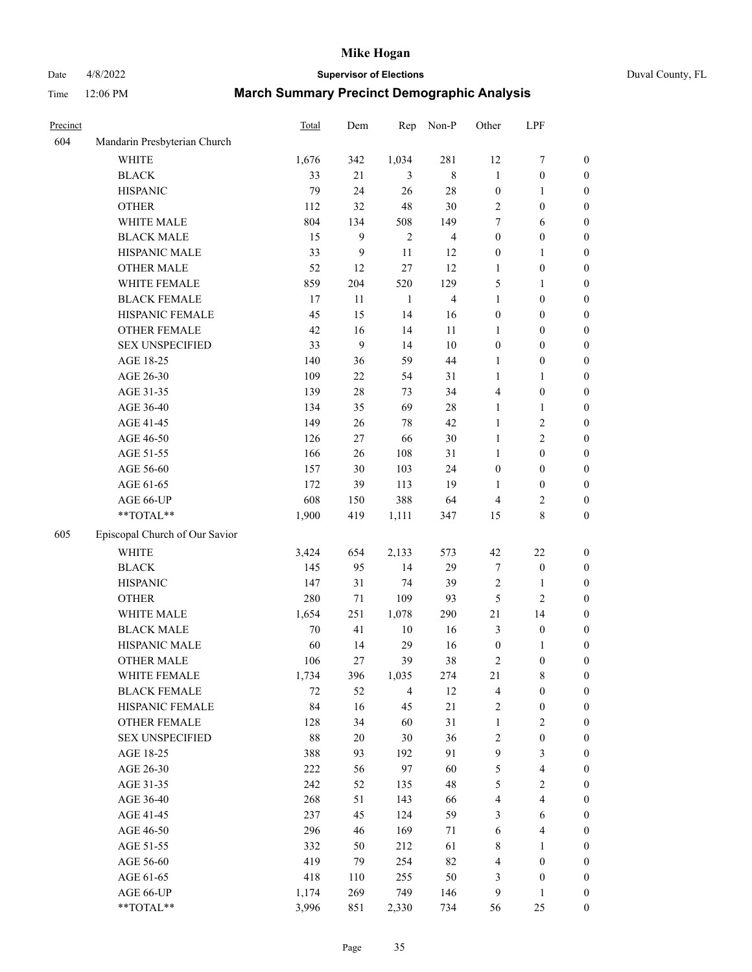# Date 4/8/2022 **Supervisor of Elections** Duval County, FL

| Precinct |                                | <b>Total</b> | Dem              | Rep            | Non-P                   | Other            | LPF                     |                  |
|----------|--------------------------------|--------------|------------------|----------------|-------------------------|------------------|-------------------------|------------------|
| 604      | Mandarin Presbyterian Church   |              |                  |                |                         |                  |                         |                  |
|          | <b>WHITE</b>                   | 1,676        | 342              | 1,034          | 281                     | 12               | $\boldsymbol{7}$        | 0                |
|          | <b>BLACK</b>                   | 33           | 21               | 3              | $\,$ 8 $\,$             | $\mathbf{1}$     | $\boldsymbol{0}$        | $\boldsymbol{0}$ |
|          | <b>HISPANIC</b>                | 79           | 24               | 26             | $28\,$                  | $\boldsymbol{0}$ | 1                       | $\boldsymbol{0}$ |
|          | <b>OTHER</b>                   | 112          | 32               | 48             | 30                      | 2                | $\boldsymbol{0}$        | $\boldsymbol{0}$ |
|          | WHITE MALE                     | 804          | 134              | 508            | 149                     | 7                | 6                       | $\boldsymbol{0}$ |
|          | <b>BLACK MALE</b>              | 15           | 9                | $\overline{2}$ | $\overline{4}$          | $\boldsymbol{0}$ | $\boldsymbol{0}$        | $\boldsymbol{0}$ |
|          | HISPANIC MALE                  | 33           | $\boldsymbol{9}$ | 11             | 12                      | $\boldsymbol{0}$ | $\mathbf{1}$            | $\boldsymbol{0}$ |
|          | <b>OTHER MALE</b>              | 52           | 12               | 27             | 12                      | $\mathbf{1}$     | $\boldsymbol{0}$        | $\boldsymbol{0}$ |
|          | WHITE FEMALE                   | 859          | 204              | 520            | 129                     | 5                | 1                       | $\boldsymbol{0}$ |
|          | <b>BLACK FEMALE</b>            | 17           | 11               | $\mathbf{1}$   | $\overline{\mathbf{4}}$ | $\mathbf{1}$     | $\boldsymbol{0}$        | 0                |
|          | HISPANIC FEMALE                | 45           | 15               | 14             | 16                      | $\boldsymbol{0}$ | $\boldsymbol{0}$        | 0                |
|          | OTHER FEMALE                   | 42           | 16               | 14             | 11                      | 1                | $\boldsymbol{0}$        | $\boldsymbol{0}$ |
|          | <b>SEX UNSPECIFIED</b>         | 33           | 9                | 14             | $10\,$                  | $\boldsymbol{0}$ | $\boldsymbol{0}$        | $\boldsymbol{0}$ |
|          | AGE 18-25                      | 140          | 36               | 59             | 44                      | 1                | $\boldsymbol{0}$        | $\boldsymbol{0}$ |
|          | AGE 26-30                      | 109          | $22\,$           | 54             | 31                      | $\mathbf{1}$     | $\mathbf{1}$            | $\boldsymbol{0}$ |
|          | AGE 31-35                      | 139          | 28               | 73             | 34                      | 4                | $\boldsymbol{0}$        | $\boldsymbol{0}$ |
|          | AGE 36-40                      | 134          | 35               | 69             | $28\,$                  | $\mathbf{1}$     | $\mathbf{1}$            | $\boldsymbol{0}$ |
|          | AGE 41-45                      | 149          | 26               | 78             | 42                      | $\mathbf{1}$     | $\sqrt{2}$              | $\boldsymbol{0}$ |
|          | AGE 46-50                      | 126          | 27               | 66             | $30\,$                  | $\mathbf{1}$     | $\overline{2}$          | $\boldsymbol{0}$ |
|          | AGE 51-55                      | 166          | 26               | 108            | 31                      | 1                | $\boldsymbol{0}$        | $\boldsymbol{0}$ |
|          | AGE 56-60                      | 157          | 30               | 103            | 24                      | $\boldsymbol{0}$ | $\boldsymbol{0}$        | 0                |
|          | AGE 61-65                      | 172          | 39               | 113            | 19                      | 1                | $\boldsymbol{0}$        | 0                |
|          | AGE 66-UP                      | 608          | 150              | 388            | 64                      | 4                | $\overline{c}$          | $\boldsymbol{0}$ |
|          | **TOTAL**                      | 1,900        | 419              | 1,111          | 347                     | 15               | $8\,$                   | $\boldsymbol{0}$ |
| 605      | Episcopal Church of Our Savior |              |                  |                |                         |                  |                         |                  |
|          | <b>WHITE</b>                   | 3,424        | 654              | 2,133          | 573                     | $42\,$           | $22\,$                  | $\boldsymbol{0}$ |
|          | <b>BLACK</b>                   | 145          | 95               | 14             | 29                      | 7                | $\boldsymbol{0}$        | $\boldsymbol{0}$ |
|          | <b>HISPANIC</b>                | 147          | 31               | 74             | 39                      | 2                | $\mathbf{1}$            | $\boldsymbol{0}$ |
|          | <b>OTHER</b>                   | 280          | 71               | 109            | 93                      | 5                | $\overline{c}$          | $\boldsymbol{0}$ |
|          | WHITE MALE                     | 1,654        | 251              | 1,078          | 290                     | 21               | 14                      | $\boldsymbol{0}$ |
|          | <b>BLACK MALE</b>              | 70           | 41               | $10\,$         | 16                      | 3                | $\boldsymbol{0}$        | $\boldsymbol{0}$ |
|          | HISPANIC MALE                  | 60           | 14               | 29             | 16                      | $\boldsymbol{0}$ | 1                       | 0                |
|          | <b>OTHER MALE</b>              | 106          | 27               | 39             | 38                      | 2                | $\boldsymbol{0}$        | $\boldsymbol{0}$ |
|          | WHITE FEMALE                   | 1,734        | 396              | 1,035          | 274                     | 21               | 8                       | 0                |
|          | <b>BLACK FEMALE</b>            | 72           | 52               | $\overline{4}$ | 12                      | 4                | $\boldsymbol{0}$        | $\boldsymbol{0}$ |
|          | HISPANIC FEMALE                | 84           | 16               | 45             | 21                      | 2                | $\boldsymbol{0}$        | $\overline{0}$   |
|          | OTHER FEMALE                   | 128          | 34               | 60             | 31                      | $\mathbf{1}$     | $\sqrt{2}$              | $\overline{0}$   |
|          | <b>SEX UNSPECIFIED</b>         | 88           | $20\,$           | 30             | 36                      | 2                | $\boldsymbol{0}$        | 0                |
|          | AGE 18-25                      | 388          | 93               | 192            | 91                      | 9                | $\mathfrak{Z}$          | $\overline{0}$   |
|          | AGE 26-30                      | 222          | 56               | 97             | 60                      | 5                | $\overline{\mathbf{4}}$ | 0                |
|          | AGE 31-35                      | 242          | 52               | 135            | 48                      | 5                | $\sqrt{2}$              | 0                |
|          | AGE 36-40                      | 268          | 51               | 143            | 66                      | 4                | $\overline{\mathbf{4}}$ | 0                |
|          | AGE 41-45                      | 237          | 45               | 124            | 59                      | 3                | 6                       | 0                |
|          | AGE 46-50                      | 296          | 46               | 169            | 71                      | 6                | $\overline{\mathbf{4}}$ | 0                |
|          | AGE 51-55                      | 332          | 50               | 212            | 61                      | 8                | 1                       | $\boldsymbol{0}$ |
|          | AGE 56-60                      | 419          | 79               | 254            | 82                      | 4                | $\boldsymbol{0}$        | $\boldsymbol{0}$ |
|          | AGE 61-65                      | 418          | 110              | 255            | 50                      | 3                | $\boldsymbol{0}$        | $\boldsymbol{0}$ |
|          | AGE 66-UP                      | 1,174        | 269              | 749            | 146                     | 9                | $\mathbf{1}$            | $\boldsymbol{0}$ |
|          | **TOTAL**                      | 3,996        | 851              | 2,330          | 734                     | 56               | 25                      | $\boldsymbol{0}$ |
|          |                                |              |                  |                |                         |                  |                         |                  |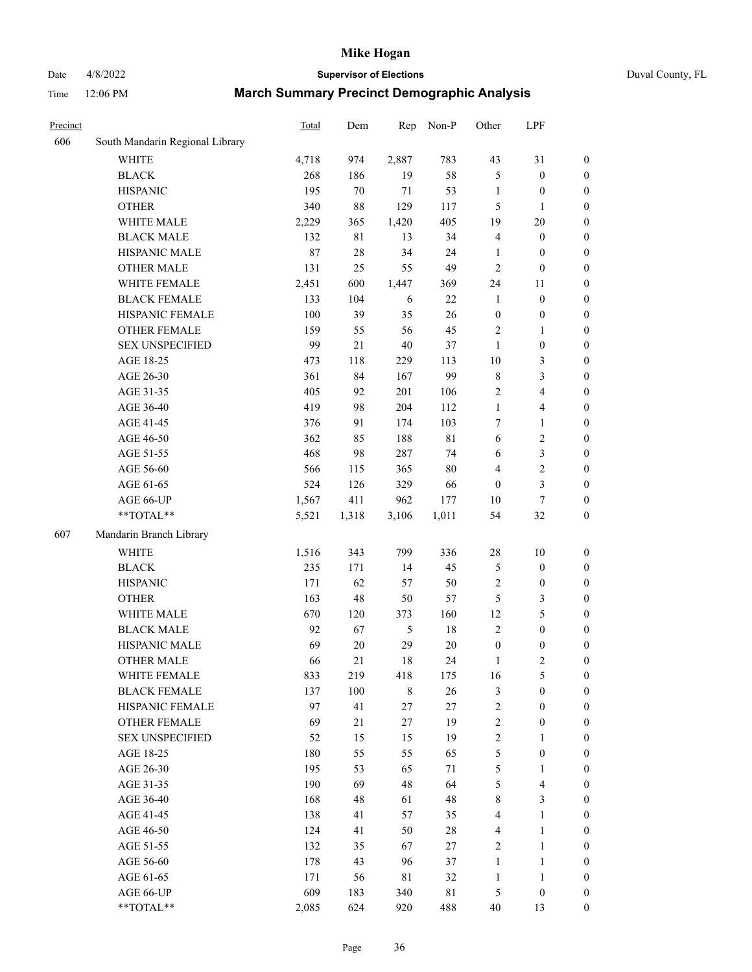## Date 4/8/2022 **Supervisor of Elections** Duval County, FL

| Precinct |                                 | Total | Dem         | Rep       | Non-P  | Other            | LPF                     |                  |
|----------|---------------------------------|-------|-------------|-----------|--------|------------------|-------------------------|------------------|
| 606      | South Mandarin Regional Library |       |             |           |        |                  |                         |                  |
|          | <b>WHITE</b>                    | 4,718 | 974         | 2,887     | 783    | 43               | 31                      | $\boldsymbol{0}$ |
|          | <b>BLACK</b>                    | 268   | 186         | 19        | 58     | 5                | $\boldsymbol{0}$        | $\boldsymbol{0}$ |
|          | <b>HISPANIC</b>                 | 195   | 70          | 71        | 53     | $\mathbf{1}$     | $\boldsymbol{0}$        | $\boldsymbol{0}$ |
|          | <b>OTHER</b>                    | 340   | $88\,$      | 129       | 117    | 5                | $\mathbf{1}$            | $\boldsymbol{0}$ |
|          | WHITE MALE                      | 2,229 | 365         | 1,420     | 405    | 19               | $20\,$                  | $\boldsymbol{0}$ |
|          | <b>BLACK MALE</b>               | 132   | $8\sqrt{1}$ | 13        | 34     | 4                | $\boldsymbol{0}$        | $\boldsymbol{0}$ |
|          | HISPANIC MALE                   | 87    | $28\,$      | 34        | 24     | $\mathbf{1}$     | $\boldsymbol{0}$        | $\boldsymbol{0}$ |
|          | <b>OTHER MALE</b>               | 131   | 25          | 55        | 49     | $\mathbf{2}$     | $\boldsymbol{0}$        | $\boldsymbol{0}$ |
|          | WHITE FEMALE                    | 2,451 | 600         | 1,447     | 369    | 24               | 11                      | 0                |
|          | <b>BLACK FEMALE</b>             | 133   | 104         | 6         | 22     | $\mathbf{1}$     | $\boldsymbol{0}$        | 0                |
|          | HISPANIC FEMALE                 | 100   | 39          | 35        | 26     | $\boldsymbol{0}$ | $\boldsymbol{0}$        | $\boldsymbol{0}$ |
|          | OTHER FEMALE                    | 159   | 55          | 56        | 45     | $\sqrt{2}$       | $\mathbf{1}$            | $\boldsymbol{0}$ |
|          | <b>SEX UNSPECIFIED</b>          | 99    | 21          | 40        | 37     | $\mathbf{1}$     | $\boldsymbol{0}$        | $\boldsymbol{0}$ |
|          | AGE 18-25                       | 473   | 118         | 229       | 113    | 10               | $\mathfrak{Z}$          | $\boldsymbol{0}$ |
|          | AGE 26-30                       | 361   | 84          | 167       | 99     | $\,$ $\,$        | $\mathfrak{Z}$          | $\boldsymbol{0}$ |
|          | AGE 31-35                       | 405   | 92          | 201       | 106    | $\overline{c}$   | $\overline{\mathbf{4}}$ | $\boldsymbol{0}$ |
|          | AGE 36-40                       | 419   | 98          | 204       | 112    | $\mathbf{1}$     | $\overline{4}$          | $\boldsymbol{0}$ |
|          | AGE 41-45                       | 376   |             | 174       | 103    | 7                |                         |                  |
|          | AGE 46-50                       | 362   | 91          | 188       | 81     |                  | $\mathbf{1}$            | $\boldsymbol{0}$ |
|          |                                 |       | 85          |           |        | 6                | $\sqrt{2}$              | $\boldsymbol{0}$ |
|          | AGE 51-55                       | 468   | 98          | 287       | 74     | 6                | $\mathfrak{Z}$          | 0                |
|          | AGE 56-60                       | 566   | 115         | 365       | 80     | 4                | $\sqrt{2}$              | $\boldsymbol{0}$ |
|          | AGE 61-65                       | 524   | 126         | 329       | 66     | $\boldsymbol{0}$ | $\mathfrak{Z}$          | $\boldsymbol{0}$ |
|          | AGE 66-UP                       | 1,567 | 411         | 962       | 177    | 10               | $\boldsymbol{7}$        | $\boldsymbol{0}$ |
|          | **TOTAL**                       | 5,521 | 1,318       | 3,106     | 1,011  | 54               | $32\,$                  | $\boldsymbol{0}$ |
| 607      | Mandarin Branch Library         |       |             |           |        |                  |                         |                  |
|          | <b>WHITE</b>                    | 1,516 | 343         | 799       | 336    | 28               | $10\,$                  | $\boldsymbol{0}$ |
|          | <b>BLACK</b>                    | 235   | 171         | 14        | 45     | 5                | $\boldsymbol{0}$        | $\boldsymbol{0}$ |
|          | <b>HISPANIC</b>                 | 171   | 62          | 57        | 50     | $\overline{c}$   | $\boldsymbol{0}$        | $\boldsymbol{0}$ |
|          | <b>OTHER</b>                    | 163   | 48          | 50        | 57     | 5                | $\mathfrak{Z}$          | $\boldsymbol{0}$ |
|          | WHITE MALE                      | 670   | 120         | 373       | 160    | 12               | $\mathfrak s$           | $\boldsymbol{0}$ |
|          | <b>BLACK MALE</b>               | 92    | 67          | 5         | $18\,$ | $\mathbf{2}$     | $\boldsymbol{0}$        | $\boldsymbol{0}$ |
|          | HISPANIC MALE                   | 69    | $20\,$      | 29        | 20     | $\boldsymbol{0}$ | $\boldsymbol{0}$        | 0                |
|          | <b>OTHER MALE</b>               | 66    | 21          | 18        | 24     | $\mathbf{1}$     | $\mathbf{2}$            | $\boldsymbol{0}$ |
|          | WHITE FEMALE                    | 833   | 219         | 418       | 175    | 16               | $\mathfrak{S}$          | 0                |
|          | <b>BLACK FEMALE</b>             | 137   | 100         | $\,$ $\,$ | 26     | 3                | $\boldsymbol{0}$        | $\overline{0}$   |
|          | HISPANIC FEMALE                 | 97    | 41          | $27\,$    | 27     | $\boldsymbol{2}$ | $\boldsymbol{0}$        | $\overline{0}$   |
|          | <b>OTHER FEMALE</b>             | 69    | 21          | $27\,$    | 19     | $\sqrt{2}$       | $\boldsymbol{0}$        | 0                |
|          | <b>SEX UNSPECIFIED</b>          | 52    | 15          | 15        | 19     | $\overline{c}$   | $\mathbf{1}$            | 0                |
|          | AGE 18-25                       | 180   | 55          | 55        | 65     | 5                | $\boldsymbol{0}$        | 0                |
|          | AGE 26-30                       | 195   | 53          | 65        | $71\,$ | 5                | $\mathbf{1}$            | 0                |
|          | AGE 31-35                       | 190   | 69          | 48        | 64     | 5                | $\overline{\mathbf{4}}$ | 0                |
|          | AGE 36-40                       | 168   | 48          | 61        | 48     | 8                | $\mathfrak{Z}$          | 0                |
|          | AGE 41-45                       | 138   | 41          | 57        | 35     | 4                | $\mathbf{1}$            | 0                |
|          | AGE 46-50                       | 124   | 41          | 50        | $28\,$ | $\overline{4}$   | $\mathbf{1}$            | 0                |
|          | AGE 51-55                       | 132   | 35          | 67        | 27     | $\overline{c}$   | $\mathbf{1}$            | $\boldsymbol{0}$ |
|          | AGE 56-60                       | 178   | 43          | 96        | 37     | $\mathbf{1}$     | $\mathbf{1}$            | $\overline{0}$   |
|          | AGE 61-65                       | 171   | 56          | 81        | 32     | $\mathbf{1}$     | $\mathbf{1}$            | 0                |
|          | AGE 66-UP                       | 609   | 183         | 340       | 81     | $\mathfrak{S}$   | $\boldsymbol{0}$        | 0                |
|          | **TOTAL**                       | 2,085 | 624         | 920       | 488    | 40               | 13                      | $\boldsymbol{0}$ |
|          |                                 |       |             |           |        |                  |                         |                  |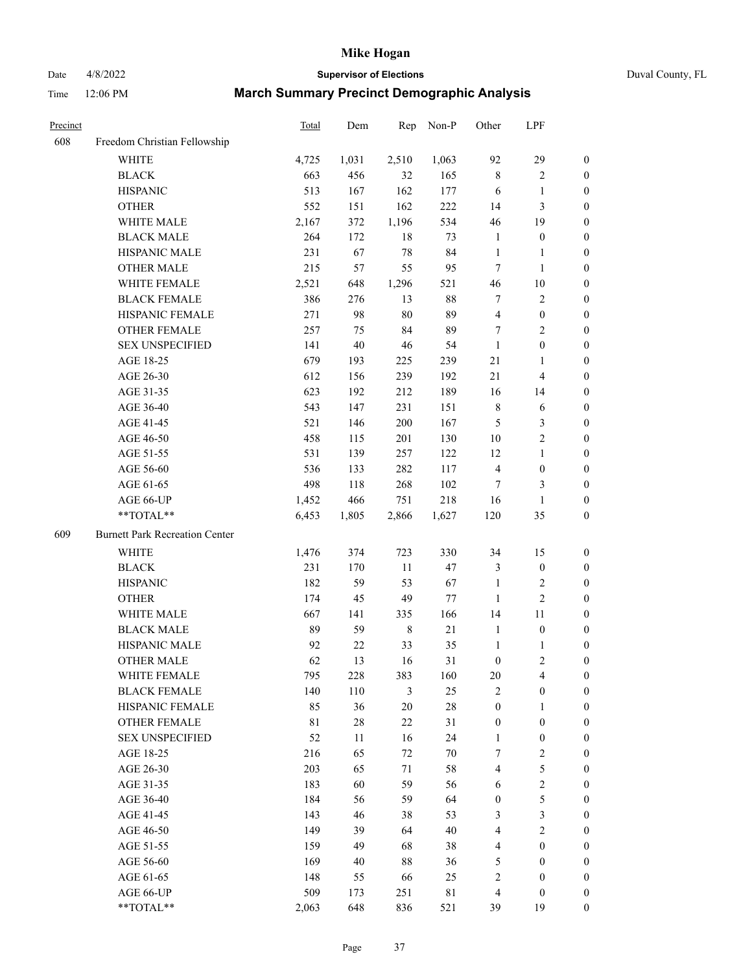Date 4/8/2022 **Supervisor of Elections** Duval County, FL

| Precinct |                                       | Total       | Dem    | Rep            | Non-P  | Other            | LPF                     |                  |
|----------|---------------------------------------|-------------|--------|----------------|--------|------------------|-------------------------|------------------|
| 608      | Freedom Christian Fellowship          |             |        |                |        |                  |                         |                  |
|          | <b>WHITE</b>                          | 4,725       | 1,031  | 2,510          | 1,063  | 92               | 29                      | $\boldsymbol{0}$ |
|          | <b>BLACK</b>                          | 663         | 456    | 32             | 165    | $\,$ 8 $\,$      | $\sqrt{2}$              | $\boldsymbol{0}$ |
|          | <b>HISPANIC</b>                       | 513         | 167    | 162            | 177    | 6                | 1                       | $\boldsymbol{0}$ |
|          | <b>OTHER</b>                          | 552         | 151    | 162            | 222    | 14               | $\mathfrak{Z}$          | $\boldsymbol{0}$ |
|          | WHITE MALE                            | 2,167       | 372    | 1,196          | 534    | 46               | 19                      | $\boldsymbol{0}$ |
|          | <b>BLACK MALE</b>                     | 264         | 172    | 18             | 73     | $\mathbf{1}$     | $\boldsymbol{0}$        | $\boldsymbol{0}$ |
|          | HISPANIC MALE                         | 231         | 67     | 78             | 84     | $\mathbf{1}$     | $\mathbf{1}$            | $\boldsymbol{0}$ |
|          | <b>OTHER MALE</b>                     | 215         | 57     | 55             | 95     | 7                | $\mathbf{1}$            | $\boldsymbol{0}$ |
|          | WHITE FEMALE                          | 2,521       | 648    | 1,296          | 521    | 46               | $10\,$                  | $\boldsymbol{0}$ |
|          | <b>BLACK FEMALE</b>                   | 386         | 276    | 13             | $88\,$ | $\tau$           | $\sqrt{2}$              | 0                |
|          | HISPANIC FEMALE                       | 271         | 98     | 80             | 89     | $\overline{4}$   | $\boldsymbol{0}$        | $\boldsymbol{0}$ |
|          | OTHER FEMALE                          | 257         | 75     | 84             | 89     | 7                | $\sqrt{2}$              | $\boldsymbol{0}$ |
|          | <b>SEX UNSPECIFIED</b>                | 141         | 40     | 46             | 54     | $\mathbf{1}$     | $\boldsymbol{0}$        | $\boldsymbol{0}$ |
|          | AGE 18-25                             | 679         | 193    | 225            | 239    | 21               | $\mathbf{1}$            | $\boldsymbol{0}$ |
|          | AGE 26-30                             | 612         | 156    | 239            | 192    | 21               | $\overline{\mathbf{4}}$ | $\boldsymbol{0}$ |
|          | AGE 31-35                             | 623         | 192    | 212            | 189    | 16               | 14                      | $\boldsymbol{0}$ |
|          | AGE 36-40                             | 543         | 147    | 231            | 151    | $\,$ 8 $\,$      | 6                       | $\boldsymbol{0}$ |
|          | AGE 41-45                             | 521         | 146    | 200            | 167    | 5                | $\mathfrak{Z}$          | $\boldsymbol{0}$ |
|          | AGE 46-50                             | 458         | 115    | 201            | 130    | $10\,$           | $\sqrt{2}$              | $\boldsymbol{0}$ |
|          | AGE 51-55                             | 531         | 139    | 257            | 122    | 12               | $\mathbf{1}$            | 0                |
|          | AGE 56-60                             | 536         | 133    | 282            | 117    | 4                | $\boldsymbol{0}$        | $\boldsymbol{0}$ |
|          | AGE 61-65                             | 498         | 118    | 268            | 102    | 7                | 3                       | $\boldsymbol{0}$ |
|          | AGE 66-UP                             | 1,452       | 466    | 751            | 218    | 16               | 1                       | $\boldsymbol{0}$ |
|          | **TOTAL**                             | 6,453       | 1,805  | 2,866          | 1,627  | 120              | 35                      | $\boldsymbol{0}$ |
| 609      | <b>Burnett Park Recreation Center</b> |             |        |                |        |                  |                         |                  |
|          | WHITE                                 | 1,476       | 374    | 723            | 330    | 34               | 15                      | $\boldsymbol{0}$ |
|          | <b>BLACK</b>                          | 231         | 170    | 11             | 47     | 3                | $\boldsymbol{0}$        | $\boldsymbol{0}$ |
|          | <b>HISPANIC</b>                       | 182         | 59     | 53             | 67     | $\mathbf{1}$     | $\sqrt{2}$              | $\boldsymbol{0}$ |
|          | <b>OTHER</b>                          | 174         | 45     | 49             | 77     | $\mathbf{1}$     | $\sqrt{2}$              | $\overline{0}$   |
|          | WHITE MALE                            | 667         | 141    | 335            | 166    | 14               | $11\,$                  | $\boldsymbol{0}$ |
|          | <b>BLACK MALE</b>                     | 89          | 59     | $\,8\,$        | 21     | $\mathbf{1}$     | $\boldsymbol{0}$        | $\boldsymbol{0}$ |
|          | HISPANIC MALE                         | 92          | 22     | 33             | 35     | $\mathbf{1}$     | 1                       | 0                |
|          | <b>OTHER MALE</b>                     | 62          | 13     | 16             | 31     | $\boldsymbol{0}$ | $\sqrt{2}$              | $\boldsymbol{0}$ |
|          | WHITE FEMALE                          | 795         | 228    | 383            | 160    | 20               | $\overline{\mathbf{4}}$ | $\overline{0}$   |
|          | <b>BLACK FEMALE</b>                   | 140         | 110    | $\mathfrak{Z}$ | 25     | 2                | $\boldsymbol{0}$        | $\overline{0}$   |
|          | HISPANIC FEMALE                       | 85          | 36     | 20             | $28\,$ | $\boldsymbol{0}$ | $\mathbf{1}$            | $\overline{0}$   |
|          | <b>OTHER FEMALE</b>                   | $8\sqrt{1}$ | $28\,$ | 22             | 31     | $\boldsymbol{0}$ | $\boldsymbol{0}$        | 0                |
|          | <b>SEX UNSPECIFIED</b>                | 52          | 11     | 16             | 24     | $\mathbf{1}$     | $\boldsymbol{0}$        | 0                |
|          | AGE 18-25                             | 216         | 65     | 72             | $70\,$ | 7                | $\sqrt{2}$              | 0                |
|          | AGE 26-30                             | 203         | 65     | 71             | 58     | 4                | $\mathfrak s$           | 0                |
|          | AGE 31-35                             | 183         | 60     | 59             | 56     | 6                | $\sqrt{2}$              | 0                |
|          | AGE 36-40                             | 184         | 56     | 59             | 64     | $\boldsymbol{0}$ | $\mathfrak{S}$          | 0                |
|          | AGE 41-45                             | 143         | 46     | 38             | 53     | 3                | $\mathfrak{Z}$          | 0                |
|          | AGE 46-50                             | 149         | 39     | 64             | $40\,$ | 4                | $\sqrt{2}$              | 0                |
|          | AGE 51-55                             | 159         | 49     | 68             | 38     | 4                | $\boldsymbol{0}$        | $\overline{0}$   |
|          | AGE 56-60                             | 169         | 40     | 88             | 36     | 5                | $\boldsymbol{0}$        | $\boldsymbol{0}$ |
|          | AGE 61-65                             | 148         | 55     | 66             | 25     | 2                | $\boldsymbol{0}$        | 0                |
|          | AGE 66-UP                             | 509         | 173    | 251            | 81     | 4                | $\boldsymbol{0}$        | 0                |
|          | **TOTAL**                             | 2,063       | 648    | 836            | 521    | 39               | 19                      | $\overline{0}$   |
|          |                                       |             |        |                |        |                  |                         |                  |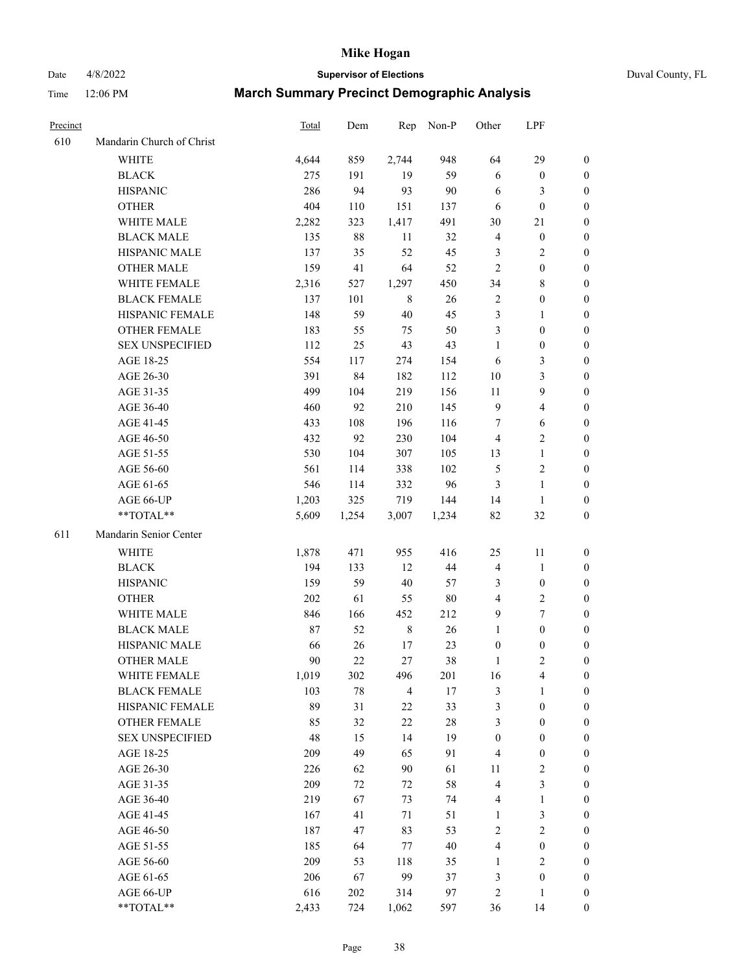Date 4/8/2022 **Supervisor of Elections** Duval County, FL

| Precinct |                           | Total | Dem    | Rep            | Non-P  | Other            | LPF                     |                  |
|----------|---------------------------|-------|--------|----------------|--------|------------------|-------------------------|------------------|
| 610      | Mandarin Church of Christ |       |        |                |        |                  |                         |                  |
|          | <b>WHITE</b>              | 4,644 | 859    | 2,744          | 948    | 64               | 29                      | 0                |
|          | <b>BLACK</b>              | 275   | 191    | 19             | 59     | 6                | $\boldsymbol{0}$        | 0                |
|          | <b>HISPANIC</b>           | 286   | 94     | 93             | 90     | 6                | 3                       | $\boldsymbol{0}$ |
|          | <b>OTHER</b>              | 404   | 110    | 151            | 137    | 6                | $\boldsymbol{0}$        | $\boldsymbol{0}$ |
|          | WHITE MALE                | 2,282 | 323    | 1,417          | 491    | 30               | 21                      | $\boldsymbol{0}$ |
|          | <b>BLACK MALE</b>         | 135   | $88\,$ | 11             | 32     | $\overline{4}$   | $\boldsymbol{0}$        | $\boldsymbol{0}$ |
|          | HISPANIC MALE             | 137   | 35     | 52             | 45     | 3                | $\sqrt{2}$              | $\boldsymbol{0}$ |
|          | <b>OTHER MALE</b>         | 159   | 41     | 64             | 52     | $\overline{2}$   | $\boldsymbol{0}$        | $\boldsymbol{0}$ |
|          | WHITE FEMALE              | 2,316 | 527    | 1,297          | 450    | 34               | $8\,$                   | $\boldsymbol{0}$ |
|          | <b>BLACK FEMALE</b>       | 137   | 101    | 8              | 26     | $\overline{c}$   | $\boldsymbol{0}$        | 0                |
|          | HISPANIC FEMALE           | 148   | 59     | 40             | 45     | 3                | $\mathbf{1}$            | 0                |
|          | OTHER FEMALE              | 183   | 55     | 75             | 50     | 3                | $\boldsymbol{0}$        | 0                |
|          | <b>SEX UNSPECIFIED</b>    | 112   | 25     | 43             | 43     | $\mathbf{1}$     | $\boldsymbol{0}$        | $\boldsymbol{0}$ |
|          | AGE 18-25                 | 554   | 117    | 274            | 154    | 6                | $\mathfrak{Z}$          | $\boldsymbol{0}$ |
|          | AGE 26-30                 | 391   | 84     | 182            | 112    | 10               | $\mathfrak{Z}$          | $\boldsymbol{0}$ |
|          | AGE 31-35                 | 499   | 104    | 219            | 156    | 11               | $\boldsymbol{9}$        | $\boldsymbol{0}$ |
|          | AGE 36-40                 | 460   | 92     | 210            | 145    | $\overline{9}$   | $\overline{\mathbf{4}}$ | $\boldsymbol{0}$ |
|          | AGE 41-45                 | 433   | 108    | 196            | 116    | 7                | $\sqrt{6}$              | $\boldsymbol{0}$ |
|          | AGE 46-50                 | 432   | 92     | 230            | 104    | $\overline{4}$   | $\overline{2}$          | 0                |
|          | AGE 51-55                 | 530   | 104    | 307            | 105    | 13               | $\mathbf{1}$            | 0                |
|          | AGE 56-60                 | 561   | 114    | 338            | 102    | 5                | $\sqrt{2}$              | 0                |
|          | AGE 61-65                 | 546   | 114    | 332            | 96     | $\mathfrak{Z}$   | $\mathbf{1}$            | 0                |
|          | AGE 66-UP                 | 1,203 | 325    | 719            | 144    | 14               | $\mathbf{1}$            | 0                |
|          | **TOTAL**                 | 5,609 | 1,254  | 3,007          | 1,234  | 82               | $32\,$                  | $\boldsymbol{0}$ |
| 611      | Mandarin Senior Center    |       |        |                |        |                  |                         |                  |
|          |                           |       |        |                |        |                  |                         |                  |
|          | <b>WHITE</b>              | 1,878 | 471    | 955            | 416    | 25               | 11                      | $\boldsymbol{0}$ |
|          | <b>BLACK</b>              | 194   | 133    | 12             | $44\,$ | $\overline{4}$   | $\mathbf{1}$            | $\boldsymbol{0}$ |
|          | <b>HISPANIC</b>           | 159   | 59     | $40\,$         | 57     | 3                | $\boldsymbol{0}$        | $\boldsymbol{0}$ |
|          | <b>OTHER</b>              | 202   | 61     | 55             | 80     | 4                | $\sqrt{2}$              | $\boldsymbol{0}$ |
|          | WHITE MALE                | 846   | 166    | 452            | 212    | 9                | $\tau$                  | $\boldsymbol{0}$ |
|          | <b>BLACK MALE</b>         | 87    | 52     | $\,$ 8 $\,$    | 26     | $\mathbf{1}$     | $\boldsymbol{0}$        | $\boldsymbol{0}$ |
|          | HISPANIC MALE             | 66    | 26     | 17             | 23     | $\boldsymbol{0}$ | $\boldsymbol{0}$        | 0                |
|          | <b>OTHER MALE</b>         | 90    | 22     | 27             | 38     | 1                | $\mathbf{2}$            | 0                |
|          | WHITE FEMALE              | 1,019 | 302    | 496            | 201    | 16               | 4                       | 0                |
|          | <b>BLACK FEMALE</b>       | 103   | 78     | $\overline{4}$ | 17     | 3                | $\mathbf{1}$            | $\boldsymbol{0}$ |
|          | HISPANIC FEMALE           | 89    | 31     | $22\,$         | 33     | 3                | $\boldsymbol{0}$        | $\overline{0}$   |
|          | OTHER FEMALE              | 85    | 32     | $22\,$         | $28\,$ | 3                | $\boldsymbol{0}$        | $\overline{0}$   |
|          | <b>SEX UNSPECIFIED</b>    | 48    | 15     | 14             | 19     | $\boldsymbol{0}$ | $\boldsymbol{0}$        | 0                |
|          | AGE 18-25                 | 209   | 49     | 65             | 91     | 4                | $\boldsymbol{0}$        | 0                |
|          | AGE 26-30                 | 226   | 62     | 90             | 61     | 11               | $\sqrt{2}$              | 0                |
|          | AGE 31-35                 | 209   | 72     | 72             | 58     | 4                | $\mathfrak{Z}$          | 0                |
|          | AGE 36-40                 | 219   | 67     | 73             | 74     | 4                | $\mathbf{1}$            | 0                |
|          | AGE 41-45                 | 167   | 41     | 71             | 51     | $\mathbf{1}$     | $\mathfrak{Z}$          | 0                |
|          | AGE 46-50                 | 187   | 47     | 83             | 53     | $\mathbf{2}$     | $\sqrt{2}$              | 0                |
|          | AGE 51-55                 | 185   | 64     | 77             | 40     | 4                | $\boldsymbol{0}$        | 0                |
|          | AGE 56-60                 | 209   | 53     | 118            | 35     | 1                | $\mathbf{2}$            | 0                |
|          | AGE 61-65                 | 206   | 67     | 99             | 37     | 3                | $\boldsymbol{0}$        | $\overline{0}$   |
|          | AGE 66-UP                 | 616   | 202    | 314            | 97     | $\overline{c}$   | $\mathbf{1}$            | $\boldsymbol{0}$ |
|          | **TOTAL**                 | 2,433 | 724    | 1,062          | 597    | 36               | 14                      | $\boldsymbol{0}$ |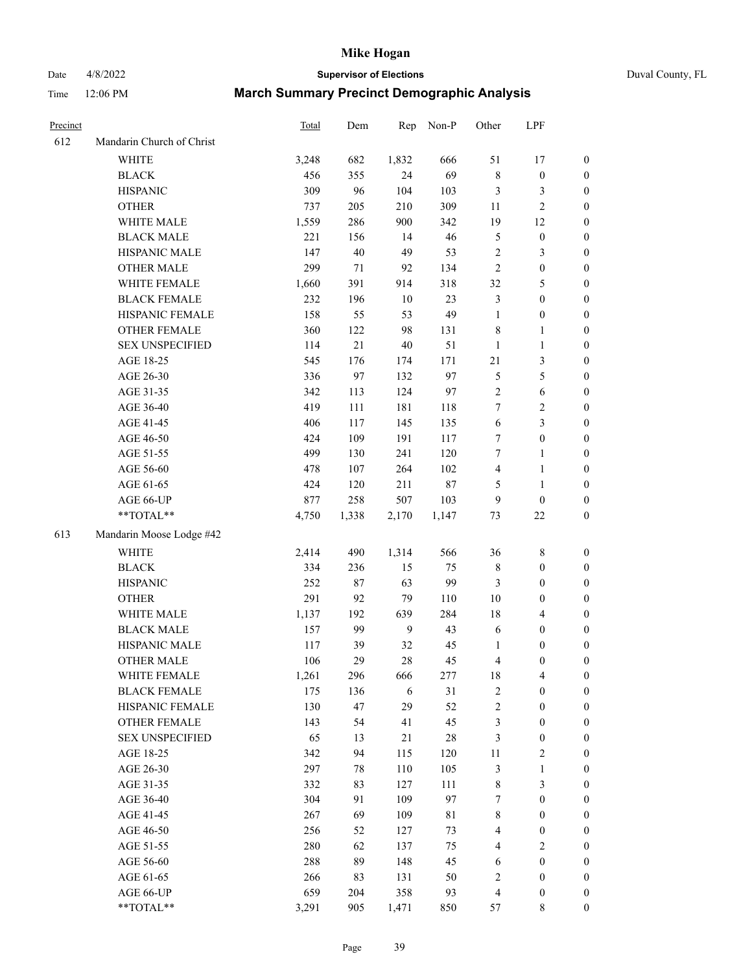# Date 4/8/2022 **Supervisor of Elections** Duval County, FL

| Precinct |                           | Total | Dem    | Rep            | Non-P       | Other                   | LPF              |                  |
|----------|---------------------------|-------|--------|----------------|-------------|-------------------------|------------------|------------------|
| 612      | Mandarin Church of Christ |       |        |                |             |                         |                  |                  |
|          | <b>WHITE</b>              | 3,248 | 682    | 1,832          | 666         | 51                      | 17               | 0                |
|          | <b>BLACK</b>              | 456   | 355    | 24             | 69          | $\,$ 8 $\,$             | $\boldsymbol{0}$ | 0                |
|          | <b>HISPANIC</b>           | 309   | 96     | 104            | 103         | 3                       | 3                | $\boldsymbol{0}$ |
|          | <b>OTHER</b>              | 737   | 205    | 210            | 309         | 11                      | $\sqrt{2}$       | $\boldsymbol{0}$ |
|          | WHITE MALE                | 1,559 | 286    | 900            | 342         | 19                      | 12               | $\boldsymbol{0}$ |
|          | <b>BLACK MALE</b>         | 221   | 156    | 14             | 46          | 5                       | $\boldsymbol{0}$ | $\boldsymbol{0}$ |
|          | HISPANIC MALE             | 147   | $40\,$ | 49             | 53          | $\sqrt{2}$              | $\mathfrak{Z}$   | $\boldsymbol{0}$ |
|          | <b>OTHER MALE</b>         | 299   | 71     | 92             | 134         | $\overline{2}$          | $\boldsymbol{0}$ | $\boldsymbol{0}$ |
|          | WHITE FEMALE              | 1,660 | 391    | 914            | 318         | 32                      | $\mathfrak{S}$   | $\boldsymbol{0}$ |
|          | <b>BLACK FEMALE</b>       | 232   | 196    | $10\,$         | 23          | 3                       | $\boldsymbol{0}$ | 0                |
|          | HISPANIC FEMALE           | 158   | 55     | 53             | 49          | $\mathbf{1}$            | $\boldsymbol{0}$ | 0                |
|          | OTHER FEMALE              | 360   | 122    | 98             | 131         | 8                       | $\mathbf{1}$     | $\boldsymbol{0}$ |
|          | <b>SEX UNSPECIFIED</b>    | 114   | 21     | $40\,$         | 51          | $\mathbf{1}$            | $\mathbf{1}$     | $\boldsymbol{0}$ |
|          | AGE 18-25                 | 545   | 176    | 174            | 171         | 21                      | $\mathfrak{Z}$   | $\boldsymbol{0}$ |
|          | AGE 26-30                 | 336   | 97     | 132            | 97          | 5                       | $\mathfrak{S}$   | $\boldsymbol{0}$ |
|          | AGE 31-35                 | 342   | 113    | 124            | 97          | $\sqrt{2}$              | 6                | $\boldsymbol{0}$ |
|          | AGE 36-40                 | 419   | 111    | 181            | 118         | $\tau$                  | $\sqrt{2}$       | $\boldsymbol{0}$ |
|          | AGE 41-45                 | 406   | 117    | 145            | 135         | $\sqrt{6}$              | $\mathfrak{Z}$   | $\boldsymbol{0}$ |
|          | AGE 46-50                 | 424   | 109    | 191            | 117         | 7                       | $\boldsymbol{0}$ | $\boldsymbol{0}$ |
|          | AGE 51-55                 | 499   | 130    | 241            | 120         | 7                       | 1                | 0                |
|          | AGE 56-60                 | 478   | 107    | 264            | 102         | $\overline{\mathbf{4}}$ | $\mathbf{1}$     | 0                |
|          | AGE 61-65                 | 424   | 120    | 211            | $87\,$      | 5                       | $\mathbf{1}$     | 0                |
|          | AGE 66-UP                 | 877   | 258    | 507            | 103         | 9                       | $\boldsymbol{0}$ | $\boldsymbol{0}$ |
|          | **TOTAL**                 | 4,750 | 1,338  | 2,170          | 1,147       | 73                      | $22\,$           | $\boldsymbol{0}$ |
| 613      | Mandarin Moose Lodge #42  |       |        |                |             |                         |                  |                  |
|          | <b>WHITE</b>              | 2,414 | 490    | 1,314          | 566         | 36                      | $\,$ 8 $\,$      | $\boldsymbol{0}$ |
|          | <b>BLACK</b>              | 334   | 236    | 15             | 75          | 8                       | $\boldsymbol{0}$ | $\boldsymbol{0}$ |
|          | <b>HISPANIC</b>           | 252   | 87     | 63             | 99          | 3                       | $\boldsymbol{0}$ | $\boldsymbol{0}$ |
|          | <b>OTHER</b>              | 291   | 92     | 79             | 110         | $10\,$                  | $\boldsymbol{0}$ | $\boldsymbol{0}$ |
|          | WHITE MALE                | 1,137 | 192    | 639            | 284         | 18                      | $\overline{4}$   | $\boldsymbol{0}$ |
|          | <b>BLACK MALE</b>         | 157   | 99     | $\overline{9}$ | 43          | 6                       | $\boldsymbol{0}$ | $\boldsymbol{0}$ |
|          | HISPANIC MALE             | 117   | 39     | 32             | 45          | 1                       | $\boldsymbol{0}$ | $\boldsymbol{0}$ |
|          | <b>OTHER MALE</b>         | 106   | 29     | 28             | 45          | $\overline{\mathbf{4}}$ | $\boldsymbol{0}$ | $\boldsymbol{0}$ |
|          | WHITE FEMALE              | 1,261 | 296    | 666            | 277         | 18                      | 4                | 0                |
|          | <b>BLACK FEMALE</b>       | 175   | 136    | 6              | 31          | 2                       | $\boldsymbol{0}$ | $\boldsymbol{0}$ |
|          | HISPANIC FEMALE           | 130   | 47     | 29             | 52          | $\overline{c}$          | $\boldsymbol{0}$ | $\overline{0}$   |
|          | <b>OTHER FEMALE</b>       | 143   | 54     | 41             | 45          | 3                       | $\boldsymbol{0}$ | $\overline{0}$   |
|          | <b>SEX UNSPECIFIED</b>    | 65    | 13     | 21             | $28\,$      | 3                       | $\boldsymbol{0}$ | 0                |
|          | AGE 18-25                 | 342   | 94     | 115            | 120         | 11                      | $\sqrt{2}$       | 0                |
|          | AGE 26-30                 | 297   | 78     | 110            | 105         | 3                       | $\mathbf{1}$     | 0                |
|          | AGE 31-35                 | 332   | 83     | 127            | 111         | 8                       | $\mathfrak{Z}$   | 0                |
|          | AGE 36-40                 | 304   | 91     | 109            | 97          | 7                       | $\boldsymbol{0}$ | 0                |
|          | AGE 41-45                 | 267   | 69     | 109            | $8\sqrt{1}$ | 8                       | $\boldsymbol{0}$ | 0                |
|          | AGE 46-50                 | 256   | 52     | 127            | 73          | 4                       | $\boldsymbol{0}$ | 0                |
|          | AGE 51-55                 | 280   | 62     | 137            | 75          | 4                       | $\overline{2}$   | 0                |
|          | AGE 56-60                 | 288   | 89     | 148            | 45          | 6                       | $\boldsymbol{0}$ | $\overline{0}$   |
|          | AGE 61-65                 | 266   | 83     | 131            | 50          | 2                       | $\boldsymbol{0}$ | $\boldsymbol{0}$ |
|          | AGE 66-UP                 | 659   | 204    | 358            | 93          | $\overline{\mathbf{4}}$ | $\boldsymbol{0}$ | 0                |
|          | **TOTAL**                 | 3,291 | 905    | 1,471          | 850         | 57                      | 8                | $\boldsymbol{0}$ |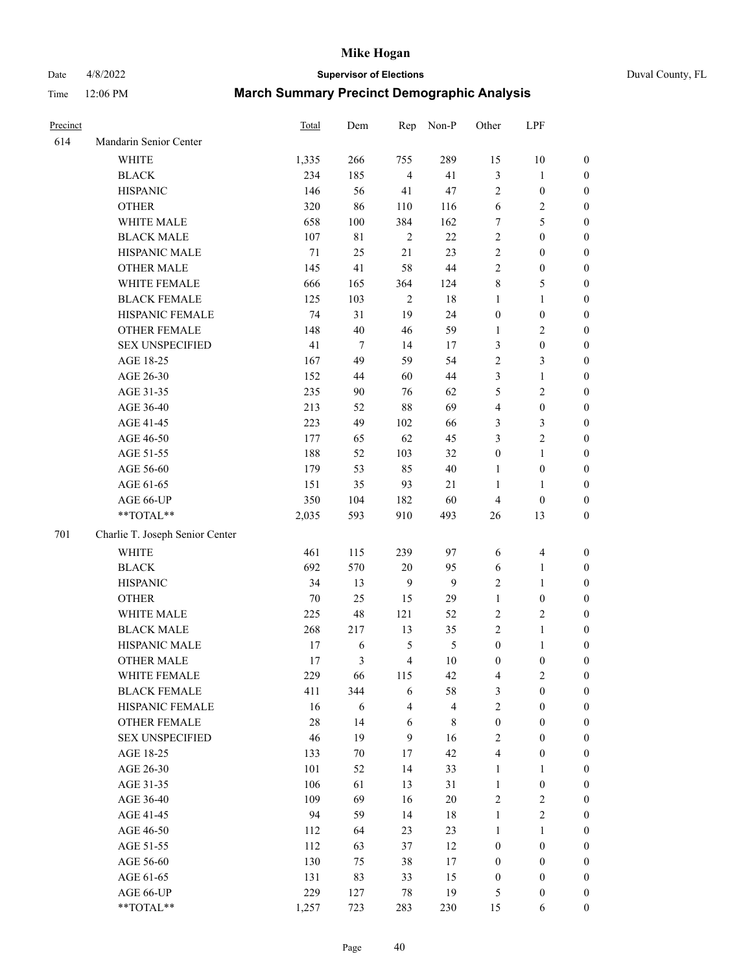Date 4/8/2022 **Supervisor of Elections** Duval County, FL

| Precinct |                                 | <b>Total</b> | Dem            | Rep            | Non-P       | Other            | LPF              |                  |
|----------|---------------------------------|--------------|----------------|----------------|-------------|------------------|------------------|------------------|
| 614      | Mandarin Senior Center          |              |                |                |             |                  |                  |                  |
|          | <b>WHITE</b>                    | 1,335        | 266            | 755            | 289         | 15               | 10               | 0                |
|          | <b>BLACK</b>                    | 234          | 185            | $\overline{4}$ | 41          | 3                | $\mathbf{1}$     | 0                |
|          | <b>HISPANIC</b>                 | 146          | 56             | 41             | 47          | $\overline{c}$   | $\boldsymbol{0}$ | $\boldsymbol{0}$ |
|          | <b>OTHER</b>                    | 320          | 86             | 110            | 116         | 6                | $\sqrt{2}$       | $\boldsymbol{0}$ |
|          | WHITE MALE                      | 658          | 100            | 384            | 162         | 7                | 5                | $\boldsymbol{0}$ |
|          | <b>BLACK MALE</b>               | 107          | 81             | $\sqrt{2}$     | 22          | $\overline{c}$   | $\boldsymbol{0}$ | $\boldsymbol{0}$ |
|          | HISPANIC MALE                   | 71           | 25             | 21             | 23          | $\overline{c}$   | $\boldsymbol{0}$ | $\boldsymbol{0}$ |
|          | <b>OTHER MALE</b>               | 145          | 41             | 58             | 44          | $\overline{c}$   | $\boldsymbol{0}$ | $\boldsymbol{0}$ |
|          | WHITE FEMALE                    | 666          | 165            | 364            | 124         | 8                | 5                | $\boldsymbol{0}$ |
|          | <b>BLACK FEMALE</b>             | 125          | 103            | $\sqrt{2}$     | 18          | 1                | $\mathbf{1}$     | $\boldsymbol{0}$ |
|          | HISPANIC FEMALE                 | 74           | 31             | 19             | 24          | $\boldsymbol{0}$ | $\boldsymbol{0}$ | 0                |
|          | OTHER FEMALE                    | 148          | 40             | 46             | 59          | $\mathbf{1}$     | $\overline{c}$   | $\boldsymbol{0}$ |
|          | <b>SEX UNSPECIFIED</b>          | 41           | $\tau$         | 14             | 17          | 3                | $\boldsymbol{0}$ | $\boldsymbol{0}$ |
|          | AGE 18-25                       | 167          | 49             | 59             | 54          | $\overline{c}$   | $\mathfrak{Z}$   | $\boldsymbol{0}$ |
|          | AGE 26-30                       | 152          | 44             | 60             | 44          | 3                | $\mathbf{1}$     | $\boldsymbol{0}$ |
|          | AGE 31-35                       | 235          | 90             | 76             | 62          | 5                | $\sqrt{2}$       | $\boldsymbol{0}$ |
|          | AGE 36-40                       | 213          | 52             | $88\,$         | 69          | 4                | $\boldsymbol{0}$ | $\boldsymbol{0}$ |
|          | AGE 41-45                       | 223          | 49             | 102            | 66          | 3                | $\mathfrak{Z}$   | $\boldsymbol{0}$ |
|          | AGE 46-50                       | 177          | 65             | 62             | 45          | 3                | $\overline{c}$   | $\boldsymbol{0}$ |
|          | AGE 51-55                       | 188          | 52             | 103            | 32          | $\boldsymbol{0}$ | $\mathbf{1}$     | $\boldsymbol{0}$ |
|          | AGE 56-60                       | 179          | 53             | 85             | $40\,$      | 1                | $\boldsymbol{0}$ | 0                |
|          | AGE 61-65                       | 151          | 35             | 93             | 21          | $\mathbf{1}$     | 1                | 0                |
|          | AGE 66-UP                       | 350          | 104            | 182            | 60          | $\overline{4}$   | $\boldsymbol{0}$ | $\boldsymbol{0}$ |
|          | $**TOTAL**$                     | 2,035        | 593            | 910            | 493         | 26               | 13               | $\boldsymbol{0}$ |
| 701      | Charlie T. Joseph Senior Center |              |                |                |             |                  |                  |                  |
|          | <b>WHITE</b>                    | 461          | 115            | 239            | 97          | 6                | $\overline{4}$   | $\boldsymbol{0}$ |
|          | <b>BLACK</b>                    | 692          | 570            | $20\,$         | 95          | 6                | $\mathbf{1}$     | $\boldsymbol{0}$ |
|          | <b>HISPANIC</b>                 | 34           | 13             | 9              | 9           | $\overline{c}$   | $\mathbf{1}$     | $\boldsymbol{0}$ |
|          | <b>OTHER</b>                    | 70           | 25             | 15             | 29          | $\mathbf{1}$     | $\boldsymbol{0}$ | $\boldsymbol{0}$ |
|          | WHITE MALE                      | 225          | 48             | 121            | 52          | $\overline{c}$   | $\mathbf{2}$     | $\boldsymbol{0}$ |
|          | <b>BLACK MALE</b>               | 268          | 217            | 13             | 35          | $\overline{c}$   | $\mathbf{1}$     | $\boldsymbol{0}$ |
|          | HISPANIC MALE                   | 17           | 6              | $\mathfrak s$  | $\sqrt{5}$  | $\boldsymbol{0}$ | $\mathbf{1}$     | 0                |
|          | <b>OTHER MALE</b>               | 17           | $\mathfrak{Z}$ | $\overline{4}$ | 10          | $\boldsymbol{0}$ | $\boldsymbol{0}$ | $\boldsymbol{0}$ |
|          | WHITE FEMALE                    | 229          | 66             | 115            | 42          | 4                | 2                | 0                |
|          | <b>BLACK FEMALE</b>             | 411          | 344            | 6              | 58          | 3                | $\boldsymbol{0}$ | $\overline{0}$   |
|          | HISPANIC FEMALE                 | 16           | 6              | $\overline{4}$ | 4           | $\overline{c}$   | $\boldsymbol{0}$ | $\overline{0}$   |
|          | OTHER FEMALE                    | $28\,$       | 14             | 6              | $\,$ 8 $\,$ | $\boldsymbol{0}$ | $\boldsymbol{0}$ | $\overline{0}$   |
|          | <b>SEX UNSPECIFIED</b>          | 46           | 19             | 9              | 16          | 2                | $\boldsymbol{0}$ | 0                |
|          | AGE 18-25                       | 133          | $70\,$         | 17             | 42          | 4                | $\boldsymbol{0}$ | 0                |
|          | AGE 26-30                       | 101          | 52             | 14             | 33          | 1                | $\mathbf{1}$     | 0                |
|          | AGE 31-35                       | 106          | 61             | 13             | 31          | 1                | $\boldsymbol{0}$ | 0                |
|          | AGE 36-40                       | 109          | 69             | 16             | 20          | 2                | $\sqrt{2}$       | 0                |
|          | AGE 41-45                       | 94           | 59             | 14             | 18          | 1                | $\mathbf{2}$     | 0                |
|          | AGE 46-50                       | 112          | 64             | 23             | 23          | 1                | $\mathbf{1}$     | 0                |
|          | AGE 51-55                       | 112          | 63             | 37             | 12          | $\boldsymbol{0}$ | $\boldsymbol{0}$ | 0                |
|          | AGE 56-60                       | 130          | 75             | 38             | 17          | 0                | $\boldsymbol{0}$ | 0                |
|          | AGE 61-65                       | 131          | 83             | 33             | 15          | 0                | $\boldsymbol{0}$ | 0                |
|          | AGE 66-UP                       | 229          | 127            | 78             | 19          | 5                | $\boldsymbol{0}$ | 0                |
|          | **TOTAL**                       | 1,257        | 723            | 283            | 230         | 15               | 6                | $\boldsymbol{0}$ |
|          |                                 |              |                |                |             |                  |                  |                  |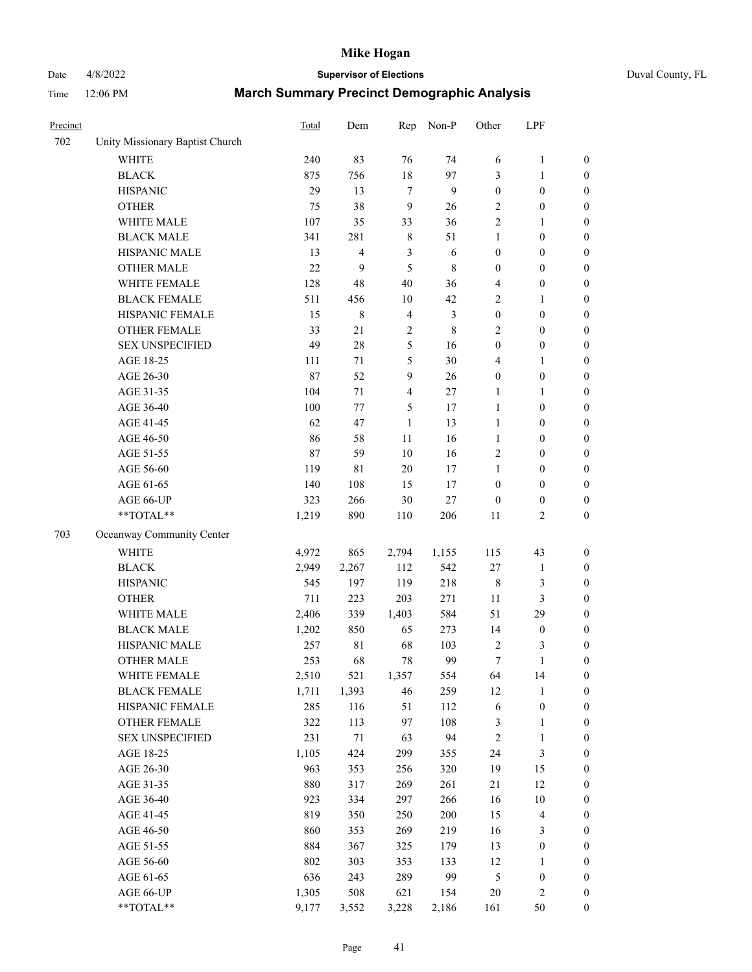# Date 4/8/2022 **Supervisor of Elections** Duval County, FL

| Precinct |                                 | Total  | Dem            | Rep            | Non-P       | Other            | LPF                     |                  |
|----------|---------------------------------|--------|----------------|----------------|-------------|------------------|-------------------------|------------------|
| 702      | Unity Missionary Baptist Church |        |                |                |             |                  |                         |                  |
|          | <b>WHITE</b>                    | 240    | 83             | 76             | 74          | 6                | $\mathbf{1}$            | $\boldsymbol{0}$ |
|          | <b>BLACK</b>                    | 875    | 756            | 18             | 97          | 3                | $\mathbf{1}$            | $\boldsymbol{0}$ |
|          | <b>HISPANIC</b>                 | 29     | 13             | $\overline{7}$ | 9           | $\boldsymbol{0}$ | $\boldsymbol{0}$        | $\boldsymbol{0}$ |
|          | <b>OTHER</b>                    | 75     | 38             | 9              | 26          | 2                | $\boldsymbol{0}$        | $\boldsymbol{0}$ |
|          | WHITE MALE                      | 107    | 35             | 33             | 36          | 2                | $\mathbf{1}$            | $\boldsymbol{0}$ |
|          | <b>BLACK MALE</b>               | 341    | 281            | $\,$ 8 $\,$    | 51          | 1                | $\boldsymbol{0}$        | $\boldsymbol{0}$ |
|          | HISPANIC MALE                   | 13     | $\overline{4}$ | $\mathfrak{Z}$ | 6           | $\boldsymbol{0}$ | $\boldsymbol{0}$        | $\boldsymbol{0}$ |
|          | <b>OTHER MALE</b>               | 22     | 9              | 5              | $\,8\,$     | $\boldsymbol{0}$ | $\boldsymbol{0}$        | $\boldsymbol{0}$ |
|          | WHITE FEMALE                    | 128    | 48             | 40             | 36          | 4                | $\boldsymbol{0}$        | $\boldsymbol{0}$ |
|          | <b>BLACK FEMALE</b>             | 511    | 456            | 10             | 42          | 2                | $\mathbf{1}$            | 0                |
|          | HISPANIC FEMALE                 | 15     | 8              | $\overline{4}$ | 3           | $\boldsymbol{0}$ | $\boldsymbol{0}$        | $\boldsymbol{0}$ |
|          | OTHER FEMALE                    | 33     | 21             | $\sqrt{2}$     | $\,$ 8 $\,$ | $\mathbf{2}$     | $\boldsymbol{0}$        | $\boldsymbol{0}$ |
|          | <b>SEX UNSPECIFIED</b>          | 49     | $28\,$         | 5              | 16          | $\boldsymbol{0}$ | $\boldsymbol{0}$        | $\boldsymbol{0}$ |
|          | AGE 18-25                       | 111    | 71             | 5              | 30          | 4                | $\mathbf{1}$            | $\boldsymbol{0}$ |
|          | AGE 26-30                       | 87     | 52             | $\mathbf{9}$   | 26          | $\boldsymbol{0}$ | $\boldsymbol{0}$        | $\boldsymbol{0}$ |
|          | AGE 31-35                       | 104    | 71             | $\overline{4}$ | 27          | 1                | $\mathbf{1}$            | $\boldsymbol{0}$ |
|          | AGE 36-40                       | 100    | 77             | 5              | $17\,$      | $\mathbf{1}$     | $\boldsymbol{0}$        | $\boldsymbol{0}$ |
|          | AGE 41-45                       | 62     | 47             | $\mathbf{1}$   | 13          | $\mathbf{1}$     | $\boldsymbol{0}$        | $\boldsymbol{0}$ |
|          | AGE 46-50                       | 86     | 58             | 11             | 16          | $\mathbf{1}$     | $\boldsymbol{0}$        | $\boldsymbol{0}$ |
|          | AGE 51-55                       | $87\,$ | 59             | 10             | 16          | $\mathbf{2}$     | $\boldsymbol{0}$        | 0                |
|          | AGE 56-60                       | 119    | $8\sqrt{1}$    | 20             | 17          | 1                | $\boldsymbol{0}$        | $\boldsymbol{0}$ |
|          | AGE 61-65                       | 140    | 108            | 15             | 17          | $\boldsymbol{0}$ | $\boldsymbol{0}$        | $\boldsymbol{0}$ |
|          | AGE 66-UP                       | 323    | 266            | 30             | $27\,$      | $\boldsymbol{0}$ | $\boldsymbol{0}$        | $\boldsymbol{0}$ |
|          | **TOTAL**                       | 1,219  | 890            | 110            | 206         | 11               | $\overline{c}$          | $\boldsymbol{0}$ |
| 703      | Oceanway Community Center       |        |                |                |             |                  |                         |                  |
|          | <b>WHITE</b>                    | 4,972  | 865            | 2,794          | 1,155       | 115              | 43                      | $\boldsymbol{0}$ |
|          | <b>BLACK</b>                    | 2,949  | 2,267          | 112            | 542         | 27               | $\mathbf{1}$            | $\boldsymbol{0}$ |
|          | <b>HISPANIC</b>                 | 545    | 197            | 119            | 218         | $\,$ 8 $\,$      | 3                       | $\boldsymbol{0}$ |
|          | <b>OTHER</b>                    | 711    | 223            | 203            | 271         | 11               | $\mathfrak{Z}$          | $\boldsymbol{0}$ |
|          | WHITE MALE                      | 2,406  | 339            | 1,403          | 584         | 51               | 29                      | $\boldsymbol{0}$ |
|          | <b>BLACK MALE</b>               | 1,202  | 850            | 65             | 273         | 14               | $\boldsymbol{0}$        | $\boldsymbol{0}$ |
|          | HISPANIC MALE                   | 257    | $8\sqrt{1}$    | 68             | 103         | $\overline{2}$   | 3                       | 0                |
|          | <b>OTHER MALE</b>               | 253    | 68             | 78             | 99          | $\boldsymbol{7}$ | $\mathbf{1}$            | $\boldsymbol{0}$ |
|          | WHITE FEMALE                    | 2,510  | 521            | 1,357          | 554         | 64               | 14                      | $\boldsymbol{0}$ |
|          | <b>BLACK FEMALE</b>             | 1,711  | 1,393          | 46             | 259         | 12               | $\mathbf{1}$            | $\boldsymbol{0}$ |
|          | HISPANIC FEMALE                 | 285    | 116            | 51             | 112         | 6                | $\boldsymbol{0}$        | $\boldsymbol{0}$ |
|          | OTHER FEMALE                    | 322    | 113            | 97             | 108         | 3                | $\mathbf{1}$            | $\boldsymbol{0}$ |
|          | <b>SEX UNSPECIFIED</b>          | 231    | 71             | 63             | 94          | $\sqrt{2}$       | $\mathbf{1}$            | 0                |
|          | AGE 18-25                       | 1,105  | 424            | 299            | 355         | 24               | $\mathfrak{Z}$          | 0                |
|          | AGE 26-30                       | 963    | 353            | 256            | 320         | 19               | 15                      | 0                |
|          | AGE 31-35                       | 880    | 317            | 269            | 261         | 21               | 12                      | 0                |
|          | AGE 36-40                       | 923    | 334            | 297            | 266         | 16               | $10\,$                  | 0                |
|          | AGE 41-45                       | 819    | 350            | 250            | 200         | 15               | $\overline{\mathbf{4}}$ | 0                |
|          | AGE 46-50                       | 860    | 353            | 269            | 219         | 16               | 3                       | 0                |
|          | AGE 51-55                       | 884    | 367            | 325            | 179         | 13               | $\boldsymbol{0}$        | $\boldsymbol{0}$ |
|          | AGE 56-60                       | 802    | 303            | 353            | 133         | 12               | $\mathbf{1}$            | $\boldsymbol{0}$ |
|          | AGE 61-65                       | 636    | 243            | 289            | 99          | 5                | $\boldsymbol{0}$        | 0                |
|          | AGE 66-UP                       | 1,305  | 508            | 621            | 154         | 20               | $\sqrt{2}$              | 0                |
|          | **TOTAL**                       | 9,177  | 3,552          | 3,228          | 2,186       | 161              | 50                      | $\boldsymbol{0}$ |
|          |                                 |        |                |                |             |                  |                         |                  |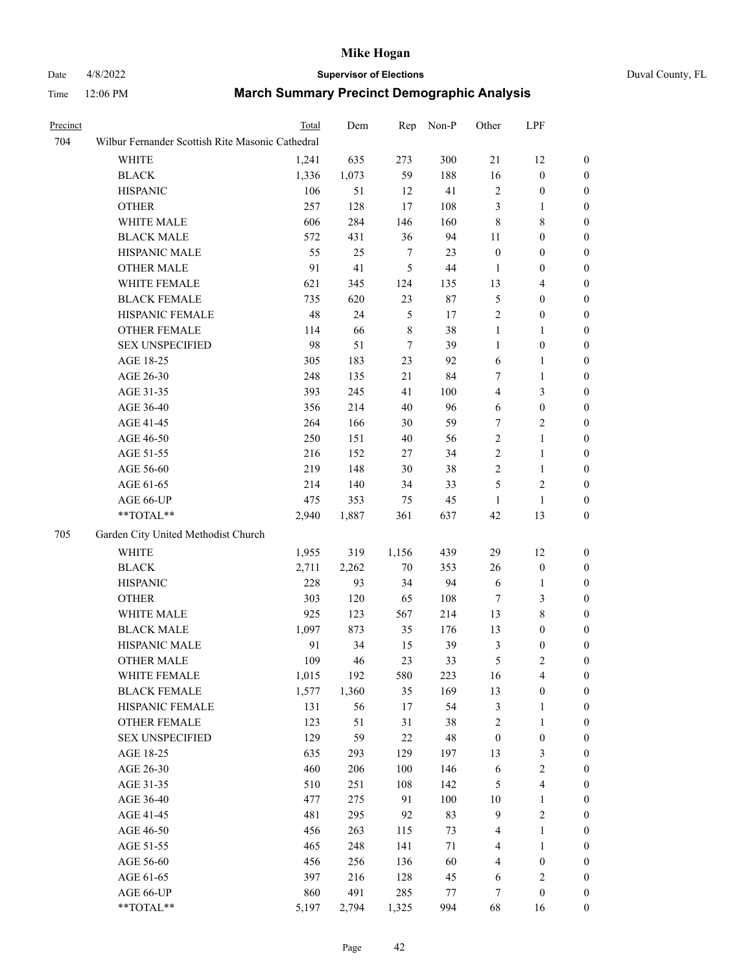# Date 4/8/2022 **Supervisor of Elections** Duval County, FL

| Precinct |                                                           | Total | Dem   | Rep           | Non-P   | Other            | LPF              |                  |
|----------|-----------------------------------------------------------|-------|-------|---------------|---------|------------------|------------------|------------------|
| 704      | Wilbur Fernander Scottish Rite Masonic Cathedral          |       |       |               |         |                  |                  |                  |
|          | WHITE                                                     | 1,241 | 635   | 273           | 300     | $21\,$           | 12               | $\boldsymbol{0}$ |
|          | <b>BLACK</b>                                              | 1,336 | 1,073 | 59            | 188     | 16               | $\boldsymbol{0}$ | $\boldsymbol{0}$ |
|          | <b>HISPANIC</b>                                           | 106   | 51    | 12            | 41      | 2                | $\boldsymbol{0}$ | $\boldsymbol{0}$ |
|          | <b>OTHER</b>                                              | 257   | 128   | 17            | 108     | 3                | $\mathbf{1}$     | $\boldsymbol{0}$ |
|          | WHITE MALE                                                | 606   | 284   | 146           | 160     | $\,$ $\,$        | $\,$ 8 $\,$      | $\boldsymbol{0}$ |
|          | <b>BLACK MALE</b>                                         | 572   | 431   | 36            | 94      | 11               | $\boldsymbol{0}$ | 0                |
|          | HISPANIC MALE                                             | 55    | 25    | 7             | 23      | $\boldsymbol{0}$ | $\boldsymbol{0}$ | 0                |
|          | <b>OTHER MALE</b>                                         | 91    | 41    | $\mathfrak s$ | 44      | 1                | $\boldsymbol{0}$ | 0                |
|          | WHITE FEMALE                                              | 621   | 345   | 124           | 135     | 13               | $\overline{4}$   | $\boldsymbol{0}$ |
|          | <b>BLACK FEMALE</b>                                       | 735   | 620   | 23            | 87      | 5                | $\boldsymbol{0}$ | $\boldsymbol{0}$ |
|          | HISPANIC FEMALE                                           | 48    | 24    | 5             | 17      | 2                | $\boldsymbol{0}$ | $\boldsymbol{0}$ |
|          | OTHER FEMALE                                              | 114   | 66    | 8             | 38      | $\mathbf{1}$     | $\mathbf{1}$     | $\boldsymbol{0}$ |
|          | <b>SEX UNSPECIFIED</b>                                    | 98    | 51    | $\tau$        | 39      | $\mathbf{1}$     | $\boldsymbol{0}$ | $\boldsymbol{0}$ |
|          | AGE 18-25                                                 | 305   | 183   | 23            | 92      | 6                | $\mathbf{1}$     | $\boldsymbol{0}$ |
|          | AGE 26-30                                                 | 248   | 135   | 21            | 84      | 7                | $\mathbf{1}$     | $\boldsymbol{0}$ |
|          | AGE 31-35                                                 | 393   | 245   | 41            | 100     | 4                | $\mathfrak{Z}$   | 0                |
|          | AGE 36-40                                                 | 356   | 214   | 40            | 96      | 6                | $\boldsymbol{0}$ | 0                |
|          | AGE 41-45                                                 | 264   | 166   | 30            | 59      | 7                | $\overline{c}$   | 0                |
|          | AGE 46-50                                                 | 250   | 151   | 40            | 56      | $\mathbf{2}$     | $\mathbf{1}$     | 0                |
|          | AGE 51-55                                                 | 216   | 152   | 27            | 34      | $\mathbf{2}$     | $\mathbf{1}$     | $\boldsymbol{0}$ |
|          | AGE 56-60                                                 | 219   | 148   | 30            | 38      | 2                | $\mathbf{1}$     | $\boldsymbol{0}$ |
|          | AGE 61-65                                                 | 214   | 140   | 34            | 33      | 5                | $\mathfrak{2}$   | 0                |
|          | AGE 66-UP                                                 | 475   | 353   | 75            | 45      | 1                | $\mathbf{1}$     | 0                |
|          | $\mathrm{*}\mathrm{*}\mathrm{TOTAL} \mathrm{*}\mathrm{*}$ | 2,940 | 1,887 | 361           | 637     | 42               | 13               | $\boldsymbol{0}$ |
| 705      | Garden City United Methodist Church                       |       |       |               |         |                  |                  |                  |
|          | <b>WHITE</b>                                              | 1,955 | 319   | 1,156         | 439     | 29               | 12               | $\boldsymbol{0}$ |
|          | <b>BLACK</b>                                              | 2,711 | 2,262 | $70\,$        | 353     | 26               | $\boldsymbol{0}$ | $\boldsymbol{0}$ |
|          | <b>HISPANIC</b>                                           | 228   | 93    | 34            | 94      | 6                | 1                | 0                |
|          | <b>OTHER</b>                                              | 303   | 120   | 65            | 108     | 7                | 3                | 0                |
|          | WHITE MALE                                                | 925   | 123   | 567           | 214     | 13               | $\,$ 8 $\,$      | 0                |
|          | <b>BLACK MALE</b>                                         | 1,097 | 873   | 35            | 176     | 13               | $\boldsymbol{0}$ | 0                |
|          | HISPANIC MALE                                             | 91    | 34    | 15            | 39      | 3                | $\boldsymbol{0}$ | $\boldsymbol{0}$ |
|          | <b>OTHER MALE</b>                                         | 109   | 46    | 23            | 33      | 5                | $\mathfrak{2}$   | $\boldsymbol{0}$ |
|          | WHITE FEMALE                                              | 1,015 | 192   | 580           | 223     | 16               | $\overline{4}$   | $\boldsymbol{0}$ |
|          | <b>BLACK FEMALE</b>                                       | 1,577 | 1,360 | 35            | 169     | 13               | $\boldsymbol{0}$ | $\overline{0}$   |
|          | HISPANIC FEMALE                                           | 131   | 56    | 17            | 54      | 3                | $\mathbf{1}$     | $\overline{0}$   |
|          | <b>OTHER FEMALE</b>                                       | 123   | 51    | 31            | 38      | $\overline{c}$   | $\mathbf{1}$     | 0                |
|          | <b>SEX UNSPECIFIED</b>                                    | 129   | 59    | 22            | 48      | $\boldsymbol{0}$ | $\boldsymbol{0}$ | 0                |
|          | AGE 18-25                                                 | 635   | 293   | 129           | 197     | 13               | 3                | 0                |
|          | AGE 26-30                                                 | 460   | 206   | 100           | 146     | 6                | $\sqrt{2}$       | 0                |
|          | AGE 31-35                                                 | 510   | 251   | 108           | 142     | 5                | $\overline{4}$   | 0                |
|          | AGE 36-40                                                 | 477   | 275   | 91            | 100     | 10               | 1                | $\boldsymbol{0}$ |
|          | AGE 41-45                                                 | 481   | 295   | 92            | 83      | 9                | $\sqrt{2}$       | $\boldsymbol{0}$ |
|          | AGE 46-50                                                 | 456   | 263   | 115           | 73      | 4                | $\mathbf{1}$     | $\boldsymbol{0}$ |
|          | AGE 51-55                                                 | 465   | 248   | 141           | 71      | 4                | $\mathbf{1}$     | $\overline{0}$   |
|          | AGE 56-60                                                 | 456   | 256   | 136           | 60      | 4                | $\boldsymbol{0}$ | $\overline{0}$   |
|          | AGE 61-65                                                 | 397   | 216   | 128           | 45      | 6                | $\sqrt{2}$       | 0                |
|          | AGE 66-UP                                                 | 860   | 491   | 285           | $77 \,$ | 7                | $\boldsymbol{0}$ | 0                |
|          | **TOTAL**                                                 | 5,197 | 2,794 | 1,325         | 994     | 68               | 16               | $\boldsymbol{0}$ |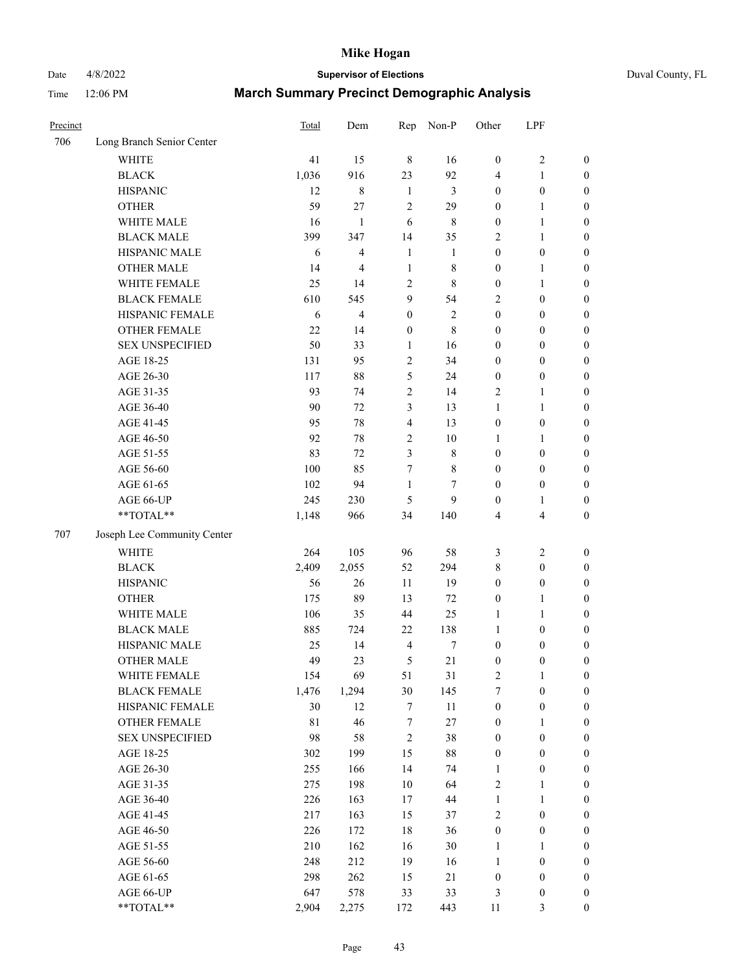Date 4/8/2022 **Supervisor of Elections** Duval County, FL

| Precinct |                                        | <b>Total</b> | Dem            | Rep              | Non-P        | Other             | LPF                              |                  |
|----------|----------------------------------------|--------------|----------------|------------------|--------------|-------------------|----------------------------------|------------------|
| 706      | Long Branch Senior Center              |              |                |                  |              |                   |                                  |                  |
|          | <b>WHITE</b>                           | 41           | 15             | $\,8\,$          | 16           | $\boldsymbol{0}$  | $\sqrt{2}$                       | 0                |
|          | <b>BLACK</b>                           | 1,036        | 916            | 23               | 92           | 4                 | $\mathbf{1}$                     | $\boldsymbol{0}$ |
|          | <b>HISPANIC</b>                        | 12           | $8\,$          | $\mathbf{1}$     | 3            | $\boldsymbol{0}$  | $\boldsymbol{0}$                 | $\boldsymbol{0}$ |
|          | <b>OTHER</b>                           | 59           | 27             | $\sqrt{2}$       | 29           | $\boldsymbol{0}$  | 1                                | $\boldsymbol{0}$ |
|          | WHITE MALE                             | 16           | $\mathbf{1}$   | 6                | $\,8\,$      | $\boldsymbol{0}$  | $\mathbf{1}$                     | $\boldsymbol{0}$ |
|          | <b>BLACK MALE</b>                      | 399          | 347            | 14               | 35           | 2                 | $\mathbf{1}$                     | $\boldsymbol{0}$ |
|          | HISPANIC MALE                          | 6            | $\overline{4}$ | $\mathbf{1}$     | 1            | $\boldsymbol{0}$  | $\boldsymbol{0}$                 | $\boldsymbol{0}$ |
|          | <b>OTHER MALE</b>                      | 14           | $\overline{4}$ | $\mathbf{1}$     | $8\,$        | $\boldsymbol{0}$  | $\mathbf{1}$                     | $\boldsymbol{0}$ |
|          | WHITE FEMALE                           | 25           | 14             | $\sqrt{2}$       | $\,8\,$      | $\boldsymbol{0}$  | $\mathbf{1}$                     | $\boldsymbol{0}$ |
|          | <b>BLACK FEMALE</b>                    | 610          | 545            | 9                | 54           | 2                 | $\boldsymbol{0}$                 | $\boldsymbol{0}$ |
|          | HISPANIC FEMALE                        | 6            | $\overline{4}$ | $\boldsymbol{0}$ | $\sqrt{2}$   | $\boldsymbol{0}$  | $\boldsymbol{0}$                 | 0                |
|          | <b>OTHER FEMALE</b>                    | 22           | 14             | $\boldsymbol{0}$ | $\,$ 8 $\,$  | $\boldsymbol{0}$  | $\boldsymbol{0}$                 | $\boldsymbol{0}$ |
|          | <b>SEX UNSPECIFIED</b>                 | 50           | 33             | $\mathbf{1}$     | 16           | $\boldsymbol{0}$  | $\boldsymbol{0}$                 | $\boldsymbol{0}$ |
|          | AGE 18-25                              | 131          | 95             | $\boldsymbol{2}$ | 34           | $\boldsymbol{0}$  | $\boldsymbol{0}$                 | $\boldsymbol{0}$ |
|          | AGE 26-30                              | 117          | $88\,$         | 5                | 24           | $\boldsymbol{0}$  | $\boldsymbol{0}$                 | $\boldsymbol{0}$ |
|          | AGE 31-35                              | 93           | 74             | $\sqrt{2}$       | 14           | 2                 | $\mathbf{1}$                     | $\boldsymbol{0}$ |
|          | AGE 36-40                              | 90           | 72             | 3                | 13           | $\mathbf{1}$      | $\mathbf{1}$                     | $\boldsymbol{0}$ |
|          | AGE 41-45                              | 95           | 78             | $\overline{4}$   | 13           | $\boldsymbol{0}$  | $\boldsymbol{0}$                 | $\boldsymbol{0}$ |
|          | AGE 46-50                              | 92           | 78             | $\sqrt{2}$       | $10\,$       | 1                 | 1                                | $\boldsymbol{0}$ |
|          | AGE 51-55                              | 83           | 72             | $\mathfrak{Z}$   | $\,$ 8 $\,$  | $\boldsymbol{0}$  | $\boldsymbol{0}$                 | $\boldsymbol{0}$ |
|          | AGE 56-60                              | 100          | 85             | 7                | $\,$ 8 $\,$  | $\boldsymbol{0}$  | $\boldsymbol{0}$                 | 0                |
|          | AGE 61-65                              | 102          | 94             | $\mathbf{1}$     | 7            | $\boldsymbol{0}$  | $\boldsymbol{0}$                 | $\boldsymbol{0}$ |
|          | AGE 66-UP                              | 245          | 230            | 5                | 9            | $\boldsymbol{0}$  | 1                                | $\boldsymbol{0}$ |
|          | **TOTAL**                              | 1,148        | 966            | 34               | 140          | 4                 | $\overline{4}$                   | $\boldsymbol{0}$ |
| 707      | Joseph Lee Community Center            |              |                |                  |              |                   |                                  |                  |
|          |                                        |              |                |                  |              |                   |                                  |                  |
|          | <b>WHITE</b>                           | 264          | 105            | 96               | 58           | 3                 | $\sqrt{2}$                       | $\boldsymbol{0}$ |
|          | <b>BLACK</b>                           | 2,409        | 2,055          | 52               | 294          | 8                 | $\boldsymbol{0}$                 | $\boldsymbol{0}$ |
|          | <b>HISPANIC</b>                        | 56           | 26             | 11               | 19           | $\boldsymbol{0}$  | $\boldsymbol{0}$                 | $\boldsymbol{0}$ |
|          | <b>OTHER</b>                           | 175          | 89             | 13               | 72           | $\boldsymbol{0}$  | $\mathbf{1}$                     | $\boldsymbol{0}$ |
|          | WHITE MALE                             | 106          | 35             | 44               | 25           | $\mathbf{1}$      | $\mathbf{1}$                     | $\boldsymbol{0}$ |
|          | <b>BLACK MALE</b>                      | 885          | 724            | 22               | 138          | $\mathbf{1}$      | $\boldsymbol{0}$                 | $\boldsymbol{0}$ |
|          | HISPANIC MALE<br><b>OTHER MALE</b>     | 25           | 14             | $\overline{4}$   | 7            | $\boldsymbol{0}$  | $\boldsymbol{0}$                 | $\boldsymbol{0}$ |
|          |                                        | 49           | 23             | 5                | 21           | $\boldsymbol{0}$  | $\boldsymbol{0}$                 | $\boldsymbol{0}$ |
|          | WHITE FEMALE                           | 154          | 69             | 51               | 31           | 2                 | 1                                | 0                |
|          | <b>BLACK FEMALE</b>                    | 1,476        | 1,294          | 30               | 145          | $\tau$            | $\boldsymbol{0}$                 | $\boldsymbol{0}$ |
|          | HISPANIC FEMALE                        | 30           | 12             | 7                | $11\,$       | $\boldsymbol{0}$  | $\boldsymbol{0}$                 | $\overline{0}$   |
|          | OTHER FEMALE<br><b>SEX UNSPECIFIED</b> | 81           | 46             | 7                | $27\,$       | $\boldsymbol{0}$  | $\mathbf{1}$                     | $\overline{0}$   |
|          |                                        | 98           | 58             | $\sqrt{2}$       | 38           | $\boldsymbol{0}$  | $\boldsymbol{0}$                 | 0<br>$\theta$    |
|          | AGE 18-25                              | 302          | 199            | 15               | $88\,$       | 0                 | $\boldsymbol{0}$                 |                  |
|          | AGE 26-30                              | 255<br>275   | 166<br>198     | 14<br>$10\,$     | 74<br>64     | $\mathbf{1}$<br>2 | $\boldsymbol{0}$                 | 0                |
|          | AGE 31-35                              |              |                |                  |              |                   | 1                                | 0                |
|          | AGE 36-40<br>AGE 41-45                 | 226<br>217   | 163            | 17<br>15         | $44\,$<br>37 | $\mathbf{1}$<br>2 | $\mathbf{1}$<br>$\boldsymbol{0}$ | 0                |
|          |                                        |              | 163            |                  |              |                   |                                  | 0                |
|          | AGE 46-50                              | 226          | 172            | $18\,$           | 36           | $\boldsymbol{0}$  | $\boldsymbol{0}$                 | 0                |
|          | AGE 51-55                              | 210          | 162            | 16               | $30\,$       | $\mathbf{1}$      | 1                                | $\boldsymbol{0}$ |
|          | AGE 56-60                              | 248          | 212            | 19               | 16           | $\mathbf{1}$      | $\boldsymbol{0}$                 | $\boldsymbol{0}$ |
|          | AGE 61-65                              | 298          | 262            | 15               | 21           | $\boldsymbol{0}$  | $\boldsymbol{0}$                 | $\overline{0}$   |
|          | AGE 66-UP                              | 647          | 578            | 33               | 33           | 3                 | $\boldsymbol{0}$                 | 0                |
|          | **TOTAL**                              | 2,904        | 2,275          | 172              | 443          | 11                | 3                                | $\boldsymbol{0}$ |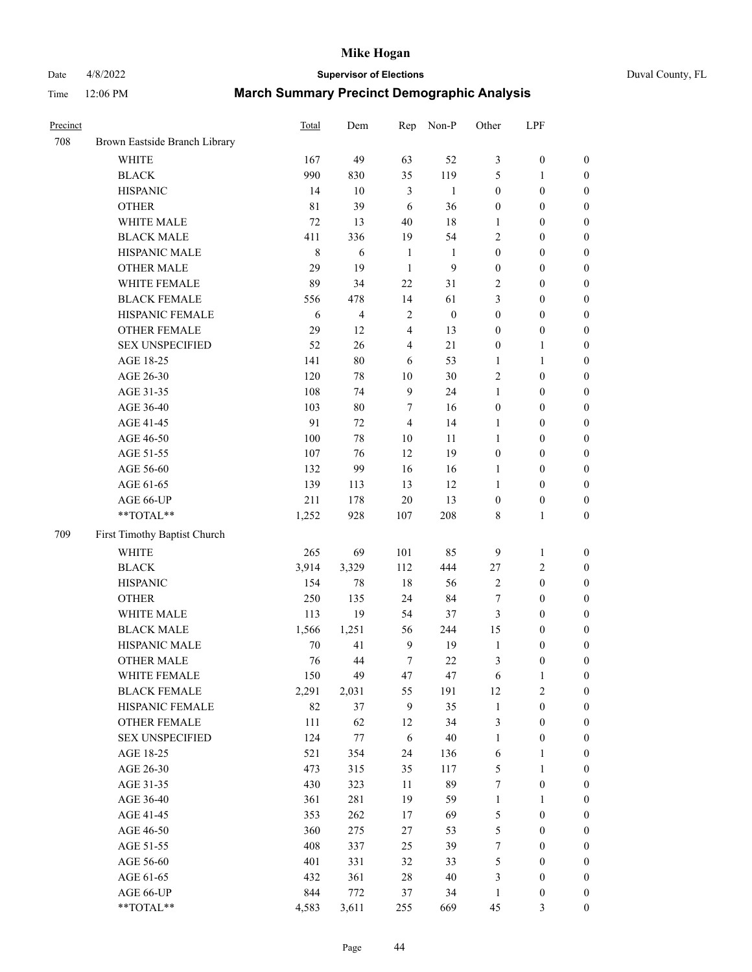# Date 4/8/2022 **Supervisor of Elections** Duval County, FL

| Precinct |                               | <b>Total</b> | Dem            | Rep              | Non-P            | Other            | LPF              |                  |
|----------|-------------------------------|--------------|----------------|------------------|------------------|------------------|------------------|------------------|
| 708      | Brown Eastside Branch Library |              |                |                  |                  |                  |                  |                  |
|          | <b>WHITE</b>                  | 167          | 49             | 63               | 52               | 3                | $\boldsymbol{0}$ | 0                |
|          | <b>BLACK</b>                  | 990          | 830            | 35               | 119              | 5                | $\mathbf{1}$     | $\boldsymbol{0}$ |
|          | <b>HISPANIC</b>               | 14           | 10             | 3                | $\mathbf{1}$     | $\boldsymbol{0}$ | $\boldsymbol{0}$ | $\boldsymbol{0}$ |
|          | <b>OTHER</b>                  | 81           | 39             | 6                | 36               | $\boldsymbol{0}$ | $\boldsymbol{0}$ | $\boldsymbol{0}$ |
|          | WHITE MALE                    | 72           | 13             | 40               | 18               | 1                | $\boldsymbol{0}$ | $\boldsymbol{0}$ |
|          | <b>BLACK MALE</b>             | 411          | 336            | 19               | 54               | $\overline{c}$   | $\boldsymbol{0}$ | $\boldsymbol{0}$ |
|          | HISPANIC MALE                 | $\,8\,$      | 6              | $\mathbf{1}$     | 1                | $\boldsymbol{0}$ | $\boldsymbol{0}$ | $\boldsymbol{0}$ |
|          | <b>OTHER MALE</b>             | 29           | 19             | $\mathbf{1}$     | $\mathbf{9}$     | $\boldsymbol{0}$ | $\boldsymbol{0}$ | $\boldsymbol{0}$ |
|          | WHITE FEMALE                  | 89           | 34             | 22               | 31               | 2                | $\boldsymbol{0}$ | $\boldsymbol{0}$ |
|          | <b>BLACK FEMALE</b>           | 556          | 478            | 14               | 61               | 3                | $\boldsymbol{0}$ | $\boldsymbol{0}$ |
|          | HISPANIC FEMALE               | 6            | $\overline{4}$ | $\sqrt{2}$       | $\boldsymbol{0}$ | $\boldsymbol{0}$ | $\boldsymbol{0}$ | $\boldsymbol{0}$ |
|          | <b>OTHER FEMALE</b>           | 29           | 12             | $\overline{4}$   | 13               | $\boldsymbol{0}$ | $\boldsymbol{0}$ | $\boldsymbol{0}$ |
|          | <b>SEX UNSPECIFIED</b>        | 52           | 26             | $\overline{4}$   | 21               | $\boldsymbol{0}$ | $\mathbf{1}$     | $\boldsymbol{0}$ |
|          | AGE 18-25                     | 141          | $80\,$         | 6                | 53               | 1                | $\mathbf{1}$     | $\boldsymbol{0}$ |
|          | AGE 26-30                     | 120          | 78             | $10\,$           | 30               | 2                | $\boldsymbol{0}$ | $\boldsymbol{0}$ |
|          | AGE 31-35                     | 108          | 74             | $\boldsymbol{9}$ | 24               | $\mathbf{1}$     | $\boldsymbol{0}$ | $\boldsymbol{0}$ |
|          | AGE 36-40                     | 103          | $80\,$         | 7                | 16               | $\boldsymbol{0}$ | $\boldsymbol{0}$ | $\boldsymbol{0}$ |
|          | AGE 41-45                     | 91           | 72             | $\overline{4}$   | 14               | $\mathbf{1}$     | $\boldsymbol{0}$ | $\boldsymbol{0}$ |
|          | AGE 46-50                     | 100          | 78             | $10\,$           | 11               | $\mathbf{1}$     | $\boldsymbol{0}$ | $\boldsymbol{0}$ |
|          | AGE 51-55                     | 107          | 76             | 12               | 19               | $\boldsymbol{0}$ | $\boldsymbol{0}$ | $\boldsymbol{0}$ |
|          | AGE 56-60                     | 132          | 99             | 16               | 16               | 1                | $\boldsymbol{0}$ | 0                |
|          | AGE 61-65                     | 139          | 113            | 13               | 12               | 1                | $\boldsymbol{0}$ | $\boldsymbol{0}$ |
|          | AGE 66-UP                     | 211          | 178            | $20\,$           | 13               | $\boldsymbol{0}$ | $\boldsymbol{0}$ | $\boldsymbol{0}$ |
|          | **TOTAL**                     | 1,252        | 928            | 107              | 208              | 8                | $\mathbf{1}$     | $\boldsymbol{0}$ |
| 709      | First Timothy Baptist Church  |              |                |                  |                  |                  |                  |                  |
|          | <b>WHITE</b>                  | 265          | 69             | 101              | 85               | 9                | $\mathbf{1}$     | $\boldsymbol{0}$ |
|          | <b>BLACK</b>                  | 3,914        | 3,329          | 112              | 444              | $27\,$           | $\sqrt{2}$       | $\boldsymbol{0}$ |
|          | <b>HISPANIC</b>               | 154          | 78             | 18               | 56               | 2                | $\boldsymbol{0}$ | $\boldsymbol{0}$ |
|          | <b>OTHER</b>                  | 250          | 135            | 24               | 84               | 7                | $\boldsymbol{0}$ | $\boldsymbol{0}$ |
|          | WHITE MALE                    | 113          | 19             | 54               | 37               | 3                | $\boldsymbol{0}$ | $\boldsymbol{0}$ |
|          | <b>BLACK MALE</b>             | 1,566        | 1,251          | 56               | 244              | 15               | $\boldsymbol{0}$ | $\boldsymbol{0}$ |
|          | HISPANIC MALE                 | 70           | 41             | $\overline{9}$   | 19               | $\mathbf{1}$     | $\boldsymbol{0}$ | $\boldsymbol{0}$ |
|          | <b>OTHER MALE</b>             | 76           | 44             | $\boldsymbol{7}$ | 22               | 3                | $\boldsymbol{0}$ | $\boldsymbol{0}$ |
|          | WHITE FEMALE                  | 150          | 49             | 47               | 47               | 6                | 1                | 0                |
|          | <b>BLACK FEMALE</b>           | 2,291        | 2,031          | 55               | 191              | 12               | $\sqrt{2}$       | $\boldsymbol{0}$ |
|          | HISPANIC FEMALE               | 82           | 37             | 9                | 35               | $\mathbf{1}$     | $\boldsymbol{0}$ | $\overline{0}$   |
|          | OTHER FEMALE                  | 111          | 62             | 12               | 34               | 3                | $\boldsymbol{0}$ | $\overline{0}$   |
|          | <b>SEX UNSPECIFIED</b>        | 124          | 77             | 6                | $40\,$           | $\mathbf{1}$     | $\boldsymbol{0}$ | 0                |
|          | AGE 18-25                     | 521          | 354            | 24               | 136              | 6                | $\mathbf{1}$     | 0                |
|          | AGE 26-30                     | 473          | 315            | 35               | 117              | 5                | $\mathbf{1}$     | 0                |
|          | AGE 31-35                     | 430          | 323            | $11\,$           | 89               | 7                | $\boldsymbol{0}$ | 0                |
|          | AGE 36-40                     | 361          | 281            | 19               | 59               | $\mathbf{1}$     | 1                | 0                |
|          | AGE 41-45                     | 353          | 262            | 17               | 69               | 5                | $\boldsymbol{0}$ | 0                |
|          | AGE 46-50                     | 360          | 275            | 27               | 53               | 5                | $\boldsymbol{0}$ | 0                |
|          | AGE 51-55                     | 408          | 337            | 25               | 39               | 7                | $\boldsymbol{0}$ | 0                |
|          | AGE 56-60                     | 401          | 331            | 32               | 33               | 5                | $\boldsymbol{0}$ | $\boldsymbol{0}$ |
|          | AGE 61-65                     | 432          | 361            | 28               | $40\,$           | 3                | $\boldsymbol{0}$ | $\boldsymbol{0}$ |
|          | AGE 66-UP                     | 844          | 772            | 37               | 34               | $\mathbf{1}$     | $\boldsymbol{0}$ | 0                |
|          | **TOTAL**                     | 4,583        | 3,611          | 255              | 669              | 45               | 3                | $\boldsymbol{0}$ |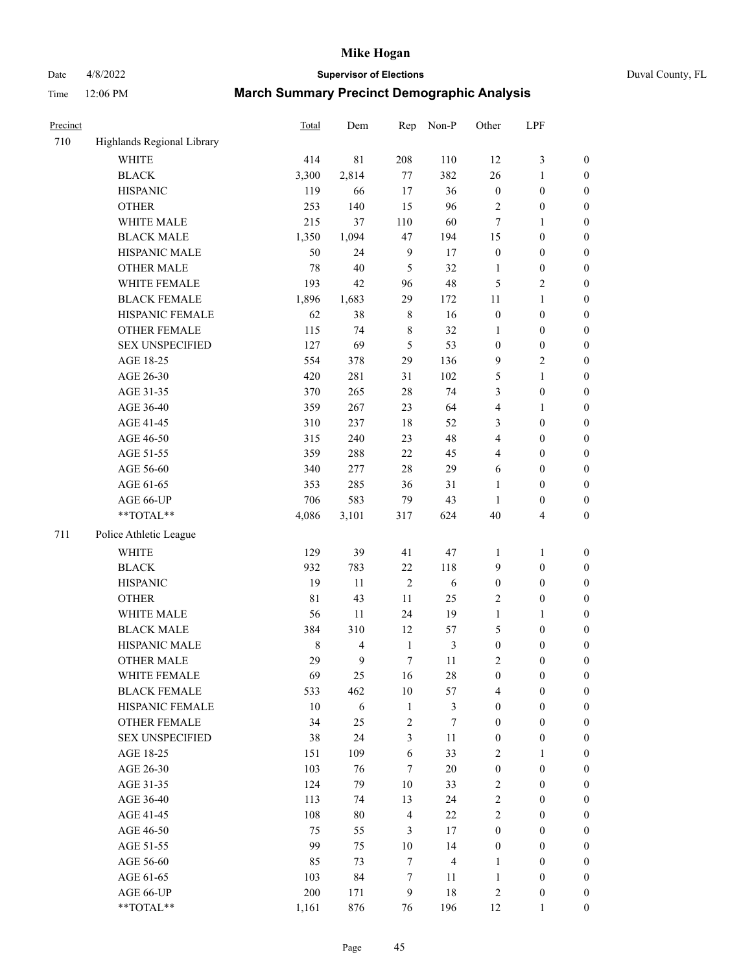# Date 4/8/2022 **Supervisor of Elections** Duval County, FL

| Precinct |                            | Total  | Dem            | Rep                     | Non-P          | Other                   | LPF              |                  |
|----------|----------------------------|--------|----------------|-------------------------|----------------|-------------------------|------------------|------------------|
| 710      | Highlands Regional Library |        |                |                         |                |                         |                  |                  |
|          | <b>WHITE</b>               | 414    | 81             | 208                     | 110            | 12                      | $\mathfrak{Z}$   | 0                |
|          | <b>BLACK</b>               | 3,300  | 2,814          | $77\,$                  | 382            | 26                      | $\mathbf{1}$     | $\boldsymbol{0}$ |
|          | <b>HISPANIC</b>            | 119    | 66             | 17                      | 36             | $\boldsymbol{0}$        | $\boldsymbol{0}$ | $\boldsymbol{0}$ |
|          | <b>OTHER</b>               | 253    | 140            | 15                      | 96             | 2                       | $\boldsymbol{0}$ | $\boldsymbol{0}$ |
|          | WHITE MALE                 | 215    | 37             | 110                     | 60             | 7                       | 1                | $\boldsymbol{0}$ |
|          | <b>BLACK MALE</b>          | 1,350  | 1,094          | 47                      | 194            | 15                      | $\boldsymbol{0}$ | $\boldsymbol{0}$ |
|          | HISPANIC MALE              | 50     | 24             | $\mathbf{9}$            | 17             | $\boldsymbol{0}$        | $\boldsymbol{0}$ | $\boldsymbol{0}$ |
|          | <b>OTHER MALE</b>          | 78     | 40             | 5                       | 32             | $\mathbf{1}$            | $\boldsymbol{0}$ | $\boldsymbol{0}$ |
|          | WHITE FEMALE               | 193    | 42             | 96                      | 48             | 5                       | $\overline{c}$   | $\boldsymbol{0}$ |
|          | <b>BLACK FEMALE</b>        | 1,896  | 1,683          | 29                      | 172            | 11                      | $\mathbf{1}$     | $\boldsymbol{0}$ |
|          | HISPANIC FEMALE            | 62     | 38             | $\,$ 8 $\,$             | 16             | $\boldsymbol{0}$        | $\boldsymbol{0}$ | $\boldsymbol{0}$ |
|          | OTHER FEMALE               | 115    | 74             | $\,$ 8 $\,$             | 32             | $\mathbf{1}$            | $\boldsymbol{0}$ | $\boldsymbol{0}$ |
|          | <b>SEX UNSPECIFIED</b>     | 127    | 69             | 5                       | 53             | $\boldsymbol{0}$        | $\boldsymbol{0}$ | $\boldsymbol{0}$ |
|          | AGE 18-25                  | 554    | 378            | 29                      | 136            | 9                       | $\sqrt{2}$       | $\boldsymbol{0}$ |
|          | AGE 26-30                  | 420    | 281            | 31                      | 102            | 5                       | $\mathbf{1}$     | $\boldsymbol{0}$ |
|          | AGE 31-35                  | 370    | 265            | 28                      | 74             | 3                       | $\boldsymbol{0}$ | $\boldsymbol{0}$ |
|          | AGE 36-40                  | 359    | 267            | 23                      | 64             | 4                       | $\mathbf{1}$     | $\boldsymbol{0}$ |
|          | AGE 41-45                  | 310    | 237            | 18                      | 52             | 3                       | $\boldsymbol{0}$ | $\boldsymbol{0}$ |
|          | AGE 46-50                  | 315    | 240            | 23                      | 48             | $\overline{\mathbf{4}}$ | $\boldsymbol{0}$ | $\boldsymbol{0}$ |
|          | AGE 51-55                  | 359    | 288            | 22                      | 45             | 4                       | $\boldsymbol{0}$ | $\boldsymbol{0}$ |
|          | AGE 56-60                  | 340    | 277            | 28                      | 29             | 6                       | $\boldsymbol{0}$ | $\boldsymbol{0}$ |
|          | AGE 61-65                  | 353    | 285            | 36                      | 31             | $\mathbf{1}$            | $\boldsymbol{0}$ | $\boldsymbol{0}$ |
|          | AGE 66-UP                  | 706    | 583            | 79                      | 43             | $\mathbf{1}$            | $\boldsymbol{0}$ | $\boldsymbol{0}$ |
|          | $**TOTAL**$                | 4,086  | 3,101          | 317                     | 624            | 40                      | $\overline{4}$   | $\boldsymbol{0}$ |
| 711      | Police Athletic League     |        |                |                         |                |                         |                  |                  |
|          | <b>WHITE</b>               | 129    | 39             | 41                      | 47             | $\mathbf{1}$            | $\mathbf{1}$     | $\boldsymbol{0}$ |
|          | <b>BLACK</b>               | 932    | 783            | 22                      | 118            | 9                       | $\boldsymbol{0}$ | $\boldsymbol{0}$ |
|          | <b>HISPANIC</b>            | 19     | 11             | $\mathfrak{2}$          | 6              | $\boldsymbol{0}$        | $\boldsymbol{0}$ | $\boldsymbol{0}$ |
|          | <b>OTHER</b>               | 81     | 43             | 11                      | 25             | 2                       | $\boldsymbol{0}$ | $\boldsymbol{0}$ |
|          | WHITE MALE                 | 56     | 11             | 24                      | 19             | $\mathbf{1}$            | $\mathbf{1}$     | $\boldsymbol{0}$ |
|          | <b>BLACK MALE</b>          | 384    | 310            | 12                      | 57             | 5                       | $\boldsymbol{0}$ | $\boldsymbol{0}$ |
|          | HISPANIC MALE              | 8      | $\overline{4}$ | $\mathbf{1}$            | $\mathfrak{Z}$ | $\boldsymbol{0}$        | $\boldsymbol{0}$ | $\boldsymbol{0}$ |
|          | <b>OTHER MALE</b>          | 29     | 9              | $\tau$                  | 11             | 2                       | $\boldsymbol{0}$ | $\boldsymbol{0}$ |
|          | WHITE FEMALE               | 69     | 25             | 16                      | 28             | 0                       | 0                | 0                |
|          | <b>BLACK FEMALE</b>        | 533    | 462            | 10                      | 57             | 4                       | $\boldsymbol{0}$ | $\overline{0}$   |
|          | HISPANIC FEMALE            | $10\,$ | 6              | $\mathbf{1}$            | 3              | $\boldsymbol{0}$        | $\boldsymbol{0}$ | $\overline{0}$   |
|          | OTHER FEMALE               | 34     | 25             | $\overline{\mathbf{c}}$ | 7              | $\boldsymbol{0}$        | $\boldsymbol{0}$ | $\overline{0}$   |
|          | <b>SEX UNSPECIFIED</b>     | 38     | 24             | 3                       | 11             | $\boldsymbol{0}$        | $\boldsymbol{0}$ | $\overline{0}$   |
|          | AGE 18-25                  | 151    | 109            | 6                       | 33             | 2                       | $\mathbf{1}$     | $\overline{0}$   |
|          | AGE 26-30                  | 103    | 76             | $\tau$                  | 20             | $\boldsymbol{0}$        | $\boldsymbol{0}$ | $\overline{0}$   |
|          | AGE 31-35                  | 124    | 79             | $10\,$                  | 33             | $\mathbf{2}$            | $\boldsymbol{0}$ | 0                |
|          | AGE 36-40                  | 113    | 74             | 13                      | 24             | $\mathbf{2}$            | $\boldsymbol{0}$ | 0                |
|          | AGE 41-45                  | 108    | 80             | $\overline{4}$          | 22             | $\overline{c}$          | $\boldsymbol{0}$ | 0                |
|          | AGE 46-50                  | 75     | 55             | 3                       | 17             | $\boldsymbol{0}$        | $\boldsymbol{0}$ | 0                |
|          | AGE 51-55                  | 99     | 75             | $10\,$                  | 14             | $\boldsymbol{0}$        | $\boldsymbol{0}$ | $\overline{0}$   |
|          | AGE 56-60                  | 85     | 73             | $\tau$                  | $\overline{4}$ | 1                       | $\boldsymbol{0}$ | $\overline{0}$   |
|          | AGE 61-65                  | 103    | 84             | 7                       | 11             | $\mathbf{1}$            | $\boldsymbol{0}$ | $\overline{0}$   |
|          | AGE 66-UP                  | 200    | 171            | 9                       | 18             | 2                       | $\boldsymbol{0}$ | 0                |
|          | **TOTAL**                  | 1,161  | 876            | 76                      | 196            | 12                      | $\mathbf{1}$     | $\boldsymbol{0}$ |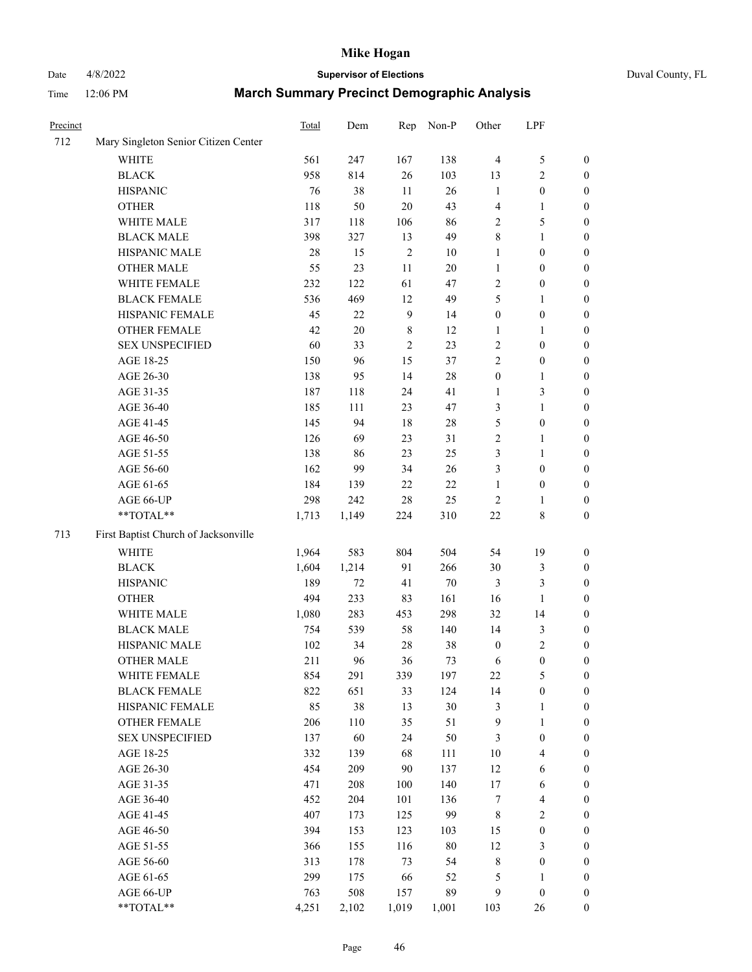# Date 4/8/2022 **Supervisor of Elections** Duval County, FL

| Precinct |                                      | <b>Total</b> | Dem    | Rep            | Non-P  | Other            | LPF                      |                  |
|----------|--------------------------------------|--------------|--------|----------------|--------|------------------|--------------------------|------------------|
| 712      | Mary Singleton Senior Citizen Center |              |        |                |        |                  |                          |                  |
|          | WHITE                                | 561          | 247    | 167            | 138    | $\overline{4}$   | $\mathfrak s$            | 0                |
|          | <b>BLACK</b>                         | 958          | 814    | $26\,$         | 103    | 13               | $\sqrt{2}$               | 0                |
|          | <b>HISPANIC</b>                      | 76           | 38     | 11             | $26\,$ | $\mathbf{1}$     | $\boldsymbol{0}$         | $\boldsymbol{0}$ |
|          | <b>OTHER</b>                         | 118          | 50     | $20\,$         | 43     | 4                | 1                        | $\boldsymbol{0}$ |
|          | WHITE MALE                           | 317          | 118    | 106            | 86     | 2                | $\mathfrak s$            | $\boldsymbol{0}$ |
|          | <b>BLACK MALE</b>                    | 398          | 327    | 13             | 49     | 8                | $\mathbf{1}$             | $\boldsymbol{0}$ |
|          | HISPANIC MALE                        | 28           | 15     | $\sqrt{2}$     | 10     | $\mathbf{1}$     | $\boldsymbol{0}$         | $\boldsymbol{0}$ |
|          | <b>OTHER MALE</b>                    | 55           | 23     | $11\,$         | $20\,$ | $\mathbf{1}$     | $\boldsymbol{0}$         | $\boldsymbol{0}$ |
|          | WHITE FEMALE                         | 232          | 122    | 61             | 47     | $\overline{c}$   | $\boldsymbol{0}$         | $\boldsymbol{0}$ |
|          | <b>BLACK FEMALE</b>                  | 536          | 469    | 12             | 49     | 5                | 1                        | 0                |
|          | HISPANIC FEMALE                      | 45           | $22\,$ | $\overline{9}$ | 14     | $\boldsymbol{0}$ | $\boldsymbol{0}$         | 0                |
|          | <b>OTHER FEMALE</b>                  | 42           | $20\,$ | $\,8\,$        | 12     | 1                | $\mathbf{1}$             | 0                |
|          | <b>SEX UNSPECIFIED</b>               | 60           | 33     | $\sqrt{2}$     | 23     | $\overline{c}$   | $\boldsymbol{0}$         | $\boldsymbol{0}$ |
|          | AGE 18-25                            | 150          | 96     | 15             | 37     | $\overline{c}$   | $\boldsymbol{0}$         | $\boldsymbol{0}$ |
|          | AGE 26-30                            | 138          | 95     | 14             | $28\,$ | $\boldsymbol{0}$ | $\mathbf{1}$             | $\boldsymbol{0}$ |
|          | AGE 31-35                            | 187          | 118    | 24             | 41     | $\mathbf{1}$     | 3                        | $\boldsymbol{0}$ |
|          | AGE 36-40                            | 185          | 111    | 23             | 47     | 3                | $\mathbf{1}$             | $\boldsymbol{0}$ |
|          | AGE 41-45                            | 145          | 94     | $18\,$         | $28\,$ | 5                | $\boldsymbol{0}$         | $\boldsymbol{0}$ |
|          | AGE 46-50                            | 126          | 69     | 23             | 31     | $\overline{c}$   | 1                        | $\boldsymbol{0}$ |
|          | AGE 51-55                            | 138          | 86     | 23             | 25     | 3                | 1                        | 0                |
|          | AGE 56-60                            | 162          | 99     | 34             | $26\,$ | 3                | $\boldsymbol{0}$         | 0                |
|          | AGE 61-65                            | 184          | 139    | 22             | $22\,$ | $\mathbf{1}$     | $\boldsymbol{0}$         | 0                |
|          | AGE 66-UP                            | 298          | 242    | $28\,$         | 25     | $\sqrt{2}$       | 1                        | 0                |
|          | $**TOTAL**$                          | 1,713        | 1,149  | 224            | 310    | $22\,$           | $\,$ 8 $\,$              | $\boldsymbol{0}$ |
| 713      | First Baptist Church of Jacksonville |              |        |                |        |                  |                          |                  |
|          | <b>WHITE</b>                         | 1,964        | 583    | 804            | 504    | 54               | 19                       | $\boldsymbol{0}$ |
|          | <b>BLACK</b>                         | 1,604        | 1,214  | 91             | 266    | 30               | $\mathfrak{Z}$           | $\boldsymbol{0}$ |
|          | <b>HISPANIC</b>                      | 189          | $72\,$ | 41             | $70\,$ | 3                | $\mathfrak{Z}$           | $\boldsymbol{0}$ |
|          | <b>OTHER</b>                         | 494          | 233    | 83             | 161    | 16               | $\mathbf{1}$             | $\boldsymbol{0}$ |
|          | WHITE MALE                           | 1,080        | 283    | 453            | 298    | 32               | 14                       | $\boldsymbol{0}$ |
|          | <b>BLACK MALE</b>                    | 754          | 539    | 58             | 140    | 14               | $\mathfrak{Z}$           | $\boldsymbol{0}$ |
|          | HISPANIC MALE                        | 102          | 34     | $28\,$         | 38     | $\boldsymbol{0}$ | $\sqrt{2}$               | 0                |
|          | <b>OTHER MALE</b>                    | 211          | 96     | 36             | 73     | 6                | $\boldsymbol{0}$         | 0                |
|          | WHITE FEMALE                         | 854          | 291    | 339            | 197    | 22               | 5                        | 0                |
|          | <b>BLACK FEMALE</b>                  | 822          | 651    | 33             | 124    | 14               | $\boldsymbol{0}$         | $\boldsymbol{0}$ |
|          | HISPANIC FEMALE                      | 85           | 38     | 13             | 30     | 3                | $\mathbf{1}$             | $\overline{0}$   |
|          | <b>OTHER FEMALE</b>                  | 206          | 110    | 35             | 51     | 9                | $\mathbf{1}$             | $\overline{0}$   |
|          | <b>SEX UNSPECIFIED</b>               | 137          | 60     | 24             | 50     | 3                | $\boldsymbol{0}$         | 0                |
|          | AGE 18-25                            | 332          | 139    | 68             | 111    | $10\,$           | $\overline{4}$           | 0                |
|          | AGE 26-30                            | 454          | 209    | $90\,$         | 137    | 12               | 6                        | 0                |
|          | AGE 31-35                            | 471          | 208    | 100            | 140    | 17               | 6                        | 0                |
|          | AGE 36-40                            | 452          | 204    | 101            | 136    | 7                | $\overline{\mathcal{L}}$ | 0                |
|          | AGE 41-45                            | 407          | 173    | 125            | 99     | 8                | $\sqrt{2}$               | 0                |
|          | AGE 46-50                            | 394          | 153    | 123            | 103    | 15               | $\boldsymbol{0}$         | 0                |
|          | AGE 51-55                            | 366          | 155    | 116            | $80\,$ | 12               | 3                        | 0                |
|          | AGE 56-60                            | 313          | 178    | 73             | 54     | 8                | $\boldsymbol{0}$         | $\boldsymbol{0}$ |
|          | AGE 61-65                            | 299          | 175    | 66             | 52     | 5                | 1                        | $\boldsymbol{0}$ |
|          | AGE 66-UP                            | 763          | 508    | 157            | 89     | 9                | $\boldsymbol{0}$         | 0                |
|          | **TOTAL**                            | 4,251        | 2,102  | 1,019          | 1,001  | 103              | 26                       | $\boldsymbol{0}$ |
|          |                                      |              |        |                |        |                  |                          |                  |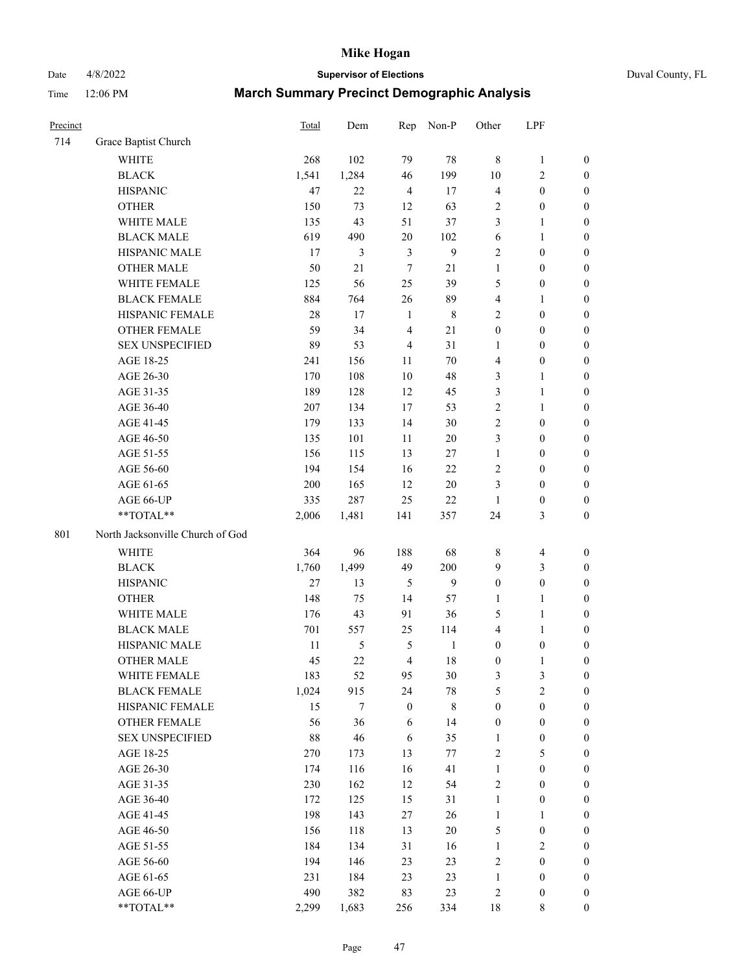Date 4/8/2022 **Supervisor of Elections** Duval County, FL

| Precinct |                                  | <b>Total</b> | Dem            | Rep              | Non-P            | Other            | LPF              |                  |
|----------|----------------------------------|--------------|----------------|------------------|------------------|------------------|------------------|------------------|
| 714      | Grace Baptist Church             |              |                |                  |                  |                  |                  |                  |
|          | <b>WHITE</b>                     | 268          | 102            | 79               | $78\,$           | $\,8\,$          | $\mathbf{1}$     | 0                |
|          | <b>BLACK</b>                     | 1,541        | 1,284          | 46               | 199              | $10\,$           | $\sqrt{2}$       | $\boldsymbol{0}$ |
|          | <b>HISPANIC</b>                  | 47           | 22             | $\overline{4}$   | 17               | 4                | $\boldsymbol{0}$ | $\boldsymbol{0}$ |
|          | <b>OTHER</b>                     | 150          | 73             | 12               | 63               | 2                | $\boldsymbol{0}$ | $\boldsymbol{0}$ |
|          | WHITE MALE                       | 135          | 43             | 51               | 37               | 3                | 1                | $\boldsymbol{0}$ |
|          | <b>BLACK MALE</b>                | 619          | 490            | $20\,$           | 102              | 6                | $\mathbf{1}$     | $\boldsymbol{0}$ |
|          | HISPANIC MALE                    | 17           | $\mathfrak{Z}$ | 3                | $\boldsymbol{9}$ | 2                | $\boldsymbol{0}$ | $\boldsymbol{0}$ |
|          | <b>OTHER MALE</b>                | 50           | $21\,$         | $\tau$           | 21               | $\mathbf{1}$     | $\boldsymbol{0}$ | $\boldsymbol{0}$ |
|          | WHITE FEMALE                     | 125          | 56             | 25               | 39               | 5                | $\boldsymbol{0}$ | $\boldsymbol{0}$ |
|          | <b>BLACK FEMALE</b>              | 884          | 764            | 26               | 89               | 4                | $\mathbf{1}$     | $\boldsymbol{0}$ |
|          | HISPANIC FEMALE                  | 28           | 17             | $\mathbf{1}$     | $\,$ 8 $\,$      | $\overline{2}$   | $\boldsymbol{0}$ | 0                |
|          | <b>OTHER FEMALE</b>              | 59           | 34             | $\overline{4}$   | 21               | $\boldsymbol{0}$ | $\boldsymbol{0}$ | $\boldsymbol{0}$ |
|          | <b>SEX UNSPECIFIED</b>           | 89           | 53             | $\overline{4}$   | 31               | $\mathbf{1}$     | $\boldsymbol{0}$ | $\boldsymbol{0}$ |
|          | AGE 18-25                        | 241          | 156            | 11               | $70\,$           | 4                | $\boldsymbol{0}$ | $\boldsymbol{0}$ |
|          | AGE 26-30                        | 170          | 108            | 10               | 48               | 3                | $\mathbf{1}$     | $\boldsymbol{0}$ |
|          | AGE 31-35                        | 189          | 128            | 12               | 45               | 3                | $\mathbf{1}$     | $\boldsymbol{0}$ |
|          | AGE 36-40                        | 207          | 134            | 17               | 53               | $\overline{c}$   | $\mathbf{1}$     | $\boldsymbol{0}$ |
|          | AGE 41-45                        | 179          | 133            | 14               | $30\,$           | 2                | $\boldsymbol{0}$ | $\boldsymbol{0}$ |
|          | AGE 46-50                        | 135          | 101            | 11               | $20\,$           | 3                | $\boldsymbol{0}$ | $\boldsymbol{0}$ |
|          | AGE 51-55                        | 156          | 115            | 13               | 27               | $\mathbf{1}$     | $\boldsymbol{0}$ | $\boldsymbol{0}$ |
|          | AGE 56-60                        | 194          | 154            | 16               | 22               | 2                | $\boldsymbol{0}$ | 0                |
|          | AGE 61-65                        | 200          | 165            | 12               | $20\,$           | 3                | $\boldsymbol{0}$ | 0                |
|          | AGE 66-UP                        | 335          | 287            | 25               | 22               | $\mathbf{1}$     | $\boldsymbol{0}$ | $\boldsymbol{0}$ |
|          | **TOTAL**                        | 2,006        | 1,481          | 141              | 357              | 24               | $\mathfrak{Z}$   | $\boldsymbol{0}$ |
| 801      | North Jacksonville Church of God |              |                |                  |                  |                  |                  |                  |
|          | <b>WHITE</b>                     | 364          | 96             | 188              | 68               | 8                | $\overline{4}$   | $\boldsymbol{0}$ |
|          | <b>BLACK</b>                     | 1,760        | 1,499          | 49               | 200              | 9                | $\mathfrak{Z}$   | $\boldsymbol{0}$ |
|          | <b>HISPANIC</b>                  | 27           | 13             | $\mathfrak{S}$   | 9                | $\boldsymbol{0}$ | $\boldsymbol{0}$ | $\boldsymbol{0}$ |
|          | <b>OTHER</b>                     | 148          | 75             | 14               | 57               | 1                | $\mathbf{1}$     | $\boldsymbol{0}$ |
|          | WHITE MALE                       | 176          | 43             | 91               | 36               | 5                | $\mathbf{1}$     | $\boldsymbol{0}$ |
|          | <b>BLACK MALE</b>                | 701          | 557            | 25               | 114              | 4                | $\mathbf{1}$     | $\boldsymbol{0}$ |
|          | HISPANIC MALE                    | $11\,$       | $\mathfrak{S}$ | 5                | $\mathbf{1}$     | $\boldsymbol{0}$ | $\boldsymbol{0}$ | 0                |
|          | <b>OTHER MALE</b>                | 45           | 22             | $\overline{4}$   | 18               | $\boldsymbol{0}$ | $\mathbf{1}$     | 0                |
|          | WHITE FEMALE                     | 183          | 52             | 95               | 30               | 3                | 3                | 0                |
|          | <b>BLACK FEMALE</b>              | 1,024        | 915            | 24               | $78\,$           | 5                | $\sqrt{2}$       | $\boldsymbol{0}$ |
|          | HISPANIC FEMALE                  | 15           | $\tau$         | $\boldsymbol{0}$ | 8                | $\boldsymbol{0}$ | $\boldsymbol{0}$ | $\overline{0}$   |
|          | OTHER FEMALE                     | 56           | 36             | 6                | 14               | $\boldsymbol{0}$ | $\boldsymbol{0}$ | $\overline{0}$   |
|          | <b>SEX UNSPECIFIED</b>           | $88\,$       | 46             | 6                | 35               | $\mathbf{1}$     | $\boldsymbol{0}$ | 0                |
|          | AGE 18-25                        | 270          | 173            | 13               | 77               | 2                | $\mathfrak s$    | $\theta$         |
|          | AGE 26-30                        | 174          | 116            | 16               | 41               | $\mathbf{1}$     | $\boldsymbol{0}$ | 0                |
|          | AGE 31-35                        | 230          | 162            | 12               | 54               | 2                | $\boldsymbol{0}$ | 0                |
|          | AGE 36-40                        | 172          | 125            | 15               | 31               | $\mathbf{1}$     | $\boldsymbol{0}$ | 0                |
|          | AGE 41-45                        | 198          | 143            | 27               | 26               | $\mathbf{1}$     | 1                | 0                |
|          | AGE 46-50                        | 156          | 118            | 13               | $20\,$           | 5                | $\boldsymbol{0}$ | 0                |
|          | AGE 51-55                        | 184          | 134            | 31               | 16               | $\mathbf{1}$     | $\sqrt{2}$       | 0                |
|          | AGE 56-60                        | 194          | 146            | 23               | 23               | 2                | $\boldsymbol{0}$ | $\overline{0}$   |
|          | AGE 61-65                        | 231          | 184            | 23               | 23               | $\mathbf{1}$     | $\boldsymbol{0}$ | $\boldsymbol{0}$ |
|          | AGE 66-UP                        | 490          | 382            | 83               | 23               | 2                | $\boldsymbol{0}$ | 0                |
|          | **TOTAL**                        | 2,299        | 1,683          | 256              | 334              | 18               | 8                | $\boldsymbol{0}$ |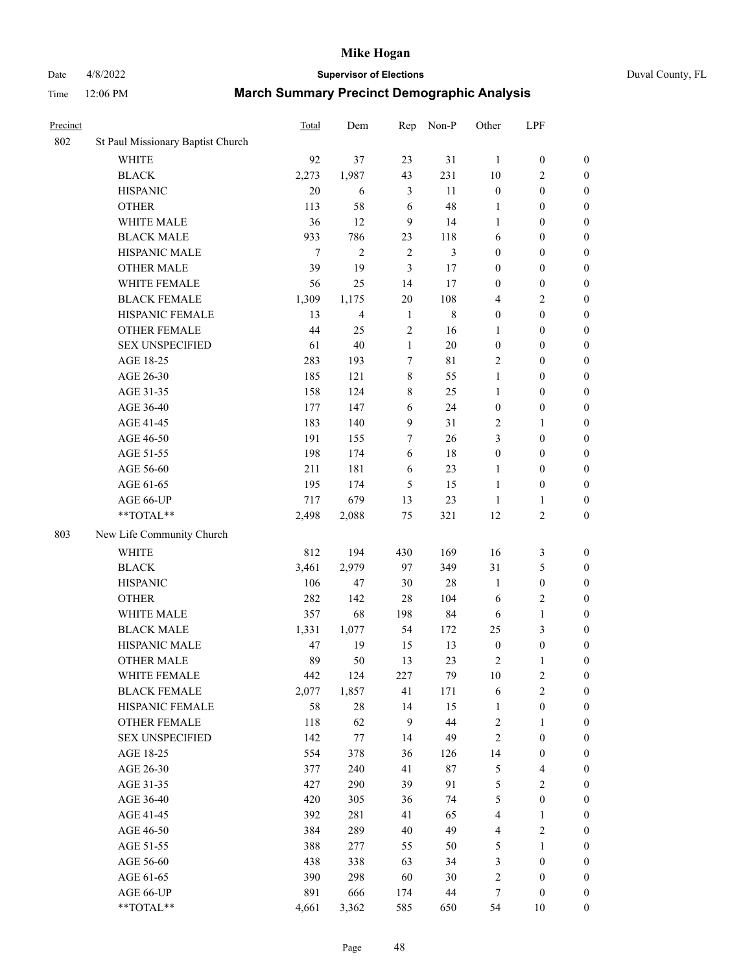# Date 4/8/2022 **Supervisor of Elections** Duval County, FL

| Precinct |                                   | Total | Dem            | Rep          | Non-P          | Other                   | LPF                     |                  |
|----------|-----------------------------------|-------|----------------|--------------|----------------|-------------------------|-------------------------|------------------|
| 802      | St Paul Missionary Baptist Church |       |                |              |                |                         |                         |                  |
|          | <b>WHITE</b>                      | 92    | 37             | 23           | 31             | $\mathbf{1}$            | $\boldsymbol{0}$        | $\boldsymbol{0}$ |
|          | <b>BLACK</b>                      | 2,273 | 1,987          | 43           | 231            | 10                      | $\overline{c}$          | $\boldsymbol{0}$ |
|          | <b>HISPANIC</b>                   | 20    | 6              | 3            | 11             | $\boldsymbol{0}$        | $\boldsymbol{0}$        | $\boldsymbol{0}$ |
|          | <b>OTHER</b>                      | 113   | 58             | 6            | 48             | 1                       | $\boldsymbol{0}$        | $\boldsymbol{0}$ |
|          | WHITE MALE                        | 36    | 12             | 9            | 14             | 1                       | $\boldsymbol{0}$        | $\boldsymbol{0}$ |
|          | <b>BLACK MALE</b>                 | 933   | 786            | 23           | 118            | 6                       | $\boldsymbol{0}$        | $\boldsymbol{0}$ |
|          | HISPANIC MALE                     | 7     | $\mathbf{2}$   | $\sqrt{2}$   | $\mathfrak{Z}$ | $\boldsymbol{0}$        | $\boldsymbol{0}$        | $\boldsymbol{0}$ |
|          | <b>OTHER MALE</b>                 | 39    | 19             | 3            | 17             | $\boldsymbol{0}$        | $\boldsymbol{0}$        | $\boldsymbol{0}$ |
|          | WHITE FEMALE                      | 56    | 25             | 14           | 17             | $\boldsymbol{0}$        | $\boldsymbol{0}$        | $\boldsymbol{0}$ |
|          | <b>BLACK FEMALE</b>               | 1,309 | 1,175          | 20           | 108            | $\overline{4}$          | $\mathbf{2}$            | 0                |
|          | HISPANIC FEMALE                   | 13    | $\overline{4}$ | $\mathbf{1}$ | $\,$ 8 $\,$    | $\boldsymbol{0}$        | $\boldsymbol{0}$        | $\boldsymbol{0}$ |
|          | OTHER FEMALE                      | 44    | 25             | $\sqrt{2}$   | 16             | $\mathbf{1}$            | $\boldsymbol{0}$        | $\boldsymbol{0}$ |
|          | <b>SEX UNSPECIFIED</b>            | 61    | 40             | $\mathbf{1}$ | 20             | $\boldsymbol{0}$        | $\boldsymbol{0}$        | $\boldsymbol{0}$ |
|          | AGE 18-25                         | 283   | 193            | $\tau$       | $8\sqrt{1}$    | 2                       | $\boldsymbol{0}$        | $\boldsymbol{0}$ |
|          | AGE 26-30                         | 185   | 121            | 8            | 55             | $\mathbf{1}$            | $\boldsymbol{0}$        | $\boldsymbol{0}$ |
|          | AGE 31-35                         | 158   | 124            | 8            | 25             | 1                       | $\boldsymbol{0}$        | $\boldsymbol{0}$ |
|          | AGE 36-40                         | 177   | 147            | 6            | 24             | $\boldsymbol{0}$        | $\boldsymbol{0}$        | $\boldsymbol{0}$ |
|          | AGE 41-45                         | 183   | 140            | $\mathbf{9}$ | 31             | 2                       | 1                       | $\boldsymbol{0}$ |
|          | AGE 46-50                         | 191   | 155            | $\tau$       | 26             | 3                       | $\boldsymbol{0}$        | $\boldsymbol{0}$ |
|          | AGE 51-55                         | 198   | 174            | 6            | 18             | $\boldsymbol{0}$        | $\boldsymbol{0}$        | 0                |
|          | AGE 56-60                         | 211   | 181            | 6            | 23             | 1                       | $\boldsymbol{0}$        | $\boldsymbol{0}$ |
|          | AGE 61-65                         | 195   | 174            | 5            | 15             | $\mathbf{1}$            | $\boldsymbol{0}$        | $\boldsymbol{0}$ |
|          | AGE 66-UP                         | 717   | 679            | 13           | 23             | 1                       | 1                       | $\boldsymbol{0}$ |
|          | **TOTAL**                         | 2,498 | 2,088          | 75           | 321            | 12                      | $\sqrt{2}$              | $\boldsymbol{0}$ |
| 803      | New Life Community Church         |       |                |              |                |                         |                         |                  |
|          |                                   |       |                |              |                |                         |                         |                  |
|          | <b>WHITE</b>                      | 812   | 194            | 430          | 169            | 16                      | $\mathfrak{Z}$          | $\boldsymbol{0}$ |
|          | <b>BLACK</b>                      | 3,461 | 2,979          | 97           | 349            | 31                      | 5                       | $\boldsymbol{0}$ |
|          | <b>HISPANIC</b>                   | 106   | 47             | 30           | 28             | $\mathbf{1}$            | $\boldsymbol{0}$        | $\boldsymbol{0}$ |
|          | <b>OTHER</b>                      | 282   | 142            | 28           | 104            | 6                       | $\sqrt{2}$              | $\boldsymbol{0}$ |
|          | WHITE MALE                        | 357   | 68             | 198          | 84             | 6                       | $\mathbf{1}$            | $\boldsymbol{0}$ |
|          | <b>BLACK MALE</b>                 | 1,331 | 1,077          | 54           | 172            | 25                      | $\mathfrak{Z}$          | $\boldsymbol{0}$ |
|          | HISPANIC MALE                     | 47    | 19             | 15           | 13             | $\boldsymbol{0}$        | $\boldsymbol{0}$        | 0                |
|          | <b>OTHER MALE</b>                 | 89    | 50             | 13           | 23             | $\overline{c}$          | 1                       | $\boldsymbol{0}$ |
|          | WHITE FEMALE                      | 442   | 124            | 227          | 79             | 10                      | $\overline{c}$          | $\overline{0}$   |
|          | <b>BLACK FEMALE</b>               | 2,077 | 1,857          | 41           | 171            | 6                       | $\sqrt{2}$              | $\boldsymbol{0}$ |
|          | HISPANIC FEMALE                   | 58    | $28\,$         | 14           | 15             | $\mathbf{1}$            | $\boldsymbol{0}$        | $\overline{0}$   |
|          | OTHER FEMALE                      | 118   | 62             | 9            | 44             | 2                       | $\mathbf{1}$            | $\overline{0}$   |
|          | <b>SEX UNSPECIFIED</b>            | 142   | 77             | 14           | 49             | $\overline{c}$          | $\boldsymbol{0}$        | 0                |
|          | AGE 18-25                         | 554   | 378            | 36           | 126            | 14                      | $\boldsymbol{0}$        | 0                |
|          | AGE 26-30                         | 377   | 240            | 41           | $87\,$         | 5                       | $\overline{\mathbf{4}}$ | 0                |
|          | AGE 31-35                         | 427   | 290            | 39           | 91             | 5                       | $\sqrt{2}$              | 0                |
|          | AGE 36-40                         | 420   | 305            | 36           | 74             | 5                       | $\boldsymbol{0}$        | 0                |
|          | AGE 41-45                         | 392   | 281            | 41           | 65             | $\overline{\mathbf{4}}$ | $\mathbf{1}$            | 0                |
|          | AGE 46-50                         | 384   | 289            | 40           | 49             | 4                       | $\sqrt{2}$              | 0                |
|          | AGE 51-55                         | 388   | 277            | 55           | 50             | 5                       | 1                       | 0                |
|          | AGE 56-60                         | 438   | 338            | 63           | 34             | 3                       | $\boldsymbol{0}$        | $\boldsymbol{0}$ |
|          | AGE 61-65                         | 390   | 298            | 60           | 30             | 2                       | $\boldsymbol{0}$        | 0                |
|          | AGE 66-UP                         | 891   | 666            | 174          | 44             | 7                       | $\boldsymbol{0}$        | 0                |
|          | **TOTAL**                         | 4,661 | 3,362          | 585          | 650            | 54                      | 10                      | $\boldsymbol{0}$ |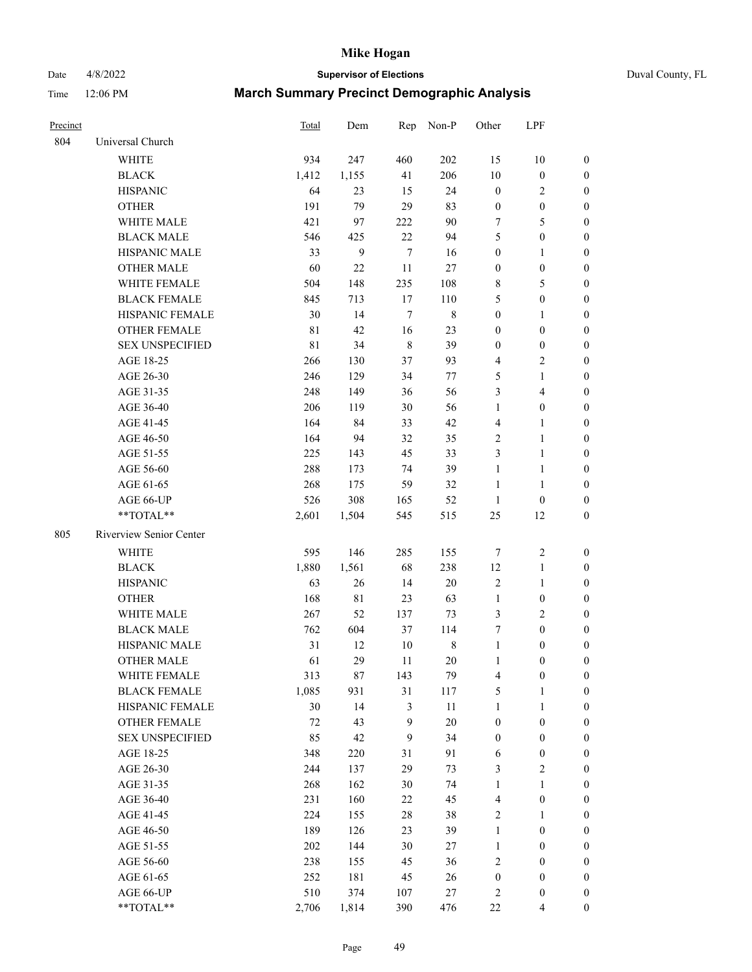Date 4/8/2022 **Supervisor of Elections** Duval County, FL

| Precinct |                         | Total       | Dem         |                  | Rep Non-P   | Other                   | LPF                     |                  |
|----------|-------------------------|-------------|-------------|------------------|-------------|-------------------------|-------------------------|------------------|
| 804      | Universal Church        |             |             |                  |             |                         |                         |                  |
|          | <b>WHITE</b>            | 934         | 247         | 460              | 202         | 15                      | $10\,$                  | $\boldsymbol{0}$ |
|          | <b>BLACK</b>            | 1,412       | 1,155       | 41               | 206         | 10                      | $\boldsymbol{0}$        | $\boldsymbol{0}$ |
|          | <b>HISPANIC</b>         | 64          | 23          | 15               | 24          | $\boldsymbol{0}$        | $\overline{c}$          | $\boldsymbol{0}$ |
|          | <b>OTHER</b>            | 191         | 79          | 29               | 83          | $\boldsymbol{0}$        | $\boldsymbol{0}$        | $\boldsymbol{0}$ |
|          | WHITE MALE              | 421         | 97          | 222              | 90          | 7                       | 5                       | $\boldsymbol{0}$ |
|          | <b>BLACK MALE</b>       | 546         | 425         | 22               | 94          | 5                       | $\boldsymbol{0}$        | $\boldsymbol{0}$ |
|          | HISPANIC MALE           | 33          | 9           | $\tau$           | 16          | $\boldsymbol{0}$        | $\mathbf{1}$            | $\boldsymbol{0}$ |
|          | <b>OTHER MALE</b>       | 60          | 22          | 11               | 27          | $\boldsymbol{0}$        | $\boldsymbol{0}$        | $\boldsymbol{0}$ |
|          | <b>WHITE FEMALE</b>     | 504         | 148         | 235              | 108         | 8                       | $\mathfrak{S}$          | $\boldsymbol{0}$ |
|          | <b>BLACK FEMALE</b>     | 845         | 713         | 17               | 110         | 5                       | $\boldsymbol{0}$        | 0                |
|          | HISPANIC FEMALE         | 30          | 14          | 7                | $\,$ 8 $\,$ | $\boldsymbol{0}$        | $\mathbf{1}$            | 0                |
|          | OTHER FEMALE            | $8\sqrt{1}$ | 42          | 16               | 23          | $\boldsymbol{0}$        | $\boldsymbol{0}$        | $\boldsymbol{0}$ |
|          | <b>SEX UNSPECIFIED</b>  | $8\sqrt{1}$ | 34          | $\,$ 8 $\,$      | 39          | $\boldsymbol{0}$        | $\boldsymbol{0}$        | $\boldsymbol{0}$ |
|          | AGE 18-25               | 266         | 130         | 37               | 93          | 4                       | $\sqrt{2}$              | $\boldsymbol{0}$ |
|          | AGE 26-30               | 246         | 129         | 34               | 77          | 5                       | $\mathbf{1}$            | $\boldsymbol{0}$ |
|          | AGE 31-35               | 248         | 149         | 36               | 56          | 3                       | $\overline{\mathbf{4}}$ | $\boldsymbol{0}$ |
|          | AGE 36-40               | 206         | 119         | 30               | 56          | $\mathbf{1}$            | $\boldsymbol{0}$        | $\boldsymbol{0}$ |
|          | AGE 41-45               | 164         | 84          | 33               | 42          | 4                       | $\mathbf{1}$            | $\boldsymbol{0}$ |
|          | AGE 46-50               | 164         | 94          | 32               | 35          | $\mathbf{2}$            | $\mathbf{1}$            | 0                |
|          | AGE 51-55               | 225         | 143         | 45               | 33          | 3                       | $\mathbf{1}$            | 0                |
|          | AGE 56-60               | 288         | 173         | 74               | 39          | 1                       | $\mathbf{1}$            | 0                |
|          | AGE 61-65               | 268         | 175         | 59               | 32          | $\mathbf{1}$            | $\mathbf{1}$            | 0                |
|          | AGE 66-UP               | 526         | 308         | 165              | 52          | $\mathbf{1}$            | $\boldsymbol{0}$        | 0                |
|          | **TOTAL**               | 2,601       | 1,504       | 545              | 515         | 25                      | 12                      | $\boldsymbol{0}$ |
| 805      | Riverview Senior Center |             |             |                  |             |                         |                         |                  |
|          | WHITE                   | 595         | 146         | 285              | 155         | 7                       | $\sqrt{2}$              | $\boldsymbol{0}$ |
|          | $\operatorname{BLACK}$  | 1,880       | 1,561       | 68               | 238         | 12                      | $\mathbf{1}$            | $\boldsymbol{0}$ |
|          | <b>HISPANIC</b>         | 63          | 26          | 14               | $20\,$      | $\sqrt{2}$              | $\mathbf{1}$            | $\boldsymbol{0}$ |
|          | <b>OTHER</b>            | 168         | $8\sqrt{1}$ | 23               | 63          | $\mathbf{1}$            | $\boldsymbol{0}$        | $\boldsymbol{0}$ |
|          | WHITE MALE              | 267         | 52          | 137              | 73          | 3                       | $\overline{2}$          | $\boldsymbol{0}$ |
|          | <b>BLACK MALE</b>       | 762         | 604         | 37               | 114         | 7                       | $\boldsymbol{0}$        | $\boldsymbol{0}$ |
|          | HISPANIC MALE           | 31          | 12          | 10               | $\,8\,$     | $\mathbf{1}$            | $\boldsymbol{0}$        | 0                |
|          | <b>OTHER MALE</b>       | 61          | 29          | 11               | 20          | $\mathbf{1}$            | $\boldsymbol{0}$        | $\boldsymbol{0}$ |
|          | WHITE FEMALE            | 313         | $87\,$      | 143              | 79          | 4                       | $\boldsymbol{0}$        | $\boldsymbol{0}$ |
|          | <b>BLACK FEMALE</b>     | 1,085       | 931         | 31               | 117         | 5                       | $\mathbf{1}$            | $\boldsymbol{0}$ |
|          | HISPANIC FEMALE         | 30          | 14          | $\mathfrak{Z}$   | 11          | $\mathbf{1}$            | $\mathbf{1}$            | $\overline{0}$   |
|          | <b>OTHER FEMALE</b>     | 72          | 43          | $\boldsymbol{9}$ | 20          | $\boldsymbol{0}$        | $\boldsymbol{0}$        | $\overline{0}$   |
|          | <b>SEX UNSPECIFIED</b>  | 85          | 42          | $\boldsymbol{9}$ | 34          | $\boldsymbol{0}$        | $\boldsymbol{0}$        | 0                |
|          | AGE 18-25               | 348         | 220         | 31               | 91          | 6                       | $\boldsymbol{0}$        | 0                |
|          | AGE 26-30               | 244         | 137         | 29               | 73          | 3                       | $\sqrt{2}$              | 0                |
|          | AGE 31-35               | 268         | 162         | 30               | 74          | $\mathbf{1}$            | $\mathbf{1}$            | 0                |
|          | AGE 36-40               | 231         | 160         | 22               | 45          | $\overline{\mathbf{4}}$ | $\boldsymbol{0}$        | 0                |
|          | AGE 41-45               | 224         | 155         | 28               | 38          | $\sqrt{2}$              | $\mathbf{1}$            | 0                |
|          | AGE 46-50               | 189         | 126         | 23               | 39          | $\mathbf{1}$            | $\boldsymbol{0}$        | 0                |
|          | AGE 51-55               | 202         | 144         | 30               | 27          | 1                       | $\boldsymbol{0}$        | $\boldsymbol{0}$ |
|          | AGE 56-60               | 238         | 155         | 45               | 36          | $\mathbf{2}$            | $\boldsymbol{0}$        | $\boldsymbol{0}$ |
|          | AGE 61-65               | 252         | 181         | 45               | 26          | $\boldsymbol{0}$        | $\boldsymbol{0}$        | $\overline{0}$   |
|          | AGE 66-UP               | 510         | 374         | 107              | 27          | $\overline{c}$          | $\boldsymbol{0}$        | 0                |
|          | **TOTAL**               | 2,706       | 1,814       | 390              | 476         | $22\,$                  | $\overline{4}$          | $\boldsymbol{0}$ |
|          |                         |             |             |                  |             |                         |                         |                  |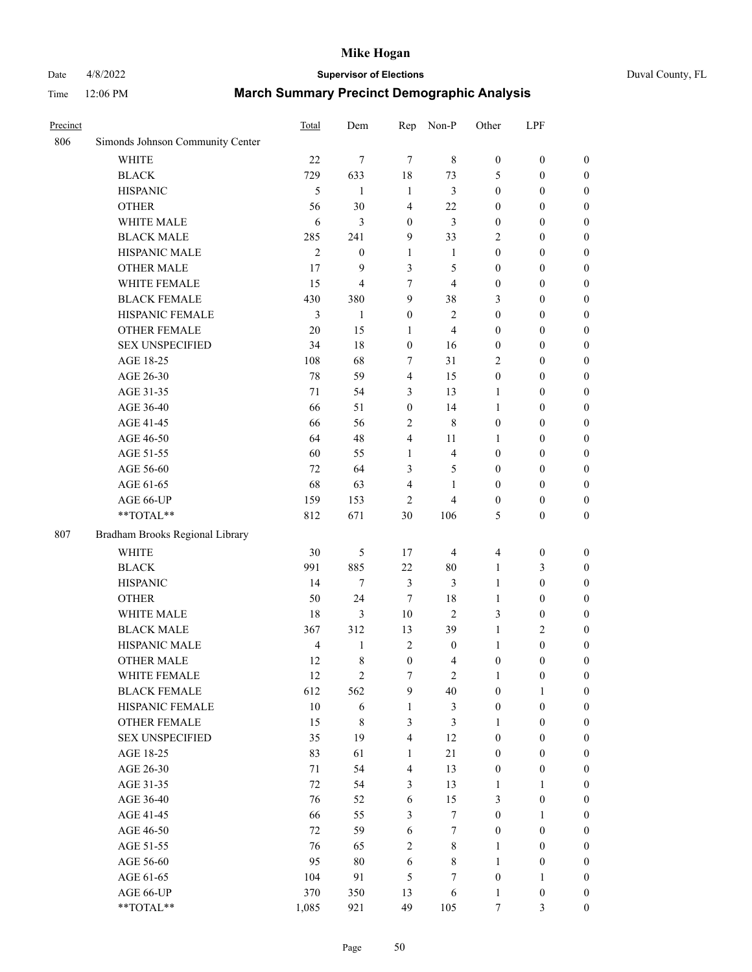# Date 4/8/2022 **Supervisor of Elections** Duval County, FL

| Precinct |                                  | Total          | Dem                     | Rep              | Non-P            | Other            | LPF                                  |                                      |
|----------|----------------------------------|----------------|-------------------------|------------------|------------------|------------------|--------------------------------------|--------------------------------------|
| 806      | Simonds Johnson Community Center |                |                         |                  |                  |                  |                                      |                                      |
|          | <b>WHITE</b>                     | 22             | $\tau$                  | $\tau$           | $\,$ 8 $\,$      | $\boldsymbol{0}$ | $\boldsymbol{0}$                     | $\boldsymbol{0}$                     |
|          | <b>BLACK</b>                     | 729            | 633                     | 18               | 73               | 5                | $\boldsymbol{0}$                     | $\boldsymbol{0}$                     |
|          | <b>HISPANIC</b>                  | 5              | 1                       | $\mathbf{1}$     | 3                | $\boldsymbol{0}$ | $\boldsymbol{0}$                     | $\boldsymbol{0}$                     |
|          | <b>OTHER</b>                     | 56             | 30                      | $\overline{4}$   | 22               | $\boldsymbol{0}$ | $\boldsymbol{0}$                     | $\boldsymbol{0}$                     |
|          | WHITE MALE                       | 6              | 3                       | $\boldsymbol{0}$ | 3                | $\boldsymbol{0}$ | $\boldsymbol{0}$                     | $\boldsymbol{0}$                     |
|          | <b>BLACK MALE</b>                | 285            | 241                     | 9                | 33               | 2                | $\boldsymbol{0}$                     | $\boldsymbol{0}$                     |
|          | HISPANIC MALE                    | $\mathfrak{2}$ | $\boldsymbol{0}$        | $\mathbf{1}$     | $\mathbf{1}$     | $\boldsymbol{0}$ | $\boldsymbol{0}$                     | $\boldsymbol{0}$                     |
|          | <b>OTHER MALE</b>                | 17             | 9                       | 3                | 5                | $\boldsymbol{0}$ | $\boldsymbol{0}$                     | $\boldsymbol{0}$                     |
|          | WHITE FEMALE                     | 15             | $\overline{\mathbf{4}}$ | $\tau$           | $\overline{4}$   | $\boldsymbol{0}$ | $\boldsymbol{0}$                     | $\boldsymbol{0}$                     |
|          | <b>BLACK FEMALE</b>              | 430            | 380                     | $\overline{9}$   | 38               | 3                | $\boldsymbol{0}$                     | 0                                    |
|          | HISPANIC FEMALE                  | 3              | 1                       | $\boldsymbol{0}$ | $\mathbf{2}$     | $\boldsymbol{0}$ | $\boldsymbol{0}$                     | $\boldsymbol{0}$                     |
|          | OTHER FEMALE                     | 20             | 15                      | $\mathbf{1}$     | $\overline{4}$   | $\boldsymbol{0}$ | $\boldsymbol{0}$                     | $\boldsymbol{0}$                     |
|          | <b>SEX UNSPECIFIED</b>           | 34             | 18                      | $\boldsymbol{0}$ | 16               | $\boldsymbol{0}$ | $\boldsymbol{0}$                     | $\boldsymbol{0}$                     |
|          | AGE 18-25                        | 108            | 68                      | 7                | 31               | 2                | $\boldsymbol{0}$                     | $\boldsymbol{0}$                     |
|          | AGE 26-30                        | 78             | 59                      | $\overline{4}$   | 15               | $\boldsymbol{0}$ | $\boldsymbol{0}$                     | $\boldsymbol{0}$                     |
|          | AGE 31-35                        | 71             | 54                      | 3                | 13               | 1                | $\boldsymbol{0}$                     | $\boldsymbol{0}$                     |
|          | AGE 36-40                        | 66             | 51                      | $\boldsymbol{0}$ | 14               | $\mathbf{1}$     | $\boldsymbol{0}$                     | $\boldsymbol{0}$                     |
|          | AGE 41-45                        | 66             | 56                      | $\sqrt{2}$       | $\,8\,$          | $\boldsymbol{0}$ | $\boldsymbol{0}$                     | $\boldsymbol{0}$                     |
|          | AGE 46-50                        | 64             | 48                      | $\overline{4}$   | 11               | 1                | $\boldsymbol{0}$                     | $\boldsymbol{0}$                     |
|          | AGE 51-55                        | 60             | 55                      | $\mathbf{1}$     | $\overline{4}$   | $\boldsymbol{0}$ | $\boldsymbol{0}$                     | 0                                    |
|          | AGE 56-60                        | 72             | 64                      | 3                | 5                | $\boldsymbol{0}$ | $\boldsymbol{0}$                     |                                      |
|          | AGE 61-65                        | 68             | 63                      | $\overline{4}$   | $\mathbf{1}$     | $\boldsymbol{0}$ | $\boldsymbol{0}$                     | $\boldsymbol{0}$<br>$\boldsymbol{0}$ |
|          | AGE 66-UP                        | 159            |                         | $\overline{2}$   | $\overline{4}$   | $\boldsymbol{0}$ |                                      |                                      |
|          | **TOTAL**                        | 812            | 153<br>671              | 30               | 106              | 5                | $\boldsymbol{0}$<br>$\boldsymbol{0}$ | $\boldsymbol{0}$<br>$\boldsymbol{0}$ |
|          |                                  |                |                         |                  |                  |                  |                                      |                                      |
| 807      | Bradham Brooks Regional Library  |                |                         |                  |                  |                  |                                      |                                      |
|          | <b>WHITE</b>                     | 30             | 5                       | 17               | $\overline{4}$   | 4                | $\boldsymbol{0}$                     | $\boldsymbol{0}$                     |
|          | <b>BLACK</b>                     | 991            | 885                     | 22               | $80\,$           | $\mathbf{1}$     | 3                                    | $\boldsymbol{0}$                     |
|          | <b>HISPANIC</b>                  | 14             | $\tau$                  | $\mathfrak{Z}$   | 3                | $\mathbf{1}$     | $\boldsymbol{0}$                     | $\boldsymbol{0}$                     |
|          | <b>OTHER</b>                     | 50             | 24                      | 7                | 18               | $\mathbf{1}$     | $\boldsymbol{0}$                     | $\boldsymbol{0}$                     |
|          | WHITE MALE                       | 18             | 3                       | $10\,$           | $\overline{2}$   | 3                | $\boldsymbol{0}$                     | $\boldsymbol{0}$                     |
|          | <b>BLACK MALE</b>                | 367            | 312                     | 13               | 39               | $\mathbf{1}$     | $\mathbf{2}$                         | $\boldsymbol{0}$                     |
|          | HISPANIC MALE                    | $\overline{4}$ | $\mathbf{1}$            | $\overline{2}$   | $\boldsymbol{0}$ | $\mathbf{1}$     | $\boldsymbol{0}$                     | 0                                    |
|          | <b>OTHER MALE</b>                | 12             | 8                       | $\boldsymbol{0}$ | $\overline{4}$   | $\boldsymbol{0}$ | $\boldsymbol{0}$                     | $\boldsymbol{0}$                     |
|          | WHITE FEMALE                     | 12             | 2                       | 7                | $\overline{c}$   | 1                | $\boldsymbol{0}$                     | $\boldsymbol{0}$                     |
|          | <b>BLACK FEMALE</b>              | 612            | 562                     | 9                | $40\,$           | $\boldsymbol{0}$ | 1                                    | $\overline{0}$                       |
|          | HISPANIC FEMALE                  | 10             | 6                       | $\mathbf{1}$     | $\mathfrak{Z}$   | $\boldsymbol{0}$ | $\boldsymbol{0}$                     | $\overline{0}$                       |
|          | <b>OTHER FEMALE</b>              | 15             | 8                       | 3                | 3                | 1                | $\boldsymbol{0}$                     | $\overline{0}$                       |
|          | <b>SEX UNSPECIFIED</b>           | 35             | 19                      | $\overline{4}$   | 12               | $\boldsymbol{0}$ | $\boldsymbol{0}$                     | $\overline{0}$                       |
|          | AGE 18-25                        | 83             | 61                      | $\mathbf{1}$     | $21\,$           | $\boldsymbol{0}$ | $\boldsymbol{0}$                     | $\overline{0}$                       |
|          | AGE 26-30                        | 71             | 54                      | $\overline{4}$   | 13               | $\boldsymbol{0}$ | $\boldsymbol{0}$                     | 0                                    |
|          | AGE 31-35                        | 72             | 54                      | $\mathfrak{Z}$   | 13               | $\mathbf{1}$     | $\mathbf{1}$                         | 0                                    |
|          | AGE 36-40                        | 76             | 52                      | 6                | 15               | 3                | $\boldsymbol{0}$                     | 0                                    |
|          | AGE 41-45                        | 66             | 55                      | 3                | $\boldsymbol{7}$ | $\boldsymbol{0}$ | $\mathbf{1}$                         | 0                                    |
|          | AGE 46-50                        | 72             | 59                      | 6                | $\boldsymbol{7}$ | $\boldsymbol{0}$ | $\boldsymbol{0}$                     | $\overline{0}$                       |
|          | AGE 51-55                        | 76             | 65                      | $\sqrt{2}$       | $\,$ 8 $\,$      | 1                | $\boldsymbol{0}$                     | $\boldsymbol{0}$                     |
|          | AGE 56-60                        | 95             | $80\,$                  | 6                | $\,$ 8 $\,$      | 1                | $\boldsymbol{0}$                     | $\boldsymbol{0}$                     |
|          | AGE 61-65                        | 104            | 91                      | 5                | $\tau$           | $\boldsymbol{0}$ | $\mathbf{1}$                         | $\overline{0}$                       |
|          | AGE 66-UP                        | 370            | 350                     | 13               | 6                | $\mathbf{1}$     | $\boldsymbol{0}$                     | $\boldsymbol{0}$                     |
|          | **TOTAL**                        | 1,085          | 921                     | 49               | 105              | $\boldsymbol{7}$ | 3                                    | $\boldsymbol{0}$                     |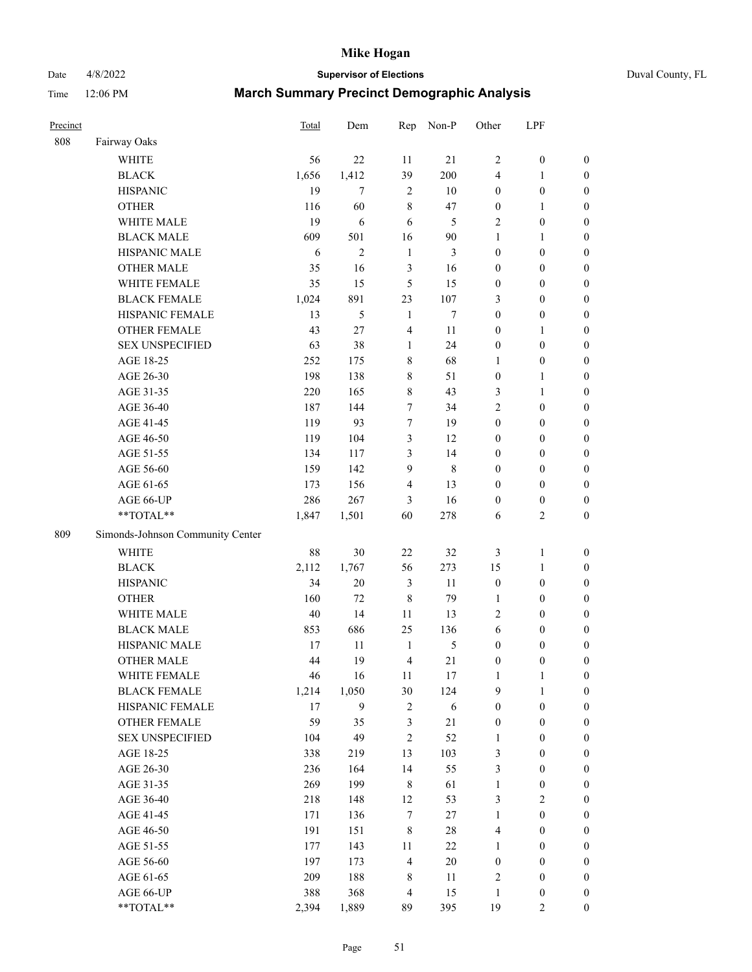Date 4/8/2022 **Supervisor of Elections** Duval County, FL

| Precinct |                                  | Total | Dem            | Rep            | Non-P       | Other            | LPF              |                  |
|----------|----------------------------------|-------|----------------|----------------|-------------|------------------|------------------|------------------|
| 808      | Fairway Oaks                     |       |                |                |             |                  |                  |                  |
|          | <b>WHITE</b>                     | 56    | 22             | 11             | 21          | $\overline{2}$   | $\boldsymbol{0}$ | 0                |
|          | <b>BLACK</b>                     | 1,656 | 1,412          | 39             | 200         | 4                | $\mathbf{1}$     | $\boldsymbol{0}$ |
|          | <b>HISPANIC</b>                  | 19    | 7              | $\overline{2}$ | 10          | $\boldsymbol{0}$ | $\boldsymbol{0}$ | $\boldsymbol{0}$ |
|          | <b>OTHER</b>                     | 116   | 60             | $\,8\,$        | 47          | $\boldsymbol{0}$ | $\mathbf{1}$     | $\boldsymbol{0}$ |
|          | WHITE MALE                       | 19    | 6              | 6              | 5           | $\overline{c}$   | $\boldsymbol{0}$ | $\boldsymbol{0}$ |
|          | <b>BLACK MALE</b>                | 609   | 501            | 16             | 90          | $\mathbf{1}$     | $\mathbf{1}$     | $\boldsymbol{0}$ |
|          | HISPANIC MALE                    | 6     | $\overline{2}$ | $\mathbf{1}$   | 3           | $\boldsymbol{0}$ | $\boldsymbol{0}$ | $\boldsymbol{0}$ |
|          | <b>OTHER MALE</b>                | 35    | 16             | 3              | 16          | $\boldsymbol{0}$ | $\boldsymbol{0}$ | $\boldsymbol{0}$ |
|          | WHITE FEMALE                     | 35    | 15             | 5              | 15          | $\boldsymbol{0}$ | $\boldsymbol{0}$ | $\boldsymbol{0}$ |
|          | <b>BLACK FEMALE</b>              | 1,024 | 891            | 23             | 107         | 3                | $\boldsymbol{0}$ | $\boldsymbol{0}$ |
|          | HISPANIC FEMALE                  | 13    | 5              | 1              | $\tau$      | $\boldsymbol{0}$ | $\boldsymbol{0}$ | $\boldsymbol{0}$ |
|          | <b>OTHER FEMALE</b>              | 43    | 27             | $\overline{4}$ | 11          | $\boldsymbol{0}$ | $\mathbf{1}$     | $\boldsymbol{0}$ |
|          | <b>SEX UNSPECIFIED</b>           | 63    | 38             | $\mathbf{1}$   | 24          | $\boldsymbol{0}$ | $\boldsymbol{0}$ | $\boldsymbol{0}$ |
|          | AGE 18-25                        | 252   | 175            | $\,$ 8 $\,$    | 68          | 1                | $\boldsymbol{0}$ | $\boldsymbol{0}$ |
|          | AGE 26-30                        | 198   | 138            | 8              | 51          | $\boldsymbol{0}$ | $\mathbf{1}$     | $\boldsymbol{0}$ |
|          | AGE 31-35                        | 220   | 165            | $\,8\,$        | 43          | 3                | $\mathbf{1}$     | $\boldsymbol{0}$ |
|          | AGE 36-40                        | 187   | 144            | $\tau$         | 34          | $\overline{c}$   | $\boldsymbol{0}$ | $\boldsymbol{0}$ |
|          | AGE 41-45                        | 119   | 93             | $\tau$         | 19          | $\boldsymbol{0}$ | $\boldsymbol{0}$ | $\boldsymbol{0}$ |
|          | AGE 46-50                        | 119   | 104            | $\mathfrak{Z}$ | 12          | $\boldsymbol{0}$ | $\boldsymbol{0}$ | $\boldsymbol{0}$ |
|          | AGE 51-55                        | 134   | 117            | 3              | 14          | $\boldsymbol{0}$ | $\boldsymbol{0}$ | $\boldsymbol{0}$ |
|          | AGE 56-60                        | 159   | 142            | 9              | $\,$ 8 $\,$ | $\boldsymbol{0}$ | $\boldsymbol{0}$ | 0                |
|          | AGE 61-65                        | 173   | 156            | $\overline{4}$ | 13          | $\boldsymbol{0}$ | $\boldsymbol{0}$ | 0                |
|          | AGE 66-UP                        | 286   | 267            | 3              | 16          | $\boldsymbol{0}$ | $\boldsymbol{0}$ | $\boldsymbol{0}$ |
|          | **TOTAL**                        | 1,847 | 1,501          | 60             | 278         | 6                | $\sqrt{2}$       | $\boldsymbol{0}$ |
| 809      | Simonds-Johnson Community Center |       |                |                |             |                  |                  |                  |
|          | <b>WHITE</b>                     | 88    | 30             | 22             | 32          | 3                | $\mathbf{1}$     | $\boldsymbol{0}$ |
|          | <b>BLACK</b>                     | 2,112 | 1,767          | 56             | 273         | 15               | $\mathbf{1}$     | $\boldsymbol{0}$ |
|          | <b>HISPANIC</b>                  | 34    | 20             | $\mathfrak{Z}$ | 11          | $\boldsymbol{0}$ | $\boldsymbol{0}$ | $\boldsymbol{0}$ |
|          | <b>OTHER</b>                     | 160   | 72             | $\,$ 8 $\,$    | 79          | $\mathbf{1}$     | $\boldsymbol{0}$ | $\boldsymbol{0}$ |
|          | WHITE MALE                       | 40    | 14             | 11             | 13          | $\mathbf{2}$     | $\boldsymbol{0}$ | $\boldsymbol{0}$ |
|          | <b>BLACK MALE</b>                | 853   | 686            | 25             | 136         | 6                | $\boldsymbol{0}$ | $\boldsymbol{0}$ |
|          | HISPANIC MALE                    | 17    | 11             | $\mathbf{1}$   | 5           | $\boldsymbol{0}$ | $\boldsymbol{0}$ | $\boldsymbol{0}$ |
|          | <b>OTHER MALE</b>                | 44    | 19             | $\overline{4}$ | 21          | $\boldsymbol{0}$ | $\boldsymbol{0}$ | $\boldsymbol{0}$ |
|          | WHITE FEMALE                     | 46    | 16             | 11             | 17          | 1                | 1                | 0                |
|          | <b>BLACK FEMALE</b>              | 1,214 | 1,050          | 30             | 124         | 9                | $\mathbf{1}$     | $\boldsymbol{0}$ |
|          | HISPANIC FEMALE                  | 17    | 9              | $\sqrt{2}$     | $\sqrt{6}$  | $\boldsymbol{0}$ | $\boldsymbol{0}$ | $\overline{0}$   |
|          | OTHER FEMALE                     | 59    | 35             | $\mathfrak{Z}$ | 21          | $\boldsymbol{0}$ | $\boldsymbol{0}$ | $\overline{0}$   |
|          | <b>SEX UNSPECIFIED</b>           | 104   | 49             | $\mathfrak{2}$ | 52          | $\mathbf{1}$     | $\boldsymbol{0}$ | $\overline{0}$   |
|          | AGE 18-25                        | 338   | 219            | 13             | 103         | 3                | $\boldsymbol{0}$ | $\overline{0}$   |
|          | AGE 26-30                        | 236   | 164            | 14             | 55          | 3                | $\boldsymbol{0}$ | $\overline{0}$   |
|          | AGE 31-35                        | 269   | 199            | $\,$ 8 $\,$    | 61          | $\mathbf{1}$     | $\boldsymbol{0}$ | 0                |
|          | AGE 36-40                        | 218   | 148            | 12             | 53          | 3                | $\sqrt{2}$       | 0                |
|          | AGE 41-45                        | 171   | 136            | 7              | 27          | $\mathbf{1}$     | $\boldsymbol{0}$ | 0                |
|          | AGE 46-50                        | 191   | 151            | $\,$ 8 $\,$    | $28\,$      | 4                | $\boldsymbol{0}$ | 0                |
|          | AGE 51-55                        | 177   | 143            | 11             | 22          | $\mathbf{1}$     | $\boldsymbol{0}$ | $\boldsymbol{0}$ |
|          | AGE 56-60                        | 197   | 173            | $\overline{4}$ | $20\,$      | $\boldsymbol{0}$ | $\boldsymbol{0}$ | $\boldsymbol{0}$ |
|          | AGE 61-65                        | 209   | 188            | 8              | 11          | 2                | $\boldsymbol{0}$ | $\boldsymbol{0}$ |
|          | AGE 66-UP                        | 388   | 368            | $\overline{4}$ | 15          | $\mathbf{1}$     | $\boldsymbol{0}$ | $\boldsymbol{0}$ |
|          | **TOTAL**                        | 2,394 | 1,889          | 89             | 395         | 19               | $\overline{2}$   | $\boldsymbol{0}$ |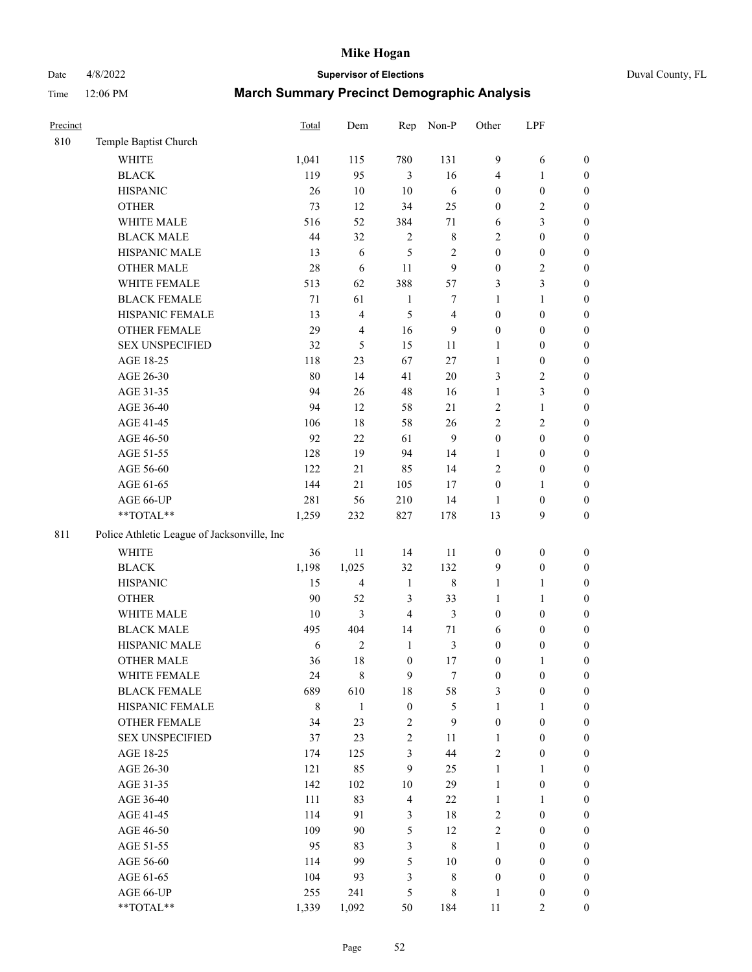Date 4/8/2022 **Supervisor of Elections** Duval County, FL

| Precinct |                                             | Total  | Dem            | Rep                     | Non-P            | Other            | LPF              |                  |
|----------|---------------------------------------------|--------|----------------|-------------------------|------------------|------------------|------------------|------------------|
| 810      | Temple Baptist Church                       |        |                |                         |                  |                  |                  |                  |
|          | <b>WHITE</b>                                | 1,041  | 115            | 780                     | 131              | $\boldsymbol{9}$ | 6                | 0                |
|          | <b>BLACK</b>                                | 119    | 95             | 3                       | 16               | 4                | 1                | $\boldsymbol{0}$ |
|          | <b>HISPANIC</b>                             | 26     | 10             | 10                      | 6                | 0                | $\boldsymbol{0}$ | $\boldsymbol{0}$ |
|          | <b>OTHER</b>                                | 73     | 12             | 34                      | 25               | $\boldsymbol{0}$ | $\sqrt{2}$       | $\boldsymbol{0}$ |
|          | WHITE MALE                                  | 516    | 52             | 384                     | $71\,$           | 6                | 3                | $\boldsymbol{0}$ |
|          | <b>BLACK MALE</b>                           | 44     | 32             | $\mathbf{2}$            | $\,$ 8 $\,$      | 2                | $\boldsymbol{0}$ | $\boldsymbol{0}$ |
|          | HISPANIC MALE                               | 13     | 6              | 5                       | 2                | $\boldsymbol{0}$ | $\boldsymbol{0}$ | $\boldsymbol{0}$ |
|          | <b>OTHER MALE</b>                           | 28     | 6              | 11                      | $\boldsymbol{9}$ | $\boldsymbol{0}$ | $\mathfrak{2}$   | $\boldsymbol{0}$ |
|          | WHITE FEMALE                                | 513    | 62             | 388                     | 57               | 3                | 3                | $\boldsymbol{0}$ |
|          | <b>BLACK FEMALE</b>                         | 71     | 61             | $\mathbf{1}$            | 7                | $\mathbf{1}$     | $\mathbf{1}$     | $\boldsymbol{0}$ |
|          | HISPANIC FEMALE                             | 13     | $\overline{4}$ | 5                       | $\overline{4}$   | $\boldsymbol{0}$ | $\boldsymbol{0}$ | $\boldsymbol{0}$ |
|          | OTHER FEMALE                                | 29     | $\overline{4}$ | 16                      | 9                | 0                | $\boldsymbol{0}$ | $\boldsymbol{0}$ |
|          | <b>SEX UNSPECIFIED</b>                      | 32     | 5              | 15                      | $11\,$           | $\mathbf{1}$     | $\boldsymbol{0}$ | $\boldsymbol{0}$ |
|          | AGE 18-25                                   | 118    | 23             | 67                      | $27\,$           | $\mathbf{1}$     | $\boldsymbol{0}$ | $\boldsymbol{0}$ |
|          | AGE 26-30                                   | 80     | 14             | 41                      | 20               | 3                | $\sqrt{2}$       | $\boldsymbol{0}$ |
|          | AGE 31-35                                   | 94     | 26             | 48                      | 16               | $\mathbf{1}$     | 3                | $\boldsymbol{0}$ |
|          | AGE 36-40                                   | 94     | 12             | 58                      | 21               | 2                | $\mathbf{1}$     | $\boldsymbol{0}$ |
|          | AGE 41-45                                   | 106    | $18\,$         | 58                      | 26               | $\overline{c}$   | $\mathfrak{2}$   | $\boldsymbol{0}$ |
|          | AGE 46-50                                   | 92     | 22             | 61                      | $\mathbf{9}$     | $\boldsymbol{0}$ | $\boldsymbol{0}$ | $\boldsymbol{0}$ |
|          | AGE 51-55                                   | 128    | 19             | 94                      | 14               | 1                | $\boldsymbol{0}$ | $\boldsymbol{0}$ |
|          | AGE 56-60                                   | 122    | 21             | 85                      | 14               | $\overline{c}$   | $\boldsymbol{0}$ | 0                |
|          | AGE 61-65                                   | 144    | 21             | 105                     | 17               | $\boldsymbol{0}$ | 1                | 0                |
|          | AGE 66-UP                                   | 281    | 56             | 210                     | 14               | 1                | $\boldsymbol{0}$ | $\boldsymbol{0}$ |
|          | $**TOTAL**$                                 | 1,259  | 232            | 827                     | 178              | 13               | 9                | $\boldsymbol{0}$ |
| 811      | Police Athletic League of Jacksonville, Inc |        |                |                         |                  |                  |                  |                  |
|          | WHITE                                       | 36     | $11\,$         | 14                      | 11               | $\boldsymbol{0}$ | $\boldsymbol{0}$ | $\boldsymbol{0}$ |
|          | <b>BLACK</b>                                | 1,198  | 1,025          | 32                      | 132              | 9                | $\boldsymbol{0}$ | $\boldsymbol{0}$ |
|          | <b>HISPANIC</b>                             | 15     | $\overline{4}$ | $\mathbf{1}$            | $\,$ 8 $\,$      | $\mathbf{1}$     | $\mathbf{1}$     | $\boldsymbol{0}$ |
|          | <b>OTHER</b>                                | 90     | 52             | 3                       | 33               | $\mathbf{1}$     | $\mathbf{1}$     | $\boldsymbol{0}$ |
|          | WHITE MALE                                  | $10\,$ | 3              | $\overline{4}$          | 3                | $\boldsymbol{0}$ | $\boldsymbol{0}$ | $\boldsymbol{0}$ |
|          | <b>BLACK MALE</b>                           | 495    | 404            | 14                      | $71\,$           | 6                | $\boldsymbol{0}$ | $\boldsymbol{0}$ |
|          | HISPANIC MALE                               | 6      | $\sqrt{2}$     | $\mathbf{1}$            | $\mathfrak{Z}$   | $\boldsymbol{0}$ | $\boldsymbol{0}$ | 0                |
|          | <b>OTHER MALE</b>                           | 36     | 18             | $\boldsymbol{0}$        | 17               | 0                | 1                | $\boldsymbol{0}$ |
|          | WHITE FEMALE                                | 24     | 8              | 9                       | 7                | 0                | 0                | 0                |
|          | <b>BLACK FEMALE</b>                         | 689    | 610            | 18                      | 58               | 3                | $\boldsymbol{0}$ | $\overline{0}$   |
|          | HISPANIC FEMALE                             | 8      | $\mathbf{1}$   | $\boldsymbol{0}$        | $\mathfrak s$    | 1                | $\mathbf{1}$     | $\overline{0}$   |
|          | OTHER FEMALE                                | 34     | 23             | $\overline{\mathbf{c}}$ | $\boldsymbol{9}$ | $\boldsymbol{0}$ | $\boldsymbol{0}$ | $\overline{0}$   |
|          | <b>SEX UNSPECIFIED</b>                      | 37     | 23             | 2                       | 11               | $\mathbf{1}$     | $\boldsymbol{0}$ | $\overline{0}$   |
|          | AGE 18-25                                   | 174    | 125            | 3                       | 44               | $\overline{c}$   | $\boldsymbol{0}$ | $\overline{0}$   |
|          | AGE 26-30                                   | 121    | 85             | 9                       | 25               | $\mathbf{1}$     | $\mathbf{1}$     | $\overline{0}$   |
|          | AGE 31-35                                   | 142    | 102            | $10\,$                  | 29               | $\mathbf{1}$     | $\boldsymbol{0}$ | 0                |
|          | AGE 36-40                                   | 111    | 83             | $\overline{\mathbf{4}}$ | $22\,$           | 1                | $\mathbf{1}$     | 0                |
|          | AGE 41-45                                   | 114    | 91             | $\mathfrak{Z}$          | 18               | 2                | $\boldsymbol{0}$ | 0                |
|          | AGE 46-50                                   | 109    | 90             | 5                       | 12               | 2                | $\boldsymbol{0}$ | $\boldsymbol{0}$ |
|          | AGE 51-55                                   | 95     | 83             | 3                       | $\,$ 8 $\,$      | $\mathbf{1}$     | $\boldsymbol{0}$ | $\boldsymbol{0}$ |
|          | AGE 56-60                                   | 114    | 99             | 5                       | 10               | $\boldsymbol{0}$ | $\boldsymbol{0}$ | $\boldsymbol{0}$ |
|          | AGE 61-65                                   | 104    | 93             | 3                       | $\,$ 8 $\,$      | $\boldsymbol{0}$ | $\boldsymbol{0}$ | $\boldsymbol{0}$ |
|          | AGE 66-UP                                   | 255    | 241            | 5                       | 8                | $\mathbf{1}$     | $\boldsymbol{0}$ | $\boldsymbol{0}$ |
|          | **TOTAL**                                   | 1,339  | 1,092          | 50                      | 184              | 11               | $\mathfrak{2}$   | $\boldsymbol{0}$ |
|          |                                             |        |                |                         |                  |                  |                  |                  |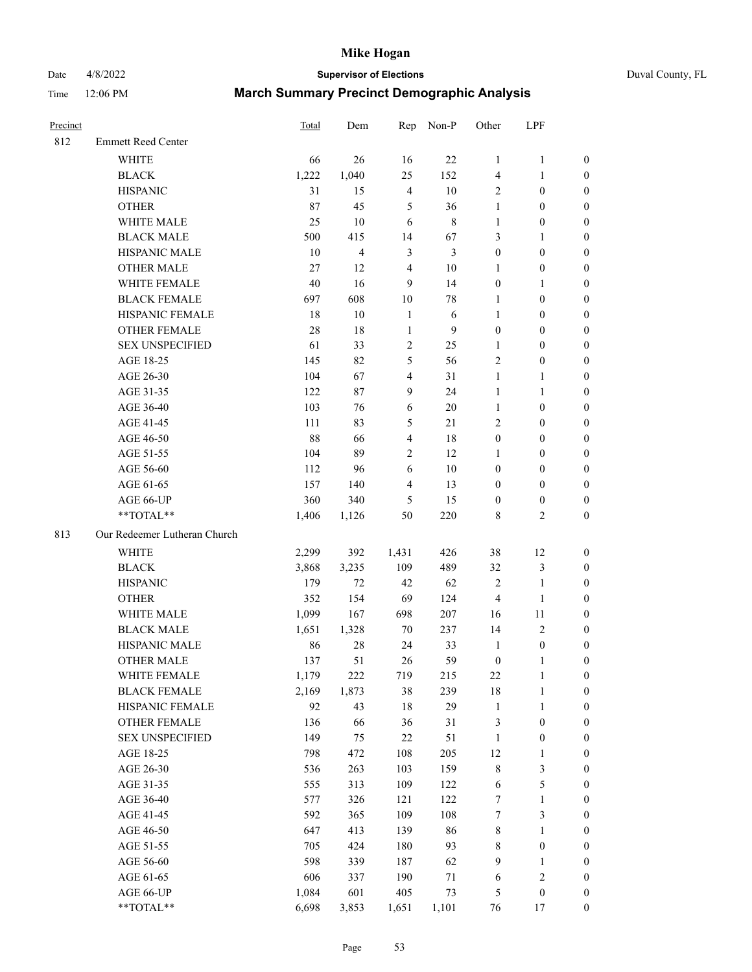# Date 4/8/2022 **Supervisor of Elections** Duval County, FL

| Precinct |                              | Total  | Dem            |                         | Rep Non-P      | Other            | LPF              |                  |
|----------|------------------------------|--------|----------------|-------------------------|----------------|------------------|------------------|------------------|
| 812      | <b>Emmett Reed Center</b>    |        |                |                         |                |                  |                  |                  |
|          | <b>WHITE</b>                 | 66     | 26             | 16                      | 22             | $\mathbf{1}$     | $\mathbf{1}$     | 0                |
|          | <b>BLACK</b>                 | 1,222  | 1,040          | 25                      | 152            | 4                | $\mathbf{1}$     | 0                |
|          | <b>HISPANIC</b>              | 31     | 15             | $\overline{4}$          | 10             | $\overline{2}$   | $\boldsymbol{0}$ | $\boldsymbol{0}$ |
|          | <b>OTHER</b>                 | 87     | 45             | 5                       | 36             | $\mathbf{1}$     | $\boldsymbol{0}$ | $\boldsymbol{0}$ |
|          | WHITE MALE                   | 25     | 10             | 6                       | $8\,$          | $\mathbf{1}$     | $\boldsymbol{0}$ | $\boldsymbol{0}$ |
|          | <b>BLACK MALE</b>            | 500    | 415            | 14                      | 67             | 3                | 1                | $\boldsymbol{0}$ |
|          | HISPANIC MALE                | 10     | $\overline{4}$ | 3                       | $\mathfrak{Z}$ | $\boldsymbol{0}$ | $\boldsymbol{0}$ | $\boldsymbol{0}$ |
|          | <b>OTHER MALE</b>            | 27     | 12             | $\overline{4}$          | $10\,$         | $\mathbf{1}$     | $\boldsymbol{0}$ | $\boldsymbol{0}$ |
|          | WHITE FEMALE                 | $40\,$ | 16             | $\mathbf{9}$            | 14             | $\boldsymbol{0}$ | 1                | $\boldsymbol{0}$ |
|          | <b>BLACK FEMALE</b>          | 697    | 608            | $10\,$                  | $78\,$         | 1                | $\boldsymbol{0}$ | 0                |
|          | HISPANIC FEMALE              | 18     | 10             | $\mathbf{1}$            | 6              | $\mathbf{1}$     | $\boldsymbol{0}$ | 0                |
|          | <b>OTHER FEMALE</b>          | 28     | 18             | $\mathbf{1}$            | 9              | $\boldsymbol{0}$ | $\boldsymbol{0}$ | $\boldsymbol{0}$ |
|          | <b>SEX UNSPECIFIED</b>       | 61     | 33             | $\sqrt{2}$              | 25             | $\mathbf{1}$     | $\boldsymbol{0}$ | $\boldsymbol{0}$ |
|          | AGE 18-25                    | 145    | 82             | 5                       | 56             | 2                | $\boldsymbol{0}$ | $\boldsymbol{0}$ |
|          | AGE 26-30                    | 104    | 67             | 4                       | 31             | $\mathbf{1}$     | $\mathbf{1}$     | $\boldsymbol{0}$ |
|          | AGE 31-35                    | 122    | $87\,$         | $\mathbf{9}$            | 24             | $\mathbf{1}$     | $\mathbf{1}$     | $\boldsymbol{0}$ |
|          | AGE 36-40                    | 103    | 76             | 6                       | $20\,$         | $\mathbf{1}$     | $\boldsymbol{0}$ | $\boldsymbol{0}$ |
|          | AGE 41-45                    | 111    | 83             | 5                       | 21             | 2                | $\boldsymbol{0}$ | $\boldsymbol{0}$ |
|          | AGE 46-50                    | 88     | 66             | $\overline{\mathbf{4}}$ | 18             | $\boldsymbol{0}$ | $\boldsymbol{0}$ | $\boldsymbol{0}$ |
|          | AGE 51-55                    | 104    | 89             | $\sqrt{2}$              | 12             | 1                | $\boldsymbol{0}$ | $\boldsymbol{0}$ |
|          | AGE 56-60                    | 112    | 96             | 6                       | 10             | $\boldsymbol{0}$ | $\boldsymbol{0}$ | 0                |
|          | AGE 61-65                    | 157    | 140            | $\overline{4}$          | 13             | $\boldsymbol{0}$ | $\boldsymbol{0}$ | 0                |
|          | AGE 66-UP                    | 360    | 340            | 5                       | 15             | $\boldsymbol{0}$ | $\boldsymbol{0}$ | $\boldsymbol{0}$ |
|          | **TOTAL**                    | 1,406  | 1,126          | 50                      | 220            | 8                | $\mathbf{2}$     | $\boldsymbol{0}$ |
| 813      | Our Redeemer Lutheran Church |        |                |                         |                |                  |                  |                  |
|          | <b>WHITE</b>                 | 2,299  | 392            | 1,431                   | 426            | 38               | 12               | $\boldsymbol{0}$ |
|          | <b>BLACK</b>                 | 3,868  | 3,235          | 109                     | 489            | 32               | $\mathfrak{Z}$   | $\boldsymbol{0}$ |
|          | <b>HISPANIC</b>              | 179    | 72             | 42                      | 62             | 2                | $\mathbf{1}$     | $\boldsymbol{0}$ |
|          | <b>OTHER</b>                 | 352    | 154            | 69                      | 124            | 4                | $\mathbf{1}$     | $\boldsymbol{0}$ |
|          | WHITE MALE                   | 1,099  | 167            | 698                     | 207            | 16               | $11\,$           | $\boldsymbol{0}$ |
|          | <b>BLACK MALE</b>            | 1,651  | 1,328          | 70                      | 237            | 14               | $\mathfrak{2}$   | $\boldsymbol{0}$ |
|          | HISPANIC MALE                | 86     | $28\,$         | 24                      | 33             | $\mathbf{1}$     | $\boldsymbol{0}$ | 0                |
|          | <b>OTHER MALE</b>            | 137    | 51             | 26                      | 59             | $\boldsymbol{0}$ | $\mathbf{1}$     | 0                |
|          | WHITE FEMALE                 | 1,179  | 222            | 719                     | 215            | 22               | 1                | 0                |
|          | <b>BLACK FEMALE</b>          | 2,169  | 1,873          | 38                      | 239            | 18               | $\mathbf{1}$     | 0                |
|          | HISPANIC FEMALE              | 92     | 43             | 18                      | 29             | $\mathbf{1}$     | $\mathbf{1}$     | 0                |
|          | <b>OTHER FEMALE</b>          | 136    | 66             | 36                      | 31             | 3                | $\boldsymbol{0}$ | 0                |
|          | <b>SEX UNSPECIFIED</b>       | 149    | 75             | 22                      | 51             | $\mathbf{1}$     | $\boldsymbol{0}$ | 0                |
|          | AGE 18-25                    | 798    | 472            | 108                     | 205            | 12               | $\mathbf{1}$     | 0                |
|          | AGE 26-30                    | 536    | 263            | 103                     | 159            | 8                | 3                | 0                |
|          | AGE 31-35                    | 555    | 313            | 109                     | 122            | 6                | 5                | 0                |
|          | AGE 36-40                    | 577    | 326            | 121                     | 122            | 7                | $\mathbf{1}$     | 0                |
|          | AGE 41-45                    | 592    | 365            | 109                     | 108            | 7                | $\mathfrak{Z}$   | 0                |
|          | AGE 46-50                    | 647    | 413            | 139                     | 86             | 8                | $\mathbf{1}$     | 0                |
|          | AGE 51-55                    | 705    | 424            | 180                     | 93             | 8                | $\boldsymbol{0}$ | 0                |
|          | AGE 56-60                    | 598    | 339            | 187                     | 62             | 9                | 1                | 0                |
|          | AGE 61-65                    | 606    | 337            | 190                     | 71             | 6                | $\sqrt{2}$       | 0                |
|          | AGE 66-UP                    | 1,084  | 601            | 405                     | 73             | 5                | $\boldsymbol{0}$ | 0                |
|          | **TOTAL**                    | 6,698  | 3,853          | 1,651                   | 1,101          | 76               | 17               | $\boldsymbol{0}$ |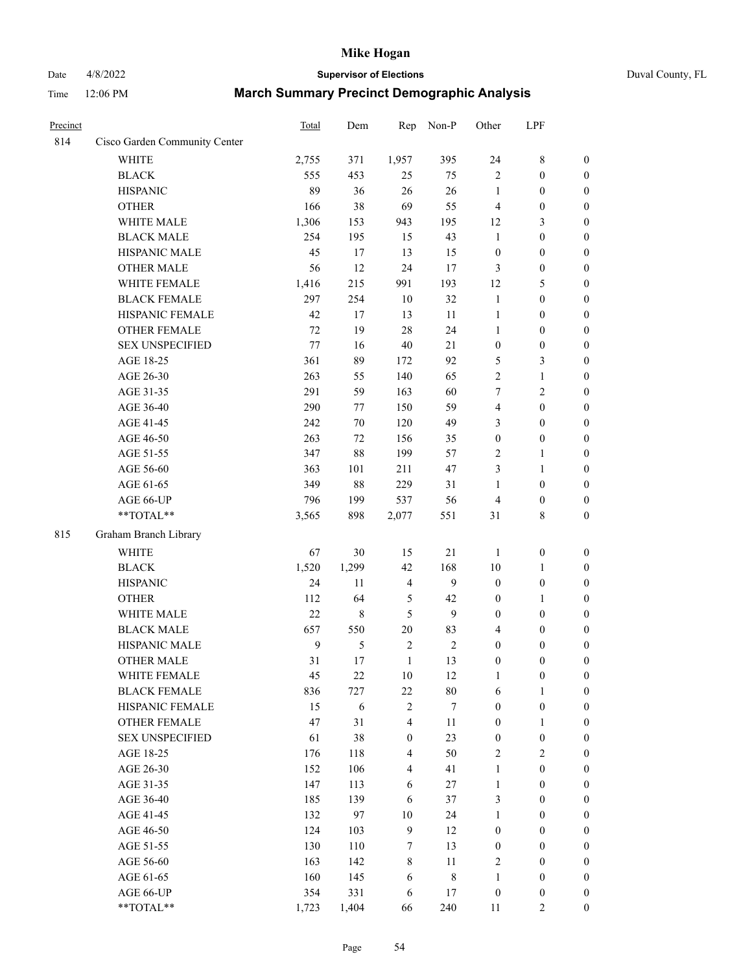# Date 4/8/2022 **Supervisor of Elections** Duval County, FL

| Precinct |                               | Total          | Dem     | Rep              | Non-P          | Other            | LPF              |                  |
|----------|-------------------------------|----------------|---------|------------------|----------------|------------------|------------------|------------------|
| 814      | Cisco Garden Community Center |                |         |                  |                |                  |                  |                  |
|          | <b>WHITE</b>                  | 2,755          | 371     | 1,957            | 395            | 24               | $8\,$            | $\boldsymbol{0}$ |
|          | <b>BLACK</b>                  | 555            | 453     | 25               | 75             | $\overline{2}$   | $\boldsymbol{0}$ | $\boldsymbol{0}$ |
|          | <b>HISPANIC</b>               | 89             | 36      | 26               | 26             | $\mathbf{1}$     | $\boldsymbol{0}$ | $\boldsymbol{0}$ |
|          | <b>OTHER</b>                  | 166            | 38      | 69               | 55             | 4                | $\boldsymbol{0}$ | $\boldsymbol{0}$ |
|          | WHITE MALE                    | 1,306          | 153     | 943              | 195            | 12               | $\mathfrak{Z}$   | $\boldsymbol{0}$ |
|          | <b>BLACK MALE</b>             | 254            | 195     | 15               | 43             | $\mathbf{1}$     | $\boldsymbol{0}$ | $\boldsymbol{0}$ |
|          | HISPANIC MALE                 | 45             | 17      | 13               | 15             | $\boldsymbol{0}$ | $\boldsymbol{0}$ | $\boldsymbol{0}$ |
|          | <b>OTHER MALE</b>             | 56             | 12      | 24               | 17             | 3                | $\boldsymbol{0}$ | $\boldsymbol{0}$ |
|          | WHITE FEMALE                  | 1,416          | 215     | 991              | 193            | 12               | 5                | $\boldsymbol{0}$ |
|          | <b>BLACK FEMALE</b>           | 297            | 254     | 10               | 32             | $\mathbf{1}$     | $\boldsymbol{0}$ | 0                |
|          | HISPANIC FEMALE               | 42             | 17      | 13               | 11             | $\mathbf{1}$     | $\boldsymbol{0}$ | $\boldsymbol{0}$ |
|          | OTHER FEMALE                  | 72             | 19      | 28               | 24             | $\mathbf{1}$     | $\boldsymbol{0}$ | $\boldsymbol{0}$ |
|          | <b>SEX UNSPECIFIED</b>        | 77             | 16      | 40               | 21             | $\boldsymbol{0}$ | $\boldsymbol{0}$ | $\boldsymbol{0}$ |
|          | AGE 18-25                     | 361            | 89      | 172              | 92             | 5                | $\mathfrak{Z}$   | $\boldsymbol{0}$ |
|          | AGE 26-30                     | 263            | 55      | 140              | 65             | $\overline{c}$   | $\mathbf{1}$     | $\boldsymbol{0}$ |
|          | AGE 31-35                     | 291            | 59      | 163              | 60             | 7                | $\sqrt{2}$       | $\boldsymbol{0}$ |
|          | AGE 36-40                     | 290            | 77      | 150              | 59             | $\overline{4}$   | $\boldsymbol{0}$ | $\boldsymbol{0}$ |
|          | AGE 41-45                     | 242            | 70      | 120              | 49             | 3                | $\boldsymbol{0}$ | $\boldsymbol{0}$ |
|          | AGE 46-50                     | 263            | 72      | 156              | 35             | $\boldsymbol{0}$ | $\boldsymbol{0}$ | $\boldsymbol{0}$ |
|          | AGE 51-55                     | 347            | 88      | 199              | 57             | 2                | $\mathbf{1}$     | 0                |
|          | AGE 56-60                     | 363            | 101     | 211              | 47             | 3                | $\mathbf{1}$     | $\boldsymbol{0}$ |
|          | AGE 61-65                     | 349            | 88      | 229              | 31             | 1                | $\boldsymbol{0}$ | $\boldsymbol{0}$ |
|          | AGE 66-UP                     | 796            | 199     | 537              | 56             | 4                | $\boldsymbol{0}$ | $\boldsymbol{0}$ |
|          | **TOTAL**                     | 3,565          | 898     | 2,077            | 551            | 31               | $8\,$            | $\boldsymbol{0}$ |
| 815      | Graham Branch Library         |                |         |                  |                |                  |                  |                  |
|          | <b>WHITE</b>                  | 67             | 30      | 15               | $21\,$         | $\mathbf{1}$     | $\boldsymbol{0}$ | $\boldsymbol{0}$ |
|          | <b>BLACK</b>                  | 1,520          | 1,299   | 42               | 168            | 10               | $\mathbf{1}$     | $\boldsymbol{0}$ |
|          | <b>HISPANIC</b>               | 24             | 11      | $\overline{4}$   | 9              | $\boldsymbol{0}$ | $\boldsymbol{0}$ | $\boldsymbol{0}$ |
|          | <b>OTHER</b>                  | 112            | 64      | $\mathfrak{S}$   | 42             | $\boldsymbol{0}$ | $\mathbf{1}$     | $\boldsymbol{0}$ |
|          | WHITE MALE                    | 22             | $\,8\,$ | 5                | $\overline{9}$ | $\boldsymbol{0}$ | $\boldsymbol{0}$ | $\boldsymbol{0}$ |
|          | <b>BLACK MALE</b>             | 657            | 550     | $20\,$           | 83             | 4                | $\boldsymbol{0}$ | $\boldsymbol{0}$ |
|          | HISPANIC MALE                 | $\overline{9}$ | 5       | $\sqrt{2}$       | $\sqrt{2}$     | $\boldsymbol{0}$ | $\boldsymbol{0}$ | 0                |
|          | OTHER MALE                    | 31             | 17      | $\mathbf{1}$     | 13             | $\boldsymbol{0}$ | $\boldsymbol{0}$ | $\boldsymbol{0}$ |
|          | WHITE FEMALE                  | 45             | 22      | $10\,$           | 12             | $\mathbf{1}$     | $\boldsymbol{0}$ | $\boldsymbol{0}$ |
|          | <b>BLACK FEMALE</b>           | 836            | 727     | 22               | $80\,$         | 6                | $\mathbf{1}$     | $\overline{0}$   |
|          | HISPANIC FEMALE               | 15             | 6       | $\sqrt{2}$       | 7              | $\boldsymbol{0}$ | $\boldsymbol{0}$ | $\overline{0}$   |
|          | <b>OTHER FEMALE</b>           | 47             | 31      | $\overline{4}$   | 11             | $\boldsymbol{0}$ | $\mathbf{1}$     | $\overline{0}$   |
|          | <b>SEX UNSPECIFIED</b>        | 61             | 38      | $\boldsymbol{0}$ | 23             | $\boldsymbol{0}$ | $\boldsymbol{0}$ | $\overline{0}$   |
|          | AGE 18-25                     | 176            | 118     | $\overline{4}$   | 50             | 2                | $\overline{2}$   | $\overline{0}$   |
|          | AGE 26-30                     | 152            | 106     | $\overline{4}$   | 41             | $\mathbf{1}$     | $\boldsymbol{0}$ | 0                |
|          | AGE 31-35                     | 147            | 113     | 6                | $27\,$         | $\mathbf{1}$     | $\boldsymbol{0}$ | 0                |
|          | AGE 36-40                     | 185            | 139     | 6                | 37             | 3                | $\boldsymbol{0}$ | 0                |
|          | AGE 41-45                     | 132            | 97      | 10               | 24             | $\mathbf{1}$     | $\boldsymbol{0}$ | 0                |
|          | AGE 46-50                     | 124            | 103     | $\overline{9}$   | 12             | $\boldsymbol{0}$ | $\boldsymbol{0}$ | $\boldsymbol{0}$ |
|          | AGE 51-55                     | 130            | 110     | $\boldsymbol{7}$ | 13             | $\boldsymbol{0}$ | $\boldsymbol{0}$ | $\boldsymbol{0}$ |
|          | AGE 56-60                     | 163            | 142     | 8                | 11             | 2                | $\boldsymbol{0}$ | $\boldsymbol{0}$ |
|          | AGE 61-65                     | 160            | 145     | 6                | $\,$ $\,$      | $\mathbf{1}$     | $\boldsymbol{0}$ | $\boldsymbol{0}$ |
|          | AGE 66-UP                     | 354            | 331     | 6                | 17             | $\boldsymbol{0}$ | $\boldsymbol{0}$ | $\boldsymbol{0}$ |
|          | **TOTAL**                     | 1,723          | 1,404   | 66               | 240            | 11               | $\overline{2}$   | $\boldsymbol{0}$ |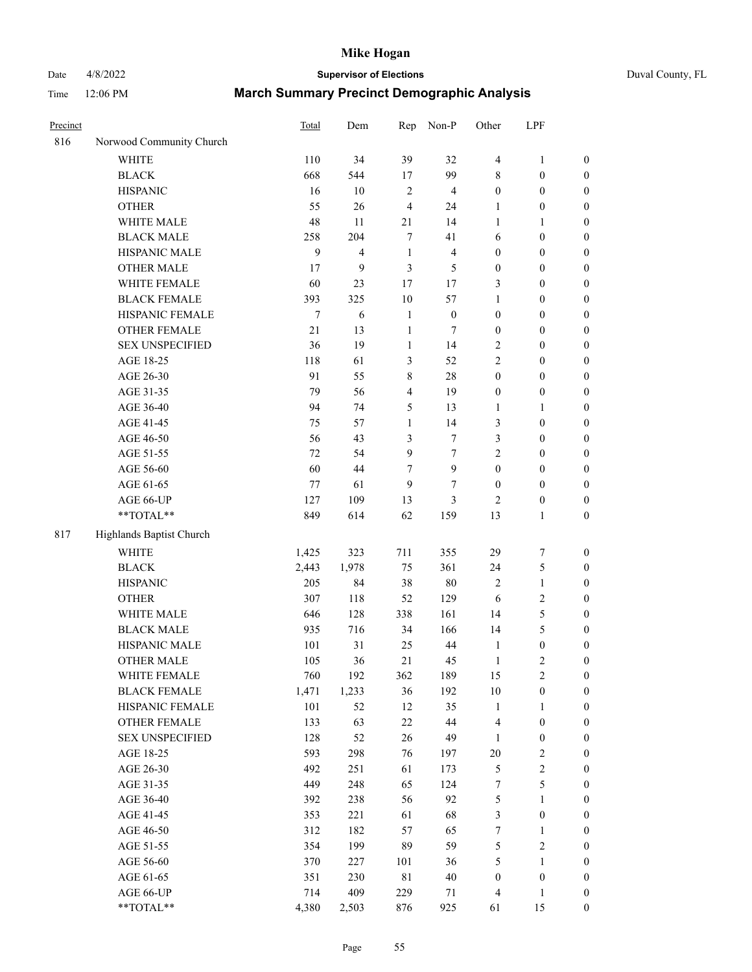# Date 4/8/2022 **Supervisor of Elections** Duval County, FL

| Precinct |                          | <b>Total</b> | Dem            | Rep            | Non-P                   | Other            | LPF              |                  |
|----------|--------------------------|--------------|----------------|----------------|-------------------------|------------------|------------------|------------------|
| 816      | Norwood Community Church |              |                |                |                         |                  |                  |                  |
|          | <b>WHITE</b>             | 110          | 34             | 39             | 32                      | $\overline{4}$   | $\mathbf{1}$     | 0                |
|          | <b>BLACK</b>             | 668          | 544            | 17             | 99                      | 8                | $\boldsymbol{0}$ | $\boldsymbol{0}$ |
|          | <b>HISPANIC</b>          | 16           | 10             | $\sqrt{2}$     | $\overline{4}$          | $\boldsymbol{0}$ | $\boldsymbol{0}$ | $\boldsymbol{0}$ |
|          | <b>OTHER</b>             | 55           | 26             | $\overline{4}$ | 24                      | 1                | $\boldsymbol{0}$ | $\boldsymbol{0}$ |
|          | WHITE MALE               | 48           | 11             | 21             | 14                      | $\mathbf{1}$     | 1                | $\boldsymbol{0}$ |
|          | <b>BLACK MALE</b>        | 258          | 204            | 7              | 41                      | 6                | $\boldsymbol{0}$ | $\boldsymbol{0}$ |
|          | HISPANIC MALE            | 9            | $\overline{4}$ | $\mathbf{1}$   | $\overline{\mathbf{4}}$ | $\boldsymbol{0}$ | $\boldsymbol{0}$ | $\boldsymbol{0}$ |
|          | OTHER MALE               | 17           | 9              | 3              | 5                       | $\boldsymbol{0}$ | $\boldsymbol{0}$ | $\boldsymbol{0}$ |
|          | WHITE FEMALE             | 60           | 23             | 17             | 17                      | 3                | $\boldsymbol{0}$ | $\boldsymbol{0}$ |
|          | <b>BLACK FEMALE</b>      | 393          | 325            | 10             | 57                      | $\mathbf{1}$     | $\boldsymbol{0}$ | $\boldsymbol{0}$ |
|          | HISPANIC FEMALE          | $\tau$       | 6              | $\mathbf{1}$   | $\boldsymbol{0}$        | $\boldsymbol{0}$ | $\boldsymbol{0}$ | $\boldsymbol{0}$ |
|          | <b>OTHER FEMALE</b>      | 21           | 13             | $\mathbf{1}$   | $\tau$                  | $\boldsymbol{0}$ | $\boldsymbol{0}$ | $\boldsymbol{0}$ |
|          | <b>SEX UNSPECIFIED</b>   | 36           | 19             | $\mathbf{1}$   | 14                      | 2                | $\boldsymbol{0}$ | $\boldsymbol{0}$ |
|          | AGE 18-25                | 118          | 61             | 3              | 52                      | 2                | $\boldsymbol{0}$ | $\boldsymbol{0}$ |
|          | AGE 26-30                | 91           | 55             | 8              | $28\,$                  | $\boldsymbol{0}$ | $\boldsymbol{0}$ | $\boldsymbol{0}$ |
|          | AGE 31-35                | 79           | 56             | $\overline{4}$ | 19                      | $\boldsymbol{0}$ | $\boldsymbol{0}$ | $\boldsymbol{0}$ |
|          | AGE 36-40                | 94           | 74             | 5              | 13                      | $\mathbf{1}$     | $\mathbf{1}$     | $\boldsymbol{0}$ |
|          | AGE 41-45                | 75           | 57             | $\mathbf{1}$   | 14                      | 3                | $\boldsymbol{0}$ | $\boldsymbol{0}$ |
|          | AGE 46-50                | 56           | 43             | 3              | $\tau$                  | 3                | $\boldsymbol{0}$ | $\boldsymbol{0}$ |
|          | AGE 51-55                | 72           | 54             | $\overline{9}$ | $\tau$                  | 2                | $\boldsymbol{0}$ | $\boldsymbol{0}$ |
|          | AGE 56-60                | 60           | 44             | 7              | $\boldsymbol{9}$        | $\boldsymbol{0}$ | $\boldsymbol{0}$ | 0                |
|          | AGE 61-65                | $77 \,$      | 61             | 9              | 7                       | $\boldsymbol{0}$ | $\boldsymbol{0}$ | $\boldsymbol{0}$ |
|          | AGE 66-UP                | 127          | 109            | 13             | 3                       | $\overline{2}$   | $\boldsymbol{0}$ | $\boldsymbol{0}$ |
|          | **TOTAL**                | 849          | 614            | 62             | 159                     | 13               | $\mathbf{1}$     | $\boldsymbol{0}$ |
|          |                          |              |                |                |                         |                  |                  |                  |
| 817      | Highlands Baptist Church |              |                |                |                         |                  |                  |                  |
|          | <b>WHITE</b>             | 1,425        | 323            | 711            | 355                     | 29               | $\boldsymbol{7}$ | $\boldsymbol{0}$ |
|          | <b>BLACK</b>             | 2,443        | 1,978          | 75             | 361                     | 24               | $\mathfrak{S}$   | $\boldsymbol{0}$ |
|          | <b>HISPANIC</b>          | 205          | 84             | 38             | $80\,$                  | 2                | $\mathbf{1}$     | $\boldsymbol{0}$ |
|          | <b>OTHER</b>             | 307          | 118            | 52             | 129                     | 6                | $\sqrt{2}$       | $\boldsymbol{0}$ |
|          | WHITE MALE               | 646          | 128            | 338            | 161                     | 14               | 5                | $\boldsymbol{0}$ |
|          | <b>BLACK MALE</b>        | 935          | 716            | 34             | 166                     | 14               | 5                | $\boldsymbol{0}$ |
|          | HISPANIC MALE            | 101          | 31             | 25             | $44\,$                  | $\mathbf{1}$     | $\boldsymbol{0}$ | 0                |
|          | OTHER MALE               | 105          | 36             | 21             | 45                      | $\mathbf{1}$     | $\mathfrak{2}$   | $\boldsymbol{0}$ |
|          | WHITE FEMALE             | 760          | 192            | 362            | 189                     | 15               | 2                | 0                |
|          | <b>BLACK FEMALE</b>      | 1,471        | 1,233          | 36             | 192                     | 10               | $\boldsymbol{0}$ | $\boldsymbol{0}$ |
|          | HISPANIC FEMALE          | 101          | 52             | 12             | 35                      | $\mathbf{1}$     | 1                | $\boldsymbol{0}$ |
|          | <b>OTHER FEMALE</b>      | 133          | 63             | 22             | $44\,$                  | 4                | $\boldsymbol{0}$ | $\overline{0}$   |
|          | <b>SEX UNSPECIFIED</b>   | 128          | 52             | 26             | 49                      | $\mathbf{1}$     | $\boldsymbol{0}$ | 0                |
|          | AGE 18-25                | 593          | 298            | 76             | 197                     | $20\,$           | $\sqrt{2}$       | 0                |
|          | AGE 26-30                | 492          | 251            | 61             | 173                     | 5                | $\sqrt{2}$       | 0                |
|          | AGE 31-35                | 449          | 248            | 65             | 124                     | 7                | $\mathfrak s$    | 0                |
|          | AGE 36-40                | 392          | 238            | 56             | 92                      | 5                | $\mathbf{1}$     | 0                |
|          | AGE 41-45                | 353          | 221            | 61             | 68                      | 3                | $\boldsymbol{0}$ | 0                |
|          | AGE 46-50                | 312          | 182            | 57             | 65                      | $\boldsymbol{7}$ | $\mathbf{1}$     | 0                |
|          | AGE 51-55                | 354          | 199            | 89             | 59                      | 5                | $\sqrt{2}$       | 0                |
|          | AGE 56-60                | 370          | 227            | 101            | 36                      | 5                | 1                | $\boldsymbol{0}$ |
|          | AGE 61-65                | 351          | 230            | 81             | $40\,$                  | $\boldsymbol{0}$ | $\boldsymbol{0}$ | $\boldsymbol{0}$ |
|          | AGE 66-UP                | 714          | 409            | 229            | 71                      | 4                | $\mathbf{1}$     | $\boldsymbol{0}$ |
|          | **TOTAL**                | 4,380        | 2,503          | 876            | 925                     | 61               | 15               | $\boldsymbol{0}$ |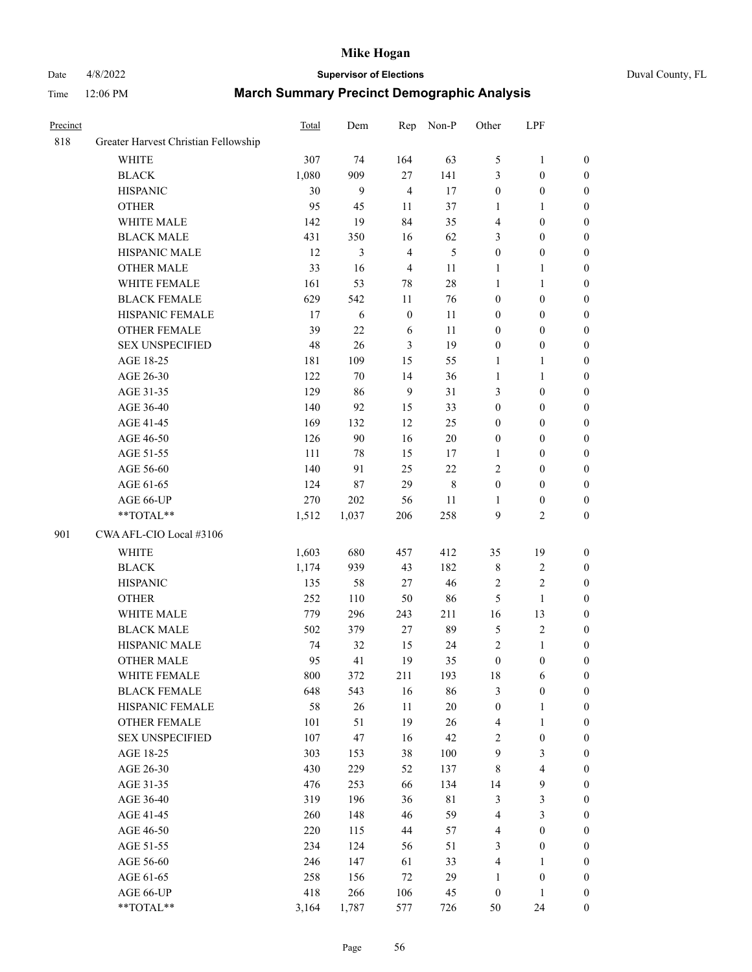# Date 4/8/2022 **Supervisor of Elections** Duval County, FL

| Precinct |                                      | Total | Dem   | Rep              | Non-P       | Other            | LPF                     |                  |
|----------|--------------------------------------|-------|-------|------------------|-------------|------------------|-------------------------|------------------|
| 818      | Greater Harvest Christian Fellowship |       |       |                  |             |                  |                         |                  |
|          | <b>WHITE</b>                         | 307   | 74    | 164              | 63          | 5                | $\mathbf{1}$            | $\boldsymbol{0}$ |
|          | <b>BLACK</b>                         | 1,080 | 909   | 27               | 141         | 3                | $\boldsymbol{0}$        | $\boldsymbol{0}$ |
|          | <b>HISPANIC</b>                      | 30    | 9     | $\overline{4}$   | 17          | $\boldsymbol{0}$ | $\boldsymbol{0}$        | $\boldsymbol{0}$ |
|          | <b>OTHER</b>                         | 95    | 45    | 11               | 37          | $\mathbf{1}$     | $\mathbf{1}$            | $\boldsymbol{0}$ |
|          | WHITE MALE                           | 142   | 19    | 84               | 35          | 4                | $\boldsymbol{0}$        | $\boldsymbol{0}$ |
|          | <b>BLACK MALE</b>                    | 431   | 350   | 16               | 62          | 3                | $\boldsymbol{0}$        | $\boldsymbol{0}$ |
|          | HISPANIC MALE                        | 12    | 3     | $\overline{4}$   | 5           | $\boldsymbol{0}$ | $\boldsymbol{0}$        | $\boldsymbol{0}$ |
|          | OTHER MALE                           | 33    | 16    | $\overline{4}$   | 11          | 1                | $\mathbf{1}$            | 0                |
|          | WHITE FEMALE                         | 161   | 53    | 78               | $28\,$      | $\mathbf{1}$     | $\mathbf{1}$            | 0                |
|          | <b>BLACK FEMALE</b>                  | 629   | 542   | $11\,$           | 76          | $\boldsymbol{0}$ | $\boldsymbol{0}$        | $\boldsymbol{0}$ |
|          | HISPANIC FEMALE                      | 17    | 6     | $\boldsymbol{0}$ | 11          | $\boldsymbol{0}$ | $\boldsymbol{0}$        | $\boldsymbol{0}$ |
|          | OTHER FEMALE                         | 39    | 22    | 6                | 11          | $\boldsymbol{0}$ | $\boldsymbol{0}$        | $\boldsymbol{0}$ |
|          | <b>SEX UNSPECIFIED</b>               | 48    | 26    | $\mathfrak{Z}$   | 19          | $\boldsymbol{0}$ | $\boldsymbol{0}$        | $\boldsymbol{0}$ |
|          | AGE 18-25                            | 181   | 109   | 15               | 55          | $\mathbf{1}$     | $\mathbf{1}$            | $\boldsymbol{0}$ |
|          | AGE 26-30                            | 122   | 70    | 14               | 36          | $\mathbf{1}$     | $\mathbf{1}$            | $\boldsymbol{0}$ |
|          | AGE 31-35                            | 129   | 86    | 9                | 31          | 3                | $\boldsymbol{0}$        | $\boldsymbol{0}$ |
|          | AGE 36-40                            | 140   | 92    | 15               | 33          | $\boldsymbol{0}$ | $\boldsymbol{0}$        | $\boldsymbol{0}$ |
|          | AGE 41-45                            | 169   | 132   | 12               | 25          | $\boldsymbol{0}$ | $\boldsymbol{0}$        | $\boldsymbol{0}$ |
|          | AGE 46-50                            | 126   | 90    | 16               | $20\,$      | $\boldsymbol{0}$ | $\boldsymbol{0}$        | 0                |
|          | AGE 51-55                            | 111   | 78    | 15               | 17          | 1                | $\boldsymbol{0}$        | $\boldsymbol{0}$ |
|          | AGE 56-60                            | 140   | 91    | 25               | 22          | 2                | $\boldsymbol{0}$        | $\boldsymbol{0}$ |
|          | AGE 61-65                            | 124   | 87    | 29               | $\,$ 8 $\,$ | $\boldsymbol{0}$ | $\boldsymbol{0}$        | $\boldsymbol{0}$ |
|          | AGE 66-UP                            | 270   | 202   | 56               | 11          | 1                | $\boldsymbol{0}$        | $\boldsymbol{0}$ |
|          | **TOTAL**                            | 1,512 | 1,037 | 206              | 258         | 9                | $\overline{c}$          | $\boldsymbol{0}$ |
| 901      | CWA AFL-CIO Local #3106              |       |       |                  |             |                  |                         |                  |
|          | <b>WHITE</b>                         | 1,603 | 680   | 457              | 412         | 35               | 19                      | $\boldsymbol{0}$ |
|          | <b>BLACK</b>                         | 1,174 | 939   | 43               | 182         | $\,$ $\,$        | $\sqrt{2}$              | $\boldsymbol{0}$ |
|          | <b>HISPANIC</b>                      | 135   | 58    | 27               | 46          | $\sqrt{2}$       | $\sqrt{2}$              | $\overline{0}$   |
|          | <b>OTHER</b>                         | 252   | 110   | 50               | 86          | 5                | $\mathbf{1}$            | $\boldsymbol{0}$ |
|          | WHITE MALE                           | 779   | 296   | 243              | 211         | 16               | 13                      | 0                |
|          | <b>BLACK MALE</b>                    | 502   | 379   | 27               | 89          | 5                | $\sqrt{2}$              | 0                |
|          | HISPANIC MALE                        | 74    | 32    | 15               | 24          | $\sqrt{2}$       | $\mathbf{1}$            | 0                |
|          | <b>OTHER MALE</b>                    | 95    | 41    | 19               | 35          | $\boldsymbol{0}$ | $\boldsymbol{0}$        | $\boldsymbol{0}$ |
|          | WHITE FEMALE                         | 800   | 372   | 211              | 193         | 18               | 6                       | $\boldsymbol{0}$ |
|          | <b>BLACK FEMALE</b>                  | 648   | 543   | 16               | 86          | 3                | $\boldsymbol{0}$        | $\boldsymbol{0}$ |
|          | HISPANIC FEMALE                      | 58    | 26    | 11               | $20\,$      | $\boldsymbol{0}$ | $\mathbf{1}$            | $\overline{0}$   |
|          | <b>OTHER FEMALE</b>                  | 101   | 51    | 19               | 26          | 4                | $\mathbf{1}$            | $\theta$         |
|          | <b>SEX UNSPECIFIED</b>               | 107   | 47    | 16               | 42          | 2                | $\boldsymbol{0}$        | $\theta$         |
|          | AGE 18-25                            | 303   | 153   | 38               | $100\,$     | $\mathbf{9}$     | $\mathfrak{Z}$          | $\overline{0}$   |
|          | AGE 26-30                            | 430   | 229   | 52               | 137         | 8                | $\overline{\mathbf{4}}$ | 0                |
|          | AGE 31-35                            | 476   | 253   | 66               | 134         | 14               | 9                       | 0                |
|          | AGE 36-40                            | 319   | 196   | 36               | 81          | 3                | $\mathfrak{Z}$          | $\boldsymbol{0}$ |
|          | AGE 41-45                            | 260   | 148   | 46               | 59          | 4                | $\mathfrak{Z}$          | $\overline{0}$   |
|          | AGE 46-50                            | 220   | 115   | 44               | 57          | 4                | $\boldsymbol{0}$        | $\overline{0}$   |
|          | AGE 51-55                            | 234   | 124   | 56               | 51          | 3                | $\boldsymbol{0}$        | $\overline{0}$   |
|          | AGE 56-60                            | 246   | 147   | 61               | 33          | 4                | $\mathbf{1}$            | $\overline{0}$   |
|          | AGE 61-65                            | 258   | 156   | 72               | 29          | $\mathbf{1}$     | $\boldsymbol{0}$        | $\overline{0}$   |
|          | AGE 66-UP                            | 418   | 266   | 106              | 45          | $\boldsymbol{0}$ | $\mathbf{1}$            | $\overline{0}$   |
|          | **TOTAL**                            | 3,164 | 1,787 | 577              | 726         | 50               | 24                      | $\boldsymbol{0}$ |
|          |                                      |       |       |                  |             |                  |                         |                  |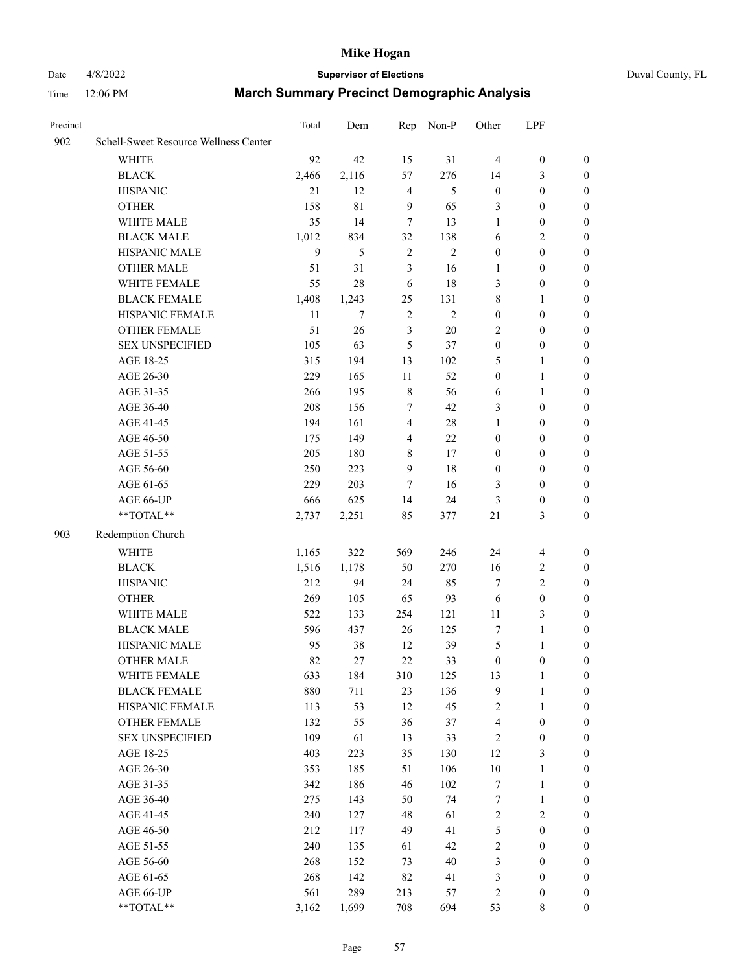# Date 4/8/2022 **Supervisor of Elections** Duval County, FL

| Precinct |                                                           | Total | Dem   | Rep            | Non-P          | Other            | LPF              |                  |
|----------|-----------------------------------------------------------|-------|-------|----------------|----------------|------------------|------------------|------------------|
| 902      | Schell-Sweet Resource Wellness Center                     |       |       |                |                |                  |                  |                  |
|          | <b>WHITE</b>                                              | 92    | 42    | 15             | 31             | $\overline{4}$   | $\boldsymbol{0}$ | $\boldsymbol{0}$ |
|          | <b>BLACK</b>                                              | 2,466 | 2,116 | 57             | 276            | 14               | 3                | $\boldsymbol{0}$ |
|          | <b>HISPANIC</b>                                           | 21    | 12    | 4              | 5              | $\boldsymbol{0}$ | $\boldsymbol{0}$ | $\boldsymbol{0}$ |
|          | <b>OTHER</b>                                              | 158   | 81    | $\overline{9}$ | 65             | 3                | $\boldsymbol{0}$ | $\boldsymbol{0}$ |
|          | WHITE MALE                                                | 35    | 14    | $\tau$         | 13             | $\mathbf{1}$     | $\boldsymbol{0}$ | $\boldsymbol{0}$ |
|          | <b>BLACK MALE</b>                                         | 1,012 | 834   | 32             | 138            | 6                | $\overline{2}$   | $\boldsymbol{0}$ |
|          | HISPANIC MALE                                             | 9     | 5     | $\sqrt{2}$     | $\overline{2}$ | $\boldsymbol{0}$ | $\boldsymbol{0}$ | $\boldsymbol{0}$ |
|          | OTHER MALE                                                | 51    | 31    | 3              | 16             | 1                | $\boldsymbol{0}$ | 0                |
|          | WHITE FEMALE                                              | 55    | 28    | 6              | 18             | 3                | $\boldsymbol{0}$ | 0                |
|          | <b>BLACK FEMALE</b>                                       | 1,408 | 1,243 | 25             | 131            | 8                | $\mathbf{1}$     | $\boldsymbol{0}$ |
|          | HISPANIC FEMALE                                           | 11    | 7     | $\sqrt{2}$     | $\overline{2}$ | $\boldsymbol{0}$ | $\boldsymbol{0}$ | $\boldsymbol{0}$ |
|          | OTHER FEMALE                                              | 51    | 26    | $\mathfrak{Z}$ | $20\,$         | 2                | $\boldsymbol{0}$ | $\boldsymbol{0}$ |
|          | <b>SEX UNSPECIFIED</b>                                    | 105   | 63    | 5              | 37             | $\boldsymbol{0}$ | $\boldsymbol{0}$ | $\boldsymbol{0}$ |
|          | AGE 18-25                                                 | 315   | 194   | 13             | 102            | 5                | $\mathbf{1}$     | $\boldsymbol{0}$ |
|          | AGE 26-30                                                 | 229   | 165   | 11             | 52             | $\boldsymbol{0}$ | $\mathbf{1}$     | $\boldsymbol{0}$ |
|          | AGE 31-35                                                 | 266   | 195   | $\,$ 8 $\,$    | 56             | 6                | $\mathbf{1}$     | $\boldsymbol{0}$ |
|          | AGE 36-40                                                 | 208   | 156   | 7              | 42             | 3                | $\boldsymbol{0}$ | $\boldsymbol{0}$ |
|          | AGE 41-45                                                 | 194   | 161   | $\overline{4}$ | $28\,$         | $\mathbf{1}$     | $\boldsymbol{0}$ | $\boldsymbol{0}$ |
|          | AGE 46-50                                                 | 175   | 149   | $\overline{4}$ | 22             | $\boldsymbol{0}$ | $\boldsymbol{0}$ | 0                |
|          | AGE 51-55                                                 | 205   | 180   | 8              | 17             | $\boldsymbol{0}$ | $\boldsymbol{0}$ | 0                |
|          | AGE 56-60                                                 | 250   | 223   | 9              | 18             | $\boldsymbol{0}$ | $\boldsymbol{0}$ | $\boldsymbol{0}$ |
|          | AGE 61-65                                                 | 229   | 203   | 7              | 16             | 3                | $\boldsymbol{0}$ | $\boldsymbol{0}$ |
|          | AGE 66-UP                                                 | 666   | 625   | 14             | 24             | 3                | $\boldsymbol{0}$ | $\boldsymbol{0}$ |
|          | $\mathrm{*}\mathrm{*}\mathrm{TOTAL} \mathrm{*}\mathrm{*}$ | 2,737 | 2,251 | 85             | 377            | 21               | 3                | $\boldsymbol{0}$ |
| 903      | Redemption Church                                         |       |       |                |                |                  |                  |                  |
|          | <b>WHITE</b>                                              | 1,165 | 322   | 569            | 246            | 24               | $\overline{4}$   | $\boldsymbol{0}$ |
|          | <b>BLACK</b>                                              | 1,516 | 1,178 | 50             | 270            | 16               | $\sqrt{2}$       | $\boldsymbol{0}$ |
|          | <b>HISPANIC</b>                                           | 212   | 94    | 24             | 85             | 7                | $\sqrt{2}$       | $\boldsymbol{0}$ |
|          | <b>OTHER</b>                                              | 269   | 105   | 65             | 93             | 6                | $\boldsymbol{0}$ | $\boldsymbol{0}$ |
|          | WHITE MALE                                                | 522   | 133   | 254            | 121            | 11               | $\mathfrak{Z}$   | 0                |
|          | <b>BLACK MALE</b>                                         | 596   | 437   | 26             | 125            | $\tau$           | $\mathbf{1}$     | 0                |
|          | HISPANIC MALE                                             | 95    | 38    | 12             | 39             | 5                | $\mathbf{1}$     | 0                |
|          | <b>OTHER MALE</b>                                         | 82    | 27    | 22             | 33             | $\boldsymbol{0}$ | $\boldsymbol{0}$ | $\boldsymbol{0}$ |
|          | WHITE FEMALE                                              | 633   | 184   | 310            | 125            | 13               | 1                | $\boldsymbol{0}$ |
|          | <b>BLACK FEMALE</b>                                       | 880   | 711   | 23             | 136            | 9                | $\mathbf{1}$     | $\boldsymbol{0}$ |
|          | HISPANIC FEMALE                                           | 113   | 53    | 12             | 45             | 2                | $\mathbf{1}$     | $\overline{0}$   |
|          | <b>OTHER FEMALE</b>                                       | 132   | 55    | 36             | 37             | 4                | $\boldsymbol{0}$ | $\overline{0}$   |
|          | <b>SEX UNSPECIFIED</b>                                    | 109   | 61    | 13             | 33             | $\sqrt{2}$       | $\boldsymbol{0}$ | $\theta$         |
|          | AGE 18-25                                                 | 403   | 223   | 35             | 130            | 12               | $\mathfrak{Z}$   | 0                |
|          | AGE 26-30                                                 | 353   | 185   | 51             | 106            | $10\,$           | $\mathbf{1}$     | 0                |
|          | AGE 31-35                                                 | 342   | 186   | 46             | 102            | 7                | $\mathbf{1}$     | 0                |
|          | AGE 36-40                                                 | 275   | 143   | 50             | 74             | 7                | $\mathbf{1}$     | 0                |
|          | AGE 41-45                                                 | 240   | 127   | 48             | 61             | 2                | $\sqrt{2}$       | 0                |
|          | AGE 46-50                                                 | 212   | 117   | 49             | 41             | 5                | $\boldsymbol{0}$ | $\boldsymbol{0}$ |
|          | AGE 51-55                                                 | 240   | 135   | 61             | 42             | 2                | $\boldsymbol{0}$ | $\boldsymbol{0}$ |
|          | AGE 56-60                                                 | 268   | 152   | 73             | $40\,$         | 3                | $\boldsymbol{0}$ | $\overline{0}$   |
|          | AGE 61-65                                                 | 268   | 142   | 82             | 41             | 3                | $\boldsymbol{0}$ | $\overline{0}$   |
|          | AGE 66-UP                                                 | 561   | 289   | 213            | 57             | $\sqrt{2}$       | $\boldsymbol{0}$ | $\overline{0}$   |
|          | **TOTAL**                                                 | 3,162 | 1,699 | 708            | 694            | 53               | $8\,$            | $\boldsymbol{0}$ |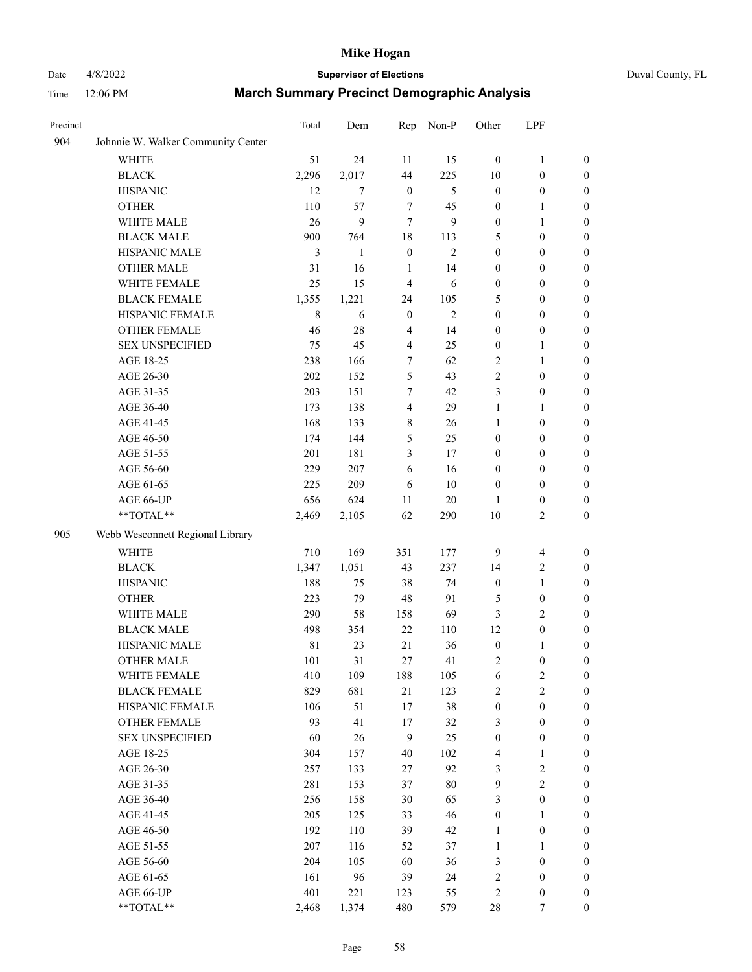# Date 4/8/2022 **Supervisor of Elections** Duval County, FL

| Precinct |                                    | Total       | Dem    | Rep              | Non-P          | Other            | LPF                     |                  |
|----------|------------------------------------|-------------|--------|------------------|----------------|------------------|-------------------------|------------------|
| 904      | Johnnie W. Walker Community Center |             |        |                  |                |                  |                         |                  |
|          | <b>WHITE</b>                       | 51          | 24     | 11               | 15             | $\boldsymbol{0}$ | $\mathbf{1}$            | $\boldsymbol{0}$ |
|          | <b>BLACK</b>                       | 2,296       | 2,017  | 44               | 225            | 10               | $\boldsymbol{0}$        | $\boldsymbol{0}$ |
|          | <b>HISPANIC</b>                    | 12          | $\tau$ | $\mathbf{0}$     | 5              | $\boldsymbol{0}$ | $\boldsymbol{0}$        | $\boldsymbol{0}$ |
|          | <b>OTHER</b>                       | 110         | 57     | 7                | 45             | $\boldsymbol{0}$ | 1                       | $\boldsymbol{0}$ |
|          | WHITE MALE                         | 26          | 9      | $\tau$           | 9              | $\boldsymbol{0}$ | $\mathbf{1}$            | $\boldsymbol{0}$ |
|          | <b>BLACK MALE</b>                  | 900         | 764    | 18               | 113            | 5                | $\boldsymbol{0}$        | $\boldsymbol{0}$ |
|          | HISPANIC MALE                      | 3           | 1      | $\boldsymbol{0}$ | $\mathbf{2}$   | $\boldsymbol{0}$ | $\boldsymbol{0}$        | $\boldsymbol{0}$ |
|          | <b>OTHER MALE</b>                  | 31          | 16     | 1                | 14             | $\boldsymbol{0}$ | $\boldsymbol{0}$        | 0                |
|          | WHITE FEMALE                       | 25          | 15     | $\overline{4}$   | 6              | $\boldsymbol{0}$ | $\boldsymbol{0}$        | 0                |
|          | <b>BLACK FEMALE</b>                | 1,355       | 1,221  | 24               | 105            | 5                | $\boldsymbol{0}$        | $\boldsymbol{0}$ |
|          | HISPANIC FEMALE                    | $\,$ 8 $\,$ | 6      | $\boldsymbol{0}$ | $\overline{2}$ | $\boldsymbol{0}$ | $\boldsymbol{0}$        | $\boldsymbol{0}$ |
|          | OTHER FEMALE                       | 46          | $28\,$ | $\overline{4}$   | 14             | $\boldsymbol{0}$ | $\boldsymbol{0}$        | $\boldsymbol{0}$ |
|          | <b>SEX UNSPECIFIED</b>             | 75          | 45     | $\overline{4}$   | 25             | $\boldsymbol{0}$ | $\mathbf{1}$            | $\boldsymbol{0}$ |
|          | AGE 18-25                          | 238         | 166    | 7                | 62             | $\overline{c}$   | $\mathbf{1}$            | $\boldsymbol{0}$ |
|          | AGE 26-30                          | 202         | 152    | 5                | 43             | $\overline{c}$   | $\boldsymbol{0}$        | $\boldsymbol{0}$ |
|          | AGE 31-35                          | 203         | 151    | 7                | 42             | 3                | $\boldsymbol{0}$        | $\boldsymbol{0}$ |
|          | AGE 36-40                          | 173         | 138    | $\overline{4}$   | 29             | $\mathbf{1}$     | 1                       | $\boldsymbol{0}$ |
|          | AGE 41-45                          | 168         | 133    | 8                | 26             | 1                | $\boldsymbol{0}$        | 0                |
|          | AGE 46-50                          | 174         | 144    | 5                | 25             | $\boldsymbol{0}$ | $\boldsymbol{0}$        | 0                |
|          | AGE 51-55                          | 201         | 181    | 3                | 17             | $\boldsymbol{0}$ | $\boldsymbol{0}$        | $\boldsymbol{0}$ |
|          | AGE 56-60                          | 229         | 207    | 6                | 16             | $\boldsymbol{0}$ | $\boldsymbol{0}$        | $\boldsymbol{0}$ |
|          | AGE 61-65                          | 225         | 209    | 6                | $10\,$         | $\boldsymbol{0}$ | $\boldsymbol{0}$        | $\boldsymbol{0}$ |
|          | AGE 66-UP                          | 656         | 624    | 11               | 20             | $\mathbf{1}$     | $\boldsymbol{0}$        | $\boldsymbol{0}$ |
|          | $**TOTAL**$                        | 2,469       | 2,105  | 62               | 290            | $10\,$           | $\overline{c}$          | $\boldsymbol{0}$ |
|          |                                    |             |        |                  |                |                  |                         |                  |
| 905      | Webb Wesconnett Regional Library   |             |        |                  |                |                  |                         |                  |
|          | WHITE                              | 710         | 169    | 351              | 177            | 9                | $\overline{\mathbf{4}}$ | $\boldsymbol{0}$ |
|          | <b>BLACK</b>                       | 1,347       | 1,051  | 43               | 237            | 14               | $\sqrt{2}$              | $\boldsymbol{0}$ |
|          | <b>HISPANIC</b>                    | 188         | 75     | 38               | 74             | $\boldsymbol{0}$ | $\mathbf{1}$            | $\boldsymbol{0}$ |
|          | <b>OTHER</b>                       | 223         | 79     | 48               | 91             | 5                | $\boldsymbol{0}$        | $\boldsymbol{0}$ |
|          | WHITE MALE                         | 290         | 58     | 158              | 69             | 3                | $\mathbf{2}$            | 0                |
|          | <b>BLACK MALE</b>                  | 498         | 354    | 22               | 110            | 12               | $\boldsymbol{0}$        | 0                |
|          | HISPANIC MALE                      | $8\sqrt{1}$ | 23     | 21               | 36             | $\boldsymbol{0}$ | 1                       | 0                |
|          | OTHER MALE                         | 101         | 31     | 27               | 41             | 2                | $\boldsymbol{0}$        | $\boldsymbol{0}$ |
|          | WHITE FEMALE                       | 410         | 109    | 188              | 105            | 6                | $\sqrt{2}$              | $\boldsymbol{0}$ |
|          | <b>BLACK FEMALE</b>                | 829         | 681    | 21               | 123            | 2                | $\overline{c}$          | $\overline{0}$   |
|          | HISPANIC FEMALE                    | 106         | 51     | 17               | 38             | $\boldsymbol{0}$ | $\boldsymbol{0}$        | $\overline{0}$   |
|          | <b>OTHER FEMALE</b>                | 93          | 41     | 17               | 32             | 3                | $\boldsymbol{0}$        | $\overline{0}$   |
|          | <b>SEX UNSPECIFIED</b>             | 60          | 26     | $\overline{9}$   | 25             | $\boldsymbol{0}$ | $\boldsymbol{0}$        | $\overline{0}$   |
|          | AGE 18-25                          | 304         | 157    | 40               | 102            | 4                | $\mathbf{1}$            | 0                |
|          | AGE 26-30                          | 257         | 133    | 27               | 92             | 3                | $\sqrt{2}$              | 0                |
|          | AGE 31-35                          | 281         | 153    | 37               | $80\,$         | $\boldsymbol{9}$ | $\sqrt{2}$              | 0                |
|          | AGE 36-40                          | 256         | 158    | 30               | 65             | 3                | $\boldsymbol{0}$        | $\overline{0}$   |
|          | AGE 41-45                          | 205         | 125    | 33               | 46             | $\boldsymbol{0}$ | $\mathbf{1}$            | $\boldsymbol{0}$ |
|          | AGE 46-50                          | 192         | 110    | 39               | 42             | $\mathbf{1}$     | $\boldsymbol{0}$        | $\boldsymbol{0}$ |
|          | AGE 51-55                          | 207         | 116    | 52               | 37             | $\mathbf{1}$     | $\mathbf{1}$            | $\overline{0}$   |
|          | AGE 56-60                          | 204         | 105    | 60               | 36             | 3                | $\boldsymbol{0}$        | $\overline{0}$   |
|          | AGE 61-65                          | 161         | 96     | 39               | 24             | $\sqrt{2}$       | $\boldsymbol{0}$        | $\overline{0}$   |
|          | AGE 66-UP                          | 401         | 221    | 123              | 55             | $\sqrt{2}$       | $\boldsymbol{0}$        | $\boldsymbol{0}$ |
|          | **TOTAL**                          | 2,468       | 1,374  | 480              | 579            | $28\,$           | 7                       | $\boldsymbol{0}$ |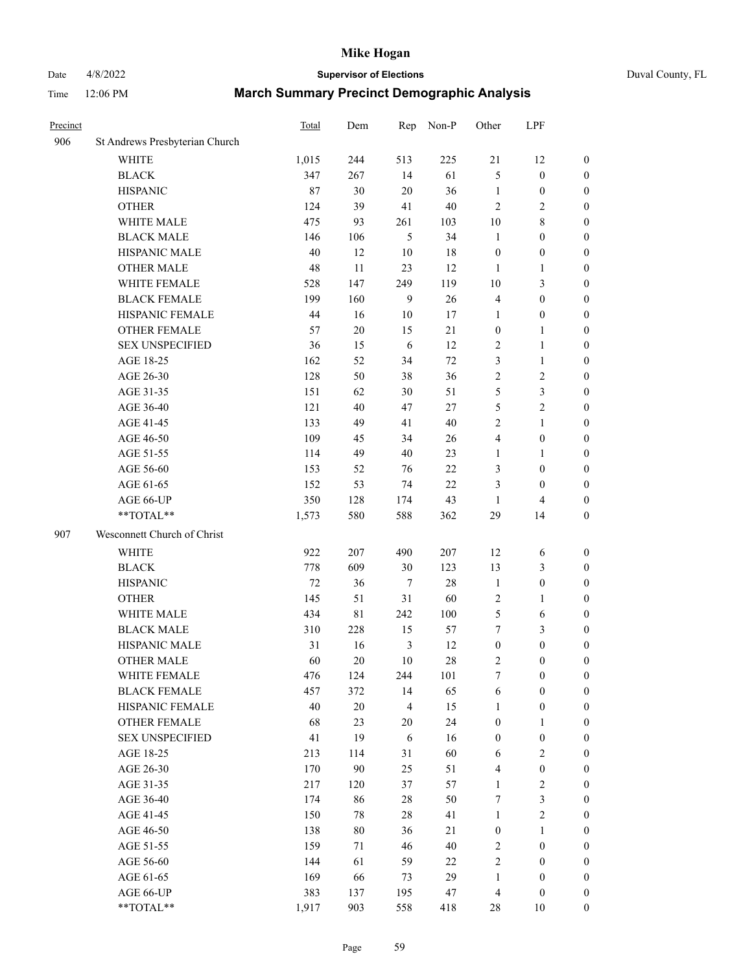# Date 4/8/2022 **Supervisor of Elections** Duval County, FL

| Precinct |                                | <b>Total</b> | Dem         | Rep            | Non-P  | Other            | LPF              |                  |
|----------|--------------------------------|--------------|-------------|----------------|--------|------------------|------------------|------------------|
| 906      | St Andrews Presbyterian Church |              |             |                |        |                  |                  |                  |
|          | <b>WHITE</b>                   | 1,015        | 244         | 513            | 225    | 21               | 12               | 0                |
|          | <b>BLACK</b>                   | 347          | 267         | 14             | 61     | 5                | $\boldsymbol{0}$ | 0                |
|          | <b>HISPANIC</b>                | 87           | 30          | 20             | 36     | $\mathbf{1}$     | $\boldsymbol{0}$ | $\boldsymbol{0}$ |
|          | <b>OTHER</b>                   | 124          | 39          | 41             | 40     | $\mathbf{2}$     | $\overline{2}$   | $\boldsymbol{0}$ |
|          | WHITE MALE                     | 475          | 93          | 261            | 103    | $10\,$           | $8\,$            | $\boldsymbol{0}$ |
|          | <b>BLACK MALE</b>              | 146          | 106         | 5              | 34     | $\mathbf{1}$     | $\boldsymbol{0}$ | $\boldsymbol{0}$ |
|          | HISPANIC MALE                  | 40           | 12          | 10             | 18     | $\boldsymbol{0}$ | $\boldsymbol{0}$ | $\boldsymbol{0}$ |
|          | <b>OTHER MALE</b>              | 48           | 11          | 23             | 12     | 1                | $\mathbf{1}$     | $\boldsymbol{0}$ |
|          | WHITE FEMALE                   | 528          | 147         | 249            | 119    | $10\,$           | $\mathfrak{Z}$   | $\boldsymbol{0}$ |
|          | <b>BLACK FEMALE</b>            | 199          | 160         | 9              | 26     | 4                | $\boldsymbol{0}$ | 0                |
|          | HISPANIC FEMALE                | 44           | 16          | 10             | 17     | $\mathbf{1}$     | $\boldsymbol{0}$ | 0                |
|          | <b>OTHER FEMALE</b>            | 57           | $20\,$      | 15             | 21     | $\boldsymbol{0}$ | $\mathbf{1}$     | 0                |
|          | <b>SEX UNSPECIFIED</b>         | 36           | 15          | 6              | 12     | $\overline{c}$   | $\mathbf{1}$     | $\boldsymbol{0}$ |
|          | AGE 18-25                      | 162          | 52          | 34             | $72\,$ | 3                | $\mathbf{1}$     | $\boldsymbol{0}$ |
|          | AGE 26-30                      | 128          | 50          | 38             | 36     | 2                | $\sqrt{2}$       | $\boldsymbol{0}$ |
|          | AGE 31-35                      | 151          | 62          | 30             | 51     | 5                | $\mathfrak{Z}$   | $\boldsymbol{0}$ |
|          | AGE 36-40                      | 121          | 40          | 47             | $27\,$ | 5                | $\sqrt{2}$       | $\boldsymbol{0}$ |
|          | AGE 41-45                      | 133          | 49          | 41             | $40\,$ | 2                | $\mathbf{1}$     | $\boldsymbol{0}$ |
|          | AGE 46-50                      | 109          | 45          | 34             | $26\,$ | 4                | $\boldsymbol{0}$ | $\boldsymbol{0}$ |
|          | AGE 51-55                      | 114          | 49          | 40             | 23     | 1                | $\mathbf{1}$     | $\boldsymbol{0}$ |
|          | AGE 56-60                      | 153          | 52          | 76             | 22     | 3                | $\boldsymbol{0}$ | 0                |
|          | AGE 61-65                      | 152          | 53          | 74             | 22     | 3                | $\boldsymbol{0}$ | 0                |
|          | AGE 66-UP                      | 350          | 128         | 174            | 43     | $\mathbf{1}$     | $\overline{4}$   | $\boldsymbol{0}$ |
|          | **TOTAL**                      | 1,573        | 580         | 588            | 362    | 29               | 14               | $\boldsymbol{0}$ |
| 907      | Wesconnett Church of Christ    |              |             |                |        |                  |                  |                  |
|          | <b>WHITE</b>                   | 922          | 207         | 490            | 207    | 12               | 6                | $\boldsymbol{0}$ |
|          | <b>BLACK</b>                   | 778          | 609         | 30             | 123    | 13               | $\mathfrak{Z}$   | $\boldsymbol{0}$ |
|          | <b>HISPANIC</b>                | 72           | 36          | $\tau$         | 28     | $\mathbf{1}$     | $\boldsymbol{0}$ | $\boldsymbol{0}$ |
|          | <b>OTHER</b>                   | 145          | 51          | 31             | 60     | 2                | $\mathbf{1}$     | $\boldsymbol{0}$ |
|          | WHITE MALE                     | 434          | $8\sqrt{1}$ | 242            | 100    | 5                | 6                | $\boldsymbol{0}$ |
|          | <b>BLACK MALE</b>              | 310          | 228         | 15             | 57     | 7                | $\mathfrak{Z}$   | $\boldsymbol{0}$ |
|          | HISPANIC MALE                  | 31           | 16          | $\mathfrak{Z}$ | 12     | $\boldsymbol{0}$ | $\boldsymbol{0}$ | $\boldsymbol{0}$ |
|          | <b>OTHER MALE</b>              | 60           | 20          | 10             | $28\,$ | 2                | $\boldsymbol{0}$ | $\boldsymbol{0}$ |
|          | WHITE FEMALE                   | 476          | 124         | 244            | 101    | 7                | $\boldsymbol{0}$ | 0                |
|          | <b>BLACK FEMALE</b>            | 457          | 372         | 14             | 65     | 6                | $\boldsymbol{0}$ | $\overline{0}$   |
|          | HISPANIC FEMALE                | 40           | $20\,$      | $\overline{4}$ | 15     | $\mathbf{1}$     | $\boldsymbol{0}$ | $\overline{0}$   |
|          | OTHER FEMALE                   | 68           | 23          | 20             | 24     | $\boldsymbol{0}$ | $\mathbf{1}$     | $\overline{0}$   |
|          | <b>SEX UNSPECIFIED</b>         | 41           | 19          | 6              | 16     | $\boldsymbol{0}$ | $\boldsymbol{0}$ | 0                |
|          | AGE 18-25                      | 213          | 114         | 31             | 60     | 6                | $\sqrt{2}$       | 0                |
|          | AGE 26-30                      | 170          | 90          | 25             | 51     | 4                | $\boldsymbol{0}$ | 0                |
|          | AGE 31-35                      | 217          | 120         | 37             | 57     | $\mathbf{1}$     | $\sqrt{2}$       | 0                |
|          | AGE 36-40                      | 174          | 86          | 28             | 50     | 7                | $\mathfrak{Z}$   | 0                |
|          | AGE 41-45                      | 150          | 78          | 28             | 41     | $\mathbf{1}$     | $\overline{c}$   | 0                |
|          | AGE 46-50                      | 138          | 80          | 36             | 21     | $\boldsymbol{0}$ | $\mathbf{1}$     | 0                |
|          | AGE 51-55                      | 159          | 71          | 46             | 40     | 2                | $\boldsymbol{0}$ | 0                |
|          | AGE 56-60                      | 144          | 61          | 59             | 22     | 2                | $\boldsymbol{0}$ | $\overline{0}$   |
|          | AGE 61-65                      | 169          | 66          | 73             | 29     | $\mathbf{1}$     | $\boldsymbol{0}$ | $\overline{0}$   |
|          | AGE 66-UP                      | 383          | 137         | 195            | 47     | 4                | $\boldsymbol{0}$ | 0                |
|          | **TOTAL**                      | 1,917        | 903         | 558            | 418    | 28               | 10               | $\boldsymbol{0}$ |
|          |                                |              |             |                |        |                  |                  |                  |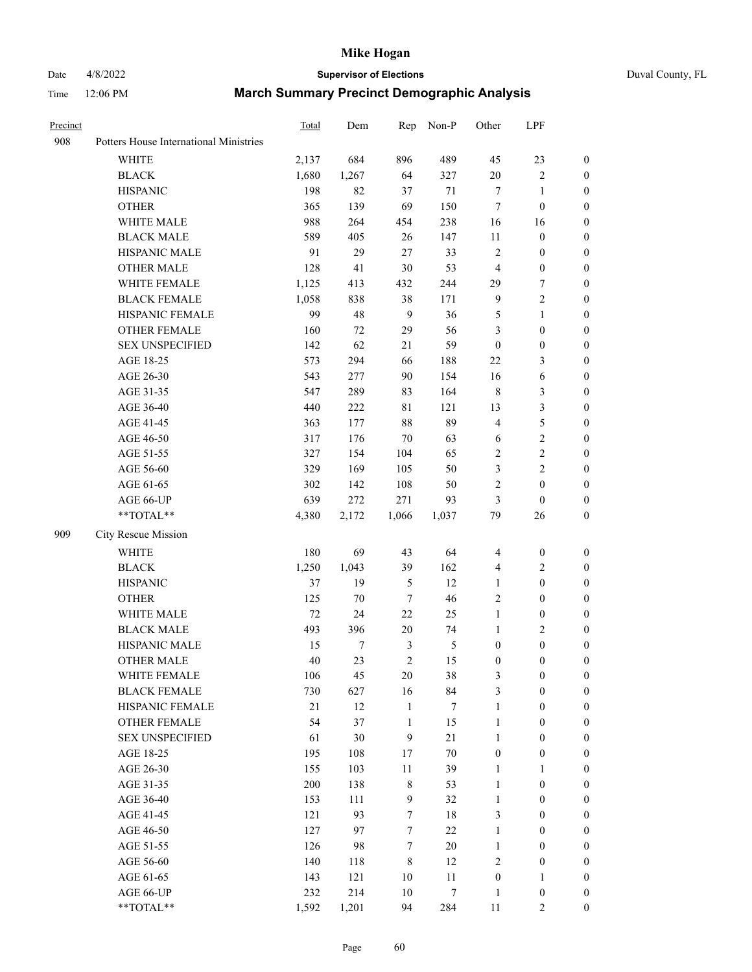# Date 4/8/2022 **Supervisor of Elections** Duval County, FL

| Precinct |                                        | Total  | Dem              | Rep              | Non-P            | Other                   | LPF              |                  |
|----------|----------------------------------------|--------|------------------|------------------|------------------|-------------------------|------------------|------------------|
| 908      | Potters House International Ministries |        |                  |                  |                  |                         |                  |                  |
|          | <b>WHITE</b>                           | 2,137  | 684              | 896              | 489              | 45                      | 23               | $\boldsymbol{0}$ |
|          | <b>BLACK</b>                           | 1,680  | 1,267            | 64               | 327              | $20\,$                  | $\sqrt{2}$       | $\boldsymbol{0}$ |
|          | <b>HISPANIC</b>                        | 198    | 82               | 37               | 71               | 7                       | 1                | $\boldsymbol{0}$ |
|          | <b>OTHER</b>                           | 365    | 139              | 69               | 150              | 7                       | $\boldsymbol{0}$ | $\boldsymbol{0}$ |
|          | WHITE MALE                             | 988    | 264              | 454              | 238              | 16                      | 16               | $\boldsymbol{0}$ |
|          | <b>BLACK MALE</b>                      | 589    | 405              | 26               | 147              | 11                      | $\boldsymbol{0}$ | $\boldsymbol{0}$ |
|          | HISPANIC MALE                          | 91     | 29               | 27               | 33               | $\sqrt{2}$              | $\boldsymbol{0}$ | $\boldsymbol{0}$ |
|          | OTHER MALE                             | 128    | 41               | 30               | 53               | 4                       | $\boldsymbol{0}$ | 0                |
|          | WHITE FEMALE                           | 1,125  | 413              | 432              | 244              | 29                      | 7                | 0                |
|          | <b>BLACK FEMALE</b>                    | 1,058  | 838              | 38               | 171              | $\overline{9}$          | $\sqrt{2}$       | 0                |
|          | HISPANIC FEMALE                        | 99     | 48               | 9                | 36               | 5                       | $\mathbf{1}$     | $\boldsymbol{0}$ |
|          | OTHER FEMALE                           | 160    | 72               | 29               | 56               | 3                       | $\boldsymbol{0}$ | $\boldsymbol{0}$ |
|          | <b>SEX UNSPECIFIED</b>                 | 142    | 62               | 21               | 59               | $\boldsymbol{0}$        | $\boldsymbol{0}$ | $\boldsymbol{0}$ |
|          | AGE 18-25                              | 573    | 294              | 66               | 188              | $22\,$                  | $\mathfrak{Z}$   | $\boldsymbol{0}$ |
|          | AGE 26-30                              | 543    | 277              | 90               | 154              | 16                      | 6                | $\boldsymbol{0}$ |
|          | AGE 31-35                              | 547    | 289              | 83               | 164              | $\,$ 8 $\,$             | $\mathfrak{Z}$   | $\boldsymbol{0}$ |
|          | AGE 36-40                              | 440    | 222              | 81               | 121              | 13                      | $\mathfrak{Z}$   | $\boldsymbol{0}$ |
|          | AGE 41-45                              | 363    | 177              | 88               | 89               | $\overline{4}$          | 5                | $\boldsymbol{0}$ |
|          | AGE 46-50                              | 317    | 176              | 70               | 63               | 6                       | $\boldsymbol{2}$ | 0                |
|          | AGE 51-55                              | 327    | 154              | 104              | 65               | $\overline{c}$          | $\sqrt{2}$       | 0                |
|          | AGE 56-60                              | 329    | 169              | 105              | 50               | 3                       | $\sqrt{2}$       | 0                |
|          | AGE 61-65                              | 302    | 142              | 108              | 50               | 2                       | $\boldsymbol{0}$ | $\boldsymbol{0}$ |
|          | AGE 66-UP                              | 639    | 272              | 271              | 93               | 3                       | $\boldsymbol{0}$ | $\boldsymbol{0}$ |
|          | **TOTAL**                              | 4,380  | 2,172            | 1,066            | 1,037            | 79                      | 26               | $\boldsymbol{0}$ |
| 909      | City Rescue Mission                    |        |                  |                  |                  |                         |                  |                  |
|          |                                        |        |                  |                  |                  |                         |                  |                  |
|          | <b>WHITE</b>                           | 180    | 69               | 43               | 64               | $\overline{\mathbf{4}}$ | $\boldsymbol{0}$ | $\boldsymbol{0}$ |
|          | <b>BLACK</b>                           | 1,250  | 1,043            | 39               | 162              | 4                       | $\sqrt{2}$       | $\boldsymbol{0}$ |
|          | <b>HISPANIC</b>                        | 37     | 19               | $\sqrt{5}$       | 12               | $\mathbf{1}$            | $\boldsymbol{0}$ | $\boldsymbol{0}$ |
|          | <b>OTHER</b>                           | 125    | $70\,$           | $\tau$           | 46               | 2                       | $\boldsymbol{0}$ | $\boldsymbol{0}$ |
|          | WHITE MALE                             | 72     | 24               | $22\,$           | 25               | $\mathbf{1}$            | $\boldsymbol{0}$ | 0                |
|          | <b>BLACK MALE</b>                      | 493    | 396              | $20\,$           | 74               | 1                       | $\sqrt{2}$       | 0                |
|          | HISPANIC MALE                          | 15     | $\boldsymbol{7}$ | 3                | 5                | $\boldsymbol{0}$        | $\boldsymbol{0}$ | 0                |
|          | OTHER MALE                             | 40     | 23               | $\overline{c}$   | 15               | $\boldsymbol{0}$        | $\boldsymbol{0}$ | $\boldsymbol{0}$ |
|          | WHITE FEMALE                           | 106    | 45               | 20               | 38               | 3                       | $\boldsymbol{0}$ | $\boldsymbol{0}$ |
|          | <b>BLACK FEMALE</b>                    | 730    | 627              | 16               | 84               | 3                       | $\boldsymbol{0}$ | $\overline{0}$   |
|          | HISPANIC FEMALE                        | $21\,$ | 12               | $\mathbf{1}$     | 7                | $\mathbf{1}$            | $\boldsymbol{0}$ | $\overline{0}$   |
|          | <b>OTHER FEMALE</b>                    | 54     | 37               | $\mathbf{1}$     | 15               | $\mathbf{1}$            | $\boldsymbol{0}$ | $\overline{0}$   |
|          | <b>SEX UNSPECIFIED</b>                 | 61     | 30               | 9                | 21               | $\mathbf{1}$            | $\boldsymbol{0}$ | $\overline{0}$   |
|          | AGE 18-25                              | 195    | 108              | 17               | $70\,$           | $\boldsymbol{0}$        | $\boldsymbol{0}$ | $\overline{0}$   |
|          | AGE 26-30                              | 155    | 103              | $11\,$           | 39               | $\mathbf{1}$            | $\mathbf{1}$     | 0                |
|          | AGE 31-35                              | 200    | 138              | $\,$ 8 $\,$      | 53               | $\mathbf{1}$            | $\boldsymbol{0}$ | 0                |
|          | AGE 36-40                              | 153    | 111              | $\mathbf{9}$     | 32               | $\mathbf{1}$            | $\boldsymbol{0}$ | 0                |
|          | AGE 41-45                              | 121    | 93               | $\boldsymbol{7}$ | 18               | 3                       | $\boldsymbol{0}$ | 0                |
|          | AGE 46-50                              | 127    | 97               | $\boldsymbol{7}$ | 22               | $\mathbf{1}$            | $\boldsymbol{0}$ | $\boldsymbol{0}$ |
|          | AGE 51-55                              | 126    | 98               | $\boldsymbol{7}$ | $20\,$           | $\mathbf{1}$            | $\boldsymbol{0}$ | $\boldsymbol{0}$ |
|          | AGE 56-60                              | 140    | 118              | 8                | 12               | 2                       | $\boldsymbol{0}$ | $\boldsymbol{0}$ |
|          | AGE 61-65                              | 143    | 121              | 10               | 11               | $\boldsymbol{0}$        | $\mathbf{1}$     | $\boldsymbol{0}$ |
|          | AGE 66-UP                              | 232    | 214              | 10               | $\boldsymbol{7}$ | $\mathbf{1}$            | $\boldsymbol{0}$ | $\boldsymbol{0}$ |
|          | **TOTAL**                              | 1,592  | 1,201            | 94               | 284              | 11                      | $\overline{2}$   | $\boldsymbol{0}$ |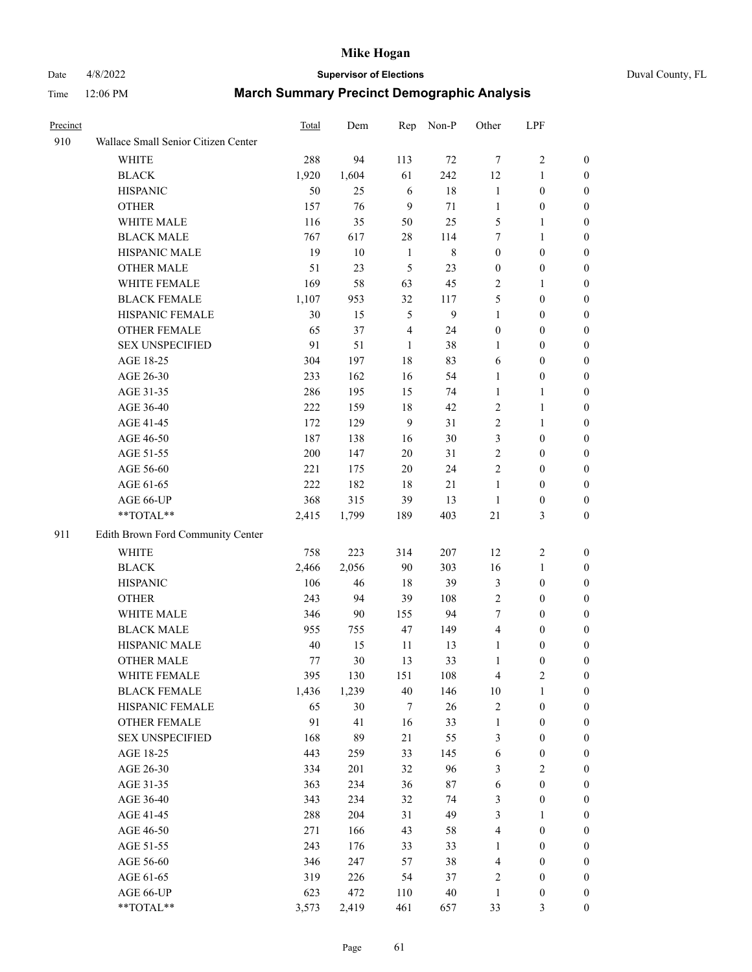# Date 4/8/2022 **Supervisor of Elections** Duval County, FL

| Precinct |                                     | Total | Dem    | Rep            | Non-P        | Other                   | LPF              |                  |
|----------|-------------------------------------|-------|--------|----------------|--------------|-------------------------|------------------|------------------|
| 910      | Wallace Small Senior Citizen Center |       |        |                |              |                         |                  |                  |
|          | <b>WHITE</b>                        | 288   | 94     | 113            | 72           | $\tau$                  | $\sqrt{2}$       | 0                |
|          | <b>BLACK</b>                        | 1,920 | 1,604  | 61             | 242          | 12                      | $\mathbf{1}$     | 0                |
|          | <b>HISPANIC</b>                     | 50    | 25     | 6              | $18\,$       | $\mathbf{1}$            | $\boldsymbol{0}$ | 0                |
|          | <b>OTHER</b>                        | 157   | 76     | 9              | 71           | $\mathbf{1}$            | $\boldsymbol{0}$ | $\boldsymbol{0}$ |
|          | WHITE MALE                          | 116   | 35     | 50             | 25           | 5                       | 1                | $\boldsymbol{0}$ |
|          | <b>BLACK MALE</b>                   | 767   | 617    | 28             | 114          | 7                       | $\mathbf{1}$     | $\boldsymbol{0}$ |
|          | HISPANIC MALE                       | 19    | 10     | $\mathbf{1}$   | $\,8\,$      | $\boldsymbol{0}$        | $\boldsymbol{0}$ | $\boldsymbol{0}$ |
|          | <b>OTHER MALE</b>                   | 51    | 23     | 5              | 23           | $\boldsymbol{0}$        | $\boldsymbol{0}$ | $\boldsymbol{0}$ |
|          | WHITE FEMALE                        | 169   | 58     | 63             | 45           | $\overline{c}$          | $\mathbf{1}$     | $\boldsymbol{0}$ |
|          | <b>BLACK FEMALE</b>                 | 1,107 | 953    | 32             | 117          | 5                       | $\boldsymbol{0}$ | 0                |
|          | HISPANIC FEMALE                     | 30    | 15     | 5              | $\mathbf{9}$ | $\mathbf{1}$            | $\boldsymbol{0}$ | 0                |
|          | <b>OTHER FEMALE</b>                 | 65    | 37     | $\overline{4}$ | 24           | $\boldsymbol{0}$        | $\boldsymbol{0}$ | $\boldsymbol{0}$ |
|          | <b>SEX UNSPECIFIED</b>              | 91    | 51     | $\mathbf{1}$   | 38           | $\mathbf{1}$            | $\boldsymbol{0}$ | $\boldsymbol{0}$ |
|          | AGE 18-25                           | 304   | 197    | 18             | 83           | 6                       | $\boldsymbol{0}$ | $\boldsymbol{0}$ |
|          | AGE 26-30                           | 233   | 162    | 16             | 54           | $\mathbf{1}$            | $\boldsymbol{0}$ | $\boldsymbol{0}$ |
|          | AGE 31-35                           | 286   | 195    | 15             | 74           | $\mathbf{1}$            | $\mathbf{1}$     | $\boldsymbol{0}$ |
|          | AGE 36-40                           | 222   | 159    | $18\,$         | 42           | 2                       | $\mathbf{1}$     | $\boldsymbol{0}$ |
|          | AGE 41-45                           | 172   | 129    | 9              | 31           | 2                       | $\mathbf{1}$     | $\boldsymbol{0}$ |
|          | AGE 46-50                           | 187   | 138    | 16             | $30\,$       | 3                       | $\boldsymbol{0}$ | $\boldsymbol{0}$ |
|          | AGE 51-55                           | 200   | 147    | $20\,$         | 31           | 2                       | $\boldsymbol{0}$ | $\boldsymbol{0}$ |
|          | AGE 56-60                           | 221   | 175    | 20             | 24           | $\overline{2}$          | $\boldsymbol{0}$ | 0                |
|          | AGE 61-65                           | 222   | 182    | 18             | 21           | $\mathbf{1}$            | $\boldsymbol{0}$ | 0                |
|          | AGE 66-UP                           | 368   | 315    | 39             | 13           | $\mathbf{1}$            | $\boldsymbol{0}$ | $\boldsymbol{0}$ |
|          | **TOTAL**                           | 2,415 | 1,799  | 189            | 403          | 21                      | $\mathfrak{Z}$   | $\boldsymbol{0}$ |
| 911      | Edith Brown Ford Community Center   |       |        |                |              |                         |                  |                  |
|          | <b>WHITE</b>                        | 758   | 223    | 314            | 207          | 12                      | $\sqrt{2}$       | $\boldsymbol{0}$ |
|          | <b>BLACK</b>                        | 2,466 | 2,056  | 90             | 303          | 16                      | $\mathbf{1}$     | $\boldsymbol{0}$ |
|          | <b>HISPANIC</b>                     | 106   | 46     | 18             | 39           | 3                       | $\boldsymbol{0}$ | $\boldsymbol{0}$ |
|          | <b>OTHER</b>                        | 243   | 94     | 39             | 108          | 2                       | $\boldsymbol{0}$ | $\boldsymbol{0}$ |
|          | WHITE MALE                          | 346   | $90\,$ | 155            | 94           | $\tau$                  | $\boldsymbol{0}$ | $\boldsymbol{0}$ |
|          | <b>BLACK MALE</b>                   | 955   | 755    | 47             | 149          | $\overline{\mathbf{4}}$ | $\boldsymbol{0}$ | $\boldsymbol{0}$ |
|          | HISPANIC MALE                       | 40    | 15     | 11             | 13           | $\mathbf{1}$            | $\boldsymbol{0}$ | 0                |
|          | <b>OTHER MALE</b>                   | 77    | 30     | 13             | 33           | $\mathbf{1}$            | $\boldsymbol{0}$ | 0                |
|          | WHITE FEMALE                        | 395   | 130    | 151            | 108          | 4                       | 2                | 0                |
|          | <b>BLACK FEMALE</b>                 | 1,436 | 1,239  | 40             | 146          | $10\,$                  | $\mathbf{1}$     | $\boldsymbol{0}$ |
|          | HISPANIC FEMALE                     | 65    | 30     | 7              | $26\,$       | $\overline{c}$          | $\boldsymbol{0}$ | $\overline{0}$   |
|          | OTHER FEMALE                        | 91    | 41     | 16             | 33           | $\mathbf{1}$            | $\boldsymbol{0}$ | $\overline{0}$   |
|          | <b>SEX UNSPECIFIED</b>              | 168   | 89     | 21             | 55           | 3                       | $\boldsymbol{0}$ | 0                |
|          | AGE 18-25                           | 443   | 259    | 33             | 145          | 6                       | $\boldsymbol{0}$ | $\overline{0}$   |
|          | AGE 26-30                           | 334   | 201    | 32             | 96           | 3                       | $\overline{2}$   | 0                |
|          | AGE 31-35                           | 363   | 234    | 36             | $87\,$       | 6                       | $\boldsymbol{0}$ | 0                |
|          | AGE 36-40                           | 343   | 234    | 32             | 74           | 3                       | $\boldsymbol{0}$ | 0                |
|          | AGE 41-45                           | 288   | 204    | 31             | 49           | 3                       | 1                | 0                |
|          | AGE 46-50                           | 271   | 166    | 43             | 58           | 4                       | $\boldsymbol{0}$ | 0                |
|          | AGE 51-55                           | 243   | 176    | 33             | 33           | 1                       | $\boldsymbol{0}$ | 0                |
|          | AGE 56-60                           | 346   | 247    | 57             | 38           | 4                       | $\boldsymbol{0}$ | $\boldsymbol{0}$ |
|          | AGE 61-65                           | 319   | 226    | 54             | 37           | 2                       | $\boldsymbol{0}$ | $\boldsymbol{0}$ |
|          | AGE 66-UP                           | 623   | 472    | 110            | $40\,$       | $\mathbf{1}$            | $\boldsymbol{0}$ | 0                |
|          | **TOTAL**                           | 3,573 | 2,419  | 461            | 657          | 33                      | $\mathfrak{Z}$   | $\boldsymbol{0}$ |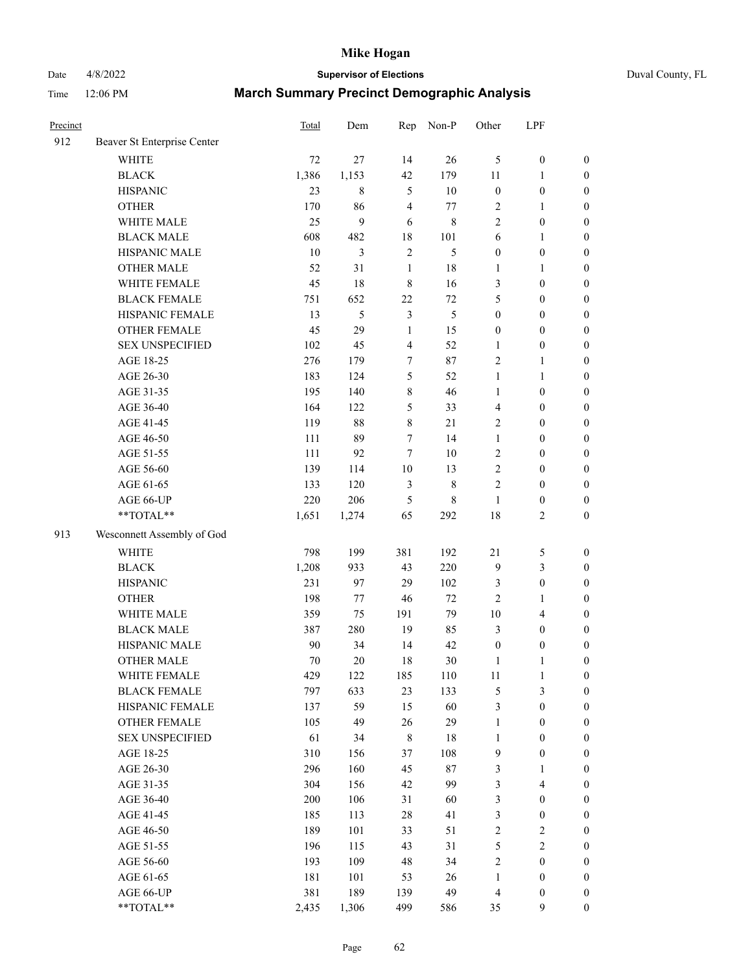Date 4/8/2022 **Supervisor of Elections** Duval County, FL

| 912 | Beaver St Enterprise Center |        |             |                |               |                  |                  |                  |
|-----|-----------------------------|--------|-------------|----------------|---------------|------------------|------------------|------------------|
|     |                             |        |             |                |               |                  |                  |                  |
|     | <b>WHITE</b>                | 72     | 27          | 14             | 26            | 5                | $\boldsymbol{0}$ | $\boldsymbol{0}$ |
|     | <b>BLACK</b>                | 1,386  | 1,153       | 42             | 179           | $11\,$           | $\mathbf{1}$     | $\boldsymbol{0}$ |
|     | <b>HISPANIC</b>             | 23     | $\,$ 8 $\,$ | 5              | 10            | $\boldsymbol{0}$ | $\boldsymbol{0}$ | $\boldsymbol{0}$ |
|     | <b>OTHER</b>                | 170    | 86          | 4              | 77            | 2                | 1                | $\boldsymbol{0}$ |
|     | WHITE MALE                  | 25     | 9           | 6              | $\,8\,$       | $\overline{c}$   | $\boldsymbol{0}$ | $\boldsymbol{0}$ |
|     | <b>BLACK MALE</b>           | 608    | 482         | 18             | 101           | 6                | $\mathbf{1}$     | $\boldsymbol{0}$ |
|     | HISPANIC MALE               | $10\,$ | 3           | $\mathfrak{2}$ | 5             | $\boldsymbol{0}$ | $\boldsymbol{0}$ | $\boldsymbol{0}$ |
|     | <b>OTHER MALE</b>           | 52     | 31          | $\mathbf{1}$   | 18            | 1                | 1                | $\boldsymbol{0}$ |
|     | WHITE FEMALE                | 45     | 18          | $\,$ 8 $\,$    | 16            | 3                | $\boldsymbol{0}$ | $\boldsymbol{0}$ |
|     | <b>BLACK FEMALE</b>         | 751    | 652         | 22             | $72\,$        | 5                | $\boldsymbol{0}$ | $\boldsymbol{0}$ |
|     | HISPANIC FEMALE             | 13     | 5           | $\mathfrak{Z}$ | $\mathfrak s$ | $\boldsymbol{0}$ | $\boldsymbol{0}$ | $\boldsymbol{0}$ |
|     | <b>OTHER FEMALE</b>         | 45     | 29          | $\mathbf{1}$   | 15            | $\boldsymbol{0}$ | $\boldsymbol{0}$ | $\boldsymbol{0}$ |
|     | <b>SEX UNSPECIFIED</b>      | 102    | 45          | 4              | 52            | $\mathbf{1}$     | $\boldsymbol{0}$ | $\boldsymbol{0}$ |
|     | AGE 18-25                   | 276    | 179         | 7              | 87            | 2                | $\mathbf{1}$     | $\boldsymbol{0}$ |
|     | AGE 26-30                   | 183    | 124         | 5              | 52            | $\mathbf{1}$     | $\mathbf{1}$     | $\boldsymbol{0}$ |
|     | AGE 31-35                   | 195    | 140         | 8              | 46            | $\mathbf{1}$     | $\boldsymbol{0}$ | $\boldsymbol{0}$ |
|     | AGE 36-40                   | 164    | 122         | 5              | 33            | 4                | $\boldsymbol{0}$ | $\boldsymbol{0}$ |
|     | AGE 41-45                   | 119    | 88          | 8              | $21\,$        | 2                | $\boldsymbol{0}$ | $\boldsymbol{0}$ |
|     | AGE 46-50                   | 111    | 89          | 7              | 14            | $\mathbf{1}$     | $\boldsymbol{0}$ | $\boldsymbol{0}$ |
|     | AGE 51-55                   | 111    | 92          | $\tau$         | 10            | $\mathbf{2}$     | $\boldsymbol{0}$ | $\boldsymbol{0}$ |
|     | AGE 56-60                   | 139    | 114         | $10\,$         | 13            | $\mathbf{2}$     | $\boldsymbol{0}$ | $\boldsymbol{0}$ |
|     | AGE 61-65                   | 133    | 120         | 3              | $\,$ 8 $\,$   | $\overline{c}$   | $\boldsymbol{0}$ | $\boldsymbol{0}$ |
|     | AGE 66-UP                   | 220    | 206         | 5              | $\,$ 8 $\,$   | 1                | $\boldsymbol{0}$ | $\boldsymbol{0}$ |
|     | $**TOTAL**$                 | 1,651  | 1,274       | 65             | 292           | 18               | $\sqrt{2}$       | $\boldsymbol{0}$ |
| 913 | Wesconnett Assembly of God  |        |             |                |               |                  |                  |                  |
|     | <b>WHITE</b>                | 798    | 199         | 381            | 192           | $21\,$           | $\mathfrak s$    | $\boldsymbol{0}$ |
|     | <b>BLACK</b>                | 1,208  | 933         | 43             | 220           | 9                | $\mathfrak{Z}$   | $\boldsymbol{0}$ |
|     | <b>HISPANIC</b>             | 231    | 97          | 29             | 102           | 3                | $\boldsymbol{0}$ | $\boldsymbol{0}$ |
|     | <b>OTHER</b>                | 198    | 77          | 46             | 72            | 2                | $\mathbf{1}$     | $\boldsymbol{0}$ |
|     | WHITE MALE                  | 359    | 75          | 191            | 79            | $10\,$           | $\overline{4}$   | $\boldsymbol{0}$ |
|     | <b>BLACK MALE</b>           | 387    | 280         | 19             | 85            | 3                | $\boldsymbol{0}$ | $\boldsymbol{0}$ |
|     | HISPANIC MALE               | 90     | 34          | 14             | 42            | $\boldsymbol{0}$ | $\boldsymbol{0}$ | 0                |
|     | <b>OTHER MALE</b>           | 70     | 20          | 18             | 30            | 1                | $\mathbf{1}$     | $\boldsymbol{0}$ |
|     | WHITE FEMALE                | 429    | 122         | 185            | 110           | 11               | $\mathbf{1}$     | $\boldsymbol{0}$ |
|     | <b>BLACK FEMALE</b>         | 797    | 633         | 23             | 133           | 5                | $\mathfrak{Z}$   | $\overline{0}$   |
|     | HISPANIC FEMALE             | 137    | 59          | 15             | 60            | 3                | $\boldsymbol{0}$ | $\overline{0}$   |
|     | <b>OTHER FEMALE</b>         | 105    | 49          | 26             | 29            | $\mathbf{1}$     | $\boldsymbol{0}$ | $\overline{0}$   |
|     | <b>SEX UNSPECIFIED</b>      | 61     | 34          | $\,$ 8 $\,$    | 18            | $\mathbf{1}$     | $\boldsymbol{0}$ | $\theta$         |
|     | AGE 18-25                   | 310    | 156         | 37             | 108           | 9                | $\boldsymbol{0}$ | $\overline{0}$   |
|     | AGE 26-30                   | 296    | 160         | 45             | $87\,$        | 3                | $\mathbf{1}$     | 0                |
|     | AGE 31-35                   | 304    | 156         | 42             | 99            | 3                | $\overline{4}$   | 0                |
|     | AGE 36-40                   | 200    | 106         | 31             | 60            | 3                | $\boldsymbol{0}$ | 0                |
|     | AGE 41-45                   | 185    | 113         | 28             | 41            | 3                | $\boldsymbol{0}$ | 0                |
|     | AGE 46-50                   | 189    | 101         | 33             | 51            | 2                | $\sqrt{2}$       | $\overline{0}$   |
|     | AGE 51-55                   | 196    | 115         | 43             | 31            | 5                | $\sqrt{2}$       | $\boldsymbol{0}$ |
|     | AGE 56-60                   | 193    | 109         | 48             | 34            | 2                | $\boldsymbol{0}$ | $\overline{0}$   |
|     | AGE 61-65                   | 181    | 101         | 53             | 26            | $\mathbf{1}$     | $\boldsymbol{0}$ | 0                |
|     | AGE 66-UP                   | 381    | 189         | 139            | 49            | 4                | $\boldsymbol{0}$ | 0                |
|     | **TOTAL**                   | 2,435  | 1,306       | 499            | 586           | 35               | 9                | $\boldsymbol{0}$ |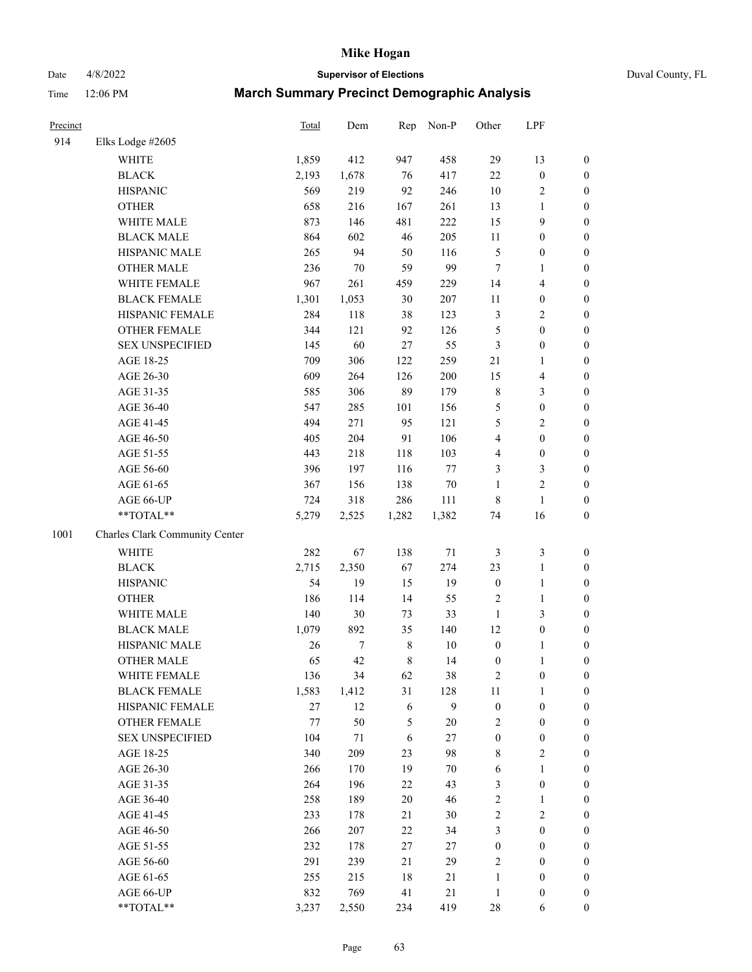# Date 4/8/2022 **Supervisor of Elections** Duval County, FL

| Precinct |                                | Total | Dem              | Rep         | Non-P   | Other                   | LPF              |                  |
|----------|--------------------------------|-------|------------------|-------------|---------|-------------------------|------------------|------------------|
| 914      | Elks Lodge #2605               |       |                  |             |         |                         |                  |                  |
|          | <b>WHITE</b>                   | 1,859 | 412              | 947         | 458     | 29                      | 13               | 0                |
|          | <b>BLACK</b>                   | 2,193 | 1,678            | 76          | 417     | 22                      | $\boldsymbol{0}$ | 0                |
|          | <b>HISPANIC</b>                | 569   | 219              | 92          | 246     | $10\,$                  | $\sqrt{2}$       | $\boldsymbol{0}$ |
|          | <b>OTHER</b>                   | 658   | 216              | 167         | 261     | 13                      | 1                | $\boldsymbol{0}$ |
|          | WHITE MALE                     | 873   | 146              | 481         | 222     | 15                      | 9                | $\boldsymbol{0}$ |
|          | <b>BLACK MALE</b>              | 864   | 602              | 46          | 205     | 11                      | $\boldsymbol{0}$ | $\boldsymbol{0}$ |
|          | HISPANIC MALE                  | 265   | 94               | 50          | 116     | 5                       | $\boldsymbol{0}$ | $\boldsymbol{0}$ |
|          | <b>OTHER MALE</b>              | 236   | $70\,$           | 59          | 99      | $\tau$                  | $\mathbf{1}$     | $\boldsymbol{0}$ |
|          | WHITE FEMALE                   | 967   | 261              | 459         | 229     | 14                      | $\overline{4}$   | $\boldsymbol{0}$ |
|          | <b>BLACK FEMALE</b>            | 1,301 | 1,053            | 30          | 207     | 11                      | $\boldsymbol{0}$ | 0                |
|          | HISPANIC FEMALE                | 284   | 118              | 38          | 123     | 3                       | $\sqrt{2}$       | $\boldsymbol{0}$ |
|          | OTHER FEMALE                   | 344   | 121              | 92          | 126     | 5                       | $\boldsymbol{0}$ | $\boldsymbol{0}$ |
|          | <b>SEX UNSPECIFIED</b>         | 145   | 60               | 27          | 55      | 3                       | $\boldsymbol{0}$ | $\boldsymbol{0}$ |
|          | AGE 18-25                      | 709   | 306              | 122         | 259     | $21\,$                  | 1                | $\boldsymbol{0}$ |
|          | AGE 26-30                      | 609   | 264              | 126         | 200     | 15                      | $\overline{4}$   | $\boldsymbol{0}$ |
|          | AGE 31-35                      | 585   | 306              | 89          | 179     | 8                       | 3                | $\boldsymbol{0}$ |
|          | AGE 36-40                      | 547   | 285              | 101         | 156     | 5                       | $\boldsymbol{0}$ | $\boldsymbol{0}$ |
|          | AGE 41-45                      | 494   | 271              | 95          | 121     | 5                       | $\mathfrak{2}$   | $\boldsymbol{0}$ |
|          | AGE 46-50                      | 405   | 204              | 91          | 106     | $\overline{\mathbf{4}}$ | $\boldsymbol{0}$ | $\boldsymbol{0}$ |
|          | AGE 51-55                      | 443   | 218              | 118         | 103     | 4                       | $\boldsymbol{0}$ | $\boldsymbol{0}$ |
|          | AGE 56-60                      | 396   | 197              | 116         | $77 \,$ | 3                       | $\mathfrak{Z}$   | $\boldsymbol{0}$ |
|          | AGE 61-65                      | 367   | 156              | 138         | 70      | $\mathbf{1}$            | $\mathfrak{2}$   | $\boldsymbol{0}$ |
|          | AGE 66-UP                      | 724   | 318              | 286         | 111     | 8                       | $\mathbf{1}$     | $\boldsymbol{0}$ |
|          | $**TOTAL**$                    | 5,279 | 2,525            | 1,282       | 1,382   | 74                      | 16               | $\boldsymbol{0}$ |
| 1001     | Charles Clark Community Center |       |                  |             |         |                         |                  |                  |
|          | <b>WHITE</b>                   | 282   | 67               | 138         | $71\,$  | 3                       | $\mathfrak z$    | $\boldsymbol{0}$ |
|          | <b>BLACK</b>                   | 2,715 | 2,350            | 67          | 274     | 23                      | $\mathbf{1}$     | $\boldsymbol{0}$ |
|          | <b>HISPANIC</b>                | 54    | 19               | 15          | 19      | $\boldsymbol{0}$        | $\mathbf{1}$     | $\boldsymbol{0}$ |
|          | <b>OTHER</b>                   | 186   | 114              | 14          | 55      | $\overline{c}$          | $\mathbf{1}$     | $\boldsymbol{0}$ |
|          | WHITE MALE                     | 140   | $30\,$           | 73          | 33      | $\mathbf{1}$            | 3                | $\boldsymbol{0}$ |
|          | <b>BLACK MALE</b>              | 1,079 | 892              | 35          | 140     | 12                      | $\boldsymbol{0}$ | $\boldsymbol{0}$ |
|          | HISPANIC MALE                  | 26    | $\boldsymbol{7}$ | $\,$ 8 $\,$ | 10      | $\boldsymbol{0}$        | 1                | 0                |
|          | <b>OTHER MALE</b>              | 65    | 42               | 8           | 14      | $\boldsymbol{0}$        | 1                | $\boldsymbol{0}$ |
|          | WHITE FEMALE                   | 136   | 34               | 62          | 38      | 2                       | 0                | 0                |
|          | <b>BLACK FEMALE</b>            | 1,583 | 1,412            | 31          | 128     | 11                      | $\mathbf{1}$     | $\overline{0}$   |
|          | HISPANIC FEMALE                | 27    | 12               | 6           | 9       | $\boldsymbol{0}$        | $\boldsymbol{0}$ | $\overline{0}$   |
|          | OTHER FEMALE                   | 77    | 50               | 5           | 20      | $\overline{\mathbf{c}}$ | $\boldsymbol{0}$ | $\overline{0}$   |
|          | <b>SEX UNSPECIFIED</b>         | 104   | 71               | 6           | $27\,$  | $\boldsymbol{0}$        | $\boldsymbol{0}$ | 0                |
|          | AGE 18-25                      | 340   | 209              | 23          | 98      | 8                       | $\sqrt{2}$       | 0                |
|          | AGE 26-30                      | 266   | 170              | 19          | 70      | 6                       | $\mathbf{1}$     | 0                |
|          | AGE 31-35                      | 264   | 196              | 22          | 43      | 3                       | $\boldsymbol{0}$ | 0                |
|          | AGE 36-40                      | 258   | 189              | $20\,$      | 46      | $\overline{\mathbf{c}}$ | 1                | 0                |
|          | AGE 41-45                      | 233   | 178              | 21          | 30      | $\mathbf{2}$            | $\mathfrak{2}$   | 0                |
|          | AGE 46-50                      | 266   | 207              | 22          | 34      | 3                       | $\boldsymbol{0}$ | 0                |
|          | AGE 51-55                      | 232   | 178              | 27          | 27      | $\boldsymbol{0}$        | $\boldsymbol{0}$ | 0                |
|          | AGE 56-60                      | 291   | 239              | 21          | 29      | 2                       | $\boldsymbol{0}$ | $\overline{0}$   |
|          | AGE 61-65                      | 255   | 215              | 18          | 21      | 1                       | $\boldsymbol{0}$ | 0                |
|          | AGE 66-UP                      | 832   | 769              | 41          | 21      | $\mathbf{1}$            | $\boldsymbol{0}$ | 0                |
|          | **TOTAL**                      | 3,237 | 2,550            | 234         | 419     | 28                      | 6                | $\boldsymbol{0}$ |
|          |                                |       |                  |             |         |                         |                  |                  |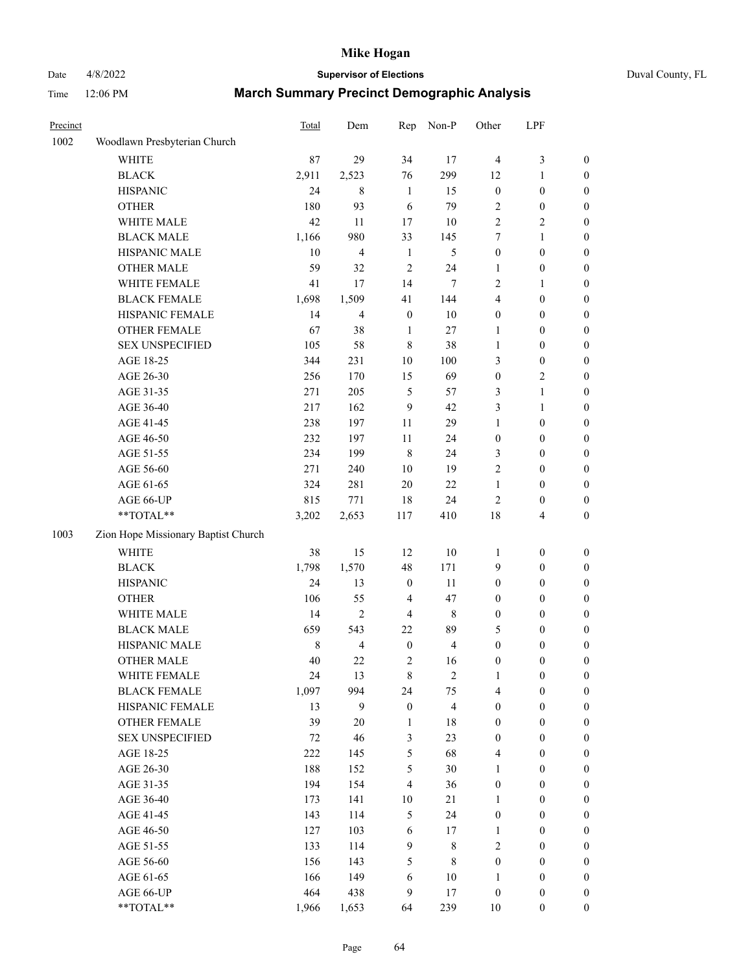# Date 4/8/2022 **Supervisor of Elections** Duval County, FL

| Precinct |                                     | <b>Total</b> | Dem            | Rep              | Non-P          | Other            | LPF              |                  |
|----------|-------------------------------------|--------------|----------------|------------------|----------------|------------------|------------------|------------------|
| 1002     | Woodlawn Presbyterian Church        |              |                |                  |                |                  |                  |                  |
|          | <b>WHITE</b>                        | 87           | 29             | 34               | 17             | $\overline{4}$   | $\mathfrak{Z}$   | 0                |
|          | <b>BLACK</b>                        | 2,911        | 2,523          | 76               | 299            | 12               | $\mathbf{1}$     | $\boldsymbol{0}$ |
|          | <b>HISPANIC</b>                     | 24           | $\,8\,$        | $\mathbf{1}$     | 15             | $\boldsymbol{0}$ | $\boldsymbol{0}$ | $\boldsymbol{0}$ |
|          | <b>OTHER</b>                        | 180          | 93             | 6                | 79             | 2                | $\boldsymbol{0}$ | $\boldsymbol{0}$ |
|          | WHITE MALE                          | 42           | 11             | 17               | 10             | $\overline{c}$   | $\mathfrak{2}$   | $\boldsymbol{0}$ |
|          | <b>BLACK MALE</b>                   | 1,166        | 980            | 33               | 145            | 7                | $\mathbf{1}$     | $\boldsymbol{0}$ |
|          | HISPANIC MALE                       | 10           | $\overline{4}$ | $\mathbf{1}$     | $\sqrt{5}$     | $\boldsymbol{0}$ | $\boldsymbol{0}$ | $\boldsymbol{0}$ |
|          | <b>OTHER MALE</b>                   | 59           | 32             | $\sqrt{2}$       | 24             | $\mathbf{1}$     | $\boldsymbol{0}$ | $\boldsymbol{0}$ |
|          | WHITE FEMALE                        | 41           | 17             | 14               | 7              | $\overline{c}$   | $\mathbf{1}$     | $\boldsymbol{0}$ |
|          | <b>BLACK FEMALE</b>                 | 1,698        | 1,509          | 41               | 144            | 4                | $\boldsymbol{0}$ | 0                |
|          | HISPANIC FEMALE                     | 14           | $\overline{4}$ | $\boldsymbol{0}$ | 10             | 0                | $\boldsymbol{0}$ | $\boldsymbol{0}$ |
|          | <b>OTHER FEMALE</b>                 | 67           | 38             | $\mathbf{1}$     | $27\,$         | 1                | $\boldsymbol{0}$ | $\boldsymbol{0}$ |
|          | <b>SEX UNSPECIFIED</b>              | 105          | 58             | $\,8\,$          | 38             | 1                | $\boldsymbol{0}$ | $\boldsymbol{0}$ |
|          | AGE 18-25                           | 344          | 231            | $10\,$           | 100            | 3                | $\boldsymbol{0}$ | $\boldsymbol{0}$ |
|          | AGE 26-30                           | 256          | 170            | 15               | 69             | $\boldsymbol{0}$ | $\mathfrak{2}$   | $\boldsymbol{0}$ |
|          | AGE 31-35                           | 271          | 205            | $\mathfrak s$    | 57             | 3                | $\mathbf{1}$     | $\boldsymbol{0}$ |
|          | AGE 36-40                           | 217          | 162            | 9                | 42             | 3                | $\mathbf{1}$     | $\boldsymbol{0}$ |
|          | AGE 41-45                           | 238          | 197            | $11\,$           | 29             | 1                | $\boldsymbol{0}$ | $\boldsymbol{0}$ |
|          | AGE 46-50                           | 232          | 197            | 11               | 24             | $\boldsymbol{0}$ | $\boldsymbol{0}$ | $\boldsymbol{0}$ |
|          | AGE 51-55                           | 234          | 199            | $\,8\,$          | 24             | 3                | $\boldsymbol{0}$ | 0                |
|          | AGE 56-60                           | 271          | 240            | 10               | 19             | $\overline{c}$   | $\boldsymbol{0}$ | $\boldsymbol{0}$ |
|          | AGE 61-65                           | 324          | 281            | $20\,$           | $22\,$         | $\mathbf{1}$     | $\boldsymbol{0}$ | $\boldsymbol{0}$ |
|          | AGE 66-UP                           | 815          | 771            | $18\,$           | 24             | 2                | $\boldsymbol{0}$ | $\boldsymbol{0}$ |
|          | $**TOTAL**$                         | 3,202        | 2,653          | 117              | 410            | 18               | $\overline{4}$   | $\boldsymbol{0}$ |
| 1003     | Zion Hope Missionary Baptist Church |              |                |                  |                |                  |                  |                  |
|          | <b>WHITE</b>                        | 38           | 15             | 12               | 10             | 1                | $\boldsymbol{0}$ | $\boldsymbol{0}$ |
|          | <b>BLACK</b>                        | 1,798        | 1,570          | 48               | 171            | 9                | $\boldsymbol{0}$ | $\boldsymbol{0}$ |
|          | <b>HISPANIC</b>                     | 24           | 13             | $\boldsymbol{0}$ | 11             | $\boldsymbol{0}$ | $\boldsymbol{0}$ | $\boldsymbol{0}$ |
|          | <b>OTHER</b>                        | 106          | 55             | $\overline{4}$   | 47             | $\boldsymbol{0}$ | $\boldsymbol{0}$ | $\boldsymbol{0}$ |
|          | WHITE MALE                          | 14           | $\overline{2}$ | $\overline{4}$   | $\,$ 8 $\,$    | $\boldsymbol{0}$ | $\boldsymbol{0}$ | $\boldsymbol{0}$ |
|          | <b>BLACK MALE</b>                   | 659          | 543            | 22               | 89             | 5                | $\boldsymbol{0}$ | $\boldsymbol{0}$ |
|          | HISPANIC MALE                       | $\,$ $\,$    | $\overline{4}$ | $\boldsymbol{0}$ | $\overline{4}$ | $\boldsymbol{0}$ | $\boldsymbol{0}$ | 0                |
|          | <b>OTHER MALE</b>                   | 40           | 22             | $\sqrt{2}$       | 16             | $\boldsymbol{0}$ | $\boldsymbol{0}$ | $\boldsymbol{0}$ |
|          | WHITE FEMALE                        | 24           | 13             | 8                | 2              | 1                | $\boldsymbol{0}$ | $\boldsymbol{0}$ |
|          | <b>BLACK FEMALE</b>                 | 1,097        | 994            | 24               | 75             | 4                | $\boldsymbol{0}$ | $\boldsymbol{0}$ |
|          | HISPANIC FEMALE                     | 13           | 9              | $\boldsymbol{0}$ | 4              | $\boldsymbol{0}$ | $\boldsymbol{0}$ | $\overline{0}$   |
|          | OTHER FEMALE                        | 39           | 20             | $\mathbf{1}$     | 18             | $\boldsymbol{0}$ | $\boldsymbol{0}$ | $\overline{0}$   |
|          | <b>SEX UNSPECIFIED</b>              | $72\,$       | 46             | 3                | 23             | $\boldsymbol{0}$ | $\boldsymbol{0}$ | $\boldsymbol{0}$ |
|          | AGE 18-25                           | 222          | 145            | $\mathfrak s$    | 68             | 4                | $\boldsymbol{0}$ | $\overline{0}$   |
|          | AGE 26-30                           | 188          | 152            | $\mathfrak s$    | 30             | 1                | $\boldsymbol{0}$ | 0                |
|          | AGE 31-35                           | 194          | 154            | $\overline{4}$   | 36             | $\boldsymbol{0}$ | $\boldsymbol{0}$ | 0                |
|          | AGE 36-40                           | 173          | 141            | $10\,$           | 21             | 1                | $\boldsymbol{0}$ | 0                |
|          | AGE 41-45                           | 143          | 114            | $\mathfrak{S}$   | 24             | $\boldsymbol{0}$ | $\boldsymbol{0}$ | 0                |
|          | AGE 46-50                           | 127          | 103            | $\sqrt{6}$       | 17             | 1                | $\boldsymbol{0}$ | $\boldsymbol{0}$ |
|          | AGE 51-55                           | 133          | 114            | $\boldsymbol{9}$ | $\,$ 8 $\,$    | 2                | $\boldsymbol{0}$ | $\boldsymbol{0}$ |
|          | AGE 56-60                           | 156          | 143            | 5                | $\,$ 8 $\,$    | $\boldsymbol{0}$ | $\boldsymbol{0}$ | $\boldsymbol{0}$ |
|          | AGE 61-65                           | 166          | 149            | 6                | 10             | 1                | $\boldsymbol{0}$ | $\boldsymbol{0}$ |
|          | AGE 66-UP                           | 464          | 438            | $\mathbf{9}$     | 17             | $\boldsymbol{0}$ | $\boldsymbol{0}$ | $\boldsymbol{0}$ |
|          | **TOTAL**                           | 1,966        | 1,653          | 64               | 239            | $10\,$           | $\boldsymbol{0}$ | $\boldsymbol{0}$ |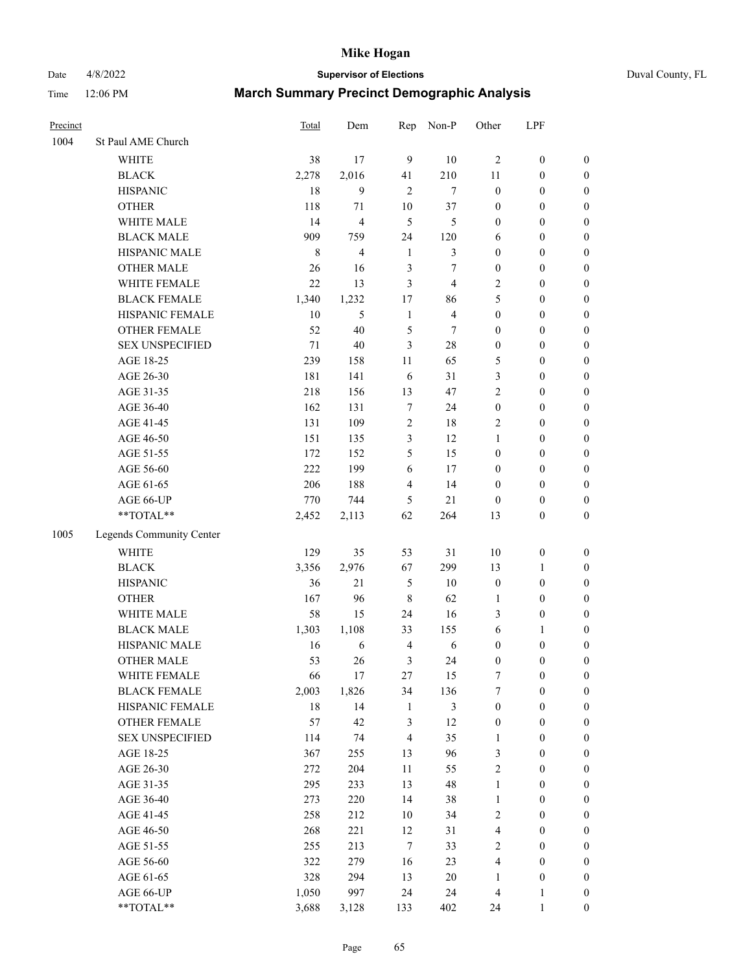Date 4/8/2022 **Supervisor of Elections** Duval County, FL

| Precinct |                          | Total   | Dem            | Rep              | Non-P          | Other            | LPF              |                  |
|----------|--------------------------|---------|----------------|------------------|----------------|------------------|------------------|------------------|
| 1004     | St Paul AME Church       |         |                |                  |                |                  |                  |                  |
|          | <b>WHITE</b>             | 38      | 17             | 9                | 10             | $\overline{2}$   | $\boldsymbol{0}$ | $\boldsymbol{0}$ |
|          | <b>BLACK</b>             | 2,278   | 2,016          | 41               | 210            | 11               | $\boldsymbol{0}$ | $\boldsymbol{0}$ |
|          | <b>HISPANIC</b>          | 18      | 9              | $\overline{2}$   | $\tau$         | $\boldsymbol{0}$ | $\boldsymbol{0}$ | $\boldsymbol{0}$ |
|          | <b>OTHER</b>             | 118     | 71             | $10\,$           | 37             | $\boldsymbol{0}$ | $\boldsymbol{0}$ | $\boldsymbol{0}$ |
|          | WHITE MALE               | 14      | $\overline{4}$ | 5                | 5              | $\boldsymbol{0}$ | $\boldsymbol{0}$ | $\boldsymbol{0}$ |
|          | <b>BLACK MALE</b>        | 909     | 759            | 24               | 120            | 6                | $\boldsymbol{0}$ | $\boldsymbol{0}$ |
|          | HISPANIC MALE            | $\,8\,$ | $\overline{4}$ | $\mathbf{1}$     | $\mathfrak{Z}$ | $\boldsymbol{0}$ | $\boldsymbol{0}$ | $\boldsymbol{0}$ |
|          | <b>OTHER MALE</b>        | 26      | 16             | 3                | 7              | $\boldsymbol{0}$ | $\boldsymbol{0}$ | $\boldsymbol{0}$ |
|          | WHITE FEMALE             | 22      | 13             | 3                | $\overline{4}$ | 2                | $\boldsymbol{0}$ | $\boldsymbol{0}$ |
|          | <b>BLACK FEMALE</b>      | 1,340   | 1,232          | 17               | 86             | 5                | $\boldsymbol{0}$ | $\boldsymbol{0}$ |
|          | HISPANIC FEMALE          | 10      | 5              | $\mathbf{1}$     | $\overline{4}$ | $\boldsymbol{0}$ | $\boldsymbol{0}$ | 0                |
|          | <b>OTHER FEMALE</b>      | 52      | 40             | 5                | $\tau$         | $\boldsymbol{0}$ | $\boldsymbol{0}$ | $\boldsymbol{0}$ |
|          | <b>SEX UNSPECIFIED</b>   | 71      | 40             | 3                | $28\,$         | $\boldsymbol{0}$ | $\boldsymbol{0}$ | $\boldsymbol{0}$ |
|          | AGE 18-25                | 239     | 158            | $11\,$           | 65             | 5                | $\boldsymbol{0}$ | $\boldsymbol{0}$ |
|          | AGE 26-30                | 181     | 141            | 6                | 31             | 3                | $\boldsymbol{0}$ | $\boldsymbol{0}$ |
|          | AGE 31-35                | 218     | 156            | 13               | 47             | $\overline{c}$   | $\boldsymbol{0}$ | $\boldsymbol{0}$ |
|          | AGE 36-40                | 162     | 131            | $\boldsymbol{7}$ | 24             | $\boldsymbol{0}$ | $\boldsymbol{0}$ | $\boldsymbol{0}$ |
|          | AGE 41-45                | 131     | 109            | $\sqrt{2}$       | 18             | 2                | $\boldsymbol{0}$ | $\boldsymbol{0}$ |
|          | AGE 46-50                | 151     | 135            | 3                | 12             | $\mathbf{1}$     | $\boldsymbol{0}$ | $\boldsymbol{0}$ |
|          | AGE 51-55                | 172     | 152            | 5                | 15             | $\boldsymbol{0}$ | $\boldsymbol{0}$ | $\boldsymbol{0}$ |
|          | AGE 56-60                | 222     | 199            | 6                | 17             | $\boldsymbol{0}$ | $\boldsymbol{0}$ | 0                |
|          | AGE 61-65                | 206     | 188            | $\overline{4}$   | 14             | $\boldsymbol{0}$ | $\boldsymbol{0}$ | 0                |
|          | AGE 66-UP                | 770     | 744            | 5                | 21             | $\boldsymbol{0}$ | $\boldsymbol{0}$ | $\boldsymbol{0}$ |
|          | **TOTAL**                | 2,452   | 2,113          | 62               | 264            | 13               | $\boldsymbol{0}$ | $\boldsymbol{0}$ |
|          |                          |         |                |                  |                |                  |                  |                  |
| 1005     | Legends Community Center |         |                |                  |                |                  |                  |                  |
|          | <b>WHITE</b>             | 129     | 35             | 53               | 31             | $10\,$           | $\boldsymbol{0}$ | $\boldsymbol{0}$ |
|          | <b>BLACK</b>             | 3,356   | 2,976          | 67               | 299            | 13               | $\mathbf{1}$     | $\boldsymbol{0}$ |
|          | <b>HISPANIC</b>          | 36      | 21             | $\mathfrak{S}$   | 10             | $\boldsymbol{0}$ | $\boldsymbol{0}$ | $\boldsymbol{0}$ |
|          | <b>OTHER</b>             | 167     | 96             | $\,$ 8 $\,$      | 62             | $\mathbf{1}$     | $\boldsymbol{0}$ | $\boldsymbol{0}$ |
|          | WHITE MALE               | 58      | 15             | 24               | 16             | 3                | $\boldsymbol{0}$ | $\boldsymbol{0}$ |
|          | <b>BLACK MALE</b>        | 1,303   | 1,108          | 33               | 155            | 6                | 1                | $\boldsymbol{0}$ |
|          | HISPANIC MALE            | 16      | 6              | $\overline{4}$   | $\sqrt{6}$     | $\boldsymbol{0}$ | $\boldsymbol{0}$ | $\boldsymbol{0}$ |
|          | <b>OTHER MALE</b>        | 53      | 26             | 3                | 24             | $\boldsymbol{0}$ | $\boldsymbol{0}$ | $\boldsymbol{0}$ |
|          | WHITE FEMALE             | 66      | 17             | 27               | 15             | 7                | 0                | 0                |
|          | <b>BLACK FEMALE</b>      | 2,003   | 1,826          | 34               | 136            | 7                | $\boldsymbol{0}$ | $\boldsymbol{0}$ |
|          | HISPANIC FEMALE          | 18      | 14             | $\mathbf{1}$     | $\mathfrak{Z}$ | $\boldsymbol{0}$ | $\boldsymbol{0}$ | $\overline{0}$   |
|          | OTHER FEMALE             | 57      | 42             | 3                | 12             | $\boldsymbol{0}$ | $\boldsymbol{0}$ | $\overline{0}$   |
|          | <b>SEX UNSPECIFIED</b>   | 114     | 74             | $\overline{4}$   | 35             | $\mathbf{1}$     | $\boldsymbol{0}$ | 0                |
|          | AGE 18-25                | 367     | 255            | 13               | 96             | 3                | $\boldsymbol{0}$ | $\overline{0}$   |
|          | AGE 26-30                | 272     | 204            | $11\,$           | 55             | 2                | $\boldsymbol{0}$ | 0                |
|          | AGE 31-35                | 295     | 233            | 13               | 48             | $\mathbf{1}$     | $\boldsymbol{0}$ | 0                |
|          | AGE 36-40                | 273     | 220            | 14               | 38             | $\mathbf{1}$     | $\boldsymbol{0}$ | 0                |
|          | AGE 41-45                | 258     | 212            | 10               | 34             | 2                | $\boldsymbol{0}$ | 0                |
|          | AGE 46-50                | 268     | 221            | 12               | 31             | 4                | $\boldsymbol{0}$ | 0                |
|          | AGE 51-55                | 255     | 213            | $\tau$           | 33             | 2                | $\boldsymbol{0}$ | $\boldsymbol{0}$ |
|          | AGE 56-60                | 322     | 279            | 16               | 23             | 4                | $\boldsymbol{0}$ | $\overline{0}$   |
|          | AGE 61-65                | 328     | 294            | 13               | $20\,$         | 1                | $\boldsymbol{0}$ | $\overline{0}$   |
|          | AGE 66-UP                | 1,050   | 997            | 24               | 24             | 4                | $\mathbf{1}$     | 0                |
|          | **TOTAL**                | 3,688   | 3,128          | 133              | 402            | 24               | $\mathbf{1}$     | $\boldsymbol{0}$ |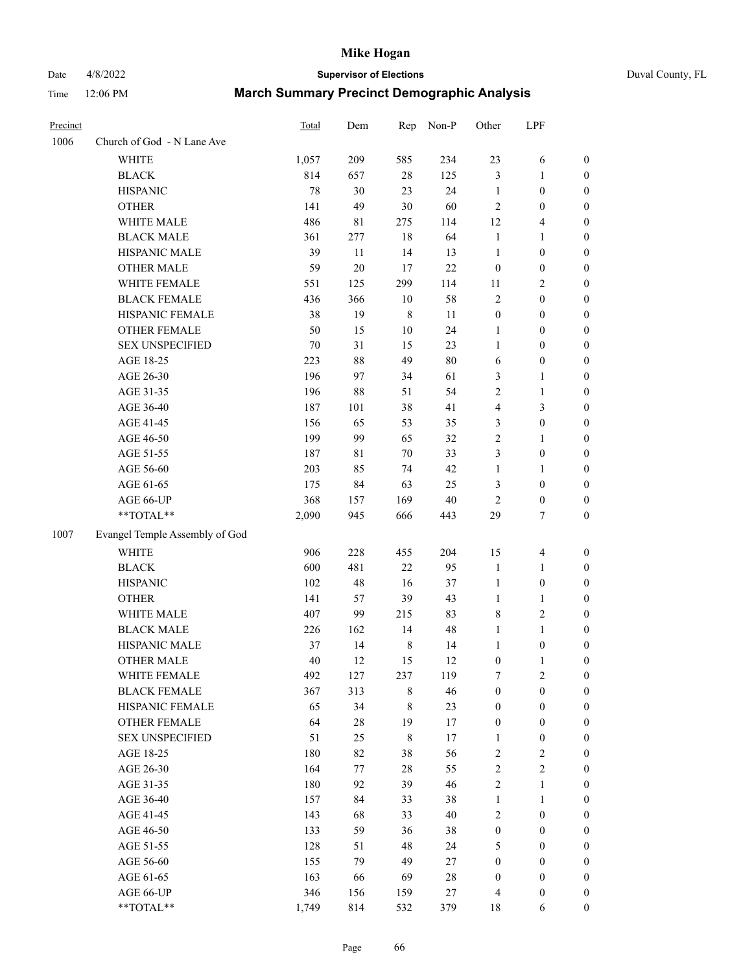# Date 4/8/2022 **Supervisor of Elections** Duval County, FL

| Precinct |                                | <b>Total</b> | Dem    | Rep         | Non-P  | Other            | LPF              |                  |
|----------|--------------------------------|--------------|--------|-------------|--------|------------------|------------------|------------------|
| 1006     | Church of God - N Lane Ave     |              |        |             |        |                  |                  |                  |
|          | <b>WHITE</b>                   | 1,057        | 209    | 585         | 234    | 23               | 6                | 0                |
|          | <b>BLACK</b>                   | 814          | 657    | $28\,$      | 125    | 3                | $\mathbf{1}$     | 0                |
|          | <b>HISPANIC</b>                | 78           | 30     | 23          | 24     | $\mathbf{1}$     | $\boldsymbol{0}$ | $\boldsymbol{0}$ |
|          | <b>OTHER</b>                   | 141          | 49     | 30          | 60     | $\mathbf{2}$     | $\boldsymbol{0}$ | $\boldsymbol{0}$ |
|          | WHITE MALE                     | 486          | 81     | 275         | 114    | 12               | $\overline{4}$   | $\boldsymbol{0}$ |
|          | <b>BLACK MALE</b>              | 361          | 277    | 18          | 64     | $\mathbf{1}$     | 1                | $\boldsymbol{0}$ |
|          | HISPANIC MALE                  | 39           | 11     | 14          | 13     | $\mathbf{1}$     | $\boldsymbol{0}$ | $\boldsymbol{0}$ |
|          | <b>OTHER MALE</b>              | 59           | $20\,$ | 17          | 22     | $\boldsymbol{0}$ | $\boldsymbol{0}$ | $\boldsymbol{0}$ |
|          | WHITE FEMALE                   | 551          | 125    | 299         | 114    | 11               | $\mathbf{2}$     | $\boldsymbol{0}$ |
|          | <b>BLACK FEMALE</b>            | 436          | 366    | $10\,$      | 58     | 2                | $\boldsymbol{0}$ | $\boldsymbol{0}$ |
|          | HISPANIC FEMALE                | 38           | 19     | $\,$ 8 $\,$ | 11     | $\boldsymbol{0}$ | $\boldsymbol{0}$ | 0                |
|          | <b>OTHER FEMALE</b>            | 50           | 15     | $10\,$      | 24     | 1                | $\boldsymbol{0}$ | $\boldsymbol{0}$ |
|          | <b>SEX UNSPECIFIED</b>         | 70           | 31     | 15          | 23     | $\mathbf{1}$     | $\boldsymbol{0}$ | $\boldsymbol{0}$ |
|          | AGE 18-25                      | 223          | $88\,$ | 49          | $80\,$ | 6                | $\boldsymbol{0}$ | $\boldsymbol{0}$ |
|          | AGE 26-30                      | 196          | 97     | 34          | 61     | 3                | $\mathbf{1}$     | $\boldsymbol{0}$ |
|          | AGE 31-35                      | 196          | $88\,$ | 51          | 54     | $\overline{c}$   | $\mathbf{1}$     | $\boldsymbol{0}$ |
|          | AGE 36-40                      | 187          | 101    | 38          | 41     | 4                | 3                | $\boldsymbol{0}$ |
|          | AGE 41-45                      | 156          | 65     | 53          | 35     | 3                | $\boldsymbol{0}$ | $\boldsymbol{0}$ |
|          | AGE 46-50                      | 199          | 99     | 65          | 32     | $\overline{c}$   | 1                | $\boldsymbol{0}$ |
|          | AGE 51-55                      | 187          | 81     | $70\,$      | 33     | 3                | $\boldsymbol{0}$ | 0                |
|          | AGE 56-60                      | 203          | 85     | 74          | 42     | $\mathbf{1}$     | 1                | 0                |
|          | AGE 61-65                      | 175          | 84     | 63          | 25     | 3                | $\boldsymbol{0}$ | 0                |
|          | AGE 66-UP                      | 368          | 157    | 169         | $40\,$ | $\mathbf{2}$     | $\boldsymbol{0}$ | $\boldsymbol{0}$ |
|          | **TOTAL**                      | 2,090        | 945    | 666         | 443    | 29               | $\tau$           | $\boldsymbol{0}$ |
| 1007     | Evangel Temple Assembly of God |              |        |             |        |                  |                  |                  |
|          | <b>WHITE</b>                   | 906          | 228    | 455         | 204    | 15               | $\overline{4}$   | $\boldsymbol{0}$ |
|          | <b>BLACK</b>                   | 600          | 481    | $22\,$      | 95     | $\mathbf{1}$     | $\mathbf{1}$     | $\boldsymbol{0}$ |
|          | <b>HISPANIC</b>                | 102          | 48     | 16          | 37     | $\mathbf{1}$     | $\boldsymbol{0}$ | $\boldsymbol{0}$ |
|          | <b>OTHER</b>                   | 141          | 57     | 39          | 43     | $\mathbf{1}$     | $\mathbf{1}$     | $\boldsymbol{0}$ |
|          | WHITE MALE                     | 407          | 99     | 215         | 83     | 8                | $\mathfrak{2}$   | $\boldsymbol{0}$ |
|          | <b>BLACK MALE</b>              | 226          | 162    | 14          | 48     | $\mathbf{1}$     | $\mathbf{1}$     | $\boldsymbol{0}$ |
|          | HISPANIC MALE                  | 37           | 14     | $\,8\,$     | 14     | 1                | $\boldsymbol{0}$ | 0                |
|          | <b>OTHER MALE</b>              | 40           | 12     | 15          | 12     | $\boldsymbol{0}$ | $\mathbf{1}$     | 0                |
|          | WHITE FEMALE                   | 492          | 127    | 237         | 119    | 7                | 2                | 0                |
|          | <b>BLACK FEMALE</b>            | 367          | 313    | 8           | 46     | $\boldsymbol{0}$ | $\boldsymbol{0}$ | $\boldsymbol{0}$ |
|          | HISPANIC FEMALE                | 65           | 34     | $\,$ 8 $\,$ | 23     | $\boldsymbol{0}$ | $\boldsymbol{0}$ | $\overline{0}$   |
|          | <b>OTHER FEMALE</b>            | 64           | $28\,$ | 19          | 17     | $\boldsymbol{0}$ | $\boldsymbol{0}$ | $\overline{0}$   |
|          | <b>SEX UNSPECIFIED</b>         | 51           | 25     | 8           | 17     | $\mathbf{1}$     | $\boldsymbol{0}$ | 0                |
|          | AGE 18-25                      | 180          | 82     | 38          | 56     | 2                | $\sqrt{2}$       | 0                |
|          | AGE 26-30                      | 164          | 77     | $28\,$      | 55     | $\overline{2}$   | $\overline{c}$   | 0                |
|          | AGE 31-35                      | 180          | 92     | 39          | 46     | $\overline{c}$   | $\mathbf{1}$     | 0                |
|          | AGE 36-40                      | 157          | 84     | 33          | 38     | $\mathbf{1}$     | $\mathbf{1}$     | 0                |
|          | AGE 41-45                      | 143          | 68     | 33          | 40     | 2                | $\boldsymbol{0}$ | 0                |
|          | AGE 46-50                      | 133          | 59     | 36          | 38     | $\boldsymbol{0}$ | $\boldsymbol{0}$ | 0                |
|          | AGE 51-55                      | 128          | 51     | 48          | 24     | 5                | $\boldsymbol{0}$ | $\overline{0}$   |
|          | AGE 56-60                      | 155          | 79     | 49          | 27     | $\boldsymbol{0}$ | $\boldsymbol{0}$ | $\overline{0}$   |
|          | AGE 61-65                      | 163          | 66     | 69          | $28\,$ | $\boldsymbol{0}$ | $\boldsymbol{0}$ | $\overline{0}$   |
|          | AGE 66-UP                      | 346          | 156    | 159         | 27     | 4                | $\boldsymbol{0}$ | 0                |
|          | **TOTAL**                      | 1,749        | 814    | 532         | 379    | 18               | 6                | $\boldsymbol{0}$ |
|          |                                |              |        |             |        |                  |                  |                  |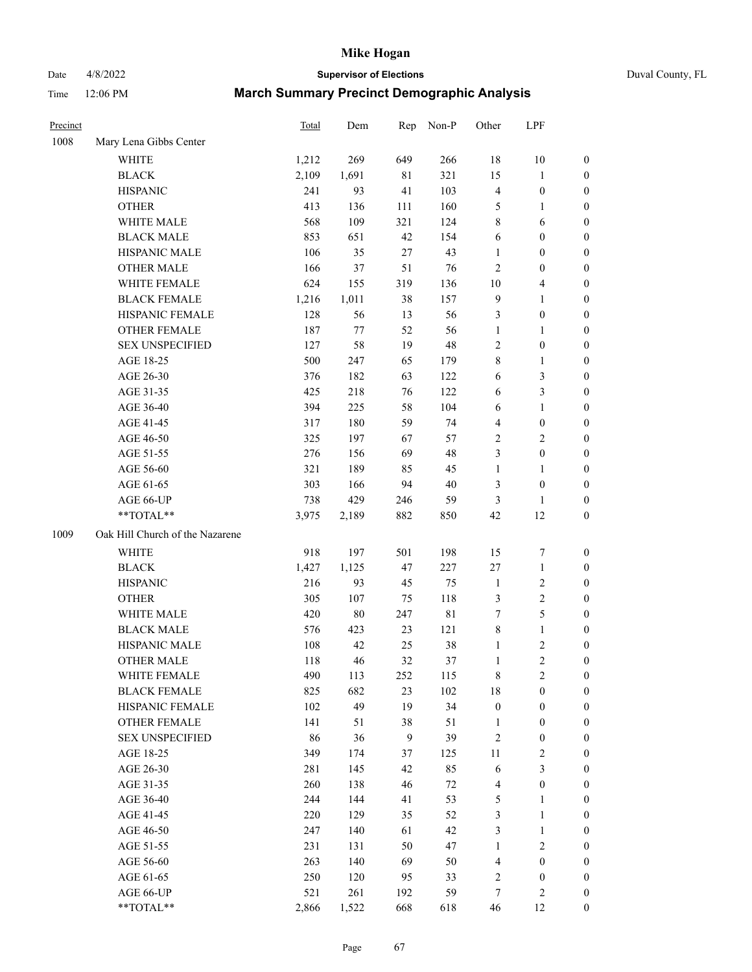Date 4/8/2022 **Supervisor of Elections** Duval County, FL

| Precinct |                                 | <b>Total</b> | Dem     | Rep          | Non-P       | Other            | LPF              |                  |
|----------|---------------------------------|--------------|---------|--------------|-------------|------------------|------------------|------------------|
| 1008     | Mary Lena Gibbs Center          |              |         |              |             |                  |                  |                  |
|          | <b>WHITE</b>                    | 1,212        | 269     | 649          | 266         | 18               | 10               | 0                |
|          | <b>BLACK</b>                    | 2,109        | 1,691   | 81           | 321         | 15               | $\mathbf{1}$     | 0                |
|          | <b>HISPANIC</b>                 | 241          | 93      | 41           | 103         | 4                | $\boldsymbol{0}$ | $\boldsymbol{0}$ |
|          | <b>OTHER</b>                    | 413          | 136     | 111          | 160         | 5                | 1                | $\boldsymbol{0}$ |
|          | WHITE MALE                      | 568          | 109     | 321          | 124         | 8                | 6                | $\boldsymbol{0}$ |
|          | <b>BLACK MALE</b>               | 853          | 651     | 42           | 154         | 6                | $\boldsymbol{0}$ | $\boldsymbol{0}$ |
|          | HISPANIC MALE                   | 106          | 35      | 27           | 43          | 1                | $\boldsymbol{0}$ | $\boldsymbol{0}$ |
|          | <b>OTHER MALE</b>               | 166          | 37      | 51           | 76          | 2                | $\boldsymbol{0}$ | $\boldsymbol{0}$ |
|          | WHITE FEMALE                    | 624          | 155     | 319          | 136         | $10\,$           | $\overline{4}$   | $\boldsymbol{0}$ |
|          | <b>BLACK FEMALE</b>             | 1,216        | 1,011   | 38           | 157         | 9                | $\mathbf{1}$     | 0                |
|          | HISPANIC FEMALE                 | 128          | 56      | 13           | 56          | 3                | $\boldsymbol{0}$ | 0                |
|          | OTHER FEMALE                    | 187          | $77 \,$ | 52           | 56          | $\mathbf{1}$     | 1                | $\boldsymbol{0}$ |
|          | <b>SEX UNSPECIFIED</b>          | 127          | 58      | 19           | 48          | $\overline{c}$   | $\boldsymbol{0}$ | $\boldsymbol{0}$ |
|          | AGE 18-25                       | 500          | 247     | 65           | 179         | 8                | $\mathbf{1}$     | $\boldsymbol{0}$ |
|          | AGE 26-30                       | 376          | 182     | 63           | 122         | 6                | $\mathfrak{Z}$   | $\boldsymbol{0}$ |
|          | AGE 31-35                       | 425          | 218     | 76           | 122         | 6                | 3                | $\boldsymbol{0}$ |
|          | AGE 36-40                       | 394          | 225     | 58           | 104         | 6                | $\mathbf{1}$     | $\boldsymbol{0}$ |
|          | AGE 41-45                       | 317          | 180     | 59           | 74          | 4                | $\boldsymbol{0}$ | $\boldsymbol{0}$ |
|          | AGE 46-50                       | 325          | 197     | 67           | 57          | $\overline{c}$   | $\mathbf{2}$     | $\boldsymbol{0}$ |
|          | AGE 51-55                       | 276          | 156     | 69           | 48          | 3                | $\boldsymbol{0}$ | $\boldsymbol{0}$ |
|          | AGE 56-60                       | 321          | 189     | 85           | 45          | 1                | 1                | 0                |
|          | AGE 61-65                       | 303          | 166     | 94           | $40\,$      | 3                | $\boldsymbol{0}$ | $\boldsymbol{0}$ |
|          | AGE 66-UP                       | 738          | 429     | 246          | 59          | 3                | $\mathbf{1}$     | $\boldsymbol{0}$ |
|          | **TOTAL**                       | 3,975        | 2,189   | 882          | 850         | 42               | 12               | $\boldsymbol{0}$ |
| 1009     | Oak Hill Church of the Nazarene |              |         |              |             |                  |                  |                  |
|          | <b>WHITE</b>                    | 918          | 197     | 501          | 198         | 15               | $\boldsymbol{7}$ | $\boldsymbol{0}$ |
|          | <b>BLACK</b>                    | 1,427        | 1,125   | 47           | 227         | 27               | $\mathbf{1}$     | $\boldsymbol{0}$ |
|          | <b>HISPANIC</b>                 | 216          | 93      | 45           | 75          | $\mathbf{1}$     | $\sqrt{2}$       | $\boldsymbol{0}$ |
|          | <b>OTHER</b>                    | 305          | 107     | 75           | 118         | 3                | $\sqrt{2}$       | $\boldsymbol{0}$ |
|          | WHITE MALE                      | 420          | $80\,$  | 247          | $8\sqrt{1}$ | $\tau$           | 5                | $\boldsymbol{0}$ |
|          | <b>BLACK MALE</b>               | 576          | 423     | 23           | 121         | 8                | $\mathbf{1}$     | $\boldsymbol{0}$ |
|          | HISPANIC MALE                   | 108          | 42      | 25           | 38          | 1                | $\sqrt{2}$       | 0                |
|          | <b>OTHER MALE</b>               | 118          | 46      | 32           | 37          | 1                | $\overline{2}$   | $\boldsymbol{0}$ |
|          | WHITE FEMALE                    | 490          | 113     | 252          | 115         | 8                | $\overline{c}$   | 0                |
|          | <b>BLACK FEMALE</b>             | 825          | 682     | 23           | 102         | 18               | $\boldsymbol{0}$ | $\overline{0}$   |
|          | HISPANIC FEMALE                 | 102          | 49      | 19           | 34          | $\boldsymbol{0}$ | $\boldsymbol{0}$ | $\overline{0}$   |
|          | <b>OTHER FEMALE</b>             | 141          | 51      | 38           | 51          | 1                | $\boldsymbol{0}$ | 0                |
|          | <b>SEX UNSPECIFIED</b>          | 86           | 36      | $\mathbf{9}$ | 39          | 2                | $\boldsymbol{0}$ | 0                |
|          | AGE 18-25                       | 349          | 174     | 37           | 125         | 11               | $\sqrt{2}$       | 0                |
|          | AGE 26-30                       | 281          | 145     | 42           | 85          | 6                | 3                | 0                |
|          | AGE 31-35                       | 260          | 138     | 46           | $72\,$      | 4                | $\boldsymbol{0}$ | 0                |
|          | AGE 36-40                       | 244          | 144     | 41           | 53          | 5                | $\mathbf{1}$     | 0                |
|          | AGE 41-45                       | 220          | 129     | 35           | 52          | 3                | $\mathbf{1}$     | 0                |
|          | AGE 46-50                       | 247          | 140     | 61           | 42          | 3                | $\mathbf{1}$     | 0                |
|          | AGE 51-55                       | 231          | 131     | 50           | 47          | $\mathbf{1}$     | $\sqrt{2}$       | 0                |
|          | AGE 56-60                       | 263          | 140     | 69           | 50          | 4                | $\boldsymbol{0}$ | 0                |
|          | AGE 61-65                       | 250          | 120     | 95           | 33          | 2                | $\boldsymbol{0}$ | 0                |
|          | AGE 66-UP                       | 521          | 261     | 192          | 59          | 7                | $\mathfrak{2}$   | 0                |
|          | **TOTAL**                       | 2,866        | 1,522   | 668          | 618         | 46               | 12               | $\boldsymbol{0}$ |
|          |                                 |              |         |              |             |                  |                  |                  |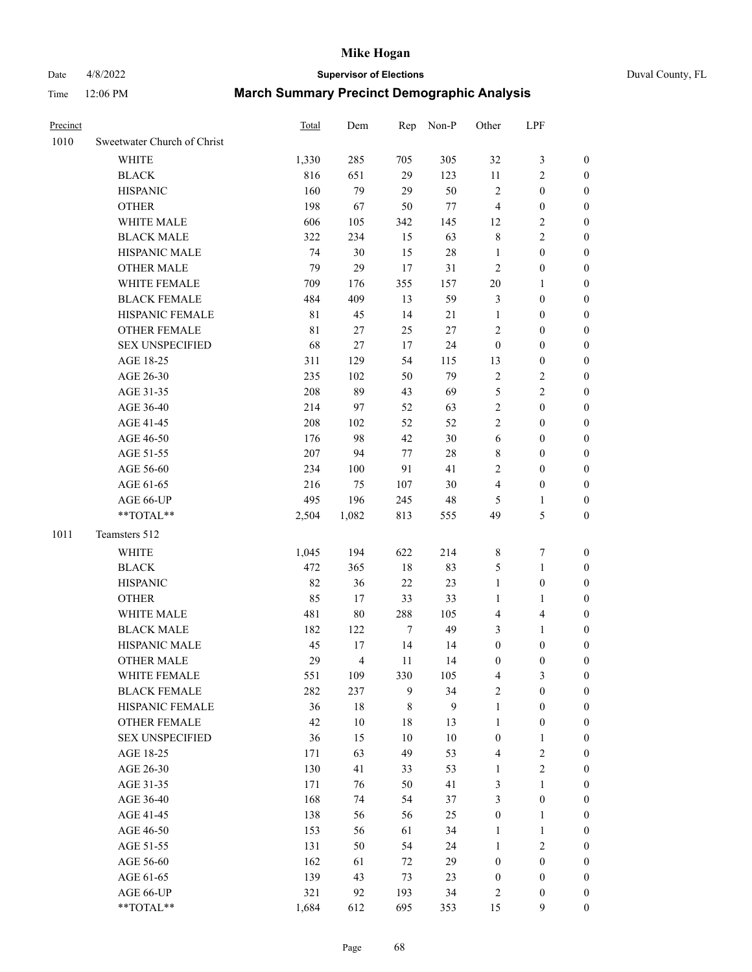# Date 4/8/2022 **Supervisor of Elections** Duval County, FL

| Precinct |                             | Total | Dem            |                  | Rep Non-P | Other            | LPF              |                  |
|----------|-----------------------------|-------|----------------|------------------|-----------|------------------|------------------|------------------|
| 1010     | Sweetwater Church of Christ |       |                |                  |           |                  |                  |                  |
|          | <b>WHITE</b>                | 1,330 | 285            | 705              | 305       | 32               | $\mathfrak z$    | 0                |
|          | <b>BLACK</b>                | 816   | 651            | 29               | 123       | 11               | $\sqrt{2}$       | 0                |
|          | <b>HISPANIC</b>             | 160   | 79             | 29               | 50        | $\sqrt{2}$       | $\boldsymbol{0}$ | $\boldsymbol{0}$ |
|          | <b>OTHER</b>                | 198   | 67             | 50               | $77 \,$   | $\overline{4}$   | $\boldsymbol{0}$ | $\boldsymbol{0}$ |
|          | WHITE MALE                  | 606   | 105            | 342              | 145       | 12               | $\sqrt{2}$       | $\boldsymbol{0}$ |
|          | <b>BLACK MALE</b>           | 322   | 234            | 15               | 63        | 8                | $\sqrt{2}$       | $\boldsymbol{0}$ |
|          | HISPANIC MALE               | 74    | 30             | 15               | 28        | $\mathbf{1}$     | $\boldsymbol{0}$ | $\boldsymbol{0}$ |
|          | <b>OTHER MALE</b>           | 79    | 29             | 17               | 31        | $\mathfrak{2}$   | $\boldsymbol{0}$ | $\boldsymbol{0}$ |
|          | WHITE FEMALE                | 709   | 176            | 355              | 157       | $20\,$           | 1                | $\boldsymbol{0}$ |
|          | <b>BLACK FEMALE</b>         | 484   | 409            | 13               | 59        | 3                | $\boldsymbol{0}$ | 0                |
|          | HISPANIC FEMALE             | 81    | 45             | 14               | 21        | $\mathbf{1}$     | $\boldsymbol{0}$ | 0                |
|          | OTHER FEMALE                | 81    | $27\,$         | 25               | $27\,$    | 2                | $\boldsymbol{0}$ | $\boldsymbol{0}$ |
|          | <b>SEX UNSPECIFIED</b>      | 68    | 27             | 17               | 24        | $\boldsymbol{0}$ | $\boldsymbol{0}$ | $\boldsymbol{0}$ |
|          | AGE 18-25                   | 311   | 129            | 54               | 115       | 13               | $\boldsymbol{0}$ | $\boldsymbol{0}$ |
|          | AGE 26-30                   | 235   | 102            | 50               | 79        | 2                | $\sqrt{2}$       | $\boldsymbol{0}$ |
|          | AGE 31-35                   | 208   | 89             | 43               | 69        | 5                | $\sqrt{2}$       | $\boldsymbol{0}$ |
|          | AGE 36-40                   | 214   | 97             | 52               | 63        | $\overline{c}$   | $\boldsymbol{0}$ | $\boldsymbol{0}$ |
|          | AGE 41-45                   | 208   | 102            | 52               | 52        | $\overline{c}$   | $\boldsymbol{0}$ | $\boldsymbol{0}$ |
|          | AGE 46-50                   | 176   | 98             | 42               | $30\,$    | 6                | $\boldsymbol{0}$ | $\boldsymbol{0}$ |
|          | AGE 51-55                   | 207   | 94             | 77               | 28        | 8                | $\boldsymbol{0}$ | $\boldsymbol{0}$ |
|          | AGE 56-60                   | 234   | 100            | 91               | 41        | 2                | $\boldsymbol{0}$ | 0                |
|          | AGE 61-65                   | 216   | 75             | 107              | 30        | 4                | $\boldsymbol{0}$ | 0                |
|          | AGE 66-UP                   | 495   | 196            | 245              | 48        | 5                | 1                | $\boldsymbol{0}$ |
|          | $**TOTAL**$                 | 2,504 | 1,082          | 813              | 555       | 49               | $\mathfrak s$    | $\boldsymbol{0}$ |
| 1011     | Teamsters 512               |       |                |                  |           |                  |                  |                  |
|          | <b>WHITE</b>                | 1,045 | 194            | 622              | 214       | 8                | $\boldsymbol{7}$ | $\boldsymbol{0}$ |
|          | <b>BLACK</b>                | 472   | 365            | 18               | 83        | 5                | $\mathbf{1}$     | $\boldsymbol{0}$ |
|          | <b>HISPANIC</b>             | 82    | 36             | 22               | 23        | $\mathbf{1}$     | $\boldsymbol{0}$ | $\boldsymbol{0}$ |
|          | <b>OTHER</b>                | 85    | 17             | 33               | 33        | $\mathbf{1}$     | $\mathbf{1}$     | $\boldsymbol{0}$ |
|          | WHITE MALE                  | 481   | 80             | 288              | 105       | 4                | $\overline{4}$   | $\boldsymbol{0}$ |
|          | <b>BLACK MALE</b>           | 182   | 122            | $\boldsymbol{7}$ | 49        | 3                | $\mathbf{1}$     | $\boldsymbol{0}$ |
|          | HISPANIC MALE               | 45    | 17             | 14               | 14        | $\boldsymbol{0}$ | $\boldsymbol{0}$ | 0                |
|          | <b>OTHER MALE</b>           | 29    | $\overline{4}$ | 11               | 14        | $\boldsymbol{0}$ | $\boldsymbol{0}$ | 0                |
|          | WHITE FEMALE                | 551   | 109            | 330              | 105       | 4                | 3                | 0                |
|          | <b>BLACK FEMALE</b>         | 282   | 237            | 9                | 34        | $\mathbf{2}$     | $\boldsymbol{0}$ | $\overline{0}$   |
|          | HISPANIC FEMALE             | 36    | 18             | 8                | 9         | 1                | $\boldsymbol{0}$ | $\overline{0}$   |
|          | OTHER FEMALE                | 42    | 10             | 18               | 13        | 1                | $\boldsymbol{0}$ | 0                |
|          | <b>SEX UNSPECIFIED</b>      | 36    | 15             | 10               | 10        | $\boldsymbol{0}$ | $\mathbf{1}$     | 0                |
|          | AGE 18-25                   | 171   | 63             | 49               | 53        | 4                | $\sqrt{2}$       | 0                |
|          | AGE 26-30                   | 130   | 41             | 33               | 53        | $\mathbf{1}$     | $\overline{c}$   | 0                |
|          | AGE 31-35                   | 171   | 76             | 50               | 41        | 3                | $\mathbf{1}$     | 0                |
|          | AGE 36-40                   | 168   | 74             | 54               | 37        | 3                | $\boldsymbol{0}$ | 0                |
|          | AGE 41-45                   | 138   | 56             | 56               | 25        | $\boldsymbol{0}$ | $\mathbf{1}$     | 0                |
|          | AGE 46-50                   | 153   | 56             | 61               | 34        | $\mathbf{1}$     | $\mathbf{1}$     | 0                |
|          | AGE 51-55                   | 131   | 50             | 54               | 24        | $\mathbf{1}$     | $\sqrt{2}$       | 0                |
|          | AGE 56-60                   | 162   | 61             | 72               | 29        | $\boldsymbol{0}$ | $\boldsymbol{0}$ | $\overline{0}$   |
|          | AGE 61-65                   | 139   | 43             | 73               | 23        | $\boldsymbol{0}$ | $\boldsymbol{0}$ | $\overline{0}$   |
|          | AGE 66-UP                   | 321   | 92             | 193              | 34        | 2                | $\boldsymbol{0}$ | 0                |
|          | **TOTAL**                   | 1,684 | 612            | 695              | 353       | 15               | 9                | $\boldsymbol{0}$ |
|          |                             |       |                |                  |           |                  |                  |                  |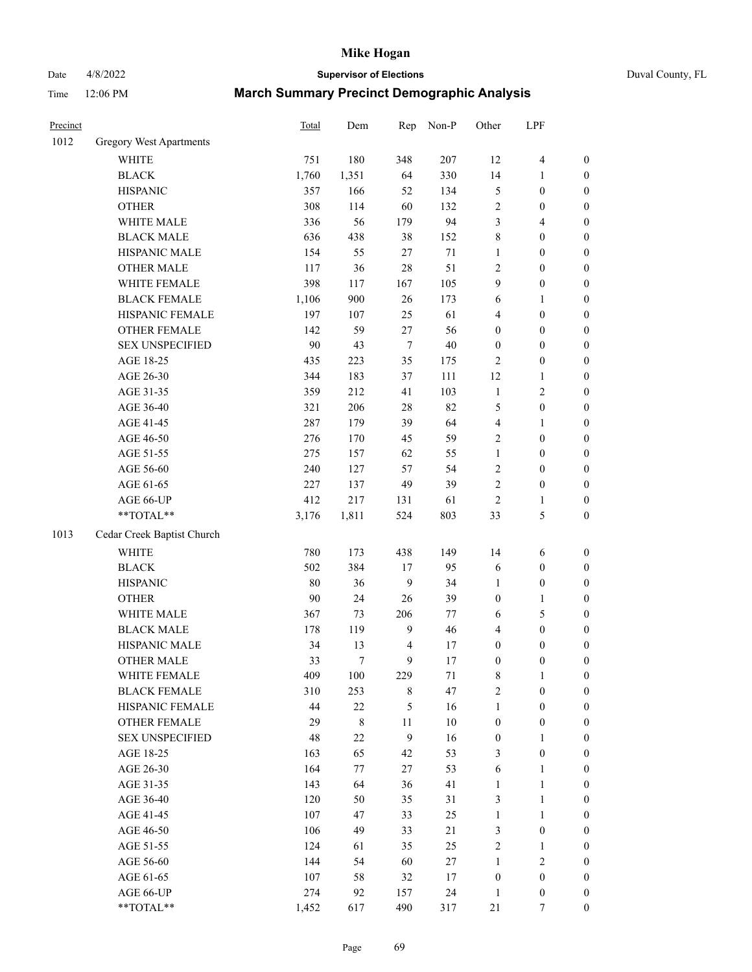# Date 4/8/2022 **Supervisor of Elections** Duval County, FL

| Precinct |                                | Total | Dem         | Rep    | Non-P  | Other            | LPF              |                  |
|----------|--------------------------------|-------|-------------|--------|--------|------------------|------------------|------------------|
| 1012     | <b>Gregory West Apartments</b> |       |             |        |        |                  |                  |                  |
|          | <b>WHITE</b>                   | 751   | 180         | 348    | 207    | 12               | $\overline{4}$   | 0                |
|          | <b>BLACK</b>                   | 1,760 | 1,351       | 64     | 330    | 14               | 1                | $\boldsymbol{0}$ |
|          | <b>HISPANIC</b>                | 357   | 166         | 52     | 134    | 5                | $\boldsymbol{0}$ | $\boldsymbol{0}$ |
|          | <b>OTHER</b>                   | 308   | 114         | 60     | 132    | $\overline{c}$   | $\boldsymbol{0}$ | $\boldsymbol{0}$ |
|          | WHITE MALE                     | 336   | 56          | 179    | 94     | 3                | $\overline{4}$   | $\boldsymbol{0}$ |
|          | <b>BLACK MALE</b>              | 636   | 438         | 38     | 152    | 8                | $\boldsymbol{0}$ | $\boldsymbol{0}$ |
|          | HISPANIC MALE                  | 154   | 55          | 27     | 71     | 1                | $\boldsymbol{0}$ | $\boldsymbol{0}$ |
|          | <b>OTHER MALE</b>              | 117   | 36          | 28     | 51     | 2                | $\boldsymbol{0}$ | $\boldsymbol{0}$ |
|          | WHITE FEMALE                   | 398   | 117         | 167    | 105    | 9                | $\boldsymbol{0}$ | $\boldsymbol{0}$ |
|          | <b>BLACK FEMALE</b>            | 1,106 | 900         | 26     | 173    | 6                | 1                | $\boldsymbol{0}$ |
|          | HISPANIC FEMALE                | 197   | 107         | 25     | 61     | 4                | $\boldsymbol{0}$ | $\boldsymbol{0}$ |
|          | OTHER FEMALE                   | 142   | 59          | 27     | 56     | 0                | $\boldsymbol{0}$ | $\boldsymbol{0}$ |
|          | <b>SEX UNSPECIFIED</b>         | 90    | 43          | $\tau$ | 40     | $\boldsymbol{0}$ | $\boldsymbol{0}$ | $\boldsymbol{0}$ |
|          | AGE 18-25                      | 435   | 223         | 35     | 175    | 2                | $\boldsymbol{0}$ | $\boldsymbol{0}$ |
|          | AGE 26-30                      | 344   | 183         | 37     | 111    | 12               | $\mathbf{1}$     | $\boldsymbol{0}$ |
|          | AGE 31-35                      | 359   | 212         | 41     | 103    | $\mathbf{1}$     | $\sqrt{2}$       | $\boldsymbol{0}$ |
|          | AGE 36-40                      | 321   | 206         | 28     | 82     | 5                | $\boldsymbol{0}$ | $\boldsymbol{0}$ |
|          | AGE 41-45                      | 287   | 179         | 39     | 64     | 4                | $\mathbf{1}$     | $\boldsymbol{0}$ |
|          | AGE 46-50                      | 276   | 170         | 45     | 59     | $\overline{c}$   | $\boldsymbol{0}$ | $\boldsymbol{0}$ |
|          | AGE 51-55                      | 275   | 157         | 62     | 55     | $\mathbf{1}$     | $\boldsymbol{0}$ | $\boldsymbol{0}$ |
|          | AGE 56-60                      | 240   | 127         | 57     | 54     | $\mathbf{2}$     | $\boldsymbol{0}$ | $\boldsymbol{0}$ |
|          | AGE 61-65                      | 227   | 137         | 49     | 39     | $\overline{c}$   | $\boldsymbol{0}$ | $\boldsymbol{0}$ |
|          | AGE 66-UP                      | 412   | 217         | 131    | 61     | $\mathbf{2}$     | $\mathbf{1}$     | $\boldsymbol{0}$ |
|          | $**TOTAL**$                    | 3,176 | 1,811       | 524    | 803    | 33               | 5                | $\boldsymbol{0}$ |
| 1013     | Cedar Creek Baptist Church     |       |             |        |        |                  |                  |                  |
|          | <b>WHITE</b>                   | 780   | 173         | 438    | 149    | 14               | 6                | $\boldsymbol{0}$ |
|          | <b>BLACK</b>                   | 502   | 384         | 17     | 95     | 6                | $\boldsymbol{0}$ | $\boldsymbol{0}$ |
|          | <b>HISPANIC</b>                | 80    | 36          | 9      | 34     | 1                | $\boldsymbol{0}$ | $\boldsymbol{0}$ |
|          | <b>OTHER</b>                   | 90    | 24          | 26     | 39     | $\boldsymbol{0}$ | $\mathbf{1}$     | $\boldsymbol{0}$ |
|          | WHITE MALE                     | 367   | 73          | 206    | 77     | 6                | 5                | $\boldsymbol{0}$ |
|          | <b>BLACK MALE</b>              | 178   | 119         | 9      | 46     | 4                | $\boldsymbol{0}$ | $\boldsymbol{0}$ |
|          | HISPANIC MALE                  | 34    | 13          | 4      | 17     | $\boldsymbol{0}$ | $\boldsymbol{0}$ | $\boldsymbol{0}$ |
|          | <b>OTHER MALE</b>              | 33    | $\tau$      | 9      | 17     | $\boldsymbol{0}$ | $\boldsymbol{0}$ | $\boldsymbol{0}$ |
|          | WHITE FEMALE                   | 409   | 100         | 229    | 71     | 8                | 1                | 0                |
|          | <b>BLACK FEMALE</b>            | 310   | 253         | 8      | 47     | $\overline{c}$   | $\boldsymbol{0}$ | $\overline{0}$   |
|          | HISPANIC FEMALE                | 44    | $22\,$      | 5      | 16     | 1                | $\boldsymbol{0}$ | $\overline{0}$   |
|          | OTHER FEMALE                   | 29    | $\,$ 8 $\,$ | 11     | 10     | $\boldsymbol{0}$ | $\boldsymbol{0}$ | $\overline{0}$   |
|          | <b>SEX UNSPECIFIED</b>         | 48    | $22\,$      | 9      | 16     | $\boldsymbol{0}$ | $\mathbf{1}$     | 0                |
|          | AGE 18-25                      | 163   | 65          | 42     | 53     | 3                | $\boldsymbol{0}$ | 0                |
|          | AGE 26-30                      | 164   | 77          | 27     | 53     | 6                | $\mathbf{1}$     | 0                |
|          | AGE 31-35                      | 143   | 64          | 36     | 41     | 1                | $\mathbf{1}$     | 0                |
|          | AGE 36-40                      | 120   | 50          | 35     | 31     | 3                | $\mathbf{1}$     | 0                |
|          | AGE 41-45                      | 107   | 47          | 33     | 25     | $\mathbf{1}$     | $\mathbf{1}$     | 0                |
|          | AGE 46-50                      | 106   | 49          | 33     | 21     | 3                | $\boldsymbol{0}$ | 0                |
|          | AGE 51-55                      | 124   | 61          | 35     | 25     | 2                | $\mathbf{1}$     | 0                |
|          | AGE 56-60                      | 144   | 54          | 60     | $27\,$ | 1                | $\sqrt{2}$       | 0                |
|          | AGE 61-65                      | 107   | 58          | 32     | 17     | $\boldsymbol{0}$ | $\boldsymbol{0}$ | $\overline{0}$   |
|          | AGE 66-UP                      | 274   | 92          | 157    | 24     | $\mathbf{1}$     | $\boldsymbol{0}$ | 0                |
|          | **TOTAL**                      | 1,452 | 617         | 490    | 317    | 21               | 7                | $\boldsymbol{0}$ |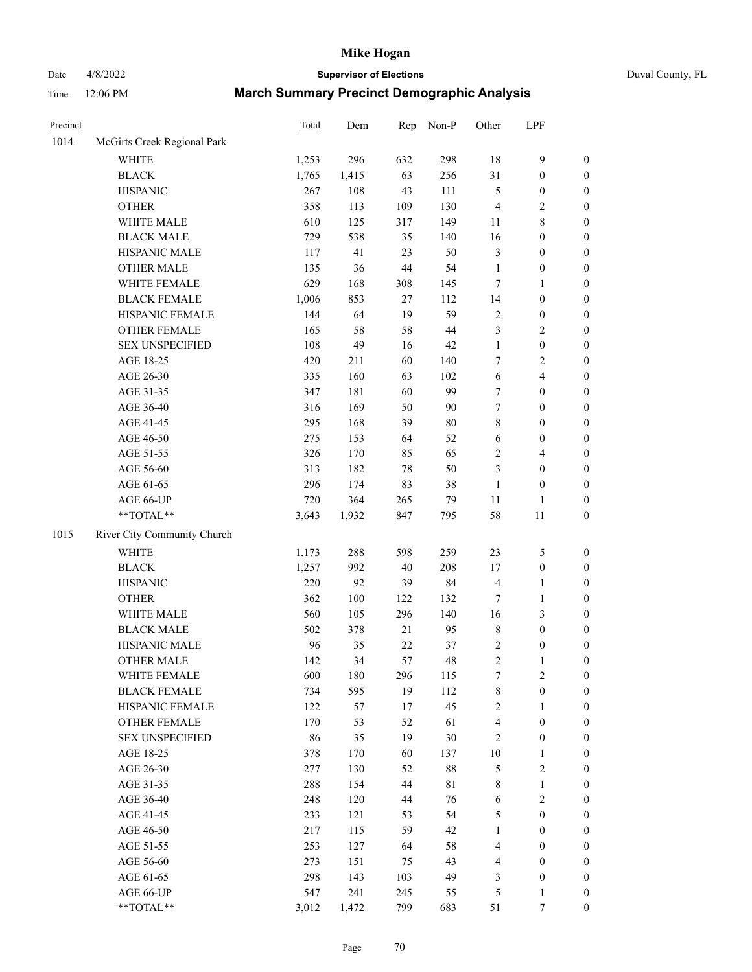# Date 4/8/2022 **Supervisor of Elections** Duval County, FL

| Precinct |                                     | Total        | Dem        | Rep       | Non-P             | Other             | LPF                            |                  |
|----------|-------------------------------------|--------------|------------|-----------|-------------------|-------------------|--------------------------------|------------------|
| 1014     | McGirts Creek Regional Park         |              |            |           |                   |                   |                                |                  |
|          | <b>WHITE</b>                        | 1,253        | 296        | 632       | 298               | 18                | $\mathbf{9}$                   | 0                |
|          | <b>BLACK</b>                        | 1,765        | 1,415      | 63        | 256               | 31                | $\boldsymbol{0}$               | $\boldsymbol{0}$ |
|          | <b>HISPANIC</b>                     | 267          | 108        | 43        | 111               | 5                 | $\boldsymbol{0}$               | $\boldsymbol{0}$ |
|          | <b>OTHER</b>                        | 358          | 113        | 109       | 130               | $\overline{4}$    | $\sqrt{2}$                     | $\boldsymbol{0}$ |
|          | WHITE MALE                          | 610          | 125        | 317       | 149               | 11                | $\,$ 8 $\,$                    | $\boldsymbol{0}$ |
|          | <b>BLACK MALE</b>                   | 729          | 538        | 35        | 140               | 16                | $\boldsymbol{0}$               | $\boldsymbol{0}$ |
|          | HISPANIC MALE                       | 117          | 41         | 23        | 50                | 3                 | $\boldsymbol{0}$               | $\boldsymbol{0}$ |
|          | <b>OTHER MALE</b>                   | 135          | 36         | 44        | 54                | $\mathbf{1}$      | $\boldsymbol{0}$               | $\boldsymbol{0}$ |
|          | WHITE FEMALE                        | 629          | 168        | 308       | 145               | 7                 | $\mathbf{1}$                   | $\boldsymbol{0}$ |
|          | <b>BLACK FEMALE</b>                 | 1,006        | 853        | 27        | 112               | 14                | $\boldsymbol{0}$               | $\boldsymbol{0}$ |
|          | HISPANIC FEMALE                     | 144          | 64         | 19        | 59                | $\mathbf{2}$      | $\boldsymbol{0}$               | $\boldsymbol{0}$ |
|          | OTHER FEMALE                        | 165          | 58         | 58        | 44                | 3                 | $\sqrt{2}$                     | $\boldsymbol{0}$ |
|          | <b>SEX UNSPECIFIED</b>              | 108          | 49         | 16        | 42                | $\mathbf{1}$      | $\boldsymbol{0}$               | $\boldsymbol{0}$ |
|          | AGE 18-25                           | 420          | 211        | 60        | 140               | 7                 | $\sqrt{2}$                     | $\boldsymbol{0}$ |
|          | AGE 26-30                           | 335          | 160        | 63        | 102               | 6                 | $\overline{4}$                 | $\boldsymbol{0}$ |
|          | AGE 31-35                           | 347          | 181        | 60        | 99                | $\boldsymbol{7}$  | $\boldsymbol{0}$               | $\boldsymbol{0}$ |
|          | AGE 36-40                           | 316          | 169        | 50        | 90                | $\boldsymbol{7}$  | $\boldsymbol{0}$               | $\boldsymbol{0}$ |
|          | AGE 41-45                           | 295          | 168        | 39        | 80                | 8                 | $\boldsymbol{0}$               | $\boldsymbol{0}$ |
|          | AGE 46-50                           | 275          | 153        | 64        | 52                | 6                 | $\boldsymbol{0}$               | $\boldsymbol{0}$ |
|          | AGE 51-55                           | 326          | 170        | 85        | 65                | $\mathbf{2}$      | $\overline{4}$                 | $\boldsymbol{0}$ |
|          | AGE 56-60                           | 313          | 182        | 78        | 50                | 3                 | $\boldsymbol{0}$               | $\boldsymbol{0}$ |
|          | AGE 61-65                           | 296          | 174        | 83        | 38                | $\mathbf{1}$      | $\boldsymbol{0}$               | $\boldsymbol{0}$ |
|          | AGE 66-UP                           | 720          | 364        | 265       | 79                | $11\,$            | $\mathbf{1}$                   | $\boldsymbol{0}$ |
|          | $**TOTAL**$                         | 3,643        | 1,932      | 847       | 795               | 58                | 11                             | $\boldsymbol{0}$ |
| 1015     | River City Community Church         |              |            |           |                   |                   |                                |                  |
|          | <b>WHITE</b>                        |              | 288        | 598       | 259               | 23                | $\mathfrak s$                  |                  |
|          |                                     | 1,173        | 992        |           | 208               |                   |                                | $\boldsymbol{0}$ |
|          | <b>BLACK</b><br><b>HISPANIC</b>     | 1,257<br>220 | 92         | 40<br>39  | 84                | 17                | $\boldsymbol{0}$               | $\boldsymbol{0}$ |
|          |                                     |              |            |           |                   | 4                 | $\mathbf{1}$                   | $\boldsymbol{0}$ |
|          | <b>OTHER</b>                        | 362          | 100        | 122       | 132               | 7                 | $\mathbf{1}$                   | $\boldsymbol{0}$ |
|          | WHITE MALE<br><b>BLACK MALE</b>     | 560          | 105        | 296<br>21 | 140<br>95         | 16<br>$\,$ 8 $\,$ | 3<br>$\boldsymbol{0}$          | $\boldsymbol{0}$ |
|          |                                     | 502          | 378        |           |                   |                   |                                | $\boldsymbol{0}$ |
|          | HISPANIC MALE                       | 96           | 35         | 22        | 37                | 2                 | $\boldsymbol{0}$               | $\boldsymbol{0}$ |
|          | <b>OTHER MALE</b>                   | 142          | 34         | 57        | 48                | $\overline{c}$    | $\mathbf{1}$                   | $\boldsymbol{0}$ |
|          | WHITE FEMALE<br><b>BLACK FEMALE</b> | 600          | 180        | 296       | 115               | 7                 | $\overline{c}$                 | 0                |
|          |                                     | 734          | 595        | 19        | 112               | 8                 | $\boldsymbol{0}$               | $\overline{0}$   |
|          | HISPANIC FEMALE                     | 122          | 57         | 17        | 45                | $\overline{c}$    | 1                              | $\overline{0}$   |
|          | OTHER FEMALE                        | 170          | 53         | 52        | 61                | 4                 | $\boldsymbol{0}$               | $\theta$         |
|          | <b>SEX UNSPECIFIED</b>              | 86           | 35         | 19        | 30                | 2                 | $\boldsymbol{0}$               | 0                |
|          | AGE 18-25                           | 378          | 170        | 60        | 137               | 10                | $\mathbf{1}$                   | 0                |
|          | AGE 26-30                           | 277<br>288   | 130        | 52<br>44  | 88<br>$8\sqrt{1}$ | 5<br>8            | $\mathbf{2}$                   | 0<br>0           |
|          | AGE 31-35                           |              | 154        |           |                   |                   | $\mathbf{1}$                   |                  |
|          | AGE 36-40                           | 248<br>233   | 120<br>121 | 44<br>53  | 76<br>54          | 6                 | $\sqrt{2}$<br>$\boldsymbol{0}$ | 0                |
|          | AGE 41-45                           |              |            |           |                   | 5                 |                                | 0                |
|          | AGE 46-50                           | 217          | 115        | 59        | 42                | 1                 | $\boldsymbol{0}$               | 0                |
|          | AGE 51-55                           | 253          | 127        | 64        | 58                | 4                 | $\boldsymbol{0}$               | 0                |
|          | AGE 56-60                           | 273          | 151        | 75        | 43                | 4                 | $\boldsymbol{0}$               | $\overline{0}$   |
|          | AGE 61-65                           | 298          | 143        | 103       | 49                | 3                 | $\boldsymbol{0}$               | $\overline{0}$   |
|          | AGE 66-UP                           | 547          | 241        | 245       | 55                | 5                 | $\mathbf{1}$                   | 0                |
|          | **TOTAL**                           | 3,012        | 1,472      | 799       | 683               | 51                | 7                              | $\boldsymbol{0}$ |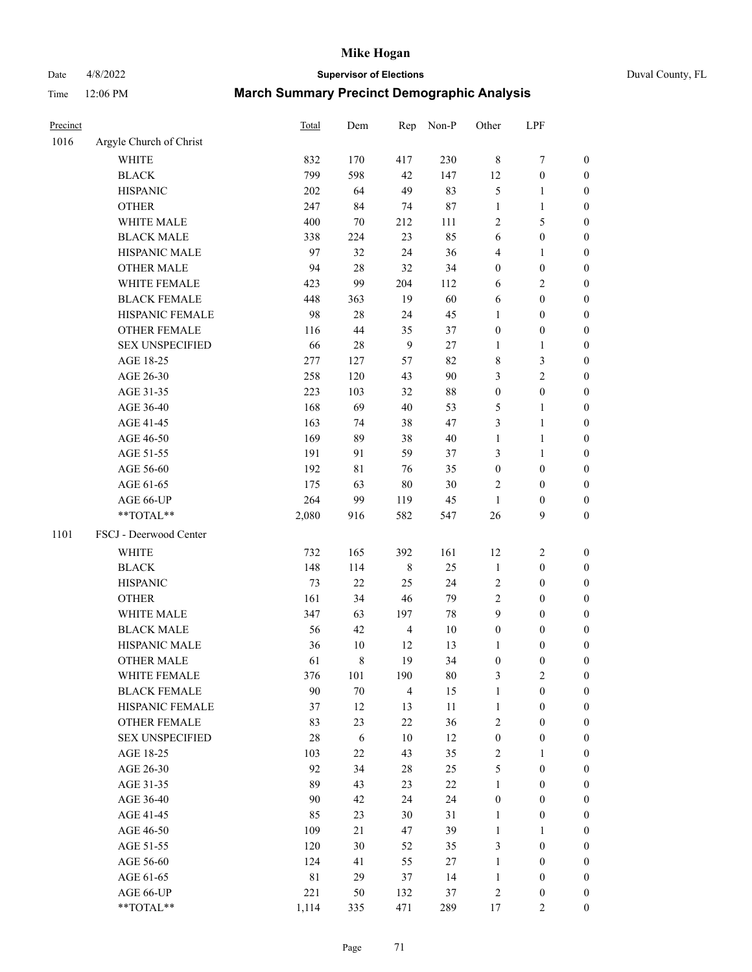Date 4/8/2022 **Supervisor of Elections** Duval County, FL

| Precinct |                         | <b>Total</b> | Dem         | Rep            | Non-P  | Other                   | LPF              |                  |
|----------|-------------------------|--------------|-------------|----------------|--------|-------------------------|------------------|------------------|
| 1016     | Argyle Church of Christ |              |             |                |        |                         |                  |                  |
|          | <b>WHITE</b>            | 832          | 170         | 417            | 230    | 8                       | $\boldsymbol{7}$ | 0                |
|          | <b>BLACK</b>            | 799          | 598         | 42             | 147    | 12                      | $\boldsymbol{0}$ | $\boldsymbol{0}$ |
|          | <b>HISPANIC</b>         | 202          | 64          | 49             | 83     | 5                       | 1                | $\boldsymbol{0}$ |
|          | <b>OTHER</b>            | 247          | 84          | 74             | 87     | 1                       | $\mathbf{1}$     | $\boldsymbol{0}$ |
|          | WHITE MALE              | 400          | 70          | 212            | 111    | 2                       | 5                | $\boldsymbol{0}$ |
|          | <b>BLACK MALE</b>       | 338          | 224         | 23             | 85     | 6                       | $\boldsymbol{0}$ | $\boldsymbol{0}$ |
|          | HISPANIC MALE           | 97           | 32          | 24             | 36     | 4                       | $\mathbf{1}$     | $\boldsymbol{0}$ |
|          | <b>OTHER MALE</b>       | 94           | 28          | 32             | 34     | $\boldsymbol{0}$        | $\boldsymbol{0}$ | $\boldsymbol{0}$ |
|          | WHITE FEMALE            | 423          | 99          | 204            | 112    | 6                       | $\sqrt{2}$       | $\boldsymbol{0}$ |
|          | <b>BLACK FEMALE</b>     | 448          | 363         | 19             | 60     | 6                       | $\boldsymbol{0}$ | 0                |
|          | HISPANIC FEMALE         | 98           | 28          | 24             | 45     | 1                       | $\boldsymbol{0}$ | $\boldsymbol{0}$ |
|          | OTHER FEMALE            | 116          | 44          | 35             | 37     | $\boldsymbol{0}$        | $\boldsymbol{0}$ | $\boldsymbol{0}$ |
|          | <b>SEX UNSPECIFIED</b>  | 66           | 28          | 9              | $27\,$ | $\mathbf{1}$            | $\mathbf{1}$     | $\boldsymbol{0}$ |
|          | AGE 18-25               | 277          | 127         | 57             | 82     | 8                       | $\mathfrak{Z}$   | $\boldsymbol{0}$ |
|          | AGE 26-30               | 258          | 120         | 43             | 90     | 3                       | $\overline{c}$   | $\boldsymbol{0}$ |
|          | AGE 31-35               | 223          | 103         | 32             | 88     | $\boldsymbol{0}$        | $\boldsymbol{0}$ | $\boldsymbol{0}$ |
|          | AGE 36-40               | 168          | 69          | 40             | 53     | 5                       | $\mathbf{1}$     | $\boldsymbol{0}$ |
|          | AGE 41-45               | 163          | 74          | 38             | 47     | 3                       | $\mathbf{1}$     | $\boldsymbol{0}$ |
|          | AGE 46-50               | 169          | 89          | 38             | $40\,$ | $\mathbf{1}$            | $\mathbf{1}$     | $\boldsymbol{0}$ |
|          | AGE 51-55               | 191          | 91          | 59             | 37     | 3                       | $\mathbf{1}$     | 0                |
|          | AGE 56-60               | 192          | $8\sqrt{1}$ | 76             | 35     | $\boldsymbol{0}$        | $\boldsymbol{0}$ | 0                |
|          | AGE 61-65               | 175          | 63          | $80\,$         | 30     | 2                       | $\boldsymbol{0}$ | $\boldsymbol{0}$ |
|          | AGE 66-UP               | 264          | 99          | 119            | 45     | $\mathbf{1}$            | $\boldsymbol{0}$ | $\boldsymbol{0}$ |
|          | **TOTAL**               | 2,080        | 916         | 582            | 547    | 26                      | 9                | $\boldsymbol{0}$ |
| 1101     | FSCJ - Deerwood Center  |              |             |                |        |                         |                  |                  |
|          | WHITE                   | 732          | 165         | 392            | 161    | 12                      | $\sqrt{2}$       | $\boldsymbol{0}$ |
|          | <b>BLACK</b>            | 148          | 114         | $\,$ 8 $\,$    | 25     | $\mathbf{1}$            | $\boldsymbol{0}$ | $\boldsymbol{0}$ |
|          | <b>HISPANIC</b>         | 73           | 22          | 25             | 24     | $\overline{c}$          | $\boldsymbol{0}$ | $\boldsymbol{0}$ |
|          | <b>OTHER</b>            | 161          | 34          | 46             | 79     | $\overline{c}$          | $\boldsymbol{0}$ | $\boldsymbol{0}$ |
|          | WHITE MALE              | 347          | 63          | 197            | 78     | 9                       | $\boldsymbol{0}$ | $\boldsymbol{0}$ |
|          | <b>BLACK MALE</b>       | 56           | 42          | $\overline{4}$ | $10\,$ | $\boldsymbol{0}$        | $\boldsymbol{0}$ | $\boldsymbol{0}$ |
|          | HISPANIC MALE           | 36           | 10          | 12             | 13     | 1                       | $\boldsymbol{0}$ | 0                |
|          | <b>OTHER MALE</b>       | 61           | $\,8\,$     | 19             | 34     | $\boldsymbol{0}$        | $\boldsymbol{0}$ | $\boldsymbol{0}$ |
|          | WHITE FEMALE            | 376          | 101         | 190            | 80     | 3                       | $\boldsymbol{2}$ | $\overline{0}$   |
|          | <b>BLACK FEMALE</b>     | 90           | $70\,$      | 4              | 15     | $\mathbf{1}$            | $\boldsymbol{0}$ | $\overline{0}$   |
|          | HISPANIC FEMALE         | 37           | 12          | 13             | $11\,$ | $\mathbf{1}$            | $\boldsymbol{0}$ | $\overline{0}$   |
|          | <b>OTHER FEMALE</b>     | 83           | 23          | 22             | 36     | 2                       | $\boldsymbol{0}$ | 0                |
|          | <b>SEX UNSPECIFIED</b>  | $28\,$       | 6           | 10             | 12     | $\boldsymbol{0}$        | $\boldsymbol{0}$ | 0                |
|          | AGE 18-25               | 103          | $22\,$      | 43             | 35     | $\mathbf{2}$            | $\mathbf{1}$     | 0                |
|          | AGE 26-30               | 92           | 34          | $28\,$         | 25     | 5                       | $\boldsymbol{0}$ | 0                |
|          | AGE 31-35               | 89           | 43          | 23             | $22\,$ | $\mathbf{1}$            | $\boldsymbol{0}$ | 0                |
|          | AGE 36-40               | 90           | 42          | 24             | 24     | $\boldsymbol{0}$        | $\boldsymbol{0}$ | 0                |
|          | AGE 41-45               | 85           | 23          | 30             | 31     | $\mathbf{1}$            | $\boldsymbol{0}$ | 0                |
|          | AGE 46-50               | 109          | 21          | 47             | 39     | $\mathbf{1}$            | 1                | 0                |
|          | AGE 51-55               | 120          | 30          | 52             | 35     | 3                       | $\boldsymbol{0}$ | $\boldsymbol{0}$ |
|          | AGE 56-60               | 124          | 41          | 55             | 27     | $\mathbf{1}$            | $\boldsymbol{0}$ | $\boldsymbol{0}$ |
|          | AGE 61-65               | $8\sqrt{1}$  | 29          | 37             | 14     | $\mathbf{1}$            | $\boldsymbol{0}$ | 0                |
|          | AGE 66-UP               | 221          | 50          | 132            | 37     | $\overline{\mathbf{c}}$ | $\boldsymbol{0}$ | 0                |
|          | **TOTAL**               | 1,114        | 335         | 471            | 289    | 17                      | $\mathbf{2}$     | $\boldsymbol{0}$ |
|          |                         |              |             |                |        |                         |                  |                  |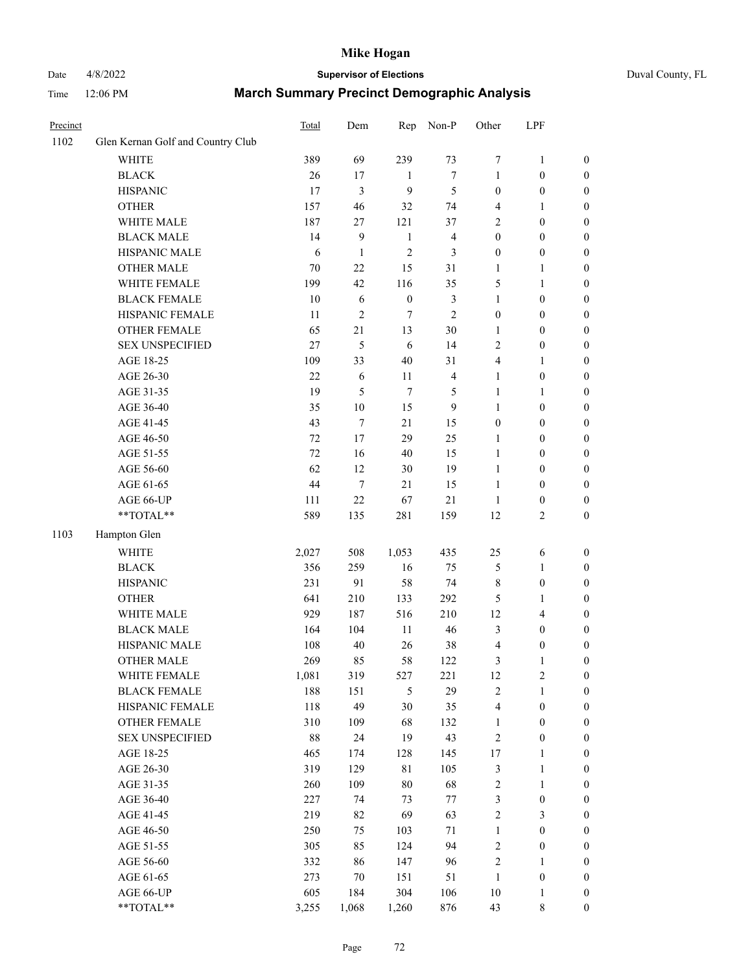# Date 4/8/2022 **Supervisor of Elections** Duval County, FL

| Precinct |                                   | Total  | Dem            | Rep              | Non-P          | Other            | LPF              |                  |
|----------|-----------------------------------|--------|----------------|------------------|----------------|------------------|------------------|------------------|
| 1102     | Glen Kernan Golf and Country Club |        |                |                  |                |                  |                  |                  |
|          | <b>WHITE</b>                      | 389    | 69             | 239              | 73             | 7                | $\mathbf{1}$     | 0                |
|          | <b>BLACK</b>                      | 26     | 17             | $\mathbf{1}$     | $\tau$         | 1                | $\boldsymbol{0}$ | 0                |
|          | <b>HISPANIC</b>                   | 17     | $\mathfrak{Z}$ | 9                | $\mathfrak s$  | $\boldsymbol{0}$ | $\boldsymbol{0}$ | $\boldsymbol{0}$ |
|          | <b>OTHER</b>                      | 157    | 46             | 32               | 74             | 4                | 1                | $\boldsymbol{0}$ |
|          | WHITE MALE                        | 187    | $27\,$         | 121              | 37             | 2                | $\boldsymbol{0}$ | $\boldsymbol{0}$ |
|          | <b>BLACK MALE</b>                 | 14     | 9              | $\mathbf{1}$     | $\overline{4}$ | $\boldsymbol{0}$ | $\boldsymbol{0}$ | $\boldsymbol{0}$ |
|          | HISPANIC MALE                     | 6      | $\mathbf{1}$   | $\overline{c}$   | 3              | 0                | $\boldsymbol{0}$ | $\boldsymbol{0}$ |
|          | <b>OTHER MALE</b>                 | $70\,$ | 22             | 15               | 31             | $\mathbf{1}$     | $\mathbf{1}$     | $\boldsymbol{0}$ |
|          | WHITE FEMALE                      | 199    | 42             | 116              | 35             | 5                | $\mathbf{1}$     | $\boldsymbol{0}$ |
|          | <b>BLACK FEMALE</b>               | 10     | 6              | $\boldsymbol{0}$ | $\mathfrak{Z}$ | $\mathbf{1}$     | $\boldsymbol{0}$ | 0                |
|          | HISPANIC FEMALE                   | 11     | $\sqrt{2}$     | 7                | $\overline{2}$ | $\boldsymbol{0}$ | $\boldsymbol{0}$ | 0                |
|          | OTHER FEMALE                      | 65     | 21             | 13               | 30             | $\mathbf{1}$     | $\boldsymbol{0}$ | $\boldsymbol{0}$ |
|          | <b>SEX UNSPECIFIED</b>            | 27     | 5              | 6                | 14             | $\overline{c}$   | $\boldsymbol{0}$ | $\boldsymbol{0}$ |
|          | AGE 18-25                         | 109    | 33             | 40               | 31             | 4                | 1                | $\boldsymbol{0}$ |
|          | AGE 26-30                         | 22     | 6              | $11\,$           | $\overline{4}$ | $\mathbf{1}$     | $\boldsymbol{0}$ | $\boldsymbol{0}$ |
|          | AGE 31-35                         | 19     | 5              | 7                | 5              | $\mathbf{1}$     | $\mathbf{1}$     | $\boldsymbol{0}$ |
|          | AGE 36-40                         | 35     | 10             | 15               | 9              | $\mathbf{1}$     | $\boldsymbol{0}$ | $\boldsymbol{0}$ |
|          | AGE 41-45                         | 43     | $\tau$         | 21               | 15             | $\boldsymbol{0}$ | $\boldsymbol{0}$ | $\boldsymbol{0}$ |
|          | AGE 46-50                         | 72     | 17             | 29               | 25             | $\mathbf{1}$     | $\boldsymbol{0}$ | $\boldsymbol{0}$ |
|          | AGE 51-55                         | 72     | 16             | 40               | 15             | $\mathbf{1}$     | $\boldsymbol{0}$ | $\boldsymbol{0}$ |
|          | AGE 56-60                         | 62     | 12             | 30               | 19             | $\mathbf{1}$     | $\boldsymbol{0}$ | 0                |
|          | AGE 61-65                         | 44     | $\tau$         | 21               | 15             | $\mathbf{1}$     | $\boldsymbol{0}$ | 0                |
|          | AGE 66-UP                         | 111    | 22             | 67               | $21\,$         | $\mathbf{1}$     | $\boldsymbol{0}$ | $\boldsymbol{0}$ |
|          | $**TOTAL**$                       | 589    | 135            | 281              | 159            | 12               | $\sqrt{2}$       | $\boldsymbol{0}$ |
| 1103     | Hampton Glen                      |        |                |                  |                |                  |                  |                  |
|          | <b>WHITE</b>                      | 2,027  | 508            | 1,053            | 435            | 25               | 6                | $\boldsymbol{0}$ |
|          | <b>BLACK</b>                      | 356    | 259            | 16               | 75             | 5                | $\mathbf{1}$     | $\boldsymbol{0}$ |
|          | <b>HISPANIC</b>                   | 231    | 91             | 58               | 74             | 8                | $\boldsymbol{0}$ | $\boldsymbol{0}$ |
|          | <b>OTHER</b>                      | 641    | 210            | 133              | 292            | 5                | $\mathbf{1}$     | $\boldsymbol{0}$ |
|          | WHITE MALE                        | 929    | 187            | 516              | 210            | 12               | $\overline{4}$   | $\boldsymbol{0}$ |
|          | <b>BLACK MALE</b>                 | 164    | 104            | $11\,$           | 46             | 3                | $\boldsymbol{0}$ | $\boldsymbol{0}$ |
|          | HISPANIC MALE                     | 108    | 40             | 26               | 38             | 4                | $\boldsymbol{0}$ | $\boldsymbol{0}$ |
|          | <b>OTHER MALE</b>                 | 269    | 85             | 58               | 122            | 3                | 1                | $\boldsymbol{0}$ |
|          | WHITE FEMALE                      | 1,081  | 319            | 527              | 221            | 12               | $\overline{c}$   | 0                |
|          | <b>BLACK FEMALE</b>               | 188    | 151            | 5                | 29             | 2                | $\mathbf{1}$     | $\boldsymbol{0}$ |
|          | HISPANIC FEMALE                   | 118    | 49             | 30               | 35             | 4                | $\boldsymbol{0}$ | $\overline{0}$   |
|          | OTHER FEMALE                      | 310    | 109            | 68               | 132            | $\mathbf{1}$     | $\boldsymbol{0}$ | $\overline{0}$   |
|          | <b>SEX UNSPECIFIED</b>            | 88     | 24             | 19               | 43             | 2                | $\boldsymbol{0}$ | 0                |
|          | AGE 18-25                         | 465    | 174            | 128              | 145            | 17               | $\mathbf{1}$     | 0                |
|          | AGE 26-30                         | 319    | 129            | 81               | 105            | 3                | $\mathbf{1}$     | 0                |
|          | AGE 31-35                         | 260    | 109            | $80\,$           | 68             | $\overline{c}$   | $\mathbf{1}$     | 0                |
|          | AGE 36-40                         | 227    | 74             | 73               | 77             | 3                | $\boldsymbol{0}$ | 0                |
|          | AGE 41-45                         | 219    | 82             | 69               | 63             | $\overline{c}$   | 3                | 0                |
|          | AGE 46-50                         | 250    | 75             | 103              | $71\,$         | $\mathbf{1}$     | $\boldsymbol{0}$ | 0                |
|          | AGE 51-55                         | 305    | 85             | 124              | 94             | 2                | $\boldsymbol{0}$ | 0                |
|          | AGE 56-60                         | 332    | 86             | 147              | 96             | 2                | 1                | $\overline{0}$   |
|          | AGE 61-65                         | 273    | 70             | 151              | 51             | $\mathbf{1}$     | $\boldsymbol{0}$ | 0                |
|          | AGE 66-UP                         | 605    | 184            | 304              | 106            | 10               | $\mathbf{1}$     | 0                |
|          | **TOTAL**                         | 3,255  | 1,068          | 1,260            | 876            | 43               | 8                | $\boldsymbol{0}$ |
|          |                                   |        |                |                  |                |                  |                  |                  |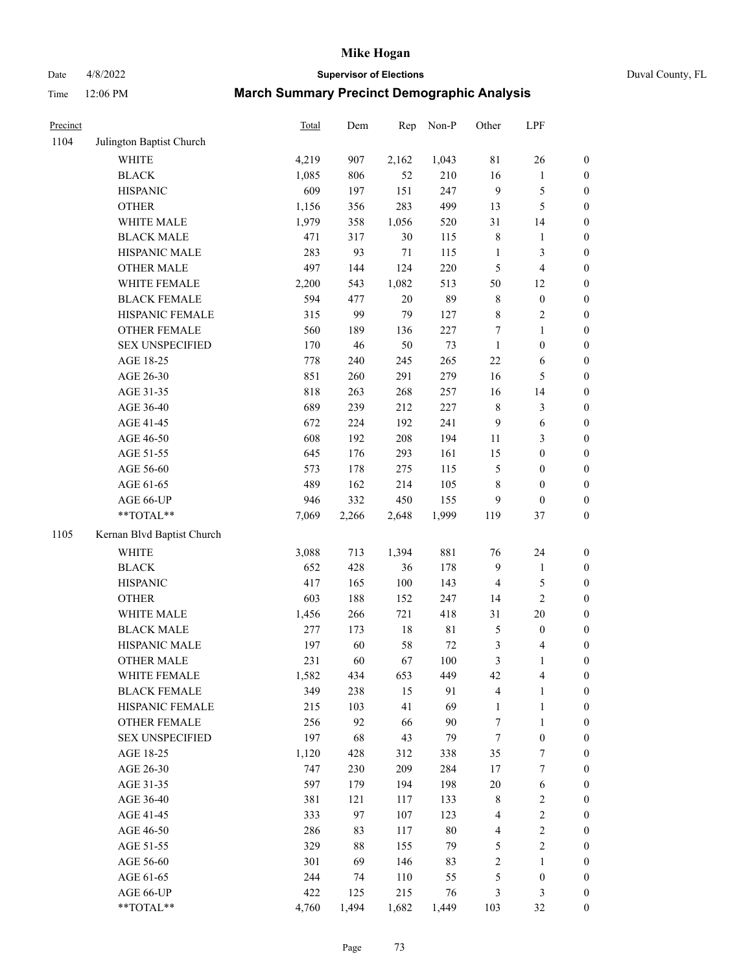# Date 4/8/2022 **Supervisor of Elections** Duval County, FL

| Precinct |                            | <b>Total</b> | Dem    | Rep    | Non-P       | Other            | LPF              |                  |
|----------|----------------------------|--------------|--------|--------|-------------|------------------|------------------|------------------|
| 1104     | Julington Baptist Church   |              |        |        |             |                  |                  |                  |
|          | <b>WHITE</b>               | 4,219        | 907    | 2,162  | 1,043       | $8\sqrt{1}$      | 26               | 0                |
|          | <b>BLACK</b>               | 1,085        | 806    | 52     | 210         | 16               | $\mathbf{1}$     | 0                |
|          | <b>HISPANIC</b>            | 609          | 197    | 151    | 247         | 9                | $\mathfrak s$    | $\boldsymbol{0}$ |
|          | <b>OTHER</b>               | 1,156        | 356    | 283    | 499         | 13               | $\mathfrak s$    | $\boldsymbol{0}$ |
|          | WHITE MALE                 | 1,979        | 358    | 1,056  | 520         | 31               | 14               | $\boldsymbol{0}$ |
|          | <b>BLACK MALE</b>          | 471          | 317    | 30     | 115         | $\,$ $\,$        | 1                | $\boldsymbol{0}$ |
|          | HISPANIC MALE              | 283          | 93     | $71\,$ | 115         | $\mathbf{1}$     | $\mathfrak{Z}$   | $\boldsymbol{0}$ |
|          | <b>OTHER MALE</b>          | 497          | 144    | 124    | 220         | 5                | $\overline{4}$   | $\boldsymbol{0}$ |
|          | WHITE FEMALE               | 2,200        | 543    | 1,082  | 513         | 50               | 12               | $\boldsymbol{0}$ |
|          | <b>BLACK FEMALE</b>        | 594          | 477    | $20\,$ | 89          | 8                | $\boldsymbol{0}$ | $\boldsymbol{0}$ |
|          | HISPANIC FEMALE            | 315          | 99     | 79     | 127         | 8                | $\sqrt{2}$       | $\boldsymbol{0}$ |
|          | <b>OTHER FEMALE</b>        | 560          | 189    | 136    | 227         | $\boldsymbol{7}$ | $\mathbf{1}$     | $\boldsymbol{0}$ |
|          | <b>SEX UNSPECIFIED</b>     | 170          | 46     | 50     | 73          | $\mathbf{1}$     | $\boldsymbol{0}$ | $\boldsymbol{0}$ |
|          | AGE 18-25                  | 778          | 240    | 245    | 265         | $22\,$           | 6                | $\boldsymbol{0}$ |
|          | AGE 26-30                  | 851          | 260    | 291    | 279         | 16               | $\mathfrak s$    | $\boldsymbol{0}$ |
|          | AGE 31-35                  | 818          | 263    | 268    | 257         | 16               | 14               | $\boldsymbol{0}$ |
|          | AGE 36-40                  | 689          | 239    | 212    | 227         | $\,$ $\,$        | $\mathfrak{Z}$   | $\boldsymbol{0}$ |
|          | AGE 41-45                  | 672          | 224    | 192    | 241         | 9                | 6                | $\boldsymbol{0}$ |
|          | AGE 46-50                  | 608          | 192    | 208    | 194         | $11\,$           | $\mathfrak{Z}$   | $\boldsymbol{0}$ |
|          | AGE 51-55                  | 645          | 176    | 293    | 161         | 15               | $\boldsymbol{0}$ | $\boldsymbol{0}$ |
|          | AGE 56-60                  | 573          | 178    | 275    | 115         | 5                | $\boldsymbol{0}$ | 0                |
|          | AGE 61-65                  | 489          | 162    | 214    | 105         | 8                | $\boldsymbol{0}$ | $\boldsymbol{0}$ |
|          | AGE 66-UP                  | 946          | 332    | 450    | 155         | 9                | $\boldsymbol{0}$ | $\boldsymbol{0}$ |
|          | $**TOTAL**$                | 7,069        | 2,266  | 2,648  | 1,999       | 119              | 37               | $\boldsymbol{0}$ |
| 1105     | Kernan Blvd Baptist Church |              |        |        |             |                  |                  |                  |
|          | <b>WHITE</b>               | 3,088        | 713    | 1,394  | 881         | 76               | 24               | $\boldsymbol{0}$ |
|          | <b>BLACK</b>               | 652          | 428    | 36     | 178         | 9                | $\mathbf{1}$     | $\boldsymbol{0}$ |
|          | <b>HISPANIC</b>            | 417          | 165    | 100    | 143         | 4                | $\mathfrak s$    | $\boldsymbol{0}$ |
|          | <b>OTHER</b>               | 603          | 188    | 152    | 247         | 14               | $\overline{2}$   | $\boldsymbol{0}$ |
|          | WHITE MALE                 | 1,456        | 266    | 721    | 418         | 31               | 20               | $\boldsymbol{0}$ |
|          | <b>BLACK MALE</b>          | 277          | 173    | $18\,$ | $8\sqrt{1}$ | 5                | $\boldsymbol{0}$ | $\boldsymbol{0}$ |
|          | HISPANIC MALE              | 197          | 60     | 58     | $72\,$      | 3                | 4                | $\boldsymbol{0}$ |
|          | <b>OTHER MALE</b>          | 231          | 60     | 67     | 100         | 3                | $\mathbf{1}$     | $\boldsymbol{0}$ |
|          | WHITE FEMALE               | 1,582        | 434    | 653    | 449         | 42               | 4                | 0                |
|          | <b>BLACK FEMALE</b>        | 349          | 238    | 15     | 91          | 4                | $\mathbf{1}$     | $\boldsymbol{0}$ |
|          | HISPANIC FEMALE            | 215          | 103    | 41     | 69          | $\mathbf{1}$     | $\mathbf{1}$     | $\overline{0}$   |
|          | <b>OTHER FEMALE</b>        | 256          | 92     | 66     | 90          | 7                | $\mathbf{1}$     | $\overline{0}$   |
|          | <b>SEX UNSPECIFIED</b>     | 197          | 68     | 43     | 79          | 7                | $\boldsymbol{0}$ | 0                |
|          | AGE 18-25                  | 1,120        | 428    | 312    | 338         | 35               | 7                | 0                |
|          | AGE 26-30                  | 747          | 230    | 209    | 284         | 17               | $\boldsymbol{7}$ | 0                |
|          | AGE 31-35                  | 597          | 179    | 194    | 198         | $20\,$           | 6                | 0                |
|          | AGE 36-40                  | 381          | 121    | 117    | 133         | $\,$ 8 $\,$      | $\sqrt{2}$       | 0                |
|          | AGE 41-45                  | 333          | 97     | 107    | 123         | 4                | $\sqrt{2}$       | 0                |
|          | AGE 46-50                  | 286          | 83     | 117    | $80\,$      | 4                | $\sqrt{2}$       | 0                |
|          | AGE 51-55                  | 329          | $88\,$ | 155    | 79          | 5                | $\sqrt{2}$       | 0                |
|          | AGE 56-60                  | 301          | 69     | 146    | 83          | 2                | 1                | $\boldsymbol{0}$ |
|          | AGE 61-65                  | 244          | 74     | 110    | 55          | 5                | $\boldsymbol{0}$ | $\overline{0}$   |
|          | AGE 66-UP                  | 422          | 125    | 215    | 76          | 3                | $\mathfrak{Z}$   | 0                |
|          | $**TOTAL**$                | 4,760        | 1,494  | 1,682  | 1,449       | 103              | 32               | $\boldsymbol{0}$ |
|          |                            |              |        |        |             |                  |                  |                  |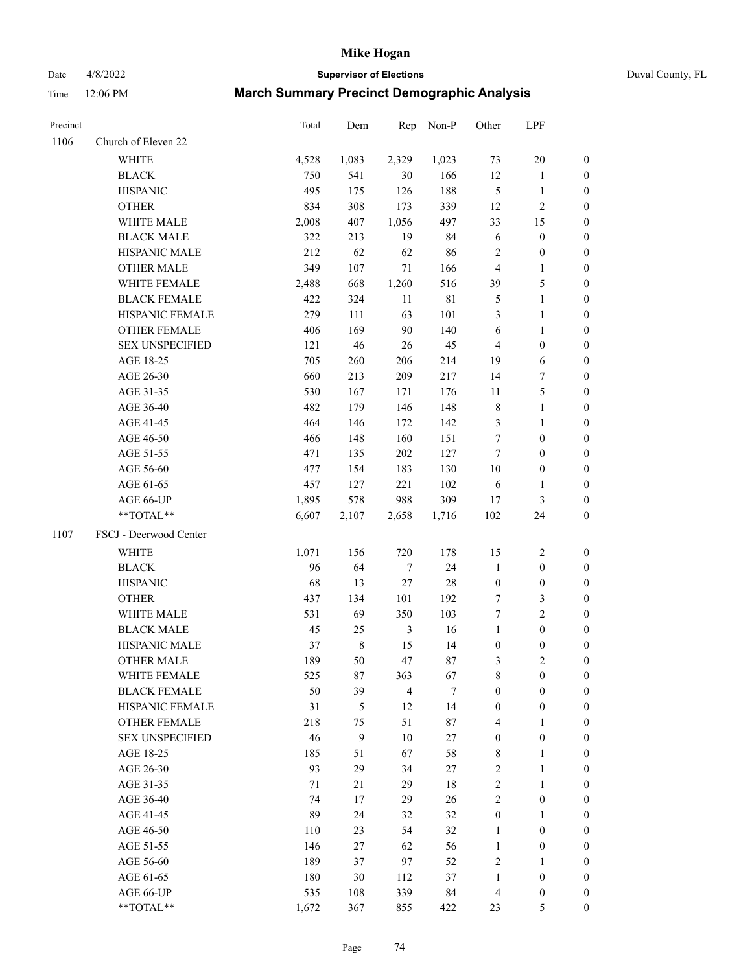Date 4/8/2022 **Supervisor of Elections** Duval County, FL

| Precinct |                        | Total | Dem         | Rep              | Non-P  | Other            | LPF              |                  |
|----------|------------------------|-------|-------------|------------------|--------|------------------|------------------|------------------|
| 1106     | Church of Eleven 22    |       |             |                  |        |                  |                  |                  |
|          | <b>WHITE</b>           | 4,528 | 1,083       | 2,329            | 1,023  | 73               | $20\,$           | $\boldsymbol{0}$ |
|          | <b>BLACK</b>           | 750   | 541         | 30               | 166    | 12               | $\mathbf{1}$     | $\boldsymbol{0}$ |
|          | <b>HISPANIC</b>        | 495   | 175         | 126              | 188    | $\mathfrak{S}$   | $\mathbf{1}$     | $\boldsymbol{0}$ |
|          | <b>OTHER</b>           | 834   | 308         | 173              | 339    | 12               | $\sqrt{2}$       | $\boldsymbol{0}$ |
|          | WHITE MALE             | 2,008 | 407         | 1,056            | 497    | 33               | 15               | $\boldsymbol{0}$ |
|          | <b>BLACK MALE</b>      | 322   | 213         | 19               | 84     | 6                | $\boldsymbol{0}$ | $\boldsymbol{0}$ |
|          | HISPANIC MALE          | 212   | 62          | 62               | 86     | $\overline{c}$   | $\boldsymbol{0}$ | $\boldsymbol{0}$ |
|          | <b>OTHER MALE</b>      | 349   | 107         | 71               | 166    | $\overline{4}$   | $\mathbf{1}$     | $\boldsymbol{0}$ |
|          | WHITE FEMALE           | 2,488 | 668         | 1,260            | 516    | 39               | $\mathfrak s$    | 0                |
|          | <b>BLACK FEMALE</b>    | 422   | 324         | 11               | 81     | 5                | $\mathbf{1}$     | 0                |
|          | HISPANIC FEMALE        | 279   | 111         | 63               | 101    | 3                | $\mathbf{1}$     | 0                |
|          | OTHER FEMALE           | 406   | 169         | 90               | 140    | 6                | $\mathbf{1}$     | 0                |
|          | <b>SEX UNSPECIFIED</b> | 121   | $46\,$      | 26               | 45     | $\overline{4}$   | $\boldsymbol{0}$ | $\boldsymbol{0}$ |
|          | AGE 18-25              | 705   | 260         | 206              | 214    | 19               | 6                | $\boldsymbol{0}$ |
|          | AGE 26-30              | 660   | 213         | 209              | 217    | 14               | $\boldsymbol{7}$ | $\boldsymbol{0}$ |
|          | AGE 31-35              | 530   | 167         | 171              | 176    | 11               | $\mathfrak{S}$   | $\boldsymbol{0}$ |
|          | AGE 36-40              | 482   | 179         | 146              | 148    | $\,$ 8 $\,$      | $\mathbf{1}$     | $\boldsymbol{0}$ |
|          | AGE 41-45              | 464   | 146         | 172              | 142    | 3                | $\mathbf{1}$     | $\boldsymbol{0}$ |
|          | AGE 46-50              | 466   | 148         | 160              | 151    | 7                | $\boldsymbol{0}$ | $\boldsymbol{0}$ |
|          | AGE 51-55              | 471   | 135         | 202              | 127    | 7                | $\boldsymbol{0}$ | $\boldsymbol{0}$ |
|          | AGE 56-60              | 477   | 154         | 183              | 130    | 10               | $\boldsymbol{0}$ | 0                |
|          | AGE 61-65              | 457   | 127         | 221              | 102    | 6                | $\mathbf{1}$     | 0                |
|          | AGE 66-UP              | 1,895 | 578         | 988              | 309    | 17               | 3                | 0                |
|          | **TOTAL**              | 6,607 | 2,107       | 2,658            | 1,716  | 102              | 24               | $\boldsymbol{0}$ |
| 1107     | FSCJ - Deerwood Center |       |             |                  |        |                  |                  |                  |
|          | <b>WHITE</b>           | 1,071 | 156         | 720              | 178    | 15               | $\sqrt{2}$       | $\boldsymbol{0}$ |
|          | <b>BLACK</b>           | 96    | 64          | $\boldsymbol{7}$ | 24     | $\mathbf{1}$     | $\boldsymbol{0}$ | $\boldsymbol{0}$ |
|          | <b>HISPANIC</b>        | 68    | 13          | 27               | 28     | $\boldsymbol{0}$ | $\boldsymbol{0}$ | $\boldsymbol{0}$ |
|          | <b>OTHER</b>           | 437   | 134         | 101              | 192    | 7                | $\mathfrak{Z}$   | $\boldsymbol{0}$ |
|          | WHITE MALE             | 531   | 69          | 350              | 103    | $\tau$           | $\overline{2}$   | $\boldsymbol{0}$ |
|          | <b>BLACK MALE</b>      | 45    | 25          | $\mathfrak{Z}$   | 16     | $\mathbf{1}$     | $\boldsymbol{0}$ | $\boldsymbol{0}$ |
|          | HISPANIC MALE          | 37    | $\,$ 8 $\,$ | 15               | 14     | $\boldsymbol{0}$ | $\boldsymbol{0}$ | 0                |
|          | <b>OTHER MALE</b>      | 189   | 50          | 47               | 87     | 3                | $\mathbf{2}$     | 0                |
|          | WHITE FEMALE           | 525   | 87          | 363              | 67     | 8                | $\boldsymbol{0}$ | 0                |
|          | <b>BLACK FEMALE</b>    | 50    | 39          | $\overline{4}$   | $\tau$ | $\boldsymbol{0}$ | $\boldsymbol{0}$ | $\overline{0}$   |
|          | HISPANIC FEMALE        | 31    | 5           | 12               | 14     | $\boldsymbol{0}$ | $\boldsymbol{0}$ | $\overline{0}$   |
|          | <b>OTHER FEMALE</b>    | 218   | 75          | 51               | 87     | 4                | $\mathbf{1}$     | $\overline{0}$   |
|          | <b>SEX UNSPECIFIED</b> | 46    | 9           | 10               | 27     | $\boldsymbol{0}$ | $\boldsymbol{0}$ | 0                |
|          | AGE 18-25              | 185   | 51          | 67               | 58     | 8                | $\mathbf{1}$     | 0                |
|          | AGE 26-30              | 93    | 29          | 34               | 27     | $\sqrt{2}$       | $\mathbf{1}$     | 0                |
|          | AGE 31-35              | 71    | 21          | 29               | $18\,$ | $\mathbf{2}$     | $\mathbf{1}$     | 0                |
|          | AGE 36-40              | 74    | 17          | 29               | 26     | $\overline{c}$   | $\boldsymbol{0}$ | 0                |
|          | AGE 41-45              | 89    | 24          | 32               | 32     | $\boldsymbol{0}$ | $\mathbf{1}$     | 0                |
|          | AGE 46-50              | 110   | 23          | 54               | 32     | 1                | $\boldsymbol{0}$ | 0                |
|          | AGE 51-55              | 146   | 27          | 62               | 56     | $\mathbf{1}$     | $\boldsymbol{0}$ | 0                |
|          | AGE 56-60              | 189   | 37          | 97               | 52     | $\overline{c}$   | $\mathbf{1}$     | 0                |
|          | AGE 61-65              | 180   | 30          | 112              | 37     | $\mathbf{1}$     | $\boldsymbol{0}$ | 0                |
|          | AGE 66-UP              | 535   | 108         | 339              | 84     | $\overline{4}$   | $\boldsymbol{0}$ | 0                |
|          | **TOTAL**              | 1,672 | 367         | 855              | 422    | 23               | 5                | $\boldsymbol{0}$ |
|          |                        |       |             |                  |        |                  |                  |                  |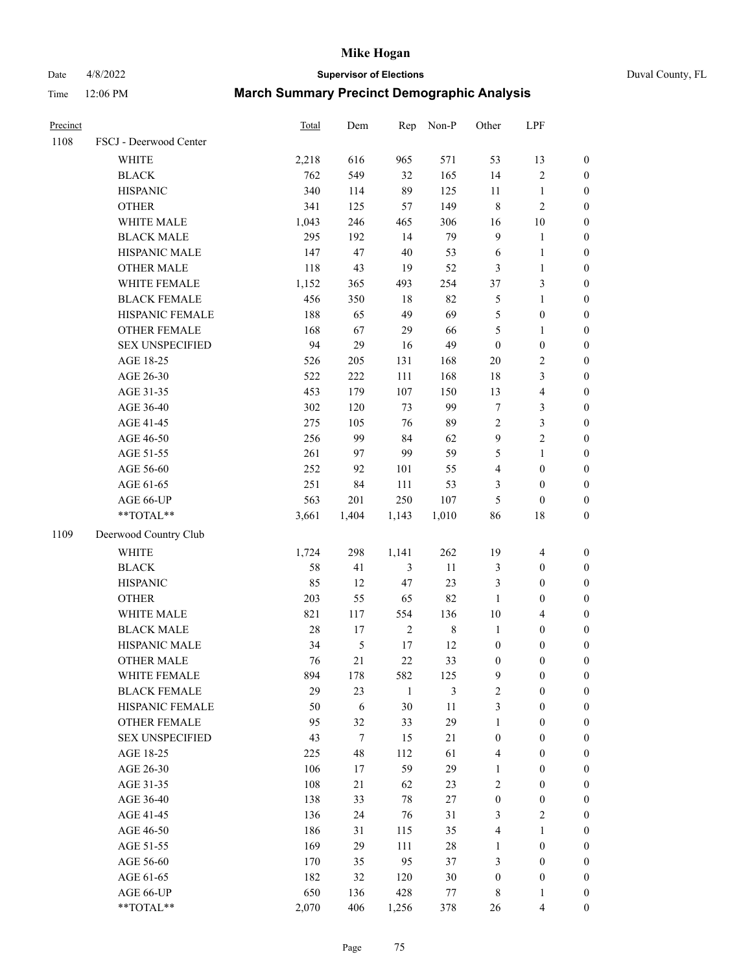Date 4/8/2022 **Supervisor of Elections** Duval County, FL

| Precinct |                        | Total  | Dem        | Rep            | Non-P   | Other            | LPF                     |                  |
|----------|------------------------|--------|------------|----------------|---------|------------------|-------------------------|------------------|
| 1108     | FSCJ - Deerwood Center |        |            |                |         |                  |                         |                  |
|          | WHITE                  | 2,218  | 616        | 965            | 571     | 53               | 13                      | 0                |
|          | <b>BLACK</b>           | 762    | 549        | 32             | 165     | 14               | $\sqrt{2}$              | 0                |
|          | <b>HISPANIC</b>        | 340    | 114        | 89             | 125     | 11               | $\mathbf{1}$            | $\boldsymbol{0}$ |
|          | <b>OTHER</b>           | 341    | 125        | 57             | 149     | $\,$ $\,$        | $\sqrt{2}$              | $\boldsymbol{0}$ |
|          | WHITE MALE             | 1,043  | 246        | 465            | 306     | 16               | 10                      | $\boldsymbol{0}$ |
|          | <b>BLACK MALE</b>      | 295    | 192        | 14             | 79      | 9                | $\mathbf{1}$            | $\boldsymbol{0}$ |
|          | HISPANIC MALE          | 147    | 47         | $40\,$         | 53      | 6                | $\mathbf{1}$            | $\boldsymbol{0}$ |
|          | OTHER MALE             | 118    | 43         | 19             | 52      | 3                | $\mathbf{1}$            | $\boldsymbol{0}$ |
|          | WHITE FEMALE           | 1,152  | 365        | 493            | 254     | 37               | 3                       | $\boldsymbol{0}$ |
|          | <b>BLACK FEMALE</b>    | 456    | 350        | $18\,$         | 82      | 5                | $\mathbf{1}$            | $\boldsymbol{0}$ |
|          | HISPANIC FEMALE        | 188    | 65         | 49             | 69      | 5                | $\boldsymbol{0}$        | $\boldsymbol{0}$ |
|          | OTHER FEMALE           | 168    | 67         | 29             | 66      | 5                | $\mathbf{1}$            | $\boldsymbol{0}$ |
|          | <b>SEX UNSPECIFIED</b> | 94     | 29         | 16             | 49      | $\boldsymbol{0}$ | $\boldsymbol{0}$        | $\boldsymbol{0}$ |
|          | AGE 18-25              | 526    | 205        | 131            | 168     | $20\,$           | $\sqrt{2}$              | $\boldsymbol{0}$ |
|          | AGE 26-30              | 522    | 222        | 111            | 168     | 18               | 3                       | $\boldsymbol{0}$ |
|          | AGE 31-35              | 453    | 179        | 107            | 150     | 13               | $\overline{4}$          | $\boldsymbol{0}$ |
|          | AGE 36-40              | 302    | 120        | 73             | 99      | $\boldsymbol{7}$ | $\mathfrak{Z}$          | $\boldsymbol{0}$ |
|          | AGE 41-45              | 275    | 105        | 76             | 89      | $\overline{2}$   | $\mathfrak{Z}$          | $\boldsymbol{0}$ |
|          | AGE 46-50              | 256    | 99         | 84             | 62      | $\boldsymbol{9}$ | $\overline{c}$          | $\boldsymbol{0}$ |
|          | AGE 51-55              | 261    | 97         | 99             | 59      | $\mathfrak s$    | $\mathbf{1}$            | $\boldsymbol{0}$ |
|          | AGE 56-60              | 252    | 92         | 101            | 55      | 4                | $\boldsymbol{0}$        | $\boldsymbol{0}$ |
|          | AGE 61-65              | 251    | 84         | 111            | 53      | 3                | $\boldsymbol{0}$        | $\boldsymbol{0}$ |
|          | AGE 66-UP              | 563    | 201        | 250            | 107     | 5                | $\boldsymbol{0}$        | $\boldsymbol{0}$ |
|          | **TOTAL**              | 3,661  | 1,404      | 1,143          | 1,010   | 86               | 18                      | $\boldsymbol{0}$ |
| 1109     | Deerwood Country Club  |        |            |                |         |                  |                         |                  |
|          | <b>WHITE</b>           | 1,724  | 298        | 1,141          | 262     | 19               | $\overline{\mathbf{4}}$ | $\boldsymbol{0}$ |
|          | <b>BLACK</b>           | 58     | 41         | $\mathfrak{Z}$ | $11\,$  | $\mathfrak{Z}$   | $\boldsymbol{0}$        | $\boldsymbol{0}$ |
|          | <b>HISPANIC</b>        | 85     | 12         | 47             | 23      | 3                | $\boldsymbol{0}$        | $\boldsymbol{0}$ |
|          | <b>OTHER</b>           | 203    | 55         | 65             | 82      | $\mathbf{1}$     | $\boldsymbol{0}$        | $\boldsymbol{0}$ |
|          | WHITE MALE             | 821    | 117        | 554            | 136     | $10\,$           | $\overline{4}$          | $\boldsymbol{0}$ |
|          | <b>BLACK MALE</b>      | $28\,$ | 17         | $\sqrt{2}$     | $\,8\,$ | $\mathbf{1}$     | $\boldsymbol{0}$        | $\boldsymbol{0}$ |
|          | HISPANIC MALE          | 34     | $\sqrt{5}$ | $17\,$         | 12      | $\boldsymbol{0}$ | $\boldsymbol{0}$        | 0                |
|          | <b>OTHER MALE</b>      | 76     | 21         | 22             | 33      | $\boldsymbol{0}$ | $\boldsymbol{0}$        | $\boldsymbol{0}$ |
|          | WHITE FEMALE           | 894    | 178        | 582            | 125     | 9                | 0                       | 0                |
|          | <b>BLACK FEMALE</b>    | 29     | 23         | $\mathbf{1}$   | 3       | $\sqrt{2}$       | $\boldsymbol{0}$        | $\overline{0}$   |
|          | HISPANIC FEMALE        | 50     | 6          | 30             | $11\,$  | 3                | $\boldsymbol{0}$        | $\overline{0}$   |
|          | OTHER FEMALE           | 95     | 32         | 33             | 29      | $\mathbf{1}$     | $\boldsymbol{0}$        | $\theta$         |
|          | <b>SEX UNSPECIFIED</b> | 43     | $\tau$     | 15             | 21      | $\boldsymbol{0}$ | $\boldsymbol{0}$        | 0                |
|          | AGE 18-25              | 225    | 48         | 112            | 61      | 4                | $\boldsymbol{0}$        | 0                |
|          | AGE 26-30              | 106    | 17         | 59             | 29      | $\mathbf{1}$     | $\boldsymbol{0}$        | 0                |
|          | AGE 31-35              | 108    | 21         | 62             | 23      | 2                | $\boldsymbol{0}$        | 0                |
|          | AGE 36-40              | 138    | 33         | $78\,$         | $27\,$  | $\boldsymbol{0}$ | $\boldsymbol{0}$        | 0                |
|          | AGE 41-45              | 136    | 24         | 76             | 31      | 3                | $\mathfrak{2}$          | 0                |
|          | AGE 46-50              | 186    | 31         | 115            | 35      | 4                | $\mathbf{1}$            | 0                |
|          | AGE 51-55              | 169    | 29         | 111            | $28\,$  | $\mathbf{1}$     | $\boldsymbol{0}$        | 0                |
|          | AGE 56-60              | 170    | 35         | 95             | 37      | 3                | $\boldsymbol{0}$        | 0                |
|          | AGE 61-65              | 182    | 32         | 120            | 30      | $\boldsymbol{0}$ | $\boldsymbol{0}$        | 0                |
|          | AGE 66-UP              | 650    | 136        | 428            | 77      | 8                | $\mathbf{1}$            | 0                |
|          | **TOTAL**              | 2,070  | 406        | 1,256          | 378     | 26               | $\overline{4}$          | $\boldsymbol{0}$ |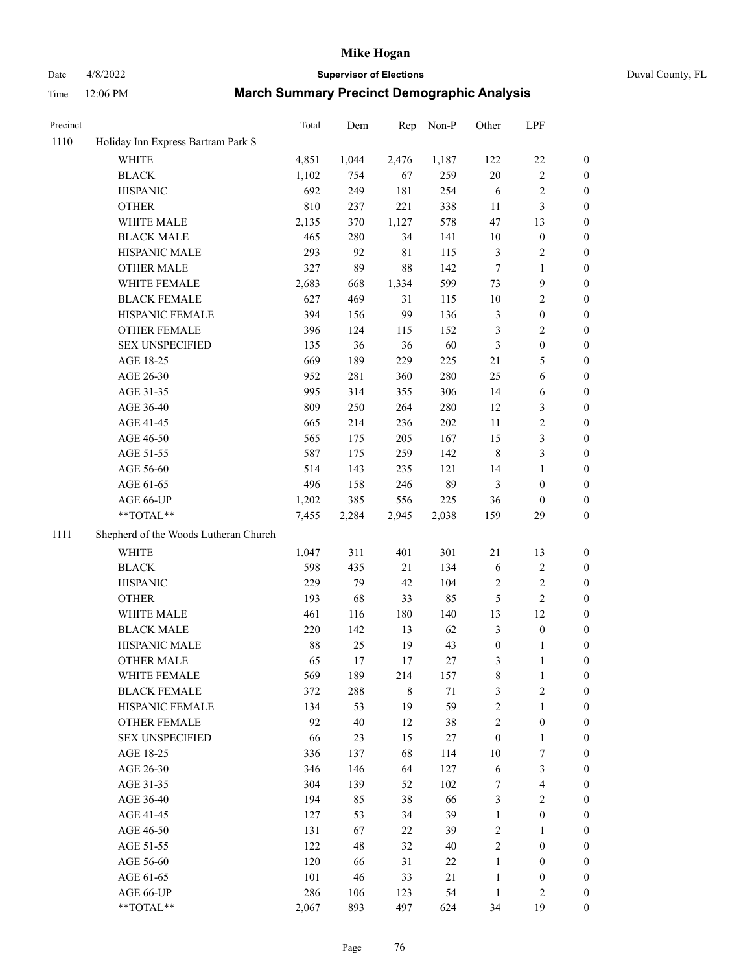# Date 4/8/2022 **Supervisor of Elections** Duval County, FL

| Precinct |                                       | Total | Dem   | Rep         | Non-P  | Other            | LPF              |                  |
|----------|---------------------------------------|-------|-------|-------------|--------|------------------|------------------|------------------|
| 1110     | Holiday Inn Express Bartram Park S    |       |       |             |        |                  |                  |                  |
|          | <b>WHITE</b>                          | 4,851 | 1,044 | 2,476       | 1,187  | 122              | $22\,$           | 0                |
|          | <b>BLACK</b>                          | 1,102 | 754   | 67          | 259    | $20\,$           | $\sqrt{2}$       | 0                |
|          | <b>HISPANIC</b>                       | 692   | 249   | 181         | 254    | 6                | $\sqrt{2}$       | 0                |
|          | <b>OTHER</b>                          | 810   | 237   | 221         | 338    | $11\,$           | $\mathfrak{Z}$   | $\boldsymbol{0}$ |
|          | WHITE MALE                            | 2,135 | 370   | 1,127       | 578    | 47               | 13               | $\boldsymbol{0}$ |
|          | <b>BLACK MALE</b>                     | 465   | 280   | 34          | 141    | 10               | $\boldsymbol{0}$ | $\boldsymbol{0}$ |
|          | HISPANIC MALE                         | 293   | 92    | $8\sqrt{1}$ | 115    | 3                | $\sqrt{2}$       | $\boldsymbol{0}$ |
|          | <b>OTHER MALE</b>                     | 327   | 89    | 88          | 142    | $\boldsymbol{7}$ | $\mathbf{1}$     | $\boldsymbol{0}$ |
|          | WHITE FEMALE                          | 2,683 | 668   | 1,334       | 599    | 73               | $\boldsymbol{9}$ | $\boldsymbol{0}$ |
|          | <b>BLACK FEMALE</b>                   | 627   | 469   | 31          | 115    | 10               | $\sqrt{2}$       | 0                |
|          | HISPANIC FEMALE                       | 394   | 156   | 99          | 136    | 3                | $\boldsymbol{0}$ | 0                |
|          | OTHER FEMALE                          | 396   | 124   | 115         | 152    | 3                | $\sqrt{2}$       | 0                |
|          | <b>SEX UNSPECIFIED</b>                | 135   | 36    | 36          | 60     | 3                | $\boldsymbol{0}$ | $\boldsymbol{0}$ |
|          | AGE 18-25                             | 669   | 189   | 229         | 225    | $21\,$           | $\mathfrak s$    | $\boldsymbol{0}$ |
|          | AGE 26-30                             | 952   | 281   | 360         | 280    | 25               | 6                | $\boldsymbol{0}$ |
|          | AGE 31-35                             | 995   | 314   | 355         | 306    | 14               | 6                | $\boldsymbol{0}$ |
|          | AGE 36-40                             | 809   | 250   | 264         | 280    | 12               | 3                | $\boldsymbol{0}$ |
|          | AGE 41-45                             | 665   | 214   | 236         | 202    | $11\,$           | $\sqrt{2}$       | $\boldsymbol{0}$ |
|          | AGE 46-50                             | 565   | 175   | 205         | 167    | 15               | $\mathfrak{Z}$   | $\boldsymbol{0}$ |
|          | AGE 51-55                             | 587   | 175   | 259         | 142    | $\,8\,$          | $\mathfrak{Z}$   | 0                |
|          | AGE 56-60                             | 514   | 143   | 235         | 121    | 14               | $\mathbf{1}$     | 0                |
|          | AGE 61-65                             | 496   | 158   | 246         | 89     | 3                | $\boldsymbol{0}$ | 0                |
|          | AGE 66-UP                             | 1,202 | 385   | 556         | 225    | 36               | $\boldsymbol{0}$ | $\boldsymbol{0}$ |
|          | $**TOTAL**$                           | 7,455 | 2,284 | 2,945       | 2,038  | 159              | 29               | $\boldsymbol{0}$ |
| 1111     | Shepherd of the Woods Lutheran Church |       |       |             |        |                  |                  |                  |
|          | <b>WHITE</b>                          | 1,047 | 311   | 401         | 301    | $21\,$           | 13               | $\boldsymbol{0}$ |
|          | <b>BLACK</b>                          | 598   | 435   | 21          | 134    | 6                | $\sqrt{2}$       | $\boldsymbol{0}$ |
|          | <b>HISPANIC</b>                       | 229   | 79    | 42          | 104    | 2                | $\sqrt{2}$       | $\boldsymbol{0}$ |
|          | <b>OTHER</b>                          | 193   | 68    | 33          | 85     | 5                | $\sqrt{2}$       | $\boldsymbol{0}$ |
|          | WHITE MALE                            | 461   | 116   | 180         | 140    | 13               | 12               | $\boldsymbol{0}$ |
|          | <b>BLACK MALE</b>                     | 220   | 142   | 13          | 62     | 3                | $\boldsymbol{0}$ | $\boldsymbol{0}$ |
|          | HISPANIC MALE                         | 88    | 25    | 19          | 43     | $\boldsymbol{0}$ | 1                | 0                |
|          | <b>OTHER MALE</b>                     | 65    | 17    | 17          | 27     | 3                | $\mathbf{1}$     | 0                |
|          | WHITE FEMALE                          | 569   | 189   | 214         | 157    | 8                | 1                | 0                |
|          | <b>BLACK FEMALE</b>                   | 372   | 288   | 8           | 71     | 3                | $\sqrt{2}$       | $\overline{0}$   |
|          | HISPANIC FEMALE                       | 134   | 53    | 19          | 59     | $\overline{c}$   | $\mathbf{1}$     | $\overline{0}$   |
|          | OTHER FEMALE                          | 92    | 40    | 12          | 38     | 2                | $\boldsymbol{0}$ | $\overline{0}$   |
|          | <b>SEX UNSPECIFIED</b>                | 66    | 23    | 15          | 27     | $\boldsymbol{0}$ | $\mathbf{1}$     | 0                |
|          | AGE 18-25                             | 336   | 137   | 68          | 114    | 10               | 7                | 0                |
|          | AGE 26-30                             | 346   | 146   | 64          | 127    | 6                | 3                | 0                |
|          | AGE 31-35                             | 304   | 139   | 52          | 102    | 7                | $\overline{4}$   | 0                |
|          | AGE 36-40                             | 194   | 85    | 38          | 66     | 3                | $\sqrt{2}$       | 0                |
|          | AGE 41-45                             | 127   | 53    | 34          | 39     | $\mathbf{1}$     | $\boldsymbol{0}$ | 0                |
|          | AGE 46-50                             | 131   | 67    | 22          | 39     | 2                | 1                | 0                |
|          | AGE 51-55                             | 122   | 48    | 32          | 40     | $\mathbf{2}$     | $\boldsymbol{0}$ | 0                |
|          | AGE 56-60                             | 120   | 66    | 31          | 22     | 1                | $\boldsymbol{0}$ | 0                |
|          | AGE 61-65                             | 101   | 46    | 33          | $21\,$ | $\mathbf{1}$     | $\boldsymbol{0}$ | 0                |
|          | AGE 66-UP                             | 286   | 106   | 123         | 54     | $\mathbf{1}$     | $\mathfrak{2}$   | 0                |
|          | **TOTAL**                             | 2,067 | 893   | 497         | 624    | 34               | 19               | $\boldsymbol{0}$ |
|          |                                       |       |       |             |        |                  |                  |                  |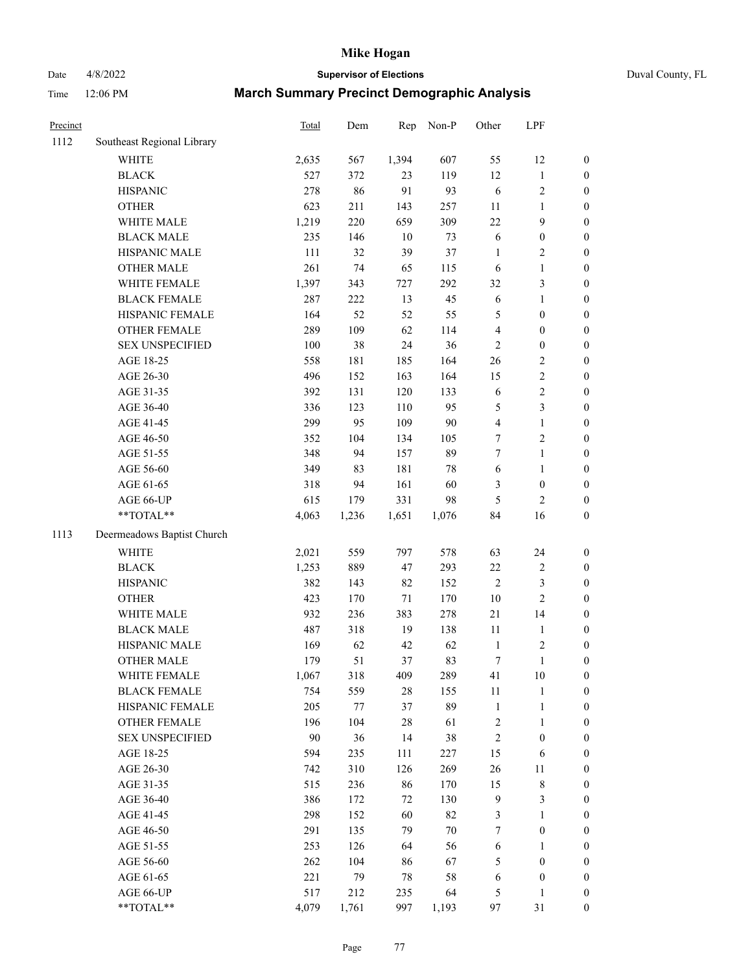Date 4/8/2022 **Supervisor of Elections** Duval County, FL

| Precinct |                            | <b>Total</b> | Dem     | Rep    | Non-P  | Other                   | LPF              |                                      |
|----------|----------------------------|--------------|---------|--------|--------|-------------------------|------------------|--------------------------------------|
| 1112     | Southeast Regional Library |              |         |        |        |                         |                  |                                      |
|          | <b>WHITE</b>               | 2,635        | 567     | 1,394  | 607    | 55                      | 12               | 0                                    |
|          | <b>BLACK</b>               | 527          | 372     | 23     | 119    | 12                      | $\mathbf{1}$     | 0                                    |
|          | <b>HISPANIC</b>            | 278          | 86      | 91     | 93     | 6                       | $\sqrt{2}$       | $\boldsymbol{0}$                     |
|          | <b>OTHER</b>               | 623          | 211     | 143    | 257    | $11\,$                  | $\mathbf{1}$     | $\boldsymbol{0}$                     |
|          | WHITE MALE                 | 1,219        | 220     | 659    | 309    | 22                      | $\boldsymbol{9}$ | $\boldsymbol{0}$                     |
|          | <b>BLACK MALE</b>          | 235          | 146     | 10     | 73     | 6                       | $\boldsymbol{0}$ | $\boldsymbol{0}$                     |
|          | HISPANIC MALE              | 111          | 32      | 39     | 37     | $\mathbf{1}$            | $\sqrt{2}$       | $\boldsymbol{0}$                     |
|          | <b>OTHER MALE</b>          | 261          | 74      | 65     | 115    | 6                       | $\mathbf{1}$     | $\boldsymbol{0}$                     |
|          | WHITE FEMALE               | 1,397        | 343     | 727    | 292    | 32                      | $\mathfrak{Z}$   | $\boldsymbol{0}$                     |
|          | <b>BLACK FEMALE</b>        | 287          | 222     | 13     | 45     | 6                       | $\mathbf{1}$     | $\boldsymbol{0}$                     |
|          | HISPANIC FEMALE            | 164          | 52      | 52     | 55     | 5                       | $\boldsymbol{0}$ | $\boldsymbol{0}$                     |
|          | OTHER FEMALE               | 289          | 109     | 62     | 114    | 4                       | $\boldsymbol{0}$ | $\boldsymbol{0}$                     |
|          | <b>SEX UNSPECIFIED</b>     | 100          | 38      | 24     | 36     | $\mathbf{2}$            | $\boldsymbol{0}$ | $\boldsymbol{0}$                     |
|          | AGE 18-25                  | 558          | 181     | 185    | 164    | 26                      | $\sqrt{2}$       | $\boldsymbol{0}$                     |
|          | AGE 26-30                  | 496          | 152     | 163    | 164    | 15                      | $\sqrt{2}$       | $\boldsymbol{0}$                     |
|          | AGE 31-35                  | 392          | 131     | 120    | 133    | 6                       | $\sqrt{2}$       | $\boldsymbol{0}$                     |
|          | AGE 36-40                  | 336          | 123     | 110    | 95     | 5                       | 3                | $\boldsymbol{0}$                     |
|          | AGE 41-45                  | 299          | 95      | 109    | 90     | $\overline{\mathbf{4}}$ | $\mathbf{1}$     | $\boldsymbol{0}$                     |
|          | AGE 46-50                  | 352          | 104     | 134    | 105    | 7                       | $\sqrt{2}$       | $\boldsymbol{0}$                     |
|          | AGE 51-55                  | 348          | 94      | 157    | 89     | $\tau$                  | $\mathbf{1}$     | $\boldsymbol{0}$                     |
|          | AGE 56-60                  | 349          | 83      | 181    | $78\,$ | 6                       | $\mathbf{1}$     | $\boldsymbol{0}$                     |
|          | AGE 61-65                  | 318          | 94      | 161    | 60     | 3                       | $\boldsymbol{0}$ | $\boldsymbol{0}$                     |
|          | AGE 66-UP                  | 615          | 179     | 331    | 98     | 5                       | $\mathbf{2}$     | $\boldsymbol{0}$                     |
|          | $**TOTAL**$                | 4,063        | 1,236   | 1,651  | 1,076  | 84                      | 16               | $\boldsymbol{0}$                     |
| 1113     | Deermeadows Baptist Church |              |         |        |        |                         |                  |                                      |
|          | <b>WHITE</b>               | 2,021        | 559     | 797    | 578    | 63                      | 24               | $\boldsymbol{0}$                     |
|          | <b>BLACK</b>               | 1,253        | 889     | 47     | 293    | $22\,$                  | $\sqrt{2}$       |                                      |
|          | <b>HISPANIC</b>            | 382          | 143     | 82     | 152    | $\mathbf{2}$            | $\mathfrak{Z}$   | $\boldsymbol{0}$<br>$\boldsymbol{0}$ |
|          | <b>OTHER</b>               | 423          | 170     | 71     | 170    | $10\,$                  | $\overline{2}$   | $\boldsymbol{0}$                     |
|          | WHITE MALE                 | 932          | 236     | 383    | 278    | 21                      | 14               | $\boldsymbol{0}$                     |
|          | <b>BLACK MALE</b>          | 487          | 318     | 19     | 138    | $11\,$                  | $\mathbf{1}$     | $\boldsymbol{0}$                     |
|          | HISPANIC MALE              | 169          | 62      | 42     | 62     | $\mathbf{1}$            | $\sqrt{2}$       | $\boldsymbol{0}$                     |
|          | <b>OTHER MALE</b>          | 179          | 51      | 37     | 83     | $\boldsymbol{7}$        | $\mathbf{1}$     | $\boldsymbol{0}$                     |
|          | WHITE FEMALE               | 1,067        | 318     | 409    | 289    | 41                      | 10               | 0                                    |
|          | <b>BLACK FEMALE</b>        | 754          | 559     | 28     | 155    | 11                      | $\mathbf{1}$     | $\boldsymbol{0}$                     |
|          | HISPANIC FEMALE            | 205          | $77 \,$ | 37     | 89     | $\mathbf{1}$            | $\mathbf{1}$     | $\overline{0}$                       |
|          | OTHER FEMALE               | 196          | 104     | $28\,$ | 61     | $\overline{c}$          | $\mathbf{1}$     | $\overline{0}$                       |
|          | <b>SEX UNSPECIFIED</b>     | 90           | 36      | 14     | 38     | $\overline{c}$          | $\boldsymbol{0}$ | 0                                    |
|          | AGE 18-25                  | 594          | 235     | 111    | 227    | 15                      | 6                | 0                                    |
|          | AGE 26-30                  | 742          | 310     | 126    | 269    | 26                      | 11               | 0                                    |
|          | AGE 31-35                  | 515          | 236     | 86     | 170    | 15                      | $\,$ $\,$        | 0                                    |
|          | AGE 36-40                  | 386          | 172     | 72     | 130    | 9                       | $\mathfrak{Z}$   | 0                                    |
|          | AGE 41-45                  | 298          | 152     | 60     | 82     | 3                       | $\mathbf{1}$     | 0                                    |
|          | AGE 46-50                  | 291          | 135     | 79     | $70\,$ | 7                       | $\boldsymbol{0}$ | 0                                    |
|          | AGE 51-55                  | 253          | 126     | 64     | 56     |                         | 1                | 0                                    |
|          | AGE 56-60                  | 262          | 104     | 86     | 67     | 6<br>5                  | $\boldsymbol{0}$ | 0                                    |
|          | AGE 61-65                  | 221          | 79      | $78\,$ | 58     | 6                       | $\boldsymbol{0}$ | 0                                    |
|          | AGE 66-UP                  | 517          | 212     | 235    | 64     | 5                       | 1                | 0                                    |
|          | **TOTAL**                  | 4,079        | 1,761   | 997    | 1,193  | 97                      | 31               | $\boldsymbol{0}$                     |
|          |                            |              |         |        |        |                         |                  |                                      |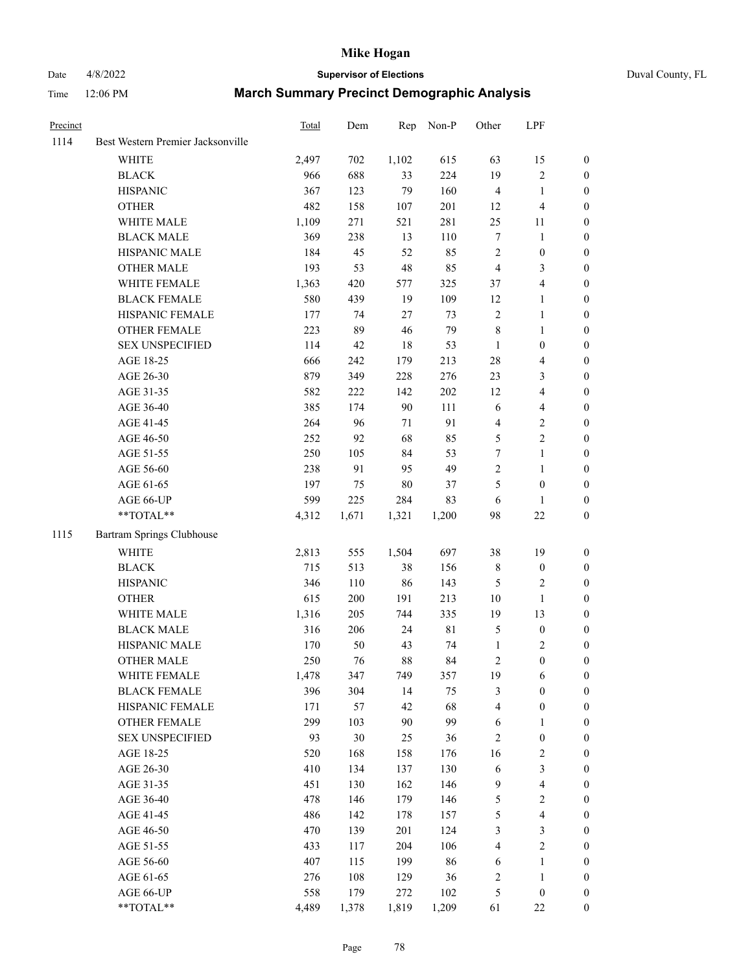# Date 4/8/2022 **Supervisor of Elections** Duval County, FL

| Precinct |                                                            | Total | Dem   | Rep    | Non-P       | Other                   | LPF              |                  |
|----------|------------------------------------------------------------|-------|-------|--------|-------------|-------------------------|------------------|------------------|
| 1114     | Best Western Premier Jacksonville                          |       |       |        |             |                         |                  |                  |
|          | <b>WHITE</b>                                               | 2,497 | 702   | 1,102  | 615         | 63                      | 15               | 0                |
|          | <b>BLACK</b>                                               | 966   | 688   | 33     | 224         | 19                      | $\sqrt{2}$       | 0                |
|          | <b>HISPANIC</b>                                            | 367   | 123   | 79     | 160         | $\overline{4}$          | $\mathbf{1}$     | $\boldsymbol{0}$ |
|          | <b>OTHER</b>                                               | 482   | 158   | 107    | 201         | 12                      | $\overline{4}$   | $\boldsymbol{0}$ |
|          | WHITE MALE                                                 | 1,109 | 271   | 521    | 281         | 25                      | 11               | $\boldsymbol{0}$ |
|          | <b>BLACK MALE</b>                                          | 369   | 238   | 13     | 110         | 7                       | 1                | $\boldsymbol{0}$ |
|          | HISPANIC MALE                                              | 184   | 45    | 52     | 85          | $\overline{c}$          | $\boldsymbol{0}$ | $\boldsymbol{0}$ |
|          | <b>OTHER MALE</b>                                          | 193   | 53    | 48     | 85          | $\overline{4}$          | 3                | $\boldsymbol{0}$ |
|          | WHITE FEMALE                                               | 1,363 | 420   | 577    | 325         | 37                      | $\overline{4}$   | $\boldsymbol{0}$ |
|          | <b>BLACK FEMALE</b>                                        | 580   | 439   | 19     | 109         | 12                      | $\mathbf{1}$     | 0                |
|          | HISPANIC FEMALE                                            | 177   | 74    | 27     | 73          | $\mathbf{2}$            | $\mathbf{1}$     | 0                |
|          | OTHER FEMALE                                               | 223   | 89    | 46     | 79          | 8                       | $\mathbf{1}$     | 0                |
|          | <b>SEX UNSPECIFIED</b>                                     | 114   | 42    | 18     | 53          | $\mathbf{1}$            | $\boldsymbol{0}$ | $\boldsymbol{0}$ |
|          | AGE 18-25                                                  | 666   | 242   | 179    | 213         | 28                      | $\overline{4}$   | $\boldsymbol{0}$ |
|          | AGE 26-30                                                  | 879   | 349   | 228    | 276         | 23                      | $\mathfrak{Z}$   | $\boldsymbol{0}$ |
|          | AGE 31-35                                                  | 582   | 222   | 142    | 202         | 12                      | $\overline{4}$   | $\boldsymbol{0}$ |
|          | AGE 36-40                                                  | 385   | 174   | 90     | 111         | 6                       | $\overline{4}$   | $\boldsymbol{0}$ |
|          | AGE 41-45                                                  | 264   | 96    | 71     | 91          | 4                       | $\sqrt{2}$       | $\boldsymbol{0}$ |
|          | AGE 46-50                                                  | 252   | 92    | 68     | 85          | 5                       | $\overline{c}$   | $\boldsymbol{0}$ |
|          | AGE 51-55                                                  | 250   | 105   | 84     | 53          | 7                       | $\mathbf{1}$     | 0                |
|          | AGE 56-60                                                  | 238   | 91    | 95     | 49          | $\mathbf{2}$            | $\mathbf{1}$     | 0                |
|          | AGE 61-65                                                  | 197   | 75    | $80\,$ | 37          | 5                       | $\boldsymbol{0}$ | 0                |
|          | AGE 66-UP                                                  | 599   | 225   | 284    | 83          | 6                       | 1                | $\boldsymbol{0}$ |
|          | $**TOTAL**$                                                | 4,312 | 1,671 | 1,321  | 1,200       | 98                      | $22\,$           | $\boldsymbol{0}$ |
| 1115     | Bartram Springs Clubhouse                                  |       |       |        |             |                         |                  |                  |
|          | <b>WHITE</b>                                               | 2,813 | 555   | 1,504  | 697         | 38                      | 19               | $\boldsymbol{0}$ |
|          | <b>BLACK</b>                                               | 715   | 513   | 38     | 156         | 8                       | $\boldsymbol{0}$ | $\boldsymbol{0}$ |
|          | <b>HISPANIC</b>                                            | 346   | 110   | 86     | 143         | 5                       | $\mathfrak{2}$   | $\boldsymbol{0}$ |
|          | <b>OTHER</b>                                               | 615   | 200   | 191    | 213         | 10                      | $\mathbf{1}$     | $\boldsymbol{0}$ |
|          | WHITE MALE                                                 | 1,316 | 205   | 744    | 335         | 19                      | 13               | $\boldsymbol{0}$ |
|          | <b>BLACK MALE</b>                                          | 316   | 206   | 24     | $8\sqrt{1}$ | 5                       | $\boldsymbol{0}$ | $\boldsymbol{0}$ |
|          | HISPANIC MALE                                              | 170   | 50    | 43     | 74          | $\mathbf{1}$            | $\overline{c}$   | 0                |
|          | <b>OTHER MALE</b>                                          | 250   | 76    | 88     | 84          | 2                       | $\boldsymbol{0}$ | $\boldsymbol{0}$ |
|          | WHITE FEMALE                                               | 1,478 | 347   | 749    | 357         | 19                      | 6                | 0                |
|          | <b>BLACK FEMALE</b>                                        | 396   | 304   | 14     | 75          | 3                       | $\boldsymbol{0}$ | $\boldsymbol{0}$ |
|          | HISPANIC FEMALE                                            | 171   | 57    | 42     | 68          | 4                       | $\boldsymbol{0}$ | $\overline{0}$   |
|          | OTHER FEMALE                                               | 299   | 103   | 90     | 99          | 6                       | $\mathbf{1}$     | $\overline{0}$   |
|          | <b>SEX UNSPECIFIED</b>                                     | 93    | 30    | 25     | 36          | $\overline{\mathbf{c}}$ | $\boldsymbol{0}$ | 0                |
|          | AGE 18-25                                                  | 520   | 168   | 158    | 176         | 16                      | $\sqrt{2}$       | 0                |
|          | AGE 26-30                                                  | 410   | 134   | 137    | 130         | 6                       | 3                | 0                |
|          | AGE 31-35                                                  | 451   | 130   | 162    | 146         | 9                       | $\overline{4}$   | 0                |
|          | AGE 36-40                                                  | 478   | 146   | 179    | 146         | 5                       | $\sqrt{2}$       | 0                |
|          | AGE 41-45                                                  | 486   | 142   | 178    | 157         | 5                       | $\overline{4}$   | 0                |
|          | AGE 46-50                                                  | 470   | 139   | 201    | 124         | 3                       | $\mathfrak z$    | 0                |
|          | AGE 51-55                                                  | 433   | 117   | 204    | 106         | 4                       | $\sqrt{2}$       | 0                |
|          | AGE 56-60                                                  | 407   | 115   | 199    | 86          | 6                       | 1                | $\boldsymbol{0}$ |
|          | AGE 61-65                                                  | 276   | 108   | 129    | 36          | $\overline{\mathbf{c}}$ | $\mathbf{1}$     | $\boldsymbol{0}$ |
|          | AGE 66-UP                                                  | 558   | 179   | 272    | 102         | 5                       | $\boldsymbol{0}$ | 0                |
|          | $\mathrm{*}\mathrm{*} \mathrm{TOTAL} \mathrm{*}\mathrm{*}$ | 4,489 | 1,378 | 1,819  | 1,209       | 61                      | $22\,$           | $\boldsymbol{0}$ |
|          |                                                            |       |       |        |             |                         |                  |                  |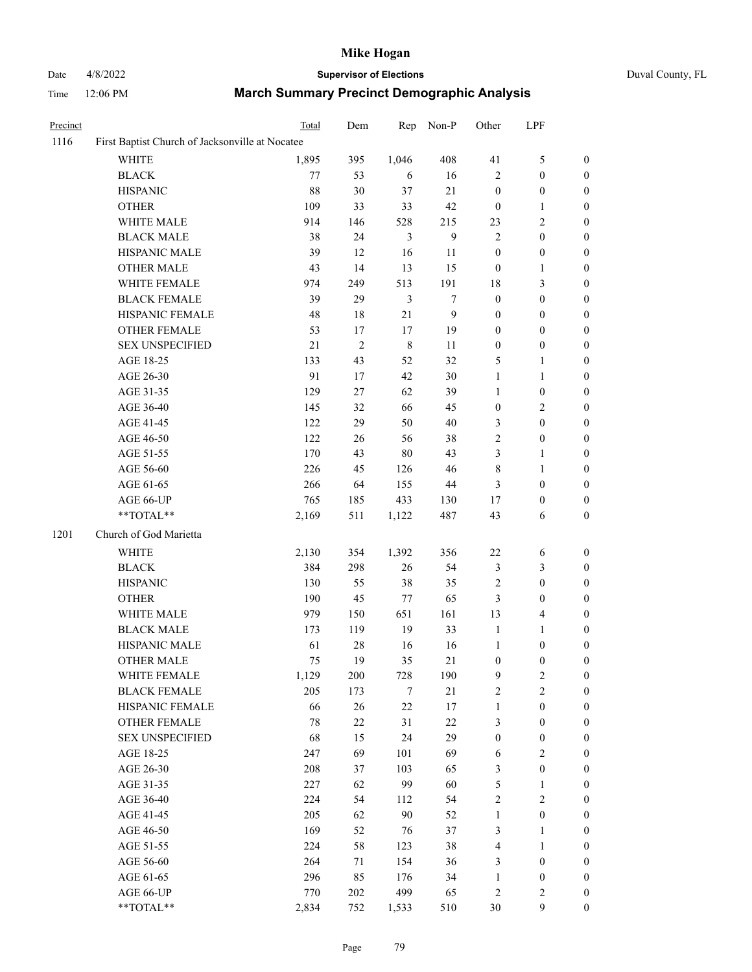# Date 4/8/2022 **Supervisor of Elections** Duval County, FL

| Precinct |                                                 | Total  | Dem        | Rep            | Non-P            | Other            | LPF              |                  |
|----------|-------------------------------------------------|--------|------------|----------------|------------------|------------------|------------------|------------------|
| 1116     | First Baptist Church of Jacksonville at Nocatee |        |            |                |                  |                  |                  |                  |
|          | <b>WHITE</b>                                    | 1,895  | 395        | 1,046          | 408              | 41               | $\mathfrak{S}$   | $\boldsymbol{0}$ |
|          | <b>BLACK</b>                                    | 77     | 53         | 6              | 16               | $\overline{c}$   | $\boldsymbol{0}$ | $\boldsymbol{0}$ |
|          | <b>HISPANIC</b>                                 | 88     | 30         | 37             | 21               | $\boldsymbol{0}$ | $\boldsymbol{0}$ | $\boldsymbol{0}$ |
|          | <b>OTHER</b>                                    | 109    | 33         | 33             | $42\,$           | $\boldsymbol{0}$ | $\mathbf{1}$     | $\boldsymbol{0}$ |
|          | WHITE MALE                                      | 914    | 146        | 528            | 215              | 23               | $\mathbf{2}$     | $\boldsymbol{0}$ |
|          | <b>BLACK MALE</b>                               | 38     | 24         | $\mathfrak{Z}$ | $\boldsymbol{9}$ | $\overline{c}$   | $\boldsymbol{0}$ | $\boldsymbol{0}$ |
|          | HISPANIC MALE                                   | 39     | 12         | 16             | 11               | $\boldsymbol{0}$ | $\boldsymbol{0}$ | 0                |
|          | <b>OTHER MALE</b>                               | 43     | 14         | 13             | 15               | $\boldsymbol{0}$ | 1                | 0                |
|          | WHITE FEMALE                                    | 974    | 249        | 513            | 191              | 18               | $\mathfrak{Z}$   | $\boldsymbol{0}$ |
|          | <b>BLACK FEMALE</b>                             | 39     | 29         | 3              | $\tau$           | $\boldsymbol{0}$ | $\boldsymbol{0}$ | $\boldsymbol{0}$ |
|          | HISPANIC FEMALE                                 | 48     | $18\,$     | 21             | 9                | $\boldsymbol{0}$ | $\boldsymbol{0}$ | $\boldsymbol{0}$ |
|          | OTHER FEMALE                                    | 53     | $17\,$     | $17\,$         | 19               | $\boldsymbol{0}$ | $\boldsymbol{0}$ | $\boldsymbol{0}$ |
|          | <b>SEX UNSPECIFIED</b>                          | 21     | $\sqrt{2}$ | $\,8\,$        | 11               | $\boldsymbol{0}$ | $\boldsymbol{0}$ | $\boldsymbol{0}$ |
|          | AGE 18-25                                       | 133    | 43         | 52             | 32               | 5                | $\mathbf{1}$     | $\boldsymbol{0}$ |
|          | AGE 26-30                                       | 91     | 17         | 42             | $30\,$           | $\mathbf{1}$     | $\mathbf{1}$     | $\boldsymbol{0}$ |
|          | AGE 31-35                                       | 129    | 27         | 62             | 39               | $\mathbf{1}$     | $\boldsymbol{0}$ | $\boldsymbol{0}$ |
|          | AGE 36-40                                       | 145    | 32         | 66             | 45               | $\boldsymbol{0}$ | $\sqrt{2}$       | 0                |
|          | AGE 41-45                                       | 122    | 29         | 50             | $40\,$           | 3                | $\boldsymbol{0}$ | 0                |
|          | AGE 46-50                                       | 122    | 26         | 56             | 38               | $\sqrt{2}$       | $\boldsymbol{0}$ | $\boldsymbol{0}$ |
|          | AGE 51-55                                       | 170    | 43         | $80\,$         | 43               | 3                | $\mathbf{1}$     | $\boldsymbol{0}$ |
|          | AGE 56-60                                       | 226    | 45         | 126            | $46\,$           | 8                | $\mathbf{1}$     | $\boldsymbol{0}$ |
|          | AGE 61-65                                       | 266    | 64         | 155            | $44\,$           | $\mathfrak{Z}$   | $\boldsymbol{0}$ | $\boldsymbol{0}$ |
|          | AGE 66-UP                                       | 765    | 185        | 433            | 130              | 17               | $\boldsymbol{0}$ | $\boldsymbol{0}$ |
|          | **TOTAL**                                       | 2,169  | 511        | 1,122          | 487              | 43               | 6                | $\boldsymbol{0}$ |
| 1201     | Church of God Marietta                          |        |            |                |                  |                  |                  |                  |
|          | WHITE                                           | 2,130  | 354        | 1,392          | 356              | 22               | 6                | $\boldsymbol{0}$ |
|          | <b>BLACK</b>                                    | 384    | 298        | $26\,$         | 54               | 3                | $\mathfrak{Z}$   | $\boldsymbol{0}$ |
|          | <b>HISPANIC</b>                                 | 130    | 55         | 38             | 35               | $\sqrt{2}$       | $\boldsymbol{0}$ | $\boldsymbol{0}$ |
|          | <b>OTHER</b>                                    | 190    | 45         | $77\,$         | 65               | $\mathfrak{Z}$   | $\boldsymbol{0}$ | 0                |
|          | WHITE MALE                                      | 979    | 150        | 651            | 161              | 13               | $\overline{4}$   | 0                |
|          | <b>BLACK MALE</b>                               | 173    | 119        | 19             | 33               | $\mathbf{1}$     | 1                | 0                |
|          | HISPANIC MALE                                   | 61     | $28\,$     | 16             | 16               | $\mathbf{1}$     | $\boldsymbol{0}$ | 0                |
|          | <b>OTHER MALE</b>                               | 75     | 19         | 35             | 21               | $\boldsymbol{0}$ | $\boldsymbol{0}$ | $\boldsymbol{0}$ |
|          | WHITE FEMALE                                    | 1,129  | 200        | 728            | 190              | 9                | $\sqrt{2}$       | $\boldsymbol{0}$ |
|          | <b>BLACK FEMALE</b>                             | 205    | 173        | 7              | 21               | $\boldsymbol{2}$ | $\sqrt{2}$       | $\overline{0}$   |
|          | HISPANIC FEMALE                                 | 66     | 26         | $22\,$         | 17               | $\mathbf{1}$     | $\boldsymbol{0}$ | $\theta$         |
|          | <b>OTHER FEMALE</b>                             | $78\,$ | $22\,$     | 31             | $22\,$           | 3                | $\boldsymbol{0}$ | 0                |
|          | <b>SEX UNSPECIFIED</b>                          | 68     | 15         | 24             | 29               | $\boldsymbol{0}$ | $\boldsymbol{0}$ | 0                |
|          | AGE 18-25                                       | 247    | 69         | 101            | 69               | 6                | $\sqrt{2}$       | 0                |
|          | AGE 26-30                                       | 208    | 37         | 103            | 65               | 3                | $\boldsymbol{0}$ | 0                |
|          | AGE 31-35                                       | 227    | 62         | 99             | 60               | 5                | $\mathbf{1}$     | 0                |
|          | AGE 36-40                                       | 224    | 54         | 112            | 54               | $\sqrt{2}$       | $\sqrt{2}$       | 0                |
|          | AGE 41-45                                       | 205    | 62         | 90             | 52               | $\mathbf{1}$     | $\boldsymbol{0}$ | $\boldsymbol{0}$ |
|          | AGE 46-50                                       | 169    | 52         | 76             | 37               | 3                | $\mathbf{1}$     | $\overline{0}$   |
|          | AGE 51-55                                       | 224    | 58         | 123            | $38\,$           | 4                | $\mathbf{1}$     | 0                |
|          | AGE 56-60                                       | 264    | 71         | 154            | 36               | 3                | $\boldsymbol{0}$ | 0                |
|          | AGE 61-65                                       | 296    | 85         | 176            | 34               | $\mathbf{1}$     | $\boldsymbol{0}$ | 0                |
|          | AGE 66-UP                                       | 770    | $202\,$    | 499            | 65               | $\overline{c}$   | $\sqrt{2}$       | 0                |
|          | **TOTAL**                                       | 2,834  | 752        | 1,533          | 510              | $30\,$           | $\boldsymbol{9}$ | $\boldsymbol{0}$ |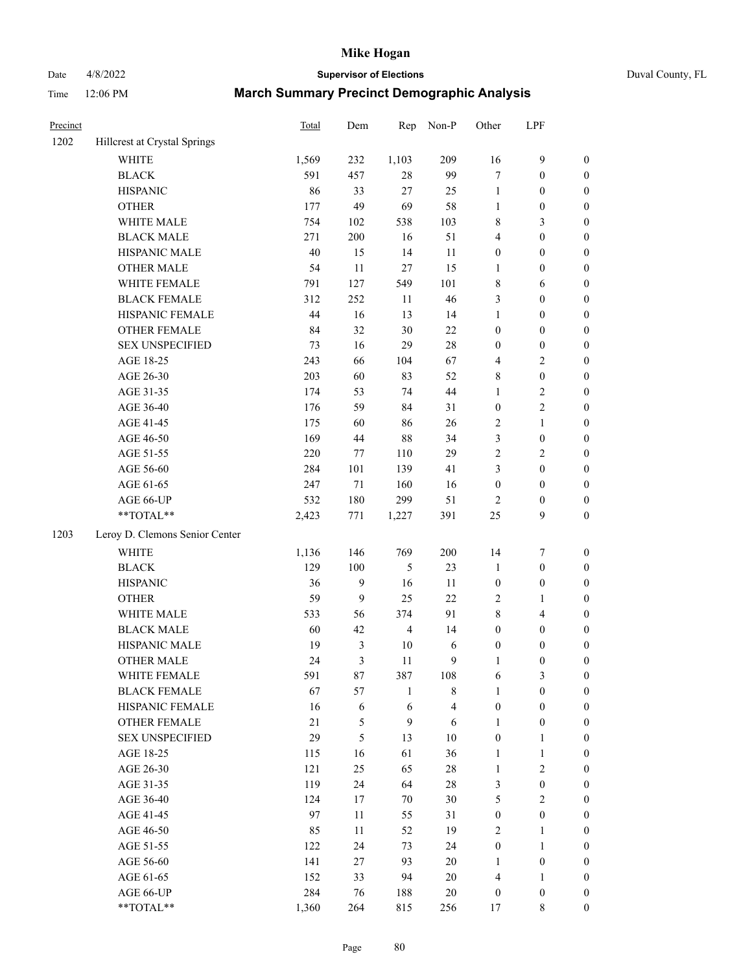Date 4/8/2022 **Supervisor of Elections** Duval County, FL

| Precinct |                                | Total | Dem            | Rep            | Non-P                   | Other            | LPF              |                  |
|----------|--------------------------------|-------|----------------|----------------|-------------------------|------------------|------------------|------------------|
| 1202     | Hillcrest at Crystal Springs   |       |                |                |                         |                  |                  |                  |
|          | <b>WHITE</b>                   | 1,569 | 232            | 1,103          | 209                     | 16               | $\mathbf{9}$     | 0                |
|          | <b>BLACK</b>                   | 591   | 457            | $28\,$         | 99                      | $\tau$           | $\boldsymbol{0}$ | $\boldsymbol{0}$ |
|          | <b>HISPANIC</b>                | 86    | 33             | 27             | 25                      | $\mathbf{1}$     | $\boldsymbol{0}$ | $\boldsymbol{0}$ |
|          | <b>OTHER</b>                   | 177   | 49             | 69             | 58                      | 1                | $\boldsymbol{0}$ | $\boldsymbol{0}$ |
|          | WHITE MALE                     | 754   | 102            | 538            | 103                     | 8                | $\mathfrak{Z}$   | $\boldsymbol{0}$ |
|          | <b>BLACK MALE</b>              | 271   | 200            | 16             | 51                      | 4                | $\boldsymbol{0}$ | $\boldsymbol{0}$ |
|          | HISPANIC MALE                  | 40    | 15             | 14             | 11                      | $\boldsymbol{0}$ | $\boldsymbol{0}$ | $\boldsymbol{0}$ |
|          | <b>OTHER MALE</b>              | 54    | 11             | 27             | 15                      | $\mathbf{1}$     | $\boldsymbol{0}$ | $\boldsymbol{0}$ |
|          | WHITE FEMALE                   | 791   | 127            | 549            | 101                     | 8                | 6                | $\boldsymbol{0}$ |
|          | <b>BLACK FEMALE</b>            | 312   | 252            | 11             | 46                      | 3                | $\boldsymbol{0}$ | $\boldsymbol{0}$ |
|          | HISPANIC FEMALE                | 44    | 16             | 13             | 14                      | $\mathbf{1}$     | $\boldsymbol{0}$ | 0                |
|          | OTHER FEMALE                   | 84    | 32             | 30             | 22                      | $\boldsymbol{0}$ | $\boldsymbol{0}$ | $\boldsymbol{0}$ |
|          | <b>SEX UNSPECIFIED</b>         | 73    | 16             | 29             | $28\,$                  | $\boldsymbol{0}$ | $\boldsymbol{0}$ | $\boldsymbol{0}$ |
|          | AGE 18-25                      | 243   | 66             | 104            | 67                      | 4                | $\sqrt{2}$       | $\boldsymbol{0}$ |
|          | AGE 26-30                      | 203   | 60             | 83             | 52                      | 8                | $\boldsymbol{0}$ | $\boldsymbol{0}$ |
|          | AGE 31-35                      | 174   | 53             | 74             | 44                      | $\mathbf{1}$     | $\sqrt{2}$       | $\boldsymbol{0}$ |
|          | AGE 36-40                      | 176   | 59             | 84             | 31                      | $\boldsymbol{0}$ | $\sqrt{2}$       | $\boldsymbol{0}$ |
|          | AGE 41-45                      | 175   | 60             | 86             | 26                      | 2                | $\mathbf{1}$     | $\boldsymbol{0}$ |
|          | AGE 46-50                      | 169   | 44             | 88             | 34                      | 3                | $\boldsymbol{0}$ | $\boldsymbol{0}$ |
|          | AGE 51-55                      | 220   | 77             | 110            | 29                      | 2                | $\sqrt{2}$       | $\boldsymbol{0}$ |
|          | AGE 56-60                      | 284   | 101            | 139            | 41                      | 3                | $\boldsymbol{0}$ | 0                |
|          | AGE 61-65                      | 247   | 71             | 160            | 16                      | $\boldsymbol{0}$ | $\boldsymbol{0}$ | 0                |
|          | AGE 66-UP                      | 532   | 180            | 299            | 51                      | $\overline{c}$   | $\boldsymbol{0}$ | $\boldsymbol{0}$ |
|          | **TOTAL**                      | 2,423 | 771            | 1,227          | 391                     | $25\,$           | 9                | $\boldsymbol{0}$ |
| 1203     | Leroy D. Clemons Senior Center |       |                |                |                         |                  |                  |                  |
|          | <b>WHITE</b>                   | 1,136 | 146            | 769            | 200                     | 14               | $\boldsymbol{7}$ | $\boldsymbol{0}$ |
|          | <b>BLACK</b>                   | 129   | 100            | 5              | 23                      | $\mathbf{1}$     | $\boldsymbol{0}$ | $\boldsymbol{0}$ |
|          | <b>HISPANIC</b>                | 36    | 9              | 16             | 11                      | $\boldsymbol{0}$ | $\boldsymbol{0}$ | $\boldsymbol{0}$ |
|          | <b>OTHER</b>                   | 59    | 9              | 25             | 22                      | 2                | $\mathbf{1}$     | $\boldsymbol{0}$ |
|          | WHITE MALE                     | 533   | 56             | 374            | 91                      | 8                | $\overline{4}$   | $\boldsymbol{0}$ |
|          | <b>BLACK MALE</b>              | 60    | 42             | $\overline{4}$ | 14                      | $\boldsymbol{0}$ | $\boldsymbol{0}$ | $\boldsymbol{0}$ |
|          | HISPANIC MALE                  | 19    | $\mathfrak{Z}$ | 10             | 6                       | $\boldsymbol{0}$ | $\boldsymbol{0}$ | $\boldsymbol{0}$ |
|          | OTHER MALE                     | 24    | 3              | 11             | 9                       | $\mathbf{1}$     | $\boldsymbol{0}$ | $\boldsymbol{0}$ |
|          | WHITE FEMALE                   | 591   | 87             | 387            | 108                     | 6                | 3                | 0                |
|          | <b>BLACK FEMALE</b>            | 67    | 57             | $\mathbf{1}$   | $\,$ 8 $\,$             | $\mathbf{1}$     | $\boldsymbol{0}$ | $\boldsymbol{0}$ |
|          | HISPANIC FEMALE                | 16    | 6              | 6              | $\overline{\mathbf{4}}$ | $\boldsymbol{0}$ | $\boldsymbol{0}$ | $\overline{0}$   |
|          | OTHER FEMALE                   | 21    | 5              | $\mathbf{9}$   | 6                       | $\mathbf{1}$     | $\boldsymbol{0}$ | $\overline{0}$   |
|          | <b>SEX UNSPECIFIED</b>         | 29    | 5              | 13             | $10\,$                  | $\boldsymbol{0}$ | $\mathbf{1}$     | 0                |
|          | AGE 18-25                      | 115   | 16             | 61             | 36                      | $\mathbf{1}$     | $\mathbf{1}$     | 0                |
|          | AGE 26-30                      | 121   | 25             | 65             | $28\,$                  | $\mathbf{1}$     | $\overline{2}$   | 0                |
|          | AGE 31-35                      | 119   | 24             | 64             | $28\,$                  | 3                | $\boldsymbol{0}$ | 0                |
|          | AGE 36-40                      | 124   | 17             | 70             | $30\,$                  | 5                | $\sqrt{2}$       | 0                |
|          | AGE 41-45                      | 97    | 11             | 55             | 31                      | $\boldsymbol{0}$ | $\boldsymbol{0}$ | 0                |
|          | AGE 46-50                      | 85    | 11             | 52             | 19                      | 2                | $\mathbf{1}$     | 0                |
|          | AGE 51-55                      | 122   | 24             | 73             | 24                      | $\boldsymbol{0}$ | $\mathbf{1}$     | 0                |
|          | AGE 56-60                      | 141   | 27             | 93             | $20\,$                  | 1                | $\boldsymbol{0}$ | $\overline{0}$   |
|          | AGE 61-65                      | 152   | 33             | 94             | $20\,$                  | 4                | $\mathbf{1}$     | $\overline{0}$   |
|          | AGE 66-UP                      | 284   | 76             | 188            | $20\,$                  | $\boldsymbol{0}$ | $\boldsymbol{0}$ | 0                |
|          | **TOTAL**                      | 1,360 | 264            | 815            | 256                     | 17               | 8                | $\boldsymbol{0}$ |
|          |                                |       |                |                |                         |                  |                  |                  |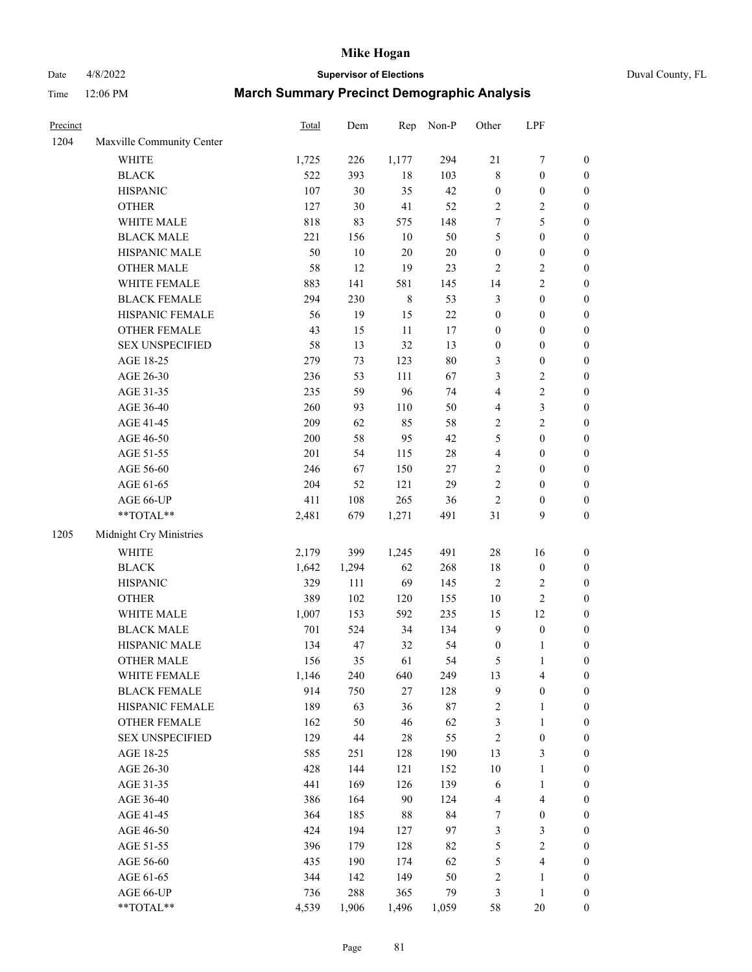# Date 4/8/2022 **Supervisor of Elections** Duval County, FL

| Precinct |                                                             | <b>Total</b> | Dem    | Rep         | Non-P  | Other                   | LPF              |                  |
|----------|-------------------------------------------------------------|--------------|--------|-------------|--------|-------------------------|------------------|------------------|
| 1204     | Maxville Community Center                                   |              |        |             |        |                         |                  |                  |
|          | <b>WHITE</b>                                                | 1,725        | 226    | 1,177       | 294    | 21                      | $\boldsymbol{7}$ | 0                |
|          | <b>BLACK</b>                                                | 522          | 393    | $18\,$      | 103    | 8                       | $\boldsymbol{0}$ | $\boldsymbol{0}$ |
|          | <b>HISPANIC</b>                                             | 107          | 30     | 35          | 42     | $\boldsymbol{0}$        | $\boldsymbol{0}$ | $\boldsymbol{0}$ |
|          | <b>OTHER</b>                                                | 127          | 30     | 41          | 52     | $\mathbf{2}$            | $\sqrt{2}$       | $\boldsymbol{0}$ |
|          | WHITE MALE                                                  | 818          | 83     | 575         | 148    | 7                       | 5                | $\boldsymbol{0}$ |
|          | <b>BLACK MALE</b>                                           | 221          | 156    | 10          | 50     | 5                       | $\boldsymbol{0}$ | $\boldsymbol{0}$ |
|          | HISPANIC MALE                                               | 50           | $10\,$ | $20\,$      | $20\,$ | $\boldsymbol{0}$        | $\boldsymbol{0}$ | $\boldsymbol{0}$ |
|          | <b>OTHER MALE</b>                                           | 58           | 12     | 19          | 23     | $\overline{c}$          | $\sqrt{2}$       | $\boldsymbol{0}$ |
|          | WHITE FEMALE                                                | 883          | 141    | 581         | 145    | 14                      | $\sqrt{2}$       | $\boldsymbol{0}$ |
|          | <b>BLACK FEMALE</b>                                         | 294          | 230    | $\,$ 8 $\,$ | 53     | 3                       | $\boldsymbol{0}$ | $\boldsymbol{0}$ |
|          | HISPANIC FEMALE                                             | 56           | 19     | 15          | 22     | $\boldsymbol{0}$        | $\boldsymbol{0}$ | $\boldsymbol{0}$ |
|          | <b>OTHER FEMALE</b>                                         | 43           | 15     | $11\,$      | $17\,$ | $\boldsymbol{0}$        | $\boldsymbol{0}$ | $\boldsymbol{0}$ |
|          | <b>SEX UNSPECIFIED</b>                                      | 58           | 13     | 32          | 13     | $\boldsymbol{0}$        | $\boldsymbol{0}$ | $\boldsymbol{0}$ |
|          | AGE 18-25                                                   | 279          | 73     | 123         | $80\,$ | 3                       | $\boldsymbol{0}$ | $\boldsymbol{0}$ |
|          | AGE 26-30                                                   | 236          | 53     | 111         | 67     | 3                       | $\sqrt{2}$       | $\boldsymbol{0}$ |
|          | AGE 31-35                                                   | 235          | 59     | 96          | 74     | 4                       | $\sqrt{2}$       | $\boldsymbol{0}$ |
|          | AGE 36-40                                                   | 260          | 93     | 110         | 50     | 4                       | $\mathfrak{Z}$   | $\boldsymbol{0}$ |
|          | AGE 41-45                                                   | 209          | 62     | 85          | 58     | $\mathbf{2}$            | $\sqrt{2}$       | $\boldsymbol{0}$ |
|          | AGE 46-50                                                   | 200          | 58     | 95          | 42     | 5                       | $\boldsymbol{0}$ | $\boldsymbol{0}$ |
|          | AGE 51-55                                                   | 201          | 54     | 115         | $28\,$ | $\overline{\mathbf{4}}$ | $\boldsymbol{0}$ | $\boldsymbol{0}$ |
|          | AGE 56-60                                                   | 246          | 67     | 150         | $27\,$ | $\mathbf{2}$            | $\boldsymbol{0}$ | $\boldsymbol{0}$ |
|          | AGE 61-65                                                   | 204          | 52     | 121         | 29     | $\overline{c}$          | $\boldsymbol{0}$ | $\boldsymbol{0}$ |
|          | AGE 66-UP                                                   | 411          | 108    | 265         | 36     | $\mathbf{2}$            | $\boldsymbol{0}$ | $\boldsymbol{0}$ |
|          | $\mathrm{*}\mathrm{*} \mathrm{TOTAL} \mathrm{*} \mathrm{*}$ | 2,481        | 679    | 1,271       | 491    | 31                      | 9                | $\boldsymbol{0}$ |
| 1205     | Midnight Cry Ministries                                     |              |        |             |        |                         |                  |                  |
|          | <b>WHITE</b>                                                | 2,179        | 399    | 1,245       | 491    | 28                      | 16               | $\boldsymbol{0}$ |
|          | <b>BLACK</b>                                                | 1,642        | 1,294  | 62          | 268    | $18\,$                  | $\boldsymbol{0}$ | $\boldsymbol{0}$ |
|          | <b>HISPANIC</b>                                             | 329          | 111    | 69          | 145    | 2                       | $\sqrt{2}$       | $\boldsymbol{0}$ |
|          | <b>OTHER</b>                                                | 389          | 102    | 120         | 155    | $10\,$                  | $\sqrt{2}$       | $\boldsymbol{0}$ |
|          | WHITE MALE                                                  | 1,007        | 153    | 592         | 235    | 15                      | 12               | $\boldsymbol{0}$ |
|          | <b>BLACK MALE</b>                                           | 701          | 524    | 34          | 134    | $\boldsymbol{9}$        | $\boldsymbol{0}$ | $\boldsymbol{0}$ |
|          | HISPANIC MALE                                               | 134          | 47     | 32          | 54     | $\boldsymbol{0}$        | 1                | 0                |
|          | <b>OTHER MALE</b>                                           | 156          | 35     | 61          | 54     | 5                       | $\mathbf{1}$     | $\boldsymbol{0}$ |
|          | WHITE FEMALE                                                | 1,146        | 240    | 640         | 249    | 13                      | 4                | 0                |
|          | <b>BLACK FEMALE</b>                                         | 914          | 750    | 27          | 128    | 9                       | $\boldsymbol{0}$ | $\boldsymbol{0}$ |
|          | HISPANIC FEMALE                                             | 189          | 63     | 36          | 87     | $\overline{c}$          | $\mathbf{1}$     | $\boldsymbol{0}$ |
|          | OTHER FEMALE                                                | 162          | 50     | 46          | 62     | 3                       | $\mathbf{1}$     | $\overline{0}$   |
|          | <b>SEX UNSPECIFIED</b>                                      | 129          | $44\,$ | 28          | 55     | 2                       | $\boldsymbol{0}$ | 0                |
|          | AGE 18-25                                                   | 585          | 251    | 128         | 190    | 13                      | 3                | 0                |
|          | AGE 26-30                                                   | 428          | 144    | 121         | 152    | $10\,$                  | $\mathbf{1}$     | 0                |
|          | AGE 31-35                                                   | 441          | 169    | 126         | 139    | 6                       | $\mathbf{1}$     | 0                |
|          | AGE 36-40                                                   | 386          | 164    | 90          | 124    | 4                       | $\overline{4}$   | 0                |
|          | AGE 41-45                                                   | 364          | 185    | 88          | 84     | 7                       | $\boldsymbol{0}$ | 0                |
|          | AGE 46-50                                                   | 424          | 194    | 127         | 97     | 3                       | $\mathfrak{Z}$   | 0                |
|          | AGE 51-55                                                   | 396          | 179    | 128         | 82     | 5                       | $\sqrt{2}$       | $\overline{0}$   |
|          | AGE 56-60                                                   | 435          | 190    | 174         | 62     | 5                       | $\overline{4}$   | $\boldsymbol{0}$ |
|          | AGE 61-65                                                   | 344          | 142    | 149         | 50     | $\overline{\mathbf{c}}$ | $\mathbf{1}$     | $\boldsymbol{0}$ |
|          | AGE 66-UP                                                   | 736          | 288    | 365         | 79     | 3                       | $\mathbf{1}$     | $\boldsymbol{0}$ |
|          | **TOTAL**                                                   | 4,539        | 1,906  | 1,496       | 1,059  | 58                      | 20               | $\boldsymbol{0}$ |
|          |                                                             |              |        |             |        |                         |                  |                  |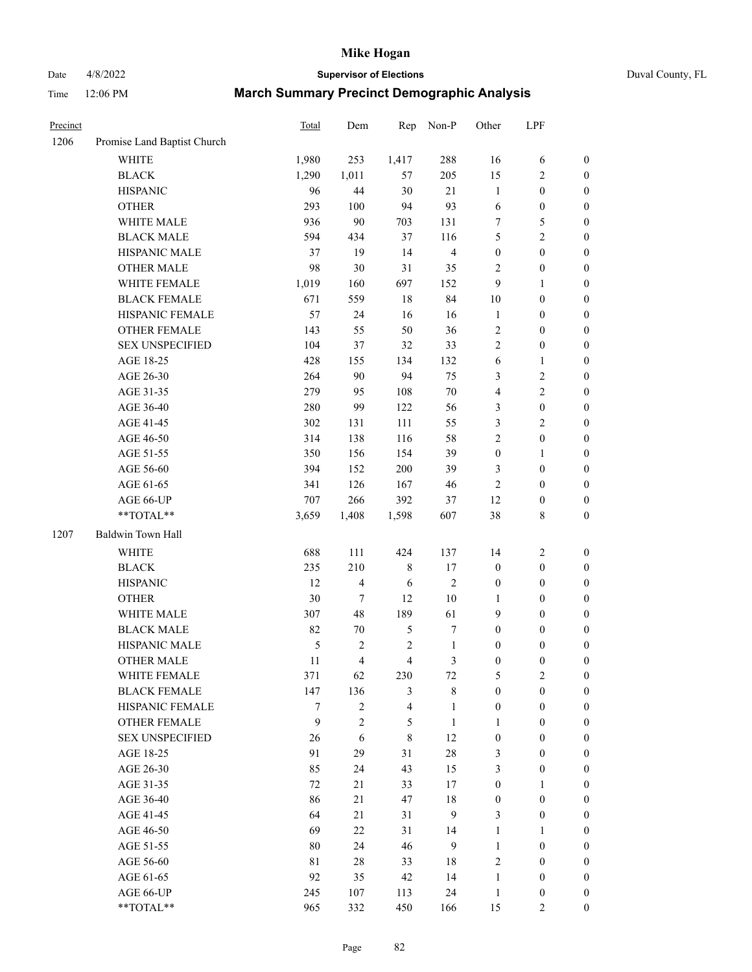# Date 4/8/2022 **Supervisor of Elections** Duval County, FL

| Precinct |                             | Total | Dem              | Rep                      | Non-P          | Other            | LPF              |                  |
|----------|-----------------------------|-------|------------------|--------------------------|----------------|------------------|------------------|------------------|
| 1206     | Promise Land Baptist Church |       |                  |                          |                |                  |                  |                  |
|          | <b>WHITE</b>                | 1,980 | 253              | 1,417                    | 288            | 16               | 6                | 0                |
|          | <b>BLACK</b>                | 1,290 | 1,011            | 57                       | 205            | 15               | $\overline{c}$   | 0                |
|          | <b>HISPANIC</b>             | 96    | 44               | 30                       | 21             | $\mathbf{1}$     | $\boldsymbol{0}$ | $\boldsymbol{0}$ |
|          | <b>OTHER</b>                | 293   | 100              | 94                       | 93             | 6                | $\boldsymbol{0}$ | $\boldsymbol{0}$ |
|          | WHITE MALE                  | 936   | 90               | 703                      | 131            | 7                | 5                | $\boldsymbol{0}$ |
|          | <b>BLACK MALE</b>           | 594   | 434              | 37                       | 116            | 5                | $\sqrt{2}$       | $\boldsymbol{0}$ |
|          | HISPANIC MALE               | 37    | 19               | 14                       | $\overline{4}$ | 0                | $\boldsymbol{0}$ | $\boldsymbol{0}$ |
|          | <b>OTHER MALE</b>           | 98    | 30               | 31                       | 35             | 2                | $\boldsymbol{0}$ | $\boldsymbol{0}$ |
|          | WHITE FEMALE                | 1,019 | 160              | 697                      | 152            | 9                | $\mathbf{1}$     | $\boldsymbol{0}$ |
|          | <b>BLACK FEMALE</b>         | 671   | 559              | 18                       | 84             | 10               | $\boldsymbol{0}$ | $\boldsymbol{0}$ |
|          | HISPANIC FEMALE             | 57    | 24               | 16                       | 16             | $\mathbf{1}$     | $\boldsymbol{0}$ | $\boldsymbol{0}$ |
|          | OTHER FEMALE                | 143   | 55               | 50                       | 36             | 2                | $\boldsymbol{0}$ | $\boldsymbol{0}$ |
|          | <b>SEX UNSPECIFIED</b>      | 104   | 37               | 32                       | 33             | $\overline{c}$   | $\boldsymbol{0}$ | $\boldsymbol{0}$ |
|          | AGE 18-25                   | 428   | 155              | 134                      | 132            | 6                | $\mathbf{1}$     | $\boldsymbol{0}$ |
|          | AGE 26-30                   | 264   | 90               | 94                       | 75             | 3                | $\sqrt{2}$       | $\boldsymbol{0}$ |
|          | AGE 31-35                   | 279   | 95               | 108                      | 70             | 4                | $\sqrt{2}$       | $\boldsymbol{0}$ |
|          | AGE 36-40                   | 280   | 99               | 122                      | 56             | 3                | $\boldsymbol{0}$ | $\boldsymbol{0}$ |
|          | AGE 41-45                   | 302   | 131              | 111                      | 55             | 3                | $\mathbf{2}$     | $\boldsymbol{0}$ |
|          | AGE 46-50                   | 314   | 138              | 116                      | 58             | $\overline{c}$   | $\boldsymbol{0}$ | $\boldsymbol{0}$ |
|          | AGE 51-55                   | 350   | 156              | 154                      | 39             | $\boldsymbol{0}$ | 1                | $\boldsymbol{0}$ |
|          | AGE 56-60                   | 394   | 152              | 200                      | 39             | 3                | $\boldsymbol{0}$ | 0                |
|          | AGE 61-65                   | 341   | 126              | 167                      | 46             | 2                | $\boldsymbol{0}$ | $\boldsymbol{0}$ |
|          | AGE 66-UP                   | 707   | 266              | 392                      | 37             | 12               | $\boldsymbol{0}$ | $\boldsymbol{0}$ |
|          | $**TOTAL**$                 | 3,659 | 1,408            | 1,598                    | 607            | 38               | $\,$ 8 $\,$      | $\boldsymbol{0}$ |
| 1207     | Baldwin Town Hall           |       |                  |                          |                |                  |                  |                  |
|          | <b>WHITE</b>                | 688   | 111              | 424                      | 137            | 14               | $\sqrt{2}$       | $\boldsymbol{0}$ |
|          | <b>BLACK</b>                | 235   | 210              | 8                        | 17             | $\boldsymbol{0}$ | $\boldsymbol{0}$ | $\boldsymbol{0}$ |
|          | <b>HISPANIC</b>             | 12    | $\overline{4}$   | 6                        | $\sqrt{2}$     | $\boldsymbol{0}$ | $\boldsymbol{0}$ | $\boldsymbol{0}$ |
|          | <b>OTHER</b>                | 30    | $\boldsymbol{7}$ | 12                       | 10             | $\mathbf{1}$     | $\boldsymbol{0}$ | $\boldsymbol{0}$ |
|          | WHITE MALE                  | 307   | 48               | 189                      | 61             | 9                | $\boldsymbol{0}$ | $\boldsymbol{0}$ |
|          | <b>BLACK MALE</b>           | 82    | $70\,$           | 5                        | 7              | $\boldsymbol{0}$ | $\boldsymbol{0}$ | $\boldsymbol{0}$ |
|          | HISPANIC MALE               | 5     | $\sqrt{2}$       | $\sqrt{2}$               | $\mathbf{1}$   | $\boldsymbol{0}$ | $\boldsymbol{0}$ | $\boldsymbol{0}$ |
|          | <b>OTHER MALE</b>           | 11    | $\overline{4}$   | 4                        | 3              | $\boldsymbol{0}$ | $\boldsymbol{0}$ | $\boldsymbol{0}$ |
|          | WHITE FEMALE                | 371   | 62               | 230                      | 72             | 5                | 2                | 0                |
|          | <b>BLACK FEMALE</b>         | 147   | 136              | 3                        | $\,$ 8 $\,$    | $\boldsymbol{0}$ | $\boldsymbol{0}$ | $\overline{0}$   |
|          | HISPANIC FEMALE             | 7     | $\mathbf{2}$     | $\overline{\mathcal{L}}$ | $\mathbf{1}$   | $\boldsymbol{0}$ | $\boldsymbol{0}$ | $\overline{0}$   |
|          | <b>OTHER FEMALE</b>         | 9     | $\sqrt{2}$       | 5                        | $\mathbf{1}$   | 1                | $\boldsymbol{0}$ | $\overline{0}$   |
|          | <b>SEX UNSPECIFIED</b>      | 26    | 6                | 8                        | 12             | $\boldsymbol{0}$ | $\boldsymbol{0}$ | 0                |
|          | AGE 18-25                   | 91    | 29               | 31                       | 28             | 3                | $\boldsymbol{0}$ | $\theta$         |
|          | AGE 26-30                   | 85    | 24               | 43                       | 15             | 3                | $\boldsymbol{0}$ | 0                |
|          | AGE 31-35                   | 72    | 21               | 33                       | 17             | $\boldsymbol{0}$ | 1                | 0                |
|          | AGE 36-40                   | 86    | 21               | 47                       | 18             | 0                | $\boldsymbol{0}$ | 0                |
|          | AGE 41-45                   | 64    | 21               | 31                       | 9              | 3                | $\boldsymbol{0}$ | 0                |
|          | AGE 46-50                   | 69    | 22               | 31                       | 14             | $\mathbf{1}$     | 1                | 0                |
|          | AGE 51-55                   | 80    | 24               | 46                       | 9              | $\mathbf{1}$     | $\boldsymbol{0}$ | 0                |
|          | AGE 56-60                   | 81    | 28               | 33                       | 18             | 2                | $\boldsymbol{0}$ | $\overline{0}$   |
|          | AGE 61-65                   | 92    | 35               | 42                       | 14             | 1                | $\boldsymbol{0}$ | $\overline{0}$   |
|          | AGE 66-UP                   | 245   | 107              | 113                      | 24             | $\mathbf{1}$     | $\boldsymbol{0}$ | 0                |
|          | **TOTAL**                   | 965   | 332              | 450                      | 166            | 15               | $\mathbf{2}$     | $\overline{0}$   |
|          |                             |       |                  |                          |                |                  |                  |                  |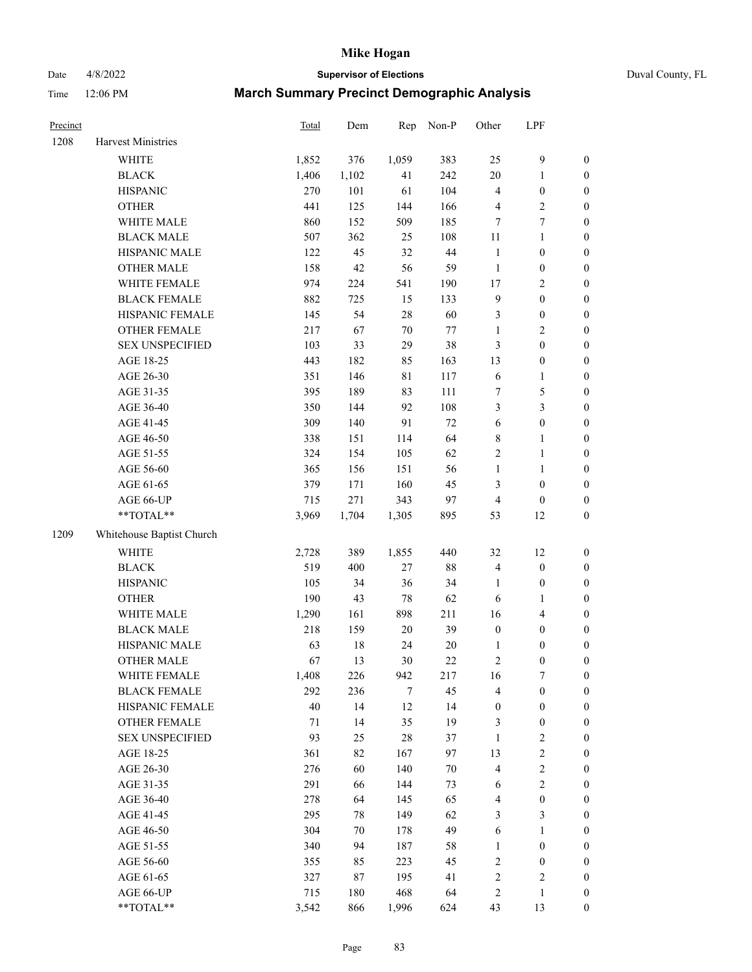# Date 4/8/2022 **Supervisor of Elections** Duval County, FL

| Precinct |                           | Total | Dem    | Rep         | Non-P  | Other            | LPF                     |                  |
|----------|---------------------------|-------|--------|-------------|--------|------------------|-------------------------|------------------|
| 1208     | Harvest Ministries        |       |        |             |        |                  |                         |                  |
|          | WHITE                     | 1,852 | 376    | 1,059       | 383    | 25               | $\mathbf{9}$            | 0                |
|          | <b>BLACK</b>              | 1,406 | 1,102  | 41          | 242    | $20\,$           | $\mathbf{1}$            | $\boldsymbol{0}$ |
|          | <b>HISPANIC</b>           | 270   | 101    | 61          | 104    | 4                | $\boldsymbol{0}$        | $\boldsymbol{0}$ |
|          | <b>OTHER</b>              | 441   | 125    | 144         | 166    | 4                | $\sqrt{2}$              | $\boldsymbol{0}$ |
|          | WHITE MALE                | 860   | 152    | 509         | 185    | 7                | $\tau$                  | $\boldsymbol{0}$ |
|          | <b>BLACK MALE</b>         | 507   | 362    | 25          | 108    | 11               | $\mathbf{1}$            | $\boldsymbol{0}$ |
|          | HISPANIC MALE             | 122   | 45     | 32          | $44\,$ | $\mathbf{1}$     | $\boldsymbol{0}$        | $\boldsymbol{0}$ |
|          | <b>OTHER MALE</b>         | 158   | 42     | 56          | 59     | $\mathbf{1}$     | $\boldsymbol{0}$        | $\boldsymbol{0}$ |
|          | WHITE FEMALE              | 974   | 224    | 541         | 190    | $17$             | $\overline{2}$          | $\boldsymbol{0}$ |
|          | <b>BLACK FEMALE</b>       | 882   | 725    | 15          | 133    | $\overline{9}$   | $\boldsymbol{0}$        | $\boldsymbol{0}$ |
|          | HISPANIC FEMALE           | 145   | 54     | 28          | 60     | 3                | $\boldsymbol{0}$        | 0                |
|          | OTHER FEMALE              | 217   | 67     | $70\,$      | $77\,$ | $\mathbf{1}$     | $\sqrt{2}$              | $\boldsymbol{0}$ |
|          | <b>SEX UNSPECIFIED</b>    | 103   | 33     | 29          | 38     | 3                | $\boldsymbol{0}$        | $\boldsymbol{0}$ |
|          | AGE 18-25                 | 443   | 182    | 85          | 163    | 13               | $\boldsymbol{0}$        | $\boldsymbol{0}$ |
|          | AGE 26-30                 | 351   | 146    | $8\sqrt{1}$ | 117    | 6                | $\mathbf{1}$            | $\boldsymbol{0}$ |
|          | AGE 31-35                 | 395   | 189    | 83          | 111    | 7                | $\mathfrak s$           | $\boldsymbol{0}$ |
|          | AGE 36-40                 | 350   | 144    | 92          | 108    | 3                | $\mathfrak{Z}$          | $\boldsymbol{0}$ |
|          | AGE 41-45                 | 309   | 140    | 91          | 72     | 6                | $\boldsymbol{0}$        | $\boldsymbol{0}$ |
|          | AGE 46-50                 | 338   | 151    | 114         | 64     | 8                | $\mathbf{1}$            | $\boldsymbol{0}$ |
|          | AGE 51-55                 | 324   | 154    | 105         | 62     | $\sqrt{2}$       | $\mathbf{1}$            | 0                |
|          | AGE 56-60                 | 365   | 156    | 151         | 56     | $\mathbf{1}$     | $\mathbf{1}$            | 0                |
|          | AGE 61-65                 | 379   | 171    | 160         | 45     | 3                | $\boldsymbol{0}$        | 0                |
|          | AGE 66-UP                 | 715   | 271    | 343         | 97     | $\overline{4}$   | $\boldsymbol{0}$        | $\boldsymbol{0}$ |
|          | **TOTAL**                 | 3,969 | 1,704  | 1,305       | 895    | 53               | 12                      | $\boldsymbol{0}$ |
| 1209     | Whitehouse Baptist Church |       |        |             |        |                  |                         |                  |
|          | <b>WHITE</b>              | 2,728 | 389    | 1,855       | 440    | 32               | 12                      | $\boldsymbol{0}$ |
|          | <b>BLACK</b>              | 519   | 400    | $27\,$      | $88\,$ | 4                | $\boldsymbol{0}$        | $\boldsymbol{0}$ |
|          | <b>HISPANIC</b>           | 105   | 34     | 36          | 34     | $\mathbf{1}$     | $\boldsymbol{0}$        | $\boldsymbol{0}$ |
|          | <b>OTHER</b>              | 190   | 43     | 78          | 62     | 6                | $\mathbf{1}$            | $\boldsymbol{0}$ |
|          | WHITE MALE                | 1,290 | 161    | 898         | 211    | 16               | $\overline{\mathbf{4}}$ | $\boldsymbol{0}$ |
|          | <b>BLACK MALE</b>         | 218   | 159    | $20\,$      | 39     | $\boldsymbol{0}$ | $\boldsymbol{0}$        | $\boldsymbol{0}$ |
|          | HISPANIC MALE             | 63    | $18\,$ | 24          | $20\,$ | 1                | $\boldsymbol{0}$        | $\boldsymbol{0}$ |
|          | <b>OTHER MALE</b>         | 67    | 13     | 30          | 22     | $\sqrt{2}$       | $\boldsymbol{0}$        | $\boldsymbol{0}$ |
|          | WHITE FEMALE              | 1,408 | 226    | 942         | 217    | 16               | 7                       | 0                |
|          | <b>BLACK FEMALE</b>       | 292   | 236    | 7           | 45     | 4                | $\boldsymbol{0}$        | $\boldsymbol{0}$ |
|          | HISPANIC FEMALE           | 40    | 14     | 12          | 14     | $\boldsymbol{0}$ | $\boldsymbol{0}$        | $\overline{0}$   |
|          | OTHER FEMALE              | 71    | 14     | 35          | 19     | 3                | $\boldsymbol{0}$        | $\overline{0}$   |
|          | <b>SEX UNSPECIFIED</b>    | 93    | 25     | 28          | 37     | $\mathbf{1}$     | $\mathfrak{2}$          | 0                |
|          | AGE 18-25                 | 361   | 82     | 167         | 97     | 13               | $\sqrt{2}$              | 0                |
|          | AGE 26-30                 | 276   | 60     | 140         | $70\,$ | 4                | $\sqrt{2}$              | 0                |
|          | AGE 31-35                 | 291   | 66     | 144         | 73     | 6                | $\sqrt{2}$              | 0                |
|          | AGE 36-40                 | 278   | 64     | 145         | 65     | 4                | $\boldsymbol{0}$        | 0                |
|          | AGE 41-45                 | 295   | 78     | 149         | 62     | 3                | $\mathfrak{Z}$          | 0                |
|          | AGE 46-50                 | 304   | 70     | 178         | 49     | 6                | $\mathbf{1}$            | 0                |
|          | AGE 51-55                 | 340   | 94     | 187         | 58     | $\mathbf{1}$     | $\boldsymbol{0}$        | 0                |
|          | AGE 56-60                 | 355   | 85     | 223         | 45     | $\sqrt{2}$       | $\boldsymbol{0}$        | 0                |
|          | AGE 61-65                 | 327   | 87     | 195         | 41     | 2                | $\sqrt{2}$              | 0                |
|          | AGE 66-UP                 | 715   | 180    | 468         | 64     | 2                | $\mathbf{1}$            | $\boldsymbol{0}$ |
|          | **TOTAL**                 | 3,542 | 866    | 1,996       | 624    | 43               | 13                      | $\boldsymbol{0}$ |
|          |                           |       |        |             |        |                  |                         |                  |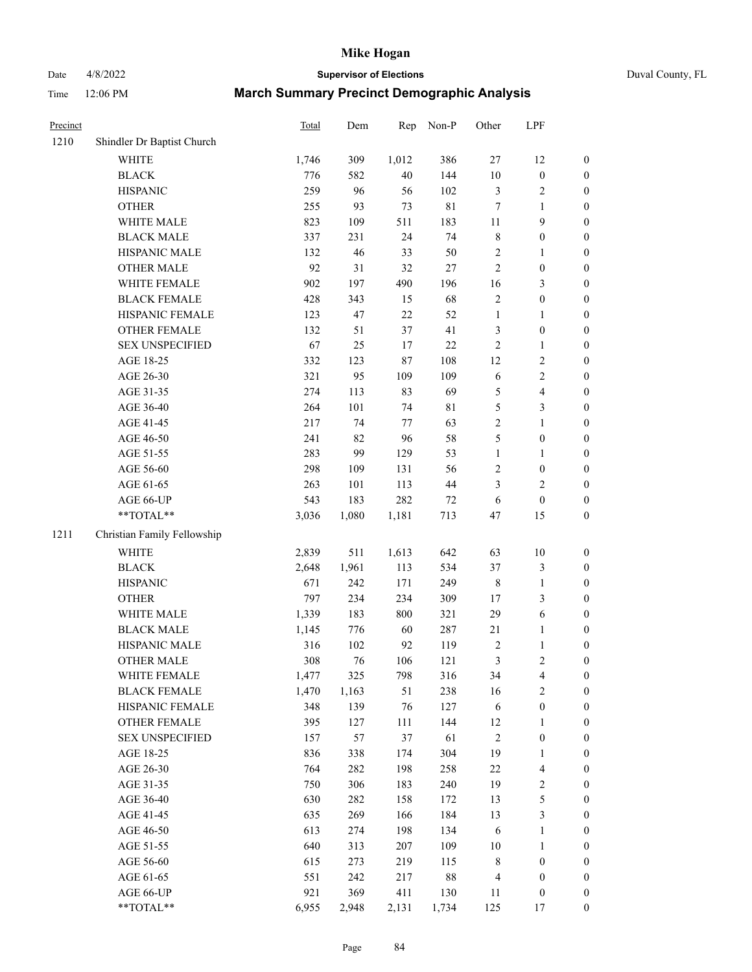Date 4/8/2022 **Supervisor of Elections** Duval County, FL

| Precinct |                             | <b>Total</b> | Dem   | Rep    | Non-P       | Other          | LPF                     |                  |
|----------|-----------------------------|--------------|-------|--------|-------------|----------------|-------------------------|------------------|
| 1210     | Shindler Dr Baptist Church  |              |       |        |             |                |                         |                  |
|          | <b>WHITE</b>                | 1,746        | 309   | 1,012  | 386         | $27\,$         | 12                      | 0                |
|          | <b>BLACK</b>                | 776          | 582   | 40     | 144         | $10\,$         | $\boldsymbol{0}$        | 0                |
|          | <b>HISPANIC</b>             | 259          | 96    | 56     | 102         | 3              | $\sqrt{2}$              | $\boldsymbol{0}$ |
|          | <b>OTHER</b>                | 255          | 93    | 73     | $81\,$      | 7              | 1                       | $\boldsymbol{0}$ |
|          | WHITE MALE                  | 823          | 109   | 511    | 183         | 11             | 9                       | $\boldsymbol{0}$ |
|          | <b>BLACK MALE</b>           | 337          | 231   | 24     | 74          | 8              | $\boldsymbol{0}$        | $\boldsymbol{0}$ |
|          | HISPANIC MALE               | 132          | 46    | 33     | 50          | 2              | $\mathbf{1}$            | $\boldsymbol{0}$ |
|          | <b>OTHER MALE</b>           | 92           | 31    | 32     | $27\,$      | $\overline{c}$ | $\boldsymbol{0}$        | $\boldsymbol{0}$ |
|          | WHITE FEMALE                | 902          | 197   | 490    | 196         | 16             | $\mathfrak{Z}$          | $\boldsymbol{0}$ |
|          | <b>BLACK FEMALE</b>         | 428          | 343   | 15     | 68          | $\sqrt{2}$     | $\boldsymbol{0}$        | $\boldsymbol{0}$ |
|          | HISPANIC FEMALE             | 123          | 47    | 22     | 52          | $\mathbf{1}$   | $\mathbf{1}$            | 0                |
|          | OTHER FEMALE                | 132          | 51    | 37     | 41          | $\mathfrak{Z}$ | $\boldsymbol{0}$        | $\boldsymbol{0}$ |
|          | <b>SEX UNSPECIFIED</b>      | 67           | 25    | 17     | $22\,$      | $\sqrt{2}$     | $\mathbf{1}$            | $\boldsymbol{0}$ |
|          | AGE 18-25                   | 332          | 123   | 87     | 108         | 12             | $\sqrt{2}$              | $\boldsymbol{0}$ |
|          | AGE 26-30                   | 321          | 95    | 109    | 109         | 6              | $\sqrt{2}$              | $\boldsymbol{0}$ |
|          | AGE 31-35                   | 274          | 113   | 83     | 69          | 5              | $\overline{\mathbf{4}}$ | $\boldsymbol{0}$ |
|          | AGE 36-40                   | 264          | 101   | 74     | $8\sqrt{1}$ | 5              | $\mathfrak{Z}$          | $\boldsymbol{0}$ |
|          | AGE 41-45                   | 217          | 74    | $77\,$ | 63          | $\overline{2}$ | $\mathbf{1}$            | $\boldsymbol{0}$ |
|          | AGE 46-50                   | 241          | 82    | 96     | 58          | 5              | $\boldsymbol{0}$        | $\boldsymbol{0}$ |
|          | AGE 51-55                   | 283          | 99    | 129    | 53          | $\mathbf{1}$   | $\mathbf{1}$            | $\boldsymbol{0}$ |
|          | AGE 56-60                   | 298          | 109   | 131    | 56          | 2              | $\boldsymbol{0}$        | 0                |
|          | AGE 61-65                   | 263          | 101   | 113    | 44          | 3              | $\overline{2}$          | 0                |
|          | AGE 66-UP                   | 543          | 183   | 282    | 72          | 6              | $\boldsymbol{0}$        | $\boldsymbol{0}$ |
|          | **TOTAL**                   | 3,036        | 1,080 | 1,181  | 713         | 47             | 15                      | $\boldsymbol{0}$ |
| 1211     | Christian Family Fellowship |              |       |        |             |                |                         |                  |
|          | WHITE                       | 2,839        | 511   | 1,613  | 642         | 63             | $10\,$                  | $\boldsymbol{0}$ |
|          | <b>BLACK</b>                | 2,648        | 1,961 | 113    | 534         | 37             | $\mathfrak{Z}$          | $\boldsymbol{0}$ |
|          | <b>HISPANIC</b>             | 671          | 242   | 171    | 249         | 8              | $\mathbf{1}$            | $\boldsymbol{0}$ |
|          | <b>OTHER</b>                | 797          | 234   | 234    | 309         | 17             | $\mathfrak{Z}$          | $\boldsymbol{0}$ |
|          | WHITE MALE                  | 1,339        | 183   | 800    | 321         | 29             | $\sqrt{6}$              | $\boldsymbol{0}$ |
|          | <b>BLACK MALE</b>           | 1,145        | 776   | 60     | 287         | 21             | $\mathbf{1}$            | $\boldsymbol{0}$ |
|          | HISPANIC MALE               | 316          | 102   | 92     | 119         | $\overline{c}$ | $\mathbf{1}$            | $\boldsymbol{0}$ |
|          | <b>OTHER MALE</b>           | 308          | 76    | 106    | 121         | 3              | $\overline{c}$          | $\boldsymbol{0}$ |
|          | WHITE FEMALE                | 1,477        | 325   | 798    | 316         | 34             | 4                       | 0                |
|          | <b>BLACK FEMALE</b>         | 1,470        | 1,163 | 51     | 238         | 16             | $\sqrt{2}$              | $\overline{0}$   |
|          | HISPANIC FEMALE             | 348          | 139   | 76     | 127         | 6              | $\boldsymbol{0}$        | $\overline{0}$   |
|          | <b>OTHER FEMALE</b>         | 395          | 127   | 111    | 144         | 12             | 1                       | $\overline{0}$   |
|          | <b>SEX UNSPECIFIED</b>      | 157          | 57    | 37     | 61          | $\overline{c}$ | $\boldsymbol{0}$        | 0                |
|          | AGE 18-25                   | 836          | 338   | 174    | 304         | 19             | $\mathbf{1}$            | 0                |
|          | AGE 26-30                   | 764          | 282   | 198    | 258         | $22\,$         | $\overline{\mathbf{4}}$ | 0                |
|          | AGE 31-35                   | 750          | 306   | 183    | 240         | 19             | $\boldsymbol{2}$        | 0                |
|          | AGE 36-40                   | 630          | 282   | 158    | 172         | 13             | $\mathfrak s$           | 0                |
|          | AGE 41-45                   | 635          | 269   | 166    | 184         | 13             | $\mathfrak{Z}$          | 0                |
|          | AGE 46-50                   | 613          | 274   | 198    | 134         | 6              | $\mathbf{1}$            | 0                |
|          | AGE 51-55                   | 640          | 313   | 207    | 109         | 10             | $\mathbf{1}$            | 0                |
|          | AGE 56-60                   | 615          | 273   | 219    | 115         | 8              | $\boldsymbol{0}$        | 0                |
|          | AGE 61-65                   | 551          | 242   | 217    | $88\,$      | 4              | $\boldsymbol{0}$        | $\boldsymbol{0}$ |
|          | AGE 66-UP                   | 921          | 369   | 411    | 130         | 11             | $\boldsymbol{0}$        | 0                |
|          | **TOTAL**                   | 6,955        | 2,948 | 2,131  | 1,734       | 125            | 17                      | $\boldsymbol{0}$ |
|          |                             |              |       |        |             |                |                         |                  |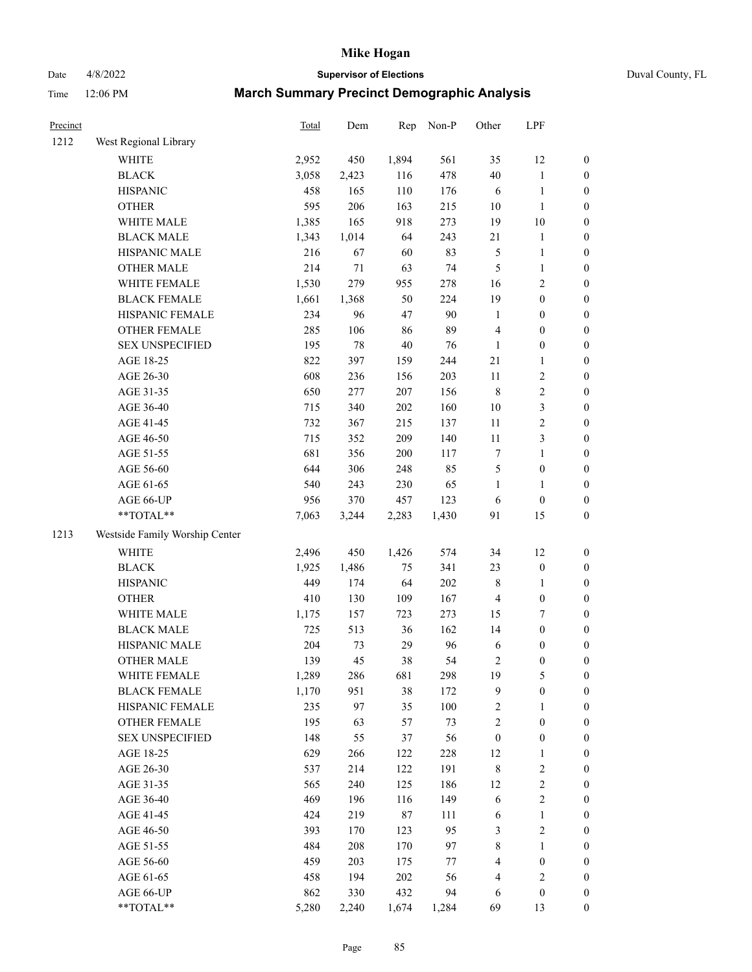# Date 4/8/2022 **Supervisor of Elections** Duval County, FL

| Precinct |                                | <b>Total</b> | Dem   | Rep   | Non-P | Other                   | LPF              |                  |
|----------|--------------------------------|--------------|-------|-------|-------|-------------------------|------------------|------------------|
| 1212     | West Regional Library          |              |       |       |       |                         |                  |                  |
|          | <b>WHITE</b>                   | 2,952        | 450   | 1,894 | 561   | 35                      | 12               | 0                |
|          | <b>BLACK</b>                   | 3,058        | 2,423 | 116   | 478   | 40                      | $\mathbf{1}$     | 0                |
|          | <b>HISPANIC</b>                | 458          | 165   | 110   | 176   | 6                       | $\mathbf{1}$     | $\boldsymbol{0}$ |
|          | <b>OTHER</b>                   | 595          | 206   | 163   | 215   | $10\,$                  | $\mathbf{1}$     | $\boldsymbol{0}$ |
|          | WHITE MALE                     | 1,385        | 165   | 918   | 273   | 19                      | 10               | $\boldsymbol{0}$ |
|          | <b>BLACK MALE</b>              | 1,343        | 1,014 | 64    | 243   | 21                      | $\mathbf{1}$     | $\boldsymbol{0}$ |
|          | HISPANIC MALE                  | 216          | 67    | 60    | 83    | 5                       | $\mathbf{1}$     | $\boldsymbol{0}$ |
|          | <b>OTHER MALE</b>              | 214          | 71    | 63    | 74    | 5                       | $\mathbf{1}$     | $\boldsymbol{0}$ |
|          | WHITE FEMALE                   | 1,530        | 279   | 955   | 278   | 16                      | $\sqrt{2}$       | $\boldsymbol{0}$ |
|          | <b>BLACK FEMALE</b>            | 1,661        | 1,368 | 50    | 224   | 19                      | $\boldsymbol{0}$ | $\boldsymbol{0}$ |
|          | HISPANIC FEMALE                | 234          | 96    | 47    | 90    | $\mathbf{1}$            | $\boldsymbol{0}$ | $\boldsymbol{0}$ |
|          | OTHER FEMALE                   | 285          | 106   | 86    | 89    | 4                       | $\boldsymbol{0}$ | $\boldsymbol{0}$ |
|          | <b>SEX UNSPECIFIED</b>         | 195          | 78    | 40    | 76    | $\mathbf{1}$            | $\boldsymbol{0}$ | $\boldsymbol{0}$ |
|          | AGE 18-25                      | 822          | 397   | 159   | 244   | 21                      | $\mathbf{1}$     | $\boldsymbol{0}$ |
|          | AGE 26-30                      | 608          | 236   | 156   | 203   | $11\,$                  | $\sqrt{2}$       | $\boldsymbol{0}$ |
|          | AGE 31-35                      | 650          | 277   | 207   | 156   | 8                       | $\sqrt{2}$       | $\boldsymbol{0}$ |
|          | AGE 36-40                      | 715          | 340   | 202   | 160   | $10\,$                  | $\mathfrak{Z}$   | $\boldsymbol{0}$ |
|          | AGE 41-45                      | 732          | 367   | 215   | 137   | $11\,$                  | $\sqrt{2}$       | $\boldsymbol{0}$ |
|          | AGE 46-50                      | 715          | 352   | 209   | 140   | $11\,$                  | 3                | $\boldsymbol{0}$ |
|          | AGE 51-55                      | 681          | 356   | 200   | 117   | 7                       | $\mathbf{1}$     | $\boldsymbol{0}$ |
|          | AGE 56-60                      | 644          | 306   | 248   | 85    | 5                       | $\boldsymbol{0}$ | $\boldsymbol{0}$ |
|          | AGE 61-65                      | 540          | 243   | 230   | 65    | $\mathbf{1}$            | 1                | $\boldsymbol{0}$ |
|          | AGE 66-UP                      | 956          | 370   | 457   | 123   | 6                       | $\boldsymbol{0}$ | $\boldsymbol{0}$ |
|          | $**TOTAL**$                    | 7,063        | 3,244 | 2,283 | 1,430 | 91                      | 15               | $\boldsymbol{0}$ |
| 1213     | Westside Family Worship Center |              |       |       |       |                         |                  |                  |
|          | <b>WHITE</b>                   | 2,496        | 450   | 1,426 | 574   | 34                      | 12               | $\boldsymbol{0}$ |
|          | <b>BLACK</b>                   | 1,925        | 1,486 | 75    | 341   | 23                      | $\boldsymbol{0}$ | $\boldsymbol{0}$ |
|          | <b>HISPANIC</b>                | 449          | 174   | 64    | 202   | 8                       | $\mathbf{1}$     | $\boldsymbol{0}$ |
|          | <b>OTHER</b>                   | 410          | 130   | 109   | 167   | 4                       | $\boldsymbol{0}$ | $\boldsymbol{0}$ |
|          | WHITE MALE                     | 1,175        | 157   | 723   | 273   | 15                      | $\boldsymbol{7}$ | $\boldsymbol{0}$ |
|          | <b>BLACK MALE</b>              | 725          | 513   | 36    | 162   | 14                      | $\boldsymbol{0}$ | $\boldsymbol{0}$ |
|          | HISPANIC MALE                  | 204          | 73    | 29    | 96    | 6                       | $\boldsymbol{0}$ | $\boldsymbol{0}$ |
|          | <b>OTHER MALE</b>              | 139          | 45    | 38    | 54    | 2                       | $\boldsymbol{0}$ | $\boldsymbol{0}$ |
|          | WHITE FEMALE                   | 1,289        | 286   | 681   | 298   | 19                      | 5                | 0                |
|          | <b>BLACK FEMALE</b>            | 1,170        | 951   | 38    | 172   | 9                       | $\boldsymbol{0}$ | $\boldsymbol{0}$ |
|          | HISPANIC FEMALE                | 235          | 97    | 35    | 100   | $\overline{\mathbf{c}}$ | 1                | $\overline{0}$   |
|          | OTHER FEMALE                   | 195          | 63    | 57    | 73    | $\overline{\mathbf{c}}$ | $\boldsymbol{0}$ | $\overline{0}$   |
|          | <b>SEX UNSPECIFIED</b>         | 148          | 55    | 37    | 56    | $\boldsymbol{0}$        | $\boldsymbol{0}$ | 0                |
|          | AGE 18-25                      | 629          | 266   | 122   | 228   | 12                      | $\mathbf{1}$     | 0                |
|          | AGE 26-30                      | 537          | 214   | 122   | 191   | 8                       | $\sqrt{2}$       | 0                |
|          | AGE 31-35                      | 565          | 240   | 125   | 186   | 12                      | $\sqrt{2}$       | 0                |
|          | AGE 36-40                      | 469          | 196   | 116   | 149   | 6                       | $\sqrt{2}$       | 0                |
|          | AGE 41-45                      | 424          | 219   | 87    | 111   | 6                       | $\mathbf{1}$     | 0                |
|          | AGE 46-50                      | 393          | 170   | 123   | 95    | 3                       | $\sqrt{2}$       | 0                |
|          | AGE 51-55                      | 484          | 208   | 170   | 97    | 8                       | $\mathbf{1}$     | 0                |
|          | AGE 56-60                      | 459          | 203   | 175   | 77    | 4                       | $\boldsymbol{0}$ | $\boldsymbol{0}$ |
|          | AGE 61-65                      | 458          | 194   | 202   | 56    | 4                       | $\sqrt{2}$       | $\boldsymbol{0}$ |
|          | AGE 66-UP                      | 862          | 330   | 432   | 94    | 6                       | $\boldsymbol{0}$ | $\boldsymbol{0}$ |
|          | **TOTAL**                      | 5,280        | 2,240 | 1,674 | 1,284 | 69                      | 13               | $\boldsymbol{0}$ |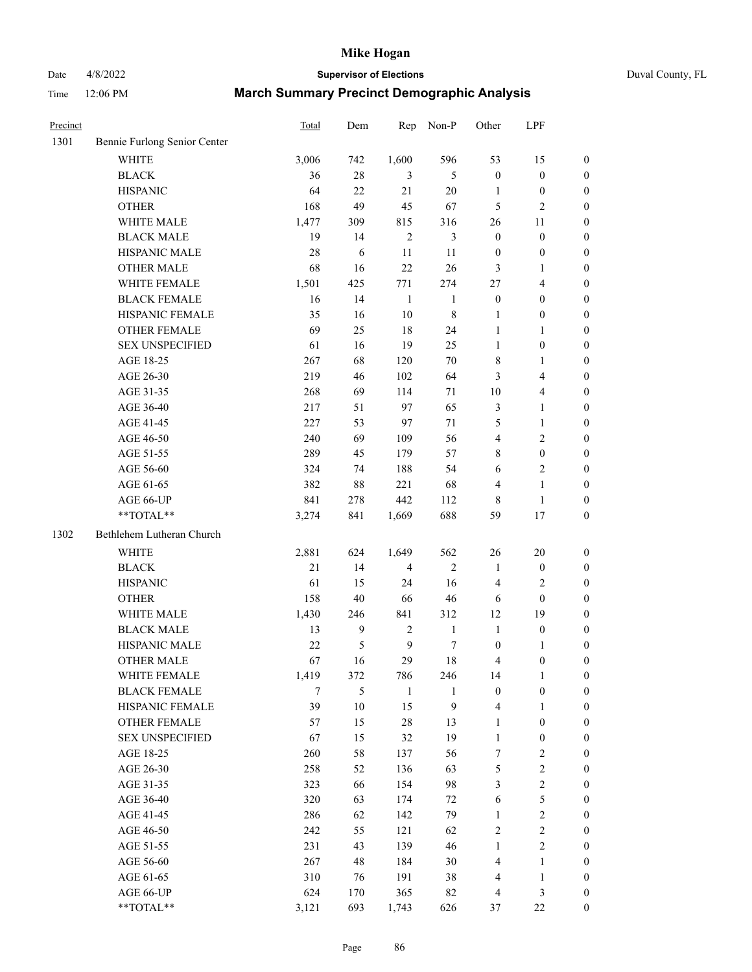# Date 4/8/2022 **Supervisor of Elections** Duval County, FL

| Precinct |                              | Total      | Dem              | Rep            | Non-P            | Other            | LPF              |                  |
|----------|------------------------------|------------|------------------|----------------|------------------|------------------|------------------|------------------|
| 1301     | Bennie Furlong Senior Center |            |                  |                |                  |                  |                  |                  |
|          | <b>WHITE</b>                 | 3,006      | 742              | 1,600          | 596              | 53               | 15               | $\boldsymbol{0}$ |
|          | <b>BLACK</b>                 | 36         | 28               | 3              | 5                | $\boldsymbol{0}$ | $\boldsymbol{0}$ | $\boldsymbol{0}$ |
|          | <b>HISPANIC</b>              | 64         | 22               | 21             | 20               | 1                | $\boldsymbol{0}$ | $\boldsymbol{0}$ |
|          | <b>OTHER</b>                 | 168        | 49               | 45             | 67               | 5                | $\mathfrak{2}$   | $\boldsymbol{0}$ |
|          | WHITE MALE                   | 1,477      | 309              | 815            | 316              | 26               | 11               | $\boldsymbol{0}$ |
|          | <b>BLACK MALE</b>            | 19         | 14               | $\overline{c}$ | 3                | $\boldsymbol{0}$ | $\boldsymbol{0}$ | $\boldsymbol{0}$ |
|          | HISPANIC MALE                | 28         | 6                | 11             | 11               | $\boldsymbol{0}$ | $\boldsymbol{0}$ | $\boldsymbol{0}$ |
|          | <b>OTHER MALE</b>            | 68         | 16               | 22             | 26               | 3                | 1                | $\boldsymbol{0}$ |
|          | WHITE FEMALE                 | 1,501      | 425              | 771            | 274              | 27               | $\overline{4}$   | $\boldsymbol{0}$ |
|          | <b>BLACK FEMALE</b>          | 16         | 14               | $\mathbf{1}$   | $\mathbf{1}$     | $\boldsymbol{0}$ | $\boldsymbol{0}$ | 0                |
|          | HISPANIC FEMALE              | 35         | 16               | 10             | $\,$ 8 $\,$      | $\mathbf{1}$     | $\boldsymbol{0}$ | $\boldsymbol{0}$ |
|          | OTHER FEMALE                 | 69         | 25               | 18             | 24               | $\mathbf{1}$     | $\mathbf{1}$     | $\boldsymbol{0}$ |
|          | <b>SEX UNSPECIFIED</b>       | 61         | 16               | 19             | 25               | $\mathbf{1}$     | $\boldsymbol{0}$ | $\boldsymbol{0}$ |
|          | AGE 18-25                    | 267        | 68               | 120            | 70               | 8                | $\mathbf{1}$     | $\boldsymbol{0}$ |
|          | AGE 26-30                    | 219        | 46               | 102            | 64               | 3                | $\overline{4}$   | $\boldsymbol{0}$ |
|          | AGE 31-35                    | 268        | 69               | 114            | 71               | 10               | $\overline{4}$   | $\boldsymbol{0}$ |
|          | AGE 36-40                    | 217        | 51               | 97             | 65               | 3                | $\mathbf{1}$     | $\boldsymbol{0}$ |
|          | AGE 41-45                    | 227        | 53               | 97             | $71\,$           | 5                | $\mathbf{1}$     | $\boldsymbol{0}$ |
|          | AGE 46-50                    | 240        | 69               | 109            | 56               | 4                | $\sqrt{2}$       | $\boldsymbol{0}$ |
|          | AGE 51-55                    | 289        |                  | 179            | 57               |                  | $\boldsymbol{0}$ |                  |
|          |                              |            | 45               |                |                  | 8                |                  | 0                |
|          | AGE 56-60<br>AGE 61-65       | 324<br>382 | 74<br>88         | 188<br>221     | 54<br>68         | 6                | $\sqrt{2}$       | $\boldsymbol{0}$ |
|          |                              |            |                  |                |                  | 4                | $\mathbf{1}$     | $\boldsymbol{0}$ |
|          | AGE 66-UP<br>$**TOTAL**$     | 841        | 278              | 442            | 112              | 8                | $\mathbf{1}$     | $\boldsymbol{0}$ |
|          |                              | 3,274      | 841              | 1,669          | 688              | 59               | 17               | $\boldsymbol{0}$ |
| 1302     | Bethlehem Lutheran Church    |            |                  |                |                  |                  |                  |                  |
|          | <b>WHITE</b>                 | 2,881      | 624              | 1,649          | 562              | 26               | 20               | $\boldsymbol{0}$ |
|          | <b>BLACK</b>                 | 21         | 14               | $\overline{4}$ | $\mathfrak{2}$   | $\mathbf{1}$     | $\boldsymbol{0}$ | $\boldsymbol{0}$ |
|          | <b>HISPANIC</b>              | 61         | 15               | 24             | 16               | 4                | $\sqrt{2}$       | $\boldsymbol{0}$ |
|          | <b>OTHER</b>                 | 158        | 40               | 66             | 46               | 6                | $\boldsymbol{0}$ | $\boldsymbol{0}$ |
|          | WHITE MALE                   | 1,430      | 246              | 841            | 312              | 12               | 19               | $\boldsymbol{0}$ |
|          | <b>BLACK MALE</b>            | 13         | $\boldsymbol{9}$ | $\overline{c}$ | $\mathbf{1}$     | $\mathbf{1}$     | $\boldsymbol{0}$ | $\boldsymbol{0}$ |
|          | HISPANIC MALE                | 22         | 5                | $\mathbf{9}$   | $\tau$           | $\boldsymbol{0}$ | 1                | 0                |
|          | <b>OTHER MALE</b>            | 67         | 16               | 29             | 18               | 4                | $\boldsymbol{0}$ | $\boldsymbol{0}$ |
|          | WHITE FEMALE                 | 1,419      | 372              | 786            | 246              | 14               | 1                | $\overline{0}$   |
|          | <b>BLACK FEMALE</b>          | 7          | $\mathfrak s$    | $\mathbf{1}$   | 1                | $\boldsymbol{0}$ | $\boldsymbol{0}$ | $\overline{0}$   |
|          | HISPANIC FEMALE              | 39         | 10               | 15             | $\boldsymbol{9}$ | 4                | $\mathbf{1}$     | $\overline{0}$   |
|          | <b>OTHER FEMALE</b>          | 57         | 15               | 28             | 13               | 1                | $\boldsymbol{0}$ | 0                |
|          | <b>SEX UNSPECIFIED</b>       | 67         | 15               | 32             | 19               | $\mathbf{1}$     | $\boldsymbol{0}$ | 0                |
|          | AGE 18-25                    | 260        | 58               | 137            | 56               | 7                | $\sqrt{2}$       | 0                |
|          | AGE 26-30                    | 258        | 52               | 136            | 63               | 5                | $\sqrt{2}$       | 0                |
|          | AGE 31-35                    | 323        | 66               | 154            | 98               | 3                | $\sqrt{2}$       | 0                |
|          | AGE 36-40                    | 320        | 63               | 174            | $72\,$           | 6                | $\mathfrak s$    | 0                |
|          | AGE 41-45                    | 286        | 62               | 142            | 79               | $\mathbf{1}$     | $\sqrt{2}$       | 0                |
|          | AGE 46-50                    | 242        | 55               | 121            | 62               | 2                | $\sqrt{2}$       | 0                |
|          | AGE 51-55                    | 231        | 43               | 139            | 46               | 1                | $\sqrt{2}$       | $\boldsymbol{0}$ |
|          | AGE 56-60                    | 267        | 48               | 184            | 30               | 4                | $\mathbf{1}$     | $\boldsymbol{0}$ |
|          | AGE 61-65                    | 310        | 76               | 191            | 38               | 4                | $\mathbf{1}$     | 0                |
|          | AGE 66-UP                    | 624        | 170              | 365            | 82               | 4                | $\mathfrak{Z}$   | 0                |
|          | **TOTAL**                    | 3,121      | 693              | 1,743          | 626              | 37               | $22\,$           | $\boldsymbol{0}$ |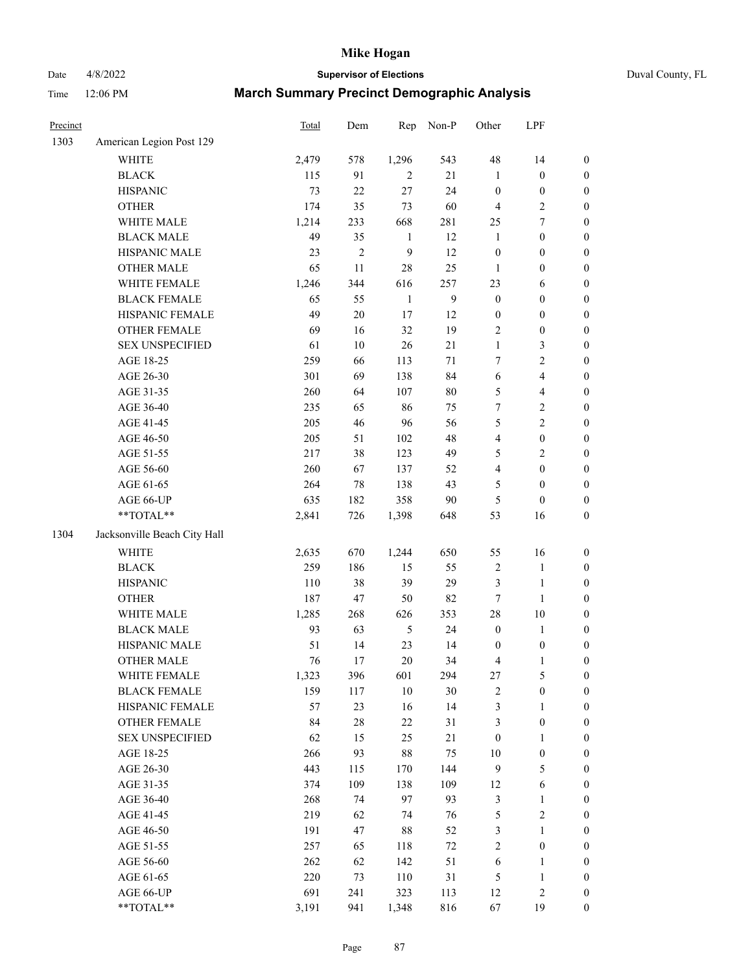Date 4/8/2022 **Supervisor of Elections** Duval County, FL

| Precinct |                              | Total | Dem            | Rep          | Non-P        | Other                   | LPF                     |                  |
|----------|------------------------------|-------|----------------|--------------|--------------|-------------------------|-------------------------|------------------|
| 1303     | American Legion Post 129     |       |                |              |              |                         |                         |                  |
|          | <b>WHITE</b>                 | 2,479 | 578            | 1,296        | 543          | 48                      | 14                      | 0                |
|          | <b>BLACK</b>                 | 115   | 91             | 2            | 21           | $\mathbf{1}$            | $\boldsymbol{0}$        | $\boldsymbol{0}$ |
|          | <b>HISPANIC</b>              | 73    | 22             | 27           | 24           | $\boldsymbol{0}$        | $\boldsymbol{0}$        | $\boldsymbol{0}$ |
|          | <b>OTHER</b>                 | 174   | 35             | 73           | 60           | 4                       | $\sqrt{2}$              | $\boldsymbol{0}$ |
|          | WHITE MALE                   | 1,214 | 233            | 668          | 281          | 25                      | $\tau$                  | $\boldsymbol{0}$ |
|          | <b>BLACK MALE</b>            | 49    | 35             | 1            | 12           | $\mathbf{1}$            | $\boldsymbol{0}$        | $\boldsymbol{0}$ |
|          | HISPANIC MALE                | 23    | $\overline{c}$ | 9            | 12           | $\boldsymbol{0}$        | $\boldsymbol{0}$        | $\boldsymbol{0}$ |
|          | <b>OTHER MALE</b>            | 65    | 11             | 28           | 25           | $\mathbf{1}$            | $\boldsymbol{0}$        | $\boldsymbol{0}$ |
|          | WHITE FEMALE                 | 1,246 | 344            | 616          | 257          | 23                      | 6                       | $\boldsymbol{0}$ |
|          | <b>BLACK FEMALE</b>          | 65    | 55             | $\mathbf{1}$ | $\mathbf{9}$ | $\boldsymbol{0}$        | $\boldsymbol{0}$        | $\boldsymbol{0}$ |
|          | HISPANIC FEMALE              | 49    | $20\,$         | 17           | 12           | $\boldsymbol{0}$        | $\boldsymbol{0}$        | $\boldsymbol{0}$ |
|          | OTHER FEMALE                 | 69    | 16             | 32           | 19           | 2                       | $\boldsymbol{0}$        | $\boldsymbol{0}$ |
|          | <b>SEX UNSPECIFIED</b>       | 61    | $10\,$         | 26           | 21           | $\mathbf{1}$            | 3                       | $\boldsymbol{0}$ |
|          | AGE 18-25                    | 259   | 66             | 113          | $71\,$       | 7                       | $\sqrt{2}$              | $\boldsymbol{0}$ |
|          | AGE 26-30                    | 301   | 69             | 138          | 84           | 6                       | $\overline{\mathbf{4}}$ | $\boldsymbol{0}$ |
|          | AGE 31-35                    | 260   | 64             | 107          | 80           | 5                       | $\overline{\mathbf{4}}$ | $\boldsymbol{0}$ |
|          | AGE 36-40                    | 235   | 65             | 86           | 75           | 7                       | $\sqrt{2}$              | $\boldsymbol{0}$ |
|          | AGE 41-45                    | 205   | 46             | 96           | 56           | 5                       | $\overline{2}$          | $\boldsymbol{0}$ |
|          | AGE 46-50                    | 205   | 51             | 102          | 48           | $\overline{4}$          | $\boldsymbol{0}$        | $\boldsymbol{0}$ |
|          | AGE 51-55                    | 217   | 38             | 123          | 49           | 5                       | $\sqrt{2}$              | $\boldsymbol{0}$ |
|          | AGE 56-60                    | 260   | 67             | 137          | 52           | $\overline{\mathbf{4}}$ | $\boldsymbol{0}$        | 0                |
|          | AGE 61-65                    | 264   | 78             | 138          | 43           | 5                       | $\boldsymbol{0}$        | $\boldsymbol{0}$ |
|          | AGE 66-UP                    | 635   | 182            | 358          | 90           | 5                       | $\boldsymbol{0}$        | $\boldsymbol{0}$ |
|          | **TOTAL**                    | 2,841 | 726            | 1,398        | 648          | 53                      | 16                      | $\boldsymbol{0}$ |
| 1304     | Jacksonville Beach City Hall |       |                |              |              |                         |                         |                  |
|          | WHITE                        | 2,635 | 670            | 1,244        | 650          | 55                      | 16                      | $\boldsymbol{0}$ |
|          | <b>BLACK</b>                 | 259   | 186            | 15           | 55           | $\sqrt{2}$              | $\mathbf{1}$            | $\boldsymbol{0}$ |
|          | <b>HISPANIC</b>              | 110   | 38             | 39           | 29           | 3                       | $\mathbf{1}$            | $\boldsymbol{0}$ |
|          | <b>OTHER</b>                 | 187   | 47             | 50           | 82           | $\tau$                  | $\mathbf{1}$            | $\boldsymbol{0}$ |
|          | WHITE MALE                   | 1,285 | 268            | 626          | 353          | 28                      | $10\,$                  | $\boldsymbol{0}$ |
|          | <b>BLACK MALE</b>            | 93    | 63             | $\sqrt{5}$   | 24           | $\boldsymbol{0}$        | $\mathbf{1}$            | $\boldsymbol{0}$ |
|          | HISPANIC MALE                | 51    | 14             | 23           | 14           | $\boldsymbol{0}$        | $\boldsymbol{0}$        | 0                |
|          | OTHER MALE                   | 76    | 17             | 20           | 34           | 4                       | $\mathbf{1}$            | $\boldsymbol{0}$ |
|          | WHITE FEMALE                 | 1,323 | 396            | 601          | 294          | 27                      | 5                       | 0                |
|          | <b>BLACK FEMALE</b>          | 159   | 117            | $10\,$       | $30\,$       | 2                       | $\boldsymbol{0}$        | $\boldsymbol{0}$ |
|          | HISPANIC FEMALE              | 57    | 23             | 16           | 14           | 3                       | $\mathbf{1}$            | $\overline{0}$   |
|          | OTHER FEMALE                 | 84    | $28\,$         | 22           | 31           | 3                       | $\boldsymbol{0}$        | $\overline{0}$   |
|          | <b>SEX UNSPECIFIED</b>       | 62    | 15             | 25           | $21\,$       | $\boldsymbol{0}$        | $\mathbf{1}$            | 0                |
|          | AGE 18-25                    | 266   | 93             | 88           | 75           | 10                      | $\boldsymbol{0}$        | 0                |
|          | AGE 26-30                    | 443   | 115            | 170          | 144          | 9                       | $\mathfrak{S}$          | 0                |
|          | AGE 31-35                    | 374   | 109            | 138          | 109          | 12                      | 6                       | 0                |
|          | AGE 36-40                    | 268   | 74             | 97           | 93           | 3                       | $\mathbf{1}$            | 0                |
|          | AGE 41-45                    | 219   | 62             | 74           | 76           | 5                       | $\sqrt{2}$              | 0                |
|          | AGE 46-50                    | 191   | 47             | 88           | 52           | 3                       | $\mathbf{1}$            | 0                |
|          | AGE 51-55                    | 257   | 65             | 118          | $72\,$       | $\overline{c}$          | $\boldsymbol{0}$        | 0                |
|          | AGE 56-60                    | 262   | 62             | 142          | 51           | 6                       | $\mathbf{1}$            | $\boldsymbol{0}$ |
|          | AGE 61-65                    | 220   | 73             | 110          | 31           | 5                       | $\mathbf{1}$            | $\overline{0}$   |
|          | AGE 66-UP                    | 691   | 241            | 323          | 113          | 12                      | $\sqrt{2}$              | 0                |
|          | **TOTAL**                    | 3,191 | 941            | 1,348        | 816          | 67                      | 19                      | $\boldsymbol{0}$ |
|          |                              |       |                |              |              |                         |                         |                  |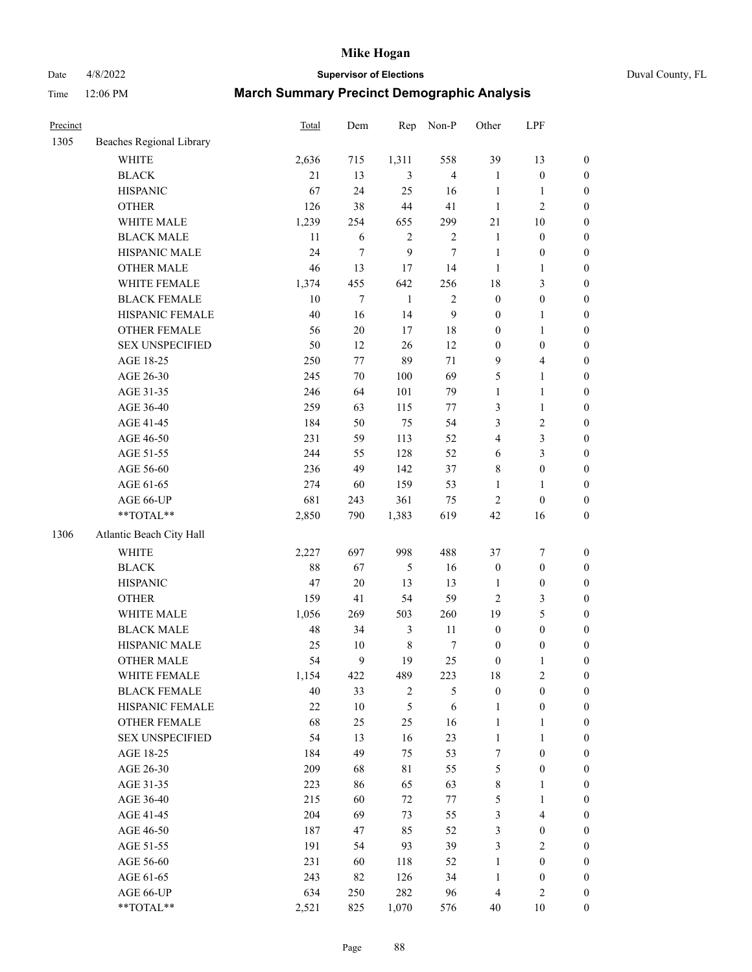# Date 4/8/2022 **Supervisor of Elections** Duval County, FL

| Precinct |                          | <b>Total</b> | Dem    | Rep            | Non-P            | Other            | LPF              |                  |
|----------|--------------------------|--------------|--------|----------------|------------------|------------------|------------------|------------------|
| 1305     | Beaches Regional Library |              |        |                |                  |                  |                  |                  |
|          | <b>WHITE</b>             | 2,636        | 715    | 1,311          | 558              | 39               | 13               | 0                |
|          | <b>BLACK</b>             | 21           | 13     | 3              | $\overline{4}$   | $\mathbf{1}$     | $\boldsymbol{0}$ | 0                |
|          | <b>HISPANIC</b>          | 67           | 24     | 25             | 16               | $\mathbf{1}$     | $\mathbf{1}$     | $\boldsymbol{0}$ |
|          | <b>OTHER</b>             | 126          | 38     | 44             | 41               | $\mathbf{1}$     | $\mathfrak{2}$   | $\boldsymbol{0}$ |
|          | WHITE MALE               | 1,239        | 254    | 655            | 299              | 21               | 10               | $\boldsymbol{0}$ |
|          | <b>BLACK MALE</b>        | 11           | 6      | $\sqrt{2}$     | $\sqrt{2}$       | $\mathbf{1}$     | $\boldsymbol{0}$ | $\boldsymbol{0}$ |
|          | HISPANIC MALE            | 24           | $\tau$ | 9              | 7                | $\mathbf{1}$     | $\boldsymbol{0}$ | $\boldsymbol{0}$ |
|          | <b>OTHER MALE</b>        | 46           | 13     | 17             | 14               | $\mathbf{1}$     | $\mathbf{1}$     | $\boldsymbol{0}$ |
|          | WHITE FEMALE             | 1,374        | 455    | 642            | 256              | 18               | $\mathfrak{Z}$   | $\boldsymbol{0}$ |
|          | <b>BLACK FEMALE</b>      | $10\,$       | $\tau$ | $\mathbf{1}$   | $\sqrt{2}$       | $\boldsymbol{0}$ | $\boldsymbol{0}$ | 0                |
|          | HISPANIC FEMALE          | 40           | 16     | 14             | $\boldsymbol{9}$ | $\boldsymbol{0}$ | $\mathbf{1}$     | 0                |
|          | <b>OTHER FEMALE</b>      | 56           | $20\,$ | 17             | 18               | $\boldsymbol{0}$ | $\mathbf{1}$     | $\boldsymbol{0}$ |
|          | <b>SEX UNSPECIFIED</b>   | 50           | 12     | 26             | 12               | $\boldsymbol{0}$ | $\boldsymbol{0}$ | $\boldsymbol{0}$ |
|          | AGE 18-25                | 250          | $77\,$ | 89             | 71               | 9                | $\overline{4}$   | $\boldsymbol{0}$ |
|          | AGE 26-30                | 245          | $70\,$ | 100            | 69               | 5                | $\mathbf{1}$     | $\boldsymbol{0}$ |
|          | AGE 31-35                | 246          | 64     | 101            | 79               | $\mathbf{1}$     | $\mathbf{1}$     | $\boldsymbol{0}$ |
|          | AGE 36-40                | 259          | 63     | 115            | 77               | 3                | $\mathbf{1}$     | $\boldsymbol{0}$ |
|          | AGE 41-45                | 184          | 50     | 75             | 54               | 3                | $\sqrt{2}$       | $\boldsymbol{0}$ |
|          | AGE 46-50                | 231          | 59     | 113            | 52               | 4                | $\mathfrak{Z}$   | $\boldsymbol{0}$ |
|          | AGE 51-55                | 244          | 55     | 128            | 52               | 6                | $\mathfrak{Z}$   | $\boldsymbol{0}$ |
|          | AGE 56-60                | 236          | 49     | 142            | 37               | 8                | $\boldsymbol{0}$ | 0                |
|          | AGE 61-65                | 274          | 60     | 159            | 53               | $\mathbf{1}$     | $\mathbf{1}$     | $\boldsymbol{0}$ |
|          | AGE 66-UP                | 681          | 243    | 361            | 75               | $\sqrt{2}$       | $\boldsymbol{0}$ | $\boldsymbol{0}$ |
|          | $**TOTAL**$              | 2,850        | 790    | 1,383          | 619              | 42               | 16               | $\boldsymbol{0}$ |
| 1306     | Atlantic Beach City Hall |              |        |                |                  |                  |                  |                  |
|          | <b>WHITE</b>             | 2,227        | 697    | 998            | 488              | 37               | $\boldsymbol{7}$ | $\boldsymbol{0}$ |
|          | <b>BLACK</b>             | 88           | 67     | 5              | 16               | $\boldsymbol{0}$ | $\boldsymbol{0}$ | $\boldsymbol{0}$ |
|          | <b>HISPANIC</b>          | 47           | $20\,$ | 13             | 13               | $\mathbf{1}$     | $\boldsymbol{0}$ | $\boldsymbol{0}$ |
|          | <b>OTHER</b>             | 159          | 41     | 54             | 59               | $\overline{c}$   | 3                | $\boldsymbol{0}$ |
|          | WHITE MALE               | 1,056        | 269    | 503            | 260              | 19               | $\mathfrak s$    | $\boldsymbol{0}$ |
|          | <b>BLACK MALE</b>        | 48           | 34     | $\mathfrak{Z}$ | 11               | $\boldsymbol{0}$ | $\boldsymbol{0}$ | $\boldsymbol{0}$ |
|          | HISPANIC MALE            | 25           | $10\,$ | $\,$ 8 $\,$    | 7                | $\boldsymbol{0}$ | $\boldsymbol{0}$ | $\boldsymbol{0}$ |
|          | <b>OTHER MALE</b>        | 54           | 9      | 19             | 25               | $\boldsymbol{0}$ | $\mathbf{1}$     | $\boldsymbol{0}$ |
|          | WHITE FEMALE             | 1,154        | 422    | 489            | 223              | 18               | $\overline{c}$   | 0                |
|          | <b>BLACK FEMALE</b>      | 40           | 33     | $\overline{c}$ | 5                | $\boldsymbol{0}$ | $\boldsymbol{0}$ | $\overline{0}$   |
|          | HISPANIC FEMALE          | 22           | $10\,$ | 5              | $\sqrt{6}$       | $\mathbf{1}$     | $\boldsymbol{0}$ | $\overline{0}$   |
|          | <b>OTHER FEMALE</b>      | 68           | 25     | 25             | 16               | $\mathbf{1}$     | $\mathbf{1}$     | $\overline{0}$   |
|          | <b>SEX UNSPECIFIED</b>   | 54           | 13     | 16             | 23               | $\mathbf{1}$     | $\mathbf{1}$     | 0                |
|          | AGE 18-25                | 184          | 49     | 75             | 53               | 7                | $\boldsymbol{0}$ | 0                |
|          | AGE 26-30                | 209          | 68     | 81             | 55               | 5                | $\boldsymbol{0}$ | 0                |
|          | AGE 31-35                | 223          | 86     | 65             | 63               | 8                | 1                | 0                |
|          | AGE 36-40                | 215          | 60     | 72             | 77               | 5                | $\mathbf{1}$     | 0                |
|          | AGE 41-45                | 204          | 69     | 73             | 55               | 3                | $\overline{4}$   | 0                |
|          | AGE 46-50                | 187          | 47     | 85             | 52               | 3                | $\boldsymbol{0}$ | 0                |
|          | AGE 51-55                | 191          | 54     | 93             | 39               | 3                | $\mathbf{2}$     | 0                |
|          | AGE 56-60                | 231          | 60     | 118            | 52               | $\mathbf{1}$     | $\boldsymbol{0}$ | $\overline{0}$   |
|          | AGE 61-65                | 243          | 82     | 126            | 34               | $\mathbf{1}$     | $\boldsymbol{0}$ | 0                |
|          | AGE 66-UP                | 634          | 250    | 282            | 96               | 4                | $\mathfrak{2}$   | 0                |
|          | **TOTAL**                | 2,521        | 825    | 1,070          | 576              | 40               | 10               | $\boldsymbol{0}$ |
|          |                          |              |        |                |                  |                  |                  |                  |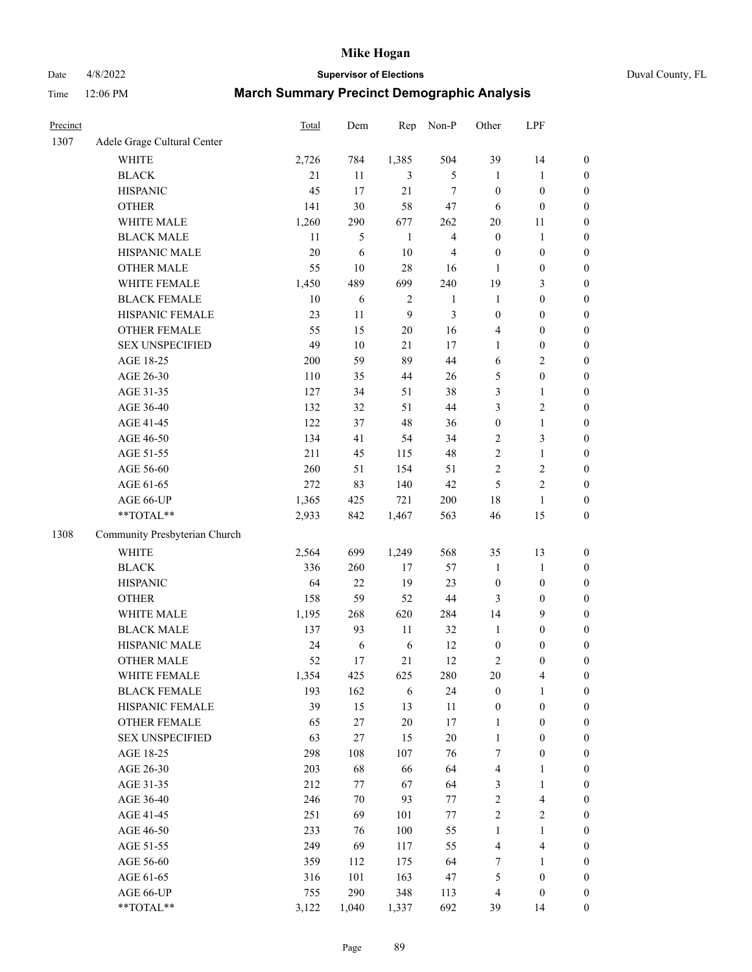Date 4/8/2022 **Supervisor of Elections** Duval County, FL

| Precinct |                               | Total | Dem    | Rep    | Non-P                   | Other            | LPF                     |                  |
|----------|-------------------------------|-------|--------|--------|-------------------------|------------------|-------------------------|------------------|
| 1307     | Adele Grage Cultural Center   |       |        |        |                         |                  |                         |                  |
|          | <b>WHITE</b>                  | 2,726 | 784    | 1,385  | 504                     | 39               | 14                      | $\boldsymbol{0}$ |
|          | <b>BLACK</b>                  | 21    | 11     | 3      | 5                       | $\mathbf{1}$     | $\mathbf{1}$            | $\boldsymbol{0}$ |
|          | <b>HISPANIC</b>               | 45    | 17     | 21     | $\overline{7}$          | $\boldsymbol{0}$ | $\boldsymbol{0}$        | $\boldsymbol{0}$ |
|          | <b>OTHER</b>                  | 141   | 30     | 58     | 47                      | 6                | $\boldsymbol{0}$        | $\boldsymbol{0}$ |
|          | WHITE MALE                    | 1,260 | 290    | 677    | 262                     | $20\,$           | 11                      | $\boldsymbol{0}$ |
|          | <b>BLACK MALE</b>             | 11    | 5      | 1      | $\overline{\mathbf{4}}$ | $\boldsymbol{0}$ | $\mathbf{1}$            | $\boldsymbol{0}$ |
|          | HISPANIC MALE                 | 20    | 6      | 10     | $\overline{4}$          | $\boldsymbol{0}$ | $\boldsymbol{0}$        | $\boldsymbol{0}$ |
|          | OTHER MALE                    | 55    | $10\,$ | 28     | 16                      | 1                | $\boldsymbol{0}$        | $\boldsymbol{0}$ |
|          | WHITE FEMALE                  | 1,450 | 489    | 699    | 240                     | 19               | $\mathfrak{Z}$          | $\boldsymbol{0}$ |
|          | <b>BLACK FEMALE</b>           | 10    | 6      | 2      | $\mathbf{1}$            | $\mathbf{1}$     | $\boldsymbol{0}$        | 0                |
|          | HISPANIC FEMALE               | 23    | 11     | 9      | $\mathfrak{Z}$          | $\boldsymbol{0}$ | $\boldsymbol{0}$        | $\boldsymbol{0}$ |
|          | OTHER FEMALE                  | 55    | 15     | $20\,$ | 16                      | 4                | $\boldsymbol{0}$        | $\boldsymbol{0}$ |
|          | <b>SEX UNSPECIFIED</b>        | 49    | $10\,$ | 21     | 17                      | 1                | $\boldsymbol{0}$        | $\boldsymbol{0}$ |
|          | AGE 18-25                     | 200   | 59     | 89     | 44                      | 6                | $\sqrt{2}$              | $\boldsymbol{0}$ |
|          | AGE 26-30                     | 110   | 35     | 44     | 26                      | 5                | $\boldsymbol{0}$        | $\boldsymbol{0}$ |
|          | AGE 31-35                     | 127   | 34     | 51     | 38                      | 3                | $\mathbf{1}$            | $\boldsymbol{0}$ |
|          | AGE 36-40                     | 132   | 32     | 51     | 44                      | 3                | $\sqrt{2}$              | $\boldsymbol{0}$ |
|          | AGE 41-45                     | 122   | 37     | 48     | 36                      | $\boldsymbol{0}$ | $\mathbf{1}$            | $\boldsymbol{0}$ |
|          | AGE 46-50                     | 134   | 41     | 54     | 34                      | 2                | $\mathfrak{Z}$          | $\boldsymbol{0}$ |
|          | AGE 51-55                     | 211   | 45     | 115    | 48                      | $\overline{c}$   | $\mathbf{1}$            | 0                |
|          | AGE 56-60                     | 260   | 51     | 154    | 51                      | 2                | $\sqrt{2}$              | $\boldsymbol{0}$ |
|          | AGE 61-65                     | 272   | 83     | 140    | 42                      | $\mathfrak{S}$   | $\sqrt{2}$              | $\boldsymbol{0}$ |
|          | AGE 66-UP                     | 1,365 | 425    | 721    | 200                     | 18               | $\mathbf{1}$            | $\boldsymbol{0}$ |
|          | **TOTAL**                     | 2,933 | 842    | 1,467  | 563                     | 46               | 15                      | $\boldsymbol{0}$ |
| 1308     | Community Presbyterian Church |       |        |        |                         |                  |                         |                  |
|          | <b>WHITE</b>                  | 2,564 | 699    | 1,249  | 568                     | 35               | 13                      | $\boldsymbol{0}$ |
|          | <b>BLACK</b>                  | 336   | 260    | 17     | 57                      | $\mathbf{1}$     | $\mathbf{1}$            | $\boldsymbol{0}$ |
|          | <b>HISPANIC</b>               | 64    | 22     | 19     | 23                      | $\boldsymbol{0}$ | $\boldsymbol{0}$        | $\boldsymbol{0}$ |
|          | <b>OTHER</b>                  | 158   | 59     | 52     | $44\,$                  | 3                | $\boldsymbol{0}$        | $\boldsymbol{0}$ |
|          | WHITE MALE                    | 1,195 | 268    | 620    | 284                     | 14               | $\mathbf{9}$            | $\boldsymbol{0}$ |
|          | <b>BLACK MALE</b>             | 137   | 93     | 11     | 32                      | $\mathbf{1}$     | $\boldsymbol{0}$        | $\boldsymbol{0}$ |
|          | HISPANIC MALE                 | 24    | 6      | 6      | 12                      | $\boldsymbol{0}$ | $\boldsymbol{0}$        | 0                |
|          | <b>OTHER MALE</b>             | 52    | 17     | 21     | 12                      | 2                | $\boldsymbol{0}$        | $\boldsymbol{0}$ |
|          | WHITE FEMALE                  | 1,354 | 425    | 625    | 280                     | 20               | $\overline{\mathbf{4}}$ | $\boldsymbol{0}$ |
|          | <b>BLACK FEMALE</b>           | 193   | 162    | 6      | 24                      | $\boldsymbol{0}$ | 1                       | $\boldsymbol{0}$ |
|          | HISPANIC FEMALE               | 39    | 15     | 13     | $11\,$                  | $\boldsymbol{0}$ | $\boldsymbol{0}$        | $\overline{0}$   |
|          | <b>OTHER FEMALE</b>           | 65    | 27     | 20     | 17                      | $\mathbf{1}$     | $\boldsymbol{0}$        | $\overline{0}$   |
|          | <b>SEX UNSPECIFIED</b>        | 63    | 27     | 15     | $20\,$                  | $\mathbf{1}$     | $\boldsymbol{0}$        | 0                |
|          | AGE 18-25                     | 298   | 108    | 107    | 76                      | 7                | $\boldsymbol{0}$        | 0                |
|          | AGE 26-30                     | 203   | 68     | 66     | 64                      | 4                | $\mathbf{1}$            | 0                |
|          | AGE 31-35                     | 212   | 77     | 67     | 64                      | 3                | $\mathbf{1}$            | 0                |
|          | AGE 36-40                     | 246   | $70\,$ | 93     | 77                      | 2                | $\overline{\mathbf{4}}$ | 0                |
|          | AGE 41-45                     | 251   | 69     | 101    | $77\,$                  | $\sqrt{2}$       | $\sqrt{2}$              | 0                |
|          | AGE 46-50                     | 233   | 76     | 100    | 55                      | $\mathbf{1}$     | $\mathbf{1}$            | 0                |
|          | AGE 51-55                     | 249   | 69     | 117    | 55                      | 4                | $\overline{\mathbf{4}}$ | $\boldsymbol{0}$ |
|          | AGE 56-60                     | 359   | 112    | 175    | 64                      | 7                | 1                       | $\boldsymbol{0}$ |
|          | AGE 61-65                     | 316   | 101    | 163    | 47                      | 5                | $\boldsymbol{0}$        | $\overline{0}$   |
|          | AGE 66-UP                     | 755   | 290    | 348    | 113                     | 4                | $\boldsymbol{0}$        | 0                |
|          | **TOTAL**                     | 3,122 | 1,040  | 1,337  | 692                     | 39               | 14                      | $\boldsymbol{0}$ |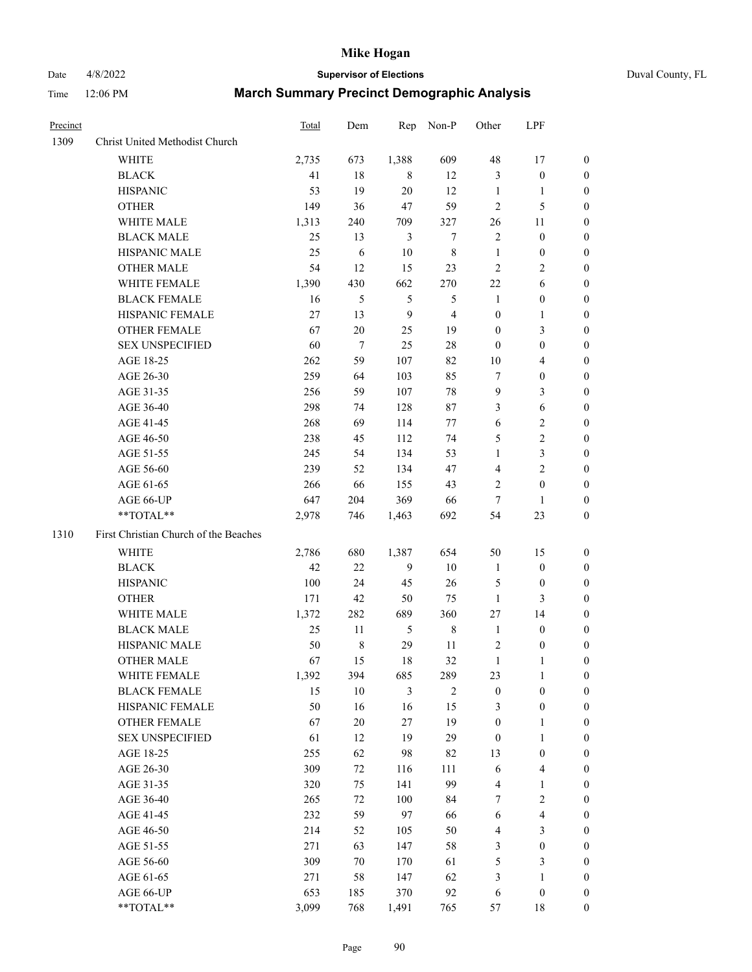# Date 4/8/2022 **Supervisor of Elections** Duval County, FL

| Precinct |                                                            | Total | Dem         | Rep              | Non-P          | Other                   | LPF              |                  |
|----------|------------------------------------------------------------|-------|-------------|------------------|----------------|-------------------------|------------------|------------------|
| 1309     | Christ United Methodist Church                             |       |             |                  |                |                         |                  |                  |
|          | <b>WHITE</b>                                               | 2,735 | 673         | 1,388            | 609            | 48                      | 17               | 0                |
|          | <b>BLACK</b>                                               | 41    | 18          | 8                | 12             | 3                       | $\boldsymbol{0}$ | 0                |
|          | <b>HISPANIC</b>                                            | 53    | 19          | 20               | 12             | $\mathbf{1}$            | $\mathbf{1}$     | 0                |
|          | <b>OTHER</b>                                               | 149   | 36          | 47               | 59             | 2                       | 5                | $\boldsymbol{0}$ |
|          | WHITE MALE                                                 | 1,313 | 240         | 709              | 327            | 26                      | 11               | $\boldsymbol{0}$ |
|          | <b>BLACK MALE</b>                                          | 25    | 13          | 3                | 7              | $\overline{c}$          | $\boldsymbol{0}$ | 0                |
|          | HISPANIC MALE                                              | 25    | 6           | 10               | $\,$ 8 $\,$    | $\mathbf{1}$            | $\boldsymbol{0}$ | $\boldsymbol{0}$ |
|          | <b>OTHER MALE</b>                                          | 54    | 12          | 15               | 23             | $\mathbf{2}$            | $\mathbf{2}$     | $\boldsymbol{0}$ |
|          | WHITE FEMALE                                               | 1,390 | 430         | 662              | 270            | 22                      | 6                | 0                |
|          | <b>BLACK FEMALE</b>                                        | 16    | 5           | 5                | 5              | $\mathbf{1}$            | $\boldsymbol{0}$ | 0                |
|          | HISPANIC FEMALE                                            | 27    | 13          | $\boldsymbol{9}$ | $\overline{4}$ | $\boldsymbol{0}$        | 1                | 0                |
|          | OTHER FEMALE                                               | 67    | 20          | 25               | 19             | $\boldsymbol{0}$        | $\mathfrak{Z}$   | 0                |
|          | SEX UNSPECIFIED                                            | 60    | $\tau$      | 25               | 28             | $\boldsymbol{0}$        | $\boldsymbol{0}$ | $\boldsymbol{0}$ |
|          | AGE 18-25                                                  | 262   | 59          | 107              | 82             | $10\,$                  | $\overline{4}$   | $\boldsymbol{0}$ |
|          | AGE 26-30                                                  | 259   | 64          | 103              | 85             | 7                       | $\boldsymbol{0}$ | $\boldsymbol{0}$ |
|          | AGE 31-35                                                  | 256   | 59          | 107              | 78             | 9                       | 3                | $\boldsymbol{0}$ |
|          | AGE 36-40                                                  | 298   | 74          | 128              | 87             | 3                       | 6                | $\boldsymbol{0}$ |
|          | AGE 41-45                                                  | 268   | 69          | 114              | 77             | 6                       | $\sqrt{2}$       | $\overline{0}$   |
|          | AGE 46-50                                                  | 238   | 45          | 112              | 74             | 5                       | $\sqrt{2}$       | $\boldsymbol{0}$ |
|          | AGE 51-55                                                  | 245   | 54          | 134              | 53             | $\mathbf{1}$            | $\mathfrak{Z}$   | 0                |
|          | AGE 56-60                                                  | 239   | 52          | 134              | 47             | 4                       | $\overline{c}$   | 0                |
|          | AGE 61-65                                                  | 266   | 66          | 155              | 43             | 2                       | $\boldsymbol{0}$ | 0                |
|          | AGE 66-UP                                                  | 647   | 204         | 369              | 66             | $\tau$                  | 1                | 0                |
|          | $**TOTAL**$                                                | 2,978 | 746         | 1,463            | 692            | 54                      | 23               | $\boldsymbol{0}$ |
| 1310     | First Christian Church of the Beaches                      |       |             |                  |                |                         |                  |                  |
|          | <b>WHITE</b>                                               | 2,786 | 680         | 1,387            | 654            | 50                      | 15               | $\boldsymbol{0}$ |
|          | <b>BLACK</b>                                               | 42    | $22\,$      | $\overline{9}$   | 10             | $\mathbf{1}$            | $\boldsymbol{0}$ | $\boldsymbol{0}$ |
|          | <b>HISPANIC</b>                                            | 100   | 24          | 45               | 26             | 5                       | $\boldsymbol{0}$ | 0                |
|          | <b>OTHER</b>                                               | 171   | 42          | 50               | 75             | $\mathbf{1}$            | 3                | $\overline{0}$   |
|          | WHITE MALE                                                 | 1,372 | 282         | 689              | 360            | 27                      | 14               | $\boldsymbol{0}$ |
|          | <b>BLACK MALE</b>                                          | 25    | 11          | 5                | $\,$ 8 $\,$    | $\mathbf{1}$            | $\boldsymbol{0}$ | 0                |
|          | HISPANIC MALE                                              | 50    | $\,$ 8 $\,$ | 29               | 11             | $\overline{\mathbf{c}}$ | $\boldsymbol{0}$ | 0                |
|          | <b>OTHER MALE</b>                                          | 67    | 15          | 18               | 32             | $\mathbf{1}$            | 1                | 0                |
|          | WHITE FEMALE                                               | 1,392 | 394         | 685              | 289            | 23                      | 1                | 0                |
|          | <b>BLACK FEMALE</b>                                        | 15    | 10          | 3                | $\overline{2}$ | $\boldsymbol{0}$        | $\boldsymbol{0}$ | $\overline{0}$   |
|          | HISPANIC FEMALE                                            | 50    | 16          | 16               | 15             | 3                       | $\boldsymbol{0}$ | $\overline{0}$   |
|          | <b>OTHER FEMALE</b>                                        | 67    | $20\,$      | 27               | 19             | $\boldsymbol{0}$        | $\mathbf{1}$     | $\overline{0}$   |
|          | <b>SEX UNSPECIFIED</b>                                     | 61    | 12          | 19               | 29             | $\boldsymbol{0}$        | $\mathbf{1}$     | 0                |
|          | AGE 18-25                                                  | 255   | 62          | 98               | 82             | 13                      | $\boldsymbol{0}$ | 0                |
|          | AGE 26-30                                                  | 309   | 72          | 116              | 111            | 6                       | $\overline{4}$   | 0                |
|          | AGE 31-35                                                  | 320   | 75          | 141              | 99             | 4                       | $\mathbf{1}$     | 0                |
|          | AGE 36-40                                                  | 265   | 72          | 100              | 84             | 7                       | $\sqrt{2}$       | 0                |
|          | AGE 41-45                                                  | 232   | 59          | 97               | 66             | 6                       | $\overline{4}$   | 0                |
|          | AGE 46-50                                                  | 214   | 52          | 105              | 50             | 4                       | $\mathfrak{Z}$   | 0                |
|          | AGE 51-55                                                  | 271   | 63          | 147              | 58             | 3                       | $\boldsymbol{0}$ | $\overline{0}$   |
|          | AGE 56-60                                                  | 309   | $70\,$      | 170              | 61             | 5                       | $\mathfrak{Z}$   | $\overline{0}$   |
|          | AGE 61-65                                                  | 271   | 58          | 147              | 62             | 3                       | $\mathbf{1}$     | $\overline{0}$   |
|          | AGE 66-UP                                                  | 653   | 185         | 370              | 92             | 6                       | $\boldsymbol{0}$ | 0                |
|          | $\mathrm{*}\mathrm{*} \mathrm{TOTAL} \mathrm{*}\mathrm{*}$ | 3,099 | 768         | 1,491            | 765            | 57                      | 18               | $\boldsymbol{0}$ |
|          |                                                            |       |             |                  |                |                         |                  |                  |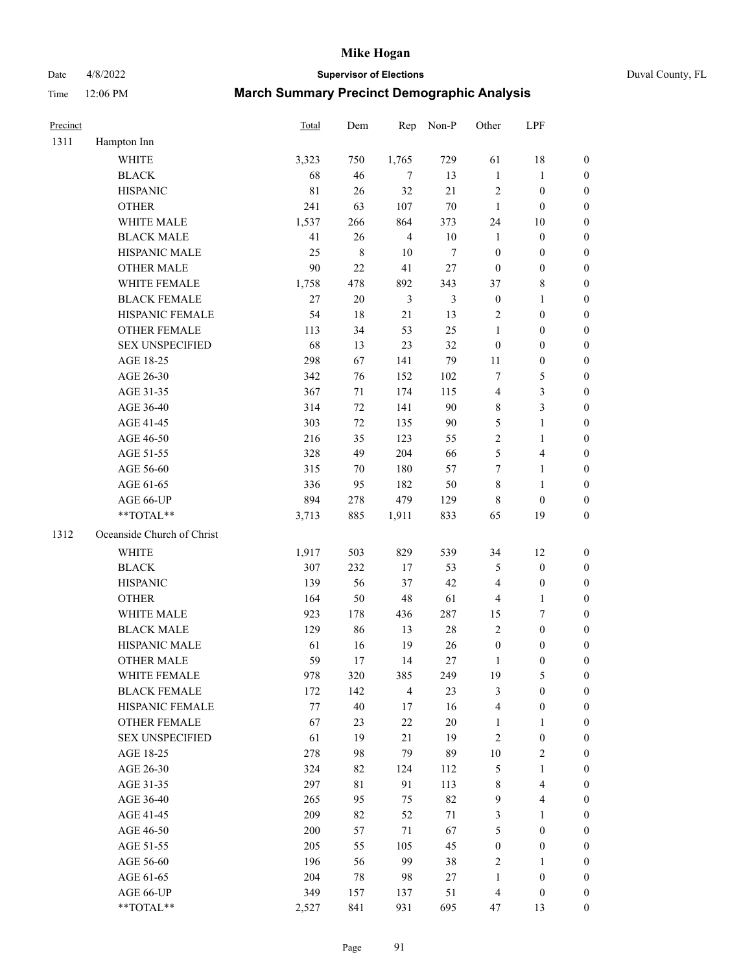Date 4/8/2022 **Supervisor of Elections** Duval County, FL

| Precinct |                            | Total   | Dem         | Rep            | Non-P          | Other            | LPF                     |                  |
|----------|----------------------------|---------|-------------|----------------|----------------|------------------|-------------------------|------------------|
| 1311     | Hampton Inn                |         |             |                |                |                  |                         |                  |
|          | <b>WHITE</b>               | 3,323   | 750         | 1,765          | 729            | 61               | 18                      | 0                |
|          | <b>BLACK</b>               | 68      | 46          | 7              | 13             | $\mathbf{1}$     | $\mathbf{1}$            | 0                |
|          | <b>HISPANIC</b>            | 81      | 26          | 32             | 21             | $\sqrt{2}$       | $\boldsymbol{0}$        | $\boldsymbol{0}$ |
|          | <b>OTHER</b>               | 241     | 63          | 107            | $70\,$         | $\mathbf{1}$     | $\boldsymbol{0}$        | $\boldsymbol{0}$ |
|          | WHITE MALE                 | 1,537   | 266         | 864            | 373            | 24               | 10                      | $\boldsymbol{0}$ |
|          | <b>BLACK MALE</b>          | 41      | 26          | $\overline{4}$ | $10\,$         | $\mathbf{1}$     | $\boldsymbol{0}$        | $\boldsymbol{0}$ |
|          | HISPANIC MALE              | 25      | $\,8\,$     | 10             | $\tau$         | $\boldsymbol{0}$ | $\boldsymbol{0}$        | $\boldsymbol{0}$ |
|          | <b>OTHER MALE</b>          | $90\,$  | 22          | 41             | 27             | $\boldsymbol{0}$ | $\boldsymbol{0}$        | $\boldsymbol{0}$ |
|          | WHITE FEMALE               | 1,758   | 478         | 892            | 343            | 37               | $8\,$                   | $\boldsymbol{0}$ |
|          | <b>BLACK FEMALE</b>        | $27\,$  | $20\,$      | $\mathfrak{Z}$ | $\mathfrak{Z}$ | $\boldsymbol{0}$ | $\mathbf{1}$            | 0                |
|          | HISPANIC FEMALE            | 54      | 18          | 21             | 13             | $\sqrt{2}$       | $\boldsymbol{0}$        | 0                |
|          | <b>OTHER FEMALE</b>        | 113     | 34          | 53             | 25             | $\mathbf{1}$     | $\boldsymbol{0}$        | $\boldsymbol{0}$ |
|          | <b>SEX UNSPECIFIED</b>     | 68      | 13          | 23             | 32             | $\boldsymbol{0}$ | $\boldsymbol{0}$        | $\boldsymbol{0}$ |
|          | AGE 18-25                  | 298     | 67          | 141            | 79             | 11               | $\boldsymbol{0}$        | $\boldsymbol{0}$ |
|          | AGE 26-30                  | 342     | 76          | 152            | 102            | 7                | $\mathfrak{S}$          | $\boldsymbol{0}$ |
|          | AGE 31-35                  | 367     | 71          | 174            | 115            | 4                | $\mathfrak{Z}$          | $\boldsymbol{0}$ |
|          | AGE 36-40                  | 314     | 72          | 141            | 90             | 8                | $\mathfrak{Z}$          | $\boldsymbol{0}$ |
|          | AGE 41-45                  | 303     | 72          | 135            | $90\,$         | 5                | $\mathbf{1}$            | $\boldsymbol{0}$ |
|          | AGE 46-50                  | 216     | 35          | 123            | 55             | $\overline{c}$   | $\mathbf{1}$            | $\boldsymbol{0}$ |
|          | AGE 51-55                  | 328     | 49          | 204            | 66             | 5                | $\overline{\mathbf{4}}$ | 0                |
|          | AGE 56-60                  | 315     | 70          | 180            | 57             | 7                | $\mathbf{1}$            | 0                |
|          | AGE 61-65                  | 336     | 95          | 182            | 50             | 8                | $\mathbf{1}$            | 0                |
|          | AGE 66-UP                  | 894     | 278         | 479            | 129            | 8                | $\boldsymbol{0}$        | $\boldsymbol{0}$ |
|          | **TOTAL**                  | 3,713   | 885         | 1,911          | 833            | 65               | 19                      | $\boldsymbol{0}$ |
| 1312     | Oceanside Church of Christ |         |             |                |                |                  |                         |                  |
|          | <b>WHITE</b>               | 1,917   | 503         | 829            | 539            | 34               | 12                      | $\boldsymbol{0}$ |
|          | <b>BLACK</b>               | 307     | 232         | 17             | 53             | 5                | $\boldsymbol{0}$        | $\boldsymbol{0}$ |
|          | <b>HISPANIC</b>            | 139     | 56          | 37             | 42             | 4                | $\boldsymbol{0}$        | $\boldsymbol{0}$ |
|          | <b>OTHER</b>               | 164     | 50          | 48             | 61             | 4                | $\mathbf{1}$            | $\boldsymbol{0}$ |
|          | WHITE MALE                 | 923     | 178         | 436            | 287            | 15               | $\tau$                  | $\boldsymbol{0}$ |
|          | <b>BLACK MALE</b>          | 129     | 86          | 13             | $28\,$         | $\mathbf{2}$     | $\boldsymbol{0}$        | $\boldsymbol{0}$ |
|          | HISPANIC MALE              | 61      | 16          | 19             | 26             | $\boldsymbol{0}$ | $\boldsymbol{0}$        | 0                |
|          | <b>OTHER MALE</b>          | 59      | 17          | 14             | 27             | $\mathbf{1}$     | $\boldsymbol{0}$        | $\boldsymbol{0}$ |
|          | WHITE FEMALE               | 978     | 320         | 385            | 249            | 19               | 5                       | 0                |
|          | <b>BLACK FEMALE</b>        | 172     | 142         | $\overline{4}$ | 23             | 3                | $\boldsymbol{0}$        | $\overline{0}$   |
|          | HISPANIC FEMALE            | $77 \,$ | 40          | 17             | 16             | 4                | $\boldsymbol{0}$        | $\overline{0}$   |
|          | OTHER FEMALE               | 67      | 23          | $22\,$         | $20\,$         | $\mathbf{1}$     | $\mathbf{1}$            | $\overline{0}$   |
|          | <b>SEX UNSPECIFIED</b>     | 61      | 19          | 21             | 19             | $\overline{c}$   | $\boldsymbol{0}$        | 0                |
|          | AGE 18-25                  | 278     | 98          | 79             | 89             | $10\,$           | $\sqrt{2}$              | 0                |
|          | AGE 26-30                  | 324     | 82          | 124            | 112            | 5                | $\mathbf{1}$            | 0                |
|          | AGE 31-35                  | 297     | $8\sqrt{1}$ | 91             | 113            | 8                | $\overline{4}$          | 0                |
|          | AGE 36-40                  | 265     | 95          | 75             | 82             | 9                | $\overline{\mathbf{4}}$ | 0                |
|          | AGE 41-45                  | 209     | 82          | 52             | 71             | 3                | $\mathbf{1}$            | 0                |
|          | AGE 46-50                  | 200     | 57          | $71\,$         | 67             | 5                | $\boldsymbol{0}$        | 0                |
|          | AGE 51-55                  | 205     | 55          | 105            | 45             | $\boldsymbol{0}$ | $\boldsymbol{0}$        | $\overline{0}$   |
|          | AGE 56-60                  | 196     | 56          | 99             | 38             | $\overline{2}$   | $\mathbf{1}$            | $\overline{0}$   |
|          | AGE 61-65                  | 204     | $78\,$      | 98             | 27             | $\mathbf{1}$     | $\boldsymbol{0}$        | $\overline{0}$   |
|          | AGE 66-UP                  | 349     | 157         | 137            | 51             | $\overline{4}$   | $\boldsymbol{0}$        | $\boldsymbol{0}$ |
|          | **TOTAL**                  | 2,527   | 841         | 931            | 695            | 47               | 13                      | $\boldsymbol{0}$ |
|          |                            |         |             |                |                |                  |                         |                  |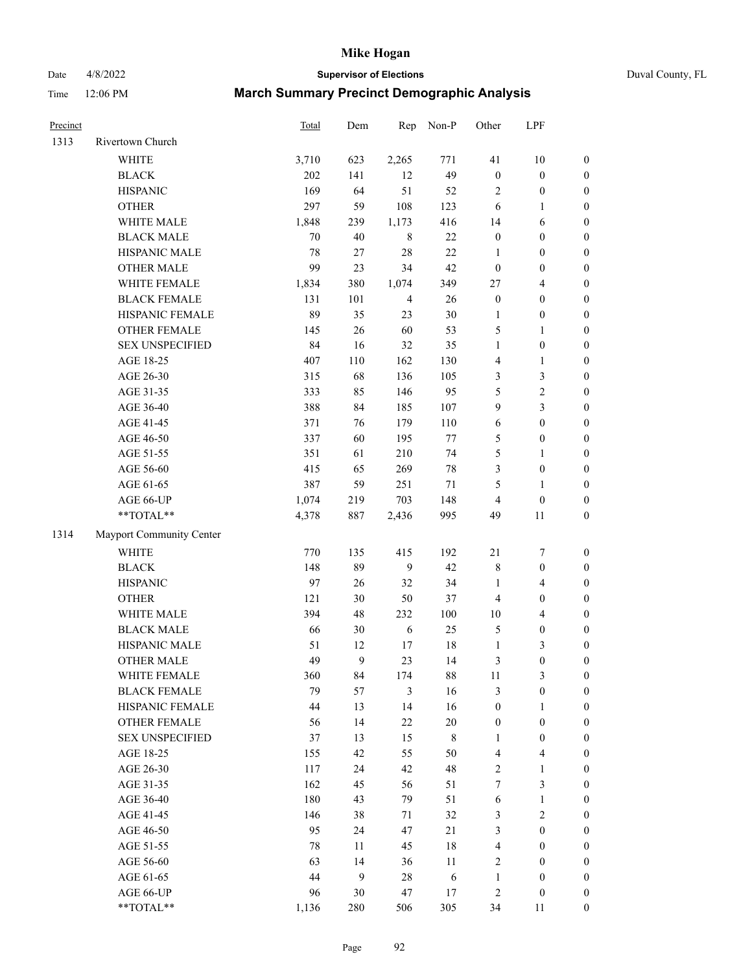Date 4/8/2022 **Supervisor of Elections** Duval County, FL

| Precinct |                          | Total | Dem | Rep            | Non-P       | Other            | LPF                     |                  |
|----------|--------------------------|-------|-----|----------------|-------------|------------------|-------------------------|------------------|
| 1313     | Rivertown Church         |       |     |                |             |                  |                         |                  |
|          | <b>WHITE</b>             | 3,710 | 623 | 2,265          | 771         | 41               | $10\,$                  | $\boldsymbol{0}$ |
|          | <b>BLACK</b>             | 202   | 141 | 12             | 49          | $\boldsymbol{0}$ | $\boldsymbol{0}$        | $\boldsymbol{0}$ |
|          | <b>HISPANIC</b>          | 169   | 64  | 51             | 52          | $\overline{c}$   | $\boldsymbol{0}$        | $\boldsymbol{0}$ |
|          | <b>OTHER</b>             | 297   | 59  | 108            | 123         | 6                | $\mathbf{1}$            | $\boldsymbol{0}$ |
|          | WHITE MALE               | 1,848 | 239 | 1,173          | 416         | 14               | 6                       | $\boldsymbol{0}$ |
|          | <b>BLACK MALE</b>        | 70    | 40  | $\,8\,$        | $22\,$      | $\boldsymbol{0}$ | $\boldsymbol{0}$        | $\boldsymbol{0}$ |
|          | HISPANIC MALE            | 78    | 27  | 28             | 22          | $\mathbf{1}$     | $\boldsymbol{0}$        | $\boldsymbol{0}$ |
|          | <b>OTHER MALE</b>        | 99    | 23  | 34             | 42          | $\boldsymbol{0}$ | $\boldsymbol{0}$        | $\boldsymbol{0}$ |
|          | WHITE FEMALE             | 1,834 | 380 | 1,074          | 349         | 27               | $\overline{4}$          | $\boldsymbol{0}$ |
|          | <b>BLACK FEMALE</b>      | 131   | 101 | $\overline{4}$ | 26          | $\boldsymbol{0}$ | $\boldsymbol{0}$        | $\boldsymbol{0}$ |
|          | HISPANIC FEMALE          | 89    | 35  | 23             | 30          | $\mathbf{1}$     | $\boldsymbol{0}$        | 0                |
|          | OTHER FEMALE             | 145   | 26  | 60             | 53          | 5                | $\mathbf{1}$            | $\boldsymbol{0}$ |
|          | <b>SEX UNSPECIFIED</b>   | 84    | 16  | 32             | 35          | $\mathbf{1}$     | $\boldsymbol{0}$        | $\boldsymbol{0}$ |
|          | AGE 18-25                | 407   | 110 | 162            | 130         | 4                | $\mathbf{1}$            | $\boldsymbol{0}$ |
|          | AGE 26-30                | 315   | 68  | 136            | 105         | 3                | $\mathfrak{Z}$          | $\boldsymbol{0}$ |
|          | AGE 31-35                | 333   | 85  | 146            | 95          | 5                | $\sqrt{2}$              | $\boldsymbol{0}$ |
|          | AGE 36-40                | 388   | 84  | 185            | 107         | 9                | $\mathfrak{Z}$          | $\boldsymbol{0}$ |
|          | AGE 41-45                | 371   | 76  | 179            | 110         | $\sqrt{6}$       | $\boldsymbol{0}$        | $\boldsymbol{0}$ |
|          | AGE 46-50                | 337   | 60  | 195            | $77\,$      | 5                | $\boldsymbol{0}$        | $\boldsymbol{0}$ |
|          | AGE 51-55                | 351   | 61  | 210            | 74          | 5                | $\mathbf{1}$            | $\boldsymbol{0}$ |
|          | AGE 56-60                | 415   | 65  | 269            | $78\,$      | 3                | $\boldsymbol{0}$        | 0                |
|          | AGE 61-65                | 387   | 59  | 251            | $71\,$      | 5                | $\mathbf{1}$            | 0                |
|          | AGE 66-UP                | 1,074 | 219 | 703            | 148         | $\overline{4}$   | $\boldsymbol{0}$        | $\boldsymbol{0}$ |
|          | **TOTAL**                | 4,378 | 887 | 2,436          | 995         | 49               | 11                      | $\boldsymbol{0}$ |
| 1314     | Mayport Community Center |       |     |                |             |                  |                         |                  |
|          | WHITE                    | 770   | 135 | 415            | 192         | 21               | $\boldsymbol{7}$        | $\boldsymbol{0}$ |
|          | <b>BLACK</b>             | 148   | 89  | 9              | 42          | 8                | $\boldsymbol{0}$        | $\boldsymbol{0}$ |
|          | <b>HISPANIC</b>          | 97    | 26  | 32             | 34          | $\mathbf{1}$     | $\overline{4}$          | $\boldsymbol{0}$ |
|          | <b>OTHER</b>             | 121   | 30  | 50             | 37          | 4                | $\boldsymbol{0}$        | $\boldsymbol{0}$ |
|          | WHITE MALE               | 394   | 48  | 232            | 100         | $10\,$           | $\overline{4}$          | $\boldsymbol{0}$ |
|          | <b>BLACK MALE</b>        | 66    | 30  | 6              | 25          | 5                | $\boldsymbol{0}$        | $\boldsymbol{0}$ |
|          | HISPANIC MALE            | 51    | 12  | 17             | $18\,$      | $\mathbf{1}$     | $\mathfrak{Z}$          | $\boldsymbol{0}$ |
|          | <b>OTHER MALE</b>        | 49    | 9   | 23             | 14          | 3                | $\boldsymbol{0}$        | $\boldsymbol{0}$ |
|          | WHITE FEMALE             | 360   | 84  | 174            | 88          | 11               | 3                       | 0                |
|          | <b>BLACK FEMALE</b>      | 79    | 57  | 3              | 16          | 3                | $\boldsymbol{0}$        | $\overline{0}$   |
|          | HISPANIC FEMALE          | 44    | 13  | 14             | 16          | $\boldsymbol{0}$ | $\mathbf{1}$            | $\overline{0}$   |
|          | OTHER FEMALE             | 56    | 14  | $22\,$         | $20\,$      | $\boldsymbol{0}$ | $\boldsymbol{0}$        | 0                |
|          | <b>SEX UNSPECIFIED</b>   | 37    | 13  | 15             | $\,$ 8 $\,$ | $\mathbf{1}$     | $\boldsymbol{0}$        | 0                |
|          | AGE 18-25                | 155   | 42  | 55             | 50          | 4                | $\overline{\mathbf{4}}$ | 0                |
|          | AGE 26-30                | 117   | 24  | 42             | 48          | 2                | $\mathbf{1}$            | 0                |
|          | AGE 31-35                | 162   | 45  | 56             | 51          | 7                | $\mathfrak{Z}$          | 0                |
|          | AGE 36-40                | 180   | 43  | 79             | 51          | 6                | $\mathbf{1}$            | 0                |
|          | AGE 41-45                | 146   | 38  | 71             | 32          | 3                | $\mathbf{2}$            | 0                |
|          | AGE 46-50                | 95    | 24  | 47             | 21          | 3                | $\boldsymbol{0}$        | 0                |
|          | AGE 51-55                | 78    | 11  | 45             | $18\,$      | $\overline{4}$   | $\boldsymbol{0}$        | 0                |
|          | AGE 56-60                | 63    | 14  | 36             | 11          | $\overline{c}$   | $\boldsymbol{0}$        | 0                |
|          | AGE 61-65                | 44    | 9   | 28             | 6           | $\mathbf{1}$     | $\boldsymbol{0}$        | 0                |
|          | AGE 66-UP                | 96    | 30  | 47             | 17          | 2                | $\boldsymbol{0}$        | 0                |
|          | **TOTAL**                | 1,136 | 280 | 506            | 305         | 34               | 11                      | $\boldsymbol{0}$ |
|          |                          |       |     |                |             |                  |                         |                  |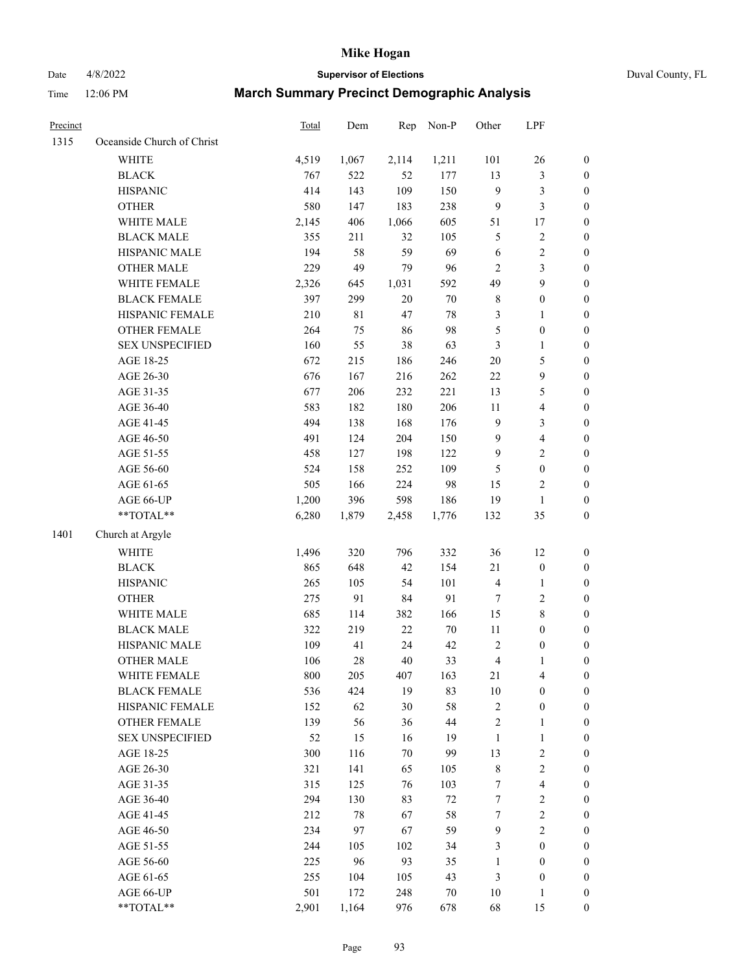Date 4/8/2022 **Supervisor of Elections** Duval County, FL

| Precinct |                            | <b>Total</b> | Dem    | Rep    | Non-P  | Other                   | LPF              |                  |
|----------|----------------------------|--------------|--------|--------|--------|-------------------------|------------------|------------------|
| 1315     | Oceanside Church of Christ |              |        |        |        |                         |                  |                  |
|          | <b>WHITE</b>               | 4,519        | 1,067  | 2,114  | 1,211  | 101                     | 26               | 0                |
|          | <b>BLACK</b>               | 767          | 522    | 52     | 177    | 13                      | $\mathfrak{Z}$   | 0                |
|          | <b>HISPANIC</b>            | 414          | 143    | 109    | 150    | 9                       | $\mathfrak{Z}$   | $\boldsymbol{0}$ |
|          | <b>OTHER</b>               | 580          | 147    | 183    | 238    | 9                       | $\mathfrak{Z}$   | $\boldsymbol{0}$ |
|          | WHITE MALE                 | 2,145        | 406    | 1,066  | 605    | 51                      | 17               | $\boldsymbol{0}$ |
|          | <b>BLACK MALE</b>          | 355          | 211    | 32     | 105    | 5                       | $\sqrt{2}$       | $\boldsymbol{0}$ |
|          | HISPANIC MALE              | 194          | 58     | 59     | 69     | $\sqrt{6}$              | $\sqrt{2}$       | $\boldsymbol{0}$ |
|          | <b>OTHER MALE</b>          | 229          | 49     | 79     | 96     | $\mathbf{2}$            | $\mathfrak{Z}$   | $\boldsymbol{0}$ |
|          | WHITE FEMALE               | 2,326        | 645    | 1,031  | 592    | 49                      | $\boldsymbol{9}$ | $\boldsymbol{0}$ |
|          | <b>BLACK FEMALE</b>        | 397          | 299    | $20\,$ | $70\,$ | 8                       | $\boldsymbol{0}$ | 0                |
|          | HISPANIC FEMALE            | 210          | 81     | 47     | $78\,$ | 3                       | 1                | 0                |
|          | OTHER FEMALE               | 264          | 75     | 86     | 98     | 5                       | $\boldsymbol{0}$ | $\boldsymbol{0}$ |
|          | <b>SEX UNSPECIFIED</b>     | 160          | 55     | 38     | 63     | 3                       | $\mathbf{1}$     | $\boldsymbol{0}$ |
|          | AGE 18-25                  | 672          | 215    | 186    | 246    | $20\,$                  | $\mathfrak s$    | $\boldsymbol{0}$ |
|          | AGE 26-30                  | 676          | 167    | 216    | 262    | $22\,$                  | $\boldsymbol{9}$ | $\boldsymbol{0}$ |
|          | AGE 31-35                  | 677          | 206    | 232    | 221    | 13                      | $\mathfrak s$    | $\boldsymbol{0}$ |
|          | AGE 36-40                  | 583          | 182    | 180    | 206    | 11                      | $\overline{4}$   | $\boldsymbol{0}$ |
|          | AGE 41-45                  | 494          | 138    | 168    | 176    | 9                       | $\mathfrak{Z}$   | $\boldsymbol{0}$ |
|          | AGE 46-50                  | 491          | 124    | 204    | 150    | $\mathbf{9}$            | $\overline{4}$   | $\boldsymbol{0}$ |
|          | AGE 51-55                  | 458          | 127    | 198    | 122    | $\mathbf{9}$            | $\sqrt{2}$       | $\boldsymbol{0}$ |
|          | AGE 56-60                  | 524          | 158    | 252    | 109    | 5                       | $\boldsymbol{0}$ | 0                |
|          | AGE 61-65                  | 505          | 166    | 224    | 98     | 15                      | $\overline{c}$   | 0                |
|          | AGE 66-UP                  | 1,200        | 396    | 598    | 186    | 19                      | $\mathbf{1}$     | $\boldsymbol{0}$ |
|          | $**TOTAL**$                | 6,280        | 1,879  | 2,458  | 1,776  | 132                     | 35               | $\boldsymbol{0}$ |
|          |                            |              |        |        |        |                         |                  |                  |
| 1401     | Church at Argyle           |              |        |        |        |                         |                  |                  |
|          | <b>WHITE</b>               | 1,496        | 320    | 796    | 332    | 36                      | 12               | $\boldsymbol{0}$ |
|          | <b>BLACK</b>               | 865          | 648    | 42     | 154    | 21                      | $\boldsymbol{0}$ | $\boldsymbol{0}$ |
|          | <b>HISPANIC</b>            | 265          | 105    | 54     | 101    | 4                       | $\mathbf{1}$     | $\boldsymbol{0}$ |
|          | <b>OTHER</b>               | 275          | 91     | 84     | 91     | 7                       | $\sqrt{2}$       | $\boldsymbol{0}$ |
|          | WHITE MALE                 | 685          | 114    | 382    | 166    | 15                      | $\,$ 8 $\,$      | $\boldsymbol{0}$ |
|          | <b>BLACK MALE</b>          | 322          | 219    | 22     | $70\,$ | 11                      | $\boldsymbol{0}$ | $\boldsymbol{0}$ |
|          | HISPANIC MALE              | 109          | 41     | 24     | 42     | $\overline{c}$          | $\boldsymbol{0}$ | 0                |
|          | <b>OTHER MALE</b>          | 106          | $28\,$ | 40     | 33     | $\overline{\mathbf{4}}$ | $\mathbf{1}$     | $\boldsymbol{0}$ |
|          | WHITE FEMALE               | 800          | 205    | 407    | 163    | 21                      | 4                | 0                |
|          | <b>BLACK FEMALE</b>        | 536          | 424    | 19     | 83     | 10                      | $\boldsymbol{0}$ | $\overline{0}$   |
|          | HISPANIC FEMALE            | 152          | 62     | 30     | 58     | $\overline{c}$          | $\boldsymbol{0}$ | $\overline{0}$   |
|          | <b>OTHER FEMALE</b>        | 139          | 56     | 36     | $44\,$ | 2                       | $\mathbf{1}$     | $\overline{0}$   |
|          | <b>SEX UNSPECIFIED</b>     | 52           | 15     | 16     | 19     | $\mathbf{1}$            | $\mathbf{1}$     | 0                |
|          | AGE 18-25                  | 300          | 116    | 70     | 99     | 13                      | $\sqrt{2}$       | 0                |
|          | AGE 26-30                  | 321          | 141    | 65     | 105    | 8                       | $\sqrt{2}$       | 0                |
|          | AGE 31-35                  | 315          | 125    | 76     | 103    | 7                       | $\overline{4}$   | 0                |
|          | AGE 36-40                  | 294          | 130    | 83     | $72\,$ | 7                       | $\sqrt{2}$       | 0                |
|          | AGE 41-45                  | 212          | $78\,$ | 67     | 58     | $\tau$                  | $\sqrt{2}$       | 0                |
|          | AGE 46-50                  | 234          | 97     | 67     | 59     | 9                       | $\sqrt{2}$       | 0                |
|          | AGE 51-55                  | 244          | 105    | 102    | 34     | 3                       | $\boldsymbol{0}$ | 0                |
|          | AGE 56-60                  | 225          | 96     | 93     | 35     | 1                       | $\boldsymbol{0}$ | 0                |
|          | AGE 61-65                  | 255          | 104    | 105    | 43     | 3                       | $\boldsymbol{0}$ | $\overline{0}$   |
|          | AGE 66-UP                  | 501          | 172    | 248    | 70     | 10                      | $\mathbf{1}$     | 0                |
|          | **TOTAL**                  | 2,901        | 1,164  | 976    | 678    | 68                      | 15               | $\boldsymbol{0}$ |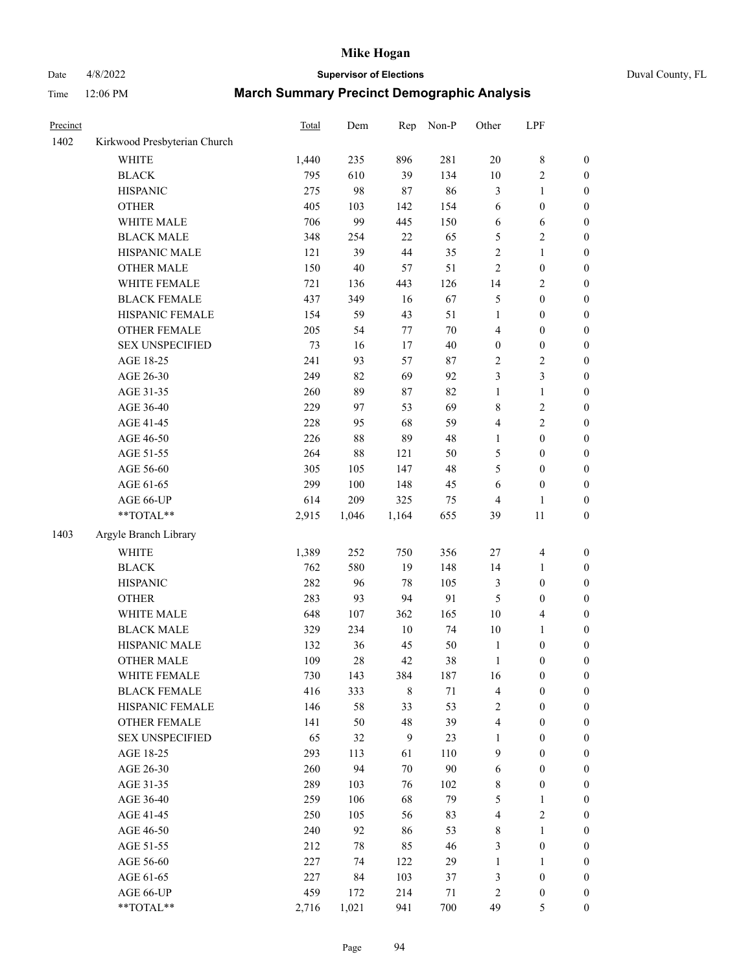# Date 4/8/2022 **Supervisor of Elections** Duval County, FL

| Precinct |                              | Total | Dem    | Rep    | Non-P | Other                   | LPF              |                  |
|----------|------------------------------|-------|--------|--------|-------|-------------------------|------------------|------------------|
| 1402     | Kirkwood Presbyterian Church |       |        |        |       |                         |                  |                  |
|          | <b>WHITE</b>                 | 1,440 | 235    | 896    | 281   | $20\,$                  | $\,$ 8 $\,$      | 0                |
|          | <b>BLACK</b>                 | 795   | 610    | 39     | 134   | $10\,$                  | $\sqrt{2}$       | 0                |
|          | <b>HISPANIC</b>              | 275   | 98     | 87     | 86    | 3                       | $\mathbf{1}$     | $\boldsymbol{0}$ |
|          | <b>OTHER</b>                 | 405   | 103    | 142    | 154   | 6                       | $\boldsymbol{0}$ | $\boldsymbol{0}$ |
|          | WHITE MALE                   | 706   | 99     | 445    | 150   | 6                       | 6                | $\boldsymbol{0}$ |
|          | <b>BLACK MALE</b>            | 348   | 254    | 22     | 65    | 5                       | $\sqrt{2}$       | $\boldsymbol{0}$ |
|          | HISPANIC MALE                | 121   | 39     | 44     | 35    | $\overline{c}$          | $\mathbf{1}$     | $\boldsymbol{0}$ |
|          | <b>OTHER MALE</b>            | 150   | 40     | 57     | 51    | 2                       | $\boldsymbol{0}$ | $\boldsymbol{0}$ |
|          | WHITE FEMALE                 | 721   | 136    | 443    | 126   | 14                      | $\sqrt{2}$       | $\boldsymbol{0}$ |
|          | <b>BLACK FEMALE</b>          | 437   | 349    | 16     | 67    | 5                       | $\boldsymbol{0}$ | $\boldsymbol{0}$ |
|          | HISPANIC FEMALE              | 154   | 59     | 43     | 51    | $\mathbf{1}$            | $\boldsymbol{0}$ | $\boldsymbol{0}$ |
|          | OTHER FEMALE                 | 205   | 54     | $77\,$ | 70    | 4                       | $\boldsymbol{0}$ | $\boldsymbol{0}$ |
|          | <b>SEX UNSPECIFIED</b>       | 73    | 16     | 17     | 40    | $\boldsymbol{0}$        | $\boldsymbol{0}$ | $\boldsymbol{0}$ |
|          | AGE 18-25                    | 241   | 93     | 57     | 87    | 2                       | $\sqrt{2}$       | $\boldsymbol{0}$ |
|          | AGE 26-30                    | 249   | 82     | 69     | 92    | 3                       | 3                | $\boldsymbol{0}$ |
|          | AGE 31-35                    | 260   | 89     | 87     | 82    | 1                       | $\mathbf{1}$     | $\boldsymbol{0}$ |
|          | AGE 36-40                    | 229   | 97     | 53     | 69    | 8                       | $\sqrt{2}$       | $\boldsymbol{0}$ |
|          | AGE 41-45                    | 228   | 95     | 68     | 59    | 4                       | $\mathfrak{2}$   | $\boldsymbol{0}$ |
|          | AGE 46-50                    | 226   | $88\,$ | 89     | 48    | 1                       | $\boldsymbol{0}$ | $\boldsymbol{0}$ |
|          | AGE 51-55                    | 264   | 88     | 121    | 50    | 5                       | $\boldsymbol{0}$ | $\boldsymbol{0}$ |
|          | AGE 56-60                    | 305   | 105    | 147    | 48    | 5                       | $\boldsymbol{0}$ | 0                |
|          | AGE 61-65                    | 299   | 100    | 148    | 45    | 6                       | $\boldsymbol{0}$ | $\boldsymbol{0}$ |
|          | AGE 66-UP                    | 614   | 209    | 325    | 75    | 4                       | $\mathbf{1}$     | $\boldsymbol{0}$ |
|          | $**TOTAL**$                  | 2,915 | 1,046  | 1,164  | 655   | 39                      | 11               | $\boldsymbol{0}$ |
|          |                              |       |        |        |       |                         |                  |                  |
| 1403     | Argyle Branch Library        |       |        |        |       |                         |                  |                  |
|          | <b>WHITE</b>                 | 1,389 | 252    | 750    | 356   | 27                      | $\overline{4}$   | $\boldsymbol{0}$ |
|          | <b>BLACK</b>                 | 762   | 580    | 19     | 148   | 14                      | $\mathbf{1}$     | $\boldsymbol{0}$ |
|          | <b>HISPANIC</b>              | 282   | 96     | 78     | 105   | 3                       | $\boldsymbol{0}$ | $\boldsymbol{0}$ |
|          | <b>OTHER</b>                 | 283   | 93     | 94     | 91    | 5                       | $\boldsymbol{0}$ | $\boldsymbol{0}$ |
|          | WHITE MALE                   | 648   | 107    | 362    | 165   | 10                      | $\overline{4}$   | $\boldsymbol{0}$ |
|          | <b>BLACK MALE</b>            | 329   | 234    | $10\,$ | 74    | 10                      | $\mathbf{1}$     | $\boldsymbol{0}$ |
|          | HISPANIC MALE                | 132   | 36     | 45     | 50    | $\mathbf{1}$            | $\boldsymbol{0}$ | $\boldsymbol{0}$ |
|          | <b>OTHER MALE</b>            | 109   | 28     | 42     | 38    | $\mathbf{1}$            | $\boldsymbol{0}$ | $\boldsymbol{0}$ |
|          | WHITE FEMALE                 | 730   | 143    | 384    | 187   | 16                      | 0                | 0                |
|          | <b>BLACK FEMALE</b>          | 416   | 333    | 8      | 71    | 4                       | $\boldsymbol{0}$ | $\overline{0}$   |
|          | HISPANIC FEMALE              | 146   | 58     | 33     | 53    | 2                       | $\boldsymbol{0}$ | $\overline{0}$   |
|          | OTHER FEMALE                 | 141   | 50     | 48     | 39    | 4                       | $\boldsymbol{0}$ | $\overline{0}$   |
|          | <b>SEX UNSPECIFIED</b>       | 65    | 32     | 9      | 23    | 1                       | $\boldsymbol{0}$ | 0                |
|          | AGE 18-25                    | 293   | 113    | 61     | 110   | 9                       | $\boldsymbol{0}$ | $\theta$         |
|          | AGE 26-30                    | 260   | 94     | 70     | 90    | 6                       | $\boldsymbol{0}$ | 0                |
|          | AGE 31-35                    | 289   | 103    | 76     | 102   | 8                       | $\boldsymbol{0}$ | 0                |
|          | AGE 36-40                    | 259   | 106    | 68     | 79    | 5                       | $\mathbf{1}$     | 0                |
|          | AGE 41-45                    | 250   | 105    | 56     | 83    | 4                       | $\sqrt{2}$       | 0                |
|          | AGE 46-50                    | 240   | 92     | 86     | 53    | 8                       | $\mathbf{1}$     | 0                |
|          | AGE 51-55                    | 212   | 78     | 85     | 46    | 3                       | $\boldsymbol{0}$ | 0                |
|          | AGE 56-60                    | 227   | 74     | 122    | 29    | 1                       | 1                | 0                |
|          | AGE 61-65                    | 227   | 84     | 103    | 37    | 3                       | $\boldsymbol{0}$ | 0                |
|          | AGE 66-UP                    | 459   | 172    | 214    | 71    | $\overline{\mathbf{c}}$ | $\boldsymbol{0}$ | 0                |
|          | **TOTAL**                    | 2,716 | 1,021  | 941    | 700   | 49                      | 5                | $\boldsymbol{0}$ |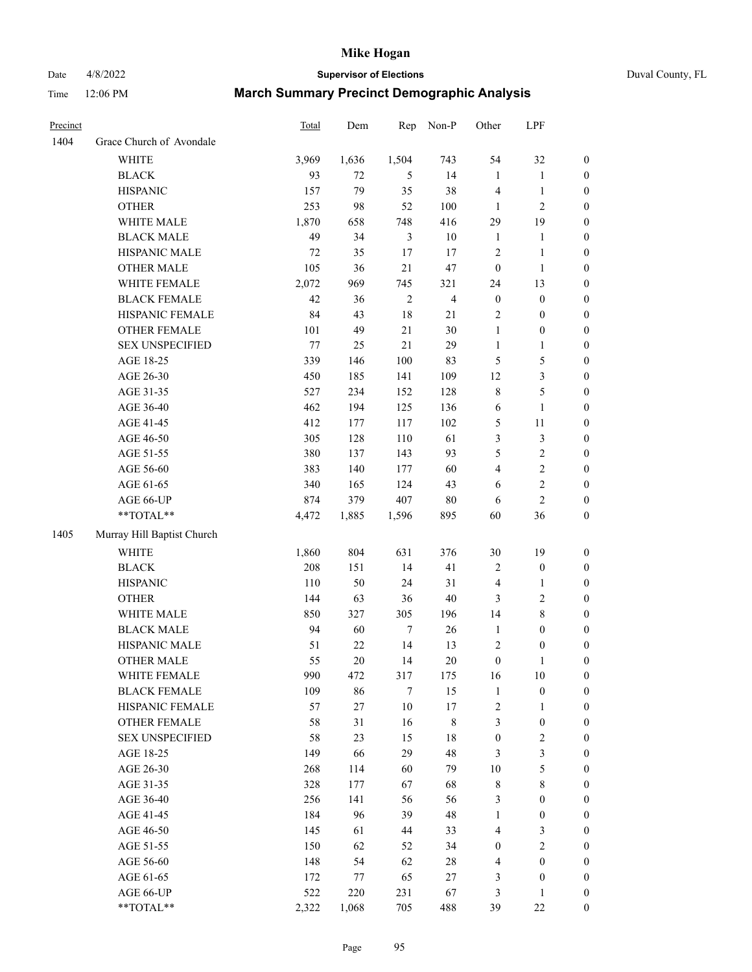# Date 4/8/2022 **Supervisor of Elections** Duval County, FL

| Precinct |                            | <b>Total</b> | Dem    | Rep            | Non-P          | Other            | LPF              |                  |
|----------|----------------------------|--------------|--------|----------------|----------------|------------------|------------------|------------------|
| 1404     | Grace Church of Avondale   |              |        |                |                |                  |                  |                  |
|          | <b>WHITE</b>               | 3,969        | 1,636  | 1,504          | 743            | 54               | 32               | 0                |
|          | <b>BLACK</b>               | 93           | 72     | 5              | 14             | $\mathbf{1}$     | $\mathbf{1}$     | 0                |
|          | <b>HISPANIC</b>            | 157          | 79     | 35             | 38             | 4                | $\mathbf{1}$     | $\boldsymbol{0}$ |
|          | <b>OTHER</b>               | 253          | 98     | 52             | 100            | 1                | $\mathfrak{2}$   | $\boldsymbol{0}$ |
|          | WHITE MALE                 | 1,870        | 658    | 748            | 416            | 29               | 19               | $\boldsymbol{0}$ |
|          | <b>BLACK MALE</b>          | 49           | 34     | $\mathfrak{Z}$ | 10             | $\mathbf{1}$     | 1                | $\boldsymbol{0}$ |
|          | HISPANIC MALE              | 72           | 35     | 17             | 17             | $\overline{c}$   | $\mathbf{1}$     | $\boldsymbol{0}$ |
|          | <b>OTHER MALE</b>          | 105          | 36     | 21             | 47             | $\boldsymbol{0}$ | $\mathbf{1}$     | $\boldsymbol{0}$ |
|          | WHITE FEMALE               | 2,072        | 969    | 745            | 321            | 24               | 13               | $\boldsymbol{0}$ |
|          | <b>BLACK FEMALE</b>        | 42           | 36     | $\sqrt{2}$     | $\overline{4}$ | $\boldsymbol{0}$ | $\boldsymbol{0}$ | 0                |
|          | HISPANIC FEMALE            | 84           | 43     | 18             | 21             | $\sqrt{2}$       | $\boldsymbol{0}$ | 0                |
|          | OTHER FEMALE               | 101          | 49     | 21             | $30\,$         | $\mathbf{1}$     | $\boldsymbol{0}$ | 0                |
|          | <b>SEX UNSPECIFIED</b>     | 77           | 25     | 21             | 29             | $\mathbf{1}$     | $\mathbf{1}$     | $\boldsymbol{0}$ |
|          | AGE 18-25                  | 339          | 146    | 100            | 83             | 5                | $\mathfrak{S}$   | $\boldsymbol{0}$ |
|          | AGE 26-30                  | 450          | 185    | 141            | 109            | 12               | $\mathfrak{Z}$   | $\boldsymbol{0}$ |
|          | AGE 31-35                  | 527          | 234    | 152            | 128            | $\,$ $\,$        | $\mathfrak s$    | $\boldsymbol{0}$ |
|          | AGE 36-40                  | 462          | 194    | 125            | 136            | 6                | $\mathbf{1}$     | $\boldsymbol{0}$ |
|          | AGE 41-45                  | 412          | 177    | 117            | 102            | 5                | $11\,$           | $\boldsymbol{0}$ |
|          | AGE 46-50                  | 305          | 128    | 110            | 61             | 3                | $\mathfrak{Z}$   | $\boldsymbol{0}$ |
|          | AGE 51-55                  | 380          | 137    | 143            | 93             | 5                | $\sqrt{2}$       | $\boldsymbol{0}$ |
|          | AGE 56-60                  | 383          | 140    | 177            | 60             | $\overline{4}$   | $\sqrt{2}$       | 0                |
|          | AGE 61-65                  | 340          | 165    | 124            | 43             | 6                | $\sqrt{2}$       | 0                |
|          | AGE 66-UP                  | 874          | 379    | 407            | $80\,$         | 6                | $\overline{2}$   | $\boldsymbol{0}$ |
|          | **TOTAL**                  | 4,472        | 1,885  | 1,596          | 895            | 60               | 36               | $\boldsymbol{0}$ |
| 1405     | Murray Hill Baptist Church |              |        |                |                |                  |                  |                  |
|          | <b>WHITE</b>               | 1,860        | 804    | 631            | 376            | $30\,$           | 19               | $\boldsymbol{0}$ |
|          | <b>BLACK</b>               | 208          | 151    | 14             | 41             | $\sqrt{2}$       | $\boldsymbol{0}$ | $\boldsymbol{0}$ |
|          | <b>HISPANIC</b>            | 110          | 50     | 24             | 31             | 4                | $\mathbf{1}$     | $\boldsymbol{0}$ |
|          | <b>OTHER</b>               | 144          | 63     | 36             | $40\,$         | 3                | $\sqrt{2}$       | $\boldsymbol{0}$ |
|          | WHITE MALE                 | 850          | 327    | 305            | 196            | 14               | $8\,$            | $\boldsymbol{0}$ |
|          | <b>BLACK MALE</b>          | 94           | 60     | $\tau$         | 26             | $\mathbf{1}$     | $\boldsymbol{0}$ | $\boldsymbol{0}$ |
|          | HISPANIC MALE              | 51           | $22\,$ | 14             | 13             | $\sqrt{2}$       | $\boldsymbol{0}$ | 0                |
|          | <b>OTHER MALE</b>          | 55           | 20     | 14             | $20\,$         | $\boldsymbol{0}$ | $\mathbf{1}$     | $\boldsymbol{0}$ |
|          | WHITE FEMALE               | 990          | 472    | 317            | 175            | 16               | 10               | 0                |
|          | <b>BLACK FEMALE</b>        | 109          | 86     | 7              | 15             | $\mathbf{1}$     | $\boldsymbol{0}$ | $\boldsymbol{0}$ |
|          | HISPANIC FEMALE            | 57           | 27     | $10\,$         | 17             | 2                | 1                | $\overline{0}$   |
|          | OTHER FEMALE               | 58           | 31     | 16             | 8              | 3                | $\boldsymbol{0}$ | $\overline{0}$   |
|          | <b>SEX UNSPECIFIED</b>     | 58           | 23     | 15             | 18             | $\boldsymbol{0}$ | $\sqrt{2}$       | 0                |
|          | AGE 18-25                  | 149          | 66     | 29             | 48             | 3                | 3                | 0                |
|          | AGE 26-30                  | 268          | 114    | 60             | 79             | $10\,$           | $\mathfrak{S}$   | 0                |
|          | AGE 31-35                  | 328          | 177    | 67             | 68             | 8                | $\,8\,$          | 0                |
|          | AGE 36-40                  | 256          | 141    | 56             | 56             | 3                | $\boldsymbol{0}$ | 0                |
|          | AGE 41-45                  | 184          | 96     | 39             | 48             | $\mathbf{1}$     | $\boldsymbol{0}$ | 0                |
|          | AGE 46-50                  | 145          | 61     | 44             | 33             | 4                | 3                | 0                |
|          | AGE 51-55                  | 150          | 62     | 52             | 34             | $\boldsymbol{0}$ | $\sqrt{2}$       | 0                |
|          | AGE 56-60                  | 148          | 54     | 62             | 28             | 4                | $\boldsymbol{0}$ | $\overline{0}$   |
|          | AGE 61-65                  | 172          | 77     | 65             | 27             | 3                | $\boldsymbol{0}$ | $\overline{0}$   |
|          | AGE 66-UP                  | 522          | 220    | 231            | 67             | 3                | $\mathbf{1}$     | 0                |
|          | **TOTAL**                  | 2,322        | 1,068  | 705            | 488            | 39               | $22\,$           | $\boldsymbol{0}$ |
|          |                            |              |        |                |                |                  |                  |                  |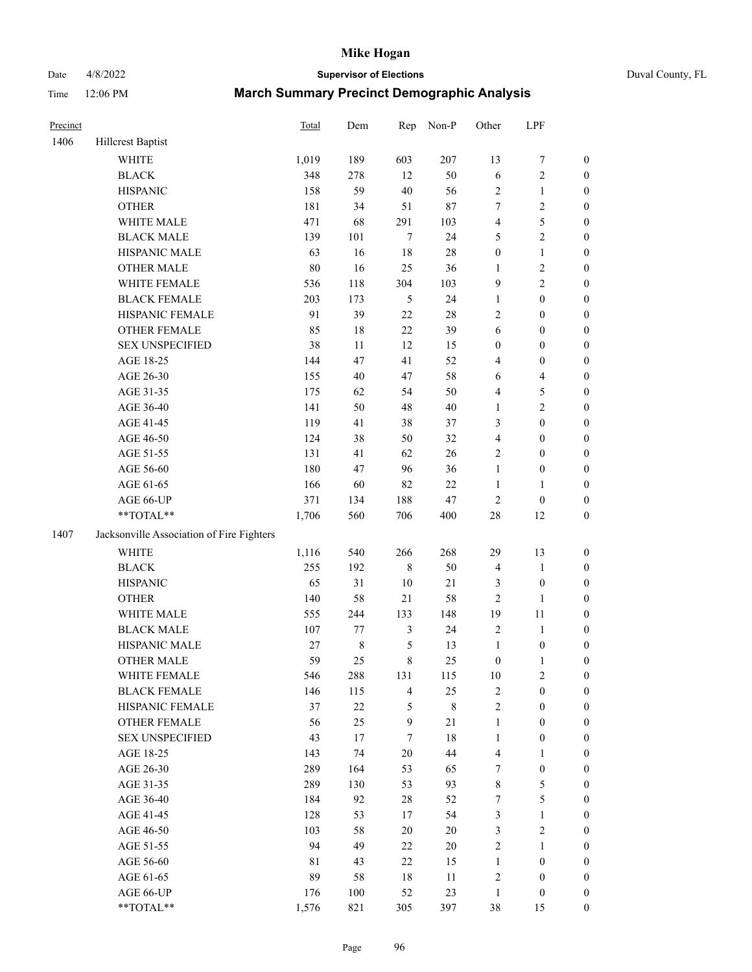# Date 4/8/2022 **Supervisor of Elections** Duval County, FL

| Precinct |                                           | Total | Dem       | Rep            | Non-P  | Other                   | LPF                     |                  |
|----------|-------------------------------------------|-------|-----------|----------------|--------|-------------------------|-------------------------|------------------|
| 1406     | Hillcrest Baptist                         |       |           |                |        |                         |                         |                  |
|          | <b>WHITE</b>                              | 1,019 | 189       | 603            | 207    | 13                      | $\boldsymbol{7}$        | 0                |
|          | <b>BLACK</b>                              | 348   | 278       | 12             | 50     | $\sqrt{6}$              | $\sqrt{2}$              | $\boldsymbol{0}$ |
|          | <b>HISPANIC</b>                           | 158   | 59        | 40             | 56     | $\sqrt{2}$              | $\mathbf{1}$            | $\boldsymbol{0}$ |
|          | <b>OTHER</b>                              | 181   | 34        | 51             | $87\,$ | 7                       | $\sqrt{2}$              | $\boldsymbol{0}$ |
|          | WHITE MALE                                | 471   | 68        | 291            | 103    | 4                       | $\mathfrak{S}$          | $\boldsymbol{0}$ |
|          | <b>BLACK MALE</b>                         | 139   | 101       | $\tau$         | 24     | 5                       | $\sqrt{2}$              | $\boldsymbol{0}$ |
|          | HISPANIC MALE                             | 63    | 16        | 18             | $28\,$ | $\boldsymbol{0}$        | $\mathbf{1}$            | $\boldsymbol{0}$ |
|          | <b>OTHER MALE</b>                         | 80    | 16        | 25             | 36     | $\mathbf{1}$            | $\overline{2}$          | $\boldsymbol{0}$ |
|          | WHITE FEMALE                              | 536   | 118       | 304            | 103    | 9                       | $\overline{2}$          | $\boldsymbol{0}$ |
|          | <b>BLACK FEMALE</b>                       | 203   | 173       | 5              | 24     | $\mathbf{1}$            | $\boldsymbol{0}$        | $\boldsymbol{0}$ |
|          | HISPANIC FEMALE                           | 91    | 39        | 22             | $28\,$ | $\overline{c}$          | $\boldsymbol{0}$        | $\boldsymbol{0}$ |
|          | OTHER FEMALE                              | 85    | $18\,$    | 22             | 39     | 6                       | $\boldsymbol{0}$        | $\boldsymbol{0}$ |
|          | <b>SEX UNSPECIFIED</b>                    | 38    | 11        | 12             | 15     | $\boldsymbol{0}$        | $\boldsymbol{0}$        | $\boldsymbol{0}$ |
|          | AGE 18-25                                 | 144   | 47        | 41             | 52     | 4                       | $\boldsymbol{0}$        | $\boldsymbol{0}$ |
|          | AGE 26-30                                 | 155   | 40        | 47             | 58     | 6                       | $\overline{\mathbf{4}}$ | $\boldsymbol{0}$ |
|          | AGE 31-35                                 | 175   | 62        | 54             | 50     | 4                       | $\mathfrak{S}$          | $\boldsymbol{0}$ |
|          | AGE 36-40                                 | 141   | 50        | 48             | $40\,$ | $\mathbf{1}$            | $\sqrt{2}$              | $\boldsymbol{0}$ |
|          | AGE 41-45                                 | 119   | 41        | 38             | 37     | 3                       | $\boldsymbol{0}$        | $\boldsymbol{0}$ |
|          | AGE 46-50                                 | 124   | 38        | 50             | 32     | $\overline{\mathbf{4}}$ | $\boldsymbol{0}$        | $\boldsymbol{0}$ |
|          | AGE 51-55                                 | 131   | 41        | 62             | 26     | 2                       | $\boldsymbol{0}$        | $\boldsymbol{0}$ |
|          | AGE 56-60                                 | 180   | 47        | 96             | 36     | $\mathbf{1}$            | $\boldsymbol{0}$        | 0                |
|          | AGE 61-65                                 | 166   | 60        | 82             | 22     | $\mathbf{1}$            | $\mathbf{1}$            | 0                |
|          | AGE 66-UP                                 | 371   | 134       | 188            | $47\,$ | $\sqrt{2}$              | $\boldsymbol{0}$        | $\boldsymbol{0}$ |
|          | **TOTAL**                                 | 1,706 | 560       | 706            | 400    | $28\,$                  | 12                      | $\boldsymbol{0}$ |
|          |                                           |       |           |                |        |                         |                         |                  |
| 1407     | Jacksonville Association of Fire Fighters |       |           |                |        |                         |                         |                  |
|          | <b>WHITE</b>                              | 1,116 | 540       | 266            | 268    | 29                      | 13                      | $\boldsymbol{0}$ |
|          | <b>BLACK</b>                              | 255   | 192       | $\,$ 8 $\,$    | 50     | 4                       | $\mathbf{1}$            | $\boldsymbol{0}$ |
|          | <b>HISPANIC</b>                           | 65    | 31        | 10             | $21\,$ | 3                       | $\boldsymbol{0}$        | $\boldsymbol{0}$ |
|          | <b>OTHER</b>                              | 140   | 58        | 21             | 58     | $\overline{c}$          | $\mathbf{1}$            | $\boldsymbol{0}$ |
|          | WHITE MALE                                | 555   | 244       | 133            | 148    | 19                      | 11                      | $\boldsymbol{0}$ |
|          | <b>BLACK MALE</b>                         | 107   | 77        | $\mathfrak{Z}$ | 24     | $\sqrt{2}$              | $\mathbf{1}$            | $\boldsymbol{0}$ |
|          | HISPANIC MALE                             | 27    | $\,$ $\,$ | $\mathfrak s$  | 13     | $\mathbf{1}$            | $\boldsymbol{0}$        | 0                |
|          | OTHER MALE                                | 59    | 25        | $8\,$          | 25     | $\boldsymbol{0}$        | $\mathbf{1}$            | $\boldsymbol{0}$ |
|          | WHITE FEMALE                              | 546   | 288       | 131            | 115    | 10                      | 2                       | 0                |
|          | <b>BLACK FEMALE</b>                       | 146   | 115       | $\overline{4}$ | 25     | 2                       | $\boldsymbol{0}$        | $\overline{0}$   |
|          | HISPANIC FEMALE                           | 37    | $22\,$    | 5              | 8      | $\overline{c}$          | $\boldsymbol{0}$        | $\overline{0}$   |
|          | <b>OTHER FEMALE</b>                       | 56    | 25        | $\mathbf{9}$   | $21\,$ | $\mathbf{1}$            | $\boldsymbol{0}$        | $\overline{0}$   |
|          | <b>SEX UNSPECIFIED</b>                    | 43    | 17        | 7              | 18     | $\mathbf{1}$            | $\boldsymbol{0}$        | 0                |
|          | AGE 18-25                                 | 143   | 74        | 20             | 44     | 4                       | $\mathbf{1}$            | $\theta$         |
|          | AGE 26-30                                 | 289   | 164       | 53             | 65     | 7                       | $\boldsymbol{0}$        | 0                |
|          | AGE 31-35                                 | 289   | 130       | 53             | 93     | 8                       | $\mathfrak{S}$          | 0                |
|          | AGE 36-40                                 | 184   | 92        | 28             | 52     | 7                       | $\mathfrak{S}$          | 0                |
|          | AGE 41-45                                 | 128   | 53        | 17             | 54     | 3                       | $\mathbf{1}$            | 0                |
|          | AGE 46-50                                 | 103   | 58        | 20             | 20     | 3                       | $\sqrt{2}$              | 0                |
|          | AGE 51-55                                 | 94    | 49        | 22             | $20\,$ | 2                       | $\mathbf{1}$            | 0                |
|          | AGE 56-60                                 | 81    | 43        | 22             | 15     | 1                       | $\boldsymbol{0}$        | 0                |
|          | AGE 61-65                                 | 89    | 58        | 18             | 11     | 2                       | $\boldsymbol{0}$        | $\overline{0}$   |
|          | AGE 66-UP                                 | 176   | 100       | 52             | 23     | $\mathbf{1}$            | $\boldsymbol{0}$        | 0                |
|          | **TOTAL**                                 | 1,576 | 821       | 305            | 397    | 38                      | 15                      | $\boldsymbol{0}$ |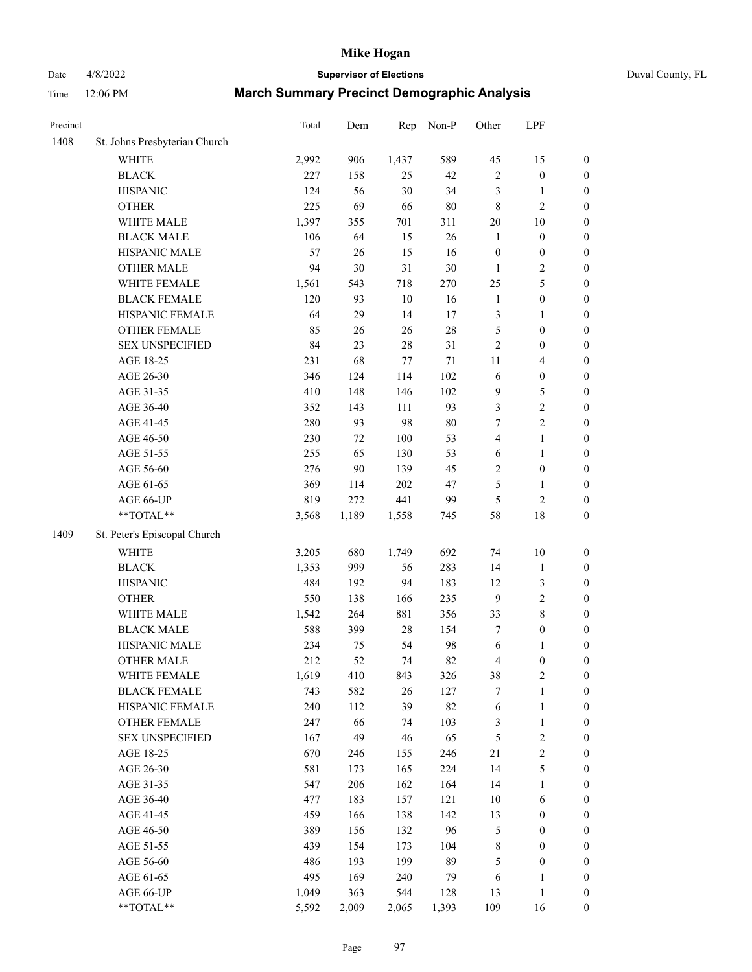# Date 4/8/2022 **Supervisor of Elections** Duval County, FL

| Precinct |                               | <b>Total</b> | Dem   | Rep     | Non-P  | Other            | LPF              |                  |
|----------|-------------------------------|--------------|-------|---------|--------|------------------|------------------|------------------|
| 1408     | St. Johns Presbyterian Church |              |       |         |        |                  |                  |                  |
|          | WHITE                         | 2,992        | 906   | 1,437   | 589    | 45               | 15               | 0                |
|          | <b>BLACK</b>                  | 227          | 158   | 25      | 42     | 2                | $\boldsymbol{0}$ | 0                |
|          | <b>HISPANIC</b>               | 124          | 56    | 30      | 34     | 3                | $\mathbf{1}$     | $\boldsymbol{0}$ |
|          | <b>OTHER</b>                  | 225          | 69    | 66      | $80\,$ | 8                | $\sqrt{2}$       | $\boldsymbol{0}$ |
|          | WHITE MALE                    | 1,397        | 355   | 701     | 311    | $20\,$           | 10               | $\boldsymbol{0}$ |
|          | <b>BLACK MALE</b>             | 106          | 64    | 15      | 26     | $\mathbf{1}$     | $\boldsymbol{0}$ | $\boldsymbol{0}$ |
|          | HISPANIC MALE                 | 57           | 26    | 15      | 16     | $\boldsymbol{0}$ | $\boldsymbol{0}$ | $\boldsymbol{0}$ |
|          | <b>OTHER MALE</b>             | 94           | 30    | 31      | $30\,$ | $\mathbf{1}$     | $\sqrt{2}$       | $\boldsymbol{0}$ |
|          | WHITE FEMALE                  | 1,561        | 543   | 718     | 270    | 25               | 5                | $\boldsymbol{0}$ |
|          | <b>BLACK FEMALE</b>           | 120          | 93    | $10\,$  | 16     | $\mathbf{1}$     | $\boldsymbol{0}$ | 0                |
|          | HISPANIC FEMALE               | 64           | 29    | 14      | 17     | 3                | 1                | 0                |
|          | <b>OTHER FEMALE</b>           | 85           | 26    | 26      | $28\,$ | 5                | $\boldsymbol{0}$ | $\boldsymbol{0}$ |
|          | <b>SEX UNSPECIFIED</b>        | 84           | 23    | $28\,$  | 31     | $\sqrt{2}$       | $\boldsymbol{0}$ | $\boldsymbol{0}$ |
|          | AGE 18-25                     | 231          | 68    | $77 \,$ | $71\,$ | 11               | $\overline{4}$   | $\boldsymbol{0}$ |
|          | AGE 26-30                     | 346          | 124   | 114     | 102    | 6                | $\boldsymbol{0}$ | $\boldsymbol{0}$ |
|          | AGE 31-35                     | 410          | 148   | 146     | 102    | 9                | $\mathfrak s$    | $\boldsymbol{0}$ |
|          | AGE 36-40                     | 352          | 143   | 111     | 93     | 3                | $\sqrt{2}$       | $\boldsymbol{0}$ |
|          | AGE 41-45                     | 280          | 93    | 98      | $80\,$ | 7                | $\overline{c}$   | $\boldsymbol{0}$ |
|          | AGE 46-50                     | 230          | 72    | $100\,$ | 53     | 4                | $\mathbf{1}$     | $\boldsymbol{0}$ |
|          | AGE 51-55                     | 255          | 65    | 130     | 53     | 6                | 1                | 0                |
|          | AGE 56-60                     | 276          | 90    | 139     | 45     | $\overline{c}$   | $\boldsymbol{0}$ | 0                |
|          | AGE 61-65                     | 369          | 114   | 202     | 47     | 5                | $\mathbf{1}$     | 0                |
|          | AGE 66-UP                     | 819          | 272   | 441     | 99     | 5                | $\sqrt{2}$       | $\boldsymbol{0}$ |
|          | **TOTAL**                     | 3,568        | 1,189 | 1,558   | 745    | 58               | 18               | $\boldsymbol{0}$ |
| 1409     | St. Peter's Episcopal Church  |              |       |         |        |                  |                  |                  |
|          | <b>WHITE</b>                  | 3,205        | 680   | 1,749   | 692    | 74               | 10               | $\boldsymbol{0}$ |
|          | <b>BLACK</b>                  | 1,353        | 999   | 56      | 283    | 14               | $\mathbf{1}$     | $\boldsymbol{0}$ |
|          | <b>HISPANIC</b>               | 484          | 192   | 94      | 183    | 12               | $\mathfrak{Z}$   | $\boldsymbol{0}$ |
|          | <b>OTHER</b>                  | 550          | 138   | 166     | 235    | 9                | $\sqrt{2}$       | $\boldsymbol{0}$ |
|          | WHITE MALE                    | 1,542        | 264   | 881     | 356    | 33               | $\,$ 8 $\,$      | $\boldsymbol{0}$ |
|          | <b>BLACK MALE</b>             | 588          | 399   | $28\,$  | 154    | 7                | $\boldsymbol{0}$ | $\boldsymbol{0}$ |
|          | HISPANIC MALE                 | 234          | 75    | 54      | 98     | 6                | 1                | $\boldsymbol{0}$ |
|          | <b>OTHER MALE</b>             | 212          | 52    | 74      | 82     | 4                | $\boldsymbol{0}$ | $\boldsymbol{0}$ |
|          | WHITE FEMALE                  | 1,619        | 410   | 843     | 326    | 38               | $\overline{c}$   | 0                |
|          | <b>BLACK FEMALE</b>           | 743          | 582   | 26      | 127    | 7                | $\mathbf{1}$     | $\boldsymbol{0}$ |
|          | HISPANIC FEMALE               | 240          | 112   | 39      | 82     | 6                | $\mathbf{1}$     | $\boldsymbol{0}$ |
|          | <b>OTHER FEMALE</b>           | 247          | 66    | 74      | 103    | 3                | $\mathbf{1}$     | $\overline{0}$   |
|          | <b>SEX UNSPECIFIED</b>        | 167          | 49    | 46      | 65     | 5                | $\sqrt{2}$       | 0                |
|          | AGE 18-25                     | 670          | 246   | 155     | 246    | $21\,$           | $\sqrt{2}$       | 0                |
|          | AGE 26-30                     | 581          | 173   | 165     | 224    | 14               | 5                | 0                |
|          | AGE 31-35                     | 547          | 206   | 162     | 164    | 14               | $\mathbf{1}$     | 0                |
|          | AGE 36-40                     | 477          | 183   | 157     | 121    | 10               | 6                | 0                |
|          | AGE 41-45                     | 459          | 166   | 138     | 142    | 13               | $\boldsymbol{0}$ | 0                |
|          | AGE 46-50                     | 389          | 156   | 132     | 96     | 5                | $\boldsymbol{0}$ | 0                |
|          | AGE 51-55                     | 439          | 154   | 173     | 104    | 8                | $\boldsymbol{0}$ | 0                |
|          | AGE 56-60                     | 486          | 193   | 199     | 89     | 5                | $\boldsymbol{0}$ | $\boldsymbol{0}$ |
|          | AGE 61-65                     | 495          | 169   | 240     | 79     | 6                | 1                | $\boldsymbol{0}$ |
|          | AGE 66-UP                     | 1,049        | 363   | 544     | 128    | 13               | $\mathbf{1}$     | 0                |
|          | **TOTAL**                     | 5,592        | 2,009 | 2,065   | 1,393  | 109              | 16               | $\boldsymbol{0}$ |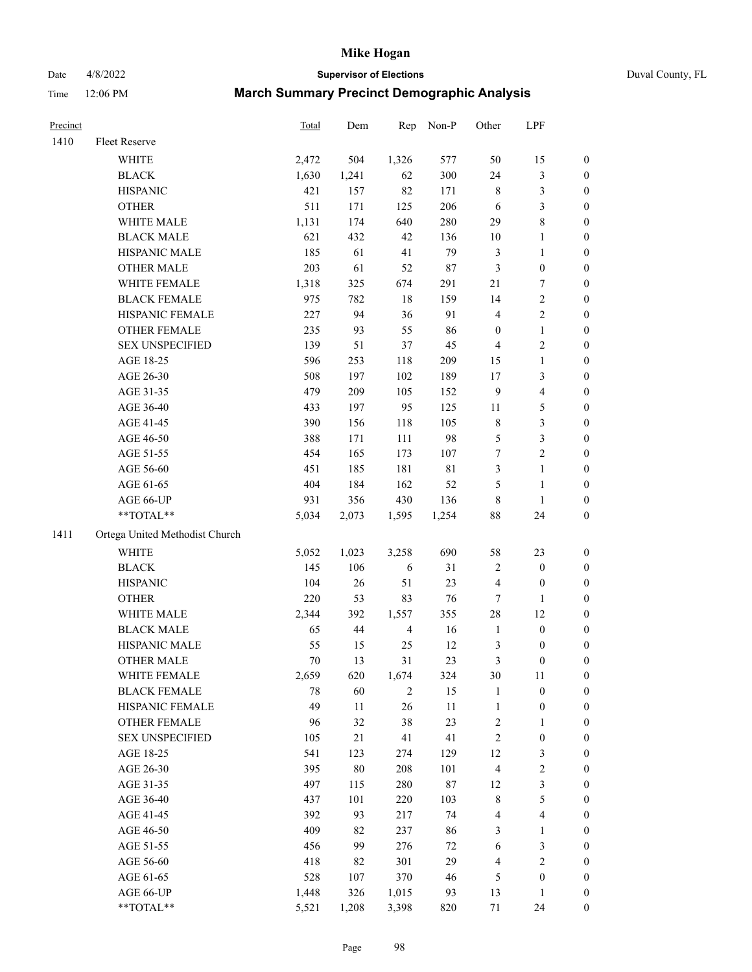Date 4/8/2022 **Supervisor of Elections** Duval County, FL

| Precinct |                                | <b>Total</b> | Dem    | Rep            | Non-P       | Other                   | LPF              |                  |
|----------|--------------------------------|--------------|--------|----------------|-------------|-------------------------|------------------|------------------|
| 1410     | Fleet Reserve                  |              |        |                |             |                         |                  |                  |
|          | WHITE                          | 2,472        | 504    | 1,326          | 577         | 50                      | 15               | 0                |
|          | <b>BLACK</b>                   | 1,630        | 1,241  | 62             | 300         | 24                      | $\mathfrak{Z}$   | 0                |
|          | <b>HISPANIC</b>                | 421          | 157    | 82             | 171         | 8                       | $\mathfrak{Z}$   | $\boldsymbol{0}$ |
|          | <b>OTHER</b>                   | 511          | 171    | 125            | 206         | 6                       | $\mathfrak{Z}$   | $\boldsymbol{0}$ |
|          | WHITE MALE                     | 1,131        | 174    | 640            | 280         | 29                      | $\,$ 8 $\,$      | $\boldsymbol{0}$ |
|          | <b>BLACK MALE</b>              | 621          | 432    | 42             | 136         | 10                      | 1                | $\boldsymbol{0}$ |
|          | HISPANIC MALE                  | 185          | 61     | 41             | 79          | 3                       | $\mathbf{1}$     | $\boldsymbol{0}$ |
|          | <b>OTHER MALE</b>              | 203          | 61     | 52             | $87\,$      | 3                       | $\boldsymbol{0}$ | $\boldsymbol{0}$ |
|          | WHITE FEMALE                   | 1,318        | 325    | 674            | 291         | 21                      | $\boldsymbol{7}$ | $\boldsymbol{0}$ |
|          | <b>BLACK FEMALE</b>            | 975          | 782    | $18\,$         | 159         | 14                      | $\sqrt{2}$       | 0                |
|          | HISPANIC FEMALE                | 227          | 94     | 36             | 91          | 4                       | $\sqrt{2}$       | 0                |
|          | <b>OTHER FEMALE</b>            | 235          | 93     | 55             | 86          | $\boldsymbol{0}$        | $\mathbf{1}$     | 0                |
|          | <b>SEX UNSPECIFIED</b>         | 139          | 51     | 37             | 45          | 4                       | $\sqrt{2}$       | $\boldsymbol{0}$ |
|          | AGE 18-25                      | 596          | 253    | 118            | 209         | 15                      | $\mathbf{1}$     | $\boldsymbol{0}$ |
|          | AGE 26-30                      | 508          | 197    | 102            | 189         | 17                      | $\mathfrak{Z}$   | $\boldsymbol{0}$ |
|          | AGE 31-35                      | 479          | 209    | 105            | 152         | 9                       | $\overline{4}$   | $\boldsymbol{0}$ |
|          | AGE 36-40                      | 433          | 197    | 95             | 125         | 11                      | $\mathfrak s$    | $\boldsymbol{0}$ |
|          | AGE 41-45                      | 390          | 156    | 118            | 105         | $\,$ 8 $\,$             | 3                | $\boldsymbol{0}$ |
|          | AGE 46-50                      | 388          | 171    | 111            | 98          | 5                       | $\mathfrak{Z}$   | $\boldsymbol{0}$ |
|          | AGE 51-55                      | 454          | 165    | 173            | 107         | 7                       | $\sqrt{2}$       | 0                |
|          | AGE 56-60                      | 451          | 185    | 181            | $8\sqrt{1}$ | 3                       | $\mathbf{1}$     | 0                |
|          | AGE 61-65                      | 404          | 184    | 162            | 52          | 5                       | $\mathbf{1}$     | 0                |
|          | AGE 66-UP                      | 931          | 356    | 430            | 136         | 8                       | $\mathbf{1}$     | 0                |
|          | $**TOTAL**$                    | 5,034        | 2,073  | 1,595          | 1,254       | 88                      | 24               | $\boldsymbol{0}$ |
| 1411     | Ortega United Methodist Church |              |        |                |             |                         |                  |                  |
|          | <b>WHITE</b>                   | 5,052        | 1,023  | 3,258          | 690         | 58                      | 23               | $\boldsymbol{0}$ |
|          | <b>BLACK</b>                   | 145          | 106    | 6              | 31          | 2                       | $\boldsymbol{0}$ | $\boldsymbol{0}$ |
|          | <b>HISPANIC</b>                | 104          | 26     | 51             | 23          | 4                       | $\boldsymbol{0}$ | $\boldsymbol{0}$ |
|          | <b>OTHER</b>                   | 220          | 53     | 83             | 76          | 7                       | $\mathbf{1}$     | $\boldsymbol{0}$ |
|          | WHITE MALE                     | 2,344        | 392    | 1,557          | 355         | 28                      | 12               | $\boldsymbol{0}$ |
|          | <b>BLACK MALE</b>              | 65           | $44\,$ | $\overline{4}$ | 16          | $\mathbf{1}$            | $\boldsymbol{0}$ | $\boldsymbol{0}$ |
|          | HISPANIC MALE                  | 55           | 15     | 25             | 12          | 3                       | $\boldsymbol{0}$ | 0                |
|          | <b>OTHER MALE</b>              | 70           | 13     | 31             | 23          | 3                       | $\boldsymbol{0}$ | $\boldsymbol{0}$ |
|          | WHITE FEMALE                   | 2,659        | 620    | 1,674          | 324         | 30                      | 11               | 0                |
|          | <b>BLACK FEMALE</b>            | 78           | 60     | $\overline{c}$ | 15          | $\mathbf{1}$            | $\boldsymbol{0}$ | $\boldsymbol{0}$ |
|          | HISPANIC FEMALE                | 49           | $11\,$ | 26             | 11          | $\mathbf{1}$            | $\boldsymbol{0}$ | $\boldsymbol{0}$ |
|          | <b>OTHER FEMALE</b>            | 96           | 32     | 38             | 23          | $\overline{\mathbf{c}}$ | $\mathbf{1}$     | $\overline{0}$   |
|          | <b>SEX UNSPECIFIED</b>         | 105          | 21     | 41             | 41          | $\overline{c}$          | $\boldsymbol{0}$ | 0                |
|          | AGE 18-25                      | 541          | 123    | 274            | 129         | 12                      | $\mathfrak z$    | 0                |
|          | AGE 26-30                      | 395          | $80\,$ | 208            | 101         | 4                       | $\sqrt{2}$       | 0                |
|          | AGE 31-35                      | 497          | 115    | 280            | $87\,$      | 12                      | $\sqrt{3}$       | 0                |
|          | AGE 36-40                      | 437          | 101    | 220            | 103         | $\,$ $\,$               | 5                | 0                |
|          | AGE 41-45                      | 392          | 93     | 217            | 74          | 4                       | $\overline{4}$   | 0                |
|          | AGE 46-50                      | 409          | 82     | 237            | 86          | 3                       | $\mathbf{1}$     | 0                |
|          | AGE 51-55                      | 456          | 99     | 276            | $72\,$      | 6                       | $\mathfrak z$    | 0                |
|          | AGE 56-60                      | 418          | 82     | 301            | 29          | 4                       | $\sqrt{2}$       | $\boldsymbol{0}$ |
|          | AGE 61-65                      | 528          | 107    | 370            | 46          | 5                       | $\boldsymbol{0}$ | $\boldsymbol{0}$ |
|          | AGE 66-UP                      | 1,448        | 326    | 1,015          | 93          | 13                      | $\mathbf{1}$     | 0                |
|          | **TOTAL**                      | 5,521        | 1,208  | 3,398          | 820         | 71                      | 24               | $\boldsymbol{0}$ |
|          |                                |              |        |                |             |                         |                  |                  |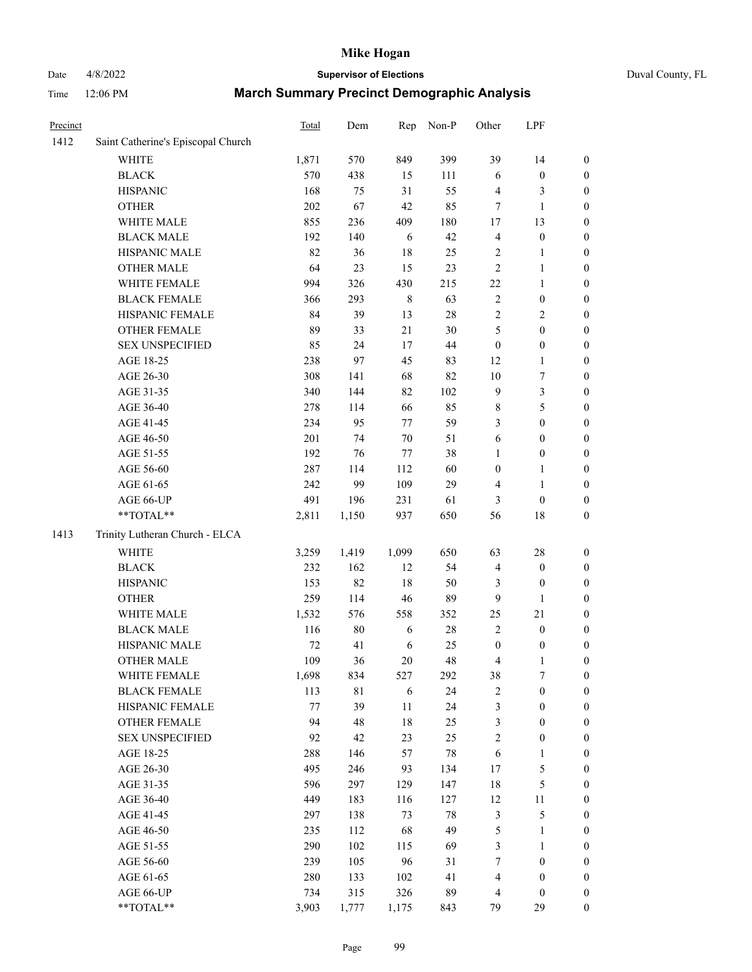# Date 4/8/2022 **Supervisor of Elections** Duval County, FL

| Precinct |                                    | <b>Total</b> | Dem    | Rep         | Non-P  | Other            | LPF              |                  |
|----------|------------------------------------|--------------|--------|-------------|--------|------------------|------------------|------------------|
| 1412     | Saint Catherine's Episcopal Church |              |        |             |        |                  |                  |                  |
|          | <b>WHITE</b>                       | 1,871        | 570    | 849         | 399    | 39               | 14               | 0                |
|          | <b>BLACK</b>                       | 570          | 438    | 15          | 111    | 6                | $\boldsymbol{0}$ | 0                |
|          | <b>HISPANIC</b>                    | 168          | 75     | 31          | 55     | 4                | 3                | $\boldsymbol{0}$ |
|          | <b>OTHER</b>                       | 202          | 67     | 42          | 85     | $\tau$           | $\mathbf{1}$     | $\boldsymbol{0}$ |
|          | WHITE MALE                         | 855          | 236    | 409         | 180    | $17$             | 13               | $\boldsymbol{0}$ |
|          | <b>BLACK MALE</b>                  | 192          | 140    | 6           | 42     | 4                | $\boldsymbol{0}$ | $\boldsymbol{0}$ |
|          | HISPANIC MALE                      | 82           | 36     | $18\,$      | 25     | $\mathbf{2}$     | $\mathbf{1}$     | $\boldsymbol{0}$ |
|          | <b>OTHER MALE</b>                  | 64           | 23     | 15          | 23     | $\overline{c}$   | $\mathbf{1}$     | $\boldsymbol{0}$ |
|          | WHITE FEMALE                       | 994          | 326    | 430         | 215    | $22\,$           | $\mathbf{1}$     | $\boldsymbol{0}$ |
|          | <b>BLACK FEMALE</b>                | 366          | 293    | $\,$ 8 $\,$ | 63     | $\mathbf{2}$     | $\boldsymbol{0}$ | $\boldsymbol{0}$ |
|          | HISPANIC FEMALE                    | 84           | 39     | 13          | $28\,$ | $\overline{c}$   | $\sqrt{2}$       | $\boldsymbol{0}$ |
|          | <b>OTHER FEMALE</b>                | 89           | 33     | 21          | 30     | 5                | $\boldsymbol{0}$ | $\boldsymbol{0}$ |
|          | <b>SEX UNSPECIFIED</b>             | 85           | 24     | 17          | 44     | $\boldsymbol{0}$ | $\boldsymbol{0}$ | $\boldsymbol{0}$ |
|          | AGE 18-25                          | 238          | 97     | 45          | 83     | 12               | $\mathbf{1}$     | $\boldsymbol{0}$ |
|          | AGE 26-30                          | 308          | 141    | 68          | 82     | $10\,$           | $\boldsymbol{7}$ | $\boldsymbol{0}$ |
|          | AGE 31-35                          | 340          | 144    | 82          | 102    | 9                | $\mathfrak{Z}$   | $\boldsymbol{0}$ |
|          | AGE 36-40                          | 278          | 114    | 66          | 85     | 8                | 5                | $\boldsymbol{0}$ |
|          | AGE 41-45                          | 234          | 95     | 77          | 59     | 3                | $\boldsymbol{0}$ | $\boldsymbol{0}$ |
|          | AGE 46-50                          | 201          | 74     | $70\,$      | 51     | 6                | $\boldsymbol{0}$ | $\boldsymbol{0}$ |
|          | AGE 51-55                          | 192          | 76     | 77          | 38     | 1                | $\boldsymbol{0}$ | $\boldsymbol{0}$ |
|          | AGE 56-60                          | 287          | 114    | 112         | 60     | $\boldsymbol{0}$ | 1                | 0                |
|          | AGE 61-65                          | 242          | 99     | 109         | 29     | 4                | $\mathbf{1}$     | $\boldsymbol{0}$ |
|          | AGE 66-UP                          | 491          | 196    | 231         | 61     | 3                | $\boldsymbol{0}$ | $\boldsymbol{0}$ |
|          | $**TOTAL**$                        | 2,811        | 1,150  | 937         | 650    | 56               | 18               | $\boldsymbol{0}$ |
| 1413     | Trinity Lutheran Church - ELCA     |              |        |             |        |                  |                  |                  |
|          | <b>WHITE</b>                       | 3,259        | 1,419  | 1,099       | 650    | 63               | 28               | $\boldsymbol{0}$ |
|          | <b>BLACK</b>                       | 232          | 162    | 12          | 54     | 4                | $\boldsymbol{0}$ | $\boldsymbol{0}$ |
|          | <b>HISPANIC</b>                    | 153          | 82     | 18          | 50     | 3                | $\boldsymbol{0}$ | $\boldsymbol{0}$ |
|          | <b>OTHER</b>                       | 259          | 114    | 46          | 89     | 9                | 1                | $\boldsymbol{0}$ |
|          | WHITE MALE                         | 1,532        | 576    | 558         | 352    | 25               | 21               | $\boldsymbol{0}$ |
|          | <b>BLACK MALE</b>                  | 116          | $80\,$ | 6           | $28\,$ | $\overline{c}$   | $\boldsymbol{0}$ | $\boldsymbol{0}$ |
|          | HISPANIC MALE                      | $72\,$       | 41     | 6           | $25\,$ | $\boldsymbol{0}$ | $\boldsymbol{0}$ | 0                |
|          | <b>OTHER MALE</b>                  | 109          | 36     | $20\,$      | 48     | 4                | $\mathbf{1}$     | $\boldsymbol{0}$ |
|          | WHITE FEMALE                       | 1,698        | 834    | 527         | 292    | 38               | 7                | 0                |
|          | <b>BLACK FEMALE</b>                | 113          | 81     | 6           | 24     | $\mathbf{2}$     | $\boldsymbol{0}$ | $\boldsymbol{0}$ |
|          | HISPANIC FEMALE                    | 77           | 39     | $11\,$      | 24     | 3                | $\boldsymbol{0}$ | $\overline{0}$   |
|          | OTHER FEMALE                       | 94           | 48     | 18          | 25     | 3                | $\boldsymbol{0}$ | $\overline{0}$   |
|          | <b>SEX UNSPECIFIED</b>             | 92           | 42     | 23          | 25     | 2                | $\boldsymbol{0}$ | 0                |
|          | AGE 18-25                          | 288          | 146    | 57          | $78\,$ | 6                | $\mathbf{1}$     | 0                |
|          | AGE 26-30                          | 495          | 246    | 93          | 134    | 17               | 5                | 0                |
|          | AGE 31-35                          | 596          | 297    | 129         | 147    | 18               | 5                | 0                |
|          | AGE 36-40                          | 449          | 183    | 116         | 127    | 12               | $11\,$           | 0                |
|          | AGE 41-45                          | 297          | 138    | 73          | 78     | 3                | $\mathfrak s$    | 0                |
|          | AGE 46-50                          | 235          | 112    | 68          | 49     | 5                | $\mathbf{1}$     | 0                |
|          | AGE 51-55                          | 290          | 102    | 115         | 69     | 3                | $\mathbf{1}$     | 0                |
|          | AGE 56-60                          | 239          | 105    | 96          | 31     | 7                | $\boldsymbol{0}$ | 0                |
|          | AGE 61-65                          | 280          | 133    | 102         | 41     | 4                | $\boldsymbol{0}$ | $\overline{0}$   |
|          | AGE 66-UP                          | 734          | 315    | 326         | 89     | 4                | $\boldsymbol{0}$ | 0                |
|          | **TOTAL**                          | 3,903        | 1,777  | 1,175       | 843    | 79               | 29               | $\boldsymbol{0}$ |
|          |                                    |              |        |             |        |                  |                  |                  |